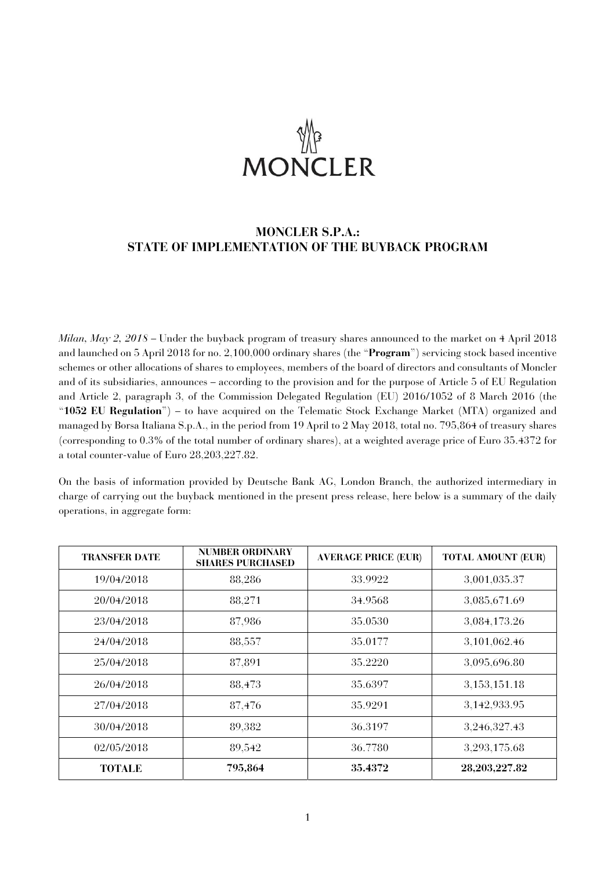# **MONCLER**

# **MONCLER S.P.A.: STATE OF IMPLEMENTATION OF THE BUYBACK PROGRAM**

*Milan, May 2, 2018* – Under the buyback program of treasury shares announced to the market on 4 April 2018 and launched on 5 April 2018 for no. 2,100,000 ordinary shares (the "**Program**") servicing stock based incentive schemes or other allocations of shares to employees, members of the board of directors and consultants of Moncler and of its subsidiaries, announces – according to the provision and for the purpose of Article 5 of EU Regulation and Article 2, paragraph 3, of the Commission Delegated Regulation (EU) 2016/1052 of 8 March 2016 (the "**1052 EU Regulation**") – to have acquired on the Telematic Stock Exchange Market (MTA) organized and managed by Borsa Italiana S.p.A., in the period from 19 April to 2 May 2018, total no. 795,864 of treasury shares (corresponding to 0.3% of the total number of ordinary shares), at a weighted average price of Euro 35.4372 for a total counter-value of Euro 28,203,227.82.

On the basis of information provided by Deutsche Bank AG, London Branch, the authorized intermediary in charge of carrying out the buyback mentioned in the present press release, here below is a summary of the daily operations, in aggregate form:

| <b>TRANSFER DATE</b> | <b>NUMBER ORDINARY</b><br><b>SHARES PURCHASED</b> | <b>AVERAGE PRICE (EUR)</b> | <b>TOTAL AMOUNT (EUR)</b> |
|----------------------|---------------------------------------------------|----------------------------|---------------------------|
| 19/04/2018           | 88,286                                            | 33.9922                    | 3,001,035.37              |
| 20/04/2018           | 88,271                                            | 34.9568                    | 3,085,671.69              |
| 23/04/2018           | 87,986                                            | 35.0530                    | 3,084,173.26              |
| 24/04/2018           | 88,557                                            | 35.0177                    | 3,101,062.46              |
| 25/04/2018           | 87,891                                            | 35.2220                    | 3,095,696.80              |
| 26/04/2018           | 88,473                                            | 35.6397                    | 3, 153, 151. 18           |
| 27/04/2018           | 87,476                                            | 35.9291                    | 3,142,933.95              |
| 30/04/2018           | 89,382                                            | 36.3197                    | 3,246,327.43              |
| 02/05/2018           | 89,542                                            | 36.7780                    | 3,293,175.68              |
| <b>TOTALE</b>        | 795,864                                           | 35.4372                    | 28,203,227.82             |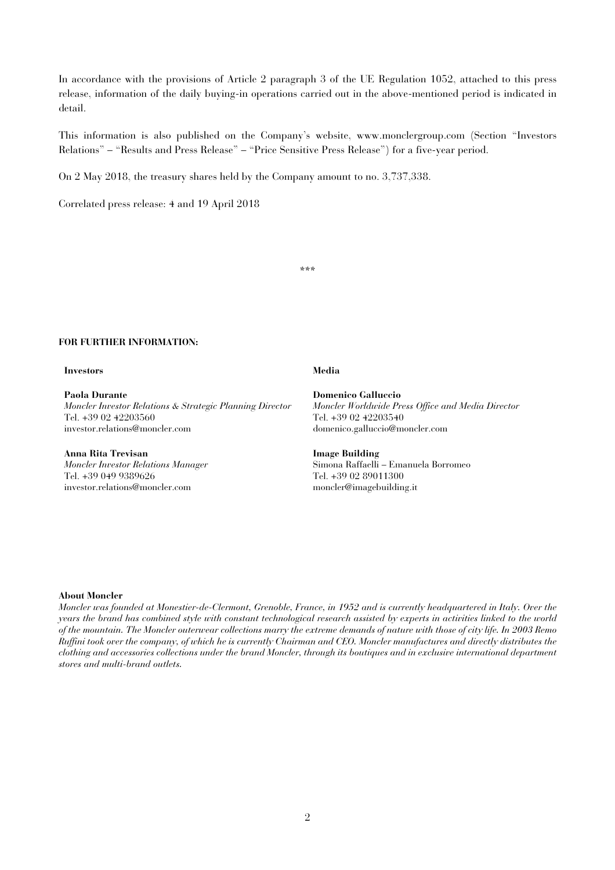In accordance with the provisions of Article 2 paragraph 3 of the UE Regulation 1052, attached to this press release, information of the daily buying-in operations carried out in the above-mentioned period is indicated in detail.

This information is also published on the Company's website, www.monclergroup.com (Section "Investors Relations" – "Results and Press Release" – "Price Sensitive Press Release") for a five-year period.

On 2 May 2018, the treasury shares held by the Company amount to no. 3,737,338.

Correlated press release: 4 and 19 April 2018

\*\*\*

### **FOR FURTHER INFORMATION:**

### **Investors Media**

**Paola Durante**  *Moncler Investor Relations & Strategic Planning Director*  Tel. +39 02 42203560 investor.relations@moncler.com

## **Anna Rita Trevisan**

*Moncler Investor Relations Manager*  Tel. +39 049 9389626 investor.relations@moncler.com

**Domenico Galluccio**  *Moncler Worldwide Press Office and Media Director*  Tel. +39 02 42203540 domenico.galluccio@moncler.com

**Image Building**  Simona Raffaelli – Emanuela Borromeo Tel. +39 02 89011300 moncler@imagebuilding.it

### **About Moncler**

*Moncler was founded at Monestier-de-Clermont, Grenoble, France, in 1952 and is currently headquartered in Italy. Over the years the brand has combined style with constant technological research assisted by experts in activities linked to the world of the mountain. The Moncler outerwear collections marry the extreme demands of nature with those of city life. In 2003 Remo Ruffini took over the company, of which he is currently Chairman and CEO. Moncler manufactures and directly distributes the clothing and accessories collections under the brand Moncler, through its boutiques and in exclusive international department stores and multi-brand outlets.*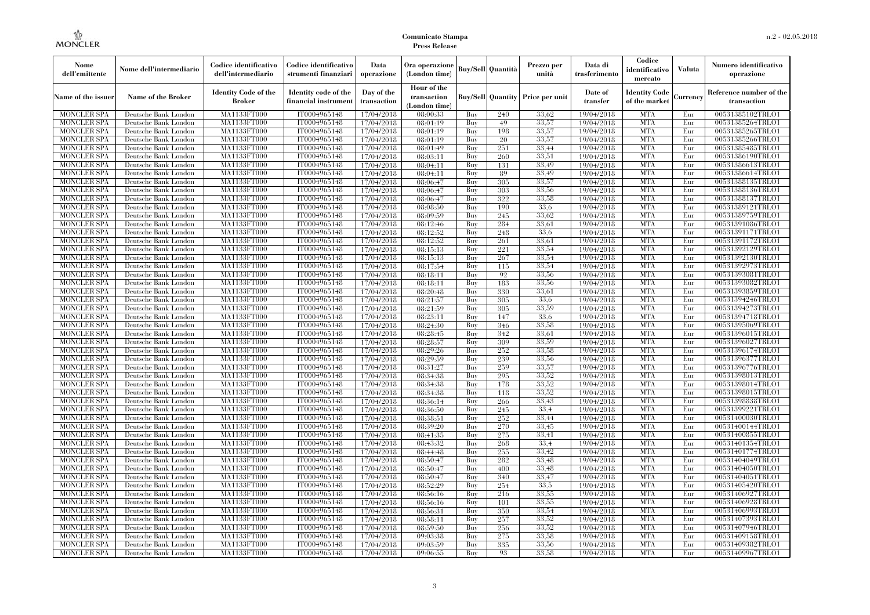| Nome<br>dell'emittente                   | Nome dell'intermediario                      | Codice identificativo<br>dell'intermediario  | Codice identificativo<br>strumenti finanziari | Data<br>operazione        | Ora operazione<br>(London time)             |            | <b>Buy/Sell</b> Quantità | Prezzo per<br>unità                     | Data di<br>trasferimento | Codice<br>identificativo<br>mercato   | <b>Valuta</b> | Numero identificativo<br>operazione    |
|------------------------------------------|----------------------------------------------|----------------------------------------------|-----------------------------------------------|---------------------------|---------------------------------------------|------------|--------------------------|-----------------------------------------|--------------------------|---------------------------------------|---------------|----------------------------------------|
| Name of the issuer                       | Name of the Broker                           | <b>Identity Code of the</b><br><b>Broker</b> | Identity code of the<br>financial instrument  | Day of the<br>transaction | Hour of the<br>transaction<br>(London time) |            |                          | <b>Buy/Sell Quantity Price per unit</b> | Date of<br>transfer      | <b>Identity Code</b><br>of the market | Currency      | Reference number of the<br>transaction |
| <b>MONCLER SPA</b>                       | Deutsche Bank London                         | MA1133FT000                                  | IT0004965148                                  | 17/04/2018                | 08:00:33                                    | Buy        | 240                      | 33.62                                   | 19/04/2018               | <b>MTA</b>                            | Eur           | 00531385102TRLO1                       |
| <b>MONCLER SPA</b>                       | Deutsche Bank London                         | MA1133FT000                                  | IT0004965148                                  | 17/04/2018                | 08:01:19                                    | Buy        | 49                       | 33,57                                   | 19/04/2018               | <b>MTA</b>                            | Eur           | 00531385264TRLO1                       |
| <b>MONCLER SPA</b>                       | Deutsche Bank London                         | MA1133FT000                                  | IT0004965148                                  | 17/04/2018                | 08:01:19                                    | Buy        | 198                      | 33,57                                   | 19/04/2018               | <b>MTA</b>                            | Eur           | 00531385265TRLO1                       |
| <b>MONCLER SPA</b>                       | Deutsche Bank London                         | MA1133FT000                                  | IT0004965148                                  | 17/04/2018                | 08:01:19                                    | Buy        | 20                       | 33,57                                   | 19/04/2018               | <b>MTA</b>                            | Eur           | 00531385266TRLO1                       |
| <b>MONCLER SPA</b>                       | Deutsche Bank London                         | MA1133FT000                                  | IT0004965148                                  | 17/04/2018                | 08:01:49                                    | Buy        | 251                      | 33.44                                   | 19/04/2018               | <b>MTA</b>                            | Eur           | 00531385485TRLO1                       |
| <b>MONCLER SPA</b>                       | Deutsche Bank London                         | MA1133FT000                                  | IT0004965148                                  | 17/04/2018                | 08:03:11                                    | Buy        | 260                      | 33.51                                   | 19/04/2018               | <b>MTA</b>                            | Eur           | 00531386190TRLO1                       |
| <b>MONCLER SPA</b>                       | Deutsche Bank London                         | <b>MA1133FT000</b>                           | IT0004965148                                  | 17/04/2018                | 08:04:11                                    | Buy        | 131                      | 33.49                                   | 19/04/2018               | <b>MTA</b>                            | Eur           | 00531386613TRLO1                       |
| <b>MONCLER SPA</b>                       | Deutsche Bank London                         | MA1133FT000                                  | IT0004965148                                  | 17/04/2018                | 08:04:11                                    | Buy        | 89                       | 33.49                                   | 19/04/2018               | <b>MTA</b>                            | Eur           | 00531386614TRLO1                       |
| <b>MONCLER SPA</b>                       | Deutsche Bank London                         | MA1133FT000<br>MA1133FT000                   | IT0004965148<br>IT0004965148                  | 17/04/2018                | 08:06:47                                    | Buv        | 305                      | 33,57                                   | 19/04/2018               | <b>MTA</b><br><b>MTA</b>              | Eur           | 00531388135TRLO1                       |
| <b>MONCLER SPA</b>                       | Deutsche Bank London                         |                                              | IT0004965148                                  | 17/04/2018                | 08:06:47                                    | Buy        | 303                      | 33,56<br>33,58                          | 19/04/2018               | <b>MTA</b>                            | Eur           | 00531388136TRLO1                       |
| <b>MONCLER SPA</b><br><b>MONCLER SPA</b> | Deutsche Bank London<br>Deutsche Bank London | <b>MA1133FT000</b><br><b>MA1133FT000</b>     | IT0004965148                                  | 17/04/2018                | 08:06:47<br>08:08:50                        | Buy<br>Buy | 322<br>190               | 33.6                                    | 19/04/2018               | <b>MTA</b>                            | Eur<br>Eur    | 00531388137TRLO1<br>00531389121TRLO1   |
| <b>MONCLER SPA</b>                       | Deutsche Bank London                         | <b>MA1133FT000</b>                           | IT0004965148                                  | 17/04/2018<br>17/04/2018  | 08:09:59                                    | Buv        | 245                      | 33.62                                   | 19/04/2018<br>19/04/2018 | <b>MTA</b>                            | Eur           | 00531389759TRLO1                       |
| <b>MONCLER SPA</b>                       | Deutsche Bank London                         | MA1133FT000                                  | IT0004965148                                  | 17/04/2018                | 08:12:46                                    | Buy        | 284                      | 33.61                                   | 19/04/2018               | <b>MTA</b>                            | Eur           | 00531391086TRLO1                       |
| <b>MONCLER SPA</b>                       | Deutsche Bank London                         | <b>MA1133FT000</b>                           | IT0004965148                                  | 17/04/2018                | 08:12:52                                    | Buy        | 248                      | 33,6                                    | 19/04/2018               | <b>MTA</b>                            | Eur           | 00531391171TRLO1                       |
| <b>MONCLER SPA</b>                       | Deutsche Bank London                         | MA1133FT000                                  | IT0004965148                                  | 17/04/2018                | 08:12:52                                    | Buy        | 261                      | 33,61                                   | 19/04/2018               | <b>MTA</b>                            | Eur           | 00531391172TRLO1                       |
| <b>MONCLER SPA</b>                       | Deutsche Bank London                         | MA1133FT000                                  | IT0004965148                                  | 17/04/2018                | 08:15:13                                    | Buy        | 221                      | 33,54                                   | 19/04/2018               | <b>MTA</b>                            | Eur           | 00531392129TRLO1                       |
| <b>MONCLER SPA</b>                       | Deutsche Bank London                         | MA1133FT000                                  | IT0004965148                                  | 17/04/2018                | 08:15:13                                    | Buy        | 267                      | 33,54                                   | 19/04/2018               | <b>MTA</b>                            | Eur           | 00531392130TRLO1                       |
| MONCLER SPA                              | Deutsche Bank London                         | <b>MA1133FT000</b>                           | IT0004965148                                  | 17/04/2018                | 08:17:54                                    | Buy        | 115                      | 33,54                                   | 19/04/2018               | <b>MTA</b>                            | Eur           | 00531392973TRLO1                       |
| <b>MONCLER SPA</b>                       | Deutsche Bank London                         | MA1133FT000                                  | IT0004965148                                  | 17/04/2018                | 08:18:11                                    | Buy        | 92                       | 33,56                                   | 19/04/2018               | <b>MTA</b>                            | Eur           | 00531393081TRLO1                       |
| <b>MONCLER SPA</b>                       | Deutsche Bank London                         | MA1133FT000                                  | IT0004965148                                  | 17/04/2018                | 08:18:11                                    | Buv        | 183                      | 33,56                                   | 19/04/2018               | <b>MTA</b>                            | Eur           | 00531393082TRLO1                       |
| <b>MONCLER SPA</b>                       | Deutsche Bank London                         | MA1133FT000                                  | IT0004965148                                  | 17/04/2018                | 08:20:48                                    | Buy        | 330                      | 33.61                                   | 19/04/2018               | <b>MTA</b>                            | Eur           | 00531393859TRLO1                       |
| <b>MONCLER SPA</b>                       | Deutsche Bank London                         | <b>MA1133FT000</b>                           | IT0004965148                                  | 17/04/2018                | 08:21:57                                    | Buy        | 305                      | 33,6                                    | 19/04/2018               | <b>MTA</b>                            | Eur           | 00531394246TRLO1                       |
| <b>MONCLER SPA</b>                       | Deutsche Bank London                         | MA1133FT000                                  | IT0004965148                                  | 17/04/2018                | 08:21:59                                    | Buy        | 305                      | 33,59                                   | 19/04/2018               | <b>MTA</b>                            | Eur           | 00531394273TRLO1                       |
| <b>MONCLER SPA</b>                       | Deutsche Bank London                         | MA1133FT000                                  | IT0004965148                                  | 17/04/2018                | 08:23:11                                    | Buy        | 147                      | 33.6                                    | 19/04/2018               | <b>MTA</b>                            | Eur           | 00531394718TRLO1                       |
| <b>MONCLER SPA</b>                       | Deutsche Bank London                         | MA1133FT000                                  | IT0004965148                                  | 17/04/2018                | 08:24:30                                    | Buy        | 346                      | 33.58                                   | 19/04/2018               | <b>MTA</b>                            | Eur           | 00531395069TRLO1                       |
| <b>MONCLER SPA</b>                       | Deutsche Bank London                         | <b>MA1133FT000</b>                           | IT0004965148                                  | 17/04/2018                | 08:28:45                                    | Buy        | 342                      | 33,61                                   | 19/04/2018               | <b>MTA</b>                            | Eur           | 00531396015TRLO1                       |
| <b>MONCLER SPA</b>                       | Deutsche Bank London                         | MA1133FT000                                  | IT0004965148                                  | 17/04/2018                | 08:28:57                                    | Buy        | 309                      | 33,59                                   | 19/04/2018               | <b>MTA</b>                            | Eur           | 00531396027TRLO1                       |
| <b>MONCLER SPA</b>                       | Deutsche Bank London                         | MA1133FT000                                  | IT0004965148                                  | 17/04/2018                | 08:29:26                                    | Buy        | 252                      | 33,58                                   | 19/04/2018               | <b>MTA</b>                            | Eur           | 00531396174TRLO1                       |
| <b>MONCLER SPA</b>                       | Deutsche Bank London                         | <b>MA1133FT000</b>                           | IT0004965148                                  | 17/04/2018                | 08:29:59                                    | Buy        | 239                      | 33,56                                   | 19/04/2018               | <b>MTA</b>                            | Eur           | 00531396377TRLO1                       |
| MONCLER SPA                              | Deutsche Bank London                         | <b>MA1133FT000</b>                           | IT0004965148                                  | 17/04/2018                | 08:31:27                                    | Buy        | 259                      | 33,57                                   | 19/04/2018               | <b>MTA</b>                            | Eur           | 00531396776TRLO1                       |
| <b>MONCLER SPA</b>                       | Deutsche Bank London                         | MA1133FT000                                  | IT0004965148                                  | 17/04/2018                | 08:34:38                                    | Buy        | 295                      | 33.52                                   | 19/04/2018               | <b>MTA</b>                            | Eur           | 00531398013TRLO1                       |
| <b>MONCLER SPA</b>                       | Deutsche Bank London                         | MA1133FT000                                  | IT0004965148                                  | 17/04/2018                | 08:34:38                                    | Buy        | 178                      | 33.52                                   | 19/04/2018               | <b>MTA</b>                            | Eur           | 00531398014TRLO1                       |
| <b>MONCLER SPA</b>                       | Deutsche Bank London                         | MA1133FT000                                  | IT0004965148                                  | 17/04/2018                | 08:34:38                                    | Buy        | 118                      | 33,52                                   | 19/04/2018               | <b>MTA</b>                            | Eur           | 00531398015TRLO1                       |
| <b>MONCLER SPA</b>                       | Deutsche Bank London                         | <b>MA1133FT000</b>                           | IT0004965148                                  | 17/04/2018                | 08:36:14                                    | Buy        | 266                      | 33,43                                   | 19/04/2018               | <b>MTA</b>                            | Eur           | 00531398838TRLO1                       |
| <b>MONCLER SPA</b>                       | Deutsche Bank London                         | MA1133FT000                                  | IT0004965148                                  | 17/04/2018                | 08:36:50                                    | Buy        | 245                      | 33.4                                    | 19/04/2018               | <b>MTA</b>                            | Eur           | 00531399221TRLO1                       |
| <b>MONCLER SPA</b>                       | Deutsche Bank London                         | MA1133FT000                                  | IT0004965148                                  | 17/04/2018                | 08:38:51                                    | Buy        | 252                      | 33.44                                   | 19/04/2018               | <b>MTA</b>                            | Eur           | 00531400030TRLO1                       |
| <b>MONCLER SPA</b>                       | Deutsche Bank London                         | <b>MA1133FT000</b>                           | IT0004965148                                  | 17/04/2018                | 08:39:20                                    | Buy        | 270                      | 33,45                                   | 19/04/2018               | <b>MTA</b>                            | Eur           | 00531400144TRLO1                       |
| <b>MONCLER SPA</b>                       | Deutsche Bank London                         | <b>MA1133FT000</b>                           | IT0004965148                                  | 17/04/2018                | 08:41:35                                    | Buy        | 275                      | 33,41                                   | 19/04/2018               | <b>MTA</b>                            | Eur           | 00531400855TRLO1                       |
| <b>MONCLER SPA</b>                       | Deutsche Bank London                         | MA1133FT000                                  | IT0004965148                                  | 17/04/2018                | 08:43:32                                    | Buy        | 268                      | 33.4                                    | 19/04/2018               | <b>MTA</b>                            | Eur           | 00531401354TRLO1                       |
| <b>MONCLER SPA</b>                       | Deutsche Bank London                         | MA1133FT000                                  | IT0004965148                                  | 17/04/2018                | 08:44:48                                    | Buy        | 255                      | 33,42                                   | 19/04/2018               | <b>MTA</b>                            | Eur           | 00531401774TRLO1                       |
| <b>MONCLER SPA</b>                       | Deutsche Bank London                         | MA1133FT000                                  | IT0004965148                                  | 17/04/2018                | 08:50:47                                    | Buy        | 282                      | 33.48                                   | 19/04/2018               | <b>MTA</b>                            | Eur           | 00531404049TRLO1                       |
| MONCLER SPA                              | Deutsche Bank London                         | <b>MA1133FT000</b>                           | IT0004965148                                  | 17/04/2018                | 08:50:47                                    | Buy        | 400                      | 33,48                                   | 19/04/2018               | MTA                                   | Eur           | 00531404050TRLO1                       |
| <b>MONCLER SPA</b>                       | Deutsche Bank London                         | MA1133FT000                                  | IT0004965148                                  | 17/04/2018                | 08:50:47                                    | Buy        | 340                      | 33,47                                   | 19/04/2018               | <b>MTA</b>                            | Eur           | 00531404051TRLO1                       |
| <b>MONCLER SPA</b>                       | Deutsche Bank London                         | MA1133FT000                                  | IT0004965148                                  | 17/04/2018                | 08:52:29                                    | Buy        | 254                      | 33.5                                    | 19/04/2018               | <b>MTA</b>                            | Eur           | 00531405420TRLO1                       |
| <b>MONCLER SPA</b>                       | Deutsche Bank London                         | MA1133FT000                                  | IT0004965148                                  | 17/04/2018                | 08:56:16                                    | Buy        | 216                      | 33.55                                   | 19/04/2018               | <b>MTA</b>                            | Eur           | 00531406927TRLO1                       |
| <b>MONCLER SPA</b>                       | Deutsche Bank London                         | <b>MA1133FT000</b>                           | IT0004965148                                  | 17/04/2018                | 08:56:16                                    | Buy        | 101                      | 33,55                                   | 19/04/2018               | MTA                                   | Eur           | 00531406928TRLO1                       |
| <b>MONCLER SPA</b>                       | Deutsche Bank London                         | MA1133FT000                                  | IT0004965148                                  | 17/04/2018                | 08:56:31                                    | Buy        | 350                      | 33.54                                   | 19/04/2018               | <b>MTA</b>                            | Eur           | 00531406993TRLO1                       |
| <b>MONCLER SPA</b>                       | Deutsche Bank London                         | MA1133FT000                                  | IT0004965148                                  | 17/04/2018                | 08:58:11                                    | Buy        | 257                      | 33.52                                   | 19/04/2018               | <b>MTA</b>                            | Eur           | 00531407393TRLO1                       |
| <b>MONCLER SPA</b>                       | Deutsche Bank London                         | MA1133FT000                                  | IT0004965148                                  | 17/04/2018                | 08:59:50                                    | Buy        | 256                      | 33.52                                   | 19/04/2018               | <b>MTA</b>                            | Eur           | 00531407946TRLO1                       |
| MONCLER SPA                              | Deutsche Bank London                         | <b>MA1133FT000</b>                           | IT0004965148                                  | 17/04/2018                | 09:03:38                                    | Buy        | 275                      | 33,58                                   | 19/04/2018               | <b>MTA</b>                            | Eur           | 00531409158TRLO1                       |
| <b>MONCLER SPA</b>                       | Deutsche Bank London                         | <b>MA1133FT000</b>                           | IT0004965148                                  | 17/04/2018                | 09:03:59                                    | Buy        | 335                      | 33.56                                   | 19/04/2018               | <b>MTA</b>                            | Eur           | 00531409382TRLO1                       |
| <b>MONCLER SPA</b>                       | Deutsche Bank London                         | MA1133FT000                                  | IT0004965148                                  | 17/04/2018                | 09:06:55                                    | Buy        | 93                       | 33,58                                   | 19/04/2018               | <b>MTA</b>                            | Eur           | 00531409967TRLO1                       |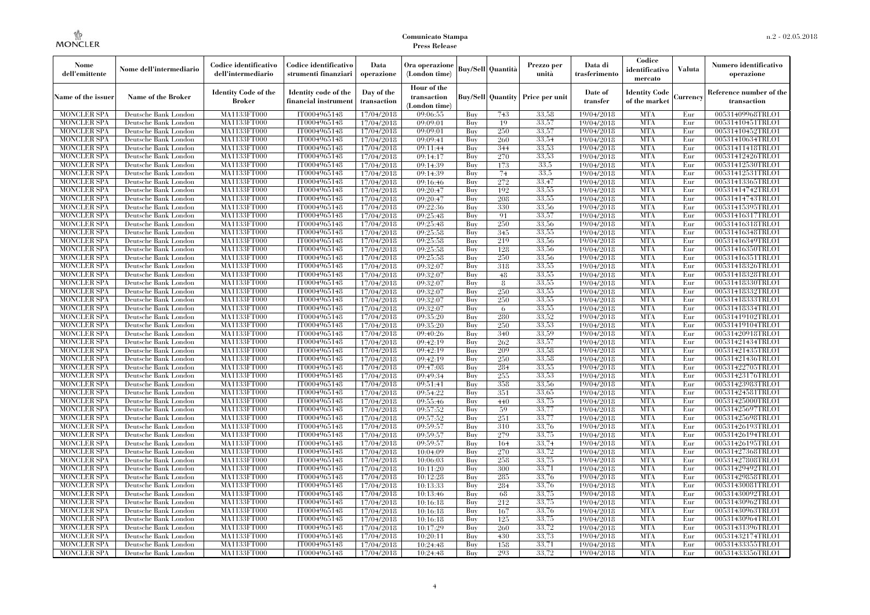| Nome<br>dell'emittente                   | Nome dell'intermediario                      | Codice identificativo<br>dell'intermediario  | Codice identificativo<br>strumenti finanziari | Data<br>operazione        | Ora operazione<br>(London time)             |            | <b>Buy/Sell</b> Quantità | Prezzo per<br>unità                     | Data di<br>trasferimento | Codice<br>identificativo<br>mercato   | <b>Valuta</b> | Numero identificativo<br>operazione    |
|------------------------------------------|----------------------------------------------|----------------------------------------------|-----------------------------------------------|---------------------------|---------------------------------------------|------------|--------------------------|-----------------------------------------|--------------------------|---------------------------------------|---------------|----------------------------------------|
| Name of the issuer                       | Name of the Broker                           | <b>Identity Code of the</b><br><b>Broker</b> | Identity code of the<br>financial instrument  | Day of the<br>transaction | Hour of the<br>transaction<br>(London time) |            |                          | <b>Buy/Sell Quantity Price per unit</b> | Date of<br>transfer      | <b>Identity Code</b><br>of the market | Currency      | Reference number of the<br>transaction |
| <b>MONCLER SPA</b>                       | Deutsche Bank London                         | MA1133FT000                                  | IT0004965148                                  | 17/04/2018                | 09:06:55                                    | Buy        | 743                      | 33,58                                   | 19/04/2018               | <b>MTA</b>                            | Eur           | 00531409968TRLO1                       |
| <b>MONCLER SPA</b>                       | Deutsche Bank London                         | MA1133FT000                                  | IT0004965148                                  | 17/04/2018                | 09:09:01                                    | Buy        | 19                       | 33,57                                   | 19/04/2018               | <b>MTA</b>                            | Eur           | 00531410451TRLO1                       |
| <b>MONCLER SPA</b>                       | Deutsche Bank London                         | MA1133FT000                                  | IT0004965148                                  | 17/04/2018                | 09:09:01                                    | Buy        | 250                      | 33,57                                   | 19/04/2018               | <b>MTA</b>                            | Eur           | 00531410452TRLO1                       |
| <b>MONCLER SPA</b>                       | Deutsche Bank London                         | MA1133FT000<br>MA1133FT000                   | IT0004965148                                  | 17/04/2018                | 09:09:41                                    | Buy<br>Buy | 260                      | 33.54<br>33,53                          | 19/04/2018               | <b>MTA</b><br><b>MTA</b>              | Eur<br>Eur    | 00531410634TRLO1                       |
| <b>MONCLER SPA</b><br><b>MONCLER SPA</b> | Deutsche Bank London<br>Deutsche Bank London | MA1133FT000                                  | IT0004965148<br>IT0004965148                  | 17/04/2018<br>17/04/2018  | 09:11:44<br>09:14:17                        | Buy        | 344<br>270               | 33,53                                   | 19/04/2018<br>19/04/2018 | <b>MTA</b>                            | Eur           | 00531411418TRLO1<br>00531412426TRLO1   |
| <b>MONCLER SPA</b>                       | Deutsche Bank London                         | MA1133FT000                                  | IT0004965148                                  | 17/04/2018                | 09:14:39                                    | Buy        | 173                      | 33,5                                    | 19/04/2018               | <b>MTA</b>                            | Eur           | 00531412530TRLO1                       |
| <b>MONCLER SPA</b>                       | Deutsche Bank London                         | MA1133FT000                                  | IT0004965148                                  | 17/04/2018                | 09:14:39                                    | Buy        | 74                       | 33.5                                    | 19/04/2018               | <b>MTA</b>                            | Eur           | 00531412531TRLO1                       |
| <b>MONCLER SPA</b>                       | Deutsche Bank London                         | MA1133FT000                                  | IT0004965148                                  | 17/04/2018                | 09:16:46                                    | Buv        | 272                      | 33,47                                   | 19/04/2018               | <b>MTA</b>                            | Eur           | 00531413365TRLO1                       |
| <b>MONCLER SPA</b>                       | Deutsche Bank London                         | MA1133FT000                                  | IT0004965148                                  | 17/04/2018                | 09:20:47                                    | Buy        | 192                      | 33,55                                   | 19/04/2018               | <b>MTA</b>                            | Eur           | 00531414742TRLO1                       |
| <b>MONCLER SPA</b>                       | Deutsche Bank London                         | <b>MA1133FT000</b>                           | IT0004965148                                  | 17/04/2018                | 09:20:47                                    | Buy        | 208                      | 33,55                                   | 19/04/2018               | <b>MTA</b>                            | Eur           | 00531414743TRLO1                       |
| <b>MONCLER SPA</b>                       | Deutsche Bank London                         | <b>MA1133FT000</b>                           | IT0004965148                                  | 17/04/2018                | 09:22:36                                    | Buy        | 330                      | 33.56                                   | 19/04/2018               | <b>MTA</b>                            | Eur           | 00531415395TRLO1                       |
| <b>MONCLER SPA</b>                       | Deutsche Bank London                         | <b>MA1133FT000</b>                           | IT0004965148                                  | 17/04/2018                | 09:25:48                                    | Buv        | 91                       | 33,57                                   | 19/04/2018               | <b>MTA</b>                            | Eur           | 00531416317TRLO1                       |
| <b>MONCLER SPA</b>                       | Deutsche Bank London                         | MA1133FT000                                  | IT0004965148                                  | 17/04/2018                | 09:25:48                                    | Buy        | 250                      | 33,56                                   | 19/04/2018               | <b>MTA</b>                            | Eur           | 00531416318TRLO1                       |
| <b>MONCLER SPA</b>                       | Deutsche Bank London                         | <b>MA1133FT000</b>                           | IT0004965148                                  | 17/04/2018                | 09:25:58                                    | Buy        | 345                      | 33,55                                   | 19/04/2018               | <b>MTA</b>                            | Eur           | 00531416348TRLO1                       |
| <b>MONCLER SPA</b>                       | Deutsche Bank London                         | MA1133FT000                                  | IT0004965148                                  | 17/04/2018                | 09:25:58                                    | Buy        | 219                      | 33,56                                   | 19/04/2018               | <b>MTA</b>                            | Eur           | 00531416349TRLO1                       |
| <b>MONCLER SPA</b>                       | Deutsche Bank London                         | MA1133FT000                                  | IT0004965148                                  | 17/04/2018                | 09:25:58                                    | Buy        | 128                      | 33,56                                   | 19/04/2018               | <b>MTA</b>                            | Eur           | 00531416350TRLO1                       |
| <b>MONCLER SPA</b>                       | Deutsche Bank London                         | MA1133FT000                                  | IT0004965148                                  | 17/04/2018                | 09:25:58                                    | Buy        | 250                      | 33,56                                   | 19/04/2018               | <b>MTA</b>                            | Eur           | 00531416351TRLO1                       |
| MONCLER SPA                              | Deutsche Bank London                         | <b>MA1133FT000</b>                           | IT0004965148                                  | 17/04/2018                | 09:32:07                                    | Buy        | 318                      | 33,55                                   | 19/04/2018               | <b>MTA</b>                            | Eur           | 00531418326TRLO1                       |
| <b>MONCLER SPA</b>                       | Deutsche Bank London                         | MA1133FT000                                  | IT0004965148                                  | 17/04/2018                | 09:32:07                                    | Buy        | 48                       | 33.55                                   | 19/04/2018               | <b>MTA</b>                            | Eur           | 00531418328TRLO1                       |
| <b>MONCLER SPA</b>                       | Deutsche Bank London                         | MA1133FT000                                  | IT0004965148                                  | 17/04/2018                | 09:32:07                                    | Buv        | 8                        | 33,55                                   | 19/04/2018               | <b>MTA</b>                            | Eur           | 00531418330TRLO1                       |
| <b>MONCLER SPA</b>                       | Deutsche Bank London                         | MA1133FT000                                  | IT0004965148                                  | 17/04/2018                | 09:32:07                                    | Buy        | 250                      | 33,55                                   | 19/04/2018               | <b>MTA</b>                            | Eur           | 00531418332TRLO1                       |
| <b>MONCLER SPA</b><br><b>MONCLER SPA</b> | Deutsche Bank London<br>Deutsche Bank London | <b>MA1133FT000</b><br>MA1133FT000            | IT0004965148<br>IT0004965148                  | 17/04/2018                | 09:32:07<br>09:32:07                        | Buy        | 250                      | 33,55<br>33.55                          | 19/04/2018               | <b>MTA</b><br><b>MTA</b>              | Eur<br>Eur    | 00531418333TRLO1<br>00531418334TRLO1   |
| <b>MONCLER SPA</b>                       | Deutsche Bank London                         | MA1133FT000                                  | IT0004965148                                  | 17/04/2018<br>17/04/2018  | 09:35:20                                    | Buy<br>Buy | 6<br>280                 | 33.52                                   | 19/04/2018<br>19/04/2018 | <b>MTA</b>                            | Eur           | 00531419102TRLO1                       |
| <b>MONCLER SPA</b>                       | Deutsche Bank London                         | MA1133FT000                                  | IT0004965148                                  | 17/04/2018                | 09:35:20                                    | Buy        | 250                      | 33.53                                   | 19/04/2018               | <b>MTA</b>                            | Eur           | 00531419104TRLO1                       |
| <b>MONCLER SPA</b>                       | Deutsche Bank London                         | <b>MA1133FT000</b>                           | IT0004965148                                  | 17/04/2018                | 09:40:26                                    | Buy        | 340                      | 33.59                                   | 19/04/2018               | <b>MTA</b>                            | Eur           | 00531420918TRLO1                       |
| <b>MONCLER SPA</b>                       | Deutsche Bank London                         | MA1133FT000                                  | IT0004965148                                  | 17/04/2018                | 09:42:19                                    | Buy        | 262                      | 33,57                                   | 19/04/2018               | <b>MTA</b>                            | Eur           | 00531421434TRLO1                       |
| <b>MONCLER SPA</b>                       | Deutsche Bank London                         | MA1133FT000                                  | IT0004965148                                  | 17/04/2018                | 09:42:19                                    | Buy        | 209                      | 33,58                                   | 19/04/2018               | <b>MTA</b>                            | Eur           | 00531421435TRLO1                       |
| <b>MONCLER SPA</b>                       | Deutsche Bank London                         | <b>MA1133FT000</b>                           | IT0004965148                                  | 17/04/2018                | 09:42:19                                    | Buy        | 250                      | 33.58                                   | 19/04/2018               | <b>MTA</b>                            | Eur           | 00531421436TRLO1                       |
| MONCLER SPA                              | Deutsche Bank London                         | <b>MA1133FT000</b>                           | IT0004965148                                  | 17/04/2018                | 09:47:08                                    | Buy        | 284                      | 33,55                                   | 19/04/2018               | <b>MTA</b>                            | Eur           | 00531422705TRLO1                       |
| <b>MONCLER SPA</b>                       | Deutsche Bank London                         | MA1133FT000                                  | IT0004965148                                  | 17/04/2018                | 09:49:34                                    | Buy        | $255\,$                  | 33,53                                   | 19/04/2018               | <b>MTA</b>                            | Eur           | 00531423176TRLO1                       |
| <b>MONCLER SPA</b>                       | Deutsche Bank London                         | MA1133FT000                                  | IT0004965148                                  | 17/04/2018                | 09:51:41                                    | Buy        | 358                      | 33,56                                   | 19/04/2018               | <b>MTA</b>                            | Eur           | 00531423983TRLO1                       |
| <b>MONCLER SPA</b>                       | Deutsche Bank London                         | MA1133FT000                                  | IT0004965148                                  | 17/04/2018                | 09:54:22                                    | Buy        | 351                      | 33.65                                   | 19/04/2018               | <b>MTA</b>                            | Eur           | 00531424581TRLO1                       |
| <b>MONCLER SPA</b>                       | Deutsche Bank London                         | <b>MA1133FT000</b>                           | IT0004965148                                  | 17/04/2018                | 09:55:46                                    | Buy        | 440                      | 33,75                                   | 19/04/2018               | <b>MTA</b>                            | Eur           | 00531425000TRLO1                       |
| <b>MONCLER SPA</b>                       | Deutsche Bank London                         | MA1133FT000                                  | IT0004965148                                  | 17/04/2018                | 09:57:52                                    | Buy        | 59                       | 33,77                                   | 19/04/2018               | <b>MTA</b>                            | Eur           | 00531425697TRLO1                       |
| <b>MONCLER SPA</b>                       | Deutsche Bank London                         | MA1133FT000                                  | IT0004965148                                  | 17/04/2018                | 09:57:52                                    | Buy        | 251                      | 33,77                                   | 19/04/2018               | <b>MTA</b>                            | Eur           | 00531425698TRLO1                       |
| <b>MONCLER SPA</b>                       | Deutsche Bank London                         | <b>MA1133FT000</b>                           | IT0004965148                                  | 17/04/2018                | 09:59:57                                    | Buy        | 310                      | 33,76                                   | 19/04/2018               | <b>MTA</b>                            | Eur           | 00531426193TRLO1                       |
| <b>MONCLER SPA</b>                       | Deutsche Bank London                         | <b>MA1133FT000</b>                           | IT0004965148                                  | 17/04/2018                | 09:59:57                                    | Buy        | 279                      | 33,75                                   | 19/04/2018               | <b>MTA</b>                            | Eur           | 00531426194TRLO1                       |
| <b>MONCLER SPA</b>                       | Deutsche Bank London                         | MA1133FT000                                  | IT0004965148                                  | 17/04/2018                | 09:59:57                                    | Buy        | 164                      | 33,74                                   | 19/04/2018               | <b>MTA</b>                            | Eur           | 00531426195TRLO1                       |
| <b>MONCLER SPA</b>                       | Deutsche Bank London                         | MA1133FT000                                  | IT0004965148                                  | 17/04/2018                | 10:04:09                                    | Buy        | 270                      | 33,72                                   | 19/04/2018               | <b>MTA</b>                            | Eur           | 00531427368TRLO1                       |
| <b>MONCLER SPA</b>                       | Deutsche Bank London                         | MA1133FT000                                  | IT0004965148                                  | 17/04/2018                | 10:06:03                                    | Buy        | 258                      | 33,75                                   | 19/04/2018               | <b>MTA</b>                            | Eur           | 00531427808TRLO1                       |
| MONCLER SPA<br><b>MONCLER SPA</b>        | Deutsche Bank London<br>Deutsche Bank London | <b>MA1133FT000</b><br>MA1133FT000            | IT0004965148<br>IT0004965148                  | 17/04/2018                | 10:11:20                                    | Buy<br>Buy | 300<br>285               | 33,71<br>33,76                          | 19/04/2018               | MTA<br><b>MTA</b>                     | Eur<br>Eur    | 00531429492TRLO1<br>00531429858TRLO1   |
| <b>MONCLER SPA</b>                       | Deutsche Bank London                         | MA1133FT000                                  | IT0004965148                                  | 17/04/2018                | 10:12:28                                    | Buy        | 284                      | 33,76                                   | 19/04/2018               | <b>MTA</b>                            | Eur           | 00531430081TRLO1                       |
| <b>MONCLER SPA</b>                       | Deutsche Bank London                         | MA1133FT000                                  | IT0004965148                                  | 17/04/2018<br>17/04/2018  | 10:13:33<br>10:13:46                        | Buy        | 68                       | 33,75                                   | 19/04/2018<br>19/04/2018 | <b>MTA</b>                            | Eur           | 00531430092TRLO1                       |
| <b>MONCLER SPA</b>                       | Deutsche Bank London                         | <b>MA1133FT000</b>                           | IT0004965148                                  | 17/04/2018                | 10:16:18                                    | Buy        | 212                      | 33,75                                   | 19/04/2018               | MTA                                   | Eur           | 00531430962TRLO1                       |
| <b>MONCLER SPA</b>                       | Deutsche Bank London                         | MA1133FT000                                  | IT0004965148                                  | 17/04/2018                | 10:16:18                                    | Buy        | 167                      | 33,76                                   | 19/04/2018               | <b>MTA</b>                            | Eur           | 00531430963TRLO1                       |
| <b>MONCLER SPA</b>                       | Deutsche Bank London                         | MA1133FT000                                  | IT0004965148                                  | 17/04/2018                | 10:16:18                                    | Buy        | 125                      | 33,75                                   | 19/04/2018               | <b>MTA</b>                            | Eur           | 00531430964TRLO1                       |
| <b>MONCLER SPA</b>                       | Deutsche Bank London                         | MA1133FT000                                  | IT0004965148                                  | 17/04/2018                | 10:17:29                                    | Buy        | 260                      | 33,72                                   | 19/04/2018               | <b>MTA</b>                            | Eur           | 00531431396TRLO1                       |
| MONCLER SPA                              | Deutsche Bank London                         | <b>MA1133FT000</b>                           | IT0004965148                                  | 17/04/2018                | 10:20:11                                    | Buy        | 430                      | 33,73                                   | 19/04/2018               | <b>MTA</b>                            | Eur           | 00531432174TRLO1                       |
| <b>MONCLER SPA</b>                       | Deutsche Bank London                         | <b>MA1133FT000</b>                           | IT0004965148                                  | 17/04/2018                | 10:24:48                                    | Buy        | 158                      | 33,71                                   | 19/04/2018               | <b>MTA</b>                            | Eur           | 00531433355TRLO1                       |
| <b>MONCLER SPA</b>                       | Deutsche Bank London                         | MA1133FT000                                  | IT0004965148                                  | 17/04/2018                | 10:24:48                                    | Buy        | 293                      | 33,72                                   | 19/04/2018               | <b>MTA</b>                            | Eur           | 00531433356TRLO1                       |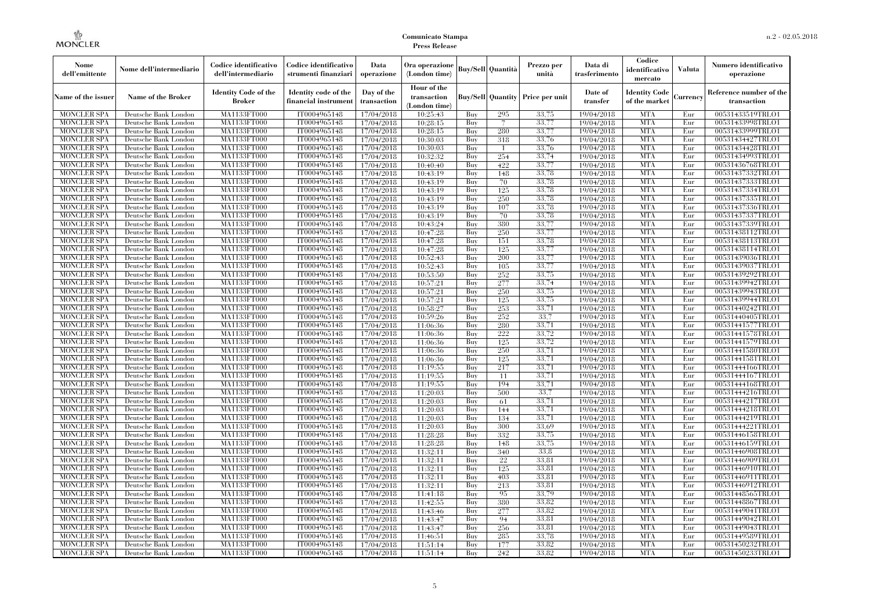| Nome<br>dell'emittente                   | Nome dell'intermediario                      | Codice identificativo<br>dell'intermediario  | Codice identificativo<br>strumenti finanziari | Data<br>operazione        | Ora operazione<br>(London time)             |            | <b>Buy/Sell Quantità</b> | Prezzo per<br>unità | Data di<br>trasferimento | Codice<br>identificativo<br>mercato   | <b>Valuta</b> | Numero identificativo<br>operazione    |
|------------------------------------------|----------------------------------------------|----------------------------------------------|-----------------------------------------------|---------------------------|---------------------------------------------|------------|--------------------------|---------------------|--------------------------|---------------------------------------|---------------|----------------------------------------|
| Name of the issuer                       | <b>Name of the Broker</b>                    | <b>Identity Code of the</b><br><b>Broker</b> | Identity code of the<br>financial instrumen   | Day of the<br>transaction | Hour of the<br>transaction<br>(London time) |            | <b>Buy/Sell Quantity</b> | Price per unit      | Date of<br>transfer      | <b>Identity Code</b><br>of the market | Currency      | Reference number of the<br>transaction |
| <b>MONCLER SPA</b>                       | Deutsche Bank London                         | MA1133FT000                                  | IT0004965148                                  | 17/04/2018                | 10:25:43                                    | Buy        | 295                      | 33,75               | 19/04/2018               | <b>MTA</b>                            | Eur           | 00531433519TRLO1                       |
| <b>MONCLER SPA</b>                       | Deutsche Bank London                         | MA1133FT000                                  | IT0004965148                                  | 17/04/2018                | 10:28:15                                    | Buy        | 7                        | 33,77               | 19/04/2018               | <b>MTA</b>                            | Eur           | 00531433998TRLO1                       |
| <b>MONCLER SPA</b>                       | Deutsche Bank London                         | <b>MA1133FT000</b>                           | IT0004965148                                  | 17/04/2018                | 10:28:15                                    | Buy        | 280                      | 33,77               | 19/04/2018               | <b>MTA</b>                            | Eur           | 00531433999TRLO1                       |
| <b>MONCLER SPA</b>                       | Deutsche Bank London                         | MA1133FT000                                  | IT0004965148                                  | 17/04/2018                | 10:30:03                                    | Buy        | 318                      | 33,76               | 19/04/2018               | <b>MTA</b>                            | Eur           | 00531434427TRLO1                       |
| <b>MONCLER SPA</b>                       | Deutsche Bank London                         | MA1133FT000                                  | IT0004965148                                  | 17/04/2018                | 10:30:03                                    | Buy        | $\mathbf{1}$             | 33,76               | 19/04/2018               | <b>MTA</b>                            | Eur           | 00531434428TRLO1                       |
| <b>MONCLER SPA</b>                       | Deutsche Bank London                         | MA1133FT000                                  | IT0004965148                                  | 17/04/2018                | 10:32:32                                    | Buy        | 254                      | 33,74               | 19/04/2018               | <b>MTA</b>                            | Eur           | 00531434993TRLO1                       |
| <b>MONCLER SPA</b>                       | Deutsche Bank London                         | <b>MA1133FT000</b>                           | IT0004965148                                  | 17/04/2018                | 10:40:40                                    | Buy        | 422                      | 33,77               | 19/04/2018               | <b>MTA</b>                            | Eur           | 00531436768TRLO1                       |
| <b>MONCLER SPA</b>                       | Deutsche Bank London                         | MA1133FT000                                  | IT0004965148                                  | 17/04/2018                | 10:43:19                                    | Buy        | 148                      | 33,78               | 19/04/2018               | <b>MTA</b>                            | Eur           | 00531437332TRLO1                       |
| <b>MONCLER SPA</b>                       | Deutsche Bank London                         | MA1133FT000                                  | IT0004965148                                  | 17/04/2018                | 10:43:19                                    | Buy        | 70                       | 33.78               | 19/04/2018               | <b>MTA</b>                            | Eur           | 00531437333TRLO1                       |
| <b>MONCLER SPA</b>                       | Deutsche Bank London                         | <b>MA1133FT000</b>                           | IT0004965148                                  | 17/04/2018                | 10:43:19                                    | Buy        | 125                      | 33,78               | 19/04/2018               | <b>MTA</b>                            | Eur           | 00531437334TRLO1                       |
| <b>MONCLER SPA</b><br><b>MONCLER SPA</b> | Deutsche Bank London<br>Deutsche Bank London | <b>MA1133FT000</b><br><b>MA1133FT000</b>     | IT0004965148<br>IT0004965148                  | 17/04/2018                | 10:43:19<br>10:43:19                        | Buy        | 250<br>107               | 33,78<br>33,78      | 19/04/2018<br>19/04/2018 | <b>MTA</b><br><b>MTA</b>              | Eur<br>Eur    | 00531437335TRLO1<br>00531437336TRLO1   |
| <b>MONCLER SPA</b>                       | Deutsche Bank London                         | MA1133FT000                                  | IT0004965148                                  | 17/04/2018<br>17/04/2018  | 10:43:19                                    | Buy<br>Buy | 70                       | 33,78               | 19/04/2018               | <b>MTA</b>                            | Eur           | 00531437337TRLO1                       |
| <b>MONCLER SPA</b>                       | Deutsche Bank London                         | MA1133FT000                                  | IT0004965148                                  | 17/04/2018                | 10:43:24                                    | Buy        | 380                      | 33,77               | 19/04/2018               | <b>MTA</b>                            | Eur           | 00531437339TRLO1                       |
|                                          |                                              |                                              | IT0004965148                                  |                           |                                             |            |                          | 33,77               |                          | <b>MTA</b>                            |               |                                        |
| <b>MONCLER SPA</b><br><b>MONCLER SPA</b> | Deutsche Bank London<br>Deutsche Bank London | <b>MA1133FT000</b><br>MA1133FT000            | IT0004965148                                  | 17/04/2018<br>17/04/2018  | 10:47:28<br>10:47:28                        | Buy<br>Buy | 250<br>151               | 33,78               | 19/04/2018<br>19/04/2018 | <b>MTA</b>                            | Eur<br>Eur    | 00531438112TRLO1<br>00531438113TRLO1   |
| <b>MONCLER SPA</b>                       | Deutsche Bank London                         | MA1133FT000                                  | IT0004965148                                  | 17/04/2018                | 10:47:28                                    | Buy        | 125                      | 33,77               | 19/04/2018               | <b>MTA</b>                            | Eur           | 00531438114TRLO1                       |
| <b>MONCLER SPA</b>                       | Deutsche Bank London                         | MA1133FT000                                  | IT0004965148                                  | 17/04/2018                | 10:52:43                                    | Buy        | 200                      | 33,77               | 19/04/2018               | <b>MTA</b>                            | Eur           | 00531439036TRLO1                       |
| <b>MONCLER SPA</b>                       | Deutsche Bank London                         | <b>MA1133FT000</b>                           | IT0004965148                                  | 17/04/2018                | 10:52:43                                    | Buy        | 105                      | 33,77               | 19/04/2018               | <b>MTA</b>                            | Eur           | 00531439037TRLO1                       |
| <b>MONCLER SPA</b>                       | Deutsche Bank London                         | MA1133FT000                                  | IT0004965148                                  | 17/04/2018                | 10:53:50                                    | Buy        | 252                      | 33,75               | 19/04/2018               | <b>MTA</b>                            | Eur           | 00531439292TRLO1                       |
| <b>MONCLER SPA</b>                       | Deutsche Bank London                         | MA1133FT000                                  | IT0004965148                                  | 17/04/2018                | 10:57:21                                    | Buy        | 277                      | 33,74               | 19/04/2018               | <b>MTA</b>                            | Eur           | 00531439942TRLO1                       |
| <b>MONCLER SPA</b>                       | Deutsche Bank London                         | <b>MA1133FT000</b>                           | IT0004965148                                  | 17/04/2018                | 10:57:21                                    | Buy        | 250                      | 33,75               | 19/04/2018               | <b>MTA</b>                            | Eur           | 00531439943TRLO1                       |
| MONCLER SPA                              | Deutsche Bank London                         | <b>MA1133FT000</b>                           | IT0004965148                                  | 17/04/2018                | 10:57:21                                    | Buy        | 125                      | 33,75               | 19/04/2018               | <b>MTA</b>                            | Eur           | 00531439944TRLO1                       |
| <b>MONCLER SPA</b>                       | Deutsche Bank London                         | MA1133FT000                                  | IT0004965148                                  | 17/04/2018                | 10:58:27                                    | Buy        | 253                      | 33,71               | 19/04/2018               | <b>MTA</b>                            | Eur           | 00531440242TRLO1                       |
| <b>MONCLER SPA</b>                       | Deutsche Bank London                         | MA1133FT000                                  | IT0004965148                                  | 17/04/2018                | 10:59:26                                    | Buy        | 252                      | 33.7                | 19/04/2018               | <b>MTA</b>                            | Eur           | 00531440405TRLO1                       |
| <b>MONCLER SPA</b>                       | Deutsche Bank London                         | <b>MA1133FT000</b>                           | IT0004965148                                  | 17/04/2018                | 11:06:36                                    | Buy        | 280                      | 33,71               | 19/04/2018               | <b>MTA</b>                            | Eur           | 00531441577TRLO1                       |
| MONCLER SPA                              | Deutsche Bank London                         | <b>MA1133FT000</b>                           | IT0004965148                                  | 17/04/2018                | 11:06:36                                    | Buy        | 222                      | 33,72               | 19/04/2018               | <b>MTA</b>                            | Eur           | 00531441578TRLO1                       |
| <b>MONCLER SPA</b>                       | Deutsche Bank London                         | MA1133FT000                                  | IT0004965148                                  | 17/04/2018                | 11:06:36                                    | Buy        | 125                      | 33,72               | 19/04/2018               | <b>MTA</b>                            | Eur           | 00531441579TRLO1                       |
| <b>MONCLER SPA</b>                       | Deutsche Bank London                         | MA1133FT000                                  | IT0004965148                                  | 17/04/2018                | 11:06:36                                    | Buy        | 250                      | 33,71               | 19/04/2018               | <b>MTA</b>                            | Eur           | 00531441580TRLO1                       |
| <b>MONCLER SPA</b>                       | Deutsche Bank London                         | <b>MA1133FT000</b>                           | IT0004965148                                  | 17/04/2018                | 11:06:36                                    | Buy        | 125                      | 33,71               | 19/04/2018               | <b>MTA</b>                            | Eur           | 00531441581TRLO1                       |
| <b>MONCLER SPA</b>                       | Deutsche Bank London                         | <b>MA1133FT000</b>                           | IT0004965148                                  | 17/04/2018                | 11:19:55                                    | Buy        | 217                      | 33,71               | 19/04/2018               | <b>MTA</b>                            | Eur           | 00531444166TRLO1                       |
| <b>MONCLER SPA</b>                       | Deutsche Bank London                         | MA1133FT000                                  | IT0004965148                                  | 17/04/2018                | 11:19:55                                    | Buy        | 11                       | 33,71               | 19/04/2018               | <b>MTA</b>                            | Eur           | 00531444167TRLO1                       |
| <b>MONCLER SPA</b>                       | Deutsche Bank London                         | MA1133FT000                                  | IT0004965148                                  | 17/04/2018                | 11:19:55                                    | Buy        | 194                      | 33,71               | 19/04/2018               | <b>MTA</b>                            | Eur           | 00531444168TRLO1                       |
| <b>MONCLER SPA</b>                       | Deutsche Bank London                         | <b>MA1133FT000</b>                           | IT0004965148                                  | 17/04/2018                | 11:20:03                                    | Buy        | 500                      | 33,7                | 19/04/2018               | <b>MTA</b>                            | Eur           | 00531444216TRLO1                       |
| <b>MONCLER SPA</b>                       | Deutsche Bank London                         | <b>MA1133FT000</b>                           | IT0004965148                                  | 17/04/2018                | 11:20:03                                    | Buy        | 61                       | 33,71               | 19/04/2018               | <b>MTA</b>                            | Eur           | 00531444217TRLO1                       |
| <b>MONCLER SPA</b>                       | Deutsche Bank London                         | MA1133FT000                                  | IT0004965148                                  | 17/04/2018                | 11:20:03                                    | Buy        | 144                      | 33,71               | 19/04/2018               | <b>MTA</b>                            | Eur           | 00531444218TRLO1                       |
| <b>MONCLER SPA</b>                       | Deutsche Bank London                         | MA1133FT000                                  | IT0004965148                                  | 17/04/2018                | 11:20:03                                    | Buy        | 134                      | 33,71               | 19/04/2018               | <b>MTA</b>                            | Eur           | 00531444219TRLO1                       |
| <b>MONCLER SPA</b>                       | Deutsche Bank London                         | <b>MA1133FT000</b>                           | IT0004965148                                  | 17/04/2018                | 11:20:03                                    | Buy        | 300                      | 33.69               | 19/04/2018               | <b>MTA</b>                            | Eur           | 00531444221TRLO1                       |
| <b>MONCLER SPA</b>                       | Deutsche Bank London                         | <b>MA1133FT000</b>                           | IT0004965148                                  | 17/04/2018                | 11:28:28                                    | Buy        | 332                      | 33,75               | 19/04/2018               | <b>MTA</b>                            | Eur           | 00531446158TRLO1                       |
| <b>MONCLER SPA</b>                       | Deutsche Bank London                         | <b>MA1133FT000</b>                           | IT0004965148                                  | 17/04/2018                | 11:28:28                                    | Buy        | 148                      | 33,75               | 19/04/2018               | <b>MTA</b>                            | Eur           | 00531446159TRLO1                       |
| <b>MONCLER SPA</b>                       | Deutsche Bank London                         | MA1133FT000                                  | IT0004965148                                  | 17/04/2018                | 11:32:11                                    | Buy        | 340                      | 33.8                | 19/04/2018               | <b>MTA</b>                            | Eur           | 00531446908TRLO1                       |
| <b>MONCLER SPA</b>                       | Deutsche Bank London                         | MA1133FT000                                  | IT0004965148                                  | 17/04/2018                | 11:32:11                                    | Buy        | 22                       | 33.81               | 19/04/2018               | <b>MTA</b>                            | Eur           | 00531446909TRLO1                       |
| <b>MONCLER SPA</b>                       | Deutsche Bank London                         | <b>MA1133FT000</b>                           | IT0004965148                                  | 17/04/2018                | 11:32:11                                    | Buy        | 125                      | 33,81               | 19/04/2018               | MTA                                   | Eur           | 00531446910TRLO1                       |
| <b>MONCLER SPA</b>                       | Deutsche Bank London                         | MA1133FT000                                  | IT0004965148                                  | 17/04/2018                | 11:32:11                                    | Buy        | 403                      | 33,81               | 19/04/2018               | <b>MTA</b>                            | Eur           | 00531446911TRLO1                       |
| <b>MONCLER SPA</b>                       | Deutsche Bank London                         | MA1133FT000                                  | IT0004965148                                  | 17/04/2018                | 11:32:11                                    | Buy        | 213                      | 33.81               | 19/04/2018               | <b>MTA</b>                            | Eur           | 00531446912TRLO1                       |
| <b>MONCLER SPA</b>                       | Deutsche Bank London                         | MA1133FT000                                  | IT0004965148                                  | 17/04/2018                | 11:41:18                                    | Buy        | 95                       | 33,79               | 19/04/2018               | <b>MTA</b>                            | Eur           | 00531448565TRLO1                       |
| <b>MONCLER SPA</b>                       | Deutsche Bank London                         | <b>MA1133FT000</b>                           | IT0004965148                                  | 17/04/2018                | 11:42:55                                    | Buy        | 380                      | 33,82               | 19/04/2018               | <b>MTA</b>                            | Eur           | 00531448867TRLO1                       |
| <b>MONCLER SPA</b>                       | Deutsche Bank London                         | MA1133FT000                                  | IT0004965148                                  | 17/04/2018                | 11:43:46                                    | Buy        | 277                      | 33,82               | 19/04/2018               | <b>MTA</b>                            | Eur           | 00531449041TRLO1                       |
| <b>MONCLER SPA</b>                       | Deutsche Bank London                         | MA1133FT000                                  | IT0004965148                                  | 17/04/2018                | 11:43:47                                    | Buy        | 94                       | 33.81               | 19/04/2018               | <b>MTA</b>                            | Eur           | 00531449042TRLO1                       |
| <b>MONCLER SPA</b>                       | Deutsche Bank London                         | MA1133FT000                                  | IT0004965148                                  | 17/04/2018                | 11:43:47                                    | Buy        | 256                      | 33.81               | 19/04/2018               | <b>MTA</b>                            | Eur           | 00531449043TRLO1                       |
| MONCLER SPA                              | Deutsche Bank London                         | <b>MA1133FT000</b>                           | IT0004965148                                  | 17/04/2018                | 11:46:51                                    | Buy        | 285                      | 33,78               | 19/04/2018               | <b>MTA</b>                            | Eur           | 00531449589TRLO1                       |
| <b>MONCLER SPA</b>                       | Deutsche Bank London                         | <b>MA1133FT000</b>                           | IT0004965148                                  | 17/04/2018                | 11:51:14                                    | Buy        | 177                      | 33,82               | 19/04/2018               | <b>MTA</b>                            | Eur           | 00531450232TRLO1                       |
| <b>MONCLER SPA</b>                       | Deutsche Bank London                         | MA1133FT000                                  | IT0004965148                                  | 17/04/2018                | 11:51:14                                    | Buy        | 242                      | 33,82               | 19/04/2018               | <b>MTA</b>                            | Eur           | 00531450233TRLO1                       |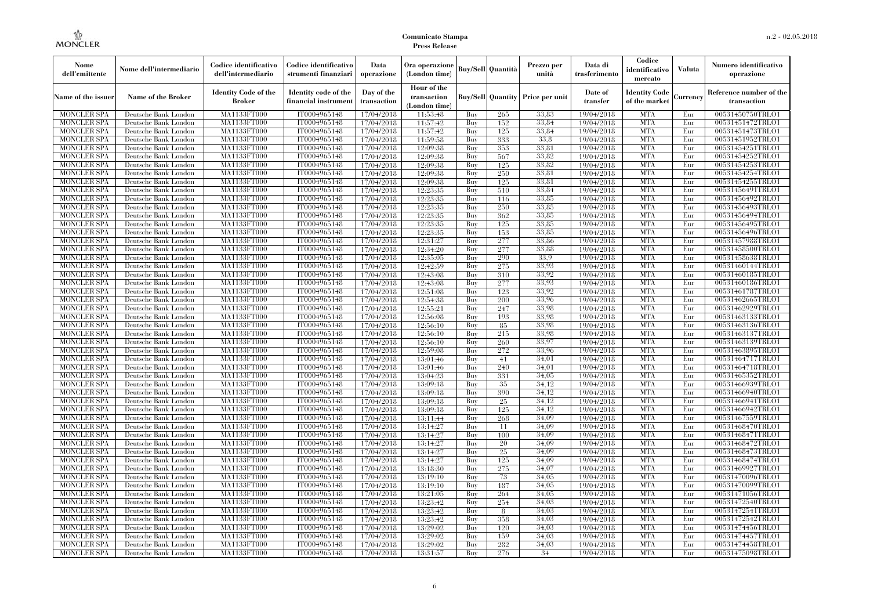| Nome<br>dell'emittente                   | Nome dell'intermediario                      | Codice identificativo<br>dell'intermediario  | Codice identificativo<br>strumenti finanziari | Data<br>operazione        | Ora operazione<br>(London time)             |            | <b>Buy/Sell Quantità</b> | Prezzo per<br>unità                     | Data di<br>trasferimento | Codice<br>identificativo<br>mercato   | Valuta     | Numero identificativo<br>operazione    |
|------------------------------------------|----------------------------------------------|----------------------------------------------|-----------------------------------------------|---------------------------|---------------------------------------------|------------|--------------------------|-----------------------------------------|--------------------------|---------------------------------------|------------|----------------------------------------|
| Name of the issuer                       | Name of the Broker                           | <b>Identity Code of the</b><br><b>Broker</b> | Identity code of the<br>financial instrument  | Day of the<br>transaction | Hour of the<br>transaction<br>(London time) |            |                          | <b>Buy/Sell Quantity Price per unit</b> | Date of<br>transfer      | <b>Identity Code</b><br>of the market | durrency   | Reference number of the<br>transaction |
| <b>MONCLER SPA</b>                       | Deutsche Bank London                         | MA1133FT000                                  | IT0004965148                                  | 17/04/2018                | 11:53:48                                    | Buy        | 265                      | 33,83                                   | 19/04/2018               | <b>MTA</b>                            | Eur        | 00531450750TRLO1                       |
| <b>MONCLER SPA</b>                       | Deutsche Bank London                         | <b>MA1133FT000</b>                           | IT0004965148                                  | 17/04/2018                | 11:57:42                                    | Buy        | 152                      | 33,84                                   | 19/04/2018               | <b>MTA</b>                            | Eur        | 00531451472TRLO1                       |
| <b>MONCLER SPA</b>                       | Deutsche Bank London                         | MA1133FT000                                  | IT0004965148                                  | 17/04/2018                | 11:57:42                                    | Buy        | 125                      | 33.84                                   | 19/04/2018               | <b>MTA</b>                            | Eur        | 00531451473TRLO1                       |
| <b>MONCLER SPA</b>                       | Deutsche Bank London                         | MA1133FT000                                  | IT0004965148                                  | 17/04/2018                | 11:59:58                                    | Buy        | 333                      | 33.8                                    | 19/04/2018               | <b>MTA</b>                            | Eur        | 00531451952TRLO1                       |
| <b>MONCLER SPA</b>                       | Deutsche Bank London                         | MA1133FT000<br><b>MA1133FT000</b>            | IT0004965148<br>IT0004965148                  | 17/04/2018                | 12:09:38<br>12:09:38                        | Buy        | 353<br>567               | 33,81<br>33.82                          | 19/04/2018               | <b>MTA</b><br><b>MTA</b>              | Eur<br>Eur | 00531454251TRLO1                       |
| <b>MONCLER SPA</b><br><b>MONCLER SPA</b> | Deutsche Bank London<br>Deutsche Bank London | MA1133FT000                                  | IT0004965148                                  | 17/04/2018<br>17/04/2018  | 12:09:38                                    | Buy<br>Buy | 125                      | 33.82                                   | 19/04/2018<br>19/04/2018 | <b>MTA</b>                            | Eur        | 00531454252TRLO1<br>00531454253TRLO1   |
| <b>MONCLER SPA</b>                       | Deutsche Bank London                         | MA1133FT000                                  | IT0004965148                                  | 17/04/2018                | 12:09:38                                    | Buv        | 250                      | 33.81                                   | 19/04/2018               | <b>MTA</b>                            | Eur        | 00531454254TRLO1                       |
| <b>MONCLER SPA</b>                       | Deutsche Bank London                         | MA1133FT000                                  | IT0004965148                                  | 17/04/2018                | 12:09:38                                    | Buy        | 125                      | 33,81                                   | 19/04/2018               | <b>MTA</b>                            | Eur        | 00531454255TRLO1                       |
| <b>MONCLER SPA</b>                       | Deutsche Bank London                         | <b>MA1133FT000</b>                           | IT0004965148                                  | 17/04/2018                | 12:23:35                                    | Buy        | 510                      | 33.84                                   | 19/04/2018               | <b>MTA</b>                            | Eur        | 00531456491TRLO1                       |
| <b>MONCLER SPA</b>                       | Deutsche Bank London                         | MA1133FT000                                  | IT0004965148                                  | 17/04/2018                | 12:23:35                                    | Buy        | 116                      | 33,85                                   | 19/04/2018               | <b>MTA</b>                            | Eur        | 00531456492TRLO1                       |
| <b>MONCLER SPA</b>                       | Deutsche Bank London                         | MA1133FT000                                  | IT0004965148                                  | 17/04/2018                | 12:23:35                                    | Buy        | 250                      | 33,85                                   | 19/04/2018               | <b>MTA</b>                            | Eur        | 00531456493TRLO1                       |
| <b>MONCLER SPA</b>                       | Deutsche Bank London                         | MA1133FT000                                  | IT0004965148                                  | 17/04/2018                | 12:23:35                                    | Buy        | 362                      | 33.85                                   | 19/04/2018               | <b>MTA</b>                            | Eur        | 00531456494TRLO1                       |
| <b>MONCLER SPA</b>                       | Deutsche Bank London                         | MA1133FT000                                  | IT0004965148                                  | 17/04/2018                | 12:23:35                                    | Buy        | 125                      | 33,85                                   | 19/04/2018               | <b>MTA</b>                            | Eur        | 00531456495TRLO1                       |
| <b>MONCLER SPA</b>                       | Deutsche Bank London                         | MA1133FT000                                  | IT0004965148                                  | 17/04/2018                | 12:23:35                                    | Buy        | 153                      | 33,85                                   | 19/04/2018               | <b>MTA</b>                            | Eur        | 00531456496TRLO1                       |
| <b>MONCLER SPA</b>                       | Deutsche Bank London                         | MA1133FT000                                  | IT0004965148                                  | 17/04/2018                | 12:31:27                                    | Buy        | 277                      | 33,86                                   | 19/04/2018               | <b>MTA</b>                            | Eur        | 00531457988TRLO1                       |
| <b>MONCLER SPA</b>                       | Deutsche Bank London                         | MA1133FT000                                  | IT0004965148                                  | 17/04/2018                | 12:34:20                                    | Buy        | 277                      | 33.88                                   | 19/04/2018               | <b>MTA</b>                            | Eur        | 00531458500TRLO1                       |
| <b>MONCLER SPA</b>                       | Deutsche Bank London                         | MA1133FT000                                  | IT0004965148                                  | 17/04/2018                | 12:35:05                                    | Buy        | 290                      | 33.9                                    | 19/04/2018               | <b>MTA</b>                            | Eur        | 00531458638TRLO1                       |
| <b>MONCLER SPA</b>                       | Deutsche Bank London                         | MA1133FT000                                  | IT0004965148                                  | 17/04/2018                | 12:42:59                                    | Buy        | 275                      | 33,93                                   | 19/04/2018               | <b>MTA</b>                            | Eur        | 00531460144TRLO1                       |
| <b>MONCLER SPA</b>                       | Deutsche Bank London                         | MA1133FT000                                  | IT0004965148                                  | 17/04/2018                | 12:43:08                                    | Buy        | 310                      | 33.92                                   | 19/04/2018               | <b>MTA</b>                            | Eur        | 00531460185TRLO1                       |
| MONCLER SPA                              | Deutsche Bank London                         | MA1133FT000                                  | IT0004965148                                  | 17/04/2018                | 12:43:08                                    | Buy        | 277                      | 33,93                                   | 19/04/2018               | <b>MTA</b>                            | Eur        | 00531460186TRLO1                       |
| <b>MONCLER SPA</b>                       | Deutsche Bank London                         | MA1133FT000                                  | IT0004965148                                  | 17/04/2018                | 12:51:08                                    | Buy        | 123                      | 33.92                                   | 19/04/2018               | <b>MTA</b>                            | Eur        | 00531461787TRLO1                       |
| <b>MONCLER SPA</b>                       | Deutsche Bank London                         | MA1133FT000                                  | IT0004965148                                  | 17/04/2018                | 12:54:38                                    | Buy        | 200                      | 33.96                                   | 19/04/2018               | <b>MTA</b>                            | Eur        | 00531462665TRLO1                       |
| <b>MONCLER SPA</b>                       | Deutsche Bank London                         | MA1133FT000                                  | IT0004965148                                  | 17/04/2018                | 12:55:21                                    | Buy        | 247                      | 33.98                                   | 19/04/2018               | <b>MTA</b>                            | Eur        | 00531462929TRLO1                       |
| <b>MONCLER SPA</b>                       | Deutsche Bank London                         | MA1133FT000                                  | IT0004965148                                  | 17/04/2018                | 12:56:08                                    | Buy        | 193                      | 33.98                                   | 19/04/2018               | <b>MTA</b>                            | Eur        | 00531463133TRLO1                       |
| <b>MONCLER SPA</b>                       | Deutsche Bank London                         | MA1133FT000                                  | IT0004965148                                  | 17/04/2018                | 12:56:10                                    | Buy        | 85                       | 33.98                                   | 19/04/2018               | <b>MTA</b>                            | Eur        | 00531463136TRLO1                       |
| <b>MONCLER SPA</b>                       | Deutsche Bank London                         | MA1133FT000                                  | IT0004965148                                  | 17/04/2018                | 12:56:10                                    | Buy        | 215                      | 33,98                                   | 19/04/2018               | <b>MTA</b>                            | Eur        | 00531463137TRLO1                       |
| <b>MONCLER SPA</b>                       | Deutsche Bank London                         | MA1133FT000                                  | IT0004965148                                  | 17/04/2018                | 12:56:10                                    | Buy        | 260                      | 33,97                                   | 19/04/2018               | <b>MTA</b>                            | Eur        | 00531463139TRLO1                       |
| <b>MONCLER SPA</b>                       | Deutsche Bank London                         | MA1133FT000                                  | IT0004965148                                  | 17/04/2018                | 12:59:08                                    | Buy        | 272                      | 33.96                                   | 19/04/2018               | <b>MTA</b>                            | Eur        | 00531463895TRLO1                       |
| <b>MONCLER SPA</b>                       | Deutsche Bank London                         | <b>MA1133FT000</b>                           | IT0004965148                                  | 17/04/2018                | 13:01:46                                    | Buy        | 41                       | 34,01                                   | 19/04/2018               | <b>MTA</b>                            | Eur        | 00531464717TRLO1                       |
| <b>MONCLER SPA</b>                       | Deutsche Bank London                         | MA1133FT000                                  | IT0004965148                                  | 17/04/2018                | 13:01:46                                    | Buy        | 240                      | 34,01                                   | 19/04/2018               | <b>MTA</b>                            | Eur        | 00531464718TRLO1                       |
| <b>MONCLER SPA</b>                       | Deutsche Bank London                         | MA1133FT000                                  | IT0004965148                                  | 17/04/2018                | 13:04:23                                    | Buy        | 331                      | 34,05                                   | 19/04/2018               | <b>MTA</b>                            | Eur        | 00531465352TRLO1                       |
| <b>MONCLER SPA</b>                       | Deutsche Bank London                         | MA1133FT000                                  | IT0004965148                                  | 17/04/2018                | 13:09:18                                    | Buy        | 35                       | 34.12                                   | 19/04/2018               | <b>MTA</b>                            | Eur        | 00531466939TRLO1                       |
| <b>MONCLER SPA</b>                       | Deutsche Bank London                         | <b>MA1133FT000</b>                           | IT0004965148                                  | 17/04/2018                | 13:09:18                                    | Buy        | 390                      | 34.12                                   | 19/04/2018               | <b>MTA</b>                            | Eur        | 00531466940TRLO1                       |
| <b>MONCLER SPA</b>                       | Deutsche Bank London                         | MA1133FT000                                  | IT0004965148                                  | 17/04/2018                | 13:09:18                                    | Buy        | 25                       | 34.12                                   | 19/04/2018               | <b>MTA</b>                            | Eur        | 00531466941TRLO1                       |
| <b>MONCLER SPA</b>                       | Deutsche Bank London                         | MA1133FT000                                  | IT0004965148                                  | 17/04/2018                | 13:09:18                                    | Buy        | 125                      | 34.12                                   | 19/04/2018               | <b>MTA</b>                            | Eur        | 00531466942TRLO1                       |
| MONCLER SPA                              | Deutsche Bank London                         | MA1133FT000                                  | IT0004965148                                  | 17/04/2018                | 13:11:44                                    | Buy        | 268                      | 34.09                                   | 19/04/2018               | <b>MTA</b>                            | Eur        | 00531467559TRLO1                       |
| <b>MONCLER SPA</b>                       | Deutsche Bank London                         | <b>MA1133FT000</b>                           | IT0004965148                                  | 17/04/2018                | 13:14:27                                    | Buy        | 11                       | 34.09                                   | 19/04/2018               | <b>MTA</b>                            | Eur        | 00531468470TRLO1                       |
| <b>MONCLER SPA</b>                       | Deutsche Bank London                         | MA1133FT000                                  | IT0004965148                                  | 17/04/2018                | 13:14:27                                    | Buy        | 100                      | 34.09                                   | 19/04/2018               | <b>MTA</b>                            | Eur        | 00531468471TRLO1                       |
| <b>MONCLER SPA</b>                       | Deutsche Bank London                         | <b>MA1133FT000</b><br><b>MA1133FT000</b>     | IT0004965148                                  | 17/04/2018                | 13:14:27                                    | Buy<br>Buy | 20                       | 34.09<br>34,09                          | 19/04/2018               | <b>MTA</b><br><b>MTA</b>              | Eur<br>Eur | 00531468472TRLO1                       |
| <b>MONCLER SPA</b>                       | Deutsche Bank London                         | <b>MA1133FT000</b>                           | IT0004965148<br>IT0004965148                  | 17/04/2018                | 13:14:27<br>13:14:27                        |            | 25<br>125                | 34.09                                   | 19/04/2018               | <b>MTA</b>                            |            | 00531468473TRLO1                       |
| <b>MONCLER SPA</b><br><b>MONCLER SPA</b> | Deutsche Bank London<br>Deutsche Bank London | MA1133FT000                                  | IT0004965148                                  | 17/04/2018<br>17/04/2018  | 13:18:30                                    | Buy<br>Buy | 275                      | 34.07                                   | 19/04/2018<br>19/04/2018 | <b>MTA</b>                            | Eur<br>Eur | 00531468474TRLO1<br>00531469927TRLO1   |
| <b>MONCLER SPA</b>                       | Deutsche Bank London                         | MA1133FT000                                  | IT0004965148                                  | 17/04/2018                | 13:19:10                                    | Buy        | 73                       | 34,05                                   | 19/04/2018               | <b>MTA</b>                            | Eur        | 00531470096TRLO1                       |
| <b>MONCLER SPA</b>                       | Deutsche Bank London                         | MA1133FT000                                  | IT0004965148                                  | 17/04/2018                | 13:19:10                                    | Buy        | 187                      | 34,05                                   | 19/04/2018               | <b>MTA</b>                            | Eur        | 00531470099TRLO1                       |
| <b>MONCLER SPA</b>                       | Deutsche Bank London                         | MA1133FT000                                  | IT0004965148                                  | 17/04/2018                | 13:21:05                                    | Buy        | 264                      | 34,05                                   | 19/04/2018               | <b>MTA</b>                            | Eur        | 00531471056TRLO1                       |
| <b>MONCLER SPA</b>                       | Deutsche Bank London                         | MA1133FT000                                  | IT0004965148                                  | 17/04/2018                | 13:23:42                                    | Buy        | 254                      | 34,03                                   | 19/04/2018               | <b>MTA</b>                            | Eur        | 00531472540TRLO1                       |
| <b>MONCLER SPA</b>                       | Deutsche Bank London                         | MA1133FT000                                  | IT0004965148                                  | 17/04/2018                | 13:23:42                                    | Buy        | 8                        | 34,03                                   | 19/04/2018               | <b>MTA</b>                            | Eur        | 00531472541TRLO1                       |
| <b>MONCLER SPA</b>                       | Deutsche Bank London                         | MA1133FT000                                  | IT0004965148                                  | 17/04/2018                | 13:23:42                                    | Buy        | 358                      | 34,03                                   | 19/04/2018               | <b>MTA</b>                            | Eur        | 00531472542TRLO1                       |
| <b>MONCLER SPA</b>                       | Deutsche Bank London                         | MA1133FT000                                  | IT0004965148                                  | 17/04/2018                | 13:29:02                                    | Buy        | 120                      | 34,03                                   | 19/04/2018               | <b>MTA</b>                            | Eur        | 00531474456TRLO1                       |
| <b>MONCLER SPA</b>                       | Deutsche Bank London                         | MA1133FT000                                  | IT0004965148                                  | 17/04/2018                | 13:29:02                                    | Buy        | 159                      | 34,03                                   | 19/04/2018               | <b>MTA</b>                            | Eur        | 00531474457TRLO1                       |
| <b>MONCLER SPA</b>                       | Deutsche Bank London                         | <b>MA1133FT000</b>                           | IT0004965148                                  | 17/04/2018                | 13:29:02                                    | Buy        | 282                      | 34,03                                   | 19/04/2018               | <b>MTA</b>                            | Eur        | 00531474458TRLO1                       |
| <b>MONCLER SPA</b>                       | Deutsche Bank London                         | MA1133FT000                                  | IT0004965148                                  | 17/04/2018                | 13:31:57                                    | Buy        | 276                      | 34                                      | 19/04/2018               | <b>MTA</b>                            | Eur        | 00531475098TRLO1                       |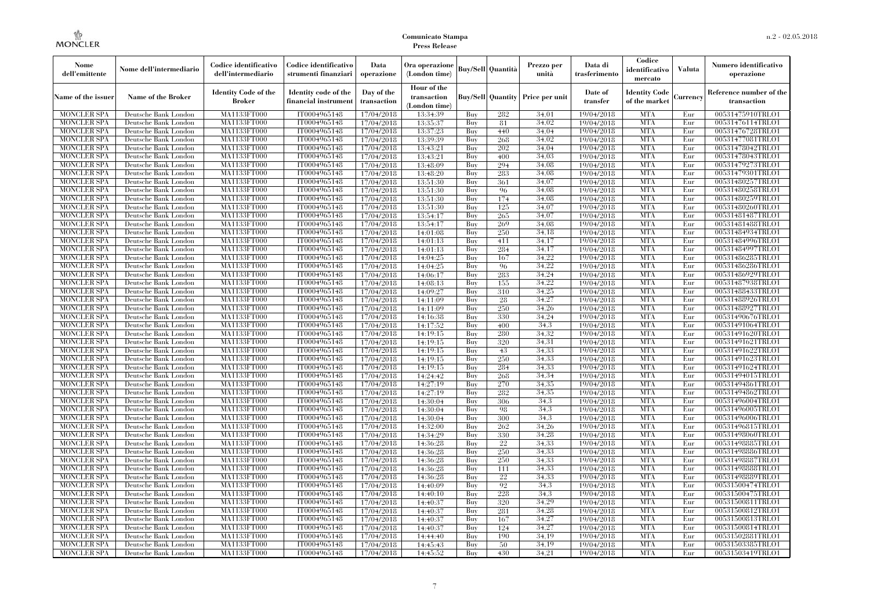| Nome<br>dell'emittente                   | Nome dell'intermediario                      | Codice identificativo<br>dell'intermediario  | Codice identificativo<br>strumenti finanziari | Data<br>operazione        | Ora operazione<br>(London time)             |            | <b>Buy/Sell</b> Quantità | Prezzo per<br>unità                     | Data di<br>trasferimento | Codice<br>identificativo<br>mercato   | <b>Valuta</b> | Numero identificativo<br>operazione    |
|------------------------------------------|----------------------------------------------|----------------------------------------------|-----------------------------------------------|---------------------------|---------------------------------------------|------------|--------------------------|-----------------------------------------|--------------------------|---------------------------------------|---------------|----------------------------------------|
| Name of the issuer                       | Name of the Broker                           | <b>Identity Code of the</b><br><b>Broker</b> | Identity code of the<br>financial instrument  | Day of the<br>transaction | Hour of the<br>transaction<br>(London time) |            |                          | <b>Buy/Sell Quantity Price per unit</b> | Date of<br>transfer      | <b>Identity Code</b><br>of the market | Currency      | Reference number of the<br>transaction |
| <b>MONCLER SPA</b>                       | Deutsche Bank London                         | MA1133FT000                                  | IT0004965148                                  | 17/04/2018                | 13:34:39                                    | Buy        | 282                      | 34,01                                   | 19/04/2018               | <b>MTA</b>                            | Eur           | 00531475910TRLO1                       |
| <b>MONCLER SPA</b>                       | Deutsche Bank London                         | MA1133FT000                                  | IT0004965148                                  | 17/04/2018                | 13:35:37                                    | Buy        | 81                       | 34.02                                   | 19/04/2018               | <b>MTA</b>                            | Eur           | 00531476114TRLO1                       |
| <b>MONCLER SPA</b>                       | Deutsche Bank London                         | MA1133FT000                                  | IT0004965148                                  | 17/04/2018                | 13:37:23                                    | Buy        | 440                      | 34,04                                   | 19/04/2018               | <b>MTA</b>                            | Eur           | 00531476728TRLO1                       |
| <b>MONCLER SPA</b><br><b>MONCLER SPA</b> | Deutsche Bank London<br>Deutsche Bank London | MA1133FT000<br>MA1133FT000                   | IT0004965148<br>IT0004965148                  | 17/04/2018<br>17/04/2018  | 13:39:39<br>13:43:21                        | Buy<br>Buy | 268<br>202               | 34.02<br>34.04                          | 19/04/2018<br>19/04/2018 | <b>MTA</b><br><b>MTA</b>              | Eur<br>Eur    | 00531477081TRLO1<br>00531478042TRLO1   |
| <b>MONCLER SPA</b>                       | Deutsche Bank London                         | MA1133FT000                                  | IT0004965148                                  | 17/04/2018                | 13:43:21                                    | Buy        | 400                      | 34,03                                   | 19/04/2018               | <b>MTA</b>                            | Eur           | 00531478043TRLO1                       |
| <b>MONCLER SPA</b>                       | Deutsche Bank London                         | MA1133FT000                                  | IT0004965148                                  | 17/04/2018                | 13:48:09                                    | Buy        | 294                      | 34,08                                   | 19/04/2018               | <b>MTA</b>                            | Eur           | 00531479273TRLO1                       |
| <b>MONCLER SPA</b>                       | Deutsche Bank London                         | MA1133FT000                                  | IT0004965148                                  | 17/04/2018                | 13:48:20                                    | Buy        | 283                      | 34.08                                   | 19/04/2018               | <b>MTA</b>                            | Eur           | 00531479301TRLO1                       |
| <b>MONCLER SPA</b>                       | Deutsche Bank London                         | MA1133FT000                                  | IT0004965148                                  | 17/04/2018                | 13:51:30                                    | Buv        | 361                      | 34,07                                   | 19/04/2018               | <b>MTA</b>                            | Eur           | 00531480257TRLO1                       |
| <b>MONCLER SPA</b>                       | Deutsche Bank London                         | MA1133FT000                                  | IT0004965148                                  | 17/04/2018                | 13:51:30                                    | Buy        | 96                       | 34,08                                   | 19/04/2018               | <b>MTA</b>                            | Eur           | 00531480258TRLO1                       |
| <b>MONCLER SPA</b>                       | Deutsche Bank London                         | <b>MA1133FT000</b>                           | IT0004965148                                  | 17/04/2018                | 13:51:30                                    | Buy        | 174                      | 34,08                                   | 19/04/2018               | <b>MTA</b>                            | Eur           | 00531480259TRLO1                       |
| <b>MONCLER SPA</b>                       | Deutsche Bank London                         | <b>MA1133FT000</b>                           | IT0004965148                                  | 17/04/2018                | 13:51:30                                    | Buy        | 125                      | 34,07                                   | 19/04/2018               | <b>MTA</b>                            | Eur           | 00531480260TRLO1                       |
| <b>MONCLER SPA</b>                       | Deutsche Bank London                         | <b>MA1133FT000</b>                           | IT0004965148                                  | 17/04/2018                | 13:54:17                                    | Buy        | 265                      | 34,07                                   | 19/04/2018               | <b>MTA</b>                            | Eur           | 00531481487TRLO1                       |
| <b>MONCLER SPA</b>                       | Deutsche Bank London                         | MA1133FT000                                  | IT0004965148                                  | 17/04/2018                | 13:54:17                                    | Buy        | 269                      | 34.08                                   | 19/04/2018               | <b>MTA</b>                            | Eur           | 00531481488TRLO1                       |
| <b>MONCLER SPA</b>                       | Deutsche Bank London                         | <b>MA1133FT000</b>                           | IT0004965148                                  | 17/04/2018                | 14:01:08                                    | Buy        | 250                      | 34,18                                   | 19/04/2018               | <b>MTA</b>                            | Eur           | 00531484934TRLO1                       |
| <b>MONCLER SPA</b>                       | Deutsche Bank London                         | MA1133FT000                                  | IT0004965148                                  | 17/04/2018                | 14:01:13                                    | Buy        | 411                      | 34.17                                   | 19/04/2018               | <b>MTA</b>                            | Eur           | 00531484996TRLO1                       |
| <b>MONCLER SPA</b>                       | Deutsche Bank London                         | MA1133FT000                                  | IT0004965148                                  | 17/04/2018                | 14:01:13                                    | Buy        | 284                      | 34,17                                   | 19/04/2018               | <b>MTA</b>                            | Eur           | 00531484997TRLO1                       |
| <b>MONCLER SPA</b>                       | Deutsche Bank London                         | MA1133FT000                                  | IT0004965148                                  | 17/04/2018                | 14:04:25                                    | Buy        | 167                      | 34,22                                   | 19/04/2018               | <b>MTA</b>                            | Eur           | 00531486285TRLO1                       |
| MONCLER SPA                              | Deutsche Bank London                         | <b>MA1133FT000</b>                           | IT0004965148                                  | 17/04/2018                | 14:04:25                                    | Buy        | 96                       | 34,22                                   | 19/04/2018               | <b>MTA</b>                            | Eur           | 00531486286TRLO1                       |
| <b>MONCLER SPA</b>                       | Deutsche Bank London                         | MA1133FT000                                  | IT0004965148                                  | 17/04/2018                | 14:06:17                                    | Buy        | 283                      | 34,24                                   | 19/04/2018               | <b>MTA</b>                            | Eur           | 00531486929TRLO1                       |
| <b>MONCLER SPA</b>                       | Deutsche Bank London                         | MA1133FT000<br>MA1133FT000                   | IT0004965148<br>IT0004965148                  | 17/04/2018                | 14:08:13                                    | Buv<br>Buy | 155                      | 34.22<br>34,25                          | 19/04/2018               | <b>MTA</b><br><b>MTA</b>              | Eur           | 00531487938TRLO1<br>00531488433TRLO1   |
| <b>MONCLER SPA</b><br><b>MONCLER SPA</b> | Deutsche Bank London<br>Deutsche Bank London | <b>MA1133FT000</b>                           | IT0004965148                                  | 17/04/2018<br>17/04/2018  | 14:09:27<br>14:11:09                        | Buy        | 310<br>28                | 34,27                                   | 19/04/2018<br>19/04/2018 | <b>MTA</b>                            | Eur<br>Eur    | 00531488926TRLO1                       |
| <b>MONCLER SPA</b>                       | Deutsche Bank London                         | MA1133FT000                                  | IT0004965148                                  | 17/04/2018                | 14:11:09                                    | Buy        | 250                      | 34.26                                   | 19/04/2018               | <b>MTA</b>                            | Eur           | 00531488927TRLO1                       |
| <b>MONCLER SPA</b>                       | Deutsche Bank London                         | MA1133FT000                                  | IT0004965148                                  | 17/04/2018                | 14:16:38                                    | Buy        | 330                      | 34,24                                   | 19/04/2018               | <b>MTA</b>                            | Eur           | 00531490676TRLO1                       |
| <b>MONCLER SPA</b>                       | Deutsche Bank London                         | MA1133FT000                                  | IT0004965148                                  | 17/04/2018                | 14:17:52                                    | Buy        | 400                      | 34,3                                    | 19/04/2018               | <b>MTA</b>                            | Eur           | 00531491064TRLO1                       |
| <b>MONCLER SPA</b>                       | Deutsche Bank London                         | <b>MA1133FT000</b>                           | IT0004965148                                  | 17/04/2018                | 14:19:15                                    | Buy        | 280                      | 34,32                                   | 19/04/2018               | <b>MTA</b>                            | Eur           | 00531491620TRLO1                       |
| <b>MONCLER SPA</b>                       | Deutsche Bank London                         | MA1133FT000                                  | IT0004965148                                  | 17/04/2018                | 14:19:15                                    | Buy        | 320                      | 34.31                                   | 19/04/2018               | <b>MTA</b>                            | Eur           | 00531491621TRLO1                       |
| <b>MONCLER SPA</b>                       | Deutsche Bank London                         | MA1133FT000                                  | IT0004965148                                  | 17/04/2018                | 14:19:15                                    | Buy        | 43                       | 34.33                                   | 19/04/2018               | <b>MTA</b>                            | Eur           | 00531491622TRLO1                       |
| <b>MONCLER SPA</b>                       | Deutsche Bank London                         | <b>MA1133FT000</b>                           | IT0004965148                                  | 17/04/2018                | 14:19:15                                    | Buy        | 250                      | 34,33                                   | 19/04/2018               | <b>MTA</b>                            | Eur           | 00531491623TRLO1                       |
| MONCLER SPA                              | Deutsche Bank London                         | <b>MA1133FT000</b>                           | IT0004965148                                  | 17/04/2018                | 14:19:15                                    | Buy        | 284                      | 34.33                                   | 19/04/2018               | <b>MTA</b>                            | Eur           | 00531491624TRLO1                       |
| <b>MONCLER SPA</b>                       | Deutsche Bank London                         | MA1133FT000                                  | IT0004965148                                  | 17/04/2018                | 14:24:42                                    | Buy        | 268                      | 34.34                                   | 19/04/2018               | <b>MTA</b>                            | Eur           | 00531494015TRLO1                       |
| <b>MONCLER SPA</b>                       | Deutsche Bank London                         | MA1133FT000                                  | IT0004965148                                  | 17/04/2018                | 14:27:19                                    | Buy        | 270                      | 34.35                                   | 19/04/2018               | <b>MTA</b>                            | Eur           | 00531494861TRLO1                       |
| <b>MONCLER SPA</b>                       | Deutsche Bank London                         | MA1133FT000                                  | IT0004965148                                  | 17/04/2018                | 14:27:19                                    | Buy        | 282                      | 34,35                                   | 19/04/2018               | <b>MTA</b>                            | Eur           | 00531494862TRLO1                       |
| <b>MONCLER SPA</b>                       | Deutsche Bank London                         | <b>MA1133FT000</b>                           | IT0004965148                                  | 17/04/2018                | 14:30:04                                    | Buy        | 306                      | 34,3                                    | 19/04/2018               | <b>MTA</b>                            | Eur           | 00531496004TRLO1                       |
| <b>MONCLER SPA</b>                       | Deutsche Bank London                         | MA1133FT000                                  | IT0004965148                                  | 17/04/2018                | 14:30:04                                    | Buy        | 98                       | 34.3                                    | 19/04/2018               | <b>MTA</b>                            | Eur           | 00531496005TRLO1                       |
| <b>MONCLER SPA</b>                       | Deutsche Bank London                         | MA1133FT000                                  | IT0004965148                                  | 17/04/2018                | 14:30:04                                    | Buy        | 300                      | 34.3                                    | 19/04/2018               | <b>MTA</b>                            | Eur           | 00531496006TRLO1                       |
| <b>MONCLER SPA</b>                       | Deutsche Bank London                         | <b>MA1133FT000</b>                           | IT0004965148                                  | 17/04/2018                | 14:32:00                                    | Buy        | 262                      | 34,26                                   | 19/04/2018               | <b>MTA</b>                            | Eur           | 00531496815TRLO1                       |
| <b>MONCLER SPA</b>                       | Deutsche Bank London                         | <b>MA1133FT000</b>                           | IT0004965148                                  | 17/04/2018                | 14:34:29                                    | Buy        | 330                      | 34,28                                   | 19/04/2018               | <b>MTA</b>                            | Eur           | 00531498060TRLO1                       |
| <b>MONCLER SPA</b>                       | Deutsche Bank London                         | MA1133FT000                                  | IT0004965148                                  | 17/04/2018                | 14:36:28                                    | Buy        | 22                       | 34.33<br>34.33                          | 19/04/2018               | <b>MTA</b><br><b>MTA</b>              | Eur           | 00531498885TRLO1                       |
| <b>MONCLER SPA</b><br><b>MONCLER SPA</b> | Deutsche Bank London                         | MA1133FT000<br>MA1133FT000                   | IT0004965148<br>IT0004965148                  | 17/04/2018<br>17/04/2018  | 14:36:28<br>14:36:28                        | Buy<br>Buy | 250<br>250               | 34.33                                   | 19/04/2018<br>19/04/2018 | <b>MTA</b>                            | Eur<br>Eur    | 00531498886TRLO1<br>00531498887TRLO1   |
| MONCLER SPA                              | Deutsche Bank London<br>Deutsche Bank London | <b>MA1133FT000</b>                           | IT0004965148                                  | 17/04/2018                | 14:36:28                                    | Buy        | 111                      | 34.33                                   | 19/04/2018               | MTA                                   | Eur           | 00531498888TRLO1                       |
| <b>MONCLER SPA</b>                       | Deutsche Bank London                         | MA1133FT000                                  | IT0004965148                                  | 17/04/2018                | 14:36:28                                    | Buy        | $22\,$                   | 34.33                                   | 19/04/2018               | <b>MTA</b>                            | Eur           | 00531498889TRLO1                       |
| <b>MONCLER SPA</b>                       | Deutsche Bank London                         | MA1133FT000                                  | IT0004965148                                  | 17/04/2018                | 14:40:09                                    | Buy        | 92                       | 34.3                                    | 19/04/2018               | <b>MTA</b>                            | Eur           | 00531500474TRLO1                       |
| <b>MONCLER SPA</b>                       | Deutsche Bank London                         | MA1133FT000                                  | IT0004965148                                  | 17/04/2018                | 14:40:10                                    | Buy        | 228                      | 34.3                                    | 19/04/2018               | <b>MTA</b>                            | Eur           | 00531500475TRLO1                       |
| <b>MONCLER SPA</b>                       | Deutsche Bank London                         | <b>MA1133FT000</b>                           | IT0004965148                                  | 17/04/2018                | 14:40:37                                    | Buy        | 320                      | 34,29                                   | 19/04/2018               | MTA                                   | Eur           | 00531500811TRLO1                       |
| <b>MONCLER SPA</b>                       | Deutsche Bank London                         | MA1133FT000                                  | IT0004965148                                  | 17/04/2018                | 14:40:37                                    | Buy        | 281                      | 34.28                                   | 19/04/2018               | <b>MTA</b>                            | Eur           | 00531500812TRLO1                       |
| <b>MONCLER SPA</b>                       | Deutsche Bank London                         | MA1133FT000                                  | IT0004965148                                  | 17/04/2018                | 14:40:37                                    | Buy        | 167                      | 34,27                                   | 19/04/2018               | <b>MTA</b>                            | Eur           | 00531500813TRLO1                       |
| <b>MONCLER SPA</b>                       | Deutsche Bank London                         | MA1133FT000                                  | IT0004965148                                  | 17/04/2018                | 14:40:37                                    | Buy        | 124                      | 34,27                                   | 19/04/2018               | <b>MTA</b>                            | Eur           | 00531500814TRLO1                       |
| MONCLER SPA                              | Deutsche Bank London                         | <b>MA1133FT000</b>                           | IT0004965148                                  | 17/04/2018                | 14:44:40                                    | Buy        | 190                      | 34,19                                   | 19/04/2018               | <b>MTA</b>                            | Eur           | 00531502881TRLO1                       |
| <b>MONCLER SPA</b>                       | Deutsche Bank London                         | <b>MA1133FT000</b>                           | IT0004965148                                  | 17/04/2018                | 14:45:43                                    | Buy        | 50                       | 34.19                                   | 19/04/2018               | <b>MTA</b>                            | Eur           | 00531503385TRLO1                       |
| <b>MONCLER SPA</b>                       | Deutsche Bank London                         | MA1133FT000                                  | IT0004965148                                  | 17/04/2018                | 14:45:52                                    | Buy        | 430                      | 34.21                                   | 19/04/2018               | <b>MTA</b>                            | Eur           | 00531503419TRLO1                       |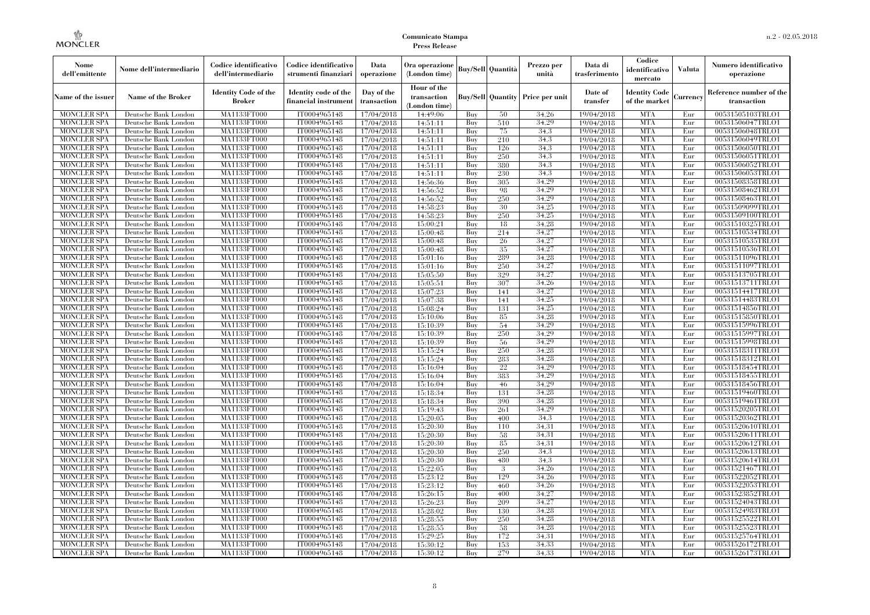| Nome<br>dell'emittente                   | Nome dell'intermediario                      | Codice identificativo<br>dell'intermediario  | Codice identificativo<br>strumenti finanziari | Data<br>operazione        | Ora operazione<br>(London time)             |            | <b>Buy/Sell</b> Quantità | Prezzo per<br>unità                     | Data di<br>trasferimento | Codice<br>identificativo<br>mercato   | <b>Valuta</b> | Numero identificativo<br>operazione    |
|------------------------------------------|----------------------------------------------|----------------------------------------------|-----------------------------------------------|---------------------------|---------------------------------------------|------------|--------------------------|-----------------------------------------|--------------------------|---------------------------------------|---------------|----------------------------------------|
| Name of the issuer                       | Name of the Broker                           | <b>Identity Code of the</b><br><b>Broker</b> | Identity code of the<br>financial instrument  | Day of the<br>transaction | Hour of the<br>transaction<br>(London time) |            |                          | <b>Buy/Sell Quantity Price per unit</b> | Date of<br>transfer      | <b>Identity Code</b><br>of the market | Currency      | Reference number of the<br>transaction |
| <b>MONCLER SPA</b>                       | Deutsche Bank London                         | MA1133FT000                                  | IT0004965148                                  | 17/04/2018                | 14:49:06                                    | Buy        | 50                       | 34,26                                   | 19/04/2018               | <b>MTA</b>                            | Eur           | 00531505103TRLO1                       |
| <b>MONCLER SPA</b>                       | Deutsche Bank London                         | MA1133FT000                                  | IT0004965148                                  | 17/04/2018                | 14:51:11                                    | Buy        | 510                      | 34,29                                   | 19/04/2018               | <b>MTA</b>                            | Eur           | 00531506047TRLO1                       |
| <b>MONCLER SPA</b>                       | Deutsche Bank London                         | MA1133FT000                                  | IT0004965148                                  | 17/04/2018                | 14:51:11                                    | Buy        | 75                       | 34,3                                    | 19/04/2018               | <b>MTA</b>                            | Eur           | 00531506048TRLO1                       |
| <b>MONCLER SPA</b>                       | Deutsche Bank London                         | MA1133FT000<br>MA1133FT000                   | IT0004965148                                  | 17/04/2018                | 14:51:11                                    | Buy<br>Buy | 210                      | 34.3<br>34.3                            | 19/04/2018               | <b>MTA</b><br><b>MTA</b>              | Eur<br>Eur    | 00531506049TRLO1<br>00531506050TRLO1   |
| <b>MONCLER SPA</b><br><b>MONCLER SPA</b> | Deutsche Bank London<br>Deutsche Bank London | MA1133FT000                                  | IT0004965148<br>IT0004965148                  | 17/04/2018<br>17/04/2018  | 14:51:11<br>14:51:11                        | Buy        | 126<br>250               | 34.3                                    | 19/04/2018<br>19/04/2018 | <b>MTA</b>                            | Eur           | 00531506051TRLO1                       |
| <b>MONCLER SPA</b>                       | Deutsche Bank London                         | MA1133FT000                                  | IT0004965148                                  | 17/04/2018                | 14:51:11                                    | Buy        | 380                      | 34,3                                    | 19/04/2018               | <b>MTA</b>                            | Eur           | 00531506052TRLO1                       |
| <b>MONCLER SPA</b>                       | Deutsche Bank London                         | MA1133FT000                                  | IT0004965148                                  | 17/04/2018                | 14:51:11                                    | Buy        | 230                      | 34.3                                    | 19/04/2018               | <b>MTA</b>                            | Eur           | 00531506053TRLO1                       |
| <b>MONCLER SPA</b>                       | Deutsche Bank London                         | MA1133FT000                                  | IT0004965148                                  | 17/04/2018                | 14:56:36                                    | Buv        | 305                      | 34.29                                   | 19/04/2018               | <b>MTA</b>                            | Eur           | 00531508358TRLO1                       |
| <b>MONCLER SPA</b>                       | Deutsche Bank London                         | MA1133FT000                                  | IT0004965148                                  | 17/04/2018                | 14:56:52                                    | Buy        | 98                       | 34,29                                   | 19/04/2018               | <b>MTA</b>                            | Eur           | 00531508462TRLO1                       |
| <b>MONCLER SPA</b>                       | Deutsche Bank London                         | <b>MA1133FT000</b>                           | IT0004965148                                  | 17/04/2018                | 14:56:52                                    | Buy        | 250                      | 34,29                                   | 19/04/2018               | <b>MTA</b>                            | Eur           | 00531508463TRLO1                       |
| <b>MONCLER SPA</b>                       | Deutsche Bank London                         | <b>MA1133FT000</b>                           | IT0004965148                                  | 17/04/2018                | 14:58:23                                    | Buy        | 30                       | 34,25                                   | 19/04/2018               | <b>MTA</b>                            | Eur           | 00531509099TRLO1                       |
| <b>MONCLER SPA</b>                       | Deutsche Bank London                         | <b>MA1133FT000</b>                           | IT0004965148                                  | 17/04/2018                | 14:58:23                                    | Buv        | 250                      | 34.25                                   | 19/04/2018               | <b>MTA</b>                            | Eur           | 00531509100TRLO1                       |
| <b>MONCLER SPA</b>                       | Deutsche Bank London                         | MA1133FT000                                  | IT0004965148                                  | 17/04/2018                | 15:00:21                                    | Buy        | 18                       | 34,28                                   | 19/04/2018               | <b>MTA</b>                            | Eur           | 00531510325TRLO1                       |
| <b>MONCLER SPA</b>                       | Deutsche Bank London                         | <b>MA1133FT000</b>                           | IT0004965148                                  | 17/04/2018                | 15:00:48                                    | Buy        | 214                      | 34,27                                   | 19/04/2018               | <b>MTA</b>                            | Eur           | 00531510534TRLO1                       |
| <b>MONCLER SPA</b>                       | Deutsche Bank London                         | MA1133FT000                                  | IT0004965148                                  | 17/04/2018                | 15:00:48                                    | Buy        | 26                       | 34,27                                   | 19/04/2018               | <b>MTA</b>                            | Eur           | 00531510535TRLO1                       |
| <b>MONCLER SPA</b>                       | Deutsche Bank London                         | MA1133FT000                                  | IT0004965148                                  | 17/04/2018                | 15:00:48                                    | Buy        | 35                       | 34,27                                   | 19/04/2018               | <b>MTA</b>                            | Eur           | 00531510536TRLO1                       |
| <b>MONCLER SPA</b>                       | Deutsche Bank London                         | MA1133FT000                                  | IT0004965148                                  | 17/04/2018                | 15:01:16                                    | Buy        | 289                      | 34,28                                   | 19/04/2018               | <b>MTA</b>                            | Eur           | 00531511096TRLO1                       |
| MONCLER SPA                              | Deutsche Bank London                         | <b>MA1133FT000</b>                           | IT0004965148                                  | 17/04/2018                | 15:01:16                                    | Buy        | 250                      | 34,27                                   | 19/04/2018               | <b>MTA</b>                            | Eur           | 00531511097TRLO1                       |
| <b>MONCLER SPA</b>                       | Deutsche Bank London                         | MA1133FT000                                  | IT0004965148                                  | 17/04/2018                | 15:05:50                                    | Buy        | 329                      | 34,27                                   | 19/04/2018               | <b>MTA</b>                            | Eur           | 00531513705TRLO1                       |
| <b>MONCLER SPA</b>                       | Deutsche Bank London                         | MA1133FT000                                  | IT0004965148                                  | 17/04/2018                | 15:05:51                                    | Buy        | 307                      | 34,26                                   | 19/04/2018               | <b>MTA</b>                            | Eur           | 00531513711TRLO1                       |
| <b>MONCLER SPA</b>                       | Deutsche Bank London                         | MA1133FT000                                  | IT0004965148                                  | 17/04/2018                | 15:07:23                                    | Buy        | 141                      | 34,27                                   | 19/04/2018               | <b>MTA</b>                            | Eur           | 00531514417TRLO1                       |
| <b>MONCLER SPA</b>                       | Deutsche Bank London                         | <b>MA1133FT000</b>                           | IT0004965148                                  | 17/04/2018                | 15:07:38                                    | Buy        | 141                      | 34,25                                   | 19/04/2018               | <b>MTA</b>                            | Eur           | 00531514483TRLO1                       |
| <b>MONCLER SPA</b>                       | Deutsche Bank London                         | MA1133FT000                                  | IT0004965148                                  | 17/04/2018                | 15:08:24                                    | Buy        | 131                      | 34.25                                   | 19/04/2018               | <b>MTA</b>                            | Eur           | 00531514856TRLO1                       |
| <b>MONCLER SPA</b>                       | Deutsche Bank London                         | MA1133FT000                                  | IT0004965148                                  | 17/04/2018                | 15:10:06                                    | Buy        | 85                       | 34,28                                   | 19/04/2018               | <b>MTA</b>                            | Eur           | 00531515850TRLO1                       |
| <b>MONCLER SPA</b>                       | Deutsche Bank London                         | MA1133FT000                                  | IT0004965148                                  | 17/04/2018                | 15:10:39                                    | Buy        | 54                       | 34.29                                   | 19/04/2018               | <b>MTA</b>                            | Eur           | 00531515996TRLO1                       |
| <b>MONCLER SPA</b>                       | Deutsche Bank London                         | <b>MA1133FT000</b>                           | IT0004965148                                  | 17/04/2018                | 15:10:39                                    | Buy        | 250                      | 34,29                                   | 19/04/2018               | <b>MTA</b>                            | Eur           | 00531515997TRLO1                       |
| <b>MONCLER SPA</b>                       | Deutsche Bank London                         | MA1133FT000                                  | IT0004965148                                  | 17/04/2018                | 15:10:39                                    | Buy        | 56                       | 34,29                                   | 19/04/2018               | <b>MTA</b>                            | Eur           | 00531515998TRLO1                       |
| <b>MONCLER SPA</b>                       | Deutsche Bank London                         | MA1133FT000                                  | IT0004965148                                  | 17/04/2018                | 15:15:24                                    | Buy        | 250                      | 34,28                                   | 19/04/2018               | <b>MTA</b>                            | Eur           | 00531518311TRLO1                       |
| <b>MONCLER SPA</b>                       | Deutsche Bank London                         | <b>MA1133FT000</b>                           | IT0004965148                                  | 17/04/2018                | 15:15:24                                    | Buy        | 283                      | 34,28                                   | 19/04/2018               | <b>MTA</b>                            | Eur           | 00531518312TRLO1                       |
| MONCLER SPA                              | Deutsche Bank London                         | <b>MA1133FT000</b>                           | IT0004965148                                  | 17/04/2018                | 15:16:04                                    | Buy        | 22                       | 34,29                                   | 19/04/2018               | <b>MTA</b>                            | Eur           | 00531518454TRLO1                       |
| <b>MONCLER SPA</b>                       | Deutsche Bank London                         | MA1133FT000                                  | IT0004965148                                  | 17/04/2018                | 15:16:04                                    | Buy        | 383                      | 34.29                                   | 19/04/2018               | <b>MTA</b>                            | Eur           | 00531518455TRLO1                       |
| <b>MONCLER SPA</b>                       | Deutsche Bank London                         | MA1133FT000                                  | IT0004965148                                  | 17/04/2018                | 15:16:04                                    | Buy        | 46                       | 34.29                                   | 19/04/2018               | <b>MTA</b>                            | Eur           | 00531518456TRLO1                       |
| <b>MONCLER SPA</b>                       | Deutsche Bank London                         | MA1133FT000                                  | IT0004965148                                  | 17/04/2018                | 15:18:34                                    | Buy        | 131                      | 34,28                                   | 19/04/2018               | <b>MTA</b>                            | Eur           | 00531519460TRLO1                       |
| <b>MONCLER SPA</b>                       | Deutsche Bank London                         | <b>MA1133FT000</b>                           | IT0004965148                                  | 17/04/2018                | 15:18:34                                    | Buy        | 390                      | 34,28                                   | 19/04/2018               | <b>MTA</b>                            | Eur           | 00531519461TRLO1                       |
| <b>MONCLER SPA</b>                       | Deutsche Bank London                         | MA1133FT000                                  | IT0004965148                                  | 17/04/2018                | 15:19:43                                    | Buy        | 261                      | 34,29                                   | 19/04/2018               | <b>MTA</b><br><b>MTA</b>              | Eur           | 00531520205TRLO1                       |
| <b>MONCLER SPA</b><br><b>MONCLER SPA</b> | Deutsche Bank London<br>Deutsche Bank London | MA1133FT000<br><b>MA1133FT000</b>            | IT0004965148<br>IT0004965148                  | 17/04/2018<br>17/04/2018  | 15:20:05<br>15:20:30                        | Buy<br>Buy | 400<br>110               | 34.3<br>34,31                           | 19/04/2018<br>19/04/2018 | <b>MTA</b>                            | Eur<br>Eur    | 00531520362TRLO1<br>00531520610TRLO1   |
| <b>MONCLER SPA</b>                       | Deutsche Bank London                         | <b>MA1133FT000</b>                           | IT0004965148                                  | 17/04/2018                | 15:20:30                                    | Buy        | 58                       | 34,31                                   | 19/04/2018               | <b>MTA</b>                            | Eur           | 00531520611TRLO1                       |
| <b>MONCLER SPA</b>                       | Deutsche Bank London                         | MA1133FT000                                  | IT0004965148                                  | 17/04/2018                | 15:20:30                                    | Buy        | 85                       | 34.31                                   | 19/04/2018               | <b>MTA</b>                            | Eur           | 00531520612TRLO1                       |
| <b>MONCLER SPA</b>                       | Deutsche Bank London                         | MA1133FT000                                  | IT0004965148                                  | 17/04/2018                | 15:20:30                                    | Buy        | 250                      | 34.3                                    | 19/04/2018               | <b>MTA</b>                            | Eur           | 00531520613TRLO1                       |
| <b>MONCLER SPA</b>                       | Deutsche Bank London                         | MA1133FT000                                  | IT0004965148                                  | 17/04/2018                | 15:20:30                                    | Buy        | 480                      | 34.3                                    | 19/04/2018               | <b>MTA</b>                            | Eur           | 00531520614TRLO1                       |
| MONCLER SPA                              | Deutsche Bank London                         | <b>MA1133FT000</b>                           | IT0004965148                                  | 17/04/2018                | 15:22:05                                    | Buy        | 3                        | 34,26                                   | 19/04/2018               | MTA                                   | Eur           | 00531521467TRLO1                       |
| <b>MONCLER SPA</b>                       | Deutsche Bank London                         | MA1133FT000                                  | IT0004965148                                  | 17/04/2018                | 15:23:12                                    | Buy        | 129                      | 34,26                                   | 19/04/2018               | <b>MTA</b>                            | Eur           | 00531522052TRLO1                       |
| <b>MONCLER SPA</b>                       | Deutsche Bank London                         | MA1133FT000                                  | IT0004965148                                  | 17/04/2018                | 15:23:12                                    | Buy        | 460                      | 34,26                                   | 19/04/2018               | <b>MTA</b>                            | Eur           | 00531522053TRLO1                       |
| <b>MONCLER SPA</b>                       | Deutsche Bank London                         | MA1133FT000                                  | IT0004965148                                  | 17/04/2018                | 15:26:15                                    | Buy        | 400                      | 34,27                                   | 19/04/2018               | <b>MTA</b>                            | Eur           | 00531523852TRLO1                       |
| <b>MONCLER SPA</b>                       | Deutsche Bank London                         | <b>MA1133FT000</b>                           | IT0004965148                                  | 17/04/2018                | 15:26:23                                    | Buy        | 209                      | 34,27                                   | 19/04/2018               | MTA                                   | Eur           | 00531524043TRLO1                       |
| <b>MONCLER SPA</b>                       | Deutsche Bank London                         | MA1133FT000                                  | IT0004965148                                  | 17/04/2018                | 15:28:02                                    | Buy        | 130                      | 34.28                                   | 19/04/2018               | <b>MTA</b>                            | Eur           | 00531524983TRLO1                       |
| <b>MONCLER SPA</b>                       | Deutsche Bank London                         | MA1133FT000                                  | IT0004965148                                  | 17/04/2018                | 15:28:55                                    | Buy        | 250                      | 34.28                                   | 19/04/2018               | <b>MTA</b>                            | Eur           | 00531525522TRLO1                       |
| <b>MONCLER SPA</b>                       | Deutsche Bank London                         | MA1133FT000                                  | IT0004965148                                  | 17/04/2018                | 15:28:55                                    | Buy        | 58                       | 34,28                                   | 19/04/2018               | <b>MTA</b>                            | Eur           | 00531525523TRLO1                       |
| MONCLER SPA                              | Deutsche Bank London                         | <b>MA1133FT000</b>                           | IT0004965148                                  | 17/04/2018                | 15:29:25                                    | Buy        | 172                      | 34.31                                   | 19/04/2018               | <b>MTA</b>                            | Eur           | 00531525764TRLO1                       |
| <b>MONCLER SPA</b>                       | Deutsche Bank London                         | <b>MA1133FT000</b>                           | IT0004965148                                  | 17/04/2018                | 15:30:12                                    | Buy        | 153                      | 34,33                                   | 19/04/2018               | <b>MTA</b>                            | Eur           | 00531526172TRLO1                       |
| <b>MONCLER SPA</b>                       | Deutsche Bank London                         | MA1133FT000                                  | IT0004965148                                  | 17/04/2018                | 15:30:12                                    | Buy        | 279                      | 34.33                                   | 19/04/2018               | <b>MTA</b>                            | Eur           | 00531526173TRLO1                       |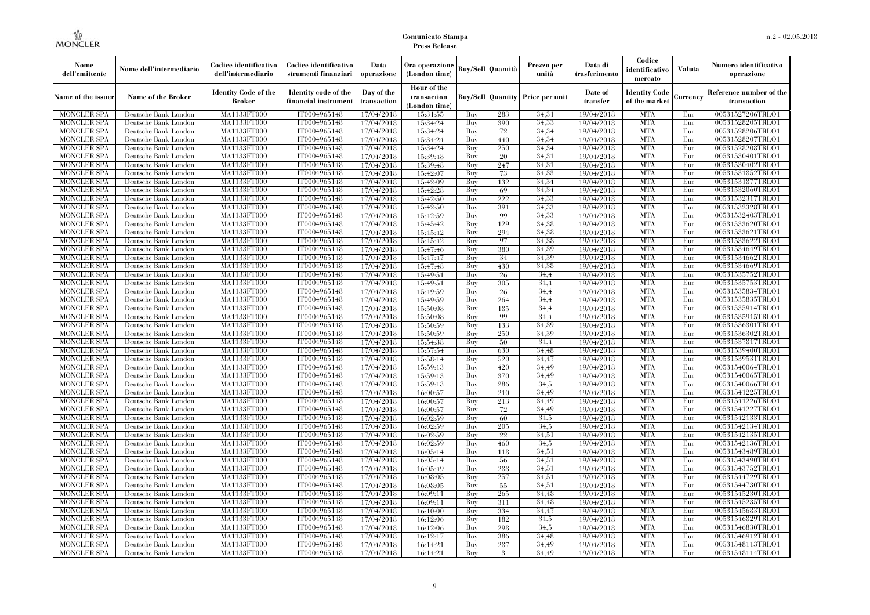| Nome<br>dell'emittente                   | Nome dell'intermediario                      | Codice identificativo<br>dell'intermediario  | Codice identificativo<br>strumenti finanziari | Data<br>operazione        | Ora operazione<br>(London time)             |            | <b>Buy/Sell Quantità</b> | Prezzo per<br>unità                     | Data di<br>trasferimento | Codice<br>identificativo<br>mercato   | <b>Valuta</b> | Numero identificativo<br>operazione    |
|------------------------------------------|----------------------------------------------|----------------------------------------------|-----------------------------------------------|---------------------------|---------------------------------------------|------------|--------------------------|-----------------------------------------|--------------------------|---------------------------------------|---------------|----------------------------------------|
| Name of the issuer                       | Name of the Broker                           | <b>Identity Code of the</b><br><b>Broker</b> | Identity code of the<br>financial instrument  | Day of the<br>transaction | Hour of the<br>transaction<br>(London time) |            |                          | <b>Buy/Sell Quantity Price per unit</b> | Date of<br>transfer      | <b>Identity Code</b><br>of the market | Currency      | Reference number of the<br>transaction |
| <b>MONCLER SPA</b>                       | Deutsche Bank London                         | MA1133FT000                                  | IT0004965148                                  | 17/04/2018                | 15:31:55                                    | Buy        | 283                      | 34,31                                   | 19/04/2018               | <b>MTA</b>                            | Eur           | 00531527206TRLO1                       |
| <b>MONCLER SPA</b>                       | Deutsche Bank London                         | MA1133FT000                                  | IT0004965148                                  | 17/04/2018                | 15:34:24                                    | Buy        | 390                      | 34,33                                   | 19/04/2018               | <b>MTA</b>                            | Eur           | 00531528205TRLO1                       |
| <b>MONCLER SPA</b>                       | Deutsche Bank London                         | MA1133FT000                                  | IT0004965148                                  | 17/04/2018                | 15:34:24                                    | Buy        | $72\,$                   | 34,34                                   | 19/04/2018               | <b>MTA</b>                            | Eur           | 00531528206TRLO1                       |
| <b>MONCLER SPA</b>                       | Deutsche Bank London                         | MA1133FT000<br>MA1133FT000                   | IT0004965148                                  | 17/04/2018                | 15:34:24                                    | Buv<br>Buy | 440                      | 34.34<br>34.34                          | 19/04/2018               | <b>MTA</b><br><b>MTA</b>              | Eur<br>Eur    | 00531528207TRLO1                       |
| <b>MONCLER SPA</b><br><b>MONCLER SPA</b> | Deutsche Bank London<br>Deutsche Bank London | MA1133FT000                                  | IT0004965148<br>IT0004965148                  | 17/04/2018<br>17/04/2018  | 15:34:24<br>15:39:48                        | Buy        | 250<br>20                | 34.31                                   | 19/04/2018<br>19/04/2018 | <b>MTA</b>                            | Eur           | 00531528208TRLO1<br>00531530401TRLO1   |
| <b>MONCLER SPA</b>                       | Deutsche Bank London                         | MA1133FT000                                  | IT0004965148                                  | 17/04/2018                | 15:39:48                                    | Buy        | 247                      | 34,31                                   | 19/04/2018               | <b>MTA</b>                            | Eur           | 00531530402TRLO1                       |
| <b>MONCLER SPA</b>                       | Deutsche Bank London                         | MA1133FT000                                  | IT0004965148                                  | 17/04/2018                | 15:42:07                                    | Buy        | 73                       | 34.33                                   | 19/04/2018               | <b>MTA</b>                            | Eur           | 00531531852TRLO1                       |
| <b>MONCLER SPA</b>                       | Deutsche Bank London                         | MA1133FT000                                  | IT0004965148                                  | 17/04/2018                | 15:42:09                                    | Buv        | 132                      | 34.34                                   | 19/04/2018               | <b>MTA</b>                            | Eur           | 00531531877TRLO1                       |
| <b>MONCLER SPA</b>                       | Deutsche Bank London                         | MA1133FT000                                  | IT0004965148                                  | 17/04/2018                | 15:42:28                                    | Buy        | 69                       | 34,34                                   | 19/04/2018               | <b>MTA</b>                            | Eur           | 00531532060TRLO1                       |
| <b>MONCLER SPA</b>                       | Deutsche Bank London                         | <b>MA1133FT000</b>                           | IT0004965148                                  | 17/04/2018                | 15:42:50                                    | Buy        | 222                      | 34,33                                   | 19/04/2018               | <b>MTA</b>                            | Eur           | 00531532317TRLO1                       |
| <b>MONCLER SPA</b>                       | Deutsche Bank London                         | <b>MA1133FT000</b>                           | IT0004965148                                  | 17/04/2018                | 15:42:50                                    | Buy        | 391                      | 34.33                                   | 19/04/2018               | <b>MTA</b>                            | Eur           | 00531532328TRLO1                       |
| <b>MONCLER SPA</b>                       | Deutsche Bank London                         | <b>MA1133FT000</b>                           | IT0004965148                                  | 17/04/2018                | 15:42:59                                    | Buv        | 99                       | 34.33                                   | 19/04/2018               | <b>MTA</b>                            | Eur           | 00531532403TRLO1                       |
| <b>MONCLER SPA</b>                       | Deutsche Bank London                         | MA1133FT000                                  | IT0004965148                                  | 17/04/2018                | 15:45:42                                    | Buy        | 129                      | 34.38                                   | 19/04/2018               | <b>MTA</b>                            | Eur           | 00531533620TRLO1                       |
| <b>MONCLER SPA</b>                       | Deutsche Bank London                         | <b>MA1133FT000</b>                           | IT0004965148                                  | 17/04/2018                | 15:45:42                                    | Buy        | 294                      | 34,38                                   | 19/04/2018               | <b>MTA</b>                            | Eur           | 00531533621TRLO1                       |
| <b>MONCLER SPA</b>                       | Deutsche Bank London                         | MA1133FT000                                  | IT0004965148                                  | 17/04/2018                | 15:45:42                                    | Buy        | 97                       | 34.38                                   | 19/04/2018               | <b>MTA</b>                            | Eur           | 00531533622TRLO1                       |
| <b>MONCLER SPA</b>                       | Deutsche Bank London                         | MA1133FT000                                  | IT0004965148                                  | 17/04/2018                | 15:47:46                                    | Buy        | 380                      | 34.39                                   | 19/04/2018               | <b>MTA</b>                            | Eur           | 00531534649TRLO1                       |
| <b>MONCLER SPA</b>                       | Deutsche Bank London                         | MA1133FT000                                  | IT0004965148                                  | 17/04/2018                | 15:47:47                                    | Buy        | 34                       | 34.39                                   | 19/04/2018               | <b>MTA</b>                            | Eur           | 00531534662TRLO1                       |
| MONCLER SPA                              | Deutsche Bank London                         | <b>MA1133FT000</b>                           | IT0004965148                                  | 17/04/2018                | 15:47:48                                    | Buy        | 430                      | 34,38                                   | 19/04/2018               | <b>MTA</b>                            | Eur           | 00531534669TRLO1                       |
| <b>MONCLER SPA</b>                       | Deutsche Bank London                         | MA1133FT000                                  | IT0004965148                                  | 17/04/2018                | 15:49:51                                    | Buy        | 26                       | 34.4                                    | 19/04/2018               | <b>MTA</b>                            | Eur           | 00531535752TRLO1                       |
| <b>MONCLER SPA</b>                       | Deutsche Bank London                         | MA1133FT000                                  | IT0004965148                                  | 17/04/2018                | 15:49:51                                    | Buv        | 305                      | 34,4                                    | 19/04/2018               | <b>MTA</b>                            | Eur           | 00531535753TRLO1                       |
| <b>MONCLER SPA</b>                       | Deutsche Bank London                         | MA1133FT000                                  | IT0004965148                                  | 17/04/2018                | 15:49:59                                    | Buy        | 26                       | 34,4                                    | 19/04/2018               | <b>MTA</b>                            | Eur           | 00531535834TRLO1                       |
| <b>MONCLER SPA</b>                       | Deutsche Bank London                         | <b>MA1133FT000</b>                           | IT0004965148                                  | 17/04/2018                | 15:49:59                                    | Buy        | 264                      | 34,4                                    | 19/04/2018               | <b>MTA</b><br><b>MTA</b>              | Eur           | 00531535835TRLO1                       |
| <b>MONCLER SPA</b><br><b>MONCLER SPA</b> | Deutsche Bank London<br>Deutsche Bank London | MA1133FT000<br>MA1133FT000                   | IT0004965148<br>IT0004965148                  | 17/04/2018<br>17/04/2018  | 15:50:08<br>15:50:08                        | Buy<br>Buy | 185<br>99                | 34.4<br>34.4                            | 19/04/2018<br>19/04/2018 | <b>MTA</b>                            | Eur<br>Eur    | 00531535914TRLO1<br>00531535915TRLO1   |
| <b>MONCLER SPA</b>                       | Deutsche Bank London                         | MA1133FT000                                  | IT0004965148                                  | 17/04/2018                | 15:50:59                                    | Buy        | 133                      | 34.39                                   | 19/04/2018               | <b>MTA</b>                            | Eur           | 00531536301TRLO1                       |
| <b>MONCLER SPA</b>                       | Deutsche Bank London                         | <b>MA1133FT000</b>                           | IT0004965148                                  | 17/04/2018                | 15:50:59                                    | Buy        | 250                      | 34.39                                   | 19/04/2018               | <b>MTA</b>                            | Eur           | 00531536302TRLO1                       |
| <b>MONCLER SPA</b>                       | Deutsche Bank London                         | MA1133FT000                                  | IT0004965148                                  | 17/04/2018                | 15:54:38                                    | Buy        | 50                       | 34.4                                    | 19/04/2018               | <b>MTA</b>                            | Eur           | 00531537817TRLO1                       |
| <b>MONCLER SPA</b>                       | Deutsche Bank London                         | MA1133FT000                                  | IT0004965148                                  | 17/04/2018                | 15:57:54                                    | Buy        | 630                      | 34.48                                   | 19/04/2018               | <b>MTA</b>                            | Eur           | 00531539400TRLO1                       |
| <b>MONCLER SPA</b>                       | Deutsche Bank London                         | <b>MA1133FT000</b>                           | IT0004965148                                  | 17/04/2018                | 15:58:14                                    | Buy        | 520                      | 34,47                                   | 19/04/2018               | <b>MTA</b>                            | Eur           | 00531539531TRLO1                       |
| MONCLER SPA                              | Deutsche Bank London                         | <b>MA1133FT000</b>                           | IT0004965148                                  | 17/04/2018                | 15:59:13                                    | Buy        | 420                      | 34.49                                   | 19/04/2018               | <b>MTA</b>                            | Eur           | 00531540064TRLO1                       |
| <b>MONCLER SPA</b>                       | Deutsche Bank London                         | MA1133FT000                                  | IT0004965148                                  | 17/04/2018                | 15:59:13                                    | Buy        | 370                      | 34.49                                   | 19/04/2018               | <b>MTA</b>                            | Eur           | 00531540065TRLO1                       |
| <b>MONCLER SPA</b>                       | Deutsche Bank London                         | MA1133FT000                                  | IT0004965148                                  | 17/04/2018                | 15:59:13                                    | Buy        | 286                      | 34.5                                    | 19/04/2018               | <b>MTA</b>                            | Eur           | 00531540066TRLO1                       |
| <b>MONCLER SPA</b>                       | Deutsche Bank London                         | MA1133FT000                                  | IT0004965148                                  | 17/04/2018                | 16:00:57                                    | Buy        | 210                      | 34,49                                   | 19/04/2018               | <b>MTA</b>                            | Eur           | 00531541225TRLO1                       |
| <b>MONCLER SPA</b>                       | Deutsche Bank London                         | <b>MA1133FT000</b>                           | IT0004965148                                  | 17/04/2018                | 16:00:57                                    | Buy        | 213                      | 34,49                                   | 19/04/2018               | <b>MTA</b>                            | Eur           | 00531541226TRLO1                       |
| <b>MONCLER SPA</b>                       | Deutsche Bank London                         | MA1133FT000                                  | IT0004965148                                  | 17/04/2018                | 16:00:57                                    | Buy        | 72                       | 34.49                                   | 19/04/2018               | <b>MTA</b>                            | Eur           | 00531541227TRLO1                       |
| <b>MONCLER SPA</b>                       | Deutsche Bank London                         | MA1133FT000                                  | IT0004965148                                  | 17/04/2018                | 16:02:59                                    | Buy        | 60                       | 34.5                                    | 19/04/2018               | <b>MTA</b>                            | Eur           | 00531542133TRLO1                       |
| <b>MONCLER SPA</b>                       | Deutsche Bank London                         | <b>MA1133FT000</b>                           | IT0004965148                                  | 17/04/2018                | 16:02:59                                    | Buy        | 205                      | 34,5                                    | 19/04/2018               | <b>MTA</b>                            | Eur           | 00531542134TRLO1                       |
| <b>MONCLER SPA</b>                       | Deutsche Bank London                         | <b>MA1133FT000</b>                           | IT0004965148                                  | 17/04/2018                | 16:02:59                                    | Buy        | 22                       | 34,51                                   | 19/04/2018               | <b>MTA</b>                            | Eur           | 00531542135TRLO1                       |
| <b>MONCLER SPA</b>                       | Deutsche Bank London                         | MA1133FT000                                  | IT0004965148                                  | 17/04/2018                | 16:02:59                                    | Buy        | 460                      | 34.5                                    | 19/04/2018               | <b>MTA</b>                            | Eur           | 00531542136TRLO1                       |
| <b>MONCLER SPA</b>                       | Deutsche Bank London                         | MA1133FT000                                  | IT0004965148                                  | 17/04/2018                | 16:05:14                                    | Buy        | 118                      | 34.51                                   | 19/04/2018               | <b>MTA</b>                            | Eur           | 00531543489TRLO1                       |
| <b>MONCLER SPA</b>                       | Deutsche Bank London                         | MA1133FT000                                  | IT0004965148                                  | 17/04/2018                | 16:05:14                                    | Buy        | 56                       | 34,51                                   | 19/04/2018               | <b>MTA</b>                            | Eur           | 00531543490TRLO1                       |
| MONCLER SPA                              | Deutsche Bank London                         | <b>MA1133FT000</b><br>MA1133FT000            | IT0004965148                                  | 17/04/2018                | 16:05:49                                    | Buy        | 288                      | 34,51<br>34,51                          | 19/04/2018               | MTA<br><b>MTA</b>                     | Eur           | 00531543752TRLO1<br>00531544729TRLO1   |
| <b>MONCLER SPA</b><br><b>MONCLER SPA</b> | Deutsche Bank London<br>Deutsche Bank London | MA1133FT000                                  | IT0004965148<br>IT0004965148                  | 17/04/2018<br>17/04/2018  | 16:08:05<br>16:08:05                        | Buy<br>Buy | 257<br>55                | 34.51                                   | 19/04/2018<br>19/04/2018 | <b>MTA</b>                            | Eur<br>Eur    | 00531544730TRLO1                       |
| <b>MONCLER SPA</b>                       | Deutsche Bank London                         | MA1133FT000                                  | IT0004965148                                  | 17/04/2018                | 16:09:11                                    | Buy        | 265                      | 34.48                                   | 19/04/2018               | <b>MTA</b>                            | Eur           | 00531545230TRLO1                       |
| <b>MONCLER SPA</b>                       | Deutsche Bank London                         | <b>MA1133FT000</b>                           | IT0004965148                                  | 17/04/2018                | 16:09:11                                    | Buy        | 311                      | 34,48                                   | 19/04/2018               | MTA                                   | Eur           | 00531545235TRLO1                       |
| <b>MONCLER SPA</b>                       | Deutsche Bank London                         | MA1133FT000                                  | IT0004965148                                  | 17/04/2018                | 16:10:00                                    | Buy        | 334                      | 34,47                                   | 19/04/2018               | <b>MTA</b>                            | Eur           | 00531545683TRLO1                       |
| <b>MONCLER SPA</b>                       | Deutsche Bank London                         | MA1133FT000                                  | IT0004965148                                  | 17/04/2018                | 16:12:06                                    | Buy        | 182                      | 34.5                                    | 19/04/2018               | <b>MTA</b>                            | Eur           | 00531546829TRLO1                       |
| <b>MONCLER SPA</b>                       | Deutsche Bank London                         | MA1133FT000                                  | IT0004965148                                  | 17/04/2018                | 16:12:06                                    | Buy        | 298                      | 34.5                                    | 19/04/2018               | <b>MTA</b>                            | Eur           | 00531546830TRLO1                       |
| MONCLER SPA                              | Deutsche Bank London                         | <b>MA1133FT000</b>                           | IT0004965148                                  | 17/04/2018                | 16:12:17                                    | Buy        | 386                      | 34.48                                   | 19/04/2018               | <b>MTA</b>                            | Eur           | 00531546912TRLO1                       |
| <b>MONCLER SPA</b>                       | Deutsche Bank London                         | <b>MA1133FT000</b>                           | IT0004965148                                  | 17/04/2018                | 16:14:21                                    | Buy        | 287                      | 34.49                                   | 19/04/2018               | <b>MTA</b>                            | Eur           | 00531548113TRLO1                       |
| <b>MONCLER SPA</b>                       | Deutsche Bank London                         | MA1133FT000                                  | IT0004965148                                  | 17/04/2018                | 16:14:21                                    | Buy        | 3                        | 34.49                                   | 19/04/2018               | <b>MTA</b>                            | Eur           | 00531548114TRLO1                       |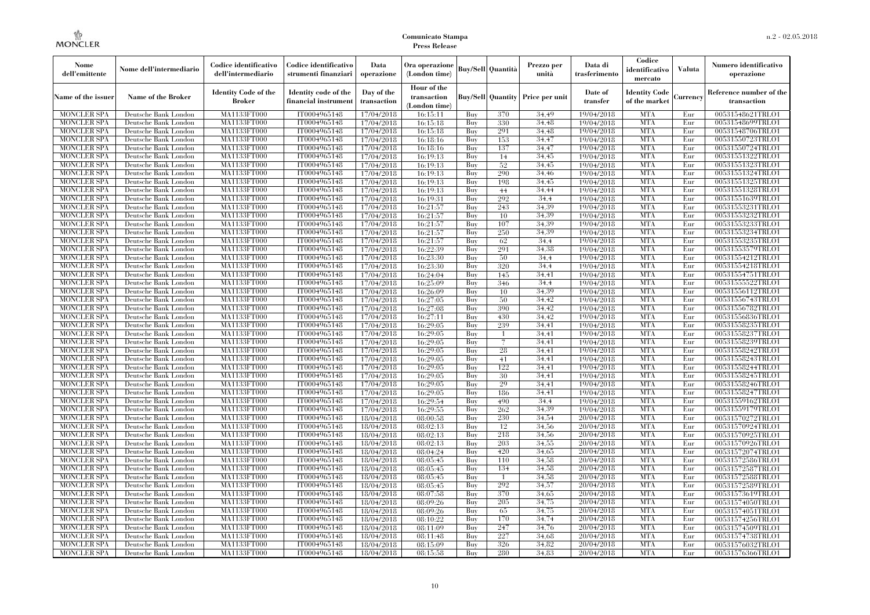| Nome<br>dell'emittente                   | Nome dell'intermediario                      | Codice identificativo<br>dell'intermediario  | Codice identificativo<br>strumenti finanziari | Data<br>operazione        | Ora operazione<br>(London time)             |            | <b>Buy/Sell</b> Quantità | Prezzo per<br>unità                     | Data di<br>trasferimento | Codice<br>identificativo<br>mercato   | <b>Valuta</b> | Numero identificativo<br>operazione    |
|------------------------------------------|----------------------------------------------|----------------------------------------------|-----------------------------------------------|---------------------------|---------------------------------------------|------------|--------------------------|-----------------------------------------|--------------------------|---------------------------------------|---------------|----------------------------------------|
| Name of the issuer                       | <b>Name of the Broker</b>                    | <b>Identity Code of the</b><br><b>Broker</b> | Identity code of the<br>financial instrumen   | Day of the<br>transaction | Hour of the<br>transaction<br>(London time) |            |                          | <b>Buy/Sell Quantity Price per unit</b> | Date of<br>transfer      | <b>Identity Code</b><br>of the market | Currency      | Reference number of the<br>transaction |
| <b>MONCLER SPA</b>                       | Deutsche Bank London                         | MA1133FT000                                  | IT0004965148                                  | 17/04/2018                | 16:15:11                                    | Buy        | 370                      | 34.49                                   | 19/04/2018               | <b>MTA</b>                            | Eur           | 00531548621TRLO1                       |
| <b>MONCLER SPA</b>                       | Deutsche Bank London                         | MA1133FT000                                  | IT0004965148                                  | 17/04/2018                | 16:15:18                                    | Buy        | 330                      | 34,48                                   | 19/04/2018               | <b>MTA</b>                            | Eur           | 00531548699TRLO1                       |
| <b>MONCLER SPA</b>                       | Deutsche Bank London                         | <b>MA1133FT000</b>                           | IT0004965148                                  | 17/04/2018                | 16:15:18                                    | Buy        | 291                      | 34,48                                   | 19/04/2018               | <b>MTA</b>                            | Eur           | 00531548706TRLO1                       |
| <b>MONCLER SPA</b>                       | Deutsche Bank London                         | MA1133FT000                                  | IT0004965148                                  | 17/04/2018                | 16:18:16                                    | Buy        | 153                      | 34,47                                   | 19/04/2018               | <b>MTA</b>                            | Eur           | 00531550723TRLO1                       |
| <b>MONCLER SPA</b>                       | Deutsche Bank London                         | MA1133FT000                                  | IT0004965148                                  | 17/04/2018                | 16:18:16                                    | Buy        | 137                      | 34,47                                   | 19/04/2018               | <b>MTA</b>                            | Eur           | 00531550724TRLO1                       |
| <b>MONCLER SPA</b>                       | Deutsche Bank London                         | MA1133FT000                                  | IT0004965148                                  | 17/04/2018                | 16:19:13                                    | Buy        | 14                       | 34,45                                   | 19/04/2018               | <b>MTA</b>                            | Eur           | 00531551322TRLO1                       |
| <b>MONCLER SPA</b>                       | Deutsche Bank London                         | <b>MA1133FT000</b>                           | IT0004965148                                  | 17/04/2018                | 16:19:13                                    | Buy        | 52                       | 34,45                                   | 19/04/2018               | <b>MTA</b>                            | Eur           | 00531551323TRLO1                       |
| <b>MONCLER SPA</b>                       | Deutsche Bank London                         | MA1133FT000                                  | IT0004965148                                  | 17/04/2018                | 16:19:13                                    | Buy        | 290                      | 34.46                                   | 19/04/2018               | <b>MTA</b>                            | Eur           | 00531551324TRLO1                       |
| <b>MONCLER SPA</b>                       | Deutsche Bank London                         | MA1133FT000                                  | IT0004965148                                  | 17/04/2018                | 16:19:13                                    | Buy        | 198                      | 34,45                                   | 19/04/2018               | <b>MTA</b>                            | Eur           | 00531551325TRLO1                       |
| <b>MONCLER SPA</b>                       | Deutsche Bank London                         | MA1133FT000                                  | IT0004965148                                  | 17/04/2018                | 16:19:13                                    | Buy        | 44                       | 34,44                                   | 19/04/2018               | <b>MTA</b>                            | Eur           | 00531551328TRLO1                       |
| <b>MONCLER SPA</b>                       | Deutsche Bank London                         | <b>MA1133FT000</b>                           | IT0004965148                                  | 17/04/2018                | 16:19:31                                    | Buy        | 292                      | 34,4                                    | 19/04/2018               | <b>MTA</b>                            | Eur           | 00531551639TRLO1                       |
| <b>MONCLER SPA</b>                       | Deutsche Bank London                         | <b>MA1133FT000</b>                           | IT0004965148                                  | 17/04/2018                | 16:21:57                                    | Buy        | 243                      | 34.39                                   | 19/04/2018               | <b>MTA</b>                            | Eur           | 00531553231TRLO1                       |
| <b>MONCLER SPA</b>                       | Deutsche Bank London                         | MA1133FT000                                  | IT0004965148                                  | 17/04/2018                | 16:21:57                                    | Buy        | 10                       | 34.39                                   | 19/04/2018               | <b>MTA</b>                            | Eur           | 00531553232TRLO1                       |
| <b>MONCLER SPA</b>                       | Deutsche Bank London                         | MA1133FT000                                  | IT0004965148                                  | 17/04/2018                | 16:21:57                                    | Buy        | 107                      | 34.39                                   | 19/04/2018               | <b>MTA</b>                            | Eur           | 00531553233TRLO1                       |
| <b>MONCLER SPA</b>                       | Deutsche Bank London                         | <b>MA1133FT000</b>                           | IT0004965148                                  | 17/04/2018                | 16:21:57                                    | Buy        | 250                      | 34,39                                   | 19/04/2018               | <b>MTA</b>                            | Eur           | 00531553234TRLO1                       |
| <b>MONCLER SPA</b>                       | Deutsche Bank London                         | MA1133FT000                                  | IT0004965148                                  | 17/04/2018                | 16:21:57                                    | Buy        | 62                       | 34.4                                    | 19/04/2018               | <b>MTA</b>                            | Eur           | 00531553235TRLO1                       |
| <b>MONCLER SPA</b>                       | Deutsche Bank London                         | MA1133FT000<br>MA1133FT000                   | IT0004965148                                  | 17/04/2018                | 16:22:39                                    | Buy        | 291                      | 34,38                                   | 19/04/2018               | <b>MTA</b><br><b>MTA</b>              | Eur<br>Eur    | 00531553579TRLO1                       |
| <b>MONCLER SPA</b>                       | Deutsche Bank London                         |                                              | IT0004965148                                  | 17/04/2018                | 16:23:30                                    | Buy        | 50                       | 34,4                                    | 19/04/2018               | <b>MTA</b>                            |               | 00531554212TRLO1<br>00531554218TRLO1   |
| <b>MONCLER SPA</b>                       | Deutsche Bank London                         | <b>MA1133FT000</b><br>MA1133FT000            | IT0004965148                                  | 17/04/2018                | 16:23:30                                    | Buy        | 320                      | 34,4                                    | 19/04/2018               | <b>MTA</b>                            | Eur           | 00531554751TRLO1                       |
| <b>MONCLER SPA</b><br><b>MONCLER SPA</b> | Deutsche Bank London                         |                                              | IT0004965148<br>IT0004965148                  | 17/04/2018                | 16:24:04<br>16:25:09                        | Buy<br>Buy | 145                      | 34.41<br>34,4                           | 19/04/2018               | <b>MTA</b>                            | Eur<br>Eur    | 00531555522TRLO1                       |
|                                          | Deutsche Bank London                         | MA1133FT000<br>MA1133FT000                   |                                               | 17/04/2018                |                                             |            | 346                      |                                         | 19/04/2018               | <b>MTA</b>                            |               |                                        |
| <b>MONCLER SPA</b>                       | Deutsche Bank London                         |                                              | IT0004965148                                  | 17/04/2018                | 16:26:09                                    | Buy        | 10                       | 34.39<br>34,42                          | 19/04/2018               | <b>MTA</b>                            | Eur           | 00531556112TRLO1<br>00531556743TRLO1   |
| MONCLER SPA                              | Deutsche Bank London                         | <b>MA1133FT000</b>                           | IT0004965148                                  | 17/04/2018                | 16:27:05                                    | Buy        | 50                       |                                         | 19/04/2018               |                                       | Eur           |                                        |
| <b>MONCLER SPA</b>                       | Deutsche Bank London                         | MA1133FT000                                  | IT0004965148                                  | 17/04/2018                | 16:27:08                                    | Buy        | 390                      | 34.42                                   | 19/04/2018               | <b>MTA</b>                            | Eur           | 00531556782TRLO1                       |
| <b>MONCLER SPA</b>                       | Deutsche Bank London                         | MA1133FT000<br><b>MA1133FT000</b>            | IT0004965148<br>IT0004965148                  | 17/04/2018                | 16:27:11                                    | Buy        | 430                      | 34.42                                   | 19/04/2018               | <b>MTA</b><br><b>MTA</b>              | Eur           | 00531556836TRLO1                       |
| <b>MONCLER SPA</b>                       | Deutsche Bank London                         |                                              | IT0004965148                                  | 17/04/2018                | 16:29:05                                    | Buy        | 239                      | 34,41<br>34,41                          | 19/04/2018               | <b>MTA</b>                            | Eur           | 00531558235TRLO1                       |
| MONCLER SPA<br><b>MONCLER SPA</b>        | Deutsche Bank London<br>Deutsche Bank London | <b>MA1133FT000</b><br>MA1133FT000            | IT0004965148                                  | 17/04/2018                | 16:29:05                                    | Buy<br>Buy |                          | 34.41                                   | 19/04/2018               | <b>MTA</b>                            | Eur<br>Eur    | 00531558237TRLO1<br>00531558239TRLO1   |
| <b>MONCLER SPA</b>                       | Deutsche Bank London                         | MA1133FT000                                  | IT0004965148                                  | 17/04/2018<br>17/04/2018  | 16:29:05<br>16:29:05                        | Buy        | 28                       | 34.41                                   | 19/04/2018<br>19/04/2018 | <b>MTA</b>                            | Eur           | 00531558242TRLO1                       |
| <b>MONCLER SPA</b>                       | Deutsche Bank London                         | MA1133FT000                                  | IT0004965148                                  | 17/04/2018                | 16:29:05                                    | Buy        | 41                       | 34,41                                   | 19/04/2018               | <b>MTA</b>                            | Eur           | 00531558243TRLO1                       |
| <b>MONCLER SPA</b>                       | Deutsche Bank London                         | <b>MA1133FT000</b>                           | IT0004965148                                  | 17/04/2018                | 16:29:05                                    | Buy        | 122                      | 34,41                                   | 19/04/2018               | <b>MTA</b>                            | Eur           | 00531558244TRLO1                       |
| <b>MONCLER SPA</b>                       | Deutsche Bank London                         | MA1133FT000                                  | IT0004965148                                  | 17/04/2018                | 16:29:05                                    | Buy        | 30                       | 34.41                                   | 19/04/2018               | <b>MTA</b>                            | Eur           | 00531558245TRLO1                       |
| <b>MONCLER SPA</b>                       | Deutsche Bank London                         | MA1133FT000                                  | IT0004965148                                  | 17/04/2018                | 16:29:05                                    | Buy        | 29                       | 34.41                                   | 19/04/2018               | <b>MTA</b>                            | Eur           | 00531558246TRLO1                       |
| <b>MONCLER SPA</b>                       | Deutsche Bank London                         | <b>MA1133FT000</b>                           | IT0004965148                                  | 17/04/2018                | 16:29:05                                    | Buy        | 186                      | 34,41                                   | 19/04/2018               | <b>MTA</b>                            | Eur           | 00531558247TRLO1                       |
| <b>MONCLER SPA</b>                       | Deutsche Bank London                         | <b>MA1133FT000</b>                           | IT0004965148                                  | 17/04/2018                | 16:29:54                                    | Buy        | 490                      | 34,4                                    | 19/04/2018               | <b>MTA</b>                            | Eur           | 00531559162TRLO1                       |
| <b>MONCLER SPA</b>                       | Deutsche Bank London                         | MA1133FT000                                  | IT0004965148                                  | 17/04/2018                | 16:29:55                                    | Buy        | 262                      | 34.39                                   | 19/04/2018               | <b>MTA</b>                            | Eur           | 00531559179TRLO1                       |
| <b>MONCLER SPA</b>                       | Deutsche Bank London                         | MA1133FT000                                  | IT0004965148                                  | 18/04/2018                | 08:00:58                                    | Buy        | 230                      | 34.54                                   | 20/04/2018               | <b>MTA</b>                            | Eur           | 00531570272TRLO1                       |
| <b>MONCLER SPA</b>                       | Deutsche Bank London                         | <b>MA1133FT000</b>                           | IT0004965148                                  | 18/04/2018                | 08:02:13                                    | Buy        | 12                       | 34,56                                   | 20/04/2018               | <b>MTA</b>                            | Eur           | 00531570924TRLO1                       |
| <b>MONCLER SPA</b>                       | Deutsche Bank London                         | <b>MA1133FT000</b>                           | IT0004965148                                  | 18/04/2018                | 08:02:13                                    | Buy        | 218                      | 34,56                                   | 20/04/2018               | <b>MTA</b>                            | Eur           | 00531570925TRLO1                       |
| <b>MONCLER SPA</b>                       | Deutsche Bank London                         | <b>MA1133FT000</b>                           | IT0004965148                                  | 18/04/2018                | 08:02:13                                    | Buy        | 203                      | 34,55                                   | 20/04/2018               | <b>MTA</b>                            | Eur           | 00531570926TRLO1                       |
| <b>MONCLER SPA</b>                       | Deutsche Bank London                         | MA1133FT000                                  | IT0004965148                                  | 18/04/2018                | 08:04:24                                    | Buy        | 420                      | 34.65                                   | 20/04/2018               | <b>MTA</b>                            | Eur           | 00531572074TRLO1                       |
| <b>MONCLER SPA</b>                       | Deutsche Bank London                         | MA1133FT000                                  | IT0004965148                                  | 18/04/2018                | 08:05:45                                    | Buy        | 110                      | 34.58                                   | 20/04/2018               | <b>MTA</b>                            | Eur           | 00531572586TRLO1                       |
| <b>MONCLER SPA</b>                       | Deutsche Bank London                         | <b>MA1133FT000</b>                           | IT0004965148                                  | 18/04/2018                | 08:05:45                                    | Buy        | 134                      | 34,58                                   | 20/04/2018               | MTA                                   | Eur           | 00531572587TRLO1                       |
| <b>MONCLER SPA</b>                       | Deutsche Bank London                         | MA1133FT000                                  | IT0004965148                                  | 18/04/2018                | 08:05:45                                    | Buy        | $\mathbf{1}$             | 34.58                                   | 20/04/2018               | <b>MTA</b>                            | Eur           | 00531572588TRLO1                       |
| <b>MONCLER SPA</b>                       | Deutsche Bank London                         | MA1133FT000                                  | IT0004965148                                  | 18/04/2018                | 08:05:45                                    | Buy        | 292                      | 34,57                                   | 20/04/2018               | <b>MTA</b>                            | Eur           | 00531572589TRLO1                       |
| <b>MONCLER SPA</b>                       | Deutsche Bank London                         | MA1133FT000                                  | IT0004965148                                  | 18/04/2018                | 08:07:58                                    | Buy        | 370                      | 34.65                                   | 20/04/2018               | <b>MTA</b>                            | Eur           | 00531573619TRLO1                       |
| <b>MONCLER SPA</b>                       | Deutsche Bank London                         | <b>MA1133FT000</b>                           | IT0004965148                                  | 18/04/2018                | 08:09:26                                    | Buy        | 205                      | 34,75                                   | 20/04/2018               | <b>MTA</b>                            | Eur           | 00531574050TRLO1                       |
| <b>MONCLER SPA</b>                       | Deutsche Bank London                         | MA1133FT000                                  | IT0004965148                                  | 18/04/2018                | 08:09:26                                    | Buy        | 65                       | 34.75                                   | 20/04/2018               | <b>MTA</b>                            | Eur           | 00531574051TRLO1                       |
| <b>MONCLER SPA</b>                       | Deutsche Bank London                         | MA1133FT000                                  | IT0004965148                                  | 18/04/2018                | 08:10:22                                    | Buy        | 170                      | 34.74                                   | 20/04/2018               | <b>MTA</b>                            | Eur           | 00531574256TRLO1                       |
| <b>MONCLER SPA</b>                       | Deutsche Bank London                         | MA1133FT000                                  | IT0004965148                                  | 18/04/2018                | 08:11:09                                    | Buy        | 247                      | 34.76                                   | 20/04/2018               | <b>MTA</b>                            | Eur           | 00531574509TRLO1                       |
| MONCLER SPA                              | Deutsche Bank London                         | <b>MA1133FT000</b>                           | IT0004965148                                  | 18/04/2018                | 08:11:48                                    | Buy        | 227                      | 34.68                                   | 20/04/2018               | <b>MTA</b>                            | Eur           | 00531574738TRLO1                       |
| <b>MONCLER SPA</b>                       | Deutsche Bank London                         | MA1133FT000                                  | IT0004965148                                  | 18/04/2018                | 08:15:09                                    | Buy        | 326                      | 34,82                                   | 20/04/2018               | <b>MTA</b>                            | Eur           | 00531576032TRLO1                       |
| <b>MONCLER SPA</b>                       | Deutsche Bank London                         | MA1133FT000                                  | IT0004965148                                  | 18/04/2018                | 08:15:58                                    | Buy        | 280                      | 34.83                                   | 20/04/2018               | <b>MTA</b>                            | Eur           | 00531576366TRLO1                       |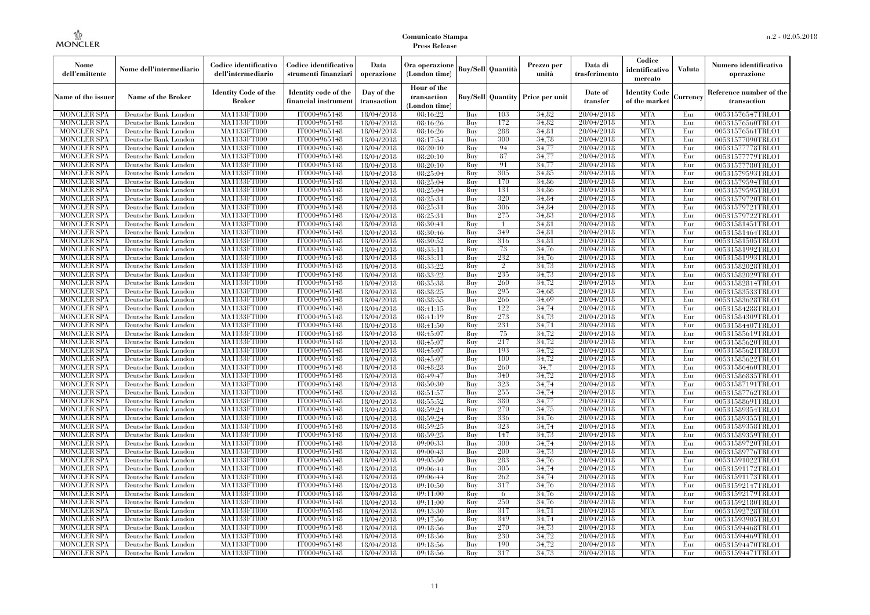| Nome<br>dell'emittente                   | Nome dell'intermediario                      | Codice identificativo<br>dell'intermediario  | Codice identificativo<br>strumenti finanziari | Data<br>operazione        | Ora operazione<br>(London time)             |            | <b>Buy/Sell</b> Quantità | Prezzo per<br>unità                     | Data di<br>trasferimento | Codice<br>identificativo<br>mercato   | <b>Valuta</b> | Numero identificativo<br>operazione    |
|------------------------------------------|----------------------------------------------|----------------------------------------------|-----------------------------------------------|---------------------------|---------------------------------------------|------------|--------------------------|-----------------------------------------|--------------------------|---------------------------------------|---------------|----------------------------------------|
| Name of the issuer                       | <b>Name of the Broker</b>                    | <b>Identity Code of the</b><br><b>Broker</b> | Identity code of the<br>financial instrumen   | Day of the<br>transaction | Hour of the<br>transaction<br>(London time) |            |                          | <b>Buy/Sell Quantity Price per unit</b> | Date of<br>transfer      | <b>Identity Code</b><br>of the market | Currency      | Reference number of the<br>transaction |
| <b>MONCLER SPA</b>                       | Deutsche Bank London                         | MA1133FT000                                  | IT0004965148                                  | 18/04/2018                | 08:16:22                                    | Buy        | 103                      | 34.82                                   | 20/04/2018               | <b>MTA</b>                            | Eur           | 00531576547TRLO1                       |
| <b>MONCLER SPA</b>                       | Deutsche Bank London                         | MA1133FT000                                  | IT0004965148                                  | 18/04/2018                | 08:16:26                                    | Buy        | 172                      | 34,82                                   | 20/04/2018               | <b>MTA</b>                            | Eur           | 00531576560TRLO1                       |
| <b>MONCLER SPA</b>                       | Deutsche Bank London                         | <b>MA1133FT000</b>                           | IT0004965148                                  | 18/04/2018                | 08:16:26                                    | Buy        | 288                      | 34,81                                   | 20/04/2018               | <b>MTA</b>                            | Eur           | 00531576561TRLO1                       |
| <b>MONCLER SPA</b>                       | Deutsche Bank London                         | MA1133FT000                                  | IT0004965148                                  | 18/04/2018                | 08:17:54                                    | Buy        | 300<br>94                | 34.78                                   | 20/04/2018               | <b>MTA</b><br><b>MTA</b>              | Eur           | 00531577090TRLO1                       |
| <b>MONCLER SPA</b><br><b>MONCLER SPA</b> | Deutsche Bank London<br>Deutsche Bank London | MA1133FT000<br>MA1133FT000                   | IT0004965148<br>IT0004965148                  | 18/04/2018<br>18/04/2018  | 08:20:10<br>08:20:10                        | Buy<br>Buy | 87                       | 34,77<br>34,77                          | 20/04/2018<br>20/04/2018 | <b>MTA</b>                            | Eur<br>Eur    | 00531577778TRLO1<br>00531577779TRLO1   |
| <b>MONCLER SPA</b>                       | Deutsche Bank London                         | <b>MA1133FT000</b>                           | IT0004965148                                  | 18/04/2018                | 08:20:10                                    | Buy        | 91                       | 34,77                                   | 20/04/2018               | <b>MTA</b>                            | Eur           | 00531577780TRLO1                       |
| <b>MONCLER SPA</b>                       | Deutsche Bank London                         | <b>MA1133FT000</b>                           | IT0004965148                                  | 18/04/2018                | 08:25:04                                    | Buy        | 305                      | 34.85                                   | 20/04/2018               | <b>MTA</b>                            | Eur           | 00531579593TRLO1                       |
| <b>MONCLER SPA</b>                       | Deutsche Bank London                         | MA1133FT000                                  | IT0004965148                                  | 18/04/2018                | 08:25:04                                    | Buy        | 170                      | 34,86                                   | 20/04/2018               | <b>MTA</b>                            | Eur           | 00531579594TRLO1                       |
| <b>MONCLER SPA</b>                       | Deutsche Bank London                         | MA1133FT000                                  | IT0004965148                                  | 18/04/2018                | 08:25:04                                    | Buy        | 131                      | 34,86                                   | 20/04/2018               | <b>MTA</b>                            | Eur           | 00531579595TRLO1                       |
| <b>MONCLER SPA</b>                       | Deutsche Bank London                         | <b>MA1133FT000</b>                           | IT0004965148                                  | 18/04/2018                | 08:25:31                                    | Buy        | 320                      | 34,84                                   | 20/04/2018               | <b>MTA</b>                            | Eur           | 00531579720TRLO1                       |
| <b>MONCLER SPA</b>                       | Deutsche Bank London                         | <b>MA1133FT000</b>                           | IT0004965148                                  | 18/04/2018                | 08:25:31                                    | Buy        | 306                      | 34,84                                   | 20/04/2018               | <b>MTA</b>                            | Eur           | 00531579721TRLO1                       |
| <b>MONCLER SPA</b>                       | Deutsche Bank London                         | MA1133FT000                                  | IT0004965148                                  | 18/04/2018                | 08:25:31                                    | Buy        | 275                      | 34.83                                   | 20/04/2018               | <b>MTA</b>                            | Eur           | 00531579722TRLO1                       |
| <b>MONCLER SPA</b>                       | Deutsche Bank London                         | MA1133FT000                                  | IT0004965148                                  | 18/04/2018                | 08:30:41                                    | Buy        | 1                        | 34,81                                   | 20/04/2018               | <b>MTA</b>                            | Eur           | 00531581451TRLO1                       |
| <b>MONCLER SPA</b>                       | Deutsche Bank London                         | <b>MA1133FT000</b>                           | IT0004965148                                  | 18/04/2018                | 08:30:46                                    | Buy        | 349                      | 34,81                                   | 20/04/2018               | <b>MTA</b>                            | Eur           | 00531581464TRLO1                       |
| <b>MONCLER SPA</b>                       | Deutsche Bank London                         | <b>MA1133FT000</b>                           | IT0004965148                                  | 18/04/2018                | 08:30:52                                    | Buy        | 316                      | 34.81                                   | 20/04/2018               | <b>MTA</b>                            | Eur           | 00531581505TRLO1                       |
| <b>MONCLER SPA</b>                       | Deutsche Bank London                         | MA1133FT000                                  | IT0004965148                                  | 18/04/2018                | 08:33:11                                    | Buy        | 73                       | 34,76                                   | 20/04/2018               | <b>MTA</b>                            | Eur           | 00531581992TRLO1                       |
| <b>MONCLER SPA</b>                       | Deutsche Bank London                         | MA1133FT000                                  | IT0004965148                                  | 18/04/2018                | 08:33:11                                    | Buy        | 232                      | 34,76                                   | 20/04/2018               | <b>MTA</b>                            | Eur           | 00531581993TRLO1                       |
| <b>MONCLER SPA</b>                       | Deutsche Bank London                         | <b>MA1133FT000</b>                           | IT0004965148                                  | 18/04/2018                | 08:33:22                                    | Buy        | $\overline{2}$           | 34,73                                   | 20/04/2018               | <b>MTA</b>                            | Eur           | 00531582028TRLO1                       |
| <b>MONCLER SPA</b>                       | Deutsche Bank London                         | <b>MA1133FT000</b>                           | IT0004965148                                  | 18/04/2018                | 08:33:22                                    | Buy        | 235                      | 34.73                                   | 20/04/2018               | <b>MTA</b>                            | Eur           | 00531582029TRLO1                       |
| <b>MONCLER SPA</b>                       | Deutsche Bank London                         | MA1133FT000                                  | IT0004965148                                  | 18/04/2018                | 08:35:38                                    | Buy        | 260                      | 34,72                                   | 20/04/2018               | <b>MTA</b>                            | Eur           | 00531582814TRLO1                       |
| <b>MONCLER SPA</b>                       | Deutsche Bank London                         | MA1133FT000                                  | IT0004965148                                  | 18/04/2018                | 08:38:25                                    | Buy        | 295                      | 34,68                                   | 20/04/2018               | <b>MTA</b>                            | Eur           | 00531583533TRLO1                       |
| MONCLER SPA                              | Deutsche Bank London                         | <b>MA1133FT000</b>                           | IT0004965148                                  | 18/04/2018                | 08:38:55                                    | Buy        | 266                      | 34.69                                   | 20/04/2018               | <b>MTA</b>                            | Eur           | 00531583628TRLO1                       |
| <b>MONCLER SPA</b>                       | Deutsche Bank London                         | MA1133FT000                                  | IT0004965148                                  | 18/04/2018                | 08:41:15                                    | Buy        | 122                      | 34,74                                   | 20/04/2018               | <b>MTA</b>                            | Eur           | 00531584288TRLO1                       |
| <b>MONCLER SPA</b>                       | Deutsche Bank London                         | MA1133FT000                                  | IT0004965148                                  | 18/04/2018                | 08:41:19                                    | Buy        | 273                      | 34,73                                   | 20/04/2018               | <b>MTA</b>                            | Eur           | 00531584309TRLO1                       |
| <b>MONCLER SPA</b>                       | Deutsche Bank London                         | <b>MA1133FT000</b>                           | IT0004965148                                  | 18/04/2018                | 08:41:50                                    | Buy        | 231                      | 34,71                                   | 20/04/2018               | <b>MTA</b>                            | Eur           | 00531584407TRLO1                       |
| MONCLER SPA                              | Deutsche Bank London                         | <b>MA1133FT000</b>                           | IT0004965148                                  | 18/04/2018                | 08:45:07                                    | Buy        | 75                       | 34,72                                   | 20/04/2018               | <b>MTA</b>                            | Eur           | 00531585619TRLO1                       |
| <b>MONCLER SPA</b>                       | Deutsche Bank London                         | MA1133FT000                                  | IT0004965148                                  | 18/04/2018                | 08:45:07                                    | Buy        | 217                      | 34.72                                   | 20/04/2018               | <b>MTA</b>                            | Eur           | 00531585620TRLO1                       |
| <b>MONCLER SPA</b>                       | Deutsche Bank London                         | MA1133FT000                                  | IT0004965148                                  | 18/04/2018                | 08:45:07                                    | Buy        | 193                      | 34.72                                   | 20/04/2018               | <b>MTA</b>                            | Eur           | 00531585621TRLO1                       |
| <b>MONCLER SPA</b>                       | Deutsche Bank London                         | <b>MA1133FT000</b>                           | IT0004965148                                  | 18/04/2018                | 08:45:07                                    | Buy        | 100                      | 34,72                                   | 20/04/2018               | <b>MTA</b>                            | Eur           | 00531585622TRLO1                       |
| <b>MONCLER SPA</b>                       | Deutsche Bank London                         | <b>MA1133FT000</b>                           | IT0004965148                                  | 18/04/2018                | 08:48:28                                    | Buy        | 260                      | 34,7                                    | 20/04/2018               | <b>MTA</b>                            | Eur           | 00531586460TRLO1                       |
| <b>MONCLER SPA</b>                       | Deutsche Bank London                         | MA1133FT000                                  | IT0004965148                                  | 18/04/2018                | 08:49:47                                    | Buy        | 340                      | 34.72                                   | 20/04/2018               | <b>MTA</b>                            | Eur           | 00531586835TRLO1                       |
| <b>MONCLER SPA</b>                       | Deutsche Bank London                         | MA1133FT000                                  | IT0004965148                                  | 18/04/2018                | 08:50:30                                    | Buy        | 323                      | 34,74                                   | 20/04/2018               | <b>MTA</b>                            | Eur           | 00531587191TRLO1                       |
| <b>MONCLER SPA</b>                       | Deutsche Bank London                         | <b>MA1133FT000</b>                           | IT0004965148                                  | 18/04/2018                | 08:51:57                                    | Buy        | 255                      | 34,74                                   | 20/04/2018               | <b>MTA</b>                            | Eur           | 00531587762TRLO1                       |
| <b>MONCLER SPA</b>                       | Deutsche Bank London                         | <b>MA1133FT000</b>                           | IT0004965148                                  | 18/04/2018                | 08:55:52                                    | Buy        | 380                      | 34,77                                   | 20/04/2018               | <b>MTA</b>                            | Eur           | 00531588691TRLO1                       |
| <b>MONCLER SPA</b>                       | Deutsche Bank London                         | MA1133FT000                                  | IT0004965148                                  | 18/04/2018                | 08:59:24                                    | Buy        | 270                      | 34.75                                   | 20/04/2018               | <b>MTA</b>                            | Eur           | 00531589354TRLO1                       |
| <b>MONCLER SPA</b>                       | Deutsche Bank London                         | MA1133FT000                                  | IT0004965148                                  | 18/04/2018                | 08:59:24                                    | Buy        | 336                      | 34.76                                   | 20/04/2018               | <b>MTA</b>                            | Eur           | 00531589355TRLO1                       |
| <b>MONCLER SPA</b>                       | Deutsche Bank London                         | <b>MA1133FT000</b>                           | IT0004965148                                  | 18/04/2018                | 08:59:25                                    | Buy        | 323                      | 34,74                                   | 20/04/2018               | <b>MTA</b>                            | Eur           | 00531589358TRLO1                       |
| <b>MONCLER SPA</b>                       | Deutsche Bank London                         | <b>MA1133FT000</b><br><b>MA1133FT000</b>     | IT0004965148                                  | 18/04/2018                | 08:59:25                                    | Buy        | 147<br>300               | 34,73                                   | 20/04/2018               | <b>MTA</b><br><b>MTA</b>              | Eur           | 00531589359TRLO1                       |
| <b>MONCLER SPA</b>                       | Deutsche Bank London                         |                                              | IT0004965148                                  | 18/04/2018                | 09:00:33                                    | Buy        |                          | 34.74<br>34.73                          | 20/04/2018               | <b>MTA</b>                            | Eur           | 00531589720TRLO1                       |
| <b>MONCLER SPA</b><br><b>MONCLER SPA</b> | Deutsche Bank London                         | MA1133FT000<br>MA1133FT000                   | IT0004965148<br>IT0004965148                  | 18/04/2018                | 09:00:43<br>09:05:50                        | Buy        | 200<br>283               |                                         | 20/04/2018<br>20/04/2018 | <b>MTA</b>                            | Eur<br>Eur    | 00531589776TRLO1<br>00531591022TRLO1   |
| <b>MONCLER SPA</b>                       | Deutsche Bank London<br>Deutsche Bank London | <b>MA1133FT000</b>                           | IT0004965148                                  | 18/04/2018<br>18/04/2018  | 09:06:44                                    | Buy<br>Buy | 305                      | 34,76<br>34,74                          | 20/04/2018               | MTA                                   | Eur           | 00531591172TRLO1                       |
| <b>MONCLER SPA</b>                       | Deutsche Bank London                         | MA1133FT000                                  | IT0004965148                                  | 18/04/2018                | 09:06:44                                    | Buy        | 262                      | 34,74                                   | 20/04/2018               | <b>MTA</b>                            | Eur           | 00531591173TRLO1                       |
| <b>MONCLER SPA</b>                       | Deutsche Bank London                         | MA1133FT000                                  | IT0004965148                                  | 18/04/2018                | 09:10:50                                    | Buy        | 317                      | 34.76                                   | 20/04/2018               | <b>MTA</b>                            | Eur           | 00531592147TRLO1                       |
| <b>MONCLER SPA</b>                       | Deutsche Bank London                         | MA1133FT000                                  | IT0004965148                                  | 18/04/2018                | 09:11:00                                    | Buy        | 6                        | 34,76                                   | 20/04/2018               | <b>MTA</b>                            | Eur           | 00531592179TRLO1                       |
| <b>MONCLER SPA</b>                       | Deutsche Bank London                         | <b>MA1133FT000</b>                           | IT0004965148                                  | 18/04/2018                | 09:11:00                                    | Buy        | 250                      | 34,76                                   | 20/04/2018               | <b>MTA</b>                            | Eur           | 00531592180TRLO1                       |
| <b>MONCLER SPA</b>                       | Deutsche Bank London                         | MA1133FT000                                  | IT0004965148                                  | 18/04/2018                | 09:13:30                                    | Buy        | 317                      | 34.71                                   | 20/04/2018               | <b>MTA</b>                            | Eur           | 00531592728TRLO1                       |
| <b>MONCLER SPA</b>                       | Deutsche Bank London                         | MA1133FT000                                  | IT0004965148                                  | 18/04/2018                | 09:17:56                                    | Buy        | 349                      | 34.74                                   | 20/04/2018               | <b>MTA</b>                            | Eur           | 00531593905TRLO1                       |
| <b>MONCLER SPA</b>                       | Deutsche Bank London                         | MA1133FT000                                  | IT0004965148                                  | 18/04/2018                | 09:18:56                                    | Buy        | 270                      | 34.73                                   | 20/04/2018               | <b>MTA</b>                            | Eur           | 00531594468TRLO1                       |
| MONCLER SPA                              | Deutsche Bank London                         | <b>MA1133FT000</b>                           | IT0004965148                                  | 18/04/2018                | 09:18:56                                    | Buy        | 230                      | 34,72                                   | 20/04/2018               | <b>MTA</b>                            | Eur           | 00531594469TRLO1                       |
| <b>MONCLER SPA</b>                       | Deutsche Bank London                         | MA1133FT000                                  | IT0004965148                                  | 18/04/2018                | 09:18:56                                    | Buy        | 190                      | 34,72                                   | 20/04/2018               | <b>MTA</b>                            | Eur           | 00531594470TRLO1                       |
| <b>MONCLER SPA</b>                       | Deutsche Bank London                         | MA1133FT000                                  | IT0004965148                                  | 18/04/2018                | 09:18:56                                    | Buy        | 317                      | 34.73                                   | 20/04/2018               | <b>MTA</b>                            | Eur           | 00531594471TRLO1                       |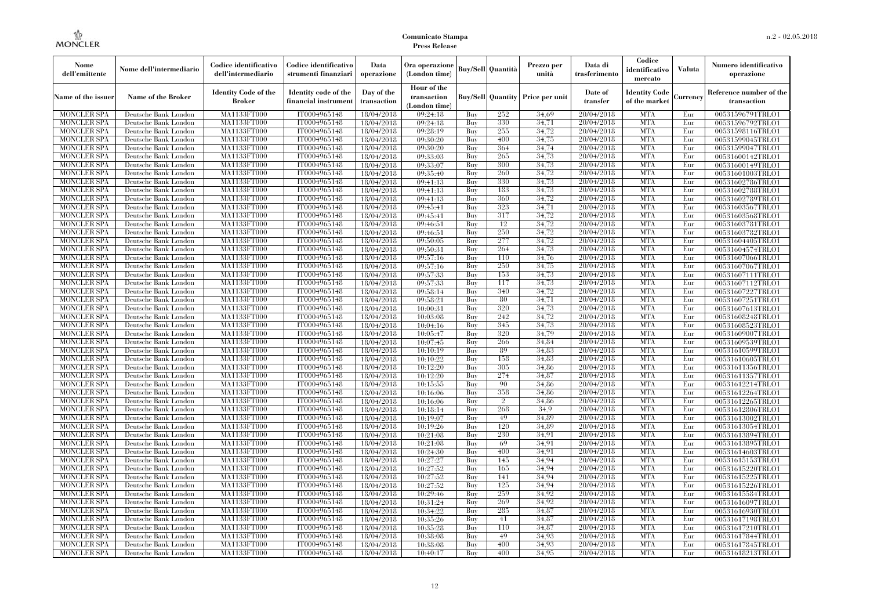| Nome<br>dell'emittente                   | Nome dell'intermediario                      | Codice identificativo<br>dell'intermediario  | Codice identificativo<br>strumenti finanziari | Data<br>operazione        | Ora operazione<br>(London time)             |            | <b>Buy/Sell</b> Quantità | Prezzo per<br>unità                     | Data di<br>trasferimento | Codice<br>identificativo<br>mercato   | <b>Valuta</b> | Numero identificativo<br>operazione    |
|------------------------------------------|----------------------------------------------|----------------------------------------------|-----------------------------------------------|---------------------------|---------------------------------------------|------------|--------------------------|-----------------------------------------|--------------------------|---------------------------------------|---------------|----------------------------------------|
| Name of the issuer                       | <b>Name of the Broker</b>                    | <b>Identity Code of the</b><br><b>Broker</b> | Identity code of the<br>financial instrumen   | Day of the<br>transaction | Hour of the<br>transaction<br>(London time) |            |                          | <b>Buy/Sell Quantity Price per unit</b> | Date of<br>transfer      | <b>Identity Code</b><br>of the market | Currency      | Reference number of the<br>transaction |
| <b>MONCLER SPA</b>                       | Deutsche Bank London                         | MA1133FT000                                  | IT0004965148                                  | 18/04/2018                | 09:24:18                                    | Buy        | 252                      | 34.69                                   | 20/04/2018               | <b>MTA</b>                            | Eur           | 00531596791TRLO1                       |
| <b>MONCLER SPA</b>                       | Deutsche Bank London                         | MA1133FT000                                  | IT0004965148                                  | 18/04/2018                | 09:24:18                                    | Buy        | 330                      | 34,71                                   | 20/04/2018               | <b>MTA</b>                            | Eur           | 00531596792TRLO1                       |
| <b>MONCLER SPA</b>                       | Deutsche Bank London                         | <b>MA1133FT000</b>                           | IT0004965148                                  | 18/04/2018                | 09:28:19                                    | Buy        | 255                      | 34,72                                   | 20/04/2018               | <b>MTA</b>                            | Eur           | 00531598116TRLO1                       |
| <b>MONCLER SPA</b>                       | Deutsche Bank London                         | MA1133FT000<br>MA1133FT000                   | IT0004965148                                  | 18/04/2018                | 09:30:20                                    | Buy        | 400<br>364               | 34.75                                   | 20/04/2018<br>20/04/2018 | <b>MTA</b><br><b>MTA</b>              | Eur<br>Eur    | 00531599045TRLO1                       |
| <b>MONCLER SPA</b><br><b>MONCLER SPA</b> | Deutsche Bank London<br>Deutsche Bank London | MA1133FT000                                  | IT0004965148<br>IT0004965148                  | 18/04/2018<br>18/04/2018  | 09:30:20<br>09:33:03                        | Buy<br>Buy | 265                      | 34,74<br>34,73                          | 20/04/2018               | <b>MTA</b>                            | Eur           | 00531599047TRLO1<br>00531600142TRLO1   |
| <b>MONCLER SPA</b>                       | Deutsche Bank London                         | <b>MA1133FT000</b>                           | IT0004965148                                  | 18/04/2018                | 09:33:07                                    | Buy        | 300                      | 34,73                                   | 20/04/2018               | <b>MTA</b>                            | Eur           | 00531600149TRLO1                       |
| <b>MONCLER SPA</b>                       | Deutsche Bank London                         | <b>MA1133FT000</b>                           | IT0004965148                                  | 18/04/2018                | 09:35:40                                    | Buy        | 260                      | 34.72                                   | 20/04/2018               | <b>MTA</b>                            | Eur           | 00531601003TRLO1                       |
| <b>MONCLER SPA</b>                       | Deutsche Bank London                         | MA1133FT000                                  | IT0004965148                                  | 18/04/2018                | 09:41:13                                    | Buy        | 330                      | 34,73                                   | 20/04/2018               | <b>MTA</b>                            | Eur           | 00531602786TRLO1                       |
| <b>MONCLER SPA</b>                       | Deutsche Bank London                         | MA1133FT000                                  | IT0004965148                                  | 18/04/2018                | 09:41:13                                    | Buy        | 183                      | 34,73                                   | 20/04/2018               | <b>MTA</b>                            | Eur           | 00531602788TRLO1                       |
| <b>MONCLER SPA</b>                       | Deutsche Bank London                         | <b>MA1133FT000</b>                           | IT0004965148                                  | 18/04/2018                | 09:41:13                                    | Buy        | 360                      | 34,72                                   | 20/04/2018               | <b>MTA</b>                            | Eur           | 00531602789TRLO1                       |
| <b>MONCLER SPA</b>                       | Deutsche Bank London                         | <b>MA1133FT000</b>                           | IT0004965148                                  | 18/04/2018                | 09:45:41                                    | Buy        | 323                      | 34.71                                   | 20/04/2018               | <b>MTA</b>                            | Eur           | 00531603567TRLO1                       |
| <b>MONCLER SPA</b>                       | Deutsche Bank London                         | MA1133FT000                                  | IT0004965148                                  | 18/04/2018                | 09:45:41                                    | Buy        | 317                      | 34.72                                   | 20/04/2018               | <b>MTA</b>                            | Eur           | 00531603568TRLO1                       |
| <b>MONCLER SPA</b>                       | Deutsche Bank London                         | MA1133FT000                                  | IT0004965148                                  | 18/04/2018                | 09:46:51                                    | Buy        | 12                       | 34,72                                   | 20/04/2018               | <b>MTA</b>                            | Eur           | 00531603781TRLO1                       |
| <b>MONCLER SPA</b>                       | Deutsche Bank London                         | <b>MA1133FT000</b>                           | IT0004965148                                  | 18/04/2018                | 09:46:51                                    | Buy        | 250                      | 34,72                                   | 20/04/2018               | <b>MTA</b>                            | Eur           | 00531603782TRLO1                       |
| <b>MONCLER SPA</b>                       | Deutsche Bank London                         | <b>MA1133FT000</b>                           | IT0004965148                                  | 18/04/2018                | 09:50:05                                    | Buy        | 277                      | 34.72                                   | 20/04/2018               | <b>MTA</b>                            | Eur           | 00531604405TRLO1                       |
| <b>MONCLER SPA</b>                       | Deutsche Bank London                         | MA1133FT000                                  | IT0004965148                                  | 18/04/2018                | 09:50:31                                    | Buy        | 264                      | 34,73                                   | 20/04/2018               | <b>MTA</b>                            | Eur           | 00531604574TRLO1                       |
| <b>MONCLER SPA</b>                       | Deutsche Bank London                         | MA1133FT000                                  | IT0004965148                                  | 18/04/2018                | 09:57:16                                    | Buy        | 110                      | 34,76                                   | 20/04/2018               | <b>MTA</b>                            | Eur           | 00531607066TRLO1                       |
| <b>MONCLER SPA</b>                       | Deutsche Bank London                         | <b>MA1133FT000</b>                           | IT0004965148                                  | 18/04/2018                | 09:57:16                                    | Buy        | 250                      | 34,75                                   | 20/04/2018               | <b>MTA</b>                            | Eur           | 00531607067TRLO1                       |
| <b>MONCLER SPA</b>                       | Deutsche Bank London                         | <b>MA1133FT000</b>                           | IT0004965148                                  | 18/04/2018                | 09:57:33                                    | Buy        | 153                      | 34.73                                   | 20/04/2018               | <b>MTA</b>                            | Eur           | 00531607111TRLO1                       |
| <b>MONCLER SPA</b>                       | Deutsche Bank London                         | MA1133FT000                                  | IT0004965148                                  | 18/04/2018                | 09:57:33                                    | Buy        | 117                      | 34,73                                   | 20/04/2018               | <b>MTA</b>                            | Eur           | 00531607112TRLO1                       |
| <b>MONCLER SPA</b>                       | Deutsche Bank London                         | <b>MA1133FT000</b>                           | IT0004965148                                  | 18/04/2018                | 09:58:14                                    | Buy        | 340                      | 34,72                                   | 20/04/2018               | <b>MTA</b>                            | Eur           | 00531607227TRLO1                       |
| MONCLER SPA                              | Deutsche Bank London                         | <b>MA1133FT000</b>                           | IT0004965148                                  | 18/04/2018                | 09:58:21                                    | Buy        | 80                       | 34,71                                   | 20/04/2018               | <b>MTA</b>                            | Eur           | 00531607251TRLO1                       |
| <b>MONCLER SPA</b>                       | Deutsche Bank London                         | MA1133FT000                                  | IT0004965148                                  | 18/04/2018                | 10:00:31                                    | Buy        | 320                      | 34,73                                   | 20/04/2018               | <b>MTA</b>                            | Eur           | 00531607613TRLO1                       |
| <b>MONCLER SPA</b>                       | Deutsche Bank London                         | MA1133FT000                                  | IT0004965148                                  | 18/04/2018                | 10:03:08                                    | Buy        | 242                      | 34.72                                   | 20/04/2018               | <b>MTA</b>                            | Eur           | 00531608248TRLO1                       |
| <b>MONCLER SPA</b>                       | Deutsche Bank London                         | <b>MA1133FT000</b>                           | IT0004965148                                  | 18/04/2018                | 10:04:16                                    | Buy        | 345                      | 34.73                                   | 20/04/2018               | <b>MTA</b>                            | Eur           | 00531608523TRLO1                       |
| MONCLER SPA                              | Deutsche Bank London                         | <b>MA1133FT000</b>                           | IT0004965148                                  | 18/04/2018                | 10:05:47                                    | Buy        | 320                      | 34,79                                   | 20/04/2018               | <b>MTA</b>                            | Eur           | 00531609007TRLO1                       |
| <b>MONCLER SPA</b>                       | Deutsche Bank London                         | MA1133FT000                                  | IT0004965148                                  | 18/04/2018                | 10:07:45                                    | Buy        | 266                      | 34.84                                   | 20/04/2018               | <b>MTA</b>                            | Eur           | 00531609539TRLO1                       |
| <b>MONCLER SPA</b>                       | Deutsche Bank London                         | MA1133FT000                                  | IT0004965148                                  | 18/04/2018                | 10:10:19                                    | Buy        | 89                       | 34.83                                   | 20/04/2018               | <b>MTA</b>                            | Eur           | 00531610599TRLO1                       |
| <b>MONCLER SPA</b>                       | Deutsche Bank London                         | <b>MA1133FT000</b>                           | IT0004965148                                  | 18/04/2018                | 10:10:22                                    | Buy        | 158                      | 34,83                                   | 20/04/2018               | <b>MTA</b>                            | Eur           | 00531610605TRLO1                       |
| <b>MONCLER SPA</b>                       | Deutsche Bank London                         | <b>MA1133FT000</b>                           | IT0004965148                                  | 18/04/2018                | 10:12:20                                    | Buy        | 305                      | 34,86                                   | 20/04/2018               | <b>MTA</b>                            | Eur           | 00531611356TRLO1                       |
| <b>MONCLER SPA</b>                       | Deutsche Bank London                         | MA1133FT000                                  | IT0004965148                                  | 18/04/2018                | 10:12:20                                    | Buy        | 274                      | 34,87                                   | 20/04/2018               | <b>MTA</b>                            | Eur           | 00531611357TRLO1                       |
| <b>MONCLER SPA</b>                       | Deutsche Bank London                         | MA1133FT000                                  | IT0004965148                                  | 18/04/2018                | 10:15:55                                    | Buy        | 90                       | 34.86                                   | 20/04/2018               | <b>MTA</b>                            | Eur           | 00531612214TRLO1                       |
| <b>MONCLER SPA</b>                       | Deutsche Bank London                         | <b>MA1133FT000</b>                           | IT0004965148                                  | 18/04/2018                | 10:16:06                                    | Buy        | 358                      | 34,86                                   | 20/04/2018               | <b>MTA</b>                            | Eur           | 00531612264TRLO1                       |
| <b>MONCLER SPA</b>                       | Deutsche Bank London                         | <b>MA1133FT000</b>                           | IT0004965148                                  | 18/04/2018                | 10:16:06                                    | Buy        | $\overline{2}$           | 34,86                                   | 20/04/2018               | <b>MTA</b>                            | Eur           | 00531612265TRLO1                       |
| <b>MONCLER SPA</b>                       | Deutsche Bank London                         | MA1133FT000                                  | IT0004965148                                  | 18/04/2018                | 10:18:14                                    | Buy        | 268                      | 34.9                                    | 20/04/2018               | <b>MTA</b>                            | Eur           | 00531612806TRLO1                       |
| <b>MONCLER SPA</b>                       | Deutsche Bank London                         | MA1133FT000                                  | IT0004965148                                  | 18/04/2018                | 10:19:07                                    | Buy        | 49                       | 34.89                                   | 20/04/2018               | <b>MTA</b>                            | Eur           | 00531613002TRLO1                       |
| <b>MONCLER SPA</b>                       | Deutsche Bank London                         | <b>MA1133FT000</b>                           | IT0004965148                                  | 18/04/2018                | 10:19:26                                    | Buy        | 120                      | 34,89                                   | 20/04/2018               | <b>MTA</b>                            | Eur           | 00531613054TRLO1                       |
| <b>MONCLER SPA</b>                       | Deutsche Bank London                         | <b>MA1133FT000</b><br><b>MA1133FT000</b>     | IT0004965148                                  | 18/04/2018                | 10:21:08                                    | Buy        | 230<br>69                | 34,91<br>34.91                          | 20/04/2018               | <b>MTA</b><br><b>MTA</b>              | Eur           | 00531613894TRLO1                       |
| <b>MONCLER SPA</b>                       | Deutsche Bank London                         |                                              | IT0004965148                                  | 18/04/2018                | 10:21:08                                    | Buy        |                          |                                         | 20/04/2018               | <b>MTA</b>                            | Eur           | 00531613895TRLO1                       |
| <b>MONCLER SPA</b><br><b>MONCLER SPA</b> | Deutsche Bank London                         | MA1133FT000<br>MA1133FT000                   | IT0004965148<br>IT0004965148                  | 18/04/2018<br>18/04/2018  | 10:24:30<br>10:27:27                        | Buy        | 400<br>145               | 34.91<br>34.94                          | 20/04/2018<br>20/04/2018 | <b>MTA</b>                            | Eur<br>Eur    | 00531614603TRLO1                       |
| <b>MONCLER SPA</b>                       | Deutsche Bank London<br>Deutsche Bank London | <b>MA1133FT000</b>                           | IT0004965148                                  | 18/04/2018                | 10:27:52                                    | Buy<br>Buy | 165                      | 34.94                                   | 20/04/2018               | MTA                                   | Eur           | 00531615153TRLO1<br>00531615220TRLO1   |
| <b>MONCLER SPA</b>                       | Deutsche Bank London                         | MA1133FT000                                  | IT0004965148                                  | 18/04/2018                | 10:27:52                                    | Buy        | 141                      | 34.94                                   | 20/04/2018               | <b>MTA</b>                            | Eur           | 00531615225TRLO1                       |
| <b>MONCLER SPA</b>                       | Deutsche Bank London                         | MA1133FT000                                  | IT0004965148                                  | 18/04/2018                | 10:27:52                                    | Buy        | 125                      | 34.94                                   | 20/04/2018               | <b>MTA</b>                            | Eur           | 00531615226TRLO1                       |
| <b>MONCLER SPA</b>                       | Deutsche Bank London                         | MA1133FT000                                  | IT0004965148                                  | 18/04/2018                | 10:29:46                                    | Buy        | 259                      | 34.92                                   | 20/04/2018               | <b>MTA</b>                            | Eur           | 00531615584TRLO1                       |
| <b>MONCLER SPA</b>                       | Deutsche Bank London                         | <b>MA1133FT000</b>                           | IT0004965148                                  | 18/04/2018                | 10:31:24                                    | Buy        | 269                      | 34.92                                   | 20/04/2018               | <b>MTA</b>                            | Eur           | 00531616097TRLO1                       |
| <b>MONCLER SPA</b>                       | Deutsche Bank London                         | MA1133FT000                                  | IT0004965148                                  | 18/04/2018                | 10:34:22                                    | Buy        | 285                      | 34,87                                   | 20/04/2018               | <b>MTA</b>                            | Eur           | 00531616930TRLO1                       |
| <b>MONCLER SPA</b>                       | Deutsche Bank London                         | MA1133FT000                                  | IT0004965148                                  | 18/04/2018                | 10:35:26                                    | Buy        | 41                       | 34,87                                   | 20/04/2018               | <b>MTA</b>                            | Eur           | 00531617198TRLO1                       |
| <b>MONCLER SPA</b>                       | Deutsche Bank London                         | MA1133FT000                                  | IT0004965148                                  | 18/04/2018                | 10:35:28                                    | Buy        | 110                      | 34,87                                   | 20/04/2018               | <b>MTA</b>                            | Eur           | 00531617210TRLO1                       |
| MONCLER SPA                              | Deutsche Bank London                         | <b>MA1133FT000</b>                           | IT0004965148                                  | 18/04/2018                | 10:38:08                                    | Buy        | 49                       | 34.93                                   | 20/04/2018               | <b>MTA</b>                            | Eur           | 00531617844TRLO1                       |
| <b>MONCLER SPA</b>                       | Deutsche Bank London                         | MA1133FT000                                  | IT0004965148                                  | 18/04/2018                | 10:38:08                                    | Buy        | 400                      | 34.93                                   | 20/04/2018               | <b>MTA</b>                            | Eur           | 00531617845TRLO1                       |
| <b>MONCLER SPA</b>                       | Deutsche Bank London                         | MA1133FT000                                  | IT0004965148                                  | 18/04/2018                | 10:40:17                                    | Buy        | 400                      | 34.95                                   | 20/04/2018               | <b>MTA</b>                            | Eur           | 00531618213TRLO1                       |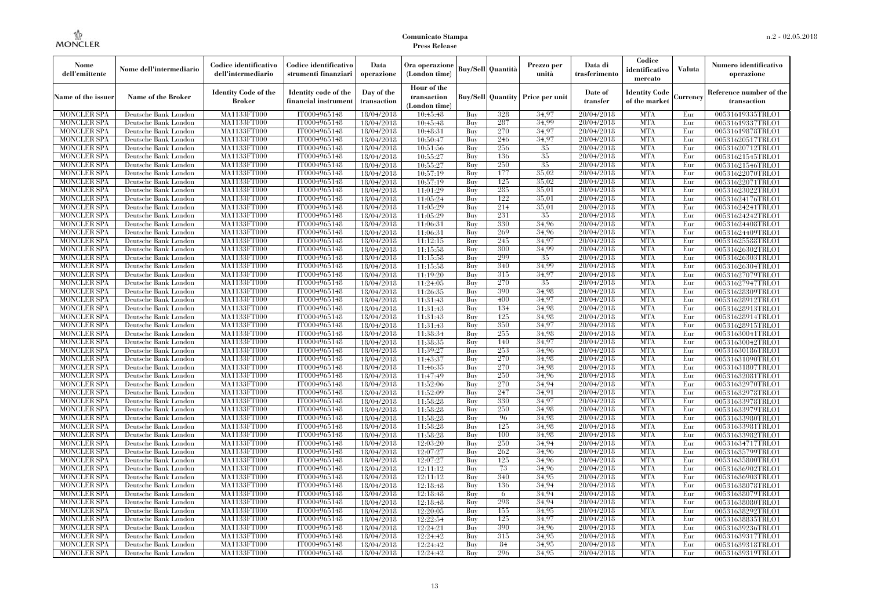| Nome<br>dell'emittente                   | Nome dell'intermediario                      | Codice identificativo<br>dell'intermediario | Codice identificativo<br>strumenti finanziari | Data<br>operazione        | Ora operazione<br>(London time)             |            | Buy/Sell   Quantità      | Prezzo per<br>unità | Data di<br>trasferimento | Codice<br>identificativo<br>mercato   | <b>Valuta</b> | Numero identificativo<br>operazione    |
|------------------------------------------|----------------------------------------------|---------------------------------------------|-----------------------------------------------|---------------------------|---------------------------------------------|------------|--------------------------|---------------------|--------------------------|---------------------------------------|---------------|----------------------------------------|
| Name of the issuer                       | Name of the Broker                           | <b>Identity Code of the</b><br>Broker       | Identity code of the<br>financial instrument  | Day of the<br>transaction | Hour of the<br>transaction<br>(London time) |            | <b>Buy/Sell Quantity</b> | Price per unit      | Date of<br>transfer      | <b>Identity Code</b><br>of the market | Currencv      | Reference number of the<br>transaction |
| <b>MONCLER SPA</b>                       | Deutsche Bank London                         | MA1133FT000                                 | IT0004965148                                  | 18/04/2018                | 10:45:48                                    | Buy        | 328                      | 34,97               | 20/04/2018               | <b>MTA</b>                            | Eur           | 00531619335TRLO1                       |
| <b>MONCLER SPA</b>                       | Deutsche Bank London                         | <b>MA1133FT000</b>                          | IT0004965148                                  | 18/04/2018                | 10:45:48                                    | Buy        | 287                      | 34,99               | 20/04/2018               | <b>MTA</b>                            | Eur           | 00531619337TRLO1                       |
| <b>MONCLER SPA</b>                       | Deutsche Bank London                         | <b>MA1133FT000</b>                          | IT0004965148                                  | 18/04/2018                | 10:48:31                                    | Buv        | 270                      | 34.97               | 20/04/2018               | <b>MTA</b>                            | Eur           | 00531619878TRLO1                       |
| <b>MONCLER SPA</b>                       | Deutsche Bank London                         | MA1133FT000                                 | IT0004965148                                  | 18/04/2018                | 10:50:47                                    | Buy        | 246                      | 34,97               | 20/04/2018               | <b>MTA</b>                            | Eur           | 00531620517TRLO1                       |
| <b>MONCLER SPA</b>                       | Deutsche Bank London                         | MA1133FT000<br><b>MA1133FT000</b>           | IT0004965148                                  | 18/04/2018                | 10:51:56                                    | Buy        | 256<br>136               | 35<br>35            | 20/04/2018               | <b>MTA</b><br><b>MTA</b>              | Eur           | 00531620712TRLO1                       |
| <b>MONCLER SPA</b><br><b>MONCLER SPA</b> | Deutsche Bank London<br>Deutsche Bank London | MA1133FT000                                 | IT0004965148<br>IT0004965148                  | 18/04/2018<br>18/04/2018  | 10:55:27<br>10:55:27                        | Buy<br>Buy | 250                      | 35                  | 20/04/2018<br>20/04/2018 | <b>MTA</b>                            | Eur<br>Eur    | 00531621545TRLO1<br>00531621546TRLO1   |
| <b>MONCLER SPA</b>                       | Deutsche Bank London                         | MA1133FT000                                 | IT0004965148                                  | 18/04/2018                | 10:57:19                                    | Buy        | 177                      | 35.02               | 20/04/2018               | <b>MTA</b>                            | Eur           | 00531622070TRLO1                       |
| <b>MONCLER SPA</b>                       | Deutsche Bank London                         | MA1133FT000                                 | IT0004965148                                  | 18/04/2018                | 10:57:19                                    | Buy        | 125                      | 35,02               | 20/04/2018               | <b>MTA</b>                            | Eur           | 00531622071TRLO1                       |
| <b>MONCLER SPA</b>                       | Deutsche Bank London                         | <b>MA1133FT000</b>                          | IT0004965148                                  | 18/04/2018                | 11:01:29                                    | Buy        | 285                      | 35,01               | 20/04/2018               | <b>MTA</b>                            | Eur           | 00531623022TRLO1                       |
| <b>MONCLER SPA</b>                       | Deutsche Bank London                         | <b>MA1133FT000</b>                          | IT0004965148                                  | 18/04/2018                | 11:05:24                                    | Buy        | 122                      | 35,01               | 20/04/2018               | <b>MTA</b>                            | Eur           | 00531624176TRLO1                       |
| <b>MONCLER SPA</b>                       | Deutsche Bank London                         | MA1133FT000                                 | IT0004965148                                  | 18/04/2018                | 11:05:29                                    | Buy        | 214                      | 35,01               | 20/04/2018               | <b>MTA</b>                            | Eur           | 00531624241TRLO1                       |
| <b>MONCLER SPA</b>                       | Deutsche Bank London                         | MA1133FT000                                 | IT0004965148                                  | 18/04/2018                | 11:05:29                                    | Buy        | 231                      | 35                  | 20/04/2018               | <b>MTA</b>                            | Eur           | 00531624242TRLO1                       |
| <b>MONCLER SPA</b>                       | Deutsche Bank London                         | MA1133FT000                                 | IT0004965148                                  | 18/04/2018                | 11:06:31                                    | Buy        | 330                      | 34.96               | 20/04/2018               | <b>MTA</b>                            | Eur           | 00531624408TRLO1                       |
| <b>MONCLER SPA</b>                       | Deutsche Bank London                         | MA1133FT000                                 | IT0004965148                                  | 18/04/2018                | 11:06:31                                    | Buy        | 269                      | 34.96               | 20/04/2018               | <b>MTA</b>                            | Eur           | 00531624409TRLO1                       |
| <b>MONCLER SPA</b>                       | Deutsche Bank London                         | MA1133FT000                                 | IT0004965148                                  | 18/04/2018                | 11:12:15                                    | Buy        | 245                      | 34,97               | 20/04/2018               | <b>MTA</b>                            | Eur           | 00531625588TRLO1                       |
| <b>MONCLER SPA</b>                       | Deutsche Bank London                         | MA1133FT000                                 | IT0004965148                                  | 18/04/2018                | 11:15:58                                    | Buy        | 300                      | 34.99               | 20/04/2018               | <b>MTA</b>                            | Eur           | 00531626302TRLO1                       |
| <b>MONCLER SPA</b>                       | Deutsche Bank London                         | MA1133FT000                                 | IT0004965148                                  | 18/04/2018                | 11:15:58                                    | Buy        | 299                      | 35                  | 20/04/2018               | <b>MTA</b>                            | Eur           | 00531626303TRLO1                       |
| <b>MONCLER SPA</b>                       | Deutsche Bank London                         | MA1133FT000                                 | IT0004965148                                  | 18/04/2018                | 11:15:58                                    | Buy        | 340                      | 34,99               | 20/04/2018               | <b>MTA</b>                            | Eur           | 00531626304TRLO1                       |
| <b>MONCLER SPA</b>                       | Deutsche Bank London                         | MA1133FT000                                 | IT0004965148                                  | 18/04/2018                | 11:19:20                                    | Buy        | 315                      | 34,97               | 20/04/2018               | <b>MTA</b>                            | Eur           | 00531627079TRLO1                       |
| <b>MONCLER SPA</b>                       | Deutsche Bank London                         | MA1133FT000                                 | IT0004965148                                  | 18/04/2018                | 11:24:05                                    | Buy        | 270                      | 35                  | 20/04/2018               | <b>MTA</b>                            | Eur           | 00531627947TRLO1                       |
| <b>MONCLER SPA</b>                       | Deutsche Bank London                         | MA1133FT000                                 | IT0004965148                                  | 18/04/2018                | 11:26:35                                    | Buy        | 390                      | 34,98               | 20/04/2018               | <b>MTA</b>                            | Eur           | 00531628309TRLO1                       |
| <b>MONCLER SPA</b>                       | Deutsche Bank London                         | MA1133FT000                                 | IT0004965148                                  | 18/04/2018                | 11:31:43                                    | Buy        | 400                      | 34.97               | 20/04/2018               | <b>MTA</b>                            | Eur           | 00531628912TRLO1                       |
| <b>MONCLER SPA</b>                       | Deutsche Bank London                         | MA1133FT000                                 | IT0004965148<br>IT0004965148                  | 18/04/2018                | 11:31:43                                    | Buy        | 134<br>125               | 34.98<br>34.98      | 20/04/2018<br>20/04/2018 | <b>MTA</b><br><b>MTA</b>              | Eur           | 00531628913TRLO1                       |
| <b>MONCLER SPA</b><br><b>MONCLER SPA</b> | Deutsche Bank London<br>Deutsche Bank London | MA1133FT000<br>MA1133FT000                  | IT0004965148                                  | 18/04/2018<br>18/04/2018  | 11:31:43<br>11:31:43                        | Buy<br>Buy | 350                      | 34,97               | 20/04/2018               | <b>MTA</b>                            | Eur<br>Eur    | 00531628914TRLO1<br>00531628915TRLO1   |
| <b>MONCLER SPA</b>                       | Deutsche Bank London                         | MA1133FT000                                 | IT0004965148                                  | 18/04/2018                | 11:38:34                                    | Buy        | 255                      | 34,98               | 20/04/2018               | <b>MTA</b>                            | Eur           | 00531630041TRLO1                       |
| <b>MONCLER SPA</b>                       | Deutsche Bank London                         | MA1133FT000                                 | IT0004965148                                  | 18/04/2018                | 11:38:35                                    | Buy        | 140                      | 34.97               | 20/04/2018               | <b>MTA</b>                            | Eur           | 00531630042TRLO1                       |
| <b>MONCLER SPA</b>                       | Deutsche Bank London                         | MA1133FT000                                 | IT0004965148                                  | 18/04/2018                | 11:39:27                                    | Buy        | 253                      | 34.96               | 20/04/2018               | <b>MTA</b>                            | Eur           | 00531630186TRLO1                       |
| <b>MONCLER SPA</b>                       | Deutsche Bank London                         | <b>MA1133FT000</b>                          | IT0004965148                                  | 18/04/2018                | 11:43:37                                    | Buy        | 270                      | 34.98               | 20/04/2018               | <b>MTA</b>                            | Eur           | 00531631090TRLO1                       |
| <b>MONCLER SPA</b>                       | Deutsche Bank London                         | MA1133FT000                                 | IT0004965148                                  | 18/04/2018                | 11:46:35                                    | Buy        | 270                      | 34,98               | 20/04/2018               | <b>MTA</b>                            | Eur           | 00531631807TRLO1                       |
| <b>MONCLER SPA</b>                       | Deutsche Bank London                         | MA1133FT000                                 | IT0004965148                                  | 18/04/2018                | 11:47:49                                    | Buy        | 250                      | 34,96               | 20/04/2018               | <b>MTA</b>                            | Eur           | 00531632081TRLO1                       |
| <b>MONCLER SPA</b>                       | Deutsche Bank London                         | MA1133FT000                                 | IT0004965148                                  | 18/04/2018                | 11:52:06                                    | Buv        | 270                      | 34.94               | 20/04/2018               | <b>MTA</b>                            | Eur           | 00531632970TRLO1                       |
| <b>MONCLER SPA</b>                       | Deutsche Bank London                         | MA1133FT000                                 | IT0004965148                                  | 18/04/2018                | 11:52:09                                    | Buy        | 247                      | 34.91               | 20/04/2018               | <b>MTA</b>                            | Eur           | 00531632978TRLO1                       |
| <b>MONCLER SPA</b>                       | Deutsche Bank London                         | MA1133FT000                                 | IT0004965148                                  | 18/04/2018                | 11:58:28                                    | Buy        | 330                      | 34.97               | 20/04/2018               | <b>MTA</b>                            | Eur           | 00531633978TRLO1                       |
| <b>MONCLER SPA</b>                       | Deutsche Bank London                         | MA1133FT000                                 | IT0004965148                                  | 18/04/2018                | 11:58:28                                    | Buy        | 250                      | 34,98               | 20/04/2018               | <b>MTA</b>                            | Eur           | 00531633979TRLO1                       |
| <b>MONCLER SPA</b>                       | Deutsche Bank London                         | MA1133FT000                                 | IT0004965148                                  | 18/04/2018                | 11:58:28                                    | Buy        | 96                       | 34,98               | 20/04/2018               | <b>MTA</b>                            | Eur           | 00531633980TRLO1                       |
| <b>MONCLER SPA</b>                       | Deutsche Bank London                         | <b>MA1133FT000</b>                          | IT0004965148                                  | 18/04/2018                | 11:58:28                                    | Buy        | 125                      | 34.98               | 20/04/2018               | <b>MTA</b>                            | Eur           | 00531633981TRLO1                       |
| <b>MONCLER SPA</b>                       | Deutsche Bank London                         | MA1133FT000                                 | IT0004965148                                  | 18/04/2018                | 11:58:28                                    | Buy        | 100                      | 34.98               | 20/04/2018               | <b>MTA</b>                            | Eur           | 00531633982TRLO1                       |
| <b>MONCLER SPA</b>                       | Deutsche Bank London                         | <b>MA1133FT000</b>                          | IT0004965148                                  | 18/04/2018                | 12:03:20                                    | Buy        | 250                      | 34.94               | 20/04/2018               | <b>MTA</b>                            | Eur           | 00531634717TRLO1                       |
| <b>MONCLER SPA</b>                       | Deutsche Bank London                         | MA1133FT000                                 | IT0004965148                                  | 18/04/2018                | 12:07:27                                    | Buy        | 262                      | 34.96               | 20/04/2018               | <b>MTA</b>                            | Eur           | 00531635799TRLO1                       |
| <b>MONCLER SPA</b>                       | Deutsche Bank London                         | MA1133FT000                                 | IT0004965148                                  | 18/04/2018                | 12:07:27                                    | Buy        | 125                      | 34,96               | 20/04/2018               | <b>MTA</b>                            | Eur           | 00531635800TRLO1                       |
| <b>MONCLER SPA</b>                       | Deutsche Bank London                         | MA1133FT000                                 | IT0004965148                                  | 18/04/2018                | 12:11:12                                    | Buy        | 73                       | 34.96               | 20/04/2018               | <b>MTA</b>                            | Eur           | 00531636902TRLO1                       |
| <b>MONCLER SPA</b>                       | Deutsche Bank London                         | MA1133FT000                                 | IT0004965148                                  | 18/04/2018                | 12:11:12                                    | Buy        | 340                      | 34.95               | 20/04/2018               | <b>MTA</b>                            | Eur           | 00531636903TRLO1                       |
| <b>MONCLER SPA</b><br><b>MONCLER SPA</b> | Deutsche Bank London<br>Deutsche Bank London | MA1133FT000<br>MA1133FT000                  | IT0004965148<br>IT0004965148                  | 18/04/2018                | 12:18:48                                    | Buy<br>Buy | 136<br>6                 | 34.94<br>34.94      | 20/04/2018<br>20/04/2018 | <b>MTA</b><br><b>MTA</b>              | Eur<br>Eur    | 00531638078TRLO1                       |
| <b>MONCLER SPA</b>                       | Deutsche Bank London                         | MA1133FT000                                 | IT0004965148                                  | 18/04/2018<br>18/04/2018  | 12:18:48<br>12:18:48                        | Buy        | 298                      | 34.94               | 20/04/2018               | <b>MTA</b>                            | Eur           | 00531638079TRLO1<br>00531638080TRLO1   |
| <b>MONCLER SPA</b>                       | Deutsche Bank London                         | MA1133FT000                                 | IT0004965148                                  | 18/04/2018                | 12:20:05                                    | Buy        | 155                      | 34.95               | 20/04/2018               | <b>MTA</b>                            | Eur           | 00531638292TRLO1                       |
| <b>MONCLER SPA</b>                       | Deutsche Bank London                         | MA1133FT000                                 | IT0004965148                                  | 18/04/2018                | 12:22:54                                    | Buy        | 125                      | 34.97               | 20/04/2018               | <b>MTA</b>                            | Eur           | 00531638835TRLO1                       |
| <b>MONCLER SPA</b>                       | Deutsche Bank London                         | MA1133FT000                                 | IT0004965148                                  | 18/04/2018                | 12:24:21                                    | Buy        | 390                      | 34.96               | 20/04/2018               | <b>MTA</b>                            | Eur           | 00531639236TRLO1                       |
| <b>MONCLER SPA</b>                       | Deutsche Bank London                         | MA1133FT000                                 | IT0004965148                                  | 18/04/2018                | 12:24:42                                    | Buy        | 315                      | 34.95               | 20/04/2018               | <b>MTA</b>                            | Eur           | 00531639317TRLO1                       |
| <b>MONCLER SPA</b>                       | Deutsche Bank London                         | MA1133FT000                                 | IT0004965148                                  | 18/04/2018                | 12:24:42                                    | Buy        | 84                       | 34.95               | 20/04/2018               | <b>MTA</b>                            | Eur           | 00531639318TRLO1                       |
| <b>MONCLER SPA</b>                       | Deutsche Bank London                         | MA1133FT000                                 | IT0004965148                                  | 18/04/2018                | 12:24:42                                    | Buy        | 296                      | 34.95               | 20/04/2018               | <b>MTA</b>                            | Eur           | 00531639319TRLO1                       |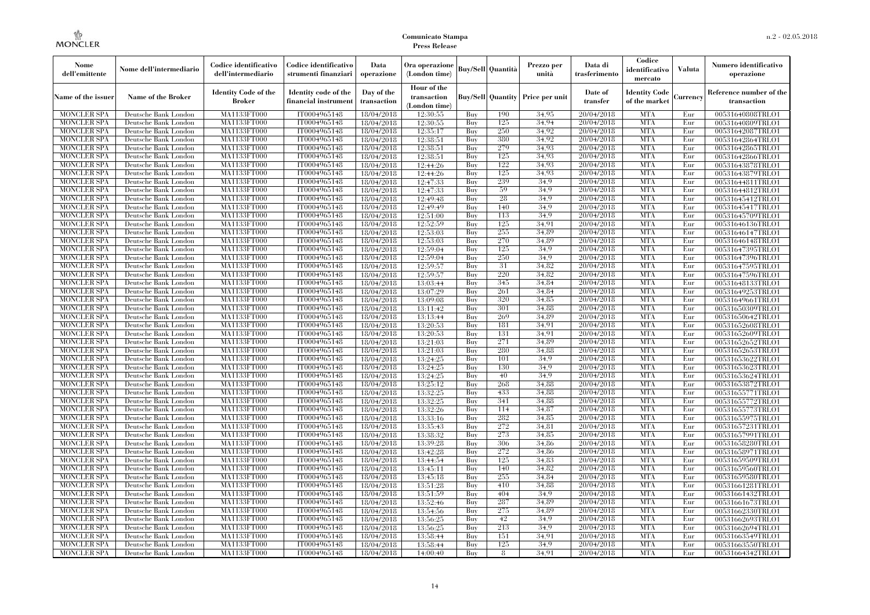| Nome<br>dell'emittente                   | Nome dell'intermediario                      | Codice identificativo<br>dell'intermediario  | Codice identificativo<br>strumenti finanziari | Data<br>operazione        | Ora operazione<br>(London time)             |            | <b>Buy/Sell</b> Quantità | Prezzo per<br>unità | Data di<br>trasferimento | Codice<br>identificativo<br>mercato   | <b>Valuta</b> | Numero identificativo<br>operazione    |
|------------------------------------------|----------------------------------------------|----------------------------------------------|-----------------------------------------------|---------------------------|---------------------------------------------|------------|--------------------------|---------------------|--------------------------|---------------------------------------|---------------|----------------------------------------|
| Name of the issuer                       | <b>Name of the Broker</b>                    | <b>Identity Code of the</b><br><b>Broker</b> | Identity code of the<br>financial instrumen   | Day of the<br>transaction | Hour of the<br>transaction<br>(London time) |            | <b>Buy/Sell Quantity</b> | Price per unit      | Date of<br>transfer      | <b>Identity Code</b><br>of the market | Currency      | Reference number of the<br>transaction |
| <b>MONCLER SPA</b>                       | Deutsche Bank London                         | MA1133FT000                                  | IT0004965148                                  | 18/04/2018                | 12:30:55                                    | Buy        | 190                      | 34.95               | 20/04/2018               | <b>MTA</b>                            | Eur           | 00531640808TRLO1                       |
| <b>MONCLER SPA</b>                       | Deutsche Bank London                         | MA1133FT000                                  | IT0004965148                                  | 18/04/2018                | 12:30:55                                    | Buy        | 125                      | 34.94               | 20/04/2018               | <b>MTA</b>                            | Eur           | 00531640809TRLO1                       |
| <b>MONCLER SPA</b>                       | Deutsche Bank London                         | <b>MA1133FT000</b>                           | IT0004965148                                  | 18/04/2018                | 12:35:17                                    | Buy        | 250                      | 34.92               | 20/04/2018               | <b>MTA</b>                            | Eur           | 00531642087TRLO1                       |
| <b>MONCLER SPA</b>                       | Deutsche Bank London                         | MA1133FT000                                  | IT0004965148                                  | 18/04/2018                | 12:38:51                                    | Buy        | 380<br>279               | 34.92               | 20/04/2018               | <b>MTA</b><br><b>MTA</b>              | Eur           | 00531642864TRLO1                       |
| <b>MONCLER SPA</b><br><b>MONCLER SPA</b> | Deutsche Bank London                         | MA1133FT000<br>MA1133FT000                   | IT0004965148<br>IT0004965148                  | 18/04/2018                | 12:38:51                                    | Buy<br>Buy | 125                      | 34.93<br>34.93      | 20/04/2018<br>20/04/2018 | <b>MTA</b>                            | Eur<br>Eur    | 00531642865TRLO1                       |
| <b>MONCLER SPA</b>                       | Deutsche Bank London<br>Deutsche Bank London | <b>MA1133FT000</b>                           | IT0004965148                                  | 18/04/2018<br>18/04/2018  | 12:38:51<br>12:44:26                        | Buy        | 122                      | 34.93               | 20/04/2018               | <b>MTA</b>                            | Eur           | 00531642866TRLO1<br>00531643878TRLO1   |
| <b>MONCLER SPA</b>                       | Deutsche Bank London                         | <b>MA1133FT000</b>                           | IT0004965148                                  | 18/04/2018                | 12:44:26                                    | Buy        | 125                      | 34.93               | 20/04/2018               | <b>MTA</b>                            | Eur           | 00531643879TRLO1                       |
| <b>MONCLER SPA</b>                       | Deutsche Bank London                         | MA1133FT000                                  | IT0004965148                                  | 18/04/2018                | 12:47:33                                    | Buy        | 239                      | 34,9                | 20/04/2018               | <b>MTA</b>                            | Eur           | 00531644811TRLO1                       |
| <b>MONCLER SPA</b>                       | Deutsche Bank London                         | MA1133FT000                                  | IT0004965148                                  | 18/04/2018                | 12:47:33                                    | Buy        | 59                       | 34.9                | 20/04/2018               | <b>MTA</b>                            | Eur           | 00531644812TRLO1                       |
| <b>MONCLER SPA</b>                       | Deutsche Bank London                         | <b>MA1133FT000</b>                           | IT0004965148                                  | 18/04/2018                | 12:49:48                                    | Buy        | 28                       | 34.9                | 20/04/2018               | <b>MTA</b>                            | Eur           | 00531645412TRLO1                       |
| <b>MONCLER SPA</b>                       | Deutsche Bank London                         | <b>MA1133FT000</b>                           | IT0004965148                                  | 18/04/2018                | 12:49:49                                    | Buy        | 140                      | 34.9                | 20/04/2018               | <b>MTA</b>                            | Eur           | 00531645417TRLO1                       |
| <b>MONCLER SPA</b>                       | Deutsche Bank London                         | MA1133FT000                                  | IT0004965148                                  | 18/04/2018                | 12:51:00                                    | Buy        | 113                      | 34.9                | 20/04/2018               | <b>MTA</b>                            | Eur           | 00531645709TRLO1                       |
| <b>MONCLER SPA</b>                       | Deutsche Bank London                         | MA1133FT000                                  | IT0004965148                                  | 18/04/2018                | 12:52:59                                    | Buy        | 125                      | 34.91               | 20/04/2018               | <b>MTA</b>                            | Eur           | 00531646136TRLO1                       |
| <b>MONCLER SPA</b>                       | Deutsche Bank London                         | <b>MA1133FT000</b>                           | IT0004965148                                  | 18/04/2018                | 12:53:03                                    | Buy        | 255                      | 34,89               | 20/04/2018               | <b>MTA</b>                            | Eur           | 00531646147TRLO1                       |
| <b>MONCLER SPA</b>                       | Deutsche Bank London                         | <b>MA1133FT000</b>                           | IT0004965148                                  | 18/04/2018                | 12:53:03                                    | Buy        | 270                      | 34.89               | 20/04/2018               | <b>MTA</b>                            | Eur           | 00531646148TRLO1                       |
| <b>MONCLER SPA</b>                       | Deutsche Bank London                         | MA1133FT000                                  | IT0004965148                                  | 18/04/2018                | 12:59:04                                    | Buy        | 125                      | 34.9                | 20/04/2018               | <b>MTA</b>                            | Eur           | 00531647395TRLO1                       |
| <b>MONCLER SPA</b>                       | Deutsche Bank London                         | MA1133FT000                                  | IT0004965148                                  | 18/04/2018                | 12:59:04                                    | Buy        | 250                      | 34.9                | 20/04/2018               | <b>MTA</b>                            | Eur           | 00531647396TRLO1                       |
| <b>MONCLER SPA</b>                       | Deutsche Bank London                         | <b>MA1133FT000</b>                           | IT0004965148                                  | 18/04/2018                | 12:59:57                                    | Buy        | -31                      | 34,82               | 20/04/2018               | <b>MTA</b>                            | Eur           | 00531647595TRLO1                       |
| <b>MONCLER SPA</b>                       | Deutsche Bank London                         | <b>MA1133FT000</b>                           | IT0004965148                                  | 18/04/2018                | 12:59:57                                    | Buy        | 220                      | 34.82               | 20/04/2018               | <b>MTA</b>                            | Eur           | 00531647596TRLO1                       |
| <b>MONCLER SPA</b>                       | Deutsche Bank London                         | MA1133FT000                                  | IT0004965148                                  | 18/04/2018                | 13:03:44                                    | Buy        | 345                      | 34,84               | 20/04/2018               | <b>MTA</b>                            | Eur           | 00531648133TRLO1                       |
| <b>MONCLER SPA</b>                       | Deutsche Bank London                         | <b>MA1133FT000</b>                           | IT0004965148                                  | 18/04/2018                | 13:07:29                                    | Buy        | 261                      | 34,84               | 20/04/2018               | <b>MTA</b>                            | Eur           | 00531649253TRLO1                       |
| MONCLER SPA                              | Deutsche Bank London                         | <b>MA1133FT000</b>                           | IT0004965148                                  | 18/04/2018                | 13:09:08                                    | Buy        | 320                      | 34.85               | 20/04/2018               | <b>MTA</b>                            | Eur           | 00531649661TRLO1                       |
| <b>MONCLER SPA</b>                       | Deutsche Bank London                         | MA1133FT000                                  | IT0004965148                                  | 18/04/2018                | 13:11:42                                    | Buy        | 301                      | 34.88               | 20/04/2018               | <b>MTA</b>                            | Eur           | 00531650309TRLO1                       |
| <b>MONCLER SPA</b>                       | Deutsche Bank London                         | MA1133FT000                                  | IT0004965148                                  | 18/04/2018                | 13:13:44                                    | Buy        | 269                      | 34.89               | 20/04/2018               | <b>MTA</b>                            | Eur           | 00531650642TRLO1                       |
| <b>MONCLER SPA</b>                       | Deutsche Bank London                         | <b>MA1133FT000</b>                           | IT0004965148                                  | 18/04/2018                | 13:20:53                                    | Buy        | 181                      | 34,91               | 20/04/2018               | <b>MTA</b>                            | Eur           | 00531652608TRLO1                       |
| MONCLER SPA                              | Deutsche Bank London                         | <b>MA1133FT000</b>                           | IT0004965148                                  | 18/04/2018                | 13:20:53                                    | Buy        | 131                      | 34,91               | 20/04/2018               | <b>MTA</b>                            | Eur           | 00531652609TRLO1                       |
| <b>MONCLER SPA</b>                       | Deutsche Bank London                         | MA1133FT000                                  | IT0004965148                                  | 18/04/2018                | 13:21:03                                    | Buy        | 271                      | 34.89               | 20/04/2018               | <b>MTA</b>                            | Eur           | 00531652652TRLO1                       |
| <b>MONCLER SPA</b>                       | Deutsche Bank London                         | MA1133FT000                                  | IT0004965148                                  | 18/04/2018                | 13:21:03                                    | Buy        | 280                      | 34.88               | 20/04/2018               | <b>MTA</b>                            | Eur           | 00531652653TRLO1                       |
| <b>MONCLER SPA</b>                       | Deutsche Bank London                         | MA1133FT000                                  | IT0004965148                                  | 18/04/2018                | 13:24:25                                    | Buy        | 101                      | 34.9                | 20/04/2018               | <b>MTA</b>                            | Eur           | 00531653622TRLO1                       |
| <b>MONCLER SPA</b>                       | Deutsche Bank London                         | <b>MA1133FT000</b>                           | IT0004965148                                  | 18/04/2018                | 13:24:25                                    | Buy        | 130                      | 34,9                | 20/04/2018               | <b>MTA</b>                            | Eur           | 00531653623TRLO1                       |
| <b>MONCLER SPA</b>                       | Deutsche Bank London                         | MA1133FT000                                  | IT0004965148                                  | 18/04/2018                | 13:24:25                                    | Buy        | 40                       | 34.9                | 20/04/2018               | <b>MTA</b>                            | Eur           | 00531653624TRLO1                       |
| <b>MONCLER SPA</b>                       | Deutsche Bank London                         | MA1133FT000                                  | IT0004965148                                  | 18/04/2018                | 13:25:12                                    | Buy        | 268                      | 34.88               | 20/04/2018               | <b>MTA</b>                            | Eur           | 00531653872TRLO1                       |
| <b>MONCLER SPA</b>                       | Deutsche Bank London                         | <b>MA1133FT000</b>                           | IT0004965148                                  | 18/04/2018                | 13:32:25                                    | Buy        | 433                      | 34,88               | 20/04/2018               | <b>MTA</b>                            | Eur           | 00531655771TRLO1                       |
| <b>MONCLER SPA</b>                       | Deutsche Bank London                         | <b>MA1133FT000</b>                           | IT0004965148                                  | 18/04/2018                | 13:32:25                                    | Buy        | 341                      | 34,88               | 20/04/2018               | <b>MTA</b>                            | Eur           | 00531655772TRLO1                       |
| <b>MONCLER SPA</b>                       | Deutsche Bank London                         | MA1133FT000                                  | IT0004965148                                  | 18/04/2018                | 13:32:26                                    | Buy        | 114                      | 34,87               | 20/04/2018               | <b>MTA</b>                            | Eur           | 00531655773TRLO1                       |
| <b>MONCLER SPA</b>                       | Deutsche Bank London                         | MA1133FT000                                  | IT0004965148                                  | 18/04/2018                | 13:33:16                                    | Buy        | 282                      | 34.85               | 20/04/2018               | <b>MTA</b>                            | Eur           | 00531655975TRLO1                       |
| <b>MONCLER SPA</b>                       | Deutsche Bank London                         | <b>MA1133FT000</b>                           | IT0004965148                                  | 18/04/2018                | 13:35:43                                    | Buy        | 272                      | 34,81               | 20/04/2018               | <b>MTA</b>                            | Eur           | 00531657231TRLO1                       |
| <b>MONCLER SPA</b>                       | Deutsche Bank London                         | <b>MA1133FT000</b><br><b>MA1133FT000</b>     | IT0004965148                                  | 18/04/2018                | 13:38:32                                    | Buy        | 273<br>306               | 34,85               | 20/04/2018               | <b>MTA</b><br><b>MTA</b>              | Eur           | 00531657991TRLO1                       |
| <b>MONCLER SPA</b>                       | Deutsche Bank London                         |                                              | IT0004965148                                  | 18/04/2018                | 13:39:28                                    | Buy        | 272                      | 34.86               | 20/04/2018               | <b>MTA</b>                            | Eur           | 00531658280TRLO1                       |
| <b>MONCLER SPA</b><br><b>MONCLER SPA</b> | Deutsche Bank London                         | MA1133FT000<br>MA1133FT000                   | IT0004965148<br>IT0004965148                  | 18/04/2018                | 13:42:28                                    | Buy        | 125                      | 34.86<br>34.83      | 20/04/2018<br>20/04/2018 | <b>MTA</b>                            | Eur<br>Eur    | 00531658971TRLO1<br>00531659509TRLO1   |
| <b>MONCLER SPA</b>                       | Deutsche Bank London<br>Deutsche Bank London | <b>MA1133FT000</b>                           | IT0004965148                                  | 18/04/2018<br>18/04/2018  | 13:44:54<br>13:45:11                        | Buy<br>Buy | 140                      | 34,82               | 20/04/2018               | MTA                                   | Eur           | 00531659560TRLO1                       |
| <b>MONCLER SPA</b>                       | Deutsche Bank London                         | MA1133FT000                                  | IT0004965148                                  | 18/04/2018                | 13:45:18                                    | Buy        | 255                      | 34.84               | 20/04/2018               | <b>MTA</b>                            | Eur           | 00531659580TRLO1                       |
| <b>MONCLER SPA</b>                       | Deutsche Bank London                         | MA1133FT000                                  | IT0004965148                                  | 18/04/2018                | 13:51:28                                    | Buy        | 410                      | 34.88               | 20/04/2018               | <b>MTA</b>                            | Eur           | 00531661281TRLO1                       |
| <b>MONCLER SPA</b>                       | Deutsche Bank London                         | MA1133FT000                                  | IT0004965148                                  | 18/04/2018                | 13:51:59                                    | Buy        | 404                      | 34.9                | 20/04/2018               | <b>MTA</b>                            | Eur           | 00531661432TRLO1                       |
| <b>MONCLER SPA</b>                       | Deutsche Bank London                         | <b>MA1133FT000</b>                           | IT0004965148                                  | 18/04/2018                | 13:52:46                                    | Buy        | 287                      | 34.89               | 20/04/2018               | <b>MTA</b>                            | Eur           | 00531661673TRLO1                       |
| <b>MONCLER SPA</b>                       | Deutsche Bank London                         | MA1133FT000                                  | IT0004965148                                  | 18/04/2018                | 13:54:56                                    | Buy        | 275                      | 34.89               | 20/04/2018               | <b>MTA</b>                            | Eur           | 00531662330TRLO1                       |
| <b>MONCLER SPA</b>                       | Deutsche Bank London                         | MA1133FT000                                  | IT0004965148                                  | 18/04/2018                | 13:56:25                                    | Buy        | 42                       | 34.9                | 20/04/2018               | <b>MTA</b>                            | Eur           | 00531662693TRLO1                       |
| <b>MONCLER SPA</b>                       | Deutsche Bank London                         | MA1133FT000                                  | IT0004965148                                  | 18/04/2018                | 13:56:25                                    | Buy        | 213                      | 34.9                | 20/04/2018               | <b>MTA</b>                            | Eur           | 00531662694TRLO1                       |
| MONCLER SPA                              | Deutsche Bank London                         | <b>MA1133FT000</b>                           | IT0004965148                                  | 18/04/2018                | 13:58:44                                    | Buy        | 151                      | 34.91               | 20/04/2018               | <b>MTA</b>                            | Eur           | 00531663549TRLO1                       |
| <b>MONCLER SPA</b>                       | Deutsche Bank London                         | MA1133FT000                                  | IT0004965148                                  | 18/04/2018                | 13:58:44                                    | Buy        | 125                      | 34.9                | 20/04/2018               | <b>MTA</b>                            | Eur           | 00531663550TRLO1                       |
| <b>MONCLER SPA</b>                       | Deutsche Bank London                         | MA1133FT000                                  | IT0004965148                                  | 18/04/2018                | 14:00:40                                    | Buy        | 8                        | 34.91               | 20/04/2018               | <b>MTA</b>                            | Eur           | 00531664342TRLO1                       |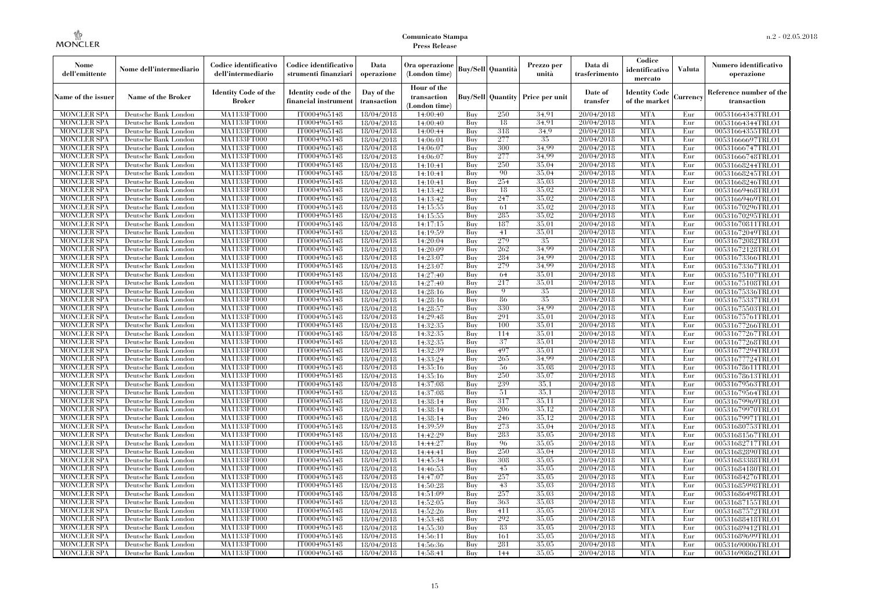| Nome<br>dell'emittente                   | Nome dell'intermediario                      | Codice identificativo<br>dell'intermediario  | Codice identificativo<br>strumenti finanziari | Data<br>operazione        | Ora operazione<br>(London time)             |            | <b>Buy/Sell Quantità</b> | Prezzo per<br>unità                     | Data di<br>trasferimento | Codice<br>identificativo<br>mercato   | <b>Valuta</b> | Numero identificativo<br>operazione    |
|------------------------------------------|----------------------------------------------|----------------------------------------------|-----------------------------------------------|---------------------------|---------------------------------------------|------------|--------------------------|-----------------------------------------|--------------------------|---------------------------------------|---------------|----------------------------------------|
| Name of the issuer                       | Name of the Broker                           | <b>Identity Code of the</b><br><b>Broker</b> | Identity code of the<br>financial instrumen   | Day of the<br>transaction | Hour of the<br>transaction<br>(London time) |            |                          | <b>Buy/Sell Quantity Price per unit</b> | Date of<br>transfer      | <b>Identity Code</b><br>of the market | Currency      | Reference number of the<br>transaction |
| <b>MONCLER SPA</b>                       | Deutsche Bank London                         | MA1133FT000                                  | IT0004965148                                  | 18/04/2018                | 14:00:40                                    | Buy        | 250                      | 34.91                                   | 20/04/2018               | <b>MTA</b>                            | Eur           | 00531664343TRLO1                       |
| <b>MONCLER SPA</b>                       | Deutsche Bank London                         | MA1133FT000                                  | IT0004965148                                  | 18/04/2018                | 14:00:40                                    | Buy        | 18                       | 34.91                                   | 20/04/2018               | <b>MTA</b>                            | Eur           | 00531664344TRLO1                       |
| <b>MONCLER SPA</b>                       | Deutsche Bank London                         | MA1133FT000                                  | IT0004965148                                  | 18/04/2018                | 14:00:44                                    | Buy        | 318                      | 34.9<br>35                              | 20/04/2018               | <b>MTA</b><br><b>MTA</b>              | Eur           | 00531664355TRLO1                       |
| <b>MONCLER SPA</b><br><b>MONCLER SPA</b> | Deutsche Bank London<br>Deutsche Bank London | MA1133FT000<br>MA1133FT000                   | IT0004965148<br>IT0004965148                  | 18/04/2018<br>18/04/2018  | 14:06:01<br>14:06:07                        | Buy<br>Buy | 277<br>300               | 34.99                                   | 20/04/2018<br>20/04/2018 | <b>MTA</b>                            | Eur<br>Eur    | 00531666697TRLO1<br>00531666747TRLO1   |
| <b>MONCLER SPA</b>                       | Deutsche Bank London                         | MA1133FT000                                  | IT0004965148                                  | 18/04/2018                | 14:06:07                                    | Buy        | 277                      | 34.99                                   | 20/04/2018               | <b>MTA</b>                            | Eur           | 00531666748TRLO1                       |
| <b>MONCLER SPA</b>                       | Deutsche Bank London                         | MA1133FT000                                  | IT0004965148                                  | 18/04/2018                | 14:10:41                                    | Buy        | 250                      | 35,04                                   | 20/04/2018               | <b>MTA</b>                            | Eur           | 00531668244TRLO1                       |
| <b>MONCLER SPA</b>                       | Deutsche Bank London                         | MA1133FT000                                  | IT0004965148                                  | 18/04/2018                | 14:10:41                                    | Buy        | 90                       | 35.04                                   | 20/04/2018               | <b>MTA</b>                            | Eur           | 00531668245TRLO1                       |
| <b>MONCLER SPA</b>                       | Deutsche Bank London                         | MA1133FT000                                  | IT0004965148                                  | 18/04/2018                | 14:10:41                                    | Buv        | 254                      | 35,03                                   | 20/04/2018               | <b>MTA</b>                            | Eur           | 00531668246TRLO1                       |
| <b>MONCLER SPA</b>                       | Deutsche Bank London                         | MA1133FT000                                  | IT0004965148                                  | 18/04/2018                | 14:13:42                                    | Buy        | 18                       | 35,02                                   | 20/04/2018               | <b>MTA</b>                            | Eur           | 00531669468TRLO1                       |
| <b>MONCLER SPA</b>                       | Deutsche Bank London                         | <b>MA1133FT000</b>                           | IT0004965148                                  | 18/04/2018                | 14:13:42                                    | Buy        | 247                      | 35,02                                   | 20/04/2018               | <b>MTA</b>                            | Eur           | 00531669469TRLO1                       |
| <b>MONCLER SPA</b>                       | Deutsche Bank London                         | <b>MA1133FT000</b>                           | IT0004965148                                  | 18/04/2018                | 14:15:55                                    | Buy        | 61                       | 35,02                                   | 20/04/2018               | <b>MTA</b>                            | Eur           | 00531670296TRLO1                       |
| <b>MONCLER SPA</b>                       | Deutsche Bank London                         | <b>MA1133FT000</b>                           | IT0004965148                                  | 18/04/2018                | 14:15:55                                    | Buv        | 285                      | 35,02                                   | 20/04/2018               | <b>MTA</b>                            | Eur           | 00531670295TRLO1                       |
| <b>MONCLER SPA</b>                       | Deutsche Bank London                         | MA1133FT000                                  | IT0004965148                                  | 18/04/2018                | 14:17:15                                    | Buy        | 187                      | 35,01                                   | 20/04/2018               | <b>MTA</b>                            | Eur           | 00531670811TRLO1                       |
| <b>MONCLER SPA</b>                       | Deutsche Bank London                         | <b>MA1133FT000</b>                           | IT0004965148                                  | 18/04/2018                | 14:19:59                                    | Buy        | 41                       | 35,01                                   | 20/04/2018               | <b>MTA</b>                            | Eur           | 00531672049TRLO1                       |
| <b>MONCLER SPA</b>                       | Deutsche Bank London                         | MA1133FT000                                  | IT0004965148                                  | 18/04/2018                | 14:20:04                                    | Buy        | 279                      | 35                                      | 20/04/2018               | <b>MTA</b>                            | Eur           | 00531672082TRLO1                       |
| <b>MONCLER SPA</b>                       | Deutsche Bank London                         | MA1133FT000                                  | IT0004965148                                  | 18/04/2018                | 14:20:09                                    | Buv        | 262                      | 34.99                                   | 20/04/2018               | <b>MTA</b>                            | Eur           | 00531672128TRLO1                       |
| <b>MONCLER SPA</b>                       | Deutsche Bank London                         | MA1133FT000                                  | IT0004965148                                  | 18/04/2018                | 14:23:07                                    | Buy        | 284                      | 34.99                                   | 20/04/2018               | <b>MTA</b>                            | Eur           | 00531673366TRLO1                       |
| MONCLER SPA                              | Deutsche Bank London                         | <b>MA1133FT000</b>                           | IT0004965148                                  | 18/04/2018                | 14:23:07                                    | Buy        | 279                      | 34,99                                   | 20/04/2018               | <b>MTA</b>                            | Eur           | 00531673367TRLO1                       |
| <b>MONCLER SPA</b>                       | Deutsche Bank London                         | MA1133FT000                                  | IT0004965148                                  | 18/04/2018                | 14:27:40                                    | Buy        | 64                       | 35,01                                   | 20/04/2018               | <b>MTA</b>                            | Eur           | 00531675107TRLO1                       |
| <b>MONCLER SPA</b>                       | Deutsche Bank London                         | MA1133FT000                                  | IT0004965148                                  | 18/04/2018                | 14:27:40                                    | Buv        | 217                      | 35,01                                   | 20/04/2018               | <b>MTA</b>                            | Eur           | 00531675108TRLO1                       |
| <b>MONCLER SPA</b>                       | Deutsche Bank London                         | MA1133FT000                                  | IT0004965148                                  | 18/04/2018                | 14:28:16                                    | Buy        | 9                        | 35                                      | 20/04/2018               | <b>MTA</b>                            | Eur           | 00531675336TRLO1                       |
| <b>MONCLER SPA</b>                       | Deutsche Bank London                         | <b>MA1133FT000</b>                           | IT0004965148                                  | 18/04/2018                | 14:28:16                                    | Buy        | 86<br>330                | $35\,$<br>34.99                         | 20/04/2018               | <b>MTA</b><br><b>MTA</b>              | Eur           | 00531675337TRLO1                       |
| <b>MONCLER SPA</b><br><b>MONCLER SPA</b> | Deutsche Bank London<br>Deutsche Bank London | MA1133FT000<br>MA1133FT000                   | IT0004965148<br>IT0004965148                  | 18/04/2018<br>18/04/2018  | 14:28:57<br>14:29:48                        | Buy<br>Buy | 291                      | 35,01                                   | 20/04/2018<br>20/04/2018 | <b>MTA</b>                            | Eur<br>Eur    | 00531675503TRLO1<br>00531675761TRLO1   |
| <b>MONCLER SPA</b>                       | Deutsche Bank London                         | MA1133FT000                                  | IT0004965148                                  | 18/04/2018                | 14:32:35                                    | Buy        | 100                      | 35,01                                   | 20/04/2018               | <b>MTA</b>                            | Eur           | 00531677266TRLO1                       |
| <b>MONCLER SPA</b>                       | Deutsche Bank London                         | <b>MA1133FT000</b>                           | IT0004965148                                  | 18/04/2018                | 14:32:35                                    | Buy        | 114                      | 35,01                                   | 20/04/2018               | <b>MTA</b>                            | Eur           | 00531677267TRLO1                       |
| <b>MONCLER SPA</b>                       | Deutsche Bank London                         | MA1133FT000                                  | IT0004965148                                  | 18/04/2018                | 14:32:35                                    | Buy        | 37                       | 35,01                                   | 20/04/2018               | <b>MTA</b>                            | Eur           | 00531677268TRLO1                       |
| <b>MONCLER SPA</b>                       | Deutsche Bank London                         | MA1133FT000                                  | IT0004965148                                  | 18/04/2018                | 14:32:39                                    | Buy        | 497                      | 35,01                                   | 20/04/2018               | <b>MTA</b>                            | Eur           | 00531677294TRLO1                       |
| <b>MONCLER SPA</b>                       | Deutsche Bank London                         | <b>MA1133FT000</b>                           | IT0004965148                                  | 18/04/2018                | 14:33:24                                    | Buy        | 265                      | 34.99                                   | 20/04/2018               | <b>MTA</b>                            | Eur           | 00531677724TRLO1                       |
| MONCLER SPA                              | Deutsche Bank London                         | <b>MA1133FT000</b>                           | IT0004965148                                  | 18/04/2018                | 14:35:16                                    | Buy        | 56                       | 35,08                                   | 20/04/2018               | <b>MTA</b>                            | Eur           | 00531678611TRLO1                       |
| <b>MONCLER SPA</b>                       | Deutsche Bank London                         | MA1133FT000                                  | IT0004965148                                  | 18/04/2018                | 14:35:16                                    | Buy        | 250                      | 35,07                                   | 20/04/2018               | <b>MTA</b>                            | Eur           | 00531678613TRLO1                       |
| <b>MONCLER SPA</b>                       | Deutsche Bank London                         | MA1133FT000                                  | IT0004965148                                  | 18/04/2018                | 14:37:08                                    | Buy        | 239                      | 35.1                                    | 20/04/2018               | <b>MTA</b>                            | Eur           | 00531679563TRLO1                       |
| <b>MONCLER SPA</b>                       | Deutsche Bank London                         | MA1133FT000                                  | IT0004965148                                  | 18/04/2018                | 14:37:08                                    | Buy        | 51                       | 35,1                                    | 20/04/2018               | <b>MTA</b>                            | Eur           | 00531679564TRLO1                       |
| <b>MONCLER SPA</b>                       | Deutsche Bank London                         | <b>MA1133FT000</b>                           | IT0004965148                                  | 18/04/2018                | 14:38:14                                    | Buy        | 317                      | 35,11                                   | 20/04/2018               | <b>MTA</b>                            | Eur           | 00531679969TRLO1                       |
| <b>MONCLER SPA</b>                       | Deutsche Bank London                         | MA1133FT000                                  | IT0004965148                                  | 18/04/2018                | 14:38:14                                    | Buy        | 206                      | 35.12                                   | 20/04/2018               | <b>MTA</b>                            | Eur           | 00531679970TRLO1                       |
| <b>MONCLER SPA</b>                       | Deutsche Bank London                         | MA1133FT000                                  | IT0004965148                                  | 18/04/2018                | 14:38:14                                    | Buy        | 246                      | 35.12                                   | 20/04/2018               | <b>MTA</b>                            | Eur           | 00531679971TRLO1                       |
| <b>MONCLER SPA</b>                       | Deutsche Bank London                         | <b>MA1133FT000</b>                           | IT0004965148                                  | 18/04/2018                | 14:39:59                                    | Buy        | 273                      | 35,04                                   | 20/04/2018               | <b>MTA</b>                            | Eur           | 00531680753TRLO1                       |
| <b>MONCLER SPA</b>                       | Deutsche Bank London                         | <b>MA1133FT000</b>                           | IT0004965148                                  | 18/04/2018                | 14:42:29                                    | Buy        | 283                      | 35,05                                   | 20/04/2018               | <b>MTA</b>                            | Eur           | 00531681567TRLO1                       |
| <b>MONCLER SPA</b>                       | Deutsche Bank London                         | MA1133FT000                                  | IT0004965148                                  | 18/04/2018                | 14:44:27                                    | Buy        | 96                       | 35,05                                   | 20/04/2018               | <b>MTA</b>                            | Eur           | 00531682717TRLO1                       |
| <b>MONCLER SPA</b>                       | Deutsche Bank London                         | MA1133FT000                                  | IT0004965148                                  | 18/04/2018                | 14:44:41                                    | Buy        | 250                      | 35,04                                   | 20/04/2018               | <b>MTA</b>                            | Eur           | 00531682890TRLO1                       |
| <b>MONCLER SPA</b>                       | Deutsche Bank London                         | MA1133FT000                                  | IT0004965148                                  | 18/04/2018                | 14:45:34                                    | Buy        | 308                      | 35,05<br>35,05                          | 20/04/2018               | <b>MTA</b>                            | Eur           | 00531683388TRLO1                       |
| MONCLER SPA<br><b>MONCLER SPA</b>        | Deutsche Bank London<br>Deutsche Bank London | <b>MA1133FT000</b><br>MA1133FT000            | IT0004965148<br>IT0004965148                  | 18/04/2018                | 14:46:53                                    | Buy<br>Buy | 45<br>257                | 35,05                                   | 20/04/2018<br>20/04/2018 | MTA<br><b>MTA</b>                     | Eur<br>Eur    | 00531684180TRLO1                       |
| <b>MONCLER SPA</b>                       | Deutsche Bank London                         | MA1133FT000                                  | IT0004965148                                  | 18/04/2018<br>18/04/2018  | 14:47:07<br>14:50:28                        | Buy        | 43                       | 35,03                                   | 20/04/2018               | <b>MTA</b>                            | Eur           | 00531684276TRLO1<br>00531685998TRLO1   |
| <b>MONCLER SPA</b>                       | Deutsche Bank London                         | MA1133FT000                                  | IT0004965148                                  | 18/04/2018                | 14:51:09                                    | Buy        | 257                      | 35,03                                   | 20/04/2018               | <b>MTA</b>                            | Eur           | 00531686498TRLO1                       |
| <b>MONCLER SPA</b>                       | Deutsche Bank London                         | <b>MA1133FT000</b>                           | IT0004965148                                  | 18/04/2018                | 14:52:05                                    | Buy        | 363                      | 35,03                                   | 20/04/2018               | <b>MTA</b>                            | Eur           | 00531687155TRLO1                       |
| <b>MONCLER SPA</b>                       | Deutsche Bank London                         | MA1133FT000                                  | IT0004965148                                  | 18/04/2018                | 14:52:26                                    | Buy        | 411                      | 35,05                                   | 20/04/2018               | <b>MTA</b>                            | Eur           | 00531687572TRLO1                       |
| <b>MONCLER SPA</b>                       | Deutsche Bank London                         | MA1133FT000                                  | IT0004965148                                  | 18/04/2018                | 14:53:48                                    | Buy        | 292                      | 35,05                                   | 20/04/2018               | <b>MTA</b>                            | Eur           | 00531688418TRLO1                       |
| <b>MONCLER SPA</b>                       | Deutsche Bank London                         | MA1133FT000                                  | IT0004965148                                  | 18/04/2018                | 14:55:30                                    | Buy        | 83                       | 35,05                                   | 20/04/2018               | <b>MTA</b>                            | Eur           | 00531689412TRLO1                       |
| MONCLER SPA                              | Deutsche Bank London                         | <b>MA1133FT000</b>                           | IT0004965148                                  | 18/04/2018                | 14:56:11                                    | Buy        | 161                      | 35,05                                   | 20/04/2018               | <b>MTA</b>                            | Eur           | 00531689699TRLO1                       |
| <b>MONCLER SPA</b>                       | Deutsche Bank London                         | MA1133FT000                                  | IT0004965148                                  | 18/04/2018                | 14:56:36                                    | Buy        | 281                      | 35.05                                   | 20/04/2018               | <b>MTA</b>                            | Eur           | 00531690006TRLO1                       |
| <b>MONCLER SPA</b>                       | Deutsche Bank London                         | MA1133FT000                                  | IT0004965148                                  | 18/04/2018                | 14:58:41                                    | Buy        | 144                      | 35,05                                   | 20/04/2018               | <b>MTA</b>                            | Eur           | 00531690862TRLO1                       |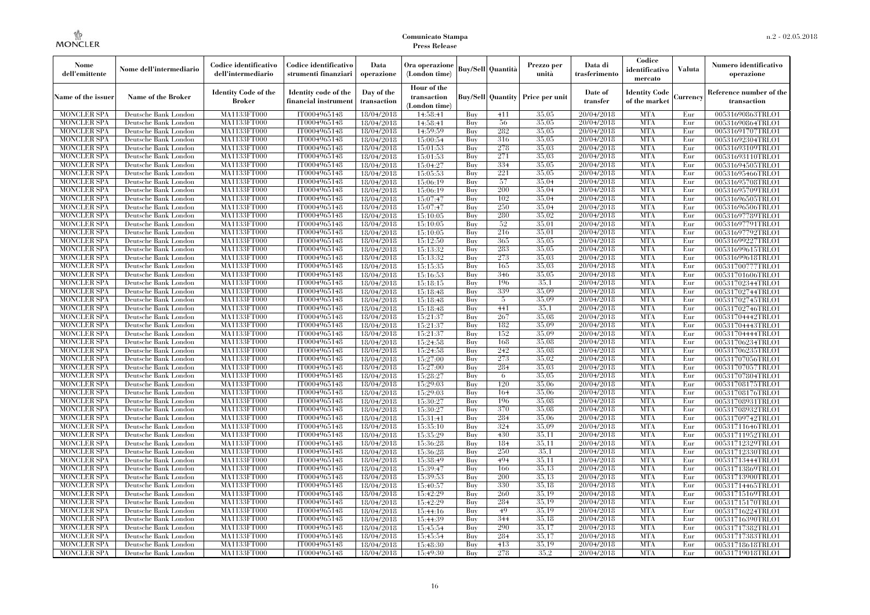| Nome<br>dell'emittente            | Nome dell'intermediario                      | Codice identificativo<br>dell'intermediario  | Codice identificativo<br>strumenti finanziari | Data<br>operazione        | Ora operazione<br>(London time)             |            | <b>Buy/Sell Quantità</b> | Prezzo per<br>unità                     | Data di<br>trasferimento | Codice<br>identificativo<br>mercato   | <b>Valuta</b> | Numero identificativo<br>operazione    |
|-----------------------------------|----------------------------------------------|----------------------------------------------|-----------------------------------------------|---------------------------|---------------------------------------------|------------|--------------------------|-----------------------------------------|--------------------------|---------------------------------------|---------------|----------------------------------------|
| Name of the issuer                | <b>Name of the Broker</b>                    | <b>Identity Code of the</b><br><b>Broker</b> | Identity code of the<br>financial instrumen   | Day of the<br>transaction | Hour of the<br>transaction<br>(London time) |            |                          | <b>Buy/Sell Quantity Price per unit</b> | Date of<br>transfer      | <b>Identity Code</b><br>of the market | Currency      | Reference number of the<br>transaction |
| <b>MONCLER SPA</b>                | Deutsche Bank London                         | MA1133FT000                                  | IT0004965148                                  | 18/04/2018                | 14:58:41                                    | Buy        | 411                      | 35,05                                   | 20/04/2018               | <b>MTA</b>                            | Eur           | 00531690863TRLO1                       |
| <b>MONCLER SPA</b>                | Deutsche Bank London                         | MA1133FT000                                  | IT0004965148                                  | 18/04/2018                | 14:58:41                                    | Buy        | 56                       | 35,05                                   | 20/04/2018               | <b>MTA</b>                            | Eur           | 00531690864TRLO1                       |
| <b>MONCLER SPA</b>                | Deutsche Bank London                         | <b>MA1133FT000</b>                           | IT0004965148                                  | 18/04/2018                | 14:59:59                                    | Buy        | 282                      | 35,05                                   | 20/04/2018               | <b>MTA</b>                            | Eur           | 00531691707TRLO1                       |
| <b>MONCLER SPA</b>                | Deutsche Bank London                         | MA1133FT000                                  | IT0004965148                                  | 18/04/2018                | 15:00:54                                    | Buy        | 316                      | 35,05                                   | 20/04/2018               | <b>MTA</b>                            | Eur           | 00531692304TRLO1                       |
| <b>MONCLER SPA</b>                | Deutsche Bank London                         | MA1133FT000                                  | IT0004965148                                  | 18/04/2018                | 15:01:53                                    | Buy        | 278                      | 35,03                                   | 20/04/2018               | <b>MTA</b>                            | Eur           | 00531693109TRLO1                       |
| <b>MONCLER SPA</b>                | Deutsche Bank London                         | MA1133FT000                                  | IT0004965148                                  | 18/04/2018                | 15:01:53                                    | Buy        | 271                      | 35,03                                   | 20/04/2018               | <b>MTA</b>                            | Eur           | 00531693110TRLO1                       |
| <b>MONCLER SPA</b>                | Deutsche Bank London                         | <b>MA1133FT000</b>                           | IT0004965148                                  | 18/04/2018                | 15:04:27                                    | Buy        | 334                      | 35,05                                   | 20/04/2018               | <b>MTA</b>                            | Eur           | 00531694505TRLO1                       |
| <b>MONCLER SPA</b>                | Deutsche Bank London                         | <b>MA1133FT000</b>                           | IT0004965148                                  | 18/04/2018                | 15:05:53                                    | Buy        | 221                      | 35,05                                   | 20/04/2018               | <b>MTA</b>                            | Eur           | 00531695466TRLO1                       |
| <b>MONCLER SPA</b>                | Deutsche Bank London                         | MA1133FT000                                  | IT0004965148                                  | 18/04/2018                | 15:06:19                                    | Buy        | 57                       | 35,04                                   | 20/04/2018               | <b>MTA</b>                            | Eur           | 00531695708TRLO1                       |
| <b>MONCLER SPA</b>                | Deutsche Bank London                         | MA1133FT000                                  | IT0004965148                                  | 18/04/2018                | 15:06:19                                    | Buy        | 200                      | 35,04                                   | 20/04/2018               | <b>MTA</b>                            | Eur           | 00531695709TRLO1                       |
| <b>MONCLER SPA</b>                | Deutsche Bank London                         | <b>MA1133FT000</b>                           | IT0004965148                                  | 18/04/2018                | 15:07:47                                    | Buy        | 102                      | 35,04                                   | 20/04/2018               | <b>MTA</b>                            | Eur           | 00531696505TRLO1                       |
| <b>MONCLER SPA</b>                | Deutsche Bank London                         | <b>MA1133FT000</b>                           | IT0004965148                                  | 18/04/2018                | 15:07:47                                    | Buy        | 250                      | 35,04<br>35,02                          | 20/04/2018               | <b>MTA</b>                            | Eur           | 00531696506TRLO1                       |
| <b>MONCLER SPA</b>                | Deutsche Bank London                         | MA1133FT000                                  | IT0004965148                                  | 18/04/2018                | 15:10:05                                    | Buy        | 280                      | 35,01                                   | 20/04/2018               | <b>MTA</b>                            | Eur           | 00531697789TRLO1                       |
| <b>MONCLER SPA</b>                | Deutsche Bank London                         | MA1133FT000                                  | IT0004965148                                  | 18/04/2018                | 15:10:05                                    | Buy        | 52                       |                                         | 20/04/2018               | <b>MTA</b>                            | Eur           | 00531697791TRLO1                       |
| <b>MONCLER SPA</b>                | Deutsche Bank London                         | <b>MA1133FT000</b>                           | IT0004965148                                  | 18/04/2018                | 15:10:05                                    | Buy        | 216                      | 35,01                                   | 20/04/2018               | <b>MTA</b>                            | Eur           | 00531697792TRLO1                       |
| <b>MONCLER SPA</b>                | Deutsche Bank London                         | <b>MA1133FT000</b>                           | IT0004965148                                  | 18/04/2018                | 15:12:50                                    | Buy        | 365                      | 35,05<br>35,05                          | 20/04/2018               | <b>MTA</b>                            | Eur           | 00531699227TRLO1                       |
| <b>MONCLER SPA</b>                | Deutsche Bank London                         | MA1133FT000                                  | IT0004965148                                  | 18/04/2018                | 15:13:32                                    | Buy        | 283                      | 35,03                                   | 20/04/2018               | <b>MTA</b>                            | Eur           | 00531699615TRLO1                       |
| <b>MONCLER SPA</b>                | Deutsche Bank London                         | MA1133FT000                                  | IT0004965148                                  | 18/04/2018                | 15:13:32                                    | Buy        | 273                      | 35,03                                   | 20/04/2018               | <b>MTA</b>                            | Eur           | 00531699618TRLO1                       |
| <b>MONCLER SPA</b>                | Deutsche Bank London                         | <b>MA1133FT000</b><br><b>MA1133FT000</b>     | IT0004965148                                  | 18/04/2018                | 15:15:35                                    | Buy        | 165<br>346               | 35,05                                   | 20/04/2018               | <b>MTA</b><br><b>MTA</b>              | Eur           | 00531700777TRLO1                       |
| <b>MONCLER SPA</b>                | Deutsche Bank London                         |                                              | IT0004965148                                  | 18/04/2018                | 15:16:53                                    | Buy        |                          | 35.1                                    | 20/04/2018               | <b>MTA</b>                            | Eur           | 00531701606TRLO1                       |
| <b>MONCLER SPA</b>                | Deutsche Bank London                         | MA1133FT000<br>MA1133FT000                   | IT0004965148                                  | 18/04/2018                | 15:18:15                                    | Buy        | 196<br>339               | 35,09                                   | 20/04/2018<br>20/04/2018 | <b>MTA</b>                            | Eur           | 00531702344TRLO1                       |
| <b>MONCLER SPA</b>                | Deutsche Bank London                         |                                              | IT0004965148                                  | 18/04/2018                | 15:18:48                                    | Buy        |                          | 35,09                                   |                          | <b>MTA</b>                            | Eur           | 00531702744TRLO1                       |
| MONCLER SPA                       | Deutsche Bank London                         | <b>MA1133FT000</b>                           | IT0004965148                                  | 18/04/2018                | 15:18:48                                    | Buy        | 5                        | 35,1                                    | 20/04/2018               | <b>MTA</b>                            | Eur           | 00531702745TRLO1                       |
| <b>MONCLER SPA</b>                | Deutsche Bank London                         | MA1133FT000                                  | IT0004965148                                  | 18/04/2018                | 15:18:48                                    | Buy        | 441                      |                                         | 20/04/2018               |                                       | Eur           | 00531702746TRLO1                       |
| <b>MONCLER SPA</b>                | Deutsche Bank London                         | MA1133FT000                                  | IT0004965148                                  | 18/04/2018                | 15:21:37                                    | Buy        | 267                      | 35,08<br>35,09                          | 20/04/2018               | <b>MTA</b><br><b>MTA</b>              | Eur           | 00531704442TRLO1                       |
| <b>MONCLER SPA</b>                | Deutsche Bank London                         | <b>MA1133FT000</b>                           | IT0004965148                                  | 18/04/2018                | 15:21:37                                    | Buy        | 182<br>152               | 35,09                                   | 20/04/2018<br>20/04/2018 | <b>MTA</b>                            | Eur           | 00531704443TRLO1                       |
| MONCLER SPA<br><b>MONCLER SPA</b> | Deutsche Bank London<br>Deutsche Bank London | <b>MA1133FT000</b><br>MA1133FT000            | IT0004965148<br>IT0004965148                  | 18/04/2018                | 15:21:37                                    | Buy        | 168                      | 35,08                                   | 20/04/2018               | <b>MTA</b>                            | Eur<br>Eur    | 00531704444TRLO1                       |
| <b>MONCLER SPA</b>                | Deutsche Bank London                         | MA1133FT000                                  | IT0004965148                                  | 18/04/2018                | 15:24:58                                    | Buy<br>Buy | 242                      | 35,08                                   | 20/04/2018               | <b>MTA</b>                            | Eur           | 00531706234TRLO1                       |
| <b>MONCLER SPA</b>                | Deutsche Bank London                         | MA1133FT000                                  | IT0004965148                                  | 18/04/2018                | 15:24:58<br>15:27:00                        | Buy        | 273                      | 35,02                                   | 20/04/2018               | <b>MTA</b>                            | Eur           | 00531706235TRLO1<br>00531707056TRLO1   |
| <b>MONCLER SPA</b>                | Deutsche Bank London                         | <b>MA1133FT000</b>                           | IT0004965148                                  | 18/04/2018                |                                             | Buy        | 284                      | 35,03                                   | 20/04/2018               | <b>MTA</b>                            | Eur           |                                        |
| <b>MONCLER SPA</b>                | Deutsche Bank London                         | MA1133FT000                                  | IT0004965148                                  | 18/04/2018<br>18/04/2018  | 15:27:00<br>15:28:27                        | Buy        | 6                        | 35,05                                   | 20/04/2018               | <b>MTA</b>                            | Eur           | 00531707057TRLO1<br>00531707804TRLO1   |
| <b>MONCLER SPA</b>                | Deutsche Bank London                         | MA1133FT000                                  | IT0004965148                                  |                           | 15:29:03                                    | Buy        | 120                      | 35,06                                   | 20/04/2018               | <b>MTA</b>                            | Eur           | 00531708175TRLO1                       |
| <b>MONCLER SPA</b>                | Deutsche Bank London                         | <b>MA1133FT000</b>                           | IT0004965148                                  | 18/04/2018<br>18/04/2018  | 15:29:03                                    | Buy        | 164                      | 35,06                                   | 20/04/2018               | <b>MTA</b>                            | Eur           | 00531708176TRLO1                       |
| <b>MONCLER SPA</b>                | Deutsche Bank London                         | <b>MA1133FT000</b>                           | IT0004965148                                  | 18/04/2018                | 15:30:27                                    | Buy        | 196                      | 35,08                                   | 20/04/2018               | <b>MTA</b>                            | Eur           | 00531708931TRLO1                       |
| <b>MONCLER SPA</b>                | Deutsche Bank London                         | MA1133FT000                                  | IT0004965148                                  | 18/04/2018                | 15:30:27                                    | Buy        | 370                      | 35,08                                   | 20/04/2018               | <b>MTA</b>                            | Eur           | 00531708932TRLO1                       |
| <b>MONCLER SPA</b>                | Deutsche Bank London                         | MA1133FT000                                  | IT0004965148                                  | 18/04/2018                | 15:31:41                                    | Buy        | 284                      | 35,06                                   | 20/04/2018               | <b>MTA</b>                            | Eur           | 00531709742TRLO1                       |
| <b>MONCLER SPA</b>                | Deutsche Bank London                         | <b>MA1133FT000</b>                           | IT0004965148                                  | 18/04/2018                | 15:35:10                                    | Buy        | 324                      | 35,09                                   | 20/04/2018               | <b>MTA</b>                            | Eur           | 00531711646TRLO1                       |
| <b>MONCLER SPA</b>                | Deutsche Bank London                         | <b>MA1133FT000</b>                           | IT0004965148                                  | 18/04/2018                | 15:35:29                                    | Buy        | 430                      | 35,11                                   | 20/04/2018               | <b>MTA</b>                            | Eur           | 00531711952TRLO1                       |
| <b>MONCLER SPA</b>                | Deutsche Bank London                         | <b>MA1133FT000</b>                           | IT0004965148                                  | 18/04/2018                | 15:36:28                                    | Buy        | 184                      | 35,11                                   | 20/04/2018               | <b>MTA</b>                            | Eur           | 00531712329TRLO1                       |
| <b>MONCLER SPA</b>                | Deutsche Bank London                         | MA1133FT000                                  | IT0004965148                                  | 18/04/2018                | 15:36:28                                    | Buy        | 250                      | 35,1                                    | 20/04/2018               | <b>MTA</b>                            | Eur           | 00531712330TRLO1                       |
| <b>MONCLER SPA</b>                | Deutsche Bank London                         | MA1133FT000                                  | IT0004965148                                  | 18/04/2018                | 15:38:49                                    | Buy        | 494                      | 35.11                                   | 20/04/2018               | <b>MTA</b>                            | Eur           | 00531713444TRLO1                       |
| <b>MONCLER SPA</b>                | Deutsche Bank London                         | <b>MA1133FT000</b>                           | IT0004965148                                  | 18/04/2018                | 15:39:47                                    | Buy        | 166                      | 35,13                                   | 20/04/2018               | MTA                                   | Eur           | 00531713869TRLO1                       |
| <b>MONCLER SPA</b>                | Deutsche Bank London                         | MA1133FT000                                  | IT0004965148                                  | 18/04/2018                | 15:39:53                                    | Buy        | 200                      | 35,13                                   | 20/04/2018               | <b>MTA</b>                            | Eur           | 00531713900TRLO1                       |
| <b>MONCLER SPA</b>                | Deutsche Bank London                         | MA1133FT000                                  | IT0004965148                                  | 18/04/2018                | 15:40:57                                    | Buy        | 330                      | 35.18                                   | 20/04/2018               | <b>MTA</b>                            | Eur           | 00531714465TRLO1                       |
| <b>MONCLER SPA</b>                | Deutsche Bank London                         | MA1133FT000                                  | IT0004965148                                  | 18/04/2018                | 15:42:29                                    | Buy        | 260                      | 35.19                                   | 20/04/2018               | <b>MTA</b>                            | Eur           | 00531715169TRLO1                       |
| <b>MONCLER SPA</b>                | Deutsche Bank London                         | <b>MA1133FT000</b>                           | IT0004965148                                  | 18/04/2018                | 15:42:29                                    | Buy        | 284                      | 35,19                                   | 20/04/2018               | <b>MTA</b>                            | Eur           | 00531715170TRLO1                       |
| <b>MONCLER SPA</b>                | Deutsche Bank London                         | MA1133FT000                                  | IT0004965148                                  | 18/04/2018                | 15:44:16                                    | Buy        | 49                       | 35,19                                   | 20/04/2018               | <b>MTA</b>                            | Eur           | 00531716224TRLO1                       |
| <b>MONCLER SPA</b>                | Deutsche Bank London                         | MA1133FT000                                  | IT0004965148                                  | 18/04/2018                | 15:44:39                                    | Buy        | 344                      | 35.18                                   | 20/04/2018               | <b>MTA</b>                            | Eur           | 00531716390TRLO1                       |
| <b>MONCLER SPA</b>                | Deutsche Bank London                         | MA1133FT000                                  | IT0004965148                                  | 18/04/2018                | 15:45:54                                    | Buy        | 290                      | 35,17                                   | 20/04/2018               | <b>MTA</b>                            | Eur           | 00531717382TRLO1                       |
| MONCLER SPA                       | Deutsche Bank London                         | <b>MA1133FT000</b>                           | IT0004965148                                  | 18/04/2018                | 15:45:54                                    | Buy        | 284                      | 35,17                                   | 20/04/2018               | <b>MTA</b>                            | Eur           | 00531717383TRLO1                       |
| <b>MONCLER SPA</b>                | Deutsche Bank London                         | MA1133FT000                                  | IT0004965148                                  | 18/04/2018                | 15:48:30                                    | Buy        | 413                      | 35.19                                   | 20/04/2018               | <b>MTA</b>                            | Eur           | 00531718618TRLO1                       |
| <b>MONCLER SPA</b>                | Deutsche Bank London                         | MA1133FT000                                  | IT0004965148                                  | 18/04/2018                | 15:49:30                                    | Buy        | 278                      | 35.2                                    | 20/04/2018               | <b>MTA</b>                            | Eur           | 00531719018TRLO1                       |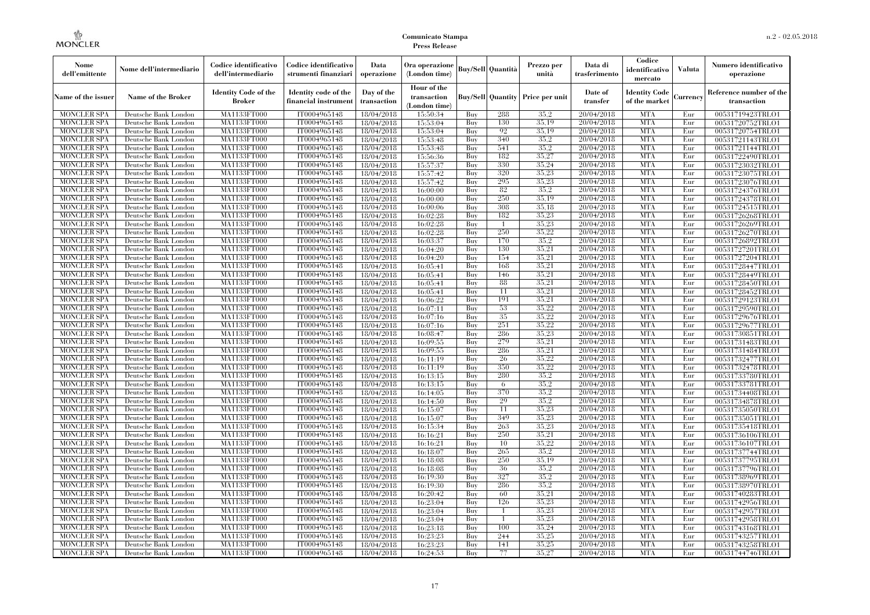| Nome<br>dell'emittente                   | Nome dell'intermediario                      | Codice identificativo<br>dell'intermediario  | Codice identificativo<br>strumenti finanziari | Data<br>operazione        | Ora operazione<br>(London time)             |                   | <b>Buy/Sell Quantità</b> | Prezzo per<br>unità                     | Data di<br>trasferimento | Codice<br>identificativo<br>mercato   | <b>Valuta</b> | Numero identificativo<br>operazione    |
|------------------------------------------|----------------------------------------------|----------------------------------------------|-----------------------------------------------|---------------------------|---------------------------------------------|-------------------|--------------------------|-----------------------------------------|--------------------------|---------------------------------------|---------------|----------------------------------------|
| Name of the issuer                       | Name of the Broker                           | <b>Identity Code of the</b><br><b>Broker</b> | Identity code of the<br>financial instrumen   | Day of the<br>transaction | Hour of the<br>transaction<br>(London time) |                   |                          | <b>Buy/Sell Quantity Price per unit</b> | Date of<br>transfer      | <b>Identity Code</b><br>of the market | Currency      | Reference number of the<br>transaction |
| <b>MONCLER SPA</b>                       | Deutsche Bank London                         | MA1133FT000                                  | IT0004965148                                  | 18/04/2018                | 15:50:34                                    | Buy               | 288                      | 35.2                                    | 20/04/2018               | <b>MTA</b>                            | Eur           | 00531719423TRLO1                       |
| <b>MONCLER SPA</b>                       | Deutsche Bank London                         | MA1133FT000                                  | IT0004965148                                  | 18/04/2018                | 15:53:04                                    | Buy               | 130                      | 35,19                                   | 20/04/2018               | <b>MTA</b>                            | Eur           | 00531720752TRLO1                       |
| <b>MONCLER SPA</b>                       | Deutsche Bank London                         | MA1133FT000                                  | IT0004965148                                  | 18/04/2018                | 15:53:04                                    | Buy               | 92                       | 35,19                                   | 20/04/2018               | <b>MTA</b>                            | Eur           | 00531720754TRLO1                       |
| <b>MONCLER SPA</b>                       | Deutsche Bank London                         | MA1133FT000<br>MA1133FT000                   | IT0004965148                                  | 18/04/2018                | 15:53:48                                    | Buy<br><b>Buy</b> | 340<br>541               | 35.2<br>35.2                            | 20/04/2018<br>20/04/2018 | <b>MTA</b><br><b>MTA</b>              | Eur<br>Eur    | 00531721143TRLO1                       |
| <b>MONCLER SPA</b><br><b>MONCLER SPA</b> | Deutsche Bank London<br>Deutsche Bank London | MA1133FT000                                  | IT0004965148<br>IT0004965148                  | 18/04/2018<br>18/04/2018  | 15:53:48<br>15:56:36                        | Buy               | 182                      | 35,27                                   | 20/04/2018               | <b>MTA</b>                            | Eur           | 00531721144TRLO1                       |
| <b>MONCLER SPA</b>                       | Deutsche Bank London                         | <b>MA1133FT000</b>                           | IT0004965148                                  | 18/04/2018                | 15:57:37                                    | Buy               | 330                      | 35,24                                   | 20/04/2018               | <b>MTA</b>                            | Eur           | 00531722490TRLO1<br>00531723032TRLO1   |
| <b>MONCLER SPA</b>                       | Deutsche Bank London                         | MA1133FT000                                  | IT0004965148                                  | 18/04/2018                | 15:57:42                                    | Buy               | 320                      | 35,23                                   | 20/04/2018               | <b>MTA</b>                            | Eur           | 00531723075TRLO1                       |
| <b>MONCLER SPA</b>                       | Deutsche Bank London                         | MA1133FT000                                  | IT0004965148                                  | 18/04/2018                | 15:57:42                                    | Buv               | 295                      | 35,23                                   | 20/04/2018               | <b>MTA</b>                            | Eur           | 00531723076TRLO1                       |
| <b>MONCLER SPA</b>                       | Deutsche Bank London                         | MA1133FT000                                  | IT0004965148                                  | 18/04/2018                | 16:00:00                                    | Buy               | 82                       | 35.2                                    | 20/04/2018               | <b>MTA</b>                            | Eur           | 00531724376TRLO1                       |
| <b>MONCLER SPA</b>                       | Deutsche Bank London                         | <b>MA1133FT000</b>                           | IT0004965148                                  | 18/04/2018                | 16:00:00                                    | Buy               | 250                      | 35,19                                   | 20/04/2018               | <b>MTA</b>                            | Eur           | 00531724378TRLO1                       |
| <b>MONCLER SPA</b>                       | Deutsche Bank London                         | MA1133FT000                                  | IT0004965148                                  | 18/04/2018                | 16:00:06                                    | Buy               | 308                      | 35.18                                   | 20/04/2018               | <b>MTA</b>                            | Eur           | 00531724515TRLO1                       |
| <b>MONCLER SPA</b>                       | Deutsche Bank London                         | <b>MA1133FT000</b>                           | IT0004965148                                  | 18/04/2018                | 16:02:28                                    | Buy               | 182                      | 35,23                                   | 20/04/2018               | <b>MTA</b>                            | Eur           | 00531726268TRLO1                       |
| <b>MONCLER SPA</b>                       | Deutsche Bank London                         | MA1133FT000                                  | IT0004965148                                  | 18/04/2018                | 16:02:28                                    | Buy               | $\overline{1}$           | 35,23                                   | 20/04/2018               | <b>MTA</b>                            | Eur           | 00531726269TRLO1                       |
| <b>MONCLER SPA</b>                       | Deutsche Bank London                         | <b>MA1133FT000</b>                           | IT0004965148                                  | 18/04/2018                | 16:02:28                                    | Buy               | 250                      | 35,22                                   | 20/04/2018               | <b>MTA</b>                            | Eur           | 00531726270TRLO1                       |
| <b>MONCLER SPA</b>                       | Deutsche Bank London                         | MA1133FT000                                  | IT0004965148                                  | 18/04/2018                | 16:03:37                                    | Buy               | 170                      | 35.2                                    | 20/04/2018               | <b>MTA</b>                            | Eur           | 00531726892TRLO1                       |
| <b>MONCLER SPA</b>                       | Deutsche Bank London                         | MA1133FT000                                  | IT0004965148                                  | 18/04/2018                | 16:04:20                                    | Buy               | 130                      | 35,21                                   | 20/04/2018               | <b>MTA</b>                            | Eur           | 00531727201TRLO1                       |
| <b>MONCLER SPA</b>                       | Deutsche Bank London                         | MA1133FT000                                  | IT0004965148                                  | 18/04/2018                | 16:04:20                                    | Buy               | 154                      | 35,21                                   | 20/04/2018               | <b>MTA</b>                            | Eur           | 00531727204TRLO1                       |
| MONCLER SPA                              | Deutsche Bank London                         | <b>MA1133FT000</b>                           | IT0004965148                                  | 18/04/2018                | 16:05:41                                    | Buy               | 168                      | 35,21                                   | 20/04/2018               | <b>MTA</b>                            | Eur           | 00531728447TRLO1                       |
| <b>MONCLER SPA</b>                       | Deutsche Bank London                         | MA1133FT000                                  | IT0004965148                                  | 18/04/2018                | 16:05:41                                    | Buy               | 146                      | 35,21                                   | 20/04/2018               | <b>MTA</b>                            | Eur           | 00531728449TRLO1                       |
| <b>MONCLER SPA</b>                       | Deutsche Bank London                         | MA1133FT000                                  | IT0004965148                                  | 18/04/2018                | 16:05:41                                    | Buv               | 88                       | 35,21                                   | 20/04/2018               | <b>MTA</b>                            | Eur           | 00531728450TRLO1                       |
| <b>MONCLER SPA</b>                       | Deutsche Bank London                         | MA1133FT000                                  | IT0004965148                                  | 18/04/2018                | 16:05:41                                    | Buy               | 11                       | 35,21                                   | 20/04/2018               | <b>MTA</b>                            | Eur           | 00531728452TRLO1                       |
| <b>MONCLER SPA</b>                       | Deutsche Bank London                         | <b>MA1133FT000</b>                           | IT0004965148                                  | 18/04/2018                | 16:06:22                                    | Buy               | 191                      | 35,21                                   | 20/04/2018               | <b>MTA</b>                            | Eur           | 00531729123TRLO1                       |
| <b>MONCLER SPA</b>                       | Deutsche Bank London                         | MA1133FT000                                  | IT0004965148                                  | 18/04/2018                | 16:07:11                                    | Buy               | 53                       | 35.22                                   | 20/04/2018               | <b>MTA</b>                            | Eur           | 00531729590TRLO1                       |
| <b>MONCLER SPA</b>                       | Deutsche Bank London                         | MA1133FT000                                  | IT0004965148                                  | 18/04/2018                | 16:07:16                                    | Buy               | 35                       | 35.22                                   | 20/04/2018               | <b>MTA</b>                            | Eur           | 00531729676TRLO1                       |
| <b>MONCLER SPA</b>                       | Deutsche Bank London                         | MA1133FT000                                  | IT0004965148                                  | 18/04/2018                | 16:07:16                                    | Buy               | 251                      | 35,22                                   | 20/04/2018               | <b>MTA</b>                            | Eur           | 00531729677TRLO1                       |
| <b>MONCLER SPA</b>                       | Deutsche Bank London                         | <b>MA1133FT000</b>                           | IT0004965148                                  | 18/04/2018                | 16:08:47                                    | Buy               | 286                      | 35,23                                   | 20/04/2018               | <b>MTA</b>                            | Eur           | 00531730851TRLO1                       |
| <b>MONCLER SPA</b>                       | Deutsche Bank London                         | MA1133FT000                                  | IT0004965148                                  | 18/04/2018                | 16:09:55                                    | Buy               | 279                      | 35.21                                   | 20/04/2018               | <b>MTA</b>                            | Eur           | 00531731483TRLO1                       |
| <b>MONCLER SPA</b>                       | Deutsche Bank London                         | MA1133FT000                                  | IT0004965148                                  | 18/04/2018                | 16:09:55                                    | Buy               | 286                      | 35,21                                   | 20/04/2018               | <b>MTA</b>                            | Eur           | 00531731484TRLO1                       |
| <b>MONCLER SPA</b>                       | Deutsche Bank London                         | <b>MA1133FT000</b>                           | IT0004965148                                  | 18/04/2018                | 16:11:19                                    | Buy               | 26                       | 35,22                                   | 20/04/2018               | <b>MTA</b>                            | Eur           | 00531732477TRLO1                       |
| MONCLER SPA                              | Deutsche Bank London                         | <b>MA1133FT000</b>                           | IT0004965148                                  | 18/04/2018                | 16:11:19                                    | Buy               | 350                      | 35,22                                   | 20/04/2018               | <b>MTA</b>                            | Eur           | 00531732478TRLO1                       |
| <b>MONCLER SPA</b>                       | Deutsche Bank London                         | MA1133FT000                                  | IT0004965148                                  | 18/04/2018                | 16:13:15                                    | Buy               | 280                      | 35.2                                    | 20/04/2018               | <b>MTA</b>                            | Eur           | 00531733780TRLO1                       |
| <b>MONCLER SPA</b>                       | Deutsche Bank London                         | MA1133FT000                                  | IT0004965148                                  | 18/04/2018                | 16:13:15                                    | Buy               | 6                        | 35.2                                    | 20/04/2018               | <b>MTA</b>                            | Eur           | 00531733781TRLO1                       |
| <b>MONCLER SPA</b>                       | Deutsche Bank London                         | MA1133FT000                                  | IT0004965148                                  | 18/04/2018                | 16:14:05                                    | Buy               | 370                      | 35.2                                    | 20/04/2018               | <b>MTA</b>                            | Eur           | 00531734408TRLO1                       |
| <b>MONCLER SPA</b>                       | Deutsche Bank London                         | <b>MA1133FT000</b>                           | IT0004965148                                  | 18/04/2018                | 16:14:50                                    | Buy               | 29                       | 35.2                                    | 20/04/2018               | <b>MTA</b>                            | Eur           | 00531734878TRLO1                       |
| <b>MONCLER SPA</b>                       | Deutsche Bank London                         | MA1133FT000                                  | IT0004965148                                  | 18/04/2018                | 16:15:07                                    | Buy               | 11                       | 35,23<br>35,23                          | 20/04/2018               | <b>MTA</b><br><b>MTA</b>              | Eur           | 00531735050TRLO1                       |
| <b>MONCLER SPA</b><br><b>MONCLER SPA</b> | Deutsche Bank London<br>Deutsche Bank London | MA1133FT000<br><b>MA1133FT000</b>            | IT0004965148<br>IT0004965148                  | 18/04/2018                | 16:15:07<br>16:15:34                        | Buy<br>Buy        | 349<br>263               | 35,23                                   | 20/04/2018<br>20/04/2018 | <b>MTA</b>                            | Eur<br>Eur    | 00531735051TRLO1<br>00531735418TRLO1   |
| <b>MONCLER SPA</b>                       | Deutsche Bank London                         | <b>MA1133FT000</b>                           | IT0004965148                                  | 18/04/2018<br>18/04/2018  | 16:16:21                                    | Buy               | 250                      | 35,21                                   | 20/04/2018               | <b>MTA</b>                            | Eur           |                                        |
| <b>MONCLER SPA</b>                       | Deutsche Bank London                         | MA1133FT000                                  | IT0004965148                                  | 18/04/2018                | 16:16:21                                    | Buy               | 10                       | 35,22                                   | 20/04/2018               | <b>MTA</b>                            | Eur           | 00531736106TRLO1<br>00531736107TRLO1   |
| <b>MONCLER SPA</b>                       | Deutsche Bank London                         | MA1133FT000                                  | IT0004965148                                  | 18/04/2018                | 16:18:07                                    | Buy               | 265                      | 35.2                                    | 20/04/2018               | <b>MTA</b>                            | Eur           | 00531737744TRLO1                       |
| <b>MONCLER SPA</b>                       | Deutsche Bank London                         | MA1133FT000                                  | IT0004965148                                  | 18/04/2018                | 16:18:08                                    | Buy               | 250                      | 35.19                                   | 20/04/2018               | <b>MTA</b>                            | Eur           | 00531737795TRLO1                       |
| MONCLER SPA                              | Deutsche Bank London                         | <b>MA1133FT000</b>                           | IT0004965148                                  | 18/04/2018                | 16:18:08                                    | Buy               | 36                       | 35,2                                    | 20/04/2018               | MTA                                   | Eur           | 00531737796TRLO1                       |
| <b>MONCLER SPA</b>                       | Deutsche Bank London                         | MA1133FT000                                  | IT0004965148                                  | 18/04/2018                | 16:19:30                                    | Buy               | 327                      | 35.2                                    | 20/04/2018               | <b>MTA</b>                            | Eur           | 00531738969TRLO1                       |
| <b>MONCLER SPA</b>                       | Deutsche Bank London                         | MA1133FT000                                  | IT0004965148                                  | 18/04/2018                | 16:19:30                                    | Buy               | 286                      | 35.2                                    | 20/04/2018               | <b>MTA</b>                            | Eur           | 00531738970TRLO1                       |
| <b>MONCLER SPA</b>                       | Deutsche Bank London                         | MA1133FT000                                  | IT0004965148                                  | 18/04/2018                | 16:20:42                                    | Buy               | 60                       | 35,21                                   | 20/04/2018               | <b>MTA</b>                            | Eur           | 00531740283TRLO1                       |
| <b>MONCLER SPA</b>                       | Deutsche Bank London                         | <b>MA1133FT000</b>                           | IT0004965148                                  | 18/04/2018                | 16:23:04                                    | Buy               | 126                      | 35,23                                   | 20/04/2018               | MTA                                   | Eur           | 00531742956TRLO1                       |
| <b>MONCLER SPA</b>                       | Deutsche Bank London                         | MA1133FT000                                  | IT0004965148                                  | 18/04/2018                | 16:23:04                                    | Buy               | -1                       | 35,23                                   | 20/04/2018               | <b>MTA</b>                            | Eur           | 00531742957TRLO1                       |
| <b>MONCLER SPA</b>                       | Deutsche Bank London                         | MA1133FT000                                  | IT0004965148                                  | 18/04/2018                | 16:23:04                                    | Buy               | $\overline{1}$           | 35,23                                   | 20/04/2018               | <b>MTA</b>                            | Eur           | 00531742958TRLO1                       |
| <b>MONCLER SPA</b>                       | Deutsche Bank London                         | MA1133FT000                                  | IT0004965148                                  | 18/04/2018                | 16:23:18                                    | Buy               | 100                      | 35.24                                   | 20/04/2018               | <b>MTA</b>                            | Eur           | 00531743168TRLO1                       |
| MONCLER SPA                              | Deutsche Bank London                         | <b>MA1133FT000</b>                           | IT0004965148                                  | 18/04/2018                | 16:23:23                                    | Buy               | 244                      | 35,25                                   | 20/04/2018               | <b>MTA</b>                            | Eur           | 00531743257TRLO1                       |
| <b>MONCLER SPA</b>                       | Deutsche Bank London                         | MA1133FT000                                  | IT0004965148                                  | 18/04/2018                | 16:23:23                                    | Buy               | 141                      | 35,25                                   | 20/04/2018               | <b>MTA</b>                            | Eur           | 00531743258TRLO1                       |
| <b>MONCLER SPA</b>                       | Deutsche Bank London                         | MA1133FT000                                  | IT0004965148                                  | 18/04/2018                | 16:24:53                                    | Buy               | 77                       | 35,27                                   | 20/04/2018               | <b>MTA</b>                            | Eur           | 00531744746TRLO1                       |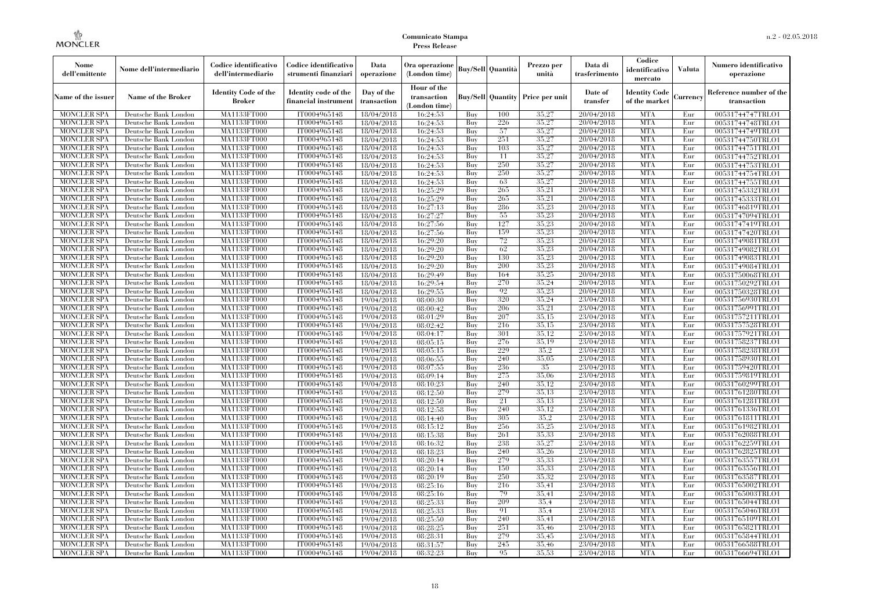| Nome<br>dell'emittente                   | Nome dell'intermediario                      | Codice identificativo<br>dell'intermediario  | Codice identificativo<br>strumenti finanziari | Data<br>operazione        | Ora operazione<br>(London time)             |            | <b>Buy/Sell Quantità</b> | Prezzo per<br>unità                     | Data di<br>trasferimento | Codice<br>identificativo<br>mercato   | <b>Valuta</b> | Numero identificativo<br>operazione    |
|------------------------------------------|----------------------------------------------|----------------------------------------------|-----------------------------------------------|---------------------------|---------------------------------------------|------------|--------------------------|-----------------------------------------|--------------------------|---------------------------------------|---------------|----------------------------------------|
| Name of the issuer                       | Name of the Broker                           | <b>Identity Code of the</b><br><b>Broker</b> | Identity code of the<br>financial instrumen   | Day of the<br>transaction | Hour of the<br>transaction<br>(London time) |            |                          | <b>Buy/Sell Quantity Price per unit</b> | Date of<br>transfer      | <b>Identity Code</b><br>of the market | Currency      | Reference number of the<br>transaction |
| <b>MONCLER SPA</b>                       | Deutsche Bank London                         | MA1133FT000                                  | IT0004965148                                  | 18/04/2018                | 16:24:53                                    | Buy        | 100                      | 35,27                                   | 20/04/2018               | <b>MTA</b>                            | Eur           | 00531744747TRLO1                       |
| <b>MONCLER SPA</b>                       | Deutsche Bank London                         | MA1133FT000                                  | IT0004965148                                  | 18/04/2018                | 16:24:53                                    | Buy        | 226                      | 35,27                                   | 20/04/2018               | <b>MTA</b>                            | Eur           | 00531744748TRLO1                       |
| <b>MONCLER SPA</b>                       | Deutsche Bank London                         | MA1133FT000                                  | IT0004965148                                  | 18/04/2018                | 16:24:53                                    | Buy        | 57                       | 35,27                                   | 20/04/2018               | <b>MTA</b>                            | Eur           | 00531744749TRLO1                       |
| <b>MONCLER SPA</b>                       | Deutsche Bank London                         | MA1133FT000<br>MA1133FT000                   | IT0004965148                                  | 18/04/2018                | 16:24:53                                    | Buv<br>Buy | 251<br>103               | 35,27<br>35,27                          | 20/04/2018<br>20/04/2018 | <b>MTA</b><br><b>MTA</b>              | Eur<br>Eur    | 00531744750TRLO1                       |
| <b>MONCLER SPA</b><br><b>MONCLER SPA</b> | Deutsche Bank London<br>Deutsche Bank London | MA1133FT000                                  | IT0004965148<br>IT0004965148                  | 18/04/2018<br>18/04/2018  | 16:24:53                                    | Buy        | 11                       | 35,27                                   | 20/04/2018               | <b>MTA</b>                            | Eur           | 00531744751TRLO1                       |
| <b>MONCLER SPA</b>                       | Deutsche Bank London                         | <b>MA1133FT000</b>                           | IT0004965148                                  | 18/04/2018                | 16:24:53<br>16:24:53                        | Buy        | 250                      | 35,27                                   | 20/04/2018               | <b>MTA</b>                            | Eur           | 00531744752TRLO1<br>00531744753TRLO1   |
| <b>MONCLER SPA</b>                       | Deutsche Bank London                         | MA1133FT000                                  | IT0004965148                                  | 18/04/2018                | 16:24:53                                    | Buy        | 250                      | 35,27                                   | 20/04/2018               | <b>MTA</b>                            | Eur           | 00531744754TRLO1                       |
| <b>MONCLER SPA</b>                       | Deutsche Bank London                         | MA1133FT000                                  | IT0004965148                                  | 18/04/2018                | 16:24:53                                    | Buv        | 63                       | 35,27                                   | 20/04/2018               | <b>MTA</b>                            | Eur           | 00531744755TRLO1                       |
| <b>MONCLER SPA</b>                       | Deutsche Bank London                         | MA1133FT000                                  | IT0004965148                                  | 18/04/2018                | 16:25:29                                    | Buy        | 265                      | 35,21                                   | 20/04/2018               | <b>MTA</b>                            | Eur           | 00531745332TRLO1                       |
| <b>MONCLER SPA</b>                       | Deutsche Bank London                         | <b>MA1133FT000</b>                           | IT0004965148                                  | 18/04/2018                | 16:25:29                                    | Buy        | 265                      | 35,21                                   | 20/04/2018               | <b>MTA</b>                            | Eur           | 00531745333TRLO1                       |
| <b>MONCLER SPA</b>                       | Deutsche Bank London                         | <b>MA1133FT000</b>                           | IT0004965148                                  | 18/04/2018                | 16:27:13                                    | Buy        | 286                      | 35,23                                   | 20/04/2018               | <b>MTA</b>                            | Eur           | 00531746819TRLO1                       |
| <b>MONCLER SPA</b>                       | Deutsche Bank London                         | <b>MA1133FT000</b>                           | IT0004965148                                  | 18/04/2018                | 16:27:27                                    | Buv        | 55                       | 35,23                                   | 20/04/2018               | <b>MTA</b>                            | Eur           | 00531747094TRLO1                       |
| <b>MONCLER SPA</b>                       | Deutsche Bank London                         | MA1133FT000                                  | IT0004965148                                  | 18/04/2018                | 16:27:56                                    | Buy        | 127                      | 35,23                                   | 20/04/2018               | <b>MTA</b>                            | Eur           | 00531747419TRLO1                       |
| <b>MONCLER SPA</b>                       | Deutsche Bank London                         | <b>MA1133FT000</b>                           | IT0004965148                                  | 18/04/2018                | 16:27:56                                    | Buy        | 159                      | 35,23                                   | 20/04/2018               | <b>MTA</b>                            | Eur           | 00531747420TRLO1                       |
| <b>MONCLER SPA</b>                       | Deutsche Bank London                         | MA1133FT000                                  | IT0004965148                                  | 18/04/2018                | 16:29:20                                    | Buy        | 72                       | 35,23                                   | 20/04/2018               | <b>MTA</b>                            | Eur           | 00531749081TRLO1                       |
| <b>MONCLER SPA</b>                       | Deutsche Bank London                         | MA1133FT000                                  | IT0004965148                                  | 18/04/2018                | 16:29:20                                    | Buy        | 62                       | 35,23                                   | 20/04/2018               | <b>MTA</b>                            | Eur           | 00531749082TRLO1                       |
| <b>MONCLER SPA</b>                       | Deutsche Bank London                         | MA1133FT000                                  | IT0004965148                                  | 18/04/2018                | 16:29:20                                    | Buy        | 130                      | 35,23                                   | 20/04/2018               | <b>MTA</b>                            | Eur           | 00531749083TRLO1                       |
| MONCLER SPA                              | Deutsche Bank London                         | <b>MA1133FT000</b>                           | IT0004965148                                  | 18/04/2018                | 16:29:20                                    | Buy        | 200                      | 35,23                                   | 20/04/2018               | <b>MTA</b>                            | Eur           | 00531749084TRLO1                       |
| <b>MONCLER SPA</b>                       | Deutsche Bank London                         | MA1133FT000                                  | IT0004965148                                  | 18/04/2018                | 16:29:49                                    | Buy        | 164                      | 35,25                                   | 20/04/2018               | <b>MTA</b>                            | Eur           | 00531750068TRLO1                       |
| <b>MONCLER SPA</b>                       | Deutsche Bank London                         | MA1133FT000                                  | IT0004965148                                  | 18/04/2018                | 16:29:54                                    | Buv        | 270                      | 35,24                                   | 20/04/2018               | <b>MTA</b>                            | Eur           | 00531750292TRLO1                       |
| <b>MONCLER SPA</b>                       | Deutsche Bank London                         | MA1133FT000                                  | IT0004965148                                  | 18/04/2018                | 16:29:55                                    | Buy        | 92                       | 35,23                                   | 20/04/2018               | <b>MTA</b>                            | Eur           | 00531750328TRLO1                       |
| <b>MONCLER SPA</b>                       | Deutsche Bank London                         | <b>MA1133FT000</b>                           | IT0004965148                                  | 19/04/2018                | 08:00:30                                    | Buy        | 320                      | 35,24                                   | 23/04/2018               | <b>MTA</b>                            | Eur           | 00531756930TRLO1                       |
| <b>MONCLER SPA</b>                       | Deutsche Bank London                         | MA1133FT000                                  | IT0004965148                                  | 19/04/2018                | 08:00:42                                    | Buy        | 206                      | 35,21                                   | 23/04/2018               | <b>MTA</b>                            | Eur           | 00531756991TRLO1                       |
| <b>MONCLER SPA</b>                       | Deutsche Bank London                         | MA1133FT000                                  | IT0004965148                                  | 19/04/2018                | 08:01:29                                    | Buy        | 207                      | 35.15                                   | 23/04/2018               | <b>MTA</b>                            | Eur           | 00531757211TRLO1                       |
| <b>MONCLER SPA</b>                       | Deutsche Bank London                         | MA1133FT000                                  | IT0004965148                                  | 19/04/2018                | 08:02:42                                    | Buy        | 216                      | 35,15                                   | 23/04/2018               | <b>MTA</b>                            | Eur           | 00531757528TRLO1                       |
| <b>MONCLER SPA</b>                       | Deutsche Bank London                         | <b>MA1133FT000</b>                           | IT0004965148                                  | 19/04/2018                | 08:04:17                                    | Buy        | 301                      | 35,12                                   | 23/04/2018               | <b>MTA</b>                            | Eur           | 00531757921TRLO1                       |
| <b>MONCLER SPA</b>                       | Deutsche Bank London                         | MA1133FT000                                  | IT0004965148                                  | 19/04/2018                | 08:05:15                                    | Buy        | 276                      | 35.19                                   | 23/04/2018               | <b>MTA</b>                            | Eur           | 00531758237TRLO1                       |
| <b>MONCLER SPA</b>                       | Deutsche Bank London                         | MA1133FT000                                  | IT0004965148                                  | 19/04/2018                | 08:05:15                                    | Buy        | 229                      | 35.2                                    | 23/04/2018               | <b>MTA</b>                            | Eur           | 00531758238TRLO1                       |
| <b>MONCLER SPA</b>                       | Deutsche Bank London                         | <b>MA1133FT000</b>                           | IT0004965148                                  | 19/04/2018                | 08:06:55                                    | Buy        | 240                      | 35,05                                   | 23/04/2018               | <b>MTA</b>                            | Eur           | 00531758930TRLO1                       |
| MONCLER SPA                              | Deutsche Bank London                         | <b>MA1133FT000</b>                           | IT0004965148                                  | 19/04/2018                | 08:07:55                                    | Buy        | 236                      | 35                                      | 23/04/2018               | <b>MTA</b>                            | Eur           | 00531759420TRLO1                       |
| <b>MONCLER SPA</b>                       | Deutsche Bank London                         | MA1133FT000                                  | IT0004965148                                  | 19/04/2018                | 08:09:14                                    | Buy        | 275                      | 35,06                                   | 23/04/2018               | <b>MTA</b>                            | Eur           | 00531759819TRLO1                       |
| <b>MONCLER SPA</b>                       | Deutsche Bank London                         | MA1133FT000                                  | IT0004965148                                  | 19/04/2018                | 08:10:23                                    | Buy        | 240                      | 35,12                                   | 23/04/2018               | <b>MTA</b>                            | Eur           | 00531760299TRLO1                       |
| <b>MONCLER SPA</b>                       | Deutsche Bank London                         | MA1133FT000                                  | IT0004965148                                  | 19/04/2018                | 08:12:50                                    | Buy        | 279                      | 35,13                                   | 23/04/2018               | <b>MTA</b>                            | Eur           | 00531761280TRLO1                       |
| <b>MONCLER SPA</b>                       | Deutsche Bank London                         | <b>MA1133FT000</b>                           | IT0004965148                                  | 19/04/2018                | 08:12:50                                    | Buy        | 21                       | 35.13<br>35.12                          | 23/04/2018               | <b>MTA</b><br><b>MTA</b>              | Eur           | 00531761281TRLO1                       |
| <b>MONCLER SPA</b><br><b>MONCLER SPA</b> | Deutsche Bank London<br>Deutsche Bank London | MA1133FT000<br>MA1133FT000                   | IT0004965148<br>IT0004965148                  | 19/04/2018                | 08:12:58                                    | Buy<br>Buy | 240<br>305               | 35.2                                    | 23/04/2018<br>23/04/2018 | <b>MTA</b>                            | Eur<br>Eur    | 00531761336TRLO1<br>00531761811TRLO1   |
| <b>MONCLER SPA</b>                       | Deutsche Bank London                         | <b>MA1133FT000</b>                           | IT0004965148                                  | 19/04/2018<br>19/04/2018  | 08:14:40<br>08:15:12                        | Buy        | 256                      | 35,25                                   | 23/04/2018               | <b>MTA</b>                            | Eur           | 00531761982TRLO1                       |
| <b>MONCLER SPA</b>                       | Deutsche Bank London                         | <b>MA1133FT000</b>                           | IT0004965148                                  | 19/04/2018                | 08:15:38                                    | Buy        | 261                      | 35,33                                   | 23/04/2018               | <b>MTA</b>                            | Eur           | 00531762088TRLO1                       |
| <b>MONCLER SPA</b>                       | Deutsche Bank London                         | MA1133FT000                                  | IT0004965148                                  | 19/04/2018                | 08:16:32                                    | Buy        | 238                      | 35,27                                   | 23/04/2018               | <b>MTA</b>                            | Eur           | 00531762259TRLO1                       |
| <b>MONCLER SPA</b>                       | Deutsche Bank London                         | MA1133FT000                                  | IT0004965148                                  | 19/04/2018                | 08:18:23                                    | Buy        | 240                      | 35,26                                   | 23/04/2018               | <b>MTA</b>                            | Eur           | 00531762825TRLO1                       |
| <b>MONCLER SPA</b>                       | Deutsche Bank London                         | MA1133FT000                                  | IT0004965148                                  | 19/04/2018                | 08:20:14                                    | Buy        | 279                      | 35,33                                   | 23/04/2018               | <b>MTA</b>                            | Eur           | 00531763557TRLO1                       |
| MONCLER SPA                              | Deutsche Bank London                         | <b>MA1133FT000</b>                           | IT0004965148                                  | 19/04/2018                | 08:20:14                                    | Buy        | 150                      | 35,33                                   | 23/04/2018               | MTA                                   | Eur           | 00531763556TRLO1                       |
| <b>MONCLER SPA</b>                       | Deutsche Bank London                         | MA1133FT000                                  | IT0004965148                                  | 19/04/2018                | 08:20:19                                    | Buy        | 250                      | 35.32                                   | 23/04/2018               | <b>MTA</b>                            | Eur           | 00531763587TRLO1                       |
| <b>MONCLER SPA</b>                       | Deutsche Bank London                         | MA1133FT000                                  | IT0004965148                                  | 19/04/2018                | 08:25:16                                    | Buy        | 216                      | 35.41                                   | 23/04/2018               | <b>MTA</b>                            | Eur           | 00531765002TRLO1                       |
| <b>MONCLER SPA</b>                       | Deutsche Bank London                         | MA1133FT000                                  | IT0004965148                                  | 19/04/2018                | 08:25:16                                    | Buy        | 79                       | 35.41                                   | 23/04/2018               | <b>MTA</b>                            | Eur           | 00531765003TRLO1                       |
| <b>MONCLER SPA</b>                       | Deutsche Bank London                         | <b>MA1133FT000</b>                           | IT0004965148                                  | 19/04/2018                | 08:25:33                                    | Buy        | 209                      | 35,4                                    | 23/04/2018               | <b>MTA</b>                            | Eur           | 00531765044TRLO1                       |
| <b>MONCLER SPA</b>                       | Deutsche Bank London                         | MA1133FT000                                  | IT0004965148                                  | 19/04/2018                | 08:25:33                                    | Buy        | 91                       | 35.4                                    | 23/04/2018               | <b>MTA</b>                            | Eur           | 00531765046TRLO1                       |
| <b>MONCLER SPA</b>                       | Deutsche Bank London                         | MA1133FT000                                  | IT0004965148                                  | 19/04/2018                | 08:25:50                                    | Buy        | 240                      | 35,41                                   | 23/04/2018               | <b>MTA</b>                            | Eur           | 00531765109TRLO1                       |
| <b>MONCLER SPA</b>                       | Deutsche Bank London                         | MA1133FT000                                  | IT0004965148                                  | 19/04/2018                | 08:28:25                                    | Buy        | 251                      | 35.46                                   | 23/04/2018               | <b>MTA</b>                            | Eur           | 00531765821TRLO1                       |
| MONCLER SPA                              | Deutsche Bank London                         | <b>MA1133FT000</b>                           | IT0004965148                                  | 19/04/2018                | 08:28:31                                    | Buy        | 279                      | 35,45                                   | 23/04/2018               | <b>MTA</b>                            | Eur           | 00531765844TRLO1                       |
| <b>MONCLER SPA</b>                       | Deutsche Bank London                         | <b>MA1133FT000</b>                           | IT0004965148                                  | 19/04/2018                | 08:31:57                                    | Buy        | 245                      | 35.46                                   | 23/04/2018               | <b>MTA</b>                            | Eur           | 00531766588TRLO1                       |
| <b>MONCLER SPA</b>                       | Deutsche Bank London                         | MA1133FT000                                  | IT0004965148                                  | 19/04/2018                | 08:32:23                                    | Buy        | 95                       | 35,53                                   | 23/04/2018               | <b>MTA</b>                            | Eur           | 00531766694TRLO1                       |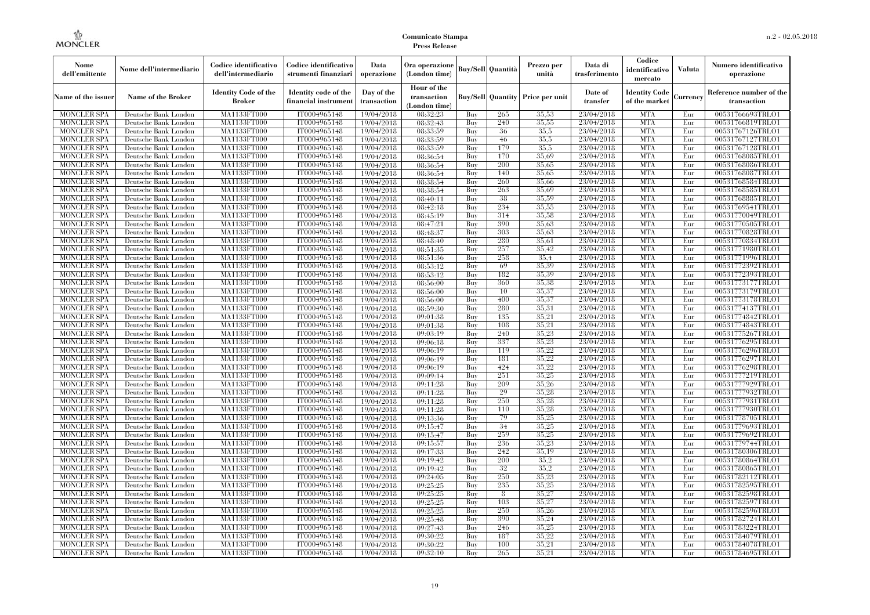| Nome<br>dell'emittente                   | Nome dell'intermediario                      | Codice identificativo<br>dell'intermediario  | Codice identificativo<br>strumenti finanziari | Data<br>operazione        | Ora operazione<br>(London time)             |            | <b>Buy/Sell</b> Quantità | Prezzo per<br>unità                     | Data di<br>trasferimento | Codice<br>identificativo<br>mercato   | <b>Valuta</b> | Numero identificativo<br>operazione    |
|------------------------------------------|----------------------------------------------|----------------------------------------------|-----------------------------------------------|---------------------------|---------------------------------------------|------------|--------------------------|-----------------------------------------|--------------------------|---------------------------------------|---------------|----------------------------------------|
| Name of the issuer                       | Name of the Broker                           | <b>Identity Code of the</b><br><b>Broker</b> | Identity code of the<br>financial instrumen   | Day of the<br>transaction | Hour of the<br>transaction<br>(London time) |            |                          | <b>Buy/Sell Quantity Price per unit</b> | Date of<br>transfer      | <b>Identity Code</b><br>of the market | Currency      | Reference number of the<br>transaction |
| <b>MONCLER SPA</b>                       | Deutsche Bank London                         | MA1133FT000                                  | IT0004965148                                  | 19/04/2018                | 08:32:23                                    | Buy        | 265                      | 35.53                                   | 23/04/2018               | <b>MTA</b>                            | Eur           | 00531766693TRLO1                       |
| <b>MONCLER SPA</b>                       | Deutsche Bank London                         | MA1133FT000                                  | IT0004965148                                  | 19/04/2018                | 08:32:43                                    | Buy        | 240                      | 35,55                                   | 23/04/2018               | <b>MTA</b>                            | Eur           | 00531766819TRLO1                       |
| <b>MONCLER SPA</b>                       | Deutsche Bank London                         | MA1133FT000                                  | IT0004965148                                  | 19/04/2018                | 08:33:59                                    | Buy        | 36                       | 35,5                                    | 23/04/2018               | <b>MTA</b>                            | Eur           | 00531767126TRLO1                       |
| <b>MONCLER SPA</b>                       | Deutsche Bank London                         | MA1133FT000<br>MA1133FT000                   | IT0004965148                                  | 19/04/2018                | 08:33:59                                    | Buv<br>Buv | 46<br>179                | 35,5<br>35,5                            | 23/04/2018<br>23/04/2018 | <b>MTA</b><br><b>MTA</b>              | Eur<br>Eur    | 00531767127TRLO1                       |
| <b>MONCLER SPA</b><br><b>MONCLER SPA</b> | Deutsche Bank London<br>Deutsche Bank London | MA1133FT000                                  | IT0004965148<br>IT0004965148                  | 19/04/2018<br>19/04/2018  | 08:33:59<br>08:36:54                        | Buy        | 170                      | 35,69                                   | 23/04/2018               | <b>MTA</b>                            | Eur           | 00531767128TRLO1<br>00531768085TRLO1   |
| <b>MONCLER SPA</b>                       | Deutsche Bank London                         | <b>MA1133FT000</b>                           | IT0004965148                                  | 19/04/2018                | 08:36:54                                    | Buy        | 200                      | 35,65                                   | 23/04/2018               | <b>MTA</b>                            | Eur           | 00531768086TRLO1                       |
| <b>MONCLER SPA</b>                       | Deutsche Bank London                         | MA1133FT000                                  | IT0004965148                                  | 19/04/2018                | 08:36:54                                    | Buy        | 140                      | 35.65                                   | 23/04/2018               | <b>MTA</b>                            | Eur           | 00531768087TRLO1                       |
| <b>MONCLER SPA</b>                       | Deutsche Bank London                         | MA1133FT000                                  | IT0004965148                                  | 19/04/2018                | 08:38:54                                    | Buv        | 260                      | 35,66                                   | 23/04/2018               | <b>MTA</b>                            | Eur           | 00531768584TRLO1                       |
| <b>MONCLER SPA</b>                       | Deutsche Bank London                         | MA1133FT000                                  | IT0004965148                                  | 19/04/2018                | 08:38:54                                    | Buy        | 263                      | 35.69                                   | 23/04/2018               | <b>MTA</b>                            | Eur           | 00531768585TRLO1                       |
| <b>MONCLER SPA</b>                       | Deutsche Bank London                         | <b>MA1133FT000</b>                           | IT0004965148                                  | 19/04/2018                | 08:40:11                                    | Buy        | 38                       | 35,59                                   | 23/04/2018               | <b>MTA</b>                            | Eur           | 00531768885TRLO1                       |
| <b>MONCLER SPA</b>                       | Deutsche Bank London                         | <b>MA1133FT000</b>                           | IT0004965148                                  | 19/04/2018                | 08:42:18                                    | Buy        | 234                      | 35.55                                   | 23/04/2018               | <b>MTA</b>                            | Eur           | 00531769541TRLO1                       |
| <b>MONCLER SPA</b>                       | Deutsche Bank London                         | <b>MA1133FT000</b>                           | IT0004965148                                  | 19/04/2018                | 08:45:19                                    | Buv        | 314                      | 35,58                                   | 23/04/2018               | <b>MTA</b>                            | Eur           | 00531770049TRLO1                       |
| <b>MONCLER SPA</b>                       | Deutsche Bank London                         | MA1133FT000                                  | IT0004965148                                  | 19/04/2018                | 08:47:21                                    | Buy        | 390                      | 35,63                                   | 23/04/2018               | <b>MTA</b>                            | Eur           | 00531770505TRLO1                       |
| <b>MONCLER SPA</b>                       | Deutsche Bank London                         | <b>MA1133FT000</b>                           | IT0004965148                                  | 19/04/2018                | 08:48:37                                    | Buy        | 303                      | 35,63                                   | 23/04/2018               | <b>MTA</b>                            | Eur           | 00531770828TRLO1                       |
| <b>MONCLER SPA</b>                       | Deutsche Bank London                         | MA1133FT000                                  | IT0004965148                                  | 19/04/2018                | 08:48:40                                    | Buy        | 280                      | 35.61                                   | 23/04/2018               | <b>MTA</b>                            | Eur           | 00531770834TRLO1                       |
| <b>MONCLER SPA</b>                       | Deutsche Bank London                         | MA1133FT000                                  | IT0004965148                                  | 19/04/2018                | 08:51:35                                    | Buy        | 257                      | 35.42                                   | 23/04/2018               | <b>MTA</b>                            | Eur           | 00531771980TRLO1                       |
| <b>MONCLER SPA</b>                       | Deutsche Bank London                         | MA1133FT000                                  | IT0004965148                                  | 19/04/2018                | 08:51:36                                    | Buy        | 258                      | 35,4                                    | 23/04/2018               | <b>MTA</b>                            | Eur           | 00531771996TRLO1                       |
| MONCLER SPA                              | Deutsche Bank London                         | <b>MA1133FT000</b>                           | IT0004965148                                  | 19/04/2018                | 08:53:12                                    | Buy        | 69                       | 35,39                                   | 23/04/2018               | <b>MTA</b>                            | Eur           | 00531772392TRLO1                       |
| <b>MONCLER SPA</b>                       | Deutsche Bank London                         | MA1133FT000                                  | IT0004965148                                  | 19/04/2018                | 08:53:12                                    | Buy        | 182                      | 35.39                                   | 23/04/2018               | <b>MTA</b>                            | Eur           | 00531772393TRLO1                       |
| <b>MONCLER SPA</b>                       | Deutsche Bank London                         | MA1133FT000                                  | IT0004965148                                  | 19/04/2018                | 08:56:00                                    | Buv        | 360                      | 35,38                                   | 23/04/2018               | <b>MTA</b>                            | Eur           | 00531773177TRLO1                       |
| <b>MONCLER SPA</b>                       | Deutsche Bank London                         | MA1133FT000                                  | IT0004965148                                  | 19/04/2018                | 08:56:00                                    | Buy        | 10                       | 35,37                                   | 23/04/2018               | <b>MTA</b>                            | Eur           | 00531773179TRLO1                       |
| <b>MONCLER SPA</b>                       | Deutsche Bank London                         | <b>MA1133FT000</b>                           | IT0004965148                                  | 19/04/2018                | 08:56:00                                    | Buy        | 400                      | 35,37                                   | 23/04/2018               | <b>MTA</b>                            | Eur           | 00531773178TRLO1                       |
| <b>MONCLER SPA</b>                       | Deutsche Bank London                         | MA1133FT000                                  | IT0004965148                                  | 19/04/2018                | 08:59:30                                    | Buy        | 280                      | 35.31                                   | 23/04/2018               | <b>MTA</b>                            | Eur           | 00531774137TRLO1                       |
| <b>MONCLER SPA</b>                       | Deutsche Bank London                         | MA1133FT000                                  | IT0004965148                                  | 19/04/2018                | 09:01:38                                    | Buy        | 135                      | 35.21                                   | 23/04/2018               | <b>MTA</b>                            | Eur           | 00531774842TRLO1                       |
| <b>MONCLER SPA</b>                       | Deutsche Bank London                         | MA1133FT000                                  | IT0004965148                                  | 19/04/2018                | 09:01:38                                    | Buy        | 108                      | 35,21                                   | 23/04/2018               | <b>MTA</b>                            | Eur           | 00531774843TRLO1                       |
| <b>MONCLER SPA</b>                       | Deutsche Bank London                         | <b>MA1133FT000</b>                           | IT0004965148                                  | 19/04/2018                | 09:03:19                                    | Buy        | 240                      | 35,23                                   | 23/04/2018               | <b>MTA</b>                            | Eur           | 00531775267TRLO1                       |
| <b>MONCLER SPA</b>                       | Deutsche Bank London                         | MA1133FT000                                  | IT0004965148                                  | 19/04/2018                | 09:06:18                                    | Buy        | 337                      | 35,23                                   | 23/04/2018               | <b>MTA</b>                            | Eur           | 00531776295TRLO1                       |
| <b>MONCLER SPA</b>                       | Deutsche Bank London                         | MA1133FT000                                  | IT0004965148                                  | 19/04/2018                | 09:06:19                                    | Buy        | 119                      | 35,22                                   | 23/04/2018               | <b>MTA</b>                            | Eur           | 00531776296TRLO1                       |
| <b>MONCLER SPA</b>                       | Deutsche Bank London                         | <b>MA1133FT000</b>                           | IT0004965148                                  | 19/04/2018                | 09:06:19                                    | Buy        | 181                      | 35,22                                   | 23/04/2018               | <b>MTA</b>                            | Eur           | 00531776297TRLO1                       |
| MONCLER SPA                              | Deutsche Bank London                         | <b>MA1133FT000</b>                           | IT0004965148                                  | 19/04/2018                | 09:06:19                                    | Buy        | 424                      | 35,22                                   | 23/04/2018               | <b>MTA</b>                            | Eur           | 00531776298TRLO1                       |
| <b>MONCLER SPA</b>                       | Deutsche Bank London                         | MA1133FT000                                  | IT0004965148                                  | 19/04/2018                | 09:09:14                                    | Buy        | 251                      | 35.25                                   | 23/04/2018               | <b>MTA</b>                            | Eur           | 00531777219TRLO1                       |
| <b>MONCLER SPA</b>                       | Deutsche Bank London                         | MA1133FT000                                  | IT0004965148                                  | 19/04/2018                | 09:11:28                                    | Buy        | 209                      | 35.26                                   | 23/04/2018               | <b>MTA</b>                            | Eur           | 00531777929TRLO1                       |
| <b>MONCLER SPA</b>                       | Deutsche Bank London                         | MA1133FT000                                  | IT0004965148                                  | 19/04/2018                | 09:11:28                                    | Buy        | 29                       | 35,28                                   | 23/04/2018               | <b>MTA</b>                            | Eur           | 00531777932TRLO1                       |
| <b>MONCLER SPA</b>                       | Deutsche Bank London                         | <b>MA1133FT000</b>                           | IT0004965148                                  | 19/04/2018                | 09:11:28                                    | Buy        | 250                      | 35,28                                   | 23/04/2018               | <b>MTA</b>                            | Eur           | 00531777931TRLO1                       |
| <b>MONCLER SPA</b>                       | Deutsche Bank London                         | MA1133FT000                                  | IT0004965148                                  | 19/04/2018                | 09:11:28                                    | Buy        | 110<br>79                | 35,28<br>35,25                          | 23/04/2018               | <b>MTA</b><br><b>MTA</b>              | Eur           | 00531777930TRLO1                       |
| <b>MONCLER SPA</b><br><b>MONCLER SPA</b> | Deutsche Bank London<br>Deutsche Bank London | MA1133FT000<br><b>MA1133FT000</b>            | IT0004965148<br>IT0004965148                  | 19/04/2018                | 09:13:36<br>09:15:47                        | Buy<br>Buy | 34                       | 35,25                                   | 23/04/2018<br>23/04/2018 | <b>MTA</b>                            | Eur<br>Eur    | 00531778705TRLO1<br>00531779693TRLO1   |
| <b>MONCLER SPA</b>                       | Deutsche Bank London                         | <b>MA1133FT000</b>                           | IT0004965148                                  | 19/04/2018<br>19/04/2018  | 09:15:47                                    | Buy        | 259                      | 35,25                                   | 23/04/2018               | <b>MTA</b>                            | Eur           | 00531779692TRLO1                       |
| <b>MONCLER SPA</b>                       | Deutsche Bank London                         | MA1133FT000                                  | IT0004965148                                  | 19/04/2018                | 09:15:57                                    | Buy        | 236                      | 35,23                                   | 23/04/2018               | <b>MTA</b>                            | Eur           | 00531779744TRLO1                       |
| <b>MONCLER SPA</b>                       | Deutsche Bank London                         | MA1133FT000                                  | IT0004965148                                  | 19/04/2018                | 09:17:33                                    | Buy        | 242                      | 35,19                                   | 23/04/2018               | <b>MTA</b>                            | Eur           | 00531780306TRLO1                       |
| <b>MONCLER SPA</b>                       | Deutsche Bank London                         | MA1133FT000                                  | IT0004965148                                  | 19/04/2018                | 09:19:42                                    | Buy        | 200                      | 35.2                                    | 23/04/2018               | <b>MTA</b>                            | Eur           | 00531780864TRLO1                       |
| MONCLER SPA                              | Deutsche Bank London                         | <b>MA1133FT000</b>                           | IT0004965148                                  | 19/04/2018                | 09:19:42                                    | Buy        | 32                       | 35,2                                    | 23/04/2018               | MTA                                   | Eur           | 00531780865TRLO1                       |
| <b>MONCLER SPA</b>                       | Deutsche Bank London                         | MA1133FT000                                  | IT0004965148                                  | 19/04/2018                | 09:24:05                                    | Buy        | 250                      | 35,23                                   | 23/04/2018               | <b>MTA</b>                            | Eur           | 00531782112TRLO1                       |
| <b>MONCLER SPA</b>                       | Deutsche Bank London                         | MA1133FT000                                  | IT0004965148                                  | 19/04/2018                | 09:25:25                                    | Buy        | 235                      | 35,25                                   | 23/04/2018               | <b>MTA</b>                            | Eur           | 00531782595TRLO1                       |
| <b>MONCLER SPA</b>                       | Deutsche Bank London                         | MA1133FT000                                  | IT0004965148                                  | 19/04/2018                | 09:25:25                                    | Buy        | 8                        | 35,27                                   | 23/04/2018               | <b>MTA</b>                            | Eur           | 00531782598TRLO1                       |
| <b>MONCLER SPA</b>                       | Deutsche Bank London                         | <b>MA1133FT000</b>                           | IT0004965148                                  | 19/04/2018                | 09:25:25                                    | Buy        | 103                      | 35,27                                   | 23/04/2018               | MTA                                   | Eur           | 00531782597TRLO1                       |
| <b>MONCLER SPA</b>                       | Deutsche Bank London                         | MA1133FT000                                  | IT0004965148                                  | 19/04/2018                | 09:25:25                                    | Buy        | 250                      | 35,26                                   | 23/04/2018               | <b>MTA</b>                            | Eur           | 00531782596TRLO1                       |
| <b>MONCLER SPA</b>                       | Deutsche Bank London                         | MA1133FT000                                  | IT0004965148                                  | 19/04/2018                | 09:25:48                                    | Buy        | 390                      | 35,24                                   | 23/04/2018               | <b>MTA</b>                            | Eur           | 00531782724TRLO1                       |
| <b>MONCLER SPA</b>                       | Deutsche Bank London                         | MA1133FT000                                  | IT0004965148                                  | 19/04/2018                | 09:27:43                                    | Buy        | 246                      | 35,25                                   | 23/04/2018               | <b>MTA</b>                            | Eur           | 00531783224TRLO1                       |
| MONCLER SPA                              | Deutsche Bank London                         | <b>MA1133FT000</b>                           | IT0004965148                                  | 19/04/2018                | 09:30:22                                    | Buy        | 187                      | 35,22                                   | 23/04/2018               | <b>MTA</b>                            | Eur           | 00531784079TRLO1                       |
| <b>MONCLER SPA</b>                       | Deutsche Bank London                         | <b>MA1133FT000</b>                           | IT0004965148                                  | 19/04/2018                | 09:30:22                                    | Buy        | 100                      | 35,21                                   | 23/04/2018               | <b>MTA</b>                            | Eur           | 00531784078TRLO1                       |
| <b>MONCLER SPA</b>                       | Deutsche Bank London                         | MA1133FT000                                  | IT0004965148                                  | 19/04/2018                | 09:32:10                                    | Buy        | 265                      | 35,21                                   | 23/04/2018               | <b>MTA</b>                            | Eur           | 00531784695TRLO1                       |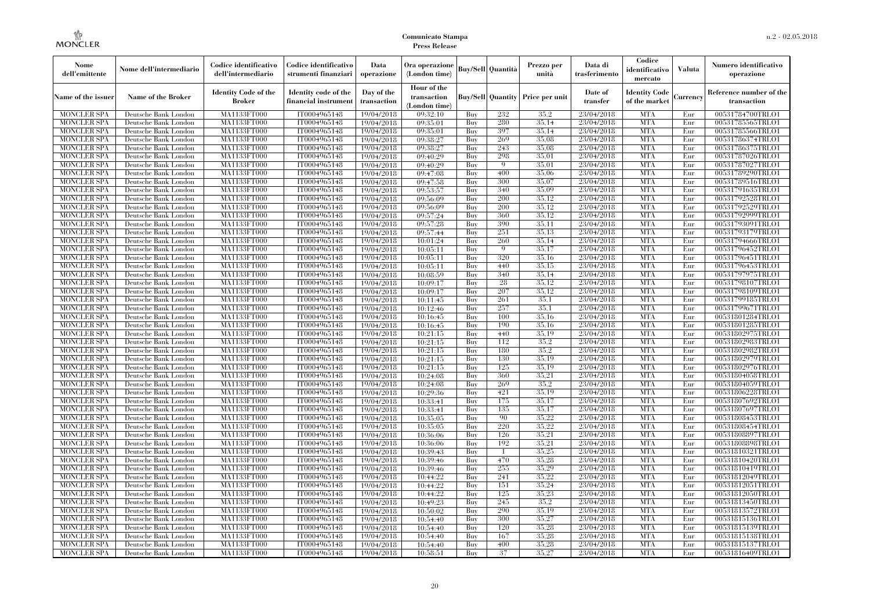| Nome<br>dell'emittente                   | Nome dell'intermediario                      | Codice identificativo<br>dell'intermediario  | Codice identificativo<br>strumenti finanziari | Data<br>operazione        | Ora operazione<br>(London time)             |            | <b>Buy/Sell</b> Quantità | Prezzo per<br>unità                     | Data di<br>trasferimento | Codice<br>identificativo<br>mercato   | <b>Valuta</b> | Numero identificativo<br>operazione    |
|------------------------------------------|----------------------------------------------|----------------------------------------------|-----------------------------------------------|---------------------------|---------------------------------------------|------------|--------------------------|-----------------------------------------|--------------------------|---------------------------------------|---------------|----------------------------------------|
| Name of the issuer                       | <b>Name of the Broker</b>                    | <b>Identity Code of the</b><br><b>Broker</b> | Identity code of the<br>financial instrumen   | Day of the<br>transaction | Hour of the<br>transaction<br>(London time) |            |                          | <b>Buy/Sell Quantity Price per unit</b> | Date of<br>transfer      | <b>Identity Code</b><br>of the market | Currency      | Reference number of the<br>transaction |
| <b>MONCLER SPA</b>                       | Deutsche Bank London                         | MA1133FT000                                  | IT0004965148                                  | 19/04/2018                | 09:32:10                                    | Buy        | 232                      | 35.2                                    | 23/04/2018               | <b>MTA</b>                            | Eur           | 00531784700TRLO1                       |
| <b>MONCLER SPA</b>                       | Deutsche Bank London                         | MA1133FT000                                  | IT0004965148                                  | 19/04/2018                | 09:35:01                                    | Buy        | 280                      | 35,14                                   | 23/04/2018               | <b>MTA</b>                            | Eur           | 00531785565TRLO1                       |
| <b>MONCLER SPA</b>                       | Deutsche Bank London                         | <b>MA1133FT000</b>                           | IT0004965148                                  | 19/04/2018                | 09:35:01                                    | Buy        | 397                      | 35,14                                   | 23/04/2018               | <b>MTA</b>                            | Eur           | 00531785566TRLO1                       |
| <b>MONCLER SPA</b>                       | Deutsche Bank London                         | MA1133FT000                                  | IT0004965148                                  | 19/04/2018                | 09:38:27                                    | Buy        | 269                      | 35,08                                   | 23/04/2018               | <b>MTA</b>                            | Eur           | 00531786374TRLO1                       |
| <b>MONCLER SPA</b>                       | Deutsche Bank London                         | MA1133FT000                                  | IT0004965148                                  | 19/04/2018                | 09:38:27                                    | Buy        | 243                      | 35,08                                   | 23/04/2018               | <b>MTA</b>                            | Eur           | 00531786375TRLO1                       |
| <b>MONCLER SPA</b>                       | Deutsche Bank London                         | MA1133FT000                                  | IT0004965148                                  | 19/04/2018                | 09:40:29                                    | Buy        | 298                      | 35,01                                   | 23/04/2018               | <b>MTA</b>                            | Eur           | 00531787026TRLO1                       |
| <b>MONCLER SPA</b>                       | Deutsche Bank London                         | <b>MA1133FT000</b>                           | IT0004965148                                  | 19/04/2018                | 09:40:29                                    | Buy        | $\mathbf Q$              | 35,01                                   | 23/04/2018               | <b>MTA</b>                            | Eur           | 00531787027TRLO1                       |
| <b>MONCLER SPA</b>                       | Deutsche Bank London                         | <b>MA1133FT000</b>                           | IT0004965148                                  | 19/04/2018                | 09:47:08                                    | Buy        | 400                      | 35,06                                   | 23/04/2018               | <b>MTA</b>                            | Eur           | 00531789290TRLO1                       |
| <b>MONCLER SPA</b>                       | Deutsche Bank London                         | MA1133FT000                                  | IT0004965148                                  | 19/04/2018                | 09:47:58                                    | Buy        | 300                      | 35,07                                   | 23/04/2018               | <b>MTA</b>                            | Eur           | 00531789516TRLO1                       |
| <b>MONCLER SPA</b>                       | Deutsche Bank London                         | MA1133FT000                                  | IT0004965148                                  | 19/04/2018                | 09:53:57                                    | Buy        | 340                      | 35,09                                   | 23/04/2018               | <b>MTA</b>                            | Eur           | 00531791635TRLO1                       |
| <b>MONCLER SPA</b>                       | Deutsche Bank London                         | <b>MA1133FT000</b>                           | IT0004965148                                  | 19/04/2018                | 09:56:09                                    | Buy        | 200                      | 35,12                                   | 23/04/2018               | <b>MTA</b>                            | Eur           | 00531792528TRLO1                       |
| <b>MONCLER SPA</b>                       | Deutsche Bank London                         | <b>MA1133FT000</b>                           | IT0004965148                                  | 19/04/2018                | 09:56:09                                    | Buy        | 200                      | 35.12                                   | 23/04/2018               | <b>MTA</b>                            | Eur           | 00531792529TRLO1                       |
| <b>MONCLER SPA</b>                       | Deutsche Bank London                         | MA1133FT000                                  | IT0004965148                                  | 19/04/2018                | 09:57:24                                    | Buy        | 360                      | 35,12                                   | 23/04/2018               | <b>MTA</b>                            | Eur           | 00531792999TRLO1                       |
| <b>MONCLER SPA</b>                       | Deutsche Bank London                         | MA1133FT000                                  | IT0004965148                                  | 19/04/2018                | 09:57:28                                    | Buy        | 390                      | 35,11                                   | 23/04/2018               | <b>MTA</b>                            | Eur           | 00531793091TRLO1                       |
| <b>MONCLER SPA</b>                       | Deutsche Bank London                         | <b>MA1133FT000</b>                           | IT0004965148                                  | 19/04/2018                | 09:57:44                                    | Buy        | 251                      | 35,13                                   | 23/04/2018               | <b>MTA</b>                            | Eur           | 00531793179TRLO1                       |
| <b>MONCLER SPA</b>                       | Deutsche Bank London                         | <b>MA1133FT000</b>                           | IT0004965148                                  | 19/04/2018                | 10:01:24                                    | Buy        | 260                      | 35.14                                   | 23/04/2018               | <b>MTA</b>                            | Eur           | 00531794666TRLO1                       |
| <b>MONCLER SPA</b>                       | Deutsche Bank London                         | MA1133FT000                                  | IT0004965148                                  | 19/04/2018                | 10:05:11                                    | Buy        | -9                       | 35,17                                   | 23/04/2018               | <b>MTA</b>                            | Eur           | 00531796452TRLO1                       |
| <b>MONCLER SPA</b>                       | Deutsche Bank London                         | MA1133FT000                                  | IT0004965148                                  | 19/04/2018                | 10:05:11                                    | Buy        | 320                      | 35,16                                   | 23/04/2018               | <b>MTA</b>                            | Eur           | 00531796451TRLO1                       |
| <b>MONCLER SPA</b>                       | Deutsche Bank London                         | <b>MA1133FT000</b>                           | IT0004965148                                  | 19/04/2018                | 10:05:11                                    | Buy        | 440                      | 35,15                                   | 23/04/2018               | <b>MTA</b>                            | Eur           | 00531796453TRLO1                       |
| <b>MONCLER SPA</b>                       | Deutsche Bank London                         | <b>MA1133FT000</b>                           | IT0004965148                                  | 19/04/2018                | 10:08:59                                    | Buy        | 340                      | 35,14                                   | 23/04/2018               | <b>MTA</b>                            | Eur           | 00531797975TRLO1                       |
| <b>MONCLER SPA</b>                       | Deutsche Bank London                         | MA1133FT000                                  | IT0004965148                                  | 19/04/2018                | 10:09:17                                    | Buy        | 28                       | 35,12                                   | 23/04/2018               | <b>MTA</b>                            | Eur           | 00531798107TRLO1                       |
| <b>MONCLER SPA</b>                       | Deutsche Bank London                         | MA1133FT000                                  | IT0004965148                                  | 19/04/2018                | 10:09:17                                    | Buy        | 207                      | 35,12                                   | 23/04/2018               | <b>MTA</b>                            | Eur           | 00531798109TRLO1                       |
| MONCLER SPA                              | Deutsche Bank London                         | <b>MA1133FT000</b>                           | IT0004965148                                  | 19/04/2018                | 10:11:45                                    | Buy        | 261                      | 35.1                                    | 23/04/2018               | <b>MTA</b>                            | Eur           | 00531799185TRLO1                       |
| <b>MONCLER SPA</b>                       | Deutsche Bank London                         | MA1133FT000                                  | IT0004965148                                  | 19/04/2018                | 10:12:46                                    | Buy        | 257                      | 35,1                                    | 23/04/2018               | <b>MTA</b>                            | Eur           | 00531799671TRLO1                       |
| <b>MONCLER SPA</b>                       | Deutsche Bank London                         | MA1133FT000                                  | IT0004965148                                  | 19/04/2018                | 10:16:45                                    | Buy        | 100                      | 35.16                                   | 23/04/2018               | <b>MTA</b>                            | Eur           | 00531801284TRLO1                       |
| <b>MONCLER SPA</b>                       | Deutsche Bank London                         | <b>MA1133FT000</b>                           | IT0004965148                                  | 19/04/2018                | 10:16:45                                    | Buy        | 190                      | 35,16                                   | 23/04/2018               | <b>MTA</b>                            | Eur           | 00531801285TRLO1                       |
| MONCLER SPA                              | Deutsche Bank London                         | <b>MA1133FT000</b>                           | IT0004965148                                  | 19/04/2018                | 10:21:15                                    | Buy        | 440                      | 35,19                                   | 23/04/2018               | <b>MTA</b>                            | Eur           | 00531802975TRLO1                       |
| <b>MONCLER SPA</b>                       | Deutsche Bank London                         | MA1133FT000                                  | IT0004965148                                  | 19/04/2018                | 10:21:15                                    | Buy        | 112                      | 35.2                                    | 23/04/2018               | <b>MTA</b>                            | Eur           | 00531802983TRLO1                       |
| <b>MONCLER SPA</b>                       | Deutsche Bank London                         | MA1133FT000                                  | IT0004965148                                  | 19/04/2018                | 10:21:15                                    | Buy        | 180                      | 35.2                                    | 23/04/2018               | <b>MTA</b>                            | Eur           | 00531802982TRLO1                       |
| <b>MONCLER SPA</b>                       | Deutsche Bank London                         | <b>MA1133FT000</b>                           | IT0004965148                                  | 19/04/2018                | 10:21:15                                    | Buy        | 130                      | 35.19                                   | 23/04/2018               | <b>MTA</b>                            | Eur           | 00531802979TRLO1                       |
| <b>MONCLER SPA</b>                       | Deutsche Bank London                         | <b>MA1133FT000</b>                           | IT0004965148                                  | 19/04/2018                | 10:21:15                                    | Buy        | 125<br>360               | 35,19<br>35.21                          | 23/04/2018               | <b>MTA</b><br><b>MTA</b>              | Eur           | 00531802976TRLO1                       |
| <b>MONCLER SPA</b>                       | Deutsche Bank London                         | MA1133FT000                                  | IT0004965148                                  | 19/04/2018                | 10:24:08                                    | Buy        |                          | 35.2                                    | 23/04/2018               | <b>MTA</b>                            | Eur           | 00531804058TRLO1                       |
| <b>MONCLER SPA</b>                       | Deutsche Bank London                         | MA1133FT000                                  | IT0004965148                                  | 19/04/2018                | 10:24:08                                    | Buy        | 269                      | 35.19                                   | 23/04/2018               | <b>MTA</b>                            | Eur           | 00531804059TRLO1                       |
| <b>MONCLER SPA</b>                       | Deutsche Bank London                         | <b>MA1133FT000</b>                           | IT0004965148                                  | 19/04/2018                | 10:29:36                                    | Buy        | 421<br>175               | 35,17                                   | 23/04/2018<br>23/04/2018 | <b>MTA</b>                            | Eur           | 00531806228TRLO1                       |
| <b>MONCLER SPA</b><br><b>MONCLER SPA</b> | Deutsche Bank London<br>Deutsche Bank London | <b>MA1133FT000</b><br>MA1133FT000            | IT0004965148<br>IT0004965148                  | 19/04/2018                | 10:33:41                                    | Buy<br>Buy | 135                      | 35,17                                   | 23/04/2018               | <b>MTA</b>                            | Eur<br>Eur    | 00531807692TRLO1<br>00531807697TRLO1   |
| <b>MONCLER SPA</b>                       | Deutsche Bank London                         | MA1133FT000                                  | IT0004965148                                  | 19/04/2018<br>19/04/2018  | 10:33:41<br>10:35:05                        | Buy        | 90                       | 35.22                                   | 23/04/2018               | <b>MTA</b>                            | Eur           | 00531808453TRLO1                       |
| <b>MONCLER SPA</b>                       | Deutsche Bank London                         | <b>MA1133FT000</b>                           | IT0004965148                                  | 19/04/2018                | 10:35:05                                    | Buy        | 220                      | 35,22                                   | 23/04/2018               | <b>MTA</b>                            | Eur           | 00531808454TRLO1                       |
|                                          |                                              |                                              | IT0004965148                                  |                           |                                             |            | 126                      | 35,21                                   | 23/04/2018               | <b>MTA</b>                            |               |                                        |
| <b>MONCLER SPA</b><br><b>MONCLER SPA</b> | Deutsche Bank London<br>Deutsche Bank London | <b>MA1133FT000</b><br>MA1133FT000            | IT0004965148                                  | 19/04/2018                | 10:36:06                                    | Buy<br>Buy | 192                      | 35,21                                   | 23/04/2018               | <b>MTA</b>                            | Eur<br>Eur    | 00531808897TRLO1<br>00531808898TRLO1   |
| <b>MONCLER SPA</b>                       | Deutsche Bank London                         | MA1133FT000                                  | IT0004965148                                  | 19/04/2018                | 10:36:06<br>10:39:43                        | Buy        | $\overline{1}$           | 35,25                                   | 23/04/2018               | <b>MTA</b>                            | Eur           | 00531810321TRLO1                       |
| <b>MONCLER SPA</b>                       |                                              | MA1133FT000                                  | IT0004965148                                  | 19/04/2018<br>19/04/2018  | 10:39:46                                    | Buy        | 470                      | 35.28                                   | 23/04/2018               | <b>MTA</b>                            | Eur           | 00531810420TRLO1                       |
| <b>MONCLER SPA</b>                       | Deutsche Bank London<br>Deutsche Bank London | <b>MA1133FT000</b>                           | IT0004965148                                  | 19/04/2018                | 10:39:46                                    | Buy        | 255                      | 35,29                                   | 23/04/2018               | MTA                                   | Eur           | 00531810419TRLO1                       |
| <b>MONCLER SPA</b>                       | Deutsche Bank London                         | MA1133FT000                                  | IT0004965148                                  | 19/04/2018                | 10:44:22                                    | Buy        | 241                      | 35,22                                   | 23/04/2018               | <b>MTA</b>                            | Eur           | 00531812049TRLO1                       |
| <b>MONCLER SPA</b>                       | Deutsche Bank London                         | MA1133FT000                                  | IT0004965148                                  |                           | 10:44:22                                    | Buy        | 151                      | 35,24                                   | 23/04/2018               | <b>MTA</b>                            | Eur           | 00531812051TRLO1                       |
| <b>MONCLER SPA</b>                       | Deutsche Bank London                         | MA1133FT000                                  | IT0004965148                                  | 19/04/2018<br>19/04/2018  | 10:44:22                                    | Buy        | 125                      | 35,23                                   | 23/04/2018               | <b>MTA</b>                            | Eur           | 00531812050TRLO1                       |
| <b>MONCLER SPA</b>                       | Deutsche Bank London                         | <b>MA1133FT000</b>                           | IT0004965148                                  | 19/04/2018                | 10:49:23                                    | Buy        | 245                      | 35.2                                    | 23/04/2018               | <b>MTA</b>                            | Eur           | 00531813450TRLO1                       |
| <b>MONCLER SPA</b>                       | Deutsche Bank London                         | MA1133FT000                                  | IT0004965148                                  | 19/04/2018                | 10:50:02                                    | Buy        | 290                      | 35.19                                   | 23/04/2018               | <b>MTA</b>                            | Eur           | 00531813572TRLO1                       |
| <b>MONCLER SPA</b>                       | Deutsche Bank London                         | MA1133FT000                                  | IT0004965148                                  | 19/04/2018                | 10:54:40                                    | Buy        | 300                      | 35,27                                   | 23/04/2018               | <b>MTA</b>                            | Eur           | 00531815136TRLO1                       |
| <b>MONCLER SPA</b>                       | Deutsche Bank London                         | MA1133FT000                                  | IT0004965148                                  | 19/04/2018                | 10:54:40                                    | Buy        | 120                      | 35,28                                   | 23/04/2018               | <b>MTA</b>                            | Eur           | 00531815139TRLO1                       |
| MONCLER SPA                              | Deutsche Bank London                         | <b>MA1133FT000</b>                           | IT0004965148                                  | 19/04/2018                | 10:54:40                                    | Buy        | 167                      | 35,28                                   | 23/04/2018               | <b>MTA</b>                            | Eur           | 00531815138TRLO1                       |
| <b>MONCLER SPA</b>                       | Deutsche Bank London                         | <b>MA1133FT000</b>                           | IT0004965148                                  | 19/04/2018                | 10:54:40                                    | Buy        | 400                      | 35,28                                   | 23/04/2018               | <b>MTA</b>                            | Eur           | 00531815137TRLO1                       |
| <b>MONCLER SPA</b>                       | Deutsche Bank London                         | MA1133FT000                                  | IT0004965148                                  | 19/04/2018                | 10:58:51                                    | Buy        | 37                       | 35,27                                   | 23/04/2018               | <b>MTA</b>                            | Eur           | 00531816409TRLO1                       |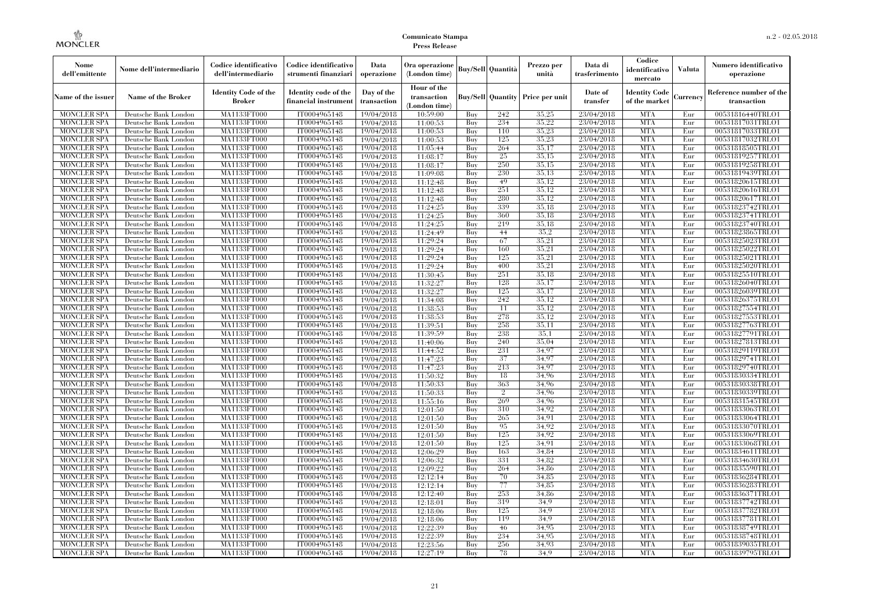| Nome<br>dell'emittente                   | Nome dell'intermediario                      | Codice identificativo<br>dell'intermediario  | Codice identificativo<br>strumenti finanziari | Data<br>operazione        | Ora operazione<br>(London time)             |            | <b>Buy/Sell</b> Quantità | Prezzo per<br>unità                     | Data di<br>trasferimento | Codice<br>identificativo<br>mercato   | <b>Valuta</b> | Numero identificativo<br>operazione    |
|------------------------------------------|----------------------------------------------|----------------------------------------------|-----------------------------------------------|---------------------------|---------------------------------------------|------------|--------------------------|-----------------------------------------|--------------------------|---------------------------------------|---------------|----------------------------------------|
| Name of the issuer                       | Name of the Broker                           | <b>Identity Code of the</b><br><b>Broker</b> | Identity code of the<br>financial instrumen   | Day of the<br>transaction | Hour of the<br>transaction<br>(London time) |            |                          | <b>Buy/Sell Quantity Price per unit</b> | Date of<br>transfer      | <b>Identity Code</b><br>of the market | Currency      | Reference number of the<br>transaction |
| <b>MONCLER SPA</b>                       | Deutsche Bank London                         | MA1133FT000                                  | IT0004965148                                  | 19/04/2018                | 10:59:00                                    | Buy        | 242                      | 35,25                                   | 23/04/2018               | <b>MTA</b>                            | Eur           | 00531816440TRLO1                       |
| <b>MONCLER SPA</b>                       | Deutsche Bank London                         | MA1133FT000                                  | IT0004965148                                  | 19/04/2018                | 11:00:53                                    | Buy        | 234                      | 35,22                                   | 23/04/2018               | <b>MTA</b>                            | Eur           | 00531817031TRLO1                       |
| <b>MONCLER SPA</b>                       | Deutsche Bank London                         | MA1133FT000                                  | IT0004965148                                  | 19/04/2018                | 11:00:53                                    | Buy        | 110                      | 35.23<br>35,23                          | 23/04/2018               | <b>MTA</b><br><b>MTA</b>              | Eur           | 00531817033TRLO1                       |
| <b>MONCLER SPA</b><br><b>MONCLER SPA</b> | Deutsche Bank London<br>Deutsche Bank London | MA1133FT000<br>MA1133FT000                   | IT0004965148<br>IT0004965148                  | 19/04/2018<br>19/04/2018  | 11:00:53<br>11:05:44                        | Buy<br>Buy | 125<br>264               | 35,17                                   | 23/04/2018<br>23/04/2018 | <b>MTA</b>                            | Eur<br>Eur    | 00531817032TRLO1<br>00531818505TRLO1   |
| <b>MONCLER SPA</b>                       | Deutsche Bank London                         | MA1133FT000                                  | IT0004965148                                  | 19/04/2018                | 11:08:17                                    | Buy        | 25                       | 35,15                                   | 23/04/2018               | <b>MTA</b>                            | Eur           | 00531819257TRLO1                       |
| <b>MONCLER SPA</b>                       | Deutsche Bank London                         | MA1133FT000                                  | IT0004965148                                  | 19/04/2018                | 11:08:17                                    | Buy        | 250                      | 35,15                                   | 23/04/2018               | <b>MTA</b>                            | Eur           | 00531819258TRLO1                       |
| <b>MONCLER SPA</b>                       | Deutsche Bank London                         | MA1133FT000                                  | IT0004965148                                  | 19/04/2018                | 11:09:08                                    | Buy        | 230                      | 35,13                                   | 23/04/2018               | <b>MTA</b>                            | Eur           | 00531819439TRLO1                       |
| <b>MONCLER SPA</b>                       | Deutsche Bank London                         | MA1133FT000                                  | IT0004965148                                  | 19/04/2018                | 11:12:48                                    | Buv        | 49                       | 35.12                                   | 23/04/2018               | <b>MTA</b>                            | Eur           | 00531820615TRLO1                       |
| <b>MONCLER SPA</b>                       | Deutsche Bank London                         | MA1133FT000                                  | IT0004965148                                  | 19/04/2018                | 11:12:48                                    | Buy        | 251                      | 35,12                                   | 23/04/2018               | <b>MTA</b>                            | Eur           | 00531820616TRLO1                       |
| <b>MONCLER SPA</b>                       | Deutsche Bank London                         | <b>MA1133FT000</b>                           | IT0004965148                                  | 19/04/2018                | 11:12:48                                    | Buy        | 280                      | 35,12                                   | 23/04/2018               | <b>MTA</b>                            | Eur           | 00531820617TRLO1                       |
| <b>MONCLER SPA</b>                       | Deutsche Bank London                         | <b>MA1133FT000</b>                           | IT0004965148                                  | 19/04/2018                | 11:24:25                                    | Buy        | 339                      | 35.18                                   | 23/04/2018               | <b>MTA</b>                            | Eur           | 00531823742TRLO1                       |
| <b>MONCLER SPA</b>                       | Deutsche Bank London                         | <b>MA1133FT000</b>                           | IT0004965148                                  | 19/04/2018                | 11:24:25                                    | Buv        | 360                      | 35.18                                   | 23/04/2018               | <b>MTA</b>                            | Eur           | 00531823741TRLO1                       |
| <b>MONCLER SPA</b>                       | Deutsche Bank London                         | MA1133FT000                                  | IT0004965148                                  | 19/04/2018                | 11:24:25                                    | Buy        | 219                      | 35,18                                   | 23/04/2018               | <b>MTA</b>                            | Eur           | 00531823740TRLO1                       |
| <b>MONCLER SPA</b>                       | Deutsche Bank London                         | <b>MA1133FT000</b>                           | IT0004965148                                  | 19/04/2018                | 11:24:49                                    | Buy        | 44                       | 35,2                                    | 23/04/2018               | <b>MTA</b>                            | Eur           | 00531823865TRLO1                       |
| <b>MONCLER SPA</b>                       | Deutsche Bank London                         | MA1133FT000                                  | IT0004965148                                  | 19/04/2018                | 11:29:24                                    | Buy        | 67                       | 35,21                                   | 23/04/2018               | <b>MTA</b>                            | Eur           | 00531825023TRLO1                       |
| <b>MONCLER SPA</b>                       | Deutsche Bank London                         | MA1133FT000                                  | IT0004965148                                  | 19/04/2018                | 11:29:24                                    | Buy        | 160                      | 35,21                                   | 23/04/2018               | <b>MTA</b>                            | Eur           | 00531825022TRLO1                       |
| <b>MONCLER SPA</b>                       | Deutsche Bank London                         | MA1133FT000                                  | IT0004965148                                  | 19/04/2018                | 11:29:24                                    | Buy        | 125                      | 35,21                                   | 23/04/2018               | <b>MTA</b>                            | Eur           | 00531825021TRLO1                       |
| MONCLER SPA                              | Deutsche Bank London                         | <b>MA1133FT000</b>                           | IT0004965148                                  | 19/04/2018                | 11:29:24                                    | Buy        | 400                      | 35,21                                   | 23/04/2018               | <b>MTA</b>                            | Eur           | 00531825020TRLO1                       |
| <b>MONCLER SPA</b>                       | Deutsche Bank London                         | MA1133FT000                                  | IT0004965148                                  | 19/04/2018                | 11:30:45                                    | Buy        | 251                      | 35.18                                   | 23/04/2018               | <b>MTA</b>                            | Eur           | 00531825510TRLO1                       |
| <b>MONCLER SPA</b>                       | Deutsche Bank London                         | MA1133FT000<br>MA1133FT000                   | IT0004965148<br>IT0004965148                  | 19/04/2018                | 11:32:27                                    | Buv<br>Buy | 128<br>125               | 35,17<br>35,17                          | 23/04/2018<br>23/04/2018 | <b>MTA</b><br><b>MTA</b>              | Eur           | 00531826040TRLO1<br>00531826039TRLO1   |
| <b>MONCLER SPA</b><br><b>MONCLER SPA</b> | Deutsche Bank London<br>Deutsche Bank London | <b>MA1133FT000</b>                           | IT0004965148                                  | 19/04/2018<br>19/04/2018  | 11:32:27<br>11:34:08                        | Buy        | 242                      | 35,12                                   | 23/04/2018               | <b>MTA</b>                            | Eur<br>Eur    | 00531826375TRLO1                       |
| <b>MONCLER SPA</b>                       | Deutsche Bank London                         | MA1133FT000                                  | IT0004965148                                  | 19/04/2018                | 11:38:53                                    | Buy        | 11                       | 35.12                                   | 23/04/2018               | <b>MTA</b>                            | Eur           | 00531827554TRLO1                       |
| <b>MONCLER SPA</b>                       | Deutsche Bank London                         | MA1133FT000                                  | IT0004965148                                  | 19/04/2018                | 11:38:53                                    | Buy        | 278                      | 35.12                                   | 23/04/2018               | <b>MTA</b>                            | Eur           | 00531827553TRLO1                       |
| <b>MONCLER SPA</b>                       | Deutsche Bank London                         | MA1133FT000                                  | IT0004965148                                  | 19/04/2018                | 11:39:51                                    | Buy        | 258                      | 35,11                                   | 23/04/2018               | <b>MTA</b>                            | Eur           | 00531827763TRLO1                       |
| <b>MONCLER SPA</b>                       | Deutsche Bank London                         | <b>MA1133FT000</b>                           | IT0004965148                                  | 19/04/2018                | 11:39:59                                    | Buy        | 238                      | 35.1                                    | 23/04/2018               | <b>MTA</b>                            | Eur           | 00531827791TRLO1                       |
| <b>MONCLER SPA</b>                       | Deutsche Bank London                         | MA1133FT000                                  | IT0004965148                                  | 19/04/2018                | 11:40:06                                    | Buy        | 240                      | 35,04                                   | 23/04/2018               | <b>MTA</b>                            | Eur           | 00531827813TRLO1                       |
| <b>MONCLER SPA</b>                       | Deutsche Bank London                         | MA1133FT000                                  | IT0004965148                                  | 19/04/2018                | 11:44:52                                    | Buy        | 231                      | 34,97                                   | 23/04/2018               | <b>MTA</b>                            | Eur           | 00531829119TRLO1                       |
| <b>MONCLER SPA</b>                       | Deutsche Bank London                         | <b>MA1133FT000</b>                           | IT0004965148                                  | 19/04/2018                | 11:47:23                                    | Buy        | 37                       | 34.97                                   | 23/04/2018               | <b>MTA</b>                            | Eur           | 00531829741TRLO1                       |
| MONCLER SPA                              | Deutsche Bank London                         | <b>MA1133FT000</b>                           | IT0004965148                                  | 19/04/2018                | 11:47:23                                    | Buy        | 213                      | 34,97                                   | 23/04/2018               | <b>MTA</b>                            | Eur           | 00531829740TRLO1                       |
| <b>MONCLER SPA</b>                       | Deutsche Bank London                         | MA1133FT000                                  | IT0004965148                                  | 19/04/2018                | 11:50:32                                    | Buy        | 18                       | 34.96                                   | 23/04/2018               | <b>MTA</b>                            | Eur           | 00531830334TRLO1                       |
| <b>MONCLER SPA</b>                       | Deutsche Bank London                         | MA1133FT000                                  | IT0004965148                                  | 19/04/2018                | 11:50:33                                    | Buy        | 363                      | 34.96                                   | 23/04/2018               | <b>MTA</b>                            | Eur           | 00531830338TRLO1                       |
| <b>MONCLER SPA</b>                       | Deutsche Bank London                         | MA1133FT000                                  | IT0004965148                                  | 19/04/2018                | 11:50:33                                    | Buy        | $\overline{2}$           | 34.96                                   | 23/04/2018               | <b>MTA</b>                            | Eur           | 00531830339TRLO1                       |
| <b>MONCLER SPA</b>                       | Deutsche Bank London                         | <b>MA1133FT000</b>                           | IT0004965148                                  | 19/04/2018                | 11:55:16                                    | Buy        | 269                      | 34.96                                   | 23/04/2018               | <b>MTA</b>                            | Eur           | 00531831545TRLO1                       |
| <b>MONCLER SPA</b>                       | Deutsche Bank London                         | MA1133FT000                                  | IT0004965148                                  | 19/04/2018                | 12:01:50                                    | Buy        | 310                      | 34.92                                   | 23/04/2018               | <b>MTA</b>                            | Eur           | 00531833063TRLO1                       |
| <b>MONCLER SPA</b>                       | Deutsche Bank London                         | MA1133FT000                                  | IT0004965148                                  | 19/04/2018                | 12:01:50                                    | Buy        | 265                      | 34,91                                   | 23/04/2018               | <b>MTA</b>                            | Eur           | 00531833064TRLO1                       |
| <b>MONCLER SPA</b>                       | Deutsche Bank London                         | <b>MA1133FT000</b>                           | IT0004965148                                  | 19/04/2018                | 12:01:50                                    | Buy        | 95                       | 34.92                                   | 23/04/2018               | <b>MTA</b>                            | Eur           | 00531833070TRLO1                       |
| <b>MONCLER SPA</b>                       | Deutsche Bank London                         | <b>MA1133FT000</b>                           | IT0004965148                                  | 19/04/2018                | 12:01:50                                    | Buy        | 125                      | 34.92                                   | 23/04/2018               | <b>MTA</b>                            | Eur           | 00531833069TRLO1                       |
| <b>MONCLER SPA</b>                       | Deutsche Bank London                         | MA1133FT000                                  | IT0004965148                                  | 19/04/2018                | 12:01:50                                    | Buy        | 125                      | 34,91<br>34.84                          | 23/04/2018               | <b>MTA</b><br><b>MTA</b>              | Eur           | 00531833068TRLO1                       |
| <b>MONCLER SPA</b><br><b>MONCLER SPA</b> | Deutsche Bank London                         | MA1133FT000<br>MA1133FT000                   | IT0004965148<br>IT0004965148                  | 19/04/2018<br>19/04/2018  | 12:06:29<br>12:06:32                        | Buy<br>Buy | 163<br>331               | 34.82                                   | 23/04/2018<br>23/04/2018 | <b>MTA</b>                            | Eur<br>Eur    | 00531834611TRLO1<br>00531834630TRLO1   |
| MONCLER SPA                              | Deutsche Bank London<br>Deutsche Bank London | <b>MA1133FT000</b>                           | IT0004965148                                  | 19/04/2018                | 12:09:22                                    | Buy        | 264                      | 34.86                                   | 23/04/2018               | MTA                                   | Eur           | 00531835590TRLO1                       |
| <b>MONCLER SPA</b>                       | Deutsche Bank London                         | MA1133FT000                                  | IT0004965148                                  | 19/04/2018                | 12:12:14                                    | Buy        | 70                       | 34.85                                   | 23/04/2018               | <b>MTA</b>                            | Eur           | 00531836284TRLO1                       |
| <b>MONCLER SPA</b>                       | Deutsche Bank London                         | MA1133FT000                                  | IT0004965148                                  | 19/04/2018                | 12:12:14                                    | Buy        | 77                       | 34.85                                   | 23/04/2018               | <b>MTA</b>                            | Eur           | 00531836283TRLO1                       |
| <b>MONCLER SPA</b>                       | Deutsche Bank London                         | MA1133FT000                                  | IT0004965148                                  | 19/04/2018                | 12:12:40                                    | Buy        | 253                      | 34.86                                   | 23/04/2018               | <b>MTA</b>                            | Eur           | 00531836371TRLO1                       |
| <b>MONCLER SPA</b>                       | Deutsche Bank London                         | <b>MA1133FT000</b>                           | IT0004965148                                  | 19/04/2018                | 12:18:01                                    | Buy        | 319                      | 34.9                                    | 23/04/2018               | <b>MTA</b>                            | Eur           | 00531837742TRLO1                       |
| <b>MONCLER SPA</b>                       | Deutsche Bank London                         | MA1133FT000                                  | IT0004965148                                  | 19/04/2018                | 12:18:06                                    | Buy        | 125                      | 34.9                                    | 23/04/2018               | <b>MTA</b>                            | Eur           | 00531837782TRLO1                       |
| <b>MONCLER SPA</b>                       | Deutsche Bank London                         | MA1133FT000                                  | IT0004965148                                  | 19/04/2018                | 12:18:06                                    | Buy        | 119                      | 34.9                                    | 23/04/2018               | <b>MTA</b>                            | Eur           | 00531837781TRLO1                       |
| <b>MONCLER SPA</b>                       | Deutsche Bank London                         | MA1133FT000                                  | IT0004965148                                  | 19/04/2018                | 12:22:39                                    | Buy        | 46                       | 34.95                                   | 23/04/2018               | <b>MTA</b>                            | Eur           | 00531838749TRLO1                       |
| MONCLER SPA                              | Deutsche Bank London                         | <b>MA1133FT000</b>                           | IT0004965148                                  | 19/04/2018                | 12:22:39                                    | Buy        | 234                      | 34.95                                   | 23/04/2018               | <b>MTA</b>                            | Eur           | 00531838748TRLO1                       |
| <b>MONCLER SPA</b>                       | Deutsche Bank London                         | <b>MA1133FT000</b>                           | IT0004965148                                  | 19/04/2018                | 12:23:56                                    | Buy        | 256                      | 34,93                                   | 23/04/2018               | <b>MTA</b>                            | Eur           | 00531839035TRLO1                       |
| <b>MONCLER SPA</b>                       | Deutsche Bank London                         | MA1133FT000                                  | IT0004965148                                  | 19/04/2018                | 12:27:19                                    | Buy        | 78                       | 34.9                                    | 23/04/2018               | <b>MTA</b>                            | Eur           | 00531839795TRLO1                       |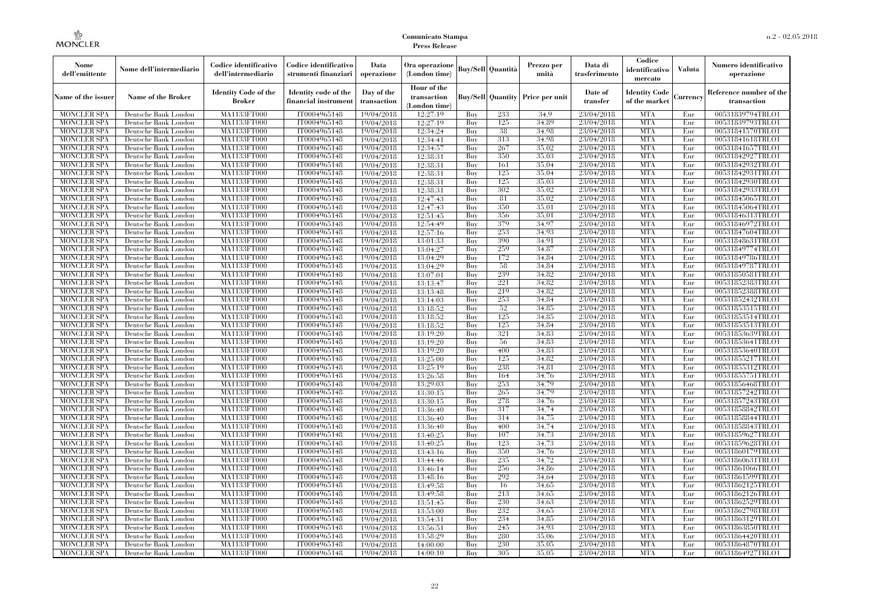| Nome<br>dell'emittente                   | Nome dell'intermediario                      | Codice identificativo<br>dell'intermediario  | Codice identificativo<br>strumenti finanziari | Data<br>operazione        | Ora operazione<br>(London time)             |            | <b>Buy/Sell Quantità</b> | Prezzo per<br>unità                     | Data di<br>trasferimento | Codice<br>identificativo<br>mercato   | <b>Valuta</b> | Numero identificativo<br>operazione    |
|------------------------------------------|----------------------------------------------|----------------------------------------------|-----------------------------------------------|---------------------------|---------------------------------------------|------------|--------------------------|-----------------------------------------|--------------------------|---------------------------------------|---------------|----------------------------------------|
| Name of the issuer                       | <b>Name of the Broker</b>                    | <b>Identity Code of the</b><br><b>Broker</b> | Identity code of the<br>financial instrumen   | Day of the<br>transaction | Hour of the<br>transaction<br>(London time) |            |                          | <b>Buy/Sell Quantity Price per unit</b> | Date of<br>transfer      | <b>Identity Code</b><br>of the market | Currency      | Reference number of the<br>transaction |
| <b>MONCLER SPA</b>                       | Deutsche Bank London                         | MA1133FT000                                  | IT0004965148                                  | 19/04/2018                | 12:27:19                                    | Buy        | 233                      | 34.9                                    | 23/04/2018               | <b>MTA</b>                            | Eur           | 00531839794TRLO1                       |
| <b>MONCLER SPA</b>                       | Deutsche Bank London                         | MA1133FT000                                  | IT0004965148                                  | 19/04/2018                | 12:27:19                                    | Buy        | 125                      | 34,89                                   | 23/04/2018               | <b>MTA</b>                            | Eur           | 00531839793TRLO1                       |
| <b>MONCLER SPA</b>                       | Deutsche Bank London                         | <b>MA1133FT000</b>                           | IT0004965148                                  | 19/04/2018                | 12:34:24                                    | Buy        | 38                       | 34.98                                   | 23/04/2018               | <b>MTA</b>                            | Eur           | 00531841570TRLO1                       |
| <b>MONCLER SPA</b>                       | Deutsche Bank London                         | MA1133FT000                                  | IT0004965148                                  | 19/04/2018                | 12:34:41                                    | Buy        | 313                      | 34.98                                   | 23/04/2018               | <b>MTA</b>                            | Eur           | 00531841618TRLO1                       |
| <b>MONCLER SPA</b>                       | Deutsche Bank London                         | MA1133FT000                                  | IT0004965148                                  | 19/04/2018                | 12:34:57                                    | Buy        | 267                      | 35,02                                   | 23/04/2018               | <b>MTA</b>                            | Eur           | 00531841657TRLO1                       |
| <b>MONCLER SPA</b>                       | Deutsche Bank London                         | MA1133FT000                                  | IT0004965148                                  | 19/04/2018                | 12:38:31                                    | Buy        | 350                      | 35,03                                   | 23/04/2018               | <b>MTA</b>                            | Eur           | 00531842927TRLO1                       |
| <b>MONCLER SPA</b>                       | Deutsche Bank London                         | <b>MA1133FT000</b>                           | IT0004965148                                  | 19/04/2018                | 12:38:31                                    | Buy        | 161                      | 35,04                                   | 23/04/2018               | <b>MTA</b>                            | Eur           | 00531842932TRLO1                       |
| <b>MONCLER SPA</b>                       | Deutsche Bank London                         | <b>MA1133FT000</b>                           | IT0004965148                                  | 19/04/2018                | 12:38:31                                    | Buy        | 125                      | 35,04                                   | 23/04/2018               | <b>MTA</b>                            | Eur           | 00531842931TRLO1                       |
| <b>MONCLER SPA</b>                       | Deutsche Bank London                         | MA1133FT000                                  | IT0004965148                                  | 19/04/2018                | 12:38:31                                    | Buy        | 125<br>302               | 35,03<br>35,02                          | 23/04/2018               | <b>MTA</b>                            | Eur           | 00531842930TRLO1                       |
| <b>MONCLER SPA</b>                       | Deutsche Bank London                         | MA1133FT000                                  | IT0004965148                                  | 19/04/2018                | 12:38:31                                    | Buy        | 81                       | 35,02                                   | 23/04/2018               | <b>MTA</b>                            | Eur           | 00531842933TRLO1                       |
| <b>MONCLER SPA</b>                       | Deutsche Bank London                         | <b>MA1133FT000</b><br><b>MA1133FT000</b>     | IT0004965148                                  | 19/04/2018                | 12:47:43                                    | Buy        | 350                      | 35,01                                   | 23/04/2018               | <b>MTA</b><br><b>MTA</b>              | Eur           | 00531845065TRLO1                       |
| <b>MONCLER SPA</b><br><b>MONCLER SPA</b> | Deutsche Bank London                         |                                              | IT0004965148<br>IT0004965148                  | 19/04/2018                | 12:47:43<br>12:51:45                        | Buy<br>Buy | 356                      | 35,01                                   | 23/04/2018<br>23/04/2018 | <b>MTA</b>                            | Eur<br>Eur    | 00531845064TRLO1<br>00531846313TRLO1   |
|                                          | Deutsche Bank London                         | MA1133FT000<br>MA1133FT000                   | IT0004965148                                  | 19/04/2018                |                                             | Buy        | 379                      | 34.97                                   | 23/04/2018               | <b>MTA</b>                            |               | 00531846972TRLO1                       |
| <b>MONCLER SPA</b>                       | Deutsche Bank London                         |                                              | IT0004965148                                  | 19/04/2018                | 12:54:49<br>12:57:16                        |            | 253                      | 34.93                                   | 23/04/2018               | <b>MTA</b>                            | Eur           | 00531847604TRLO1                       |
| <b>MONCLER SPA</b><br><b>MONCLER SPA</b> | Deutsche Bank London<br>Deutsche Bank London | <b>MA1133FT000</b><br><b>MA1133FT000</b>     | IT0004965148                                  | 19/04/2018<br>19/04/2018  | 13:01:33                                    | Buy        | 390                      | 34.91                                   | 23/04/2018               | <b>MTA</b>                            | Eur<br>Eur    | 00531848631TRLO1                       |
| <b>MONCLER SPA</b>                       | Deutsche Bank London                         | MA1133FT000                                  | IT0004965148                                  | 19/04/2018                | 13:04:27                                    | Buy<br>Buy | 259                      | 34,87                                   | 23/04/2018               | <b>MTA</b>                            | Eur           | 00531849774TRLO1                       |
| <b>MONCLER SPA</b>                       | Deutsche Bank London                         | MA1133FT000                                  | IT0004965148                                  | 19/04/2018                | 13:04:29                                    | Buy        | 172                      | 34,84                                   | 23/04/2018               | <b>MTA</b>                            | Eur           | 00531849786TRLO1                       |
| <b>MONCLER SPA</b>                       | Deutsche Bank London                         | <b>MA1133FT000</b>                           | IT0004965148                                  |                           | 13:04:29                                    | Buy        | 58                       | 34,84                                   | 23/04/2018               | <b>MTA</b>                            | Eur           | 00531849787TRLO1                       |
| <b>MONCLER SPA</b>                       | Deutsche Bank London                         | <b>MA1133FT000</b>                           | IT0004965148                                  | 19/04/2018<br>19/04/2018  | 13:07:01                                    | Buy        | 239                      | 34.82                                   | 23/04/2018               | <b>MTA</b>                            | Eur           | 00531850581TRLO1                       |
| <b>MONCLER SPA</b>                       | Deutsche Bank London                         | MA1133FT000                                  | IT0004965148                                  | 19/04/2018                | 13:13:47                                    | Buy        | 221                      | 34.82                                   | 23/04/2018               | <b>MTA</b>                            | Eur           | 00531852383TRLO1                       |
| <b>MONCLER SPA</b>                       | Deutsche Bank London                         | MA1133FT000                                  | IT0004965148                                  | 19/04/2018                | 13:13:48                                    | Buy        | 219                      | 34,82                                   | 23/04/2018               | <b>MTA</b>                            | Eur           | 00531852388TRLO1                       |
| MONCLER SPA                              | Deutsche Bank London                         | <b>MA1133FT000</b>                           | IT0004965148                                  |                           |                                             | Buy        | 253                      | 34,84                                   | 23/04/2018               | <b>MTA</b>                            | Eur           | 00531852432TRLO1                       |
| <b>MONCLER SPA</b>                       | Deutsche Bank London                         | MA1133FT000                                  | IT0004965148                                  | 19/04/2018<br>19/04/2018  | 13:14:03<br>13:18:52                        | Buy        | 52                       | 34.85                                   | 23/04/2018               | <b>MTA</b>                            | Eur           | 00531853515TRLO1                       |
| <b>MONCLER SPA</b>                       | Deutsche Bank London                         | MA1133FT000                                  | IT0004965148                                  | 19/04/2018                | 13:18:52                                    | Buy        | 125                      | 34.85                                   | 23/04/2018               | <b>MTA</b>                            | Eur           | 00531853514TRLO1                       |
| <b>MONCLER SPA</b>                       | Deutsche Bank London                         | <b>MA1133FT000</b>                           | IT0004965148                                  | 19/04/2018                | 13:18:52                                    | Buy        | 125                      | 34,84                                   | 23/04/2018               | <b>MTA</b>                            | Eur           | 00531853513TRLO1                       |
| MONCLER SPA                              | Deutsche Bank London                         | <b>MA1133FT000</b>                           | IT0004965148                                  | 19/04/2018                | 13:19:20                                    | Buy        | 321                      | 34.83                                   | 23/04/2018               | <b>MTA</b>                            | Eur           | 00531853639TRLO1                       |
| <b>MONCLER SPA</b>                       | Deutsche Bank London                         | MA1133FT000                                  | IT0004965148                                  | 19/04/2018                | 13:19:20                                    | Buy        | 56                       | 34.83                                   | 23/04/2018               | <b>MTA</b>                            | Eur           | 00531853641TRLO1                       |
| <b>MONCLER SPA</b>                       | Deutsche Bank London                         | MA1133FT000                                  | IT0004965148                                  | 19/04/2018                | 13:19:20                                    | Buy        | 400                      | 34.83                                   | 23/04/2018               | <b>MTA</b>                            | Eur           | 00531853640TRLO1                       |
| <b>MONCLER SPA</b>                       | Deutsche Bank London                         | <b>MA1133FT000</b>                           | IT0004965148                                  | 19/04/2018                | 13:25:00                                    | Buy        | 125                      | 34,82                                   | 23/04/2018               | <b>MTA</b>                            | Eur           | 00531855217TRLO1                       |
| <b>MONCLER SPA</b>                       | Deutsche Bank London                         | <b>MA1133FT000</b>                           | IT0004965148                                  | 19/04/2018                | 13:25:19                                    | Buy        | 238                      | 34,81                                   | 23/04/2018               | <b>MTA</b>                            | Eur           | 00531855312TRLO1                       |
| <b>MONCLER SPA</b>                       | Deutsche Bank London                         | MA1133FT000                                  | IT0004965148                                  | 19/04/2018                | 13:26:58                                    | Buy        | 164                      | 34.76                                   | 23/04/2018               | <b>MTA</b>                            | Eur           | 00531855751TRLO1                       |
| <b>MONCLER SPA</b>                       | Deutsche Bank London                         | MA1133FT000                                  | IT0004965148                                  | 19/04/2018                | 13:29:03                                    | Buy        | 253                      | 34.79                                   | 23/04/2018               | <b>MTA</b>                            | Eur           | 00531856468TRLO1                       |
| <b>MONCLER SPA</b>                       | Deutsche Bank London                         | <b>MA1133FT000</b>                           | IT0004965148                                  | 19/04/2018                | 13:30:15                                    | Buy        | 265                      | 34,79                                   | 23/04/2018               | <b>MTA</b>                            | Eur           | 00531857242TRLO1                       |
| <b>MONCLER SPA</b>                       | Deutsche Bank London                         | <b>MA1133FT000</b>                           | IT0004965148                                  | 19/04/2018                | 13:30:15                                    | Buy        | 278                      | 34,76                                   | 23/04/2018               | <b>MTA</b>                            | Eur           | 00531857243TRLO1                       |
| <b>MONCLER SPA</b>                       | Deutsche Bank London                         | MA1133FT000                                  | IT0004965148                                  | 19/04/2018                | 13:36:40                                    | Buy        | 317                      | 34.74                                   | 23/04/2018               | <b>MTA</b>                            | Eur           | 00531858842TRLO1                       |
| <b>MONCLER SPA</b>                       | Deutsche Bank London                         | MA1133FT000                                  | IT0004965148                                  | 19/04/2018                | 13:36:40                                    | Buy        | 314                      | 34.75                                   | 23/04/2018               | <b>MTA</b>                            | Eur           | 00531858844TRLO1                       |
| <b>MONCLER SPA</b>                       | Deutsche Bank London                         | <b>MA1133FT000</b>                           | IT0004965148                                  | 19/04/2018                | 13:36:40                                    | Buy        | 400                      | 34,74                                   | 23/04/2018               | <b>MTA</b>                            | Eur           | 00531858843TRLO1                       |
| <b>MONCLER SPA</b>                       | Deutsche Bank London                         | <b>MA1133FT000</b>                           | IT0004965148                                  | 19/04/2018                | 13:40:25                                    | Buy        | 107                      | 34,73                                   | 23/04/2018               | <b>MTA</b>                            | Eur           | 00531859627TRLO1                       |
| <b>MONCLER SPA</b>                       | Deutsche Bank London                         | MA1133FT000                                  | IT0004965148                                  | 19/04/2018                | 13:40:25                                    | Buy        | 123                      | 34,73                                   | 23/04/2018               | <b>MTA</b>                            | Eur           | 00531859628TRLO1                       |
| <b>MONCLER SPA</b>                       | Deutsche Bank London                         | MA1133FT000                                  | IT0004965148                                  | 19/04/2018                | 13:43:16                                    | Buy        | 350                      | 34.76                                   | 23/04/2018               | <b>MTA</b>                            | Eur           | 00531860179TRLO1                       |
| <b>MONCLER SPA</b>                       | Deutsche Bank London                         | MA1133FT000                                  | IT0004965148                                  | 19/04/2018                | 13:44:46                                    | Buy        | 235                      | 34,72                                   | 23/04/2018               | <b>MTA</b>                            | Eur           | 00531860631TRLO1                       |
| <b>MONCLER SPA</b>                       | Deutsche Bank London                         | <b>MA1133FT000</b>                           | IT0004965148                                  | 19/04/2018                | 13:46:14                                    | Buy        | 256                      | 34,86                                   | 23/04/2018               | MTA                                   | Eur           | 00531861066TRLO1                       |
| <b>MONCLER SPA</b>                       | Deutsche Bank London                         | MA1133FT000                                  | IT0004965148                                  | 19/04/2018                | 13:48:16                                    | Buy        | 292                      | 34.64                                   | 23/04/2018               | <b>MTA</b>                            | Eur           | 00531861599TRLO1                       |
| <b>MONCLER SPA</b>                       | Deutsche Bank London                         | MA1133FT000                                  | IT0004965148                                  | 19/04/2018                | 13:49:58                                    | Buy        | 16                       | 34.65                                   | 23/04/2018               | <b>MTA</b>                            | Eur           | 00531862125TRLO1                       |
| <b>MONCLER SPA</b>                       | Deutsche Bank London                         | MA1133FT000                                  | IT0004965148                                  | 19/04/2018                | 13:49:58                                    | Buy        | 213                      | 34.65                                   | 23/04/2018               | <b>MTA</b>                            | Eur           | 00531862126TRLO1                       |
| <b>MONCLER SPA</b>                       | Deutsche Bank London                         | <b>MA1133FT000</b>                           | IT0004965148                                  | 19/04/2018                | 13:51:45                                    | Buy        | 230                      | 34,63                                   | 23/04/2018               | <b>MTA</b>                            | Eur           | 00531862529TRLO1                       |
| <b>MONCLER SPA</b>                       | Deutsche Bank London                         | MA1133FT000                                  | IT0004965148                                  | 19/04/2018                | 13:53:00                                    | Buy        | 232                      | 34.65                                   | 23/04/2018               | <b>MTA</b>                            | Eur           | 00531862798TRLO1                       |
| <b>MONCLER SPA</b>                       | Deutsche Bank London                         | MA1133FT000                                  | IT0004965148                                  | 19/04/2018                | 13:54:31                                    | Buy        | 234                      | 34.85                                   | 23/04/2018               | <b>MTA</b>                            | Eur           | 00531863129TRLO1                       |
| <b>MONCLER SPA</b>                       | Deutsche Bank London                         | MA1133FT000                                  | IT0004965148                                  | 19/04/2018                | 13:56:51                                    | Buy        | 245                      | 34.93                                   | 23/04/2018               | <b>MTA</b>                            | Eur           | 00531863850TRLO1                       |
| MONCLER SPA                              | Deutsche Bank London                         | <b>MA1133FT000</b>                           | IT0004965148                                  | 19/04/2018                | 13:58:29                                    | Buy        | 280                      | 35,06                                   | 23/04/2018               | <b>MTA</b>                            | Eur           | 00531864420TRLO1                       |
| <b>MONCLER SPA</b>                       | Deutsche Bank London                         | <b>MA1133FT000</b>                           | IT0004965148                                  | 19/04/2018                | 14:00:00                                    | Buy        | 230                      | 35,05                                   | 23/04/2018               | <b>MTA</b>                            | Eur           | 00531864870TRLO1                       |
| <b>MONCLER SPA</b>                       | Deutsche Bank London                         | MA1133FT000                                  | IT0004965148                                  | 19/04/2018                | 14:00:10                                    | Buy        | 305                      | 35,05                                   | 23/04/2018               | <b>MTA</b>                            | Eur           | 00531864927TRLO1                       |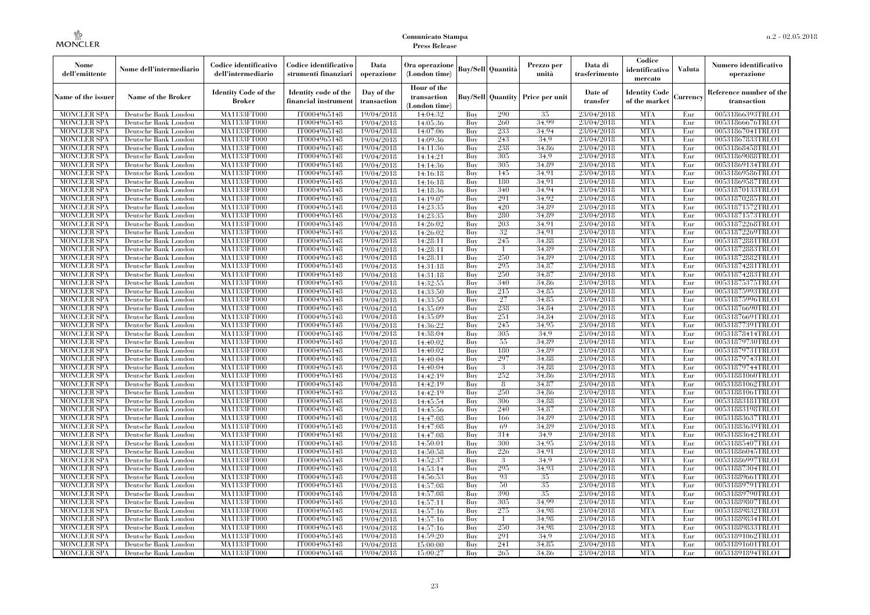| Nome<br>dell'emittente                   | Nome dell'intermediario                      | Codice identificativo<br>dell'intermediario  | Codice identificativo<br>strumenti finanziari | Data<br>operazione        | Ora operazione<br>(London time)             |            | <b>Buy/Sell Quantità</b> | Prezzo per<br>unità | Data di<br>trasferimento | Codice<br>identificativo<br>mercato   | <b>Valuta</b> | Numero identificativo<br>operazione    |
|------------------------------------------|----------------------------------------------|----------------------------------------------|-----------------------------------------------|---------------------------|---------------------------------------------|------------|--------------------------|---------------------|--------------------------|---------------------------------------|---------------|----------------------------------------|
| Name of the issuer                       | <b>Name of the Broker</b>                    | <b>Identity Code of the</b><br><b>Broker</b> | Identity code of the<br>financial instrumen   | Day of the<br>transaction | Hour of the<br>transaction<br>(London time) |            | <b>Buy/Sell Quantity</b> | Price per unit      | Date of<br>transfer      | <b>Identity Code</b><br>of the market | Currency      | Reference number of the<br>transaction |
| <b>MONCLER SPA</b>                       | Deutsche Bank London                         | MA1133FT000                                  | IT0004965148                                  | 19/04/2018                | 14:04:32                                    | Buy        | 290                      | 35                  | 23/04/2018               | <b>MTA</b>                            | Eur           | 00531866393TRLO1                       |
| <b>MONCLER SPA</b>                       | Deutsche Bank London                         | MA1133FT000                                  | IT0004965148                                  | 19/04/2018                | 14:05:36                                    | Buy        | 260                      | 34.99               | 23/04/2018               | <b>MTA</b>                            | Eur           | 00531866676TRLO1                       |
| <b>MONCLER SPA</b>                       | Deutsche Bank London                         | <b>MA1133FT000</b>                           | IT0004965148                                  | 19/04/2018                | 14:07:06                                    | Buy        | 233                      | 34.94               | 23/04/2018               | <b>MTA</b>                            | Eur           | 00531867041TRLO1                       |
| <b>MONCLER SPA</b>                       | Deutsche Bank London                         | MA1133FT000                                  | IT0004965148                                  | 19/04/2018                | 14:09:36                                    | Buy        | 243                      | 34.9                | 23/04/2018               | <b>MTA</b>                            | Eur           | 00531867833TRLO1                       |
| <b>MONCLER SPA</b>                       | Deutsche Bank London                         | MA1133FT000                                  | IT0004965148                                  | 19/04/2018                | 14:11:36                                    | Buy        | 238                      | 34.86               | 23/04/2018               | <b>MTA</b>                            | Eur           | 00531868458TRLO1                       |
| <b>MONCLER SPA</b>                       | Deutsche Bank London                         | MA1133FT000                                  | IT0004965148                                  | 19/04/2018                | 14:14:21                                    | Buy        | 305                      | 34.9                | 23/04/2018               | <b>MTA</b>                            | Eur           | 00531869088TRLO1                       |
| <b>MONCLER SPA</b>                       | Deutsche Bank London                         | <b>MA1133FT000</b>                           | IT0004965148                                  | 19/04/2018                | 14:14:36                                    | Buy        | 305                      | 34,89               | 23/04/2018               | <b>MTA</b>                            | Eur           | 00531869134TRLO1                       |
| <b>MONCLER SPA</b>                       | Deutsche Bank London                         | <b>MA1133FT000</b>                           | IT0004965148                                  | 19/04/2018                | 14:16:18                                    | Buy        | 145                      | 34.91               | 23/04/2018               | <b>MTA</b>                            | Eur           | 00531869586TRLO1                       |
| <b>MONCLER SPA</b>                       | Deutsche Bank London                         | MA1133FT000                                  | IT0004965148                                  | 19/04/2018                | 14:16:18                                    | Buy        | 180                      | 34.91               | 23/04/2018               | <b>MTA</b>                            | Eur           | 00531869587TRLO1                       |
| <b>MONCLER SPA</b>                       | Deutsche Bank London                         | MA1133FT000                                  | IT0004965148                                  | 19/04/2018                | 14:18:36                                    | Buy        | 340<br>291               | 34.94<br>34.92      | 23/04/2018               | <b>MTA</b>                            | Eur           | 00531870133TRLO1                       |
| <b>MONCLER SPA</b><br><b>MONCLER SPA</b> | Deutsche Bank London<br>Deutsche Bank London | <b>MA1133FT000</b><br><b>MA1133FT000</b>     | IT0004965148<br>IT0004965148                  | 19/04/2018<br>19/04/2018  | 14:19:07                                    | Buy        | 420                      | 34.89               | 23/04/2018<br>23/04/2018 | <b>MTA</b><br><b>MTA</b>              | Eur<br>Eur    | 00531870285TRLO1<br>00531871572TRLO1   |
| <b>MONCLER SPA</b>                       | Deutsche Bank London                         | MA1133FT000                                  | IT0004965148                                  | 19/04/2018                | 14:23:35<br>14:23:35                        | Buy<br>Buy | 280                      | 34.89               | 23/04/2018               | <b>MTA</b>                            | Eur           | 00531871573TRLO1                       |
| <b>MONCLER SPA</b>                       | Deutsche Bank London                         | MA1133FT000                                  | IT0004965148                                  | 19/04/2018                | 14:26:02                                    | Buy        | 203                      | 34.91               | 23/04/2018               | <b>MTA</b>                            | Eur           | 00531872268TRLO1                       |
| <b>MONCLER SPA</b>                       | Deutsche Bank London                         | <b>MA1133FT000</b>                           | IT0004965148                                  |                           |                                             | Buy        | 32                       | 34.91               | 23/04/2018               | <b>MTA</b>                            | Eur           | 00531872269TRLO1                       |
| <b>MONCLER SPA</b>                       | Deutsche Bank London                         | <b>MA1133FT000</b>                           | IT0004965148                                  | 19/04/2018<br>19/04/2018  | 14:26:02<br>14:28:11                        | Buy        | 245                      | 34.88               | 23/04/2018               | <b>MTA</b>                            | Eur           | 00531872881TRLO1                       |
| <b>MONCLER SPA</b>                       | Deutsche Bank London                         | MA1133FT000                                  | IT0004965148                                  | 19/04/2018                | 14:28:11                                    | Buy        | $\overline{1}$           | 34.89               | 23/04/2018               | <b>MTA</b>                            | Eur           | 00531872883TRLO1                       |
| <b>MONCLER SPA</b>                       | Deutsche Bank London                         | MA1133FT000                                  | IT0004965148                                  | 19/04/2018                | 14:28:11                                    | Buy        | 250                      | 34,89               | 23/04/2018               | <b>MTA</b>                            | Eur           | 00531872882TRLO1                       |
| <b>MONCLER SPA</b>                       | Deutsche Bank London                         | <b>MA1133FT000</b>                           | IT0004965148                                  | 19/04/2018                | 14:31:18                                    | Buy        | 295                      | 34,87               | 23/04/2018               | <b>MTA</b>                            | Eur           | 00531874281TRLO1                       |
| <b>MONCLER SPA</b>                       | Deutsche Bank London                         | <b>MA1133FT000</b>                           | IT0004965148                                  | 19/04/2018                | 14:31:18                                    | Buy        | 250                      | 34,87               | 23/04/2018               | <b>MTA</b>                            | Eur           | 00531874283TRLO1                       |
| <b>MONCLER SPA</b>                       | Deutsche Bank London                         | MA1133FT000                                  | IT0004965148                                  | 19/04/2018                | 14:32:55                                    | Buy        | 340                      | 34.86               | 23/04/2018               | <b>MTA</b>                            | Eur           | 00531875375TRLO1                       |
| <b>MONCLER SPA</b>                       | Deutsche Bank London                         | MA1133FT000                                  | IT0004965148                                  | 19/04/2018                | 14:33:50                                    | Buy        | 215                      | 34,85               | 23/04/2018               | <b>MTA</b>                            | Eur           | 00531875993TRLO1                       |
| MONCLER SPA                              | Deutsche Bank London                         | <b>MA1133FT000</b>                           | IT0004965148                                  | 19/04/2018                | 14:33:50                                    | Buy        | 27                       | 34.85               | 23/04/2018               | <b>MTA</b>                            | Eur           | 00531875996TRLO1                       |
| <b>MONCLER SPA</b>                       | Deutsche Bank London                         | MA1133FT000                                  | IT0004965148                                  | 19/04/2018                | 14:35:09                                    | Buy        | 238                      | 34,84               | 23/04/2018               | <b>MTA</b>                            | Eur           | 00531876690TRLO1                       |
| <b>MONCLER SPA</b>                       | Deutsche Bank London                         | MA1133FT000                                  | IT0004965148                                  | 19/04/2018                | 14:35:09                                    | Buy        | 251                      | 34,84               | 23/04/2018               | <b>MTA</b>                            | Eur           | 00531876691TRLO1                       |
| <b>MONCLER SPA</b>                       | Deutsche Bank London                         | <b>MA1133FT000</b>                           | IT0004965148                                  | 19/04/2018                | 14:36:22                                    | Buy        | 245                      | 34,95               | 23/04/2018               | <b>MTA</b>                            | Eur           | 00531877391TRLO1                       |
| MONCLER SPA                              | Deutsche Bank London                         | <b>MA1133FT000</b>                           | IT0004965148                                  | 19/04/2018                | 14:38:04                                    | Buy        | 305                      | 34.9                | 23/04/2018               | <b>MTA</b>                            | Eur           | 00531878414TRLO1                       |
| <b>MONCLER SPA</b>                       | Deutsche Bank London                         | MA1133FT000                                  | IT0004965148                                  | 19/04/2018                | 14:40:02                                    | Buy        | 55                       | 34.89               | 23/04/2018               | <b>MTA</b>                            | Eur           | 00531879730TRLO1                       |
| <b>MONCLER SPA</b>                       | Deutsche Bank London                         | MA1133FT000                                  | IT0004965148                                  | 19/04/2018                | 14:40:02                                    | Buy        | 180                      | 34.89               | 23/04/2018               | <b>MTA</b>                            | Eur           | 00531879731TRLO1                       |
| <b>MONCLER SPA</b>                       | Deutsche Bank London                         | <b>MA1133FT000</b>                           | IT0004965148                                  | 19/04/2018                | 14:40:04                                    | Buy        | 297                      | 34,88               | 23/04/2018               | <b>MTA</b>                            | Eur           | 00531879743TRLO1                       |
| <b>MONCLER SPA</b>                       | Deutsche Bank London                         | <b>MA1133FT000</b>                           | IT0004965148                                  | 19/04/2018                | 14:40:04                                    | Buy        | -3                       | 34,88               | 23/04/2018               | <b>MTA</b>                            | Eur           | 00531879744TRLO1                       |
| <b>MONCLER SPA</b>                       | Deutsche Bank London                         | MA1133FT000                                  | IT0004965148                                  | 19/04/2018                | 14:42:19                                    | Buy        | 252                      | 34.86               | 23/04/2018               | <b>MTA</b>                            | Eur           | 00531881060TRLO1                       |
| <b>MONCLER SPA</b>                       | Deutsche Bank London                         | MA1133FT000                                  | IT0004965148                                  | 19/04/2018                | 14:42:19                                    | Buy        | 8                        | 34,87               | 23/04/2018               | <b>MTA</b>                            | Eur           | 00531881062TRLO1                       |
| <b>MONCLER SPA</b>                       | Deutsche Bank London                         | <b>MA1133FT000</b>                           | IT0004965148                                  | 19/04/2018                | 14:42:19                                    | Buy        | 250                      | 34,86               | 23/04/2018               | <b>MTA</b>                            | Eur           | 00531881061TRLO1                       |
| <b>MONCLER SPA</b>                       | Deutsche Bank London                         | <b>MA1133FT000</b>                           | IT0004965148                                  | 19/04/2018                | 14:45:54                                    | Buy        | 306                      | 34,88               | 23/04/2018               | <b>MTA</b>                            | Eur           | 00531883181TRLO1                       |
| <b>MONCLER SPA</b>                       | Deutsche Bank London                         | MA1133FT000                                  | IT0004965148                                  | 19/04/2018                | 14:45:56                                    | Buy        | 240                      | 34,87               | 23/04/2018               | <b>MTA</b>                            | Eur           | 00531883198TRLO1                       |
| <b>MONCLER SPA</b>                       | Deutsche Bank London                         | MA1133FT000                                  | IT0004965148                                  | 19/04/2018                | 14:47:08                                    | Buy        | 166                      | 34.89               | 23/04/2018               | <b>MTA</b>                            | Eur           | 00531883637TRLO1                       |
| <b>MONCLER SPA</b>                       | Deutsche Bank London                         | <b>MA1133FT000</b>                           | IT0004965148                                  | 19/04/2018                | 14:47:08                                    | Buy        | -69                      | 34,89               | 23/04/2018               | <b>MTA</b>                            | Eur           | 00531883639TRLO1                       |
| <b>MONCLER SPA</b>                       | Deutsche Bank London                         | <b>MA1133FT000</b>                           | IT0004965148                                  | 19/04/2018                | 14:47:08                                    | Buy        | 314                      | 34,9                | 23/04/2018               | <b>MTA</b>                            | Eur           | 00531883642TRLO1                       |
| <b>MONCLER SPA</b>                       | Deutsche Bank London                         | MA1133FT000                                  | IT0004965148                                  | 19/04/2018                | 14:50:01                                    | Buy        | 300                      | 34.95               | 23/04/2018               | <b>MTA</b>                            | Eur           | 00531885407TRLO1                       |
| <b>MONCLER SPA</b>                       | Deutsche Bank London                         | MA1133FT000                                  | IT0004965148                                  | 19/04/2018                | 14:50:58                                    | Buy        | 226                      | 34.91               | 23/04/2018               | <b>MTA</b>                            | Eur           | 00531886045TRLO1                       |
| <b>MONCLER SPA</b>                       | Deutsche Bank London                         | MA1133FT000                                  | IT0004965148                                  | 19/04/2018                | 14:52:37                                    | Buy        | 3                        | 34.9                | 23/04/2018               | <b>MTA</b>                            | Eur           | 00531886997TRLO1                       |
| <b>MONCLER SPA</b>                       | Deutsche Bank London                         | <b>MA1133FT000</b>                           | IT0004965148                                  | 19/04/2018                | 14:53:14                                    | Buy        | 295                      | 34.93               | 23/04/2018               | MTA                                   | Eur           | 00531887304TRLO1                       |
| <b>MONCLER SPA</b>                       | Deutsche Bank London                         | MA1133FT000                                  | IT0004965148                                  | 19/04/2018                | 14:56:53                                    | Buy        | 93                       | 35                  | 23/04/2018               | <b>MTA</b>                            | Eur           | 00531889661TRLO1                       |
| <b>MONCLER SPA</b>                       | Deutsche Bank London                         | MA1133FT000                                  | IT0004965148                                  | 19/04/2018                | 14:57:08                                    | Buy        | 50                       | 35                  | 23/04/2018               | <b>MTA</b>                            | Eur           | 00531889791TRLO1                       |
| <b>MONCLER SPA</b>                       | Deutsche Bank London                         | MA1133FT000                                  | IT0004965148                                  | 19/04/2018                | 14:57:08                                    | Buy        | 390                      | 35                  | 23/04/2018               | <b>MTA</b>                            | Eur           | 00531889790TRLO1                       |
| <b>MONCLER SPA</b>                       | Deutsche Bank London                         | <b>MA1133FT000</b>                           | IT0004965148                                  | 19/04/2018                | 14:57:11                                    | Buy        | 305                      | 34.99               | 23/04/2018               | <b>MTA</b>                            | Eur           | 00531889807TRLO1                       |
| <b>MONCLER SPA</b>                       | Deutsche Bank London                         | MA1133FT000                                  | IT0004965148                                  | 19/04/2018                | 14:57:16                                    | Buy        | 275                      | 34.98               | 23/04/2018               | <b>MTA</b>                            | Eur           | 00531889832TRLO1                       |
| <b>MONCLER SPA</b>                       | Deutsche Bank London                         | MA1133FT000                                  | IT0004965148                                  | 19/04/2018                | 14:57:16                                    | Buy        | $\overline{1}$           | 34.98               | 23/04/2018               | <b>MTA</b>                            | Eur           | 00531889834TRLO1                       |
| <b>MONCLER SPA</b>                       | Deutsche Bank London                         | MA1133FT000                                  | IT0004965148                                  | 19/04/2018                | 14:57:16                                    | Buy        | 250                      | 34.98               | 23/04/2018               | <b>MTA</b>                            | Eur           | 00531889833TRLO1                       |
| MONCLER SPA                              | Deutsche Bank London                         | <b>MA1133FT000</b>                           | IT0004965148                                  | 19/04/2018                | 14:59:20                                    | Buy        | 291                      | 34.9                | 23/04/2018               | <b>MTA</b>                            | Eur           | 00531891062TRLO1                       |
| <b>MONCLER SPA</b>                       | Deutsche Bank London                         | <b>MA1133FT000</b>                           | IT0004965148                                  | 19/04/2018                | 15:00:00                                    | Buy        | 241                      | 34.85               | 23/04/2018               | <b>MTA</b>                            | Eur           | 00531891601TRLO1                       |
| <b>MONCLER SPA</b>                       | Deutsche Bank London                         | MA1133FT000                                  | IT0004965148                                  | 19/04/2018                | 15:00:27                                    | Buy        | 265                      | 34.86               | 23/04/2018               | <b>MTA</b>                            | Eur           | 00531891894TRLO1                       |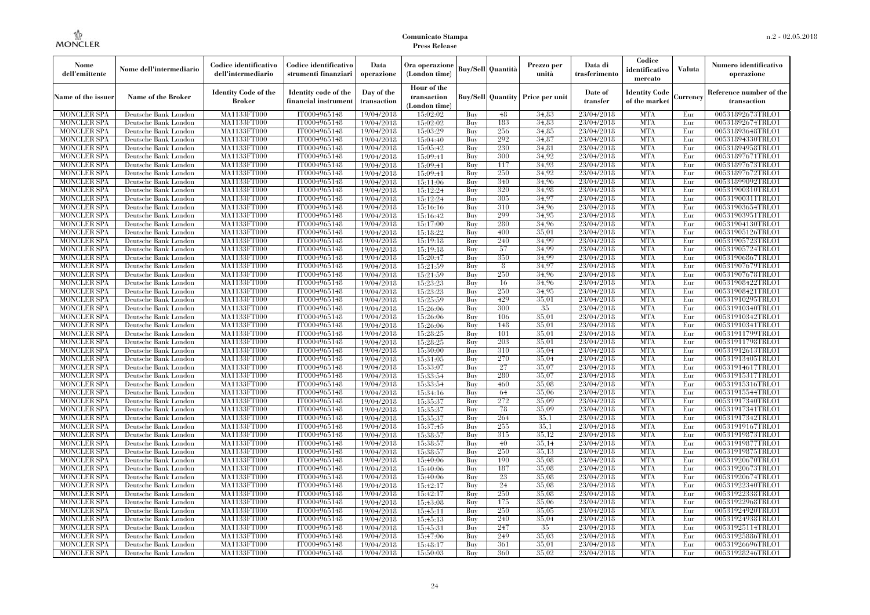| Nome<br>dell'emittente                   | Nome dell'intermediario                      | Codice identificativo<br>dell'intermediario | Codice identificativo<br>strumenti finanziari | Data<br>operazione        | Ora operazione<br>(London time)             |            | Buy/Sell   Quantità      | Prezzo per<br>unità | Data di<br>trasferimento | Codice<br>identificativo<br>mercato   | <b>Valuta</b> | Numero identificativo<br>operazione    |
|------------------------------------------|----------------------------------------------|---------------------------------------------|-----------------------------------------------|---------------------------|---------------------------------------------|------------|--------------------------|---------------------|--------------------------|---------------------------------------|---------------|----------------------------------------|
| Name of the issuer                       | Name of the Broker                           | <b>Identity Code of the</b><br>Broker       | Identity code of the<br>financial instrument  | Day of the<br>transaction | Hour of the<br>transaction<br>(London time) |            | <b>Buy/Sell Quantity</b> | Price per unit      | Date of<br>transfer      | <b>Identity Code</b><br>of the market | Currencv      | Reference number of the<br>transaction |
| <b>MONCLER SPA</b>                       | Deutsche Bank London                         | MA1133FT000                                 | IT0004965148                                  | 19/04/2018                | 15:02:02                                    | Buy        | 48                       | 34.83               | 23/04/2018               | <b>MTA</b>                            | Eur           | 00531892673TRLO1                       |
| <b>MONCLER SPA</b>                       | Deutsche Bank London                         | <b>MA1133FT000</b>                          | IT0004965148                                  | 19/04/2018                | 15:02:02                                    | Buy        | 183                      | 34,83               | 23/04/2018               | <b>MTA</b>                            | Eur           | 00531892674TRLO1                       |
| <b>MONCLER SPA</b>                       | Deutsche Bank London                         | MA1133FT000                                 | IT0004965148                                  | 19/04/2018                | 15:03:29                                    | Buv        | 256                      | 34.85               | 23/04/2018               | <b>MTA</b>                            | Eur           | 00531893648TRLO1                       |
| <b>MONCLER SPA</b>                       | Deutsche Bank London                         | MA1133FT000                                 | IT0004965148                                  | 19/04/2018                | 15:04:40                                    | Buy        | 292                      | 34,87               | 23/04/2018               | <b>MTA</b>                            | Eur           | 00531894330TRLO1                       |
| <b>MONCLER SPA</b>                       | Deutsche Bank London                         | MA1133FT000                                 | IT0004965148                                  | 19/04/2018                | 15:05:42                                    | Buy        | 230<br>300               | 34,81<br>34.92      | 23/04/2018<br>23/04/2018 | <b>MTA</b><br><b>MTA</b>              | Eur<br>Eur    | 00531894958TRLO1                       |
| MONCLER SPA<br><b>MONCLER SPA</b>        | Deutsche Bank London<br>Deutsche Bank London | <b>MA1133FT000</b><br>MA1133FT000           | IT0004965148<br>IT0004965148                  | 19/04/2018<br>19/04/2018  | 15:09:41<br>15:09:41                        | Buy<br>Buy | 117                      | 34.93               | 23/04/2018               | <b>MTA</b>                            | Eur           | 00531897671TRLO1<br>00531897673TRLO1   |
| <b>MONCLER SPA</b>                       | Deutsche Bank London                         | MA1133FT000                                 | IT0004965148                                  | 19/04/2018                | 15:09:41                                    | Buy        | 250                      | 34.92               | 23/04/2018               | <b>MTA</b>                            | Eur           | 00531897672TRLO1                       |
| <b>MONCLER SPA</b>                       | Deutsche Bank London                         | MA1133FT000                                 | IT0004965148                                  | 19/04/2018                | 15:11:06                                    | Buy        | 340                      | 34.96               | 23/04/2018               | <b>MTA</b>                            | Eur           | 00531899092TRLO1                       |
| <b>MONCLER SPA</b>                       | Deutsche Bank London                         | MA1133FT000                                 | IT0004965148                                  | 19/04/2018                | 15:12:24                                    | Buy        | 320                      | 34.98               | 23/04/2018               | <b>MTA</b>                            | Eur           | 00531900310TRLO1                       |
| <b>MONCLER SPA</b>                       | Deutsche Bank London                         | MA1133FT000                                 | IT0004965148                                  | 19/04/2018                | 15:12:24                                    | Buy        | 305                      | 34,97               | 23/04/2018               | <b>MTA</b>                            | Eur           | 00531900311TRLO1                       |
| <b>MONCLER SPA</b>                       | Deutsche Bank London                         | MA1133FT000                                 | IT0004965148                                  | 19/04/2018                | 15:16:16                                    | Buy        | 310                      | 34.96               | 23/04/2018               | <b>MTA</b>                            | Eur           | 00531903654TRLO1                       |
| <b>MONCLER SPA</b>                       | Deutsche Bank London                         | MA1133FT000                                 | IT0004965148                                  | 19/04/2018                | 15:16:42                                    | Buy        | 299                      | 34.95               | 23/04/2018               | <b>MTA</b>                            | Eur           | 00531903951TRLO1                       |
| <b>MONCLER SPA</b>                       | Deutsche Bank London                         | MA1133FT000                                 | IT0004965148                                  | 19/04/2018                | 15:17:00                                    | Buy        | 280                      | 34.96               | 23/04/2018               | <b>MTA</b>                            | Eur           | 00531904130TRLO1                       |
| <b>MONCLER SPA</b>                       | Deutsche Bank London                         | MA1133FT000                                 | IT0004965148                                  | 19/04/2018                | 15:18:22                                    | Buy        | 400                      | 35,01               | 23/04/2018               | <b>MTA</b>                            | Eur           | 00531905126TRLO1                       |
| <b>MONCLER SPA</b>                       | Deutsche Bank London                         | MA1133FT000                                 | IT0004965148                                  | 19/04/2018                | 15:19:18                                    | Buy        | 240                      | 34,99               | 23/04/2018               | <b>MTA</b>                            | Eur           | 00531905723TRLO1                       |
| <b>MONCLER SPA</b>                       | Deutsche Bank London                         | MA1133FT000                                 | IT0004965148                                  | 19/04/2018                | 15:19:18                                    | Buy        | 57                       | 34.99               | 23/04/2018               | <b>MTA</b>                            | Eur           | 00531905724TRLO1                       |
| <b>MONCLER SPA</b>                       | Deutsche Bank London                         | MA1133FT000                                 | IT0004965148                                  | 19/04/2018                | 15:20:47                                    | Buy        | 350                      | 34.99               | 23/04/2018               | <b>MTA</b>                            | Eur           | 00531906867TRLO1                       |
| <b>MONCLER SPA</b>                       | Deutsche Bank London                         | MA1133FT000                                 | IT0004965148                                  | 19/04/2018                | 15:21:59                                    | Buy        | 8                        | 34,97               | 23/04/2018               | <b>MTA</b>                            | Eur           | 00531907679TRLO1                       |
| <b>MONCLER SPA</b>                       | Deutsche Bank London                         | MA1133FT000                                 | IT0004965148                                  | 19/04/2018                | 15:21:59                                    | Buy        | 250                      | 34.96               | 23/04/2018               | <b>MTA</b>                            | Eur           | 00531907678TRLO1                       |
| <b>MONCLER SPA</b>                       | Deutsche Bank London                         | MA1133FT000                                 | IT0004965148                                  | 19/04/2018                | 15:23:23                                    | Buy        | 16                       | 34.96               | 23/04/2018               | <b>MTA</b>                            | Eur           | 00531908422TRLO1                       |
| <b>MONCLER SPA</b>                       | Deutsche Bank London                         | MA1133FT000                                 | IT0004965148                                  | 19/04/2018                | 15:23:23                                    | Buy        | 250                      | 34,95               | 23/04/2018               | <b>MTA</b>                            | Eur           | 00531908421TRLO1                       |
| <b>MONCLER SPA</b>                       | Deutsche Bank London                         | MA1133FT000                                 | IT0004965148                                  | 19/04/2018                | 15:25:59                                    | Buy        | 429                      | 35,01               | 23/04/2018               | <b>MTA</b>                            | Eur           | 00531910295TRLO1                       |
| <b>MONCLER SPA</b>                       | Deutsche Bank London                         | MA1133FT000                                 | IT0004965148<br>IT0004965148                  | 19/04/2018                | 15:26:06                                    | Buy        | 300<br>106               | 35<br>35,01         | 23/04/2018<br>23/04/2018 | <b>MTA</b><br><b>MTA</b>              | Eur           | 00531910340TRLO1                       |
| <b>MONCLER SPA</b><br><b>MONCLER SPA</b> | Deutsche Bank London<br>Deutsche Bank London | MA1133FT000<br>MA1133FT000                  | IT0004965148                                  | 19/04/2018<br>19/04/2018  | 15:26:06<br>15:26:06                        | Buy<br>Buy | 148                      | 35,01               | 23/04/2018               | <b>MTA</b>                            | Eur<br>Eur    | 00531910342TRLO1<br>00531910341TRLO1   |
| <b>MONCLER SPA</b>                       | Deutsche Bank London                         | MA1133FT000                                 | IT0004965148                                  | 19/04/2018                | 15:28:25                                    | Buy        | 101                      | 35,01               | 23/04/2018               | <b>MTA</b>                            | Eur           | 00531911799TRLO1                       |
| <b>MONCLER SPA</b>                       | Deutsche Bank London                         | MA1133FT000                                 | IT0004965148                                  | 19/04/2018                | 15:28:25                                    | Buy        | 203                      | 35,01               | 23/04/2018               | <b>MTA</b>                            | Eur           | 00531911798TRLO1                       |
| <b>MONCLER SPA</b>                       | Deutsche Bank London                         | MA1133FT000                                 | IT0004965148                                  | 19/04/2018                | 15:30:00                                    | Buy        | 310                      | 35,04               | 23/04/2018               | <b>MTA</b>                            | Eur           | 00531912613TRLO1                       |
| <b>MONCLER SPA</b>                       | Deutsche Bank London                         | <b>MA1133FT000</b>                          | IT0004965148                                  | 19/04/2018                | 15:31:05                                    | Buy        | 270                      | 35,04               | 23/04/2018               | <b>MTA</b>                            | Eur           | 00531913405TRLO1                       |
| <b>MONCLER SPA</b>                       | Deutsche Bank London                         | MA1133FT000                                 | IT0004965148                                  | 19/04/2018                | 15:33:07                                    | Buy        | 27                       | 35,07               | 23/04/2018               | <b>MTA</b>                            | Eur           | 00531914617TRLO1                       |
| <b>MONCLER SPA</b>                       | Deutsche Bank London                         | MA1133FT000                                 | IT0004965148                                  | 19/04/2018                | 15:33:54                                    | Buy        | 280                      | 35,07               | 23/04/2018               | <b>MTA</b>                            | Eur           | 00531915317TRLO1                       |
| <b>MONCLER SPA</b>                       | Deutsche Bank London                         | MA1133FT000                                 | IT0004965148                                  | 19/04/2018                | 15:33:54                                    | Buy        | 460                      | 35.08               | 23/04/2018               | <b>MTA</b>                            | Eur           | 00531915316TRLO1                       |
| <b>MONCLER SPA</b>                       | Deutsche Bank London                         | MA1133FT000                                 | IT0004965148                                  | 19/04/2018                | 15:34:16                                    | Buy        | 64                       | 35,06               | 23/04/2018               | <b>MTA</b>                            | Eur           | 00531915544TRLO1                       |
| <b>MONCLER SPA</b>                       | Deutsche Bank London                         | <b>MA1133FT000</b>                          | IT0004965148                                  | 19/04/2018                | 15:35:37                                    | Buy        | 272                      | 35,09               | 23/04/2018               | <b>MTA</b>                            | Eur           | 00531917340TRLO1                       |
| <b>MONCLER SPA</b>                       | Deutsche Bank London                         | MA1133FT000                                 | IT0004965148                                  | 19/04/2018                | 15:35:37                                    | Buy        | 78                       | 35,09               | 23/04/2018               | <b>MTA</b>                            | Eur           | 00531917341TRLO1                       |
| <b>MONCLER SPA</b>                       | Deutsche Bank London                         | MA1133FT000                                 | IT0004965148                                  | 19/04/2018                | 15:35:37                                    | Buv        | 264                      | 35.1                | 23/04/2018               | <b>MTA</b>                            | Eur           | 00531917342TRLO1                       |
| <b>MONCLER SPA</b>                       | Deutsche Bank London                         | <b>MA1133FT000</b>                          | IT0004965148                                  | 19/04/2018                | 15:37:45                                    | Buy        | 255                      | 35.1                | 23/04/2018               | <b>MTA</b>                            | Eur           | 00531919167TRLO1                       |
| <b>MONCLER SPA</b>                       | Deutsche Bank London                         | MA1133FT000                                 | IT0004965148                                  | 19/04/2018                | 15:38:57                                    | Buy        | 315                      | 35,12               | 23/04/2018               | <b>MTA</b>                            | Eur           | 00531919873TRLO1                       |
| <b>MONCLER SPA</b>                       | Deutsche Bank London                         | <b>MA1133FT000</b>                          | IT0004965148                                  | 19/04/2018                | 15:38:57                                    | Buy        | 40                       | 35.14               | 23/04/2018               | <b>MTA</b>                            | Eur           | 00531919877TRLO1                       |
| <b>MONCLER SPA</b>                       | Deutsche Bank London                         | MA1133FT000                                 | IT0004965148                                  | 19/04/2018                | 15:38:57                                    | Buy        | 250                      | 35,13               | 23/04/2018               | <b>MTA</b>                            | Eur           | 00531919875TRLO1                       |
| <b>MONCLER SPA</b>                       | Deutsche Bank London                         | MA1133FT000                                 | IT0004965148                                  | 19/04/2018                | 15:40:06                                    | Buy        | 190                      | 35.08               | 23/04/2018               | <b>MTA</b>                            | Eur           | 00531920670TRLO1                       |
| <b>MONCLER SPA</b>                       | Deutsche Bank London                         | MA1133FT000                                 | IT0004965148                                  | 19/04/2018                | 15:40:06                                    | Buy        | 187                      | 35,08<br>35,08      | 23/04/2018               | <b>MTA</b>                            | Eur           | 00531920673TRLO1                       |
| <b>MONCLER SPA</b>                       | Deutsche Bank London                         | MA1133FT000                                 | IT0004965148                                  | 19/04/2018                | 15:40:06                                    | Buy        | 23                       | 35,08               | 23/04/2018               | <b>MTA</b><br><b>MTA</b>              | Eur           | 00531920674TRLO1                       |
| <b>MONCLER SPA</b><br><b>MONCLER SPA</b> | Deutsche Bank London<br>Deutsche Bank London | MA1133FT000<br>MA1133FT000                  | IT0004965148<br>IT0004965148                  | 19/04/2018<br>19/04/2018  | 15:42:17<br>15:42:17                        | Buy<br>Buy | 24<br>250                | 35,08               | 23/04/2018<br>23/04/2018 | <b>MTA</b>                            | Eur<br>Eur    | 00531922340TRLO1<br>00531922338TRLO1   |
| <b>MONCLER SPA</b>                       | Deutsche Bank London                         | MA1133FT000                                 | IT0004965148                                  | 19/04/2018                | 15:43:08                                    | Buy        | 175                      | 35,06               | 23/04/2018               | <b>MTA</b>                            | Eur           | 00531922968TRLO1                       |
| <b>MONCLER SPA</b>                       | Deutsche Bank London                         | MA1133FT000                                 | IT0004965148                                  | 19/04/2018                | 15:45:11                                    | Buy        | 250                      | 35,05               | 23/04/2018               | <b>MTA</b>                            | Eur           | 00531924920TRLO1                       |
| <b>MONCLER SPA</b>                       | Deutsche Bank London                         | MA1133FT000                                 | IT0004965148                                  | 19/04/2018                | 15:45:13                                    | Buy        | 240                      | 35,04               | 23/04/2018               | <b>MTA</b>                            | Eur           | 00531924938TRLO1                       |
| <b>MONCLER SPA</b>                       | Deutsche Bank London                         | MA1133FT000                                 | IT0004965148                                  | 19/04/2018                | 15:45:31                                    | Buy        | 247                      | 35                  | 23/04/2018               | <b>MTA</b>                            | Eur           | 00531925114TRLO1                       |
| <b>MONCLER SPA</b>                       | Deutsche Bank London                         | MA1133FT000                                 | IT0004965148                                  | 19/04/2018                | 15:47:06                                    | Buy        | 249                      | 35,03               | 23/04/2018               | <b>MTA</b>                            | Eur           | 00531925886TRLO1                       |
| <b>MONCLER SPA</b>                       | Deutsche Bank London                         | MA1133FT000                                 | IT0004965148                                  | 19/04/2018                | 15:48:17                                    | Buy        | 361                      | 35,01               | 23/04/2018               | <b>MTA</b>                            | Eur           | 00531926696TRLO1                       |
| <b>MONCLER SPA</b>                       | Deutsche Bank London                         | MA1133FT000                                 | IT0004965148                                  | 19/04/2018                | 15:50:03                                    | Buy        | 360                      | 35,02               | 23/04/2018               | <b>MTA</b>                            | Eur           | 00531928246TRLO1                       |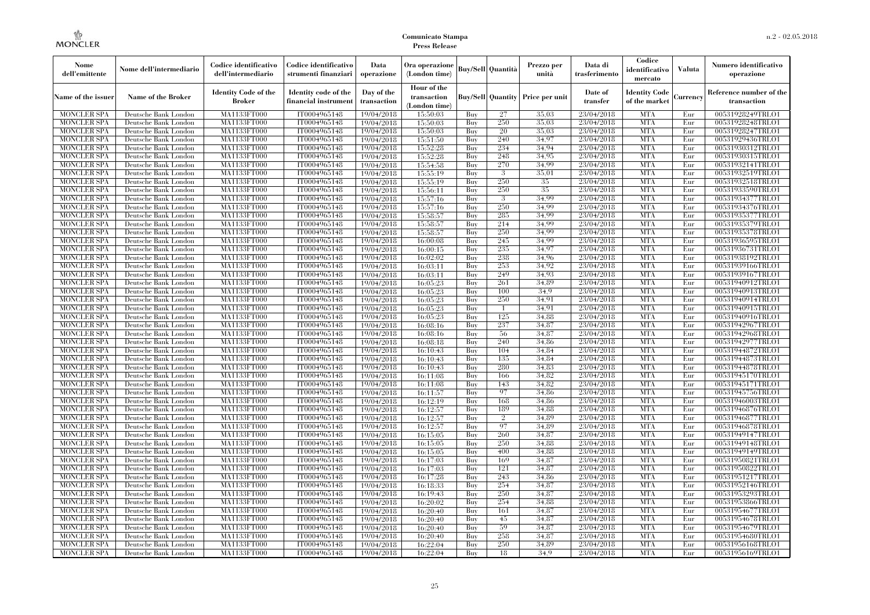| Nome<br>dell'emittente                   | Nome dell'intermediario                      | Codice identificativo<br>dell'intermediario  | Codice identificativo<br>strumenti finanziari | Data<br>operazione        | Ora operazione<br>(London time)             |            | Buy/Sell Quantità        | Prezzo per<br>unità | Data di<br>trasferimento | Codice<br>identificativo<br>mercato   | <b>Valuta</b> | Numero identificativo<br>operazione    |
|------------------------------------------|----------------------------------------------|----------------------------------------------|-----------------------------------------------|---------------------------|---------------------------------------------|------------|--------------------------|---------------------|--------------------------|---------------------------------------|---------------|----------------------------------------|
| Name of the issuer                       | Name of the Broker                           | <b>Identity Code of the</b><br><b>Broker</b> | Identity code of the<br>financial instrument  | Day of the<br>transaction | Hour of the<br>transaction<br>(London time) |            | <b>Buy/Sell Quantity</b> | Price per unit      | Date of<br>transfer      | <b>Identity Code</b><br>of the market | Currency      | Reference number of the<br>transaction |
| <b>MONCLER SPA</b>                       | Deutsche Bank London                         | MA1133FT000                                  | IT0004965148                                  | 19/04/2018                | 15:50:03                                    | Buv        | 27                       | 35.03               | 23/04/2018               | <b>MTA</b>                            | Eur           | 00531928249TRLO1                       |
| <b>MONCLER SPA</b>                       | Deutsche Bank London                         | MA1133FT000                                  | IT0004965148                                  | 19/04/2018                | 15:50:03                                    | Buy        | 250                      | 35,03               | 23/04/2018               | <b>MTA</b>                            | Eur           | 00531928248TRLO1                       |
| <b>MONCLER SPA</b>                       | Deutsche Bank London                         | MA1133FT000                                  | IT0004965148                                  | 19/04/2018                | 15:50:03                                    | Buy        | 20                       | 35,03               | 23/04/2018               | <b>MTA</b>                            | Eur           | 00531928247TRLO1                       |
| <b>MONCLER SPA</b>                       | Deutsche Bank London                         | <b>MA1133FT000</b>                           | IT0004965148                                  | 19/04/2018                | 15:51:50                                    | Buy        | 240                      | 34,97               | 23/04/2018               | <b>MTA</b>                            | Eur           | 00531929436TRLO1                       |
| <b>MONCLER SPA</b>                       | Deutsche Bank London                         | <b>MA1133FT000</b>                           | IT0004965148                                  | 19/04/2018                | 15:52:28                                    | Buy        | 234                      | 34,94               | 23/04/2018               | <b>MTA</b><br><b>MTA</b>              | Eur<br>Eur    | 00531930312TRLO1                       |
| <b>MONCLER SPA</b><br><b>MONCLER SPA</b> | Deutsche Bank London<br>Deutsche Bank London | MA1133FT000<br>MA1133FT000                   | IT0004965148<br>IT0004965148                  | 19/04/2018<br>19/04/2018  | 15:52:28<br>15:54:58                        | Buy<br>Buy | 248<br>270               | 34,95<br>34.99      | 23/04/2018<br>23/04/2018 | <b>MTA</b>                            | Eur           | 00531930315TRLO1<br>00531932141TRLO1   |
| <b>MONCLER SPA</b>                       | Deutsche Bank London                         | MA1133FT000                                  | IT0004965148                                  | 19/04/2018                | 15:55:19                                    | Buy        | -3                       | 35,01               | 23/04/2018               | <b>MTA</b>                            | Eur           | 00531932519TRLO1                       |
| <b>MONCLER SPA</b>                       | Deutsche Bank London                         | MA1133FT000                                  | IT0004965148                                  | 19/04/2018                | 15:55:19                                    | Buy        | 250                      | 35                  | 23/04/2018               | <b>MTA</b>                            | Eur           | 00531932518TRLO1                       |
| <b>MONCLER SPA</b>                       | Deutsche Bank London                         | MA1133FT000                                  | IT0004965148                                  | 19/04/2018                | 15:56:11                                    | Buy        | 250                      | 35                  | 23/04/2018               | <b>MTA</b>                            | Eur           | 00531933590TRLO1                       |
| <b>MONCLER SPA</b>                       | Deutsche Bank London                         | MA1133FT000                                  | IT0004965148                                  | 19/04/2018                | 15:57:16                                    | Buy        | $\mathcal{B}$            | 34.99               | 23/04/2018               | <b>MTA</b>                            | Eur           | 00531934377TRLO1                       |
| <b>MONCLER SPA</b>                       | Deutsche Bank London                         | MA1133FT000                                  | IT0004965148                                  | 19/04/2018                | 15:57:16                                    | Buy        | 250                      | 34.99               | 23/04/2018               | <b>MTA</b>                            | Eur           | 00531934376TRLO1                       |
| <b>MONCLER SPA</b>                       | Deutsche Bank London                         | MA1133FT000                                  | IT0004965148                                  | 19/04/2018                | 15:58:57                                    | Buy        | 285                      | 34.99               | 23/04/2018               | <b>MTA</b>                            | Eur           | 00531935377TRLO1                       |
| <b>MONCLER SPA</b>                       | Deutsche Bank London                         | <b>MA1133FT000</b>                           | IT0004965148                                  | 19/04/2018                | 15:58:57                                    | Buy        | 214                      | 34,99               | 23/04/2018               | <b>MTA</b>                            | Eur           | 00531935379TRLO1                       |
| MONCLER SPA                              | Deutsche Bank London                         | MA1133FT000                                  | IT0004965148                                  | 19/04/2018                | 15:58:57                                    | Buy        | 250                      | 34.99               | 23/04/2018               | <b>MTA</b>                            | Eur           | 00531935378TRLO1                       |
| <b>MONCLER SPA</b>                       | Deutsche Bank London                         | MA1133FT000                                  | IT0004965148                                  | 19/04/2018                | 16:00:08                                    | Buy        | 245                      | 34.99               | 23/04/2018               | <b>MTA</b>                            | Eur           | 00531936595TRLO1                       |
| <b>MONCLER SPA</b>                       | Deutsche Bank London                         | MA1133FT000                                  | IT0004965148                                  | 19/04/2018                | 16:00:15                                    | Buy        | 235                      | 34.97               | 23/04/2018               | <b>MTA</b>                            | Eur           | 00531936731TRLO1                       |
| <b>MONCLER SPA</b>                       | Deutsche Bank London                         | MA1133FT000                                  | IT0004965148                                  | 19/04/2018                | 16:02:02                                    | Buy        | 238                      | 34.96               | 23/04/2018               | <b>MTA</b>                            | Eur           | 00531938192TRLO1                       |
| MONCLER SPA                              | Deutsche Bank London                         | <b>MA1133FT000</b>                           | IT0004965148                                  | 19/04/2018                | 16:03:11                                    | Buy        | 253                      | 34,92               | 23/04/2018               | <b>MTA</b>                            | Eur           | 00531939166TRLO1                       |
| <b>MONCLER SPA</b>                       | Deutsche Bank London                         | MA1133FT000                                  | IT0004965148                                  | 19/04/2018                | 16:03:11                                    | Buy        | 249                      | 34.93               | 23/04/2018               | <b>MTA</b>                            | Eur           | 00531939167TRLO1                       |
| <b>MONCLER SPA</b>                       | Deutsche Bank London                         | MA1133FT000                                  | IT0004965148                                  | 19/04/2018                | 16:05:23                                    | Buy        | 261                      | 34.89               | 23/04/2018               | <b>MTA</b>                            | Eur           | 00531940912TRLO1                       |
| <b>MONCLER SPA</b>                       | Deutsche Bank London                         | MA1133FT000                                  | IT0004965148                                  | 19/04/2018                | 16:05:23                                    | Buy        | 100                      | 34.9                | 23/04/2018               | <b>MTA</b>                            | Eur           | 00531940913TRLO1                       |
| MONCLER SPA                              | Deutsche Bank London                         | MA1133FT000                                  | IT0004965148                                  | 19/04/2018                | 16:05:23                                    | Buy        | 250                      | 34,91               | 23/04/2018               | <b>MTA</b>                            | Eur           | 00531940914TRLO1                       |
| <b>MONCLER SPA</b><br><b>MONCLER SPA</b> | Deutsche Bank London<br>Deutsche Bank London | MA1133FT000<br>MA1133FT000                   | IT0004965148<br>IT0004965148                  | 19/04/2018                | 16:05:23<br>16:05:23                        | Buy<br>Buy | -1<br>125                | 34,91<br>34.88      | 23/04/2018<br>23/04/2018 | <b>MTA</b><br><b>MTA</b>              | Eur<br>Eur    | 00531940915TRLO1<br>00531940916TRLO1   |
| <b>MONCLER SPA</b>                       | Deutsche Bank London                         | <b>MA1133FT000</b>                           | IT0004965148                                  | 19/04/2018<br>19/04/2018  | 16:08:16                                    | Buy        | 237                      | 34,87               | 23/04/2018               | <b>MTA</b>                            | Eur           | 00531942967TRLO1                       |
| <b>MONCLER SPA</b>                       | Deutsche Bank London                         | MA1133FT000                                  | IT0004965148                                  | 19/04/2018                | 16:08:16                                    | Buy        | 56                       | 34,87               | 23/04/2018               | <b>MTA</b>                            | Eur           | 00531942968TRLO1                       |
| <b>MONCLER SPA</b>                       | Deutsche Bank London                         | MA1133FT000                                  | IT0004965148                                  | 19/04/2018                | 16:08:18                                    | Buy        | 240                      | 34,86               | 23/04/2018               | <b>MTA</b>                            | Eur           | 00531942977TRLO1                       |
| <b>MONCLER SPA</b>                       | Deutsche Bank London                         | <b>MA1133FT000</b>                           | IT0004965148                                  | 19/04/2018                | 16:10:43                                    | Buv        | 104                      | 34.84               | 23/04/2018               | <b>MTA</b>                            | Eur           | 00531944872TRLO1                       |
| <b>MONCLER SPA</b>                       | Deutsche Bank London                         | MA1133FT000                                  | IT0004965148                                  | 19/04/2018                | 16:10:43                                    | Buy        | 135                      | 34.84               | 23/04/2018               | <b>MTA</b>                            | Eur           | 00531944873TRLO1                       |
| <b>MONCLER SPA</b>                       | Deutsche Bank London                         | MA1133FT000                                  | IT0004965148                                  | 19/04/2018                | 16:10:43                                    | Buy        | 280                      | 34.83               | 23/04/2018               | <b>MTA</b>                            | Eur           | 00531944878TRLO1                       |
| <b>MONCLER SPA</b>                       | Deutsche Bank London                         | MA1133FT000                                  | IT0004965148                                  | 19/04/2018                | 16:11:08                                    | Buy        | 166                      | 34,82               | 23/04/2018               | <b>MTA</b>                            | Eur           | 00531945170TRLO1                       |
| MONCLER SPA                              | Deutsche Bank London                         | <b>MA1133FT000</b>                           | IT0004965148                                  | 19/04/2018                | 16:11:08                                    | Buy        | 143                      | 34.82               | 23/04/2018               | <b>MTA</b>                            | Eur           | 00531945171TRLO1                       |
| <b>MONCLER SPA</b>                       | Deutsche Bank London                         | MA1133FT000                                  | IT0004965148                                  | 19/04/2018                | 16:11:57                                    | Buy        | 97                       | 34.86               | 23/04/2018               | <b>MTA</b>                            | Eur           | 00531945756TRLO1                       |
| <b>MONCLER SPA</b>                       | Deutsche Bank London                         | MA1133FT000                                  | IT0004965148                                  | 19/04/2018                | 16:12:19                                    | Buy        | 168                      | 34.86               | 23/04/2018               | <b>MTA</b>                            | Eur           | 00531946003TRLO1                       |
| <b>MONCLER SPA</b>                       | Deutsche Bank London                         | MA1133FT000                                  | IT0004965148                                  | 19/04/2018                | 16:12:57                                    | Buy        | 189                      | 34,88               | 23/04/2018               | <b>MTA</b>                            | Eur           | 00531946876TRLO1                       |
| <b>MONCLER SPA</b>                       | Deutsche Bank London                         | MA1133FT000                                  | IT0004965148                                  | 19/04/2018                | 16:12:57                                    | Buy        | $\overline{2}$           | 34.89               | 23/04/2018               | <b>MTA</b>                            | Eur           | 00531946877TRLO1                       |
| <b>MONCLER SPA</b>                       | Deutsche Bank London                         | MA1133FT000                                  | IT0004965148                                  | 19/04/2018                | 16:12:57                                    | Buy        | 97                       | 34.89               | 23/04/2018               | <b>MTA</b>                            | Eur           | 00531946878TRLO1                       |
| <b>MONCLER SPA</b>                       | Deutsche Bank London                         | MA1133FT000                                  | IT0004965148                                  | 19/04/2018                | 16:15:05                                    | Buy        | 260                      | 34,87               | 23/04/2018               | <b>MTA</b>                            | Eur           | 00531949147TRLO1                       |
| <b>MONCLER SPA</b>                       | Deutsche Bank London                         | MA1133FT000                                  | IT0004965148                                  | 19/04/2018                | 16:15:05                                    | Buy        | 250                      | 34.88               | 23/04/2018               | <b>MTA</b>                            | Eur           | 00531949148TRLO1                       |
| <b>MONCLER SPA</b>                       | Deutsche Bank London                         | MA1133FT000                                  | IT0004965148                                  | 19/04/2018                | 16:15:05                                    | Buy        | 400                      | 34.88               | 23/04/2018               | <b>MTA</b>                            | Eur           | 00531949149TRLO1                       |
| <b>MONCLER SPA</b>                       | Deutsche Bank London                         | MA1133FT000                                  | IT0004965148                                  | 19/04/2018                | 16:17:03                                    | Buy        | 169                      | 34,87               | 23/04/2018               | <b>MTA</b>                            | Eur           | 00531950821TRLO1                       |
| <b>MONCLER SPA</b>                       | Deutsche Bank London                         | MA1133FT000                                  | IT0004965148                                  | 19/04/2018                | 16:17:03                                    | Buy        | 121                      | 34,87               | 23/04/2018               | <b>MTA</b>                            | Eur           | 00531950822TRLO1                       |
| <b>MONCLER SPA</b>                       | Deutsche Bank London                         | MA1133FT000                                  | IT0004965148                                  | 19/04/2018                | 16:17:28                                    | Buy        | 243                      | 34.86               | 23/04/2018               | <b>MTA</b>                            | Eur           | 00531951217TRLO1                       |
| <b>MONCLER SPA</b><br><b>MONCLER SPA</b> | Deutsche Bank London<br>Deutsche Bank London | MA1133FT000<br>MA1133FT000                   | IT0004965148<br>IT0004965148                  | 19/04/2018<br>19/04/2018  | 16:18:33<br>16:19:43                        | Buy<br>Buy | 254<br>250               | 34,87<br>34,87      | 23/04/2018<br>23/04/2018 | <b>MTA</b><br><b>MTA</b>              | Eur<br>Eur    | 00531952146TRLO1<br>00531953293TRLO1   |
| <b>MONCLER SPA</b>                       | Deutsche Bank London                         | MA1133FT000                                  | IT0004965148                                  | 19/04/2018                | 16:20:02                                    | Buy        | 254                      | 34,88               | 23/04/2018               | <b>MTA</b>                            | Eur           | 00531953866TRLO1                       |
| <b>MONCLER SPA</b>                       | Deutsche Bank London                         | MA1133FT000                                  | IT0004965148                                  | 19/04/2018                | 16:20:40                                    | Buy        | 161                      | 34,87               | 23/04/2018               | <b>MTA</b>                            | Eur           | 00531954677TRLO1                       |
| <b>MONCLER SPA</b>                       | Deutsche Bank London                         | MA1133FT000                                  | IT0004965148                                  | 19/04/2018                | 16:20:40                                    | Buy        | 45                       | 34,87               | 23/04/2018               | <b>MTA</b>                            | Eur           | 00531954678TRLO1                       |
| <b>MONCLER SPA</b>                       | Deutsche Bank London                         | MA1133FT000                                  | IT0004965148                                  | 19/04/2018                | 16:20:40                                    | Buy        | 59                       | 34,87               | 23/04/2018               | <b>MTA</b>                            | Eur           | 00531954679TRLO1                       |
| <b>MONCLER SPA</b>                       | Deutsche Bank London                         | MA1133FT000                                  | IT0004965148                                  | 19/04/2018                | 16:20:40                                    | Buy        | 258                      | 34,87               | 23/04/2018               | <b>MTA</b>                            | Eur           | 00531954680TRLO1                       |
| <b>MONCLER SPA</b>                       | Deutsche Bank London                         | MA1133FT000                                  | IT0004965148                                  | 19/04/2018                | 16:22:04                                    | Buy        | 250                      | 34.89               | 23/04/2018               | <b>MTA</b>                            | Eur           | 00531956168TRLO1                       |
| <b>MONCLER SPA</b>                       | Deutsche Bank London                         | MA1133FT000                                  | IT0004965148                                  | 19/04/2018                | 16:22:04                                    | Buy        | 18                       | 34.9                | 23/04/2018               | <b>MTA</b>                            | Eur           | 00531956169TRLO1                       |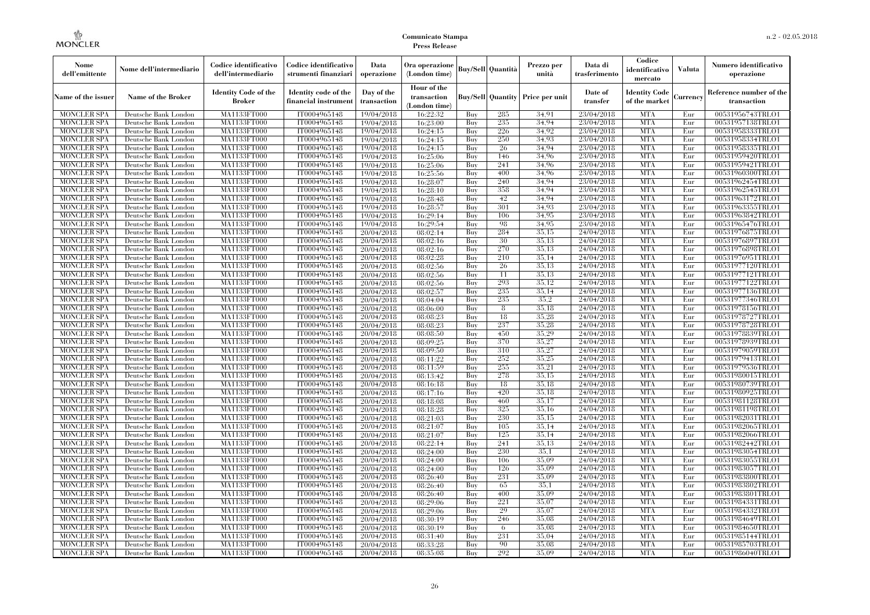| Nome<br>dell'emittente | Nome dell'intermediario   | Codice identificativo<br>dell'intermediario  | Codice identificativo<br>strumenti finanziari | Data<br>operazione        | Ora operazione<br>(London time)             |     | <b>Buy/Sell</b> Quantità | Prezzo per<br>unità | Data di<br>trasferimento | Codice<br>identificativo<br>mercato   | <b>Valuta</b> | Numero identificativo<br>operazione    |
|------------------------|---------------------------|----------------------------------------------|-----------------------------------------------|---------------------------|---------------------------------------------|-----|--------------------------|---------------------|--------------------------|---------------------------------------|---------------|----------------------------------------|
| Name of the issuer     | <b>Name of the Broker</b> | <b>Identity Code of the</b><br><b>Broker</b> | Identity code of the<br>financial instrumen   | Day of the<br>transaction | Hour of the<br>transaction<br>(London time) |     | <b>Buy/Sell Quantity</b> | Price per unit      | Date of<br>transfer      | <b>Identity Code</b><br>of the market | Currency      | Reference number of the<br>transaction |
| <b>MONCLER SPA</b>     | Deutsche Bank London      | MA1133FT000                                  | IT0004965148                                  | 19/04/2018                | 16:22:32                                    | Buy | 285                      | 34.91               | 23/04/2018               | <b>MTA</b>                            | Eur           | 00531956743TRLO1                       |
| <b>MONCLER SPA</b>     | Deutsche Bank London      | MA1133FT000                                  | IT0004965148                                  | 19/04/2018                | 16:23:00                                    | Buy | 235                      | 34.94               | 23/04/2018               | <b>MTA</b>                            | Eur           | 00531957138TRLO1                       |
| <b>MONCLER SPA</b>     | Deutsche Bank London      | <b>MA1133FT000</b>                           | IT0004965148                                  | 19/04/2018                | 16:24:15                                    | Buy | 226                      | 34.92               | 23/04/2018               | <b>MTA</b>                            | Eur           | 00531958333TRLO1                       |
| <b>MONCLER SPA</b>     | Deutsche Bank London      | MA1133FT000                                  | IT0004965148                                  | 19/04/2018                | 16:24:15                                    | Buy | 250                      | 34.93               | 23/04/2018               | <b>MTA</b>                            | Eur           | 00531958334TRLO1                       |
| <b>MONCLER SPA</b>     | Deutsche Bank London      | MA1133FT000                                  | IT0004965148                                  | 19/04/2018                | 16:24:15                                    | Buy | 26                       | 34.94               | 23/04/2018               | <b>MTA</b>                            | Eur           | 00531958335TRLO1                       |
| <b>MONCLER SPA</b>     | Deutsche Bank London      | MA1133FT000                                  | IT0004965148                                  | 19/04/2018                | 16:25:06                                    | Buy | 146                      | 34.96               | 23/04/2018               | <b>MTA</b>                            | Eur           | 00531959420TRLO1                       |
| <b>MONCLER SPA</b>     | Deutsche Bank London      | <b>MA1133FT000</b>                           | IT0004965148                                  | 19/04/2018                | 16:25:06                                    | Buy | 241                      | 34,96               | 23/04/2018               | <b>MTA</b>                            | Eur           | 00531959421TRLO1                       |
| <b>MONCLER SPA</b>     | Deutsche Bank London      | <b>MA1133FT000</b>                           | IT0004965148                                  | 19/04/2018                | 16:25:56                                    | Buy | 400                      | 34.96               | 23/04/2018               | <b>MTA</b>                            | Eur           | 00531960300TRLO1                       |
| <b>MONCLER SPA</b>     | Deutsche Bank London      | MA1133FT000                                  | IT0004965148                                  | 19/04/2018                | 16:28:07                                    | Buy | 240                      | 34.94               | 23/04/2018               | <b>MTA</b>                            | Eur           | 00531962454TRLO1                       |
| <b>MONCLER SPA</b>     | Deutsche Bank London      | MA1133FT000                                  | IT0004965148                                  | 19/04/2018                | 16:28:10                                    | Buy | 358                      | 34.94               | 23/04/2018               | <b>MTA</b>                            | Eur           | 00531962545TRLO1                       |
| <b>MONCLER SPA</b>     | Deutsche Bank London      | <b>MA1133FT000</b>                           | IT0004965148                                  | 19/04/2018                | 16:28:48                                    | Buy | 42                       | 34.94               | 23/04/2018               | <b>MTA</b>                            | Eur           | 00531963172TRLO1                       |
| <b>MONCLER SPA</b>     | Deutsche Bank London      | <b>MA1133FT000</b>                           | IT0004965148                                  | 19/04/2018                | 16:28:57                                    | Buy | 301                      | 34.93               | 23/04/2018               | <b>MTA</b>                            | Eur           | 00531963355TRLO1                       |
| <b>MONCLER SPA</b>     | Deutsche Bank London      | MA1133FT000                                  | IT0004965148                                  | 19/04/2018                | 16:29:14                                    | Buy | 106                      | 34.95               | 23/04/2018               | <b>MTA</b>                            | Eur           | 00531963842TRLO1                       |
| <b>MONCLER SPA</b>     | Deutsche Bank London      | MA1133FT000                                  | IT0004965148                                  | 19/04/2018                | 16:29:54                                    | Buy | 98                       | 34.95               | 23/04/2018               | <b>MTA</b>                            | Eur           | 00531965476TRLO1                       |
| <b>MONCLER SPA</b>     | Deutsche Bank London      | <b>MA1133FT000</b>                           | IT0004965148                                  | 20/04/2018                | 08:02:14                                    | Buy | 284                      | 35,15               | 24/04/2018               | <b>MTA</b>                            | Eur           | 00531976875TRLO1                       |
| <b>MONCLER SPA</b>     | Deutsche Bank London      | <b>MA1133FT000</b>                           | IT0004965148                                  | 20/04/2018                | 08:02:16                                    | Buy | 30                       | 35.13               | 24/04/2018               | <b>MTA</b>                            | Eur           | 00531976897TRLO1                       |
| <b>MONCLER SPA</b>     | Deutsche Bank London      | MA1133FT000                                  | IT0004965148                                  | 20/04/2018                | 08:02:16                                    | Buy | 270                      | 35.13               | 24/04/2018               | <b>MTA</b>                            | Eur           | 00531976898TRLO1                       |
| <b>MONCLER SPA</b>     | Deutsche Bank London      | MA1133FT000                                  | IT0004965148                                  | 20/04/2018                | 08:02:28                                    | Buy | 210                      | 35,14               | 24/04/2018               | <b>MTA</b>                            | Eur           | 00531976951TRLO1                       |
| <b>MONCLER SPA</b>     | Deutsche Bank London      | <b>MA1133FT000</b>                           | IT0004965148                                  | 20/04/2018                | 08:02:56                                    | Buy | 26                       | 35,13               | 24/04/2018               | <b>MTA</b>                            | Eur           | 00531977120TRLO1                       |
| <b>MONCLER SPA</b>     | Deutsche Bank London      | <b>MA1133FT000</b>                           | IT0004965148                                  | 20/04/2018                | 08:02:56                                    | Buy | 11                       | 35.13               | 24/04/2018               | <b>MTA</b>                            | Eur           | 00531977121TRLO1                       |
| <b>MONCLER SPA</b>     | Deutsche Bank London      | MA1133FT000                                  | IT0004965148                                  | 20/04/2018                | 08:02:56                                    | Buy | 293                      | 35,12               | 24/04/2018               | <b>MTA</b>                            | Eur           | 00531977122TRLO1                       |
| <b>MONCLER SPA</b>     | Deutsche Bank London      | MA1133FT000                                  | IT0004965148                                  | 20/04/2018                | 08:02:57                                    | Buy | 235                      | 35,14               | 24/04/2018               | <b>MTA</b>                            | Eur           | 00531977136TRLO1                       |
| MONCLER SPA            | Deutsche Bank London      | <b>MA1133FT000</b>                           | IT0004965148                                  | 20/04/2018                | 08:04:04                                    | Buy | 235                      | 35,2                | 24/04/2018               | <b>MTA</b>                            | Eur           | 00531977346TRLO1                       |
| <b>MONCLER SPA</b>     | Deutsche Bank London      | MA1133FT000                                  | IT0004965148                                  | 20/04/2018                | 08:06:00                                    | Buy | 8                        | 35.18               | 24/04/2018               | <b>MTA</b>                            | Eur           | 00531978156TRLO1                       |
| <b>MONCLER SPA</b>     | Deutsche Bank London      | MA1133FT000                                  | IT0004965148                                  | 20/04/2018                | 08:08:23                                    | Buy | 18                       | 35.28               | 24/04/2018               | <b>MTA</b>                            | Eur           | 00531978727TRLO1                       |
| <b>MONCLER SPA</b>     | Deutsche Bank London      | <b>MA1133FT000</b>                           | IT0004965148                                  | 20/04/2018                | 08:08:23                                    | Buy | 237                      | 35,28               | 24/04/2018               | <b>MTA</b>                            | Eur           | 00531978728TRLO1                       |
| MONCLER SPA            | Deutsche Bank London      | <b>MA1133FT000</b>                           | IT0004965148                                  | 20/04/2018                | 08:08:50                                    | Buy | 450                      | 35,29               | 24/04/2018               | <b>MTA</b>                            | Eur           | 00531978839TRLO1                       |
| <b>MONCLER SPA</b>     | Deutsche Bank London      | MA1133FT000                                  | IT0004965148                                  | 20/04/2018                | 08:09:25                                    | Buy | 370                      | 35,27               | 24/04/2018               | <b>MTA</b>                            | Eur           | 00531978939TRLO1                       |
| <b>MONCLER SPA</b>     | Deutsche Bank London      | MA1133FT000                                  | IT0004965148                                  | 20/04/2018                | 08:09:50                                    | Buy | 310                      | 35,27               | 24/04/2018               | <b>MTA</b>                            | Eur           | 00531979059TRLO1                       |
| <b>MONCLER SPA</b>     | Deutsche Bank London      | <b>MA1133FT000</b>                           | IT0004965148                                  | 20/04/2018                | 08:11:22                                    | Buy | 252                      | 35,25               | 24/04/2018               | <b>MTA</b>                            | Eur           | 00531979413TRLO1                       |
| <b>MONCLER SPA</b>     | Deutsche Bank London      | <b>MA1133FT000</b>                           | IT0004965148                                  | 20/04/2018                | 08:11:59                                    | Buy | 255                      | 35,21               | 24/04/2018               | <b>MTA</b>                            | Eur           | 00531979536TRLO1                       |
| <b>MONCLER SPA</b>     | Deutsche Bank London      | MA1133FT000                                  | IT0004965148                                  | 20/04/2018                | 08:13:42                                    | Buy | 278                      | 35.15               | 24/04/2018               | <b>MTA</b>                            | Eur           | 00531980015TRLO1                       |
| <b>MONCLER SPA</b>     | Deutsche Bank London      | MA1133FT000                                  | IT0004965148                                  | 20/04/2018                | 08:16:18                                    | Buy | 18                       | 35.18               | 24/04/2018               | <b>MTA</b>                            | Eur           | 00531980739TRLO1                       |
| <b>MONCLER SPA</b>     | Deutsche Bank London      | <b>MA1133FT000</b>                           | IT0004965148                                  | 20/04/2018                | 08:17:16                                    | Buy | 420                      | 35,18               | 24/04/2018               | <b>MTA</b>                            | Eur           | 00531980925TRLO1                       |
| <b>MONCLER SPA</b>     | Deutsche Bank London      | <b>MA1133FT000</b>                           | IT0004965148                                  | 20/04/2018                | 08:18:08                                    | Buy | 460                      | 35,17               | 24/04/2018               | <b>MTA</b>                            | Eur           | 00531981128TRLO1                       |
| <b>MONCLER SPA</b>     | Deutsche Bank London      | MA1133FT000                                  | IT0004965148                                  | 20/04/2018                | 08:18:28                                    | Buy | 325                      | 35,16               | 24/04/2018               | <b>MTA</b>                            | Eur           | 00531981198TRLO1                       |
| <b>MONCLER SPA</b>     | Deutsche Bank London      | MA1133FT000                                  | IT0004965148                                  | 20/04/2018                | 08:21:03                                    | Buy | 230                      | 35.15               | 24/04/2018               | <b>MTA</b>                            | Eur           | 00531982031TRLO1                       |
| <b>MONCLER SPA</b>     | Deutsche Bank London      | <b>MA1133FT000</b>                           | IT0004965148                                  | 20/04/2018                | 08:21:07                                    | Buy | 105                      | 35,14               | 24/04/2018               | <b>MTA</b>                            | Eur           | 00531982065TRLO1                       |
| <b>MONCLER SPA</b>     | Deutsche Bank London      | <b>MA1133FT000</b>                           | IT0004965148                                  | 20/04/2018                | 08:21:07                                    | Buy | 125                      | 35,14               | 24/04/2018               | <b>MTA</b>                            | Eur           | 00531982066TRLO1                       |
| <b>MONCLER SPA</b>     | Deutsche Bank London      | MA1133FT000                                  | IT0004965148                                  | 20/04/2018                | 08:22:14                                    | Buy | 241                      | 35,13               | 24/04/2018               | <b>MTA</b>                            | Eur           | 00531982442TRLO1                       |
| <b>MONCLER SPA</b>     | Deutsche Bank London      | MA1133FT000                                  | IT0004965148                                  | 20/04/2018                | 08:24:00                                    | Buy | 230                      | 35,1                | 24/04/2018               | <b>MTA</b>                            | Eur           | 00531983054TRLO1                       |
| <b>MONCLER SPA</b>     | Deutsche Bank London      | MA1133FT000                                  | IT0004965148                                  | 20/04/2018                | 08:24:00                                    | Buy | 106                      | 35,09               | 24/04/2018               | <b>MTA</b>                            | Eur           | 00531983055TRLO1                       |
| <b>MONCLER SPA</b>     | Deutsche Bank London      | <b>MA1133FT000</b>                           | IT0004965148                                  | 20/04/2018                | 08:24:00                                    | Buy | 126                      | 35,09               | 24/04/2018               | MTA                                   | Eur           | 00531983057TRLO1                       |
| <b>MONCLER SPA</b>     | Deutsche Bank London      | MA1133FT000                                  | IT0004965148                                  | 20/04/2018                | 08:26:40                                    | Buy | 231                      | 35,09               | 24/04/2018               | <b>MTA</b>                            | Eur           | 00531983800TRLO1                       |
| <b>MONCLER SPA</b>     | Deutsche Bank London      | MA1133FT000                                  | IT0004965148                                  | 20/04/2018                | 08:26:40                                    | Buy | 65                       | 35,1                | 24/04/2018               | <b>MTA</b>                            | Eur           | 00531983802TRLO1                       |
| <b>MONCLER SPA</b>     | Deutsche Bank London      | MA1133FT000                                  | IT0004965148                                  | 20/04/2018                | 08:26:40                                    | Buy | 400                      | 35,09               | 24/04/2018               | <b>MTA</b>                            | Eur           | 00531983801TRLO1                       |
| <b>MONCLER SPA</b>     | Deutsche Bank London      | <b>MA1133FT000</b>                           | IT0004965148                                  | 20/04/2018                | 08:29:06                                    | Buy | 221                      | 35,07               | 24/04/2018               | <b>MTA</b>                            | Eur           | 00531984331TRLO1                       |
| <b>MONCLER SPA</b>     | Deutsche Bank London      | MA1133FT000                                  | IT0004965148                                  | 20/04/2018                | 08:29:06                                    | Buy | 29                       | 35,07               | 24/04/2018               | <b>MTA</b>                            | Eur           | 00531984332TRLO1                       |
| <b>MONCLER SPA</b>     | Deutsche Bank London      | MA1133FT000                                  | IT0004965148                                  | 20/04/2018                | 08:30:19                                    | Buy | 246                      | 35,08               | 24/04/2018               | <b>MTA</b>                            | Eur           | 00531984649TRLO1                       |
| <b>MONCLER SPA</b>     | Deutsche Bank London      | MA1133FT000                                  | IT0004965148                                  | 20/04/2018                | 08:30:19                                    | Buy | 6                        | 35,08               | 24/04/2018               | <b>MTA</b>                            | Eur           | 00531984650TRLO1                       |
| MONCLER SPA            | Deutsche Bank London      | <b>MA1133FT000</b>                           | IT0004965148                                  | 20/04/2018                | 08:31:40                                    | Buy | 231                      | 35,04               | 24/04/2018               | <b>MTA</b>                            | Eur           | 00531985144TRLO1                       |
| <b>MONCLER SPA</b>     | Deutsche Bank London      | <b>MA1133FT000</b>                           | IT0004965148                                  | 20/04/2018                | 08:33:28                                    | Buy | 90                       | 35,08               | 24/04/2018               | <b>MTA</b>                            | Eur           | 00531985703TRLO1                       |
| <b>MONCLER SPA</b>     | Deutsche Bank London      | MA1133FT000                                  | IT0004965148                                  | 20/04/2018                | 08:35:08                                    | Buy | 292                      | 35,09               | 24/04/2018               | <b>MTA</b>                            | Eur           | 00531986040TRLO1                       |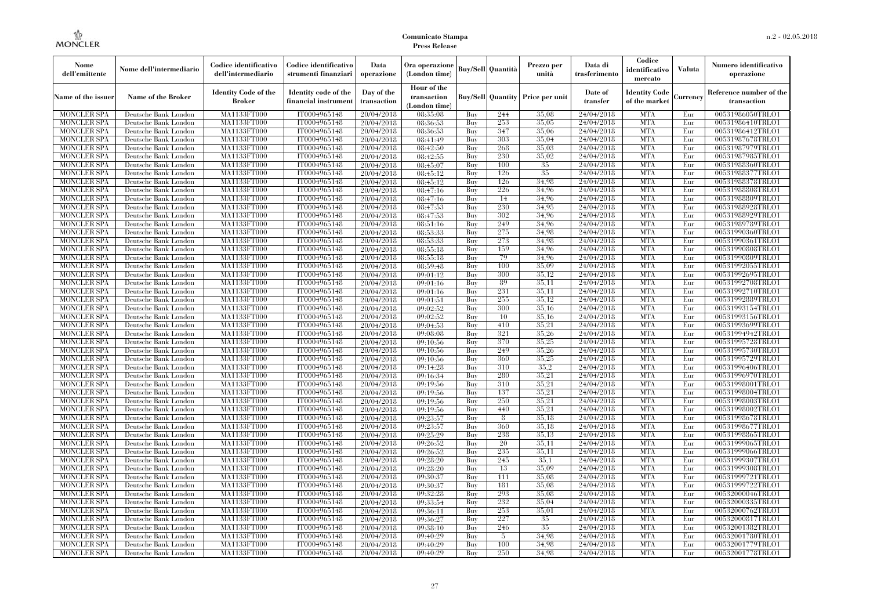| Nome<br>dell'emittente                   | Nome dell'intermediario                      | Codice identificativo<br>dell'intermediario  | Codice identificativo<br>strumenti finanziari | Data<br>operazione        | Ora operazione<br>(London time)             |            | <b>Buy/Sell</b> Quantità | Prezzo per<br>unità | Data di<br>trasferimento | Codice<br>identificativo<br>mercato   | <b>Valuta</b> | Numero identificativo<br>operazione    |
|------------------------------------------|----------------------------------------------|----------------------------------------------|-----------------------------------------------|---------------------------|---------------------------------------------|------------|--------------------------|---------------------|--------------------------|---------------------------------------|---------------|----------------------------------------|
| Name of the issuer                       | <b>Name of the Broker</b>                    | <b>Identity Code of the</b><br><b>Broker</b> | Identity code of the<br>financial instrumen   | Day of the<br>transaction | Hour of the<br>transaction<br>(London time) |            | <b>Buy/Sell Quantity</b> | Price per unit      | Date of<br>transfer      | <b>Identity Code</b><br>of the market | Currency      | Reference number of the<br>transaction |
| <b>MONCLER SPA</b>                       | Deutsche Bank London                         | MA1133FT000                                  | IT0004965148                                  | 20/04/2018                | 08:35:08                                    | Buy        | 244                      | 35,08               | 24/04/2018               | <b>MTA</b>                            | Eur           | 00531986050TRLO1                       |
| <b>MONCLER SPA</b>                       | Deutsche Bank London                         | MA1133FT000                                  | IT0004965148                                  | 20/04/2018                | 08:36:53                                    | Buy        | 253                      | 35,05               | 24/04/2018               | <b>MTA</b>                            | Eur           | 00531986410TRLO1                       |
| <b>MONCLER SPA</b>                       | Deutsche Bank London                         | <b>MA1133FT000</b>                           | IT0004965148                                  | 20/04/2018                | 08:36:53                                    | Buy        | 347                      | 35,06               | 24/04/2018               | <b>MTA</b>                            | Eur           | 00531986412TRLO1                       |
| <b>MONCLER SPA</b>                       | Deutsche Bank London                         | MA1133FT000                                  | IT0004965148                                  | 20/04/2018                | 08:41:49                                    | Buy        | 303                      | 35,04               | 24/04/2018               | <b>MTA</b>                            | Eur           | 00531987678TRLO1                       |
| <b>MONCLER SPA</b>                       | Deutsche Bank London                         | MA1133FT000                                  | IT0004965148                                  | 20/04/2018                | 08:42:50                                    | Buy        | 268                      | 35,03               | 24/04/2018               | <b>MTA</b>                            | Eur           | 00531987979TRLO1                       |
| <b>MONCLER SPA</b>                       | Deutsche Bank London                         | MA1133FT000                                  | IT0004965148                                  | 20/04/2018                | 08:42:55                                    | Buy        | 230                      | 35,02               | 24/04/2018               | <b>MTA</b>                            | Eur           | 00531987985TRLO1                       |
| <b>MONCLER SPA</b>                       | Deutsche Bank London                         | <b>MA1133FT000</b>                           | IT0004965148                                  | 20/04/2018                | 08:45:07                                    | Buy        | 100                      | 35                  | 24/04/2018               | <b>MTA</b>                            | Eur           | 00531988360TRLO1                       |
| <b>MONCLER SPA</b>                       | Deutsche Bank London                         | <b>MA1133FT000</b>                           | IT0004965148                                  | 20/04/2018                | 08:45:12                                    | Buy        | 126                      | 35                  | 24/04/2018               | <b>MTA</b>                            | Eur           | 00531988377TRLO1                       |
| <b>MONCLER SPA</b>                       | Deutsche Bank London                         | MA1133FT000                                  | IT0004965148                                  | 20/04/2018                | 08:45:12                                    | Buy        | 126                      | 34.98               | 24/04/2018               | <b>MTA</b>                            | Eur           | 00531988378TRLO1                       |
| <b>MONCLER SPA</b>                       | Deutsche Bank London                         | MA1133FT000                                  | IT0004965148                                  | 20/04/2018                | 08:47:16                                    | Buy        | 226                      | 34.96               | 24/04/2018               | <b>MTA</b>                            | Eur           | 00531988808TRLO1                       |
| <b>MONCLER SPA</b>                       | Deutsche Bank London                         | <b>MA1133FT000</b>                           | IT0004965148                                  | 20/04/2018                | 08:47:16                                    | Buy        | 14                       | 34,96               | 24/04/2018               | <b>MTA</b>                            | Eur           | 00531988809TRLO1                       |
| <b>MONCLER SPA</b>                       | Deutsche Bank London                         | <b>MA1133FT000</b>                           | IT0004965148                                  | 20/04/2018                | 08:47:53                                    | Buy        | 230<br>302               | 34.95               | 24/04/2018               | <b>MTA</b>                            | Eur           | 00531988928TRLO1                       |
| <b>MONCLER SPA</b>                       | Deutsche Bank London                         | MA1133FT000                                  | IT0004965148                                  | 20/04/2018                | 08:47:53                                    | Buy        |                          | 34.96               | 24/04/2018               | <b>MTA</b>                            | Eur           | 00531988929TRLO1                       |
| <b>MONCLER SPA</b>                       | Deutsche Bank London                         | MA1133FT000                                  | IT0004965148                                  | 20/04/2018                | 08:51:16                                    | Buy        | 249                      | 34.96               | 24/04/2018               | <b>MTA</b>                            | Eur           | 00531989789TRLO1                       |
| <b>MONCLER SPA</b>                       | Deutsche Bank London                         | <b>MA1133FT000</b><br><b>MA1133FT000</b>     | IT0004965148                                  | 20/04/2018                | 08:53:33                                    | Buy        | 275<br>273               | 34,98<br>34.98      | 24/04/2018               | <b>MTA</b><br><b>MTA</b>              | Eur           | 00531990360TRLO1<br>00531990361TRLO1   |
| <b>MONCLER SPA</b><br><b>MONCLER SPA</b> | Deutsche Bank London                         |                                              | IT0004965148<br>IT0004965148                  | 20/04/2018                | 08:53:33<br>08:55:18                        | Buy<br>Buy | 159                      | 34.96               | 24/04/2018<br>24/04/2018 | <b>MTA</b>                            | Eur<br>Eur    | 00531990808TRLO1                       |
|                                          | Deutsche Bank London                         | MA1133FT000<br>MA1133FT000                   | IT0004965148                                  | 20/04/2018                |                                             | Buy        | 79                       | 34.96               | 24/04/2018               | <b>MTA</b>                            | Eur           | 00531990809TRLO1                       |
| <b>MONCLER SPA</b>                       | Deutsche Bank London                         |                                              |                                               | 20/04/2018                | 08:55:18                                    |            |                          | 35,09               |                          | <b>MTA</b>                            |               |                                        |
| <b>MONCLER SPA</b><br><b>MONCLER SPA</b> | Deutsche Bank London<br>Deutsche Bank London | <b>MA1133FT000</b><br><b>MA1133FT000</b>     | IT0004965148<br>IT0004965148                  | 20/04/2018<br>20/04/2018  | 08:59:48<br>09:01:12                        | Buy        | 100<br>300               | 35.12               | 24/04/2018<br>24/04/2018 | <b>MTA</b>                            | Eur<br>Eur    | 00531992055TRLO1<br>00531992695TRLO1   |
| <b>MONCLER SPA</b>                       |                                              |                                              | IT0004965148                                  |                           |                                             | Buy<br>Buy | 89                       | 35,11               | 24/04/2018               | <b>MTA</b>                            | Eur           | 00531992708TRLO1                       |
|                                          | Deutsche Bank London                         | MA1133FT000<br>MA1133FT000                   |                                               | 20/04/2018                | 09:01:16                                    |            | 231                      |                     |                          | <b>MTA</b>                            |               |                                        |
| <b>MONCLER SPA</b>                       | Deutsche Bank London                         |                                              | IT0004965148                                  | 20/04/2018                | 09:01:16                                    | Buy        | 255                      | 35,11<br>35,12      | 24/04/2018               | <b>MTA</b>                            | Eur           | 00531992710TRLO1                       |
| MONCLER SPA                              | Deutsche Bank London                         | <b>MA1133FT000</b>                           | IT0004965148                                  | 20/04/2018                | 09:01:51                                    | Buy        | 300                      | 35.16               | 24/04/2018               | <b>MTA</b>                            | Eur           | 00531992889TRLO1                       |
| <b>MONCLER SPA</b>                       | Deutsche Bank London                         | MA1133FT000                                  | IT0004965148                                  | 20/04/2018                | 09:02:52                                    | Buy        |                          |                     | 24/04/2018               |                                       | Eur           | 00531993154TRLO1                       |
| <b>MONCLER SPA</b>                       | Deutsche Bank London                         | MA1133FT000<br><b>MA1133FT000</b>            | IT0004965148<br>IT0004965148                  | 20/04/2018                | 09:02:52                                    | Buy        | 10<br>410                | 35,16<br>35,21      | 24/04/2018               | <b>MTA</b><br><b>MTA</b>              | Eur           | 00531993156TRLO1<br>00531993699TRLO1   |
| <b>MONCLER SPA</b>                       | Deutsche Bank London                         |                                              | IT0004965148                                  | 20/04/2018                | 09:04:53                                    | Buy        | 321                      | 35,26               | 24/04/2018<br>24/04/2018 | <b>MTA</b>                            | Eur<br>Eur    |                                        |
| MONCLER SPA<br><b>MONCLER SPA</b>        | Deutsche Bank London<br>Deutsche Bank London | <b>MA1133FT000</b><br>MA1133FT000            | IT0004965148                                  | 20/04/2018                | 09:08:08<br>09:10:56                        | Buy<br>Buy | 370                      | 35,25               | 24/04/2018               | <b>MTA</b>                            | Eur           | 00531994942TRLO1<br>00531995728TRLO1   |
| <b>MONCLER SPA</b>                       | Deutsche Bank London                         | MA1133FT000                                  | IT0004965148                                  | 20/04/2018                | 09:10:56                                    | Buy        | 249                      | 35.26               | 24/04/2018               | <b>MTA</b>                            | Eur           | 00531995730TRLO1                       |
| <b>MONCLER SPA</b>                       | Deutsche Bank London                         | <b>MA1133FT000</b>                           | IT0004965148                                  | 20/04/2018<br>20/04/2018  | 09:10:56                                    | Buy        | 360                      | 35,25               | 24/04/2018               | <b>MTA</b>                            | Eur           | 00531995729TRLO1                       |
| <b>MONCLER SPA</b>                       | Deutsche Bank London                         | <b>MA1133FT000</b>                           | IT0004965148                                  | 20/04/2018                | 09:14:28                                    | Buy        | 310                      | 35,2                | 24/04/2018               | <b>MTA</b>                            | Eur           | 00531996406TRLO1                       |
| <b>MONCLER SPA</b>                       | Deutsche Bank London                         | MA1133FT000                                  | IT0004965148                                  | 20/04/2018                | 09:16:34                                    | Buy        | 280                      | 35,21               | 24/04/2018               | <b>MTA</b>                            | Eur           | 00531996970TRLO1                       |
| <b>MONCLER SPA</b>                       | Deutsche Bank London                         | MA1133FT000                                  | IT0004965148                                  | 20/04/2018                | 09:19:56                                    | Buy        | 310                      | 35,21               | 24/04/2018               | <b>MTA</b>                            | Eur           | 00531998001TRLO1                       |
| <b>MONCLER SPA</b>                       | Deutsche Bank London                         | <b>MA1133FT000</b>                           | IT0004965148                                  | 20/04/2018                | 09:19:56                                    | Buy        | 137                      | 35,21               | 24/04/2018               | <b>MTA</b>                            | Eur           | 00531998004TRLO1                       |
| <b>MONCLER SPA</b>                       | Deutsche Bank London                         | <b>MA1133FT000</b>                           | IT0004965148                                  | 20/04/2018                | 09:19:56                                    | Buy        | 250                      | 35,21               | 24/04/2018               | <b>MTA</b>                            | Eur           | 00531998003TRLO1                       |
| <b>MONCLER SPA</b>                       | Deutsche Bank London                         | MA1133FT000                                  | IT0004965148                                  | 20/04/2018                | 09:19:56                                    | Buy        | 440                      | 35,21               | 24/04/2018               | <b>MTA</b>                            | Eur           | 00531998002TRLO1                       |
| <b>MONCLER SPA</b>                       | Deutsche Bank London                         | MA1133FT000                                  | IT0004965148                                  | 20/04/2018                | 09:23:57                                    | Buy        | 8                        | 35.18               | 24/04/2018               | <b>MTA</b>                            | Eur           | 00531998678TRLO1                       |
| <b>MONCLER SPA</b>                       | Deutsche Bank London                         | <b>MA1133FT000</b>                           | IT0004965148                                  | 20/04/2018                | 09:23:57                                    | Buy        | 360                      | 35,18               | 24/04/2018               | <b>MTA</b>                            | Eur           | 00531998677TRLO1                       |
| <b>MONCLER SPA</b>                       | Deutsche Bank London                         | <b>MA1133FT000</b>                           | IT0004965148                                  | 20/04/2018                | 09:25:29                                    | Buy        | 238                      | 35,13               | 24/04/2018               | <b>MTA</b>                            | Eur           | 00531998865TRLO1                       |
| <b>MONCLER SPA</b>                       | Deutsche Bank London                         | MA1133FT000                                  | IT0004965148                                  | 20/04/2018                | 09:26:52                                    | Buy        | 20                       | 35,11               | 24/04/2018               | <b>MTA</b>                            | Eur           | 00531999065TRLO1                       |
| <b>MONCLER SPA</b>                       | Deutsche Bank London                         | MA1133FT000                                  | IT0004965148                                  | 20/04/2018                | 09:26:52                                    | Buy        | 235                      | 35.11               | 24/04/2018               | <b>MTA</b>                            | Eur           | 00531999066TRLO1                       |
| <b>MONCLER SPA</b>                       | Deutsche Bank London                         | MA1133FT000                                  | IT0004965148                                  | 20/04/2018                | 09:28:20                                    | Buy        | 245                      | 35.1                | 24/04/2018               | <b>MTA</b>                            | Eur           | 00531999307TRLO1                       |
| MONCLER SPA                              | Deutsche Bank London                         | <b>MA1133FT000</b>                           | IT0004965148                                  | 20/04/2018                | 09:28:20                                    | Buy        | 13                       | 35,09               | 24/04/2018               | MTA                                   | Eur           | 00531999308TRLO1                       |
| <b>MONCLER SPA</b>                       | Deutsche Bank London                         | MA1133FT000                                  | IT0004965148                                  | 20/04/2018                | 09:30:37                                    | Buy        | 111                      | 35,08               | 24/04/2018               | <b>MTA</b>                            | Eur           | 00531999721TRLO1                       |
| <b>MONCLER SPA</b>                       | Deutsche Bank London                         | MA1133FT000                                  | IT0004965148                                  | 20/04/2018                | 09:30:37                                    | Buy        | 181                      | 35,08               | 24/04/2018               | <b>MTA</b>                            | Eur           | 00531999722TRLO1                       |
| <b>MONCLER SPA</b>                       | Deutsche Bank London                         | MA1133FT000                                  | IT0004965148                                  | 20/04/2018                | 09:32:28                                    | Buy        | 293                      | 35,08               | 24/04/2018               | <b>MTA</b>                            | Eur           | 00532000046TRLO1                       |
| <b>MONCLER SPA</b>                       | Deutsche Bank London                         | <b>MA1133FT000</b>                           | IT0004965148                                  | 20/04/2018                | 09:33:54                                    | Buy        | 232                      | 35,04               | 24/04/2018               | <b>MTA</b>                            | Eur           | 00532000335TRLO1                       |
| <b>MONCLER SPA</b>                       | Deutsche Bank London                         | MA1133FT000                                  | IT0004965148                                  | 20/04/2018                | 09:36:11                                    | Buy        | 253                      | 35,01               | 24/04/2018               | <b>MTA</b>                            | Eur           | 00532000762TRLO1                       |
| <b>MONCLER SPA</b>                       | Deutsche Bank London                         | MA1133FT000                                  | IT0004965148                                  | 20/04/2018                | 09:36:27                                    | Buy        | 227                      | 35                  | 24/04/2018               | <b>MTA</b>                            | Eur           | 00532000817TRLO1                       |
| <b>MONCLER SPA</b>                       | Deutsche Bank London                         | MA1133FT000                                  | IT0004965148                                  | 20/04/2018                | 09:38:10                                    | Buy        | 246                      | 35                  | 24/04/2018               | <b>MTA</b>                            | Eur           | 00532001382TRLO1                       |
| MONCLER SPA                              | Deutsche Bank London                         | <b>MA1133FT000</b>                           | IT0004965148                                  | 20/04/2018                | 09:40:29                                    | Buy        | 5                        | 34.98               | 24/04/2018               | <b>MTA</b>                            | Eur           | 00532001780TRLO1                       |
| <b>MONCLER SPA</b>                       | Deutsche Bank London                         | <b>MA1133FT000</b>                           | IT0004965148                                  | 20/04/2018                | 09:40:29                                    | Buy        | 100                      | 34.98               | 24/04/2018               | <b>MTA</b>                            | Eur           | 00532001779TRLO1                       |
| <b>MONCLER SPA</b>                       | Deutsche Bank London                         | MA1133FT000                                  | IT0004965148                                  | 20/04/2018                | 09:40:29                                    | Buy        | 250                      | 34.98               | 24/04/2018               | <b>MTA</b>                            | Eur           | 00532001778TRLO1                       |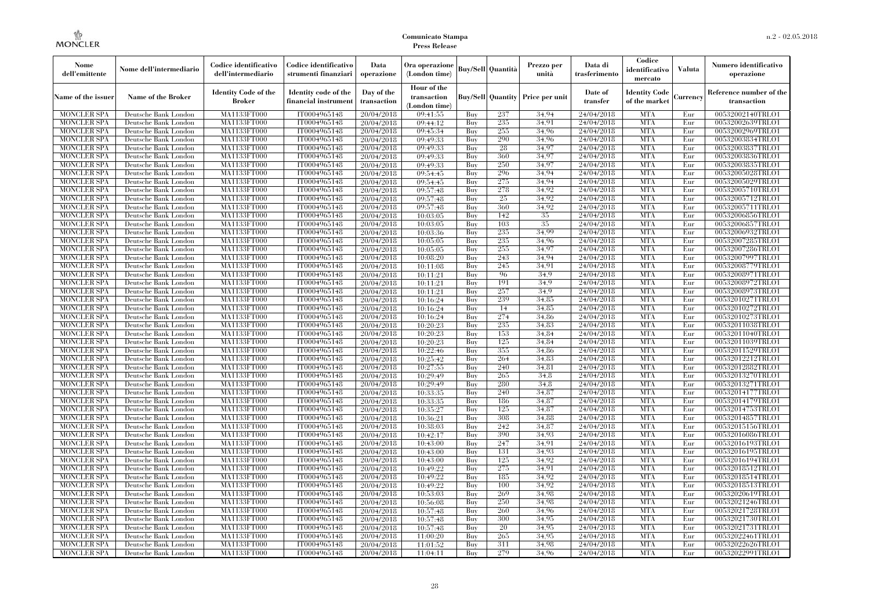| Nome<br>dell'emittente                   | Nome dell'intermediario                      | Codice identificativo<br>dell'intermediario | Codice identificativo<br>strumenti finanziari | Data<br>operazione        | Ora operazione<br>(London time)             |            | <b>Buy/Sell Quantità</b> | Prezzo per<br>unità | Data di<br>trasferimento | Codice<br>identificativo<br>mercato   | <b>Valuta</b> | Numero identificativo<br>operazione    |
|------------------------------------------|----------------------------------------------|---------------------------------------------|-----------------------------------------------|---------------------------|---------------------------------------------|------------|--------------------------|---------------------|--------------------------|---------------------------------------|---------------|----------------------------------------|
| Name of the issuer                       | <b>Name of the Broker</b>                    | <b>Identity Code of the</b><br>Broker       | Identity code of the<br>financial instrumen   | Day of the<br>transaction | Hour of the<br>transaction<br>(London time) |            | <b>Buy/Sell</b> Quantity | Price per unit      | Date of<br>transfer      | <b>Identity Code</b><br>of the market | Currency      | Reference number of the<br>transaction |
| <b>MONCLER SPA</b>                       | Deutsche Bank London                         | MA1133FT000                                 | IT0004965148                                  | 20/04/2018                | 09:41:55                                    | Buy        | 237                      | 34.94               | 24/04/2018               | <b>MTA</b>                            | Eur           | 00532002140TRLO1                       |
| <b>MONCLER SPA</b>                       | Deutsche Bank London                         | MA1133FT000                                 | IT0004965148                                  | 20/04/2018                | 09:44:12                                    | Buy        | 235                      | 34.91               | 24/04/2018               | <b>MTA</b>                            | Eur           | 00532002639TRLO1                       |
| <b>MONCLER SPA</b>                       | Deutsche Bank London                         | <b>MA1133FT000</b>                          | IT0004965148                                  | 20/04/2018                | 09:45:34                                    | Buy        | 255                      | 34,96               | 24/04/2018               | <b>MTA</b>                            | Eur           | 00532002969TRLO1                       |
| <b>MONCLER SPA</b>                       | Deutsche Bank London                         | MA1133FT000                                 | IT0004965148                                  | 20/04/2018                | 09:49:33                                    | Buy        | 290                      | 34.96               | 24/04/2018               | <b>MTA</b>                            | Eur           | 00532003834TRLO1                       |
| <b>MONCLER SPA</b>                       | Deutsche Bank London                         | MA1133FT000                                 | IT0004965148                                  | 20/04/2018                | 09:49:33                                    | Buy        | 28                       | 34,97               | 24/04/2018               | <b>MTA</b>                            | Eur           | 00532003837TRLO1                       |
| <b>MONCLER SPA</b>                       | Deutsche Bank London                         | <b>MA1133FT000</b>                          | IT0004965148<br>IT0004965148                  | 20/04/2018                | 09:49:33                                    | Buy        | 360<br>250               | 34,97<br>34,97      | 24/04/2018<br>24/04/2018 | <b>MTA</b><br><b>MTA</b>              | Eur           | 00532003836TRLO1<br>00532003835TRLO1   |
| <b>MONCLER SPA</b><br><b>MONCLER SPA</b> | Deutsche Bank London<br>Deutsche Bank London | <b>MA1133FT000</b><br><b>MA1133FT000</b>    | IT0004965148                                  | 20/04/2018<br>20/04/2018  | 09:49:33<br>09:54:45                        | Buy<br>Buy | 296                      | 34.94               | 24/04/2018               | <b>MTA</b>                            | Eur<br>Eur    | 00532005028TRLO1                       |
| <b>MONCLER SPA</b>                       | Deutsche Bank London                         | MA1133FT000                                 | IT0004965148                                  | 20/04/2018                | 09:54:45                                    | Buy        | 275                      | 34.94               | 24/04/2018               | <b>MTA</b>                            | Eur           | 00532005029TRLO1                       |
| <b>MONCLER SPA</b>                       | Deutsche Bank London                         | MA1133FT000                                 | IT0004965148                                  | 20/04/2018                | 09:57:48                                    | Buy        | 278                      | 34,92               | 24/04/2018               | <b>MTA</b>                            | Eur           | 00532005710TRLO1                       |
| <b>MONCLER SPA</b>                       | Deutsche Bank London                         | <b>MA1133FT000</b>                          | IT0004965148                                  | 20/04/2018                | 09:57:48                                    | Buy        | 25                       | 34.92               | 24/04/2018               | <b>MTA</b>                            | Eur           | 00532005712TRLO1                       |
| MONCLER SPA                              | Deutsche Bank London                         | <b>MA1133FT000</b>                          | IT0004965148                                  | 20/04/2018                | 09:57:48                                    | Buy        | 360                      | 34.92               | 24/04/2018               | <b>MTA</b>                            | Eur           | 00532005711TRLO1                       |
| <b>MONCLER SPA</b>                       | Deutsche Bank London                         | MA1133FT000                                 | IT0004965148                                  | 20/04/2018                | 10:03:05                                    | Buy        | 142                      | 35                  | 24/04/2018               | <b>MTA</b>                            | Eur           | 00532006856TRLO1                       |
| <b>MONCLER SPA</b>                       | Deutsche Bank London                         | MA1133FT000                                 | IT0004965148                                  | 20/04/2018                | 10:03:05                                    | Buy        | 103                      | 35                  | 24/04/2018               | <b>MTA</b>                            | Eur           | 00532006857TRLO1                       |
| <b>MONCLER SPA</b>                       | Deutsche Bank London                         | <b>MA1133FT000</b>                          | IT0004965148                                  | 20/04/2018                | 10:03:36                                    | Buy        | 235                      | 34.99               | 24/04/2018               | <b>MTA</b>                            | Eur           | 00532006932TRLO1                       |
| MONCLER SPA                              | Deutsche Bank London                         | <b>MA1133FT000</b>                          | IT0004965148                                  | 20/04/2018                | 10:05:05                                    | Buy        | 235                      | 34.96               | 24/04/2018               | <b>MTA</b>                            | Eur           | 00532007285TRLO1                       |
| <b>MONCLER SPA</b>                       | Deutsche Bank London                         | MA1133FT000                                 | IT0004965148                                  | 20/04/2018                | 10:05:05                                    | Buy        | 255                      | 34,97               | 24/04/2018               | <b>MTA</b>                            | Eur           | 00532007286TRLO1                       |
| <b>MONCLER SPA</b>                       | Deutsche Bank London                         | <b>MA1133FT000</b>                          | IT0004965148                                  | 20/04/2018                | 10:08:20                                    | Buy        | 243                      | 34,94               | 24/04/2018               | <b>MTA</b>                            | Eur           | 00532007997TRLO1                       |
| <b>MONCLER SPA</b>                       | Deutsche Bank London                         | <b>MA1133FT000</b>                          | IT0004965148                                  | 20/04/2018                | 10:11:08                                    | Buy        | 245                      | 34,91               | 24/04/2018               | <b>MTA</b>                            | Eur           | 00532008779TRLO1                       |
| <b>MONCLER SPA</b>                       | Deutsche Bank London                         | <b>MA1133FT000</b>                          | IT0004965148                                  | 20/04/2018                | 10:11:21                                    | Buy        | 96                       | 34.9                | 24/04/2018               | <b>MTA</b>                            | Eur           | 00532008971TRLO1                       |
| <b>MONCLER SPA</b>                       | Deutsche Bank London                         | MA1133FT000                                 | IT0004965148                                  | 20/04/2018                | 10:11:21                                    | Buy        | 191                      | 34.9                | 24/04/2018               | <b>MTA</b>                            | Eur           | 00532008972TRLO1                       |
| <b>MONCLER SPA</b>                       | Deutsche Bank London                         | MA1133FT000                                 | IT0004965148                                  | 20/04/2018                | 10:11:21                                    | Buy        | 257                      | 34.9                | 24/04/2018               | <b>MTA</b>                            | Eur           | 00532008973TRLO1                       |
| <b>MONCLER SPA</b>                       | Deutsche Bank London                         | <b>MA1133FT000</b>                          | IT0004965148                                  | 20/04/2018                | 10:16:24                                    | Buy        | 239                      | 34,85               | 24/04/2018               | <b>MTA</b>                            | Eur           | 00532010271TRLO1                       |
| MONCLER SPA                              | Deutsche Bank London                         | MA1133FT000                                 | IT0004965148                                  | 20/04/2018                | 10:16:24                                    | Buy        | 14                       | 34.85               | 24/04/2018               | <b>MTA</b>                            | Eur           | 00532010272TRLO1                       |
| <b>MONCLER SPA</b>                       | Deutsche Bank London                         | MA1133FT000                                 | IT0004965148                                  | 20/04/2018                | 10:16:24                                    | Buy        | 274<br>235               | 34.86               | 24/04/2018               | <b>MTA</b><br><b>MTA</b>              | Eur           | 00532010273TRLO1                       |
| <b>MONCLER SPA</b><br><b>MONCLER SPA</b> | Deutsche Bank London<br>Deutsche Bank London | <b>MA1133FT000</b><br><b>MA1133FT000</b>    | IT0004965148<br>IT0004965148                  | 20/04/2018                | 10:20:23                                    | Buy<br>Buy | 153                      | 34,83<br>34,84      | 24/04/2018<br>24/04/2018 | <b>MTA</b>                            | Eur<br>Eur    | 00532011038TRLO1<br>00532011040TRLO1   |
| <b>MONCLER SPA</b>                       | Deutsche Bank London                         | MA1133FT000                                 | IT0004965148                                  | 20/04/2018<br>20/04/2018  | 10:20:23<br>10:20:23                        | Buy        | 125                      | 34.84               | 24/04/2018               | <b>MTA</b>                            | Eur           | 00532011039TRLO1                       |
| <b>MONCLER SPA</b>                       | Deutsche Bank London                         | MA1133FT000                                 | IT0004965148                                  | 20/04/2018                | 10:22:46                                    | Buy        | 355                      | 34.86               | 24/04/2018               | <b>MTA</b>                            | Eur           | 00532011529TRLO1                       |
| <b>MONCLER SPA</b>                       | Deutsche Bank London                         | <b>MA1133FT000</b>                          | IT0004965148                                  | 20/04/2018                | 10:25:42                                    | Buy        | 264                      | 34,83               | 24/04/2018               | <b>MTA</b>                            | Eur           | 00532012212TRLO1                       |
| <b>MONCLER SPA</b>                       | Deutsche Bank London                         | <b>MA1133FT000</b>                          | IT0004965148                                  | 20/04/2018                | 10:27:55                                    | Buy        | 240                      | 34,81               | 24/04/2018               | <b>MTA</b>                            | Eur           | 00532012882TRLO1                       |
| MONCLER SPA                              | Deutsche Bank London                         | MA1133FT000                                 | IT0004965148                                  | 20/04/2018                | 10:29:49                                    | Buy        | 265                      | 34.8                | 24/04/2018               | <b>MTA</b>                            | Eur           | 00532013270TRLO1                       |
| <b>MONCLER SPA</b>                       | Deutsche Bank London                         | MA1133FT000                                 | IT0004965148                                  | 20/04/2018                | 10:29:49                                    | Buy        | 280                      | 34.8                | 24/04/2018               | <b>MTA</b>                            | Eur           | 00532013271TRLO1                       |
| <b>MONCLER SPA</b>                       | Deutsche Bank London                         | <b>MA1133FT000</b>                          | IT0004965148                                  | 20/04/2018                | 10:33:35                                    | Buy        | 240                      | 34,87               | 24/04/2018               | <b>MTA</b>                            | Eur           | 00532014177TRLO1                       |
| <b>MONCLER SPA</b>                       | Deutsche Bank London                         | <b>MA1133FT000</b>                          | IT0004965148                                  | 20/04/2018                | 10:33:35                                    | Buy        | 186                      | 34,87               | 24/04/2018               | <b>MTA</b>                            | Eur           | 00532014179TRLO1                       |
| <b>MONCLER SPA</b>                       | Deutsche Bank London                         | MA1133FT000                                 | IT0004965148                                  | 20/04/2018                | 10:35:27                                    | Buy        | 125                      | 34,87               | 24/04/2018               | <b>MTA</b>                            | Eur           | 00532014753TRLO1                       |
| <b>MONCLER SPA</b>                       | Deutsche Bank London                         | MA1133FT000                                 | IT0004965148                                  | 20/04/2018                | 10:36:21                                    | Buy        | 308                      | 34.88               | 24/04/2018               | <b>MTA</b>                            | Eur           | 00532014857TRLO1                       |
| <b>MONCLER SPA</b>                       | Deutsche Bank London                         | <b>MA1133FT000</b>                          | IT0004965148                                  | 20/04/2018                | 10:38:03                                    | Buy        | 242                      | 34,87               | 24/04/2018               | <b>MTA</b>                            | Eur           | 00532015156TRLO1                       |
| <b>MONCLER SPA</b>                       | Deutsche Bank London                         | <b>MA1133FT000</b>                          | IT0004965148                                  | 20/04/2018                | 10:42:17                                    | Buy        | 390                      | 34,93               | 24/04/2018               | <b>MTA</b>                            | Eur           | 00532016086TRLO1                       |
| <b>MONCLER SPA</b>                       | Deutsche Bank London                         | MA1133FT000                                 | IT0004965148                                  | 20/04/2018                | 10:43:00                                    | Buy        | 247                      | 34,91               | 24/04/2018               | <b>MTA</b>                            | Eur           | 00532016193TRLO1                       |
| <b>MONCLER SPA</b>                       | Deutsche Bank London                         | MA1133FT000                                 | IT0004965148                                  | 20/04/2018                | 10:43:00                                    | Buy        | 131                      | 34.93               | 24/04/2018               | <b>MTA</b>                            | Eur           | 00532016195TRLO1                       |
| <b>MONCLER SPA</b>                       | Deutsche Bank London                         | MA1133FT000                                 | IT0004965148                                  | 20/04/2018                | 10:43:00                                    | Buy        | 125                      | 34.92               | 24/04/2018               | <b>MTA</b>                            | Eur           | 00532016194TRLO1                       |
| <b>MONCLER SPA</b>                       | Deutsche Bank London                         | <b>MA1133FT000</b>                          | IT0004965148                                  | 20/04/2018                | 10:49:22                                    | Buy        | 275                      | 34,91               | 24/04/2018               | MTA                                   | Eur           | 00532018512TRLO1                       |
| <b>MONCLER SPA</b>                       | Deutsche Bank London                         | <b>MA1133FT000</b>                          | IT0004965148                                  | 20/04/2018                | 10:49:22                                    | Buy        | 185                      | 34.92               | 24/04/2018               | <b>MTA</b>                            | Eur           | 00532018514TRLO1                       |
| <b>MONCLER SPA</b>                       | Deutsche Bank London                         | MA1133FT000                                 | IT0004965148                                  | 20/04/2018                | 10:49:22                                    | Buy        | 100                      | 34.92               | 24/04/2018               | <b>MTA</b>                            | Eur           | 00532018513TRLO1                       |
| <b>MONCLER SPA</b>                       | Deutsche Bank London                         | MA1133FT000                                 | IT0004965148                                  | 20/04/2018                | 10:53:03                                    | Buy        | 269<br>250               | 34.98<br>34.98      | 24/04/2018               | <b>MTA</b><br><b>MTA</b>              | Eur           | 00532020619TRLO1                       |
| <b>MONCLER SPA</b><br><b>MONCLER SPA</b> | Deutsche Bank London<br>Deutsche Bank London | <b>MA1133FT000</b><br>MA1133FT000           | IT0004965148<br>IT0004965148                  | 20/04/2018                | 10:56:08                                    | Buy<br>Buy | 260                      | 34.96               | 24/04/2018<br>24/04/2018 | <b>MTA</b>                            | Eur<br>Eur    | 00532021246TRLO1<br>00532021728TRLO1   |
| <b>MONCLER SPA</b>                       | Deutsche Bank London                         | MA1133FT000                                 | IT0004965148                                  | 20/04/2018<br>20/04/2018  | 10:57:48<br>10:57:48                        | Buy        | 300                      | 34.95               | 24/04/2018               | <b>MTA</b>                            | Eur           | 00532021730TRLO1                       |
| <b>MONCLER SPA</b>                       | Deutsche Bank London                         | <b>MA1133FT000</b>                          | IT0004965148                                  | 20/04/2018                | 10:57:48                                    | Buy        | 20                       | 34.95               | 24/04/2018               | <b>MTA</b>                            | Eur           | 00532021731TRLO1                       |
| <b>MONCLER SPA</b>                       | Deutsche Bank London                         | <b>MA1133FT000</b>                          | IT0004965148                                  | 20/04/2018                | 11:00:20                                    | Buy        | 265                      | 34.95               | 24/04/2018               | <b>MTA</b>                            | Eur           | 00532022461TRLO1                       |
| <b>MONCLER SPA</b>                       | Deutsche Bank London                         | <b>MA1133FT000</b>                          | IT0004965148                                  | 20/04/2018                | 11:01:52                                    | Buy        | 311                      | 34.98               | 24/04/2018               | <b>MTA</b>                            | Eur           | 00532022626TRLO1                       |
| MONCLER SPA                              | Deutsche Bank London                         | MA1133FT000                                 | IT0004965148                                  | 20/04/2018                | 11:04:11                                    | Buy        | 279                      | 34.96               | 24/04/2018               | <b>MTA</b>                            | Eur           | 00532022991TRLO1                       |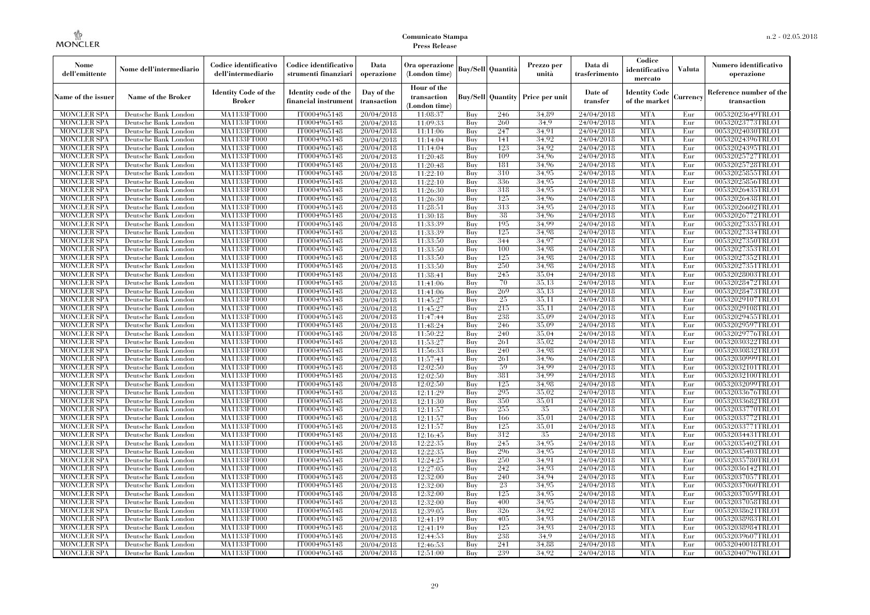| Nome<br>dell'emittente                   | Nome dell'intermediario                      | Codice identificativo<br>dell'intermediario | Codice identificativo<br>strumenti finanziari | Data<br>operazione        | Ora operazione<br>(London time)             |            | <b>Buy/Sell Quantità</b> | Prezzo per<br>unità | Data di<br>trasferimento | Codice<br>identificativo<br>mercato   | <b>Valuta</b> | Numero identificativo<br>operazione    |
|------------------------------------------|----------------------------------------------|---------------------------------------------|-----------------------------------------------|---------------------------|---------------------------------------------|------------|--------------------------|---------------------|--------------------------|---------------------------------------|---------------|----------------------------------------|
| Name of the issuer                       | <b>Name of the Broker</b>                    | <b>Identity Code of the</b><br>Broker       | Identity code of the<br>financial instrumen   | Day of the<br>transaction | Hour of the<br>transaction<br>(London time) |            | <b>Buy/Sell</b> Quantity | Price per unit      | Date of<br>transfer      | <b>Identity Code</b><br>of the market | Currency      | Reference number of the<br>transaction |
| <b>MONCLER SPA</b>                       | Deutsche Bank London                         | MA1133FT000                                 | IT0004965148                                  | 20/04/2018                | 11:08:37                                    | Buy        | 246                      | 34.89               | 24/04/2018               | <b>MTA</b>                            | Eur           | 00532023649TRLO1                       |
| <b>MONCLER SPA</b>                       | Deutsche Bank London                         | MA1133FT000                                 | IT0004965148                                  | 20/04/2018                | 11:09:33                                    | Buy        | 260                      | 34.9                | 24/04/2018               | <b>MTA</b>                            | Eur           | 00532023773TRLO1                       |
| <b>MONCLER SPA</b>                       | Deutsche Bank London                         | <b>MA1133FT000</b>                          | IT0004965148                                  | 20/04/2018                | 11:11:06                                    | Buy        | 247                      | 34,91               | 24/04/2018               | <b>MTA</b>                            | Eur           | 00532024030TRLO1                       |
| <b>MONCLER SPA</b>                       | Deutsche Bank London                         | MA1133FT000                                 | IT0004965148                                  | 20/04/2018                | 11:14:04                                    | Buy        | 141                      | 34.92               | 24/04/2018               | <b>MTA</b>                            | Eur           | 00532024396TRLO1                       |
| <b>MONCLER SPA</b>                       | Deutsche Bank London                         | MA1133FT000                                 | IT0004965148                                  | 20/04/2018                | 11:14:04                                    | Buy        | 123<br>109               | 34.92               | 24/04/2018               | <b>MTA</b>                            | Eur           | 00532024395TRLO1                       |
| <b>MONCLER SPA</b>                       | Deutsche Bank London                         | <b>MA1133FT000</b>                          | IT0004965148<br>IT0004965148                  | 20/04/2018                | 11:20:48                                    | Buy        | 181                      | 34.96<br>34,96      | 24/04/2018<br>24/04/2018 | <b>MTA</b><br><b>MTA</b>              | Eur           | 00532025727TRLO1<br>00532025728TRLO1   |
| <b>MONCLER SPA</b><br><b>MONCLER SPA</b> | Deutsche Bank London<br>Deutsche Bank London | <b>MA1133FT000</b><br><b>MA1133FT000</b>    | IT0004965148                                  | 20/04/2018<br>20/04/2018  | 11:20:48<br>11:22:10                        | Buy<br>Buy | 310                      | 34.95               | 24/04/2018               | <b>MTA</b>                            | Eur<br>Eur    | 00532025855TRLO1                       |
| <b>MONCLER SPA</b>                       | Deutsche Bank London                         | MA1133FT000                                 | IT0004965148                                  | 20/04/2018                | 11:22:10                                    | Buy        | 336                      | 34.95               | 24/04/2018               | <b>MTA</b>                            | Eur           | 00532025856TRLO1                       |
| <b>MONCLER SPA</b>                       | Deutsche Bank London                         | MA1133FT000                                 | IT0004965148                                  | 20/04/2018                | 11:26:30                                    | Buy        | 318                      | 34,95               | 24/04/2018               | <b>MTA</b>                            | Eur           | 00532026435TRLO1                       |
| <b>MONCLER SPA</b>                       | Deutsche Bank London                         | <b>MA1133FT000</b>                          | IT0004965148                                  | 20/04/2018                | 11:26:30                                    | Buy        | 125                      | 34,96               | 24/04/2018               | <b>MTA</b>                            | Eur           | 00532026438TRLO1                       |
| MONCLER SPA                              | Deutsche Bank London                         | <b>MA1133FT000</b>                          | IT0004965148                                  | 20/04/2018                | 11:28:51                                    | Buy        | 313                      | 34.95               | 24/04/2018               | <b>MTA</b>                            | Eur           | 00532026602TRLO1                       |
| <b>MONCLER SPA</b>                       | Deutsche Bank London                         | MA1133FT000                                 | IT0004965148                                  | 20/04/2018                | 11:30:18                                    | Buy        | 38                       | 34.96               | 24/04/2018               | <b>MTA</b>                            | Eur           | 00532026772TRLO1                       |
| <b>MONCLER SPA</b>                       | Deutsche Bank London                         | MA1133FT000                                 | IT0004965148                                  | 20/04/2018                | 11:33:39                                    | Buy        | 195                      | 34.99               | 24/04/2018               | <b>MTA</b>                            | Eur           | 00532027335TRLO1                       |
| <b>MONCLER SPA</b>                       | Deutsche Bank London                         | <b>MA1133FT000</b>                          | IT0004965148                                  | 20/04/2018                | 11:33:39                                    | Buy        | 125                      | 34,98               | 24/04/2018               | <b>MTA</b>                            | Eur           | 00532027334TRLO1                       |
| MONCLER SPA                              | Deutsche Bank London                         | <b>MA1133FT000</b>                          | IT0004965148                                  | 20/04/2018                | 11:33:50                                    | Buy        | 344                      | 34,97               | 24/04/2018               | <b>MTA</b>                            | Eur           | 00532027350TRLO1                       |
| <b>MONCLER SPA</b>                       | Deutsche Bank London                         | MA1133FT000                                 | IT0004965148                                  | 20/04/2018                | 11:33:50                                    | Buy        | 100                      | 34.98               | 24/04/2018               | <b>MTA</b>                            | Eur           | 00532027353TRLO1                       |
| <b>MONCLER SPA</b>                       | Deutsche Bank London                         | <b>MA1133FT000</b>                          | IT0004965148                                  | 20/04/2018                | 11:33:50                                    | Buy        | 125                      | 34,98               | 24/04/2018               | <b>MTA</b>                            | Eur           | 00532027352TRLO1                       |
| <b>MONCLER SPA</b>                       | Deutsche Bank London                         | <b>MA1133FT000</b>                          | IT0004965148                                  | 20/04/2018                | 11:33:50                                    | Buy        | 250                      | 34,98               | 24/04/2018               | <b>MTA</b>                            | Eur           | 00532027351TRLO1                       |
| <b>MONCLER SPA</b>                       | Deutsche Bank London                         | <b>MA1133FT000</b>                          | IT0004965148                                  | 20/04/2018                | 11:38:41                                    | Buy        | 245                      | 35,04               | 24/04/2018               | <b>MTA</b>                            | Eur           | 00532028003TRLO1                       |
| <b>MONCLER SPA</b>                       | Deutsche Bank London                         | MA1133FT000                                 | IT0004965148                                  | 20/04/2018                | 11:41:06                                    | Buy        | 70                       | 35.13               | 24/04/2018               | <b>MTA</b>                            | Eur           | 00532028472TRLO1                       |
| <b>MONCLER SPA</b>                       | Deutsche Bank London                         | MA1133FT000                                 | IT0004965148                                  | 20/04/2018                | 11:41:06                                    | Buy        | 269                      | 35,13               | 24/04/2018               | <b>MTA</b>                            | Eur           | 00532028473TRLO1                       |
| <b>MONCLER SPA</b>                       | Deutsche Bank London                         | <b>MA1133FT000</b>                          | IT0004965148                                  | 20/04/2018                | 11:45:27                                    | Buy        | 25                       | 35,11               | 24/04/2018               | <b>MTA</b>                            | Eur           | 00532029107TRLO1                       |
| MONCLER SPA                              | Deutsche Bank London                         | MA1133FT000                                 | IT0004965148                                  | 20/04/2018                | 11:45:27                                    | Buy        | 215                      | 35.11               | 24/04/2018               | <b>MTA</b>                            | Eur           | 00532029108TRLO1                       |
| <b>MONCLER SPA</b>                       | Deutsche Bank London                         | MA1133FT000                                 | IT0004965148                                  | 20/04/2018                | 11:47:44                                    | Buy        | 238                      | 35,09<br>35,09      | 24/04/2018<br>24/04/2018 | <b>MTA</b><br><b>MTA</b>              | Eur           | 00532029455TRLO1                       |
| <b>MONCLER SPA</b><br><b>MONCLER SPA</b> | Deutsche Bank London<br>Deutsche Bank London | <b>MA1133FT000</b><br><b>MA1133FT000</b>    | IT0004965148<br>IT0004965148                  | 20/04/2018                | 11:48:24                                    | Buy<br>Buy | 246<br>240               | 35,04               | 24/04/2018               | <b>MTA</b>                            | Eur<br>Eur    | 00532029597TRLO1<br>00532029776TRLO1   |
| <b>MONCLER SPA</b>                       | Deutsche Bank London                         | MA1133FT000                                 | IT0004965148                                  | 20/04/2018<br>20/04/2018  | 11:50:22<br>11:53:27                        | Buy        | 261                      | 35,02               | 24/04/2018               | <b>MTA</b>                            | Eur           | 00532030322TRLO1                       |
| <b>MONCLER SPA</b>                       | Deutsche Bank London                         | MA1133FT000                                 | IT0004965148                                  | 20/04/2018                | 11:56:33                                    | Buy        | 240                      | 34.98               | 24/04/2018               | <b>MTA</b>                            | Eur           | 00532030832TRLO1                       |
| <b>MONCLER SPA</b>                       | Deutsche Bank London                         | <b>MA1133FT000</b>                          | IT0004965148                                  | 20/04/2018                | 11:57:41                                    | Buy        | 261                      | 34,96               | 24/04/2018               | <b>MTA</b>                            | Eur           | 00532030999TRLO1                       |
| <b>MONCLER SPA</b>                       | Deutsche Bank London                         | <b>MA1133FT000</b>                          | IT0004965148                                  | 20/04/2018                | 12:02:50                                    | Buy        | 59                       | 34,99               | 24/04/2018               | <b>MTA</b>                            | Eur           | 00532032101TRLO1                       |
| MONCLER SPA                              | Deutsche Bank London                         | MA1133FT000                                 | IT0004965148                                  | 20/04/2018                | 12:02:50                                    | Buy        | 381                      | 34.99               | 24/04/2018               | <b>MTA</b>                            | Eur           | 00532032100TRLO1                       |
| <b>MONCLER SPA</b>                       | Deutsche Bank London                         | MA1133FT000                                 | IT0004965148                                  | 20/04/2018                | 12:02:50                                    | Buy        | 125                      | 34.98               | 24/04/2018               | <b>MTA</b>                            | Eur           | 00532032099TRLO1                       |
| <b>MONCLER SPA</b>                       | Deutsche Bank London                         | <b>MA1133FT000</b>                          | IT0004965148                                  | 20/04/2018                | 12:11:29                                    | Buy        | 295                      | 35,02               | 24/04/2018               | <b>MTA</b>                            | Eur           | 00532033676TRLO1                       |
| <b>MONCLER SPA</b>                       | Deutsche Bank London                         | <b>MA1133FT000</b>                          | IT0004965148                                  | 20/04/2018                | 12:11:30                                    | Buy        | 350                      | 35,01               | 24/04/2018               | <b>MTA</b>                            | Eur           | 00532033682TRLO1                       |
| <b>MONCLER SPA</b>                       | Deutsche Bank London                         | MA1133FT000                                 | IT0004965148                                  | 20/04/2018                | 12:11:57                                    | Buy        | 255                      | 35                  | 24/04/2018               | <b>MTA</b>                            | Eur           | 00532033770TRLO1                       |
| <b>MONCLER SPA</b>                       | Deutsche Bank London                         | MA1133FT000                                 | IT0004965148                                  | 20/04/2018                | 12:11:57                                    | Buy        | 166                      | 35,01               | 24/04/2018               | <b>MTA</b>                            | Eur           | 00532033772TRLO1                       |
| <b>MONCLER SPA</b>                       | Deutsche Bank London                         | <b>MA1133FT000</b>                          | IT0004965148                                  | 20/04/2018                | 12:11:57                                    | Buy        | 125                      | 35,01               | 24/04/2018               | <b>MTA</b>                            | Eur           | 00532033771TRLO1                       |
| <b>MONCLER SPA</b>                       | Deutsche Bank London                         | <b>MA1133FT000</b>                          | IT0004965148                                  | 20/04/2018                | 12:16:45                                    | Buy        | 312                      | 35                  | 24/04/2018               | <b>MTA</b>                            | Eur           | 00532034431TRLO1                       |
| <b>MONCLER SPA</b>                       | Deutsche Bank London                         | MA1133FT000                                 | IT0004965148                                  | 20/04/2018                | 12:22:35                                    | Buy        | 245                      | 34,95               | 24/04/2018               | <b>MTA</b>                            | Eur           | 00532035402TRLO1                       |
| <b>MONCLER SPA</b>                       | Deutsche Bank London                         | MA1133FT000                                 | IT0004965148                                  | 20/04/2018                | 12:22:35                                    | Buy        | 296                      | 34,95               | 24/04/2018               | <b>MTA</b>                            | Eur           | 00532035403TRLO1                       |
| <b>MONCLER SPA</b>                       | Deutsche Bank London                         | MA1133FT000                                 | IT0004965148                                  | 20/04/2018                | 12:24:25                                    | Buy        | 250                      | 34.91               | 24/04/2018               | <b>MTA</b>                            | Eur           | 00532035780TRLO1                       |
| <b>MONCLER SPA</b>                       | Deutsche Bank London                         | <b>MA1133FT000</b>                          | IT0004965148                                  | 20/04/2018                | 12:27:05                                    | Buy        | 242                      | 34,93               | 24/04/2018               | MTA                                   | Eur           | 00532036142TRLO1                       |
| <b>MONCLER SPA</b>                       | Deutsche Bank London                         | <b>MA1133FT000</b>                          | IT0004965148                                  | 20/04/2018                | 12:32:00                                    | Buy        | 240                      | 34,94               | 24/04/2018               | <b>MTA</b>                            | Eur           | 00532037057TRLO1                       |
| <b>MONCLER SPA</b>                       | Deutsche Bank London                         | MA1133FT000                                 | IT0004965148                                  | 20/04/2018                | 12:32:00                                    | Buy        | 23                       | 34.95               | 24/04/2018               | <b>MTA</b>                            | Eur           | 00532037060TRLO1                       |
| <b>MONCLER SPA</b>                       | Deutsche Bank London                         | MA1133FT000                                 | IT0004965148                                  | 20/04/2018                | 12:32:00                                    | Buy        | 125                      | 34.95<br>34.95      | 24/04/2018               | <b>MTA</b><br><b>MTA</b>              | Eur           | 00532037059TRLO1                       |
| <b>MONCLER SPA</b><br><b>MONCLER SPA</b> | Deutsche Bank London<br>Deutsche Bank London | <b>MA1133FT000</b><br>MA1133FT000           | IT0004965148<br>IT0004965148                  | 20/04/2018                | 12:32:00<br>12:39:05                        | Buy<br>Buy | 400<br>326               | 34.92               | 24/04/2018<br>24/04/2018 | <b>MTA</b>                            | Eur<br>Eur    | 00532037058TRLO1<br>00532038621TRLO1   |
| <b>MONCLER SPA</b>                       | Deutsche Bank London                         | MA1133FT000                                 | IT0004965148                                  | 20/04/2018<br>20/04/2018  | 12:41:19                                    | Buy        | 405                      | 34.93               | 24/04/2018               | <b>MTA</b>                            | Eur           | 00532038983TRLO1                       |
| <b>MONCLER SPA</b>                       | Deutsche Bank London                         | <b>MA1133FT000</b>                          | IT0004965148                                  | 20/04/2018                | 12:41:19                                    | Buy        | 125                      | 34.93               | 24/04/2018               | <b>MTA</b>                            | Eur           | 00532038984TRLO1                       |
| <b>MONCLER SPA</b>                       | Deutsche Bank London                         | <b>MA1133FT000</b>                          | IT0004965148                                  | 20/04/2018                | 12:44:53                                    | Buy        | 238                      | 34.9                | 24/04/2018               | <b>MTA</b>                            | Eur           | 00532039607TRLO1                       |
| <b>MONCLER SPA</b>                       | Deutsche Bank London                         | <b>MA1133FT000</b>                          | IT0004965148                                  | 20/04/2018                | 12:46:53                                    | Buy        | 241                      | 34.88               | 24/04/2018               | <b>MTA</b>                            | Eur           | 00532040018TRLO1                       |
| MONCLER SPA                              | Deutsche Bank London                         | MA1133FT000                                 | IT0004965148                                  | 20/04/2018                | 12:51:00                                    | Buy        | 239                      | 34.92               | 24/04/2018               | <b>MTA</b>                            | Eur           | 00532040796TRLO1                       |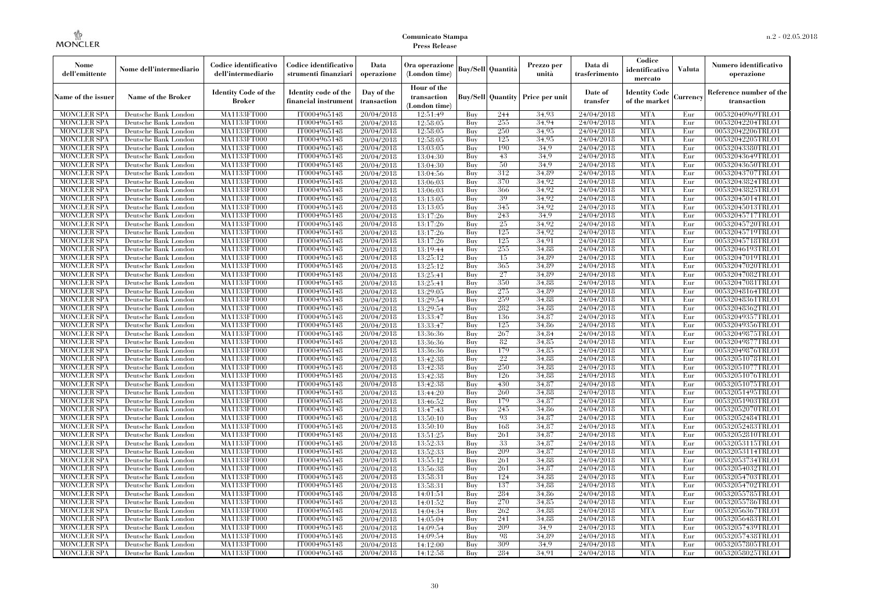| Nome<br>dell'emittente            | Nome dell'intermediario                      | Codice identificativo<br>dell'intermediario | Codice identificativo<br>strumenti finanziari | Data<br>operazione        | Ora operazione<br>(London time)             |            | <b>Buy/Sell Quantità</b> | Prezzo per<br>unità | Data di<br>trasferimento | Codice<br>identificativo<br>mercato   | <b>Valuta</b> | Numero identificativo<br>operazione    |
|-----------------------------------|----------------------------------------------|---------------------------------------------|-----------------------------------------------|---------------------------|---------------------------------------------|------------|--------------------------|---------------------|--------------------------|---------------------------------------|---------------|----------------------------------------|
| Name of the issuer                | <b>Name of the Broker</b>                    | <b>Identity Code of the</b><br>Broker       | Identity code of the<br>financial instrumen   | Day of the<br>transaction | Hour of the<br>transaction<br>(London time) |            | <b>Buy/Sell</b> Quantity | Price per unit      | Date of<br>transfer      | <b>Identity Code</b><br>of the market | Currency      | Reference number of the<br>transaction |
| <b>MONCLER SPA</b>                | Deutsche Bank London                         | MA1133FT000                                 | IT0004965148                                  | 20/04/2018                | 12:51:49                                    | Buy        | 244                      | 34.93               | 24/04/2018               | <b>MTA</b>                            | Eur           | 00532040969TRLO1                       |
| <b>MONCLER SPA</b>                | Deutsche Bank London                         | MA1133FT000                                 | IT0004965148                                  | 20/04/2018                | 12:58:05                                    | Buy        | 255                      | 34.94               | 24/04/2018               | <b>MTA</b>                            | Eur           | 00532042204TRLO1                       |
| <b>MONCLER SPA</b>                | Deutsche Bank London                         | <b>MA1133FT000</b>                          | IT0004965148                                  | 20/04/2018                | 12:58:05                                    | Buy        | 250                      | 34.95               | 24/04/2018               | <b>MTA</b>                            | Eur           | 00532042206TRLO1                       |
| <b>MONCLER SPA</b>                | Deutsche Bank London                         | MA1133FT000                                 | IT0004965148                                  | 20/04/2018                | 12:58:05                                    | Buy        | 125                      | 34.95               | 24/04/2018               | <b>MTA</b>                            | Eur           | 00532042205TRLO1                       |
| <b>MONCLER SPA</b>                | Deutsche Bank London                         | MA1133FT000                                 | IT0004965148                                  | 20/04/2018                | 13:03:05                                    | Buy        | 190                      | 34.9                | 24/04/2018               | <b>MTA</b>                            | Eur           | 00532043380TRLO1                       |
| <b>MONCLER SPA</b>                | Deutsche Bank London                         | <b>MA1133FT000</b>                          | IT0004965148                                  | 20/04/2018                | 13:04:30                                    | Buy        | 43                       | 34.9                | 24/04/2018               | <b>MTA</b>                            | Eur           | 00532043649TRLO1                       |
| <b>MONCLER SPA</b>                | Deutsche Bank London                         | <b>MA1133FT000</b>                          | IT0004965148                                  | 20/04/2018                | 13:04:30                                    | Buy        | 50                       | 34.9                | 24/04/2018               | <b>MTA</b>                            | Eur           | 00532043650TRLO1                       |
| <b>MONCLER SPA</b>                | Deutsche Bank London                         | <b>MA1133FT000</b>                          | IT0004965148                                  | 20/04/2018                | 13:04:56                                    | Buy        | 312                      | 34.89               | 24/04/2018               | <b>MTA</b>                            | Eur           | 00532043707TRLO1                       |
| <b>MONCLER SPA</b>                | Deutsche Bank London                         | MA1133FT000                                 | IT0004965148                                  | 20/04/2018                | 13:06:03                                    | Buy        | 370                      | 34.92               | 24/04/2018               | <b>MTA</b>                            | Eur           | 00532043824TRLO1                       |
| <b>MONCLER SPA</b>                | Deutsche Bank London                         | MA1133FT000                                 | IT0004965148                                  | 20/04/2018                | 13:06:03                                    | Buy        | 366<br>39                | 34,92<br>34.92      | 24/04/2018               | <b>MTA</b><br><b>MTA</b>              | Eur           | 00532043825TRLO1                       |
| <b>MONCLER SPA</b><br>MONCLER SPA | Deutsche Bank London<br>Deutsche Bank London | <b>MA1133FT000</b><br><b>MA1133FT000</b>    | IT0004965148<br>IT0004965148                  | 20/04/2018<br>20/04/2018  | 13:13:05<br>13:13:05                        | Buy        | 345                      | 34.92               | 24/04/2018<br>24/04/2018 | <b>MTA</b>                            | Eur<br>Eur    | 00532045014TRLO1<br>00532045013TRLO1   |
| <b>MONCLER SPA</b>                | Deutsche Bank London                         | MA1133FT000                                 | IT0004965148                                  | 20/04/2018                | 13:17:26                                    | Buy<br>Buy | 243                      | 34.9                | 24/04/2018               | <b>MTA</b>                            | Eur           | 00532045717TRLO1                       |
| <b>MONCLER SPA</b>                | Deutsche Bank London                         | MA1133FT000                                 | IT0004965148                                  | 20/04/2018                | 13:17:26                                    | Buy        | 25                       | 34.92               | 24/04/2018               | <b>MTA</b>                            | Eur           | 00532045720TRLO1                       |
| <b>MONCLER SPA</b>                | Deutsche Bank London                         | <b>MA1133FT000</b>                          | IT0004965148                                  | 20/04/2018                | 13:17:26                                    | Buy        | 125                      | 34.92               | 24/04/2018               | <b>MTA</b>                            | Eur           | 00532045719TRLO1                       |
| MONCLER SPA                       | Deutsche Bank London                         | <b>MA1133FT000</b>                          | IT0004965148                                  | 20/04/2018                | 13:17:26                                    | Buy        | 125                      | 34.91               | 24/04/2018               | <b>MTA</b>                            | Eur           | 00532045718TRLO1                       |
| <b>MONCLER SPA</b>                | Deutsche Bank London                         | MA1133FT000                                 | IT0004965148                                  | 20/04/2018                | 13:19:44                                    | Buy        | 255                      | 34.88               | 24/04/2018               | <b>MTA</b>                            | Eur           | 00532046193TRLO1                       |
| <b>MONCLER SPA</b>                | Deutsche Bank London                         | <b>MA1133FT000</b>                          | IT0004965148                                  | 20/04/2018                | 13:25:12                                    | Buy        | 15                       | 34,89               | 24/04/2018               | <b>MTA</b>                            | Eur           | 00532047019TRLO1                       |
| <b>MONCLER SPA</b>                | Deutsche Bank London                         | <b>MA1133FT000</b>                          | IT0004965148                                  | 20/04/2018                | 13:25:12                                    | Buy        | 365                      | 34.89               | 24/04/2018               | <b>MTA</b>                            | Eur           | 00532047020TRLO1                       |
| <b>MONCLER SPA</b>                | Deutsche Bank London                         | <b>MA1133FT000</b>                          | IT0004965148                                  | 20/04/2018                | 13:25:41                                    | Buy        | 27                       | 34.89               | 24/04/2018               | <b>MTA</b>                            | Eur           | 00532047082TRLO1                       |
| <b>MONCLER SPA</b>                | Deutsche Bank London                         | MA1133FT000                                 | IT0004965148                                  | 20/04/2018                | 13:25:41                                    | Buy        | 350                      | 34.88               | 24/04/2018               | <b>MTA</b>                            | Eur           | 00532047081TRLO1                       |
| <b>MONCLER SPA</b>                | Deutsche Bank London                         | MA1133FT000                                 | IT0004965148                                  | 20/04/2018                | 13:29:05                                    | Buy        | 275                      | 34,89               | 24/04/2018               | <b>MTA</b>                            | Eur           | 00532048164TRLO1                       |
| <b>MONCLER SPA</b>                | Deutsche Bank London                         | <b>MA1133FT000</b>                          | IT0004965148                                  | 20/04/2018                | 13:29:54                                    | Buy        | 259                      | 34,88               | 24/04/2018               | <b>MTA</b>                            | Eur           | 00532048361TRLO1                       |
| MONCLER SPA                       | Deutsche Bank London                         | MA1133FT000                                 | IT0004965148                                  | 20/04/2018                | 13:29:54                                    | Buy        | 282                      | 34.88               | 24/04/2018               | <b>MTA</b>                            | Eur           | 00532048362TRLO1                       |
| <b>MONCLER SPA</b>                | Deutsche Bank London                         | MA1133FT000                                 | IT0004965148                                  | 20/04/2018                | 13:33:47                                    | Buy        | 136                      | 34,87               | 24/04/2018               | <b>MTA</b>                            | Eur           | 00532049357TRLO1                       |
| <b>MONCLER SPA</b>                | Deutsche Bank London                         | <b>MA1133FT000</b>                          | IT0004965148                                  | 20/04/2018                | 13:33:47                                    | Buy        | 125                      | 34,86               | 24/04/2018               | <b>MTA</b>                            | Eur           | 00532049356TRLO1                       |
| <b>MONCLER SPA</b>                | Deutsche Bank London                         | <b>MA1133FT000</b>                          | IT0004965148                                  | 20/04/2018                | 13:36:36                                    | Buy        | 267                      | 34,84               | 24/04/2018               | <b>MTA</b>                            | Eur           | 00532049875TRLO1                       |
| <b>MONCLER SPA</b>                | Deutsche Bank London                         | MA1133FT000                                 | IT0004965148                                  | 20/04/2018                | 13:36:36                                    | Buy        | 82                       | 34.85               | 24/04/2018               | <b>MTA</b>                            | Eur           | 00532049877TRLO1                       |
| <b>MONCLER SPA</b>                | Deutsche Bank London                         | MA1133FT000                                 | IT0004965148                                  | 20/04/2018                | 13:36:36                                    | Buy        | 179                      | 34.85               | 24/04/2018               | <b>MTA</b>                            | Eur           | 00532049876TRLO1                       |
| <b>MONCLER SPA</b>                | Deutsche Bank London                         | <b>MA1133FT000</b>                          | IT0004965148                                  | 20/04/2018                | 13:42:38                                    | Buy        | 22                       | 34,88               | 24/04/2018               | <b>MTA</b>                            | Eur           | 00532051078TRLO1                       |
| <b>MONCLER SPA</b>                | Deutsche Bank London                         | <b>MA1133FT000</b>                          | IT0004965148                                  | 20/04/2018                | 13:42:38                                    | Buy        | 250                      | 34,88               | 24/04/2018               | <b>MTA</b>                            | Eur           | 00532051077TRLO1                       |
| MONCLER SPA                       | Deutsche Bank London                         | MA1133FT000                                 | IT0004965148                                  | 20/04/2018                | 13:42:38                                    | Buy        | 126                      | 34.88               | 24/04/2018               | <b>MTA</b>                            | Eur           | 00532051076TRLO1                       |
| <b>MONCLER SPA</b>                | Deutsche Bank London                         | MA1133FT000                                 | IT0004965148                                  | 20/04/2018                | 13:42:38                                    | Buy        | 430                      | 34,87               | 24/04/2018               | <b>MTA</b>                            | Eur           | 00532051075TRLO1                       |
| <b>MONCLER SPA</b>                | Deutsche Bank London                         | <b>MA1133FT000</b>                          | IT0004965148                                  | 20/04/2018                | 13:44:20                                    | Buy        | 260                      | 34,88               | 24/04/2018               | <b>MTA</b>                            | Eur           | 00532051495TRLO1                       |
| <b>MONCLER SPA</b>                | Deutsche Bank London                         | <b>MA1133FT000</b>                          | IT0004965148                                  | 20/04/2018                | 13:46:52                                    | Buy        | 179                      | 34,87               | 24/04/2018               | <b>MTA</b>                            | Eur           | 00532051903TRLO1                       |
| <b>MONCLER SPA</b>                | Deutsche Bank London                         | MA1133FT000                                 | IT0004965148                                  | 20/04/2018                | 13:47:43                                    | Buy        | 245                      | 34.86               | 24/04/2018               | <b>MTA</b>                            | Eur           | 00532052070TRLO1                       |
| <b>MONCLER SPA</b>                | Deutsche Bank London                         | MA1133FT000                                 | IT0004965148                                  | 20/04/2018                | 13:50:10                                    | Buy        | 93                       | 34.87               | 24/04/2018               | <b>MTA</b>                            | Eur           | 00532052484TRLO1                       |
| <b>MONCLER SPA</b>                | Deutsche Bank London                         | <b>MA1133FT000</b>                          | IT0004965148                                  | 20/04/2018                | 13:50:10                                    | Buy        | 168                      | 34,87               | 24/04/2018               | <b>MTA</b>                            | Eur           | 00532052483TRLO1                       |
| <b>MONCLER SPA</b>                | Deutsche Bank London                         | <b>MA1133FT000</b>                          | IT0004965148                                  | 20/04/2018                | 13:51:25                                    | Buy        | 261                      | 34,87               | 24/04/2018               | <b>MTA</b>                            | Eur           | 00532052810TRLO1                       |
| <b>MONCLER SPA</b>                | Deutsche Bank London                         | MA1133FT000                                 | IT0004965148                                  | 20/04/2018                | 13:52:33                                    | Buy        | 33                       | 34.87               | 24/04/2018               | <b>MTA</b>                            | Eur           | 00532053115TRLO1                       |
| <b>MONCLER SPA</b>                | Deutsche Bank London                         | MA1133FT000                                 | IT0004965148                                  | 20/04/2018                | 13:52:33                                    | Buy        | 209                      | 34,87               | 24/04/2018               | <b>MTA</b>                            | Eur           | 00532053114TRLO1                       |
| <b>MONCLER SPA</b>                | Deutsche Bank London                         | MA1133FT000                                 | IT0004965148                                  | 20/04/2018                | 13:55:12                                    | Buy        | 261                      | 34.88               | 24/04/2018               | <b>MTA</b>                            | Eur           | 00532053734TRLO1                       |
| <b>MONCLER SPA</b>                | Deutsche Bank London                         | <b>MA1133FT000</b>                          | IT0004965148                                  | 20/04/2018                | 13:56:38                                    | Buy        | 261                      | 34,87               | 24/04/2018               | MTA                                   | Eur           | 00532054032TRLO1                       |
| <b>MONCLER SPA</b>                | Deutsche Bank London                         | <b>MA1133FT000</b>                          | IT0004965148                                  | 20/04/2018                | 13:58:31                                    | Buy        | 124                      | 34.88               | 24/04/2018               | <b>MTA</b>                            | Eur           | 00532054703TRLO1                       |
| <b>MONCLER SPA</b>                | Deutsche Bank London                         | MA1133FT000                                 | IT0004965148                                  | 20/04/2018                | 13:58:31                                    | Buy        | 137                      | 34.88               | 24/04/2018               | <b>MTA</b>                            | Eur           | 00532054702TRLO1                       |
| <b>MONCLER SPA</b>                | Deutsche Bank London                         | MA1133FT000                                 | IT0004965148                                  | 20/04/2018                | 14:01:51                                    | Buy        | 284                      | 34.86               | 24/04/2018               | <b>MTA</b>                            | Eur           | 00532055785TRLO1                       |
| <b>MONCLER SPA</b>                | Deutsche Bank London                         | <b>MA1133FT000</b>                          | IT0004965148                                  | 20/04/2018                | 14:01:52                                    | Buy        | 270                      | 34,85               | 24/04/2018               | <b>MTA</b>                            | Eur           | 00532055786TRLO1                       |
| <b>MONCLER SPA</b>                | Deutsche Bank London                         | MA1133FT000                                 | IT0004965148                                  | 20/04/2018                | 14:04:34                                    | Buy        | 262                      | 34.88               | 24/04/2018               | <b>MTA</b>                            | Eur           | 00532056367TRLO1                       |
| <b>MONCLER SPA</b>                | Deutsche Bank London                         | MA1133FT000                                 | IT0004965148                                  | 20/04/2018                | 14:05:04                                    | Buy        | 241                      | 34.88               | 24/04/2018               | <b>MTA</b>                            | Eur           | 00532056483TRLO1                       |
| <b>MONCLER SPA</b>                | Deutsche Bank London                         | <b>MA1133FT000</b>                          | IT0004965148                                  | 20/04/2018                | 14:09:54                                    | Buy        | 209                      | 34.9                | 24/04/2018               | <b>MTA</b>                            | Eur           | 00532057439TRLO1                       |
| <b>MONCLER SPA</b>                | Deutsche Bank London                         | <b>MA1133FT000</b>                          | IT0004965148                                  | 20/04/2018                | 14:09:54                                    | Buy        | 98                       | 34.89               | 24/04/2018               | <b>MTA</b>                            | Eur           | 00532057438TRLO1                       |
| <b>MONCLER SPA</b>                | Deutsche Bank London                         | <b>MA1133FT000</b>                          | IT0004965148                                  | 20/04/2018                | 14:12:00                                    | Buy        | 309                      | 34.9                | 24/04/2018               | <b>MTA</b>                            | Eur           | 00532057805TRLO1                       |
| MONCLER SPA                       | Deutsche Bank London                         | MA1133FT000                                 | IT0004965148                                  | 20/04/2018                | 14:12:58                                    | Buy        | 284                      | 34.91               | 24/04/2018               | <b>MTA</b>                            | Eur           | 00532058025TRLO1                       |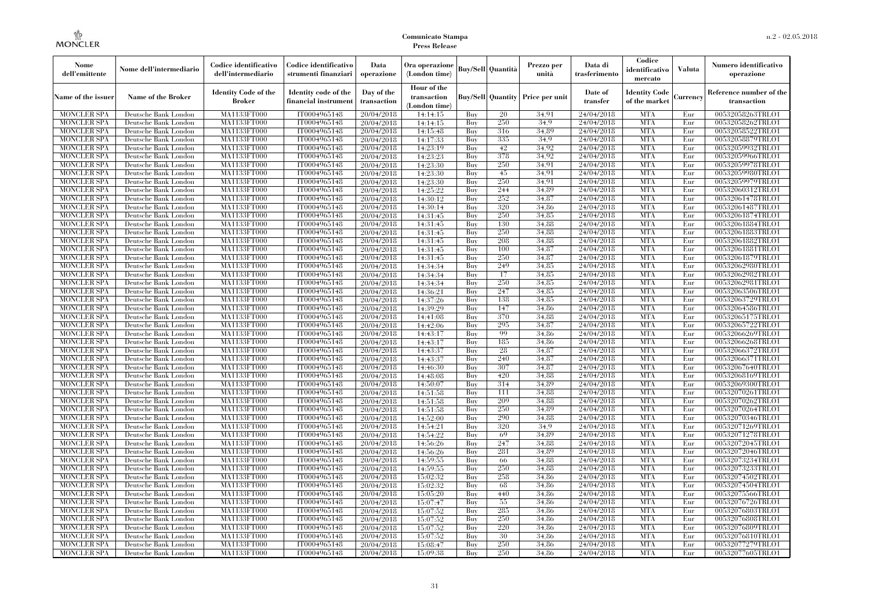| Nome<br>dell'emittente                   | Nome dell'intermediario                      | Codice identificativo<br>dell'intermediario | Codice identificativo<br>strumenti finanziari | Data<br>operazione        | Ora operazione<br>(London time)             |            | <b>Buy/Sell Quantità</b> | Prezzo per<br>unità | Data di<br>trasferimento | Codice<br>identificativo<br>mercato   | <b>Valuta</b> | Numero identificativo<br>operazione    |
|------------------------------------------|----------------------------------------------|---------------------------------------------|-----------------------------------------------|---------------------------|---------------------------------------------|------------|--------------------------|---------------------|--------------------------|---------------------------------------|---------------|----------------------------------------|
| Name of the issuer                       | Name of the Broker                           | <b>Identity Code of the</b><br>Broker       | Identity code of the<br>financial instrumen   | Day of the<br>transaction | Hour of the<br>transaction<br>(London time) |            | <b>Buy/Sell</b> Quantity | Price per unit      | Date of<br>transfer      | <b>Identity Code</b><br>of the market | Currency      | Reference number of the<br>transaction |
| <b>MONCLER SPA</b>                       | Deutsche Bank London                         | <b>MA1133FT000</b>                          | IT0004965148                                  | 20/04/2018                | 14:14:15                                    | Buy        | 20                       | 34.91               | 24/04/2018               | <b>MTA</b>                            | Eur           | 00532058263TRLO1                       |
| <b>MONCLER SPA</b>                       | Deutsche Bank London                         | MA1133FT000                                 | IT0004965148                                  | 20/04/2018                | 14:14:15                                    | Buy        | 250                      | 34.9                | 24/04/2018               | <b>MTA</b>                            | Eur           | 00532058262TRLO1                       |
| <b>MONCLER SPA</b>                       | Deutsche Bank London                         | MA1133FT000                                 | IT0004965148                                  | 20/04/2018                | 14:15:48                                    | Buy        | 316                      | 34.89               | 24/04/2018               | <b>MTA</b>                            | Eur           | 00532058522TRLO1                       |
| <b>MONCLER SPA</b>                       | Deutsche Bank London                         | MA1133FT000                                 | IT0004965148                                  | 20/04/2018                | 14:17:33                                    | Buy        | 335                      | 34.9                | 24/04/2018               | <b>MTA</b>                            | Eur           | 00532058879TRLO1                       |
| MONCLER SPA                              | Deutsche Bank London                         | <b>MA1133FT000</b>                          | IT0004965148                                  | 20/04/2018                | 14:23:19                                    | Buy        | 42                       | 34.92               | 24/04/2018               | <b>MTA</b>                            | Eur           | 00532059932TRLO1                       |
| <b>MONCLER SPA</b>                       | Deutsche Bank London                         | <b>MA1133FT000</b>                          | IT0004965148                                  | 20/04/2018                | 14:23:23                                    | Buy        | 378                      | 34.92               | 24/04/2018               | <b>MTA</b>                            | Eur           | 00532059966TRLO1                       |
| <b>MONCLER SPA</b>                       | Deutsche Bank London                         | MA1133FT000                                 | IT0004965148                                  | 20/04/2018                | 14:23:30                                    | Buy        | 250                      | 34.91               | 24/04/2018               | <b>MTA</b>                            | Eur           | 00532059978TRLO1                       |
| <b>MONCLER SPA</b>                       | Deutsche Bank London                         | <b>MA1133FT000</b>                          | IT0004965148                                  | 20/04/2018                | 14:23:30                                    | Buy        | 45<br>250                | 34.91               | 24/04/2018               | <b>MTA</b><br><b>MTA</b>              | Eur           | 00532059980TRLO1                       |
| MONCLER SPA                              | Deutsche Bank London                         | <b>MA1133FT000</b>                          | IT0004965148<br>IT0004965148                  | 20/04/2018                | 14:23:30                                    | Buy        |                          | 34.91               | 24/04/2018               | <b>MTA</b>                            | Eur           | 00532059979TRLO1                       |
| <b>MONCLER SPA</b>                       | Deutsche Bank London                         | <b>MA1133FT000</b>                          |                                               | 20/04/2018                | 14:25:22                                    | Buy        | 244<br>252               | 34.89               | 24/04/2018               |                                       | Eur           | 00532060312TRLO1                       |
| <b>MONCLER SPA</b>                       | Deutsche Bank London                         | MA1133FT000                                 | IT0004965148                                  | 20/04/2018                | 14:30:12                                    | Buy        |                          | 34.87               | 24/04/2018               | <b>MTA</b>                            | Eur           | 00532061478TRLO1                       |
| <b>MONCLER SPA</b>                       | Deutsche Bank London                         | MA1133FT000                                 | IT0004965148<br>IT0004965148                  | 20/04/2018                | 14:30:14                                    | Buy<br>Buy | 320<br>250               | 34.86<br>34.85      | 24/04/2018               | <b>MTA</b><br><b>MTA</b>              | Eur<br>Eur    | 00532061487TRLO1                       |
| <b>MONCLER SPA</b><br><b>MONCLER SPA</b> | Deutsche Bank London<br>Deutsche Bank London | <b>MA1133FT000</b><br>MA1133FT000           | IT0004965148                                  | 20/04/2018                | 14:31:45                                    | Buy        | 130                      | 34,88               | 24/04/2018<br>24/04/2018 | <b>MTA</b>                            | Eur           | 00532061874TRLO1<br>00532061884TRLO1   |
| <b>MONCLER SPA</b>                       | Deutsche Bank London                         | MA1133FT000                                 | IT0004965148                                  | 20/04/2018                | 14:31:45                                    | Buy        | 250                      | 34.88               | 24/04/2018               | <b>MTA</b>                            | Eur           | 00532061883TRLO1                       |
| <b>MONCLER SPA</b>                       | Deutsche Bank London                         | <b>MA1133FT000</b>                          | IT0004965148                                  | 20/04/2018                | 14:31:45                                    | Buy        | 208                      | 34.88               | 24/04/2018               | <b>MTA</b>                            | Eur           | 00532061882TRLO1                       |
| <b>MONCLER SPA</b>                       | Deutsche Bank London                         | <b>MA1133FT000</b>                          | IT0004965148                                  | 20/04/2018<br>20/04/2018  | 14:31:45<br>14:31:45                        | Buy        | 100                      | 34,87               | 24/04/2018               | <b>MTA</b>                            | Eur           | 00532061881TRLO1                       |
| <b>MONCLER SPA</b>                       | Deutsche Bank London                         | <b>MA1133FT000</b>                          | IT0004965148                                  | 20/04/2018                | 14:31:45                                    | Buy        | 250                      | 34.87               | 24/04/2018               | <b>MTA</b>                            | Eur           | 00532061879TRLO1                       |
| <b>MONCLER SPA</b>                       | Deutsche Bank London                         | MA1133FT000                                 | IT0004965148                                  | 20/04/2018                | 14:34:34                                    | Buy        | 249                      | 34.85               | 24/04/2018               | <b>MTA</b>                            | Eur           | 00532062980TRLO1                       |
| <b>MONCLER SPA</b>                       | Deutsche Bank London                         | MA1133FT000                                 | IT0004965148                                  | 20/04/2018                | 14:34:34                                    | Buy        | 17                       | 34.85               | 24/04/2018               | <b>MTA</b>                            | Eur           | 00532062982TRLO1                       |
| <b>MONCLER SPA</b>                       | Deutsche Bank London                         | MA1133FT000                                 | IT0004965148                                  | 20/04/2018                | 14:34:34                                    | Buy        | 250                      | 34,85               | 24/04/2018               | <b>MTA</b>                            | Eur           | 00532062981TRLO1                       |
| <b>MONCLER SPA</b>                       | Deutsche Bank London                         | <b>MA1133FT000</b>                          | IT0004965148                                  | 20/04/2018                | 14:36:21                                    | Buy        | 247                      | 34.85               | 24/04/2018               | <b>MTA</b>                            | Eur           | 00532063506TRLO1                       |
| <b>MONCLER SPA</b>                       | Deutsche Bank London                         | MA1133FT000                                 | IT0004965148                                  | 20/04/2018                | 14:37:26                                    | Buy        | 138                      | 34.85               | 24/04/2018               | <b>MTA</b>                            | Eur           | 00532063729TRLO1                       |
| <b>MONCLER SPA</b>                       | Deutsche Bank London                         | MA1133FT000                                 | IT0004965148                                  | 20/04/2018                | 14:39:29                                    | Buy        | 147                      | 34,86               | 24/04/2018               | <b>MTA</b>                            | Eur           | 00532064586TRLO1                       |
| <b>MONCLER SPA</b>                       | Deutsche Bank London                         | MA1133FT000                                 | IT0004965148                                  | 20/04/2018                | 14:41:08                                    | Buy        | 370                      | 34,88               | 24/04/2018               | <b>MTA</b>                            | Eur           | 00532065175TRLO1                       |
| <b>MONCLER SPA</b>                       | Deutsche Bank London                         | MA1133FT000                                 | IT0004965148                                  | 20/04/2018                | 14:42:06                                    | Buy        | 295                      | 34.87               | 24/04/2018               | <b>MTA</b>                            | Eur           | 00532065722TRLO1                       |
| <b>MONCLER SPA</b>                       | Deutsche Bank London                         | MA1133FT000                                 | IT0004965148                                  | 20/04/2018                | 14:43:17                                    | Buy        | -99                      | 34.86               | 24/04/2018               | <b>MTA</b>                            | Eur           | 00532066269TRLO1                       |
| <b>MONCLER SPA</b>                       | Deutsche Bank London                         | <b>MA1133FT000</b>                          | IT0004965148                                  | 20/04/2018                | 14:43:17                                    | Buy        | 185                      | 34,86               | 24/04/2018               | <b>MTA</b>                            | Eur           | 00532066268TRLO1                       |
| <b>MONCLER SPA</b>                       | Deutsche Bank London                         | MA1133FT000                                 | IT0004965148                                  | 20/04/2018                | 14:43:37                                    | Buy        | 28                       | 34,87               | 24/04/2018               | <b>MTA</b>                            | Eur           | 00532066372TRLO1                       |
| <b>MONCLER SPA</b>                       | Deutsche Bank London                         | MA1133FT000                                 | IT0004965148                                  | 20/04/2018                | 14:43:37                                    | Buy        | 240                      | 34.87               | 24/04/2018               | <b>MTA</b>                            | Eur           | 00532066371TRLO1                       |
| <b>MONCLER SPA</b>                       | Deutsche Bank London                         | <b>MA1133FT000</b>                          | IT0004965148                                  | 20/04/2018                | 14:46:30                                    | Buy        | 307                      | 34.87               | 24/04/2018               | <b>MTA</b>                            | Eur           | 00532067640TRLO1                       |
| <b>MONCLER SPA</b>                       | Deutsche Bank London                         | <b>MA1133FT000</b>                          | IT0004965148                                  | 20/04/2018                | 14:48:08                                    | Buy        | 420                      | 34,88               | 24/04/2018               | <b>MTA</b>                            | Eur           | 00532068169TRLO1                       |
| <b>MONCLER SPA</b>                       | Deutsche Bank London                         | MA1133FT000                                 | IT0004965148                                  | 20/04/2018                | 14:50:07                                    | Buy        | 314                      | 34,89               | 24/04/2018               | <b>MTA</b>                            | Eur           | 00532069300TRLO1                       |
| <b>MONCLER SPA</b>                       | Deutsche Bank London                         | MA1133FT000                                 | IT0004965148                                  | 20/04/2018                | 14:51:58                                    | Buy        | 111                      | 34.88               | 24/04/2018               | <b>MTA</b>                            | Eur           | 00532070261TRLO1                       |
| <b>MONCLER SPA</b>                       | Deutsche Bank London                         | MA1133FT000                                 | IT0004965148                                  | 20/04/2018                | 14:51:58                                    | Buy        | 209                      | 34.88               | 24/04/2018               | <b>MTA</b>                            | Eur           | 00532070262TRLO1                       |
| <b>MONCLER SPA</b>                       | Deutsche Bank London                         | <b>MA1133FT000</b>                          | IT0004965148                                  | 20/04/2018                | 14:51:58                                    | Buy        | 250                      | 34,89               | 24/04/2018               | <b>MTA</b>                            | Eur           | 00532070264TRLO1                       |
| <b>MONCLER SPA</b>                       | Deutsche Bank London                         | MA1133FT000                                 | IT0004965148                                  | 20/04/2018                | 14:52:00                                    | Buy        | 290                      | 34,88               | 24/04/2018               | <b>MTA</b>                            | Eur           | 00532070346TRLO1                       |
| <b>MONCLER SPA</b>                       | Deutsche Bank London                         | MA1133FT000                                 | IT0004965148                                  | 20/04/2018                | 14:54:21                                    | Buy        | 320                      | 34.9                | 24/04/2018               | <b>MTA</b>                            | Eur           | 00532071269TRLO1                       |
| <b>MONCLER SPA</b>                       | Deutsche Bank London                         | <b>MA1133FT000</b>                          | IT0004965148                                  | 20/04/2018                | 14:54:22                                    | Buy        | 69                       | 34.89               | 24/04/2018               | <b>MTA</b>                            | Eur           | 00532071278TRLO1                       |
| <b>MONCLER SPA</b>                       | Deutsche Bank London                         | MA1133FT000                                 | IT0004965148                                  | 20/04/2018                | 14:56:26                                    | Buy        | 247                      | 34,88               | 24/04/2018               | <b>MTA</b>                            | Eur           | 00532072045TRLO1                       |
| <b>MONCLER SPA</b>                       | Deutsche Bank London                         | MA1133FT000                                 | IT0004965148                                  | 20/04/2018                | 14:56:26                                    | Buy        | 281                      | 34.89               | 24/04/2018               | <b>MTA</b>                            | Eur           | 00532072046TRLO1                       |
| <b>MONCLER SPA</b>                       | Deutsche Bank London                         | MA1133FT000                                 | IT0004965148                                  | 20/04/2018                | 14:59:55                                    | Buy        | 66                       | 34.88               | 24/04/2018               | <b>MTA</b>                            | Eur           | 00532073234TRLO1                       |
| <b>MONCLER SPA</b>                       | Deutsche Bank London                         | <b>MA1133FT000</b>                          | IT0004965148                                  | 20/04/2018                | 14:59:55                                    | Buy        | 250                      | 34.88               | 24/04/2018               | <b>MTA</b>                            | Eur           | 00532073233TRLO1                       |
| <b>MONCLER SPA</b>                       | Deutsche Bank London                         | MA1133FT000                                 | IT0004965148                                  | 20/04/2018                | 15:02:32                                    | Buy        | 258                      | 34,86               | 24/04/2018               | <b>MTA</b>                            | Eur           | 00532074502TRLO1                       |
| <b>MONCLER SPA</b>                       | Deutsche Bank London                         | MA1133FT000                                 | IT0004965148                                  | 20/04/2018                | 15:02:32                                    | Buy        | 68                       | 34.86               | 24/04/2018               | <b>MTA</b>                            | Eur           | 00532074504TRLO1                       |
| <b>MONCLER SPA</b>                       | Deutsche Bank London                         | MA1133FT000                                 | IT0004965148                                  | 20/04/2018                | 15:05:20                                    | Buy        | 440                      | 34.86               | 24/04/2018               | <b>MTA</b>                            | Eur           | 00532075566TRLO1                       |
| <b>MONCLER SPA</b>                       | Deutsche Bank London                         | <b>MA1133FT000</b>                          | IT0004965148                                  | 20/04/2018                | 15:07:47                                    | Buy        | 55                       | 34,86               | 24/04/2018               | <b>MTA</b>                            | Eur           | 00532076726TRLO1                       |
| <b>MONCLER SPA</b>                       | Deutsche Bank London                         | MA1133FT000                                 | IT0004965148                                  | 20/04/2018                | 15:07:52                                    | Buy        | 285                      | 34,86               | 24/04/2018               | <b>MTA</b>                            | Eur           | 00532076803TRLO1                       |
| <b>MONCLER SPA</b>                       | Deutsche Bank London                         | MA1133FT000                                 | IT0004965148                                  | 20/04/2018                | 15:07:52                                    | Buy        | 250                      | 34.86               | 24/04/2018               | <b>MTA</b>                            | Eur           | 00532076808TRLO1                       |
| <b>MONCLER SPA</b>                       | Deutsche Bank London                         | <b>MA1133FT000</b>                          | IT0004965148                                  | 20/04/2018                | 15:07:52                                    | Buy        | 220                      | 34.86               | 24/04/2018               | <b>MTA</b>                            | Eur           | 00532076809TRLO1                       |
| <b>MONCLER SPA</b>                       | Deutsche Bank London                         | <b>MA1133FT000</b>                          | IT0004965148                                  | 20/04/2018                | 15:07:52                                    | Buy        | 30                       | 34.86               | 24/04/2018               | <b>MTA</b>                            | Eur           | 00532076810TRLO1                       |
| <b>MONCLER SPA</b>                       | Deutsche Bank London                         | <b>MA1133FT000</b>                          | IT0004965148                                  | 20/04/2018                | 15:08:47                                    | Buy        | 250                      | 34,86               | 24/04/2018               | <b>MTA</b>                            | Eur           | 00532077279TRLO1                       |
| MONCLER SPA                              | Deutsche Bank London                         | MA1133FT000                                 | IT0004965148                                  | 20/04/2018                | 15:09:38                                    | Buy        | 250                      | 34.86               | 24/04/2018               | <b>MTA</b>                            | Eur           | 00532077605TRLO1                       |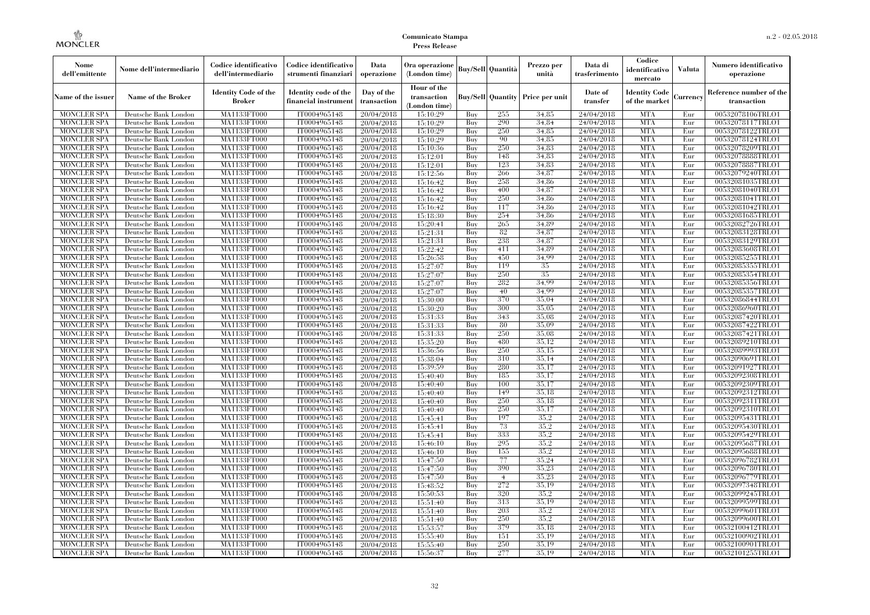| Nome<br>dell'emittente                   | Nome dell'intermediario                      | Codice identificativo<br>dell'intermediario | Codice identificativo<br>strumenti finanziari | Data<br>operazione        | Ora operazione<br>(London time)             |            | <b>Buy/Sell Quantità</b> | Prezzo per<br>unità | Data di<br>trasferimento | Codice<br>identificativo<br>mercato   | <b>Valuta</b> | Numero identificativo<br>operazione    |
|------------------------------------------|----------------------------------------------|---------------------------------------------|-----------------------------------------------|---------------------------|---------------------------------------------|------------|--------------------------|---------------------|--------------------------|---------------------------------------|---------------|----------------------------------------|
| Name of the issuer                       | <b>Name of the Broker</b>                    | <b>Identity Code of the</b><br>Broker       | Identity code of the<br>financial instrumen   | Day of the<br>transaction | Hour of the<br>transaction<br>(London time) |            | <b>Buy/Sell</b> Quantity | Price per unit      | Date of<br>transfer      | <b>Identity Code</b><br>of the market | Currency      | Reference number of the<br>transaction |
| <b>MONCLER SPA</b>                       | Deutsche Bank London                         | MA1133FT000                                 | IT0004965148                                  | 20/04/2018                | 15:10:29                                    | Buy        | 255                      | 34.85               | 24/04/2018               | <b>MTA</b>                            | Eur           | 00532078106TRLO1                       |
| <b>MONCLER SPA</b>                       | Deutsche Bank London                         | MA1133FT000                                 | IT0004965148                                  | 20/04/2018                | 15:10:29                                    | Buy        | 290                      | 34,84               | 24/04/2018               | <b>MTA</b>                            | Eur           | 00532078117TRLO1                       |
| <b>MONCLER SPA</b>                       | Deutsche Bank London                         | <b>MA1133FT000</b>                          | IT0004965148                                  | 20/04/2018                | 15:10:29                                    | Buy        | 250                      | 34.85               | 24/04/2018               | <b>MTA</b>                            | Eur           | 00532078122TRLO1                       |
| <b>MONCLER SPA</b>                       | Deutsche Bank London                         | MA1133FT000                                 | IT0004965148                                  | 20/04/2018                | 15:10:29                                    | Buy        | 90                       | 34.85               | 24/04/2018               | <b>MTA</b>                            | Eur           | 00532078124TRLO1                       |
| <b>MONCLER SPA</b>                       | Deutsche Bank London                         | MA1133FT000                                 | IT0004965148                                  | 20/04/2018                | 15:10:36                                    | Buy        | 250                      | 34.83               | 24/04/2018               | <b>MTA</b>                            | Eur           | 00532078209TRLO1                       |
| <b>MONCLER SPA</b>                       | Deutsche Bank London                         | <b>MA1133FT000</b>                          | IT0004965148                                  | 20/04/2018                | 15:12:01                                    | Buy        | 148                      | 34.83               | 24/04/2018               | <b>MTA</b>                            | Eur           | 00532078888TRLO1                       |
| <b>MONCLER SPA</b>                       | Deutsche Bank London                         | <b>MA1133FT000</b>                          | IT0004965148                                  | 20/04/2018                | 15:12:01                                    | Buy        | 123                      | 34,83               | 24/04/2018               | <b>MTA</b>                            | Eur           | 00532078887TRLO1                       |
| <b>MONCLER SPA</b>                       | Deutsche Bank London                         | <b>MA1133FT000</b>                          | IT0004965148                                  | 20/04/2018                | 15:12:56                                    | Buy        | 266                      | 34.87               | 24/04/2018               | <b>MTA</b>                            | Eur           | 00532079240TRLO1                       |
| <b>MONCLER SPA</b>                       | Deutsche Bank London                         | MA1133FT000                                 | IT0004965148                                  | 20/04/2018                | 15:16:42                                    | Buy        | 258                      | 34.86               | 24/04/2018               | <b>MTA</b>                            | Eur           | 00532081035TRLO1                       |
| <b>MONCLER SPA</b>                       | Deutsche Bank London                         | MA1133FT000                                 | IT0004965148                                  | 20/04/2018                | 15:16:42                                    | Buy        | 400                      | 34,87               | 24/04/2018               | <b>MTA</b>                            | Eur           | 00532081040TRLO1                       |
| <b>MONCLER SPA</b>                       | Deutsche Bank London                         | <b>MA1133FT000</b>                          | IT0004965148                                  | 20/04/2018                | 15:16:42                                    | Buy        | 250                      | 34,86               | 24/04/2018               | <b>MTA</b>                            | Eur           | 00532081041TRLO1                       |
| MONCLER SPA                              | Deutsche Bank London                         | <b>MA1133FT000</b>                          | IT0004965148                                  | 20/04/2018                | 15:16:42                                    | Buy        | 117                      | 34.86               | 24/04/2018               | <b>MTA</b>                            | Eur           | 00532081042TRLO1                       |
| <b>MONCLER SPA</b>                       | Deutsche Bank London                         | MA1133FT000                                 | IT0004965148                                  | 20/04/2018                | 15:18:30                                    | Buy        | 254                      | 34.86               | 24/04/2018               | <b>MTA</b>                            | Eur           | 00532081685TRLO1                       |
| <b>MONCLER SPA</b>                       | Deutsche Bank London                         | MA1133FT000                                 | IT0004965148                                  | 20/04/2018                | 15:20:41                                    | Buy        | 265<br>82                | 34.89               | 24/04/2018               | <b>MTA</b><br><b>MTA</b>              | Eur           | 00532082726TRLO1                       |
| <b>MONCLER SPA</b>                       | Deutsche Bank London                         | <b>MA1133FT000</b><br><b>MA1133FT000</b>    | IT0004965148                                  | 20/04/2018                | 15:21:31                                    | Buy        | 238                      | 34,87<br>34.87      | 24/04/2018               | <b>MTA</b>                            | Eur           | 00532083128TRLO1                       |
| MONCLER SPA<br><b>MONCLER SPA</b>        | Deutsche Bank London                         |                                             | IT0004965148<br>IT0004965148                  | 20/04/2018                | 15:21:31<br>15:22:42                        | Buy<br>Buy | 411                      | 34,89               | 24/04/2018<br>24/04/2018 | <b>MTA</b>                            | Eur<br>Eur    | 00532083129TRLO1<br>00532083608TRLO1   |
| <b>MONCLER SPA</b>                       | Deutsche Bank London                         | MA1133FT000<br><b>MA1133FT000</b>           | IT0004965148                                  | 20/04/2018                |                                             | Buy        | 450                      | 34.99               | 24/04/2018               | <b>MTA</b>                            |               |                                        |
|                                          | Deutsche Bank London                         |                                             | IT0004965148                                  | 20/04/2018                | 15:26:58<br>15:27:07                        | Buy        | 119                      | 35                  | 24/04/2018               | <b>MTA</b>                            | Eur           | 00532085255TRLO1                       |
| <b>MONCLER SPA</b><br><b>MONCLER SPA</b> | Deutsche Bank London<br>Deutsche Bank London | <b>MA1133FT000</b><br><b>MA1133FT000</b>    | IT0004965148                                  | 20/04/2018<br>20/04/2018  | 15:27:07                                    | Buy        | 250                      | 35                  | 24/04/2018               | <b>MTA</b>                            | Eur<br>Eur    | 00532085355TRLO1<br>00532085354TRLO1   |
| <b>MONCLER SPA</b>                       | Deutsche Bank London                         | MA1133FT000                                 | IT0004965148                                  | 20/04/2018                | 15:27:07                                    | Buy        | 282                      | 34.99               | 24/04/2018               | <b>MTA</b>                            | Eur           | 00532085356TRLO1                       |
| <b>MONCLER SPA</b>                       | Deutsche Bank London                         | MA1133FT000                                 | IT0004965148                                  | 20/04/2018                | 15:27:07                                    | Buy        | 40                       | 34.99               | 24/04/2018               | <b>MTA</b>                            | Eur           | 00532085357TRLO1                       |
| <b>MONCLER SPA</b>                       | Deutsche Bank London                         | <b>MA1133FT000</b>                          | IT0004965148                                  | 20/04/2018                | 15:30:00                                    | Buy        | 370                      | 35,04               | 24/04/2018               | <b>MTA</b>                            | Eur           | 00532086844TRLO1                       |
| MONCLER SPA                              | Deutsche Bank London                         | MA1133FT000                                 | IT0004965148                                  | 20/04/2018                | 15:30:20                                    | Buy        | 300                      | 35,05               | 24/04/2018               | <b>MTA</b>                            | Eur           | 00532086960TRLO1                       |
| <b>MONCLER SPA</b>                       | Deutsche Bank London                         | MA1133FT000                                 | IT0004965148                                  | 20/04/2018                | 15:31:33                                    | Buy        | 343                      | 35,08               | 24/04/2018               | <b>MTA</b>                            | Eur           | 00532087420TRLO1                       |
| <b>MONCLER SPA</b>                       | Deutsche Bank London                         | <b>MA1133FT000</b>                          | IT0004965148                                  | 20/04/2018                | 15:31:33                                    | Buy        | 80                       | 35,09               | 24/04/2018               | <b>MTA</b>                            | Eur           | 00532087422TRLO1                       |
| <b>MONCLER SPA</b>                       | Deutsche Bank London                         | <b>MA1133FT000</b>                          | IT0004965148                                  | 20/04/2018                | 15:31:33                                    | Buy        | 250                      | 35,08               | 24/04/2018               | <b>MTA</b>                            | Eur           | 00532087421TRLO1                       |
| <b>MONCLER SPA</b>                       | Deutsche Bank London                         | MA1133FT000                                 | IT0004965148                                  | 20/04/2018                | 15:35:20                                    | Buy        | 480                      | 35.12               | 24/04/2018               | <b>MTA</b>                            | Eur           | 00532089210TRLO1                       |
| <b>MONCLER SPA</b>                       | Deutsche Bank London                         | MA1133FT000                                 | IT0004965148                                  | 20/04/2018                | 15:36:56                                    | Buy        | 250                      | 35.15               | 24/04/2018               | <b>MTA</b>                            | Eur           | 00532089993TRLO1                       |
| <b>MONCLER SPA</b>                       | Deutsche Bank London                         | <b>MA1133FT000</b>                          | IT0004965148                                  | 20/04/2018                | 15:38:04                                    | Buy        | 310                      | 35,14               | 24/04/2018               | <b>MTA</b>                            | Eur           | 00532090691TRLO1                       |
| <b>MONCLER SPA</b>                       | Deutsche Bank London                         | <b>MA1133FT000</b>                          | IT0004965148                                  | 20/04/2018                | 15:39:59                                    | Buy        | 280                      | 35,17               | 24/04/2018               | <b>MTA</b>                            | Eur           | 00532091927TRLO1                       |
| MONCLER SPA                              | Deutsche Bank London                         | MA1133FT000                                 | IT0004965148                                  | 20/04/2018                | 15:40:40                                    | Buy        | 185                      | 35,17               | 24/04/2018               | <b>MTA</b>                            | Eur           | 00532092308TRLO1                       |
| <b>MONCLER SPA</b>                       | Deutsche Bank London                         | MA1133FT000                                 | IT0004965148                                  | 20/04/2018                | 15:40:40                                    | Buy        | 100                      | 35,17               | 24/04/2018               | <b>MTA</b>                            | Eur           | 00532092309TRLO1                       |
| MONCLER SPA                              | Deutsche Bank London                         | <b>MA1133FT000</b>                          | IT0004965148                                  | 20/04/2018                | 15:40:40                                    | Buy        | 149                      | 35,18               | 24/04/2018               | <b>MTA</b>                            | Eur           | 00532092312TRLO1                       |
| <b>MONCLER SPA</b>                       | Deutsche Bank London                         | <b>MA1133FT000</b>                          | IT0004965148                                  | 20/04/2018                | 15:40:40                                    | Buy        | 250                      | 35.18               | 24/04/2018               | <b>MTA</b>                            | Eur           | 00532092311TRLO1                       |
| <b>MONCLER SPA</b>                       | Deutsche Bank London                         | MA1133FT000                                 | IT0004965148                                  | 20/04/2018                | 15:40:40                                    | Buy        | 250                      | 35,17               | 24/04/2018               | <b>MTA</b>                            | Eur           | 00532092310TRLO1                       |
| <b>MONCLER SPA</b>                       | Deutsche Bank London                         | MA1133FT000                                 | IT0004965148                                  | 20/04/2018                | 15:45:41                                    | Buy        | 197                      | 35.2                | 24/04/2018               | <b>MTA</b>                            | Eur           | 00532095431TRLO1                       |
| <b>MONCLER SPA</b>                       | Deutsche Bank London                         | <b>MA1133FT000</b>                          | IT0004965148                                  | 20/04/2018                | 15:45:41                                    | Buy        | 73                       | 35,2                | 24/04/2018               | <b>MTA</b>                            | Eur           | 00532095430TRLO1                       |
| <b>MONCLER SPA</b>                       | Deutsche Bank London                         | <b>MA1133FT000</b>                          | IT0004965148                                  | 20/04/2018                | 15:45:41                                    | Buy        | 333                      | 35.2                | 24/04/2018               | <b>MTA</b>                            | Eur           | 00532095429TRLO1                       |
| <b>MONCLER SPA</b>                       | Deutsche Bank London                         | MA1133FT000                                 | IT0004965148                                  | 20/04/2018                | 15:46:10                                    | Buy        | 295                      | 35.2                | 24/04/2018               | <b>MTA</b>                            | Eur           | 00532095687TRLO1                       |
| <b>MONCLER SPA</b>                       | Deutsche Bank London                         | MA1133FT000                                 | IT0004965148                                  | 20/04/2018                | 15:46:10                                    | Buy        | 155                      | 35.2                | 24/04/2018               | <b>MTA</b>                            | Eur           | 00532095688TRLO1                       |
| <b>MONCLER SPA</b>                       | Deutsche Bank London                         | MA1133FT000                                 | IT0004965148                                  | 20/04/2018                | 15:47:50                                    | Buy        | 77                       | 35,24               | 24/04/2018               | <b>MTA</b>                            | Eur           | 00532096782TRLO1                       |
| <b>MONCLER SPA</b>                       | Deutsche Bank London                         | <b>MA1133FT000</b>                          | IT0004965148                                  | 20/04/2018                | 15:47:50                                    | Buy        | 390                      | 35,23               | 24/04/2018               | MTA                                   | Eur           | 00532096780TRLO1                       |
| <b>MONCLER SPA</b>                       | Deutsche Bank London                         | <b>MA1133FT000</b>                          | IT0004965148                                  | 20/04/2018                | 15:47:50                                    | Buy        | $\overline{4}$           | 35,23               | 24/04/2018               | <b>MTA</b>                            | Eur           | 00532096779TRLO1                       |
| <b>MONCLER SPA</b>                       | Deutsche Bank London                         | MA1133FT000                                 | IT0004965148                                  | 20/04/2018                | 15:48:52                                    | Buy        | 272                      | 35,19               | 24/04/2018               | <b>MTA</b>                            | Eur           | 00532097348TRLO1                       |
| <b>MONCLER SPA</b>                       | Deutsche Bank London                         | MA1133FT000                                 | IT0004965148                                  | 20/04/2018                | 15:50:53                                    | Buy        | 320                      | 35.2                | 24/04/2018               | <b>MTA</b>                            | Eur           | 00532099245TRLO1                       |
| <b>MONCLER SPA</b>                       | Deutsche Bank London                         | <b>MA1133FT000</b>                          | IT0004965148                                  | 20/04/2018                | 15:51:40                                    | Buy        | 313                      | 35,19               | 24/04/2018               | <b>MTA</b>                            | Eur           | 00532099599TRLO1                       |
| <b>MONCLER SPA</b>                       | Deutsche Bank London                         | MA1133FT000                                 | IT0004965148                                  | 20/04/2018                | 15:51:40                                    | Buy        | 203                      | 35.2                | 24/04/2018               | <b>MTA</b>                            | Eur           | 00532099601TRLO1                       |
| <b>MONCLER SPA</b>                       | Deutsche Bank London                         | MA1133FT000                                 | IT0004965148                                  | 20/04/2018                | 15:51:40                                    | Buy        | 250                      | 35.2                | 24/04/2018               | <b>MTA</b>                            | Eur           | 00532099600TRLO1                       |
| <b>MONCLER SPA</b>                       | Deutsche Bank London                         | <b>MA1133FT000</b>                          | IT0004965148                                  | 20/04/2018                | 15:53:57                                    | Buy        | 379                      | 35.18               | 24/04/2018               | <b>MTA</b>                            | Eur           | 00532100412TRLO1                       |
| <b>MONCLER SPA</b>                       | Deutsche Bank London                         | <b>MA1133FT000</b>                          | IT0004965148                                  | 20/04/2018                | 15:55:40                                    | Buy        | 151                      | 35,19               | 24/04/2018               | <b>MTA</b>                            | Eur           | 00532100902TRLO1                       |
| <b>MONCLER SPA</b>                       | Deutsche Bank London                         | <b>MA1133FT000</b>                          | IT0004965148                                  | 20/04/2018                | 15:55:40                                    | Buy        | 250                      | 35.19               | 24/04/2018               | <b>MTA</b>                            | Eur           | 00532100901TRLO1                       |
| MONCLER SPA                              | Deutsche Bank London                         | MA1133FT000                                 | IT0004965148                                  | 20/04/2018                | 15:56:37                                    | Buy        | 277                      | 35.19               | 24/04/2018               | <b>MTA</b>                            | Eur           | 00532101255TRLO1                       |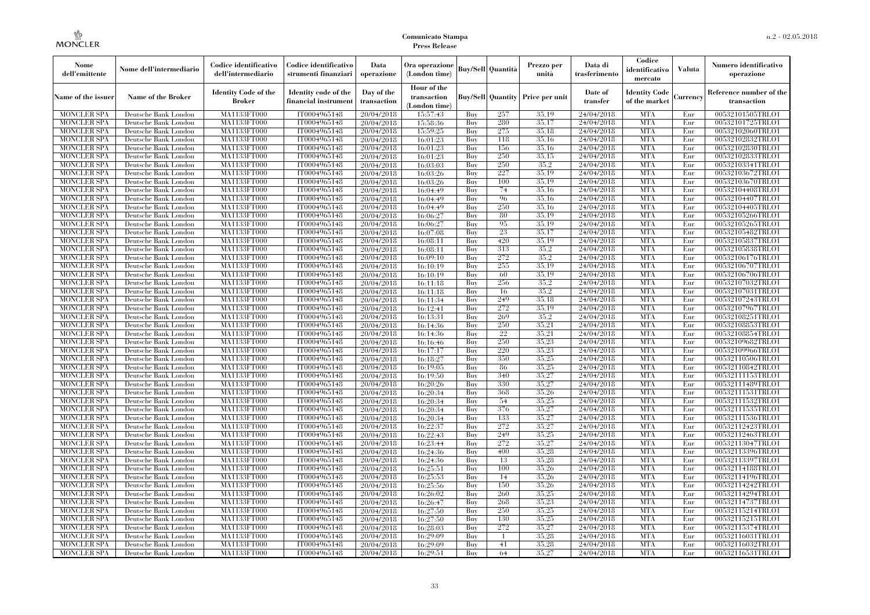| <b>Buy/Sell</b> Quantità<br>Nome dell'intermediario<br>(London time)<br>dell'emittente<br>dell'intermediario<br>operazione<br>unità<br>strumenti finanziari                                                                                                           | Data di<br>Prezzo per<br>trasferimento | Codice<br>identificativo<br>mercato   | <b>Valuta</b> | Numero identificativo<br>operazione    |
|-----------------------------------------------------------------------------------------------------------------------------------------------------------------------------------------------------------------------------------------------------------------------|----------------------------------------|---------------------------------------|---------------|----------------------------------------|
| Hour of the<br><b>Identity Code of the</b><br>Identity code of the<br>Day of the<br><b>Name of the Broker</b><br><b>Buy/Sell Quantity Price per unit</b><br>Name of the issuer<br>transaction<br><b>Broker</b><br>financial instrumen<br>transaction<br>(London time) | Date of<br>transfer                    | <b>Identity Code</b><br>of the market | Currency      | Reference number of the<br>transaction |
| MA1133FT000<br>35.19<br><b>MONCLER SPA</b><br>IT0004965148<br>20/04/2018<br>15:57:43<br>257<br>Deutsche Bank London<br>Buy                                                                                                                                            | 24/04/2018                             | <b>MTA</b>                            | Eur           | 00532101505TRLO1                       |
| MA1133FT000<br>IT0004965148<br>280<br>35,17<br><b>MONCLER SPA</b><br>Deutsche Bank London<br>20/04/2018<br>15:58:36<br>Buy                                                                                                                                            | 24/04/2018                             | <b>MTA</b>                            | Eur           | 00532101725TRLO1                       |
| IT0004965148<br>275<br>35.18<br><b>MONCLER SPA</b><br>Deutsche Bank London<br><b>MA1133FT000</b><br>20/04/2018<br>15:59:25<br>Buy                                                                                                                                     | 24/04/2018                             | <b>MTA</b>                            | Eur           | 00532102060TRLO1                       |
| 35,16<br><b>MONCLER SPA</b><br>MA1133FT000<br>IT0004965148<br>118<br>Deutsche Bank London<br>20/04/2018<br>16:01:23<br>Buy                                                                                                                                            | 24/04/2018                             | <b>MTA</b>                            | Eur           | 00532102832TRLO1                       |
| 35,16<br>MA1133FT000<br>IT0004965148<br>16:01:23<br>156<br><b>MONCLER SPA</b><br>Deutsche Bank London<br>20/04/2018<br>Buy                                                                                                                                            | 24/04/2018                             | <b>MTA</b>                            | Eur           | 00532102830TRLO1                       |
| <b>MONCLER SPA</b><br>MA1133FT000<br>IT0004965148<br>250<br>35,15<br>Deutsche Bank London<br>20/04/2018<br>16:01:23<br>Buy                                                                                                                                            | 24/04/2018                             | <b>MTA</b>                            | Eur           | 00532102833TRLO1                       |
| IT0004965148<br>250<br>35,2<br><b>MONCLER SPA</b><br>Deutsche Bank London<br><b>MA1133FT000</b><br>20/04/2018<br>16:03:03<br>Buy                                                                                                                                      | 24/04/2018                             | <b>MTA</b>                            | Eur           | 00532103341TRLO1                       |
| 16:03:26<br>227<br>35.19<br><b>MONCLER SPA</b><br>Deutsche Bank London<br><b>MA1133FT000</b><br>IT0004965148<br>20/04/2018<br>Buy                                                                                                                                     | 24/04/2018                             | <b>MTA</b>                            | Eur           | 00532103672TRLO1                       |
| 35,19<br><b>MONCLER SPA</b><br>MA1133FT000<br>IT0004965148<br>16:03:26<br>100<br>Deutsche Bank London<br>20/04/2018<br>Buy                                                                                                                                            | 24/04/2018                             | <b>MTA</b>                            | Eur           | 00532103670TRLO1                       |
| 35,16<br>MA1133FT000<br>IT0004965148<br><b>MONCLER SPA</b><br>Deutsche Bank London<br>20/04/2018<br>16:04:49<br>Buy<br>74                                                                                                                                             | 24/04/2018                             | <b>MTA</b>                            | Eur           | 00532104408TRLO1                       |
| IT0004965148<br>96<br>35,16<br><b>MONCLER SPA</b><br>Deutsche Bank London<br><b>MA1133FT000</b><br>20/04/2018<br>16:04:49<br>Buy                                                                                                                                      | 24/04/2018                             | <b>MTA</b>                            | Eur           | 00532104407TRLO1                       |
| 250<br>35.16<br><b>MONCLER SPA</b><br>Deutsche Bank London<br><b>MA1133FT000</b><br>IT0004965148<br>20/04/2018<br>16:04:49<br>Buy                                                                                                                                     | 24/04/2018                             | <b>MTA</b>                            | Eur           | 00532104405TRLO1                       |
| 35,19<br><b>MONCLER SPA</b><br>MA1133FT000<br>IT0004965148<br>80<br>Deutsche Bank London<br>20/04/2018<br>16:06:27<br>Buy                                                                                                                                             | 24/04/2018                             | <b>MTA</b>                            | Eur           | 00532105266TRLO1                       |
| 35,19<br>MA1133FT000<br>IT0004965148<br>95<br><b>MONCLER SPA</b><br>Deutsche Bank London<br>20/04/2018<br>16:06:27<br>Buy                                                                                                                                             | 24/04/2018                             | <b>MTA</b>                            | Eur           | 00532105265TRLO1                       |
| 35,17<br>IT0004965148<br>23<br><b>MONCLER SPA</b><br>Deutsche Bank London<br><b>MA1133FT000</b><br>20/04/2018<br>16:07:08<br>Buy                                                                                                                                      | 24/04/2018                             | <b>MTA</b>                            | Eur           | 00532105482TRLO1                       |
| 35.19<br><b>MONCLER SPA</b><br>Deutsche Bank London<br><b>MA1133FT000</b><br>IT0004965148<br>20/04/2018<br>16:08:11<br>420<br>Buy                                                                                                                                     | 24/04/2018                             | <b>MTA</b>                            | Eur           | 00532105837TRLO1                       |
| <b>MONCLER SPA</b><br>MA1133FT000<br>IT0004965148<br>313<br>35.2<br>Deutsche Bank London<br>20/04/2018<br>16:08:11<br>Buy                                                                                                                                             | 24/04/2018                             | <b>MTA</b>                            | Eur           | 00532105838TRLO1                       |
| 35.2<br>MA1133FT000<br>IT0004965148<br>272<br><b>MONCLER SPA</b><br>Deutsche Bank London<br>20/04/2018<br>16:09:10<br>Buy                                                                                                                                             | 24/04/2018                             | <b>MTA</b>                            | Eur           | 00532106176TRLO1                       |
| IT0004965148<br>35,19<br><b>MONCLER SPA</b><br>Deutsche Bank London<br><b>MA1133FT000</b><br>20/04/2018<br>16:10:19<br>Buy<br>255                                                                                                                                     | 24/04/2018                             | <b>MTA</b>                            | Eur           | 00532106707TRLO1                       |
| 60<br>35.19<br><b>MONCLER SPA</b><br>Deutsche Bank London<br><b>MA1133FT000</b><br>IT0004965148<br>20/04/2018<br>16:10:19<br>Buy                                                                                                                                      | 24/04/2018                             | <b>MTA</b>                            | Eur           | 00532106706TRLO1                       |
| <b>MONCLER SPA</b><br>MA1133FT000<br>IT0004965148<br>256<br>35.2<br>Deutsche Bank London<br>20/04/2018<br>16:11:18<br>Buy                                                                                                                                             | 24/04/2018                             | <b>MTA</b>                            | Eur           | 00532107032TRLO1                       |
| 35.2<br><b>MA1133FT000</b><br>IT0004965148<br><b>MONCLER SPA</b><br>Deutsche Bank London<br>20/04/2018<br>16:11:18<br>Buy<br>16                                                                                                                                       | 24/04/2018                             | <b>MTA</b>                            | Eur           | 00532107031TRLO1                       |
| IT0004965148<br>35,18<br>MONCLER SPA<br>Deutsche Bank London<br><b>MA1133FT000</b><br>20/04/2018<br>16:11:34<br>Buy<br>249                                                                                                                                            | 24/04/2018                             | <b>MTA</b>                            | Eur           | 00532107243TRLO1                       |
| 272<br>35.19<br><b>MONCLER SPA</b><br>Deutsche Bank London<br>MA1133FT000<br>IT0004965148<br>20/04/2018<br>16:12:41<br>Buy                                                                                                                                            | 24/04/2018                             | <b>MTA</b>                            | Eur           | 00532107967TRLO1                       |
| IT0004965148<br>35.2<br><b>MONCLER SPA</b><br>Deutsche Bank London<br>MA1133FT000<br>20/04/2018<br>16:13:31<br>Buy<br>269                                                                                                                                             | 24/04/2018                             | <b>MTA</b>                            | Eur           | 00532108251TRLO1                       |
| IT0004965148<br>250<br>35,21<br><b>MONCLER SPA</b><br>Deutsche Bank London<br><b>MA1133FT000</b><br>20/04/2018<br>16:14:36<br>Buy                                                                                                                                     | 24/04/2018                             | <b>MTA</b>                            | Eur           | 00532108853TRLO1                       |
| IT0004965148<br>22<br>35,21<br>MONCLER SPA<br>Deutsche Bank London<br><b>MA1133FT000</b><br>20/04/2018<br>16:14:36<br>Buy<br>250                                                                                                                                      | 24/04/2018                             | <b>MTA</b>                            | Eur           | 00532108854TRLO1                       |
| 35,23<br><b>MONCLER SPA</b><br>Deutsche Bank London<br>MA1133FT000<br>IT0004965148<br>20/04/2018<br>16:16:46<br>Buy                                                                                                                                                   | 24/04/2018                             | <b>MTA</b>                            | Eur           | 00532109682TRLO1                       |
| IT0004965148<br>220<br>35,23<br><b>MONCLER SPA</b><br>Deutsche Bank London<br>MA1133FT000<br>20/04/2018<br>16:17:17<br>Buy                                                                                                                                            | 24/04/2018                             | <b>MTA</b>                            | Eur           | 00532109966TRLO1                       |
| IT0004965148<br>350<br>35,25<br><b>MONCLER SPA</b><br>Deutsche Bank London<br><b>MA1133FT000</b><br>20/04/2018<br>16:18:27<br>Buy                                                                                                                                     | 24/04/2018                             | <b>MTA</b>                            | Eur           | 00532110506TRLO1                       |
| IT0004965148<br>35,25<br><b>MONCLER SPA</b><br>Deutsche Bank London<br><b>MA1133FT000</b><br>20/04/2018<br>16:19:05<br>Buy<br>-86<br>35,27<br>340                                                                                                                     | 24/04/2018                             | <b>MTA</b><br><b>MTA</b>              | Eur           | 00532110842TRLO1                       |
| <b>MONCLER SPA</b><br>Deutsche Bank London<br>MA1133FT000<br>IT0004965148<br>20/04/2018<br>16:19:50<br>Buy<br>35,27                                                                                                                                                   | 24/04/2018                             | <b>MTA</b>                            | Eur           | 00532111153TRLO1                       |
| IT0004965148<br><b>MONCLER SPA</b><br>Deutsche Bank London<br>MA1133FT000<br>20/04/2018<br>16:20:26<br>Buy<br>330<br>368                                                                                                                                              | 24/04/2018                             | <b>MTA</b>                            | Eur           | 00532111489TRLO1                       |
| IT0004965148<br>35,26<br><b>MONCLER SPA</b><br>Deutsche Bank London<br><b>MA1133FT000</b><br>20/04/2018<br>16:20:34<br>Buy<br>54<br>35,25                                                                                                                             | 24/04/2018                             | <b>MTA</b>                            | Eur           | 00532111531TRLO1                       |
| IT0004965148<br><b>MONCLER SPA</b><br>Deutsche Bank London<br><b>MA1133FT000</b><br>20/04/2018<br>16:20:34<br>Buy<br>35,27<br><b>MONCLER SPA</b><br>Deutsche Bank London<br>MA1133FT000<br>IT0004965148<br>376<br>Buy                                                 | 24/04/2018<br>24/04/2018               | <b>MTA</b>                            | Eur<br>Eur    | 00532111532TRLO1<br>00532111535TRLO1   |
| 16:20:34<br>20/04/2018<br>IT0004965148<br>35,27<br><b>MONCLER SPA</b><br>Deutsche Bank London<br>MA1133FT000<br>16:20:34<br>Buy<br>133                                                                                                                                | 24/04/2018                             | <b>MTA</b>                            | Eur           | 00532111536TRLO1                       |
| 20/04/2018<br>272<br>35,27<br><b>MONCLER SPA</b><br>Deutsche Bank London<br><b>MA1133FT000</b><br>IT0004965148<br>20/04/2018<br>Buy                                                                                                                                   | 24/04/2018                             | <b>MTA</b>                            | Eur           | 00532112423TRLO1                       |
| 16:22:37<br>35,25<br>IT0004965148<br>249                                                                                                                                                                                                                              |                                        | <b>MTA</b>                            |               | 00532112463TRLO1                       |
| <b>MONCLER SPA</b><br>Deutsche Bank London<br><b>MA1133FT000</b><br>20/04/2018<br>16:22:43<br>Buy<br>272<br>35,27<br><b>MONCLER SPA</b><br>Deutsche Bank London<br>MA1133FT000<br>IT0004965148<br>Buy                                                                 | 24/04/2018<br>24/04/2018               | <b>MTA</b>                            | Eur<br>Eur    | 00532113047TRLO1                       |
| 20/04/2018<br>16:23:44<br>IT0004965148<br>35,28<br><b>MONCLER SPA</b><br>Deutsche Bank London<br>MA1133FT000<br>20/04/2018<br>16:24:36<br>Buy<br>400                                                                                                                  | 24/04/2018                             | <b>MTA</b>                            | Eur           | 00532113396TRLO1                       |
| 35.28<br><b>MONCLER SPA</b><br>MA1133FT000<br>IT0004965148<br>20/04/2018<br>16:24:36<br>13<br>Deutsche Bank London<br>Buy                                                                                                                                             | 24/04/2018                             | <b>MTA</b>                            | Eur           | 00532113397TRLO1                       |
| 35,26<br><b>MONCLER SPA</b><br>Deutsche Bank London<br><b>MA1133FT000</b><br>IT0004965148<br>20/04/2018<br>16:25:51<br>Buy<br>100                                                                                                                                     | 24/04/2018                             | MTA                                   | Eur           | 00532114188TRLO1                       |
| 35,26<br><b>MONCLER SPA</b><br>Deutsche Bank London<br>MA1133FT000<br>IT0004965148<br>20/04/2018<br>16:25:53<br>14<br>Buy                                                                                                                                             | 24/04/2018                             | <b>MTA</b>                            | Eur           | 00532114196TRLO1                       |
| IT0004965148<br>35.26<br><b>MONCLER SPA</b><br>Deutsche Bank London<br>MA1133FT000<br>16:25:56<br>Buy<br>150                                                                                                                                                          | 24/04/2018                             | <b>MTA</b>                            | Eur           | 00532114242TRLO1                       |
| 20/04/2018<br>35,25<br><b>MONCLER SPA</b><br>MA1133FT000<br>IT0004965148<br>16:26:02<br>260<br>Deutsche Bank London<br>Buy                                                                                                                                            | 24/04/2018                             | <b>MTA</b>                            | Eur           | 00532114294TRLO1                       |
| 20/04/2018<br>35,23<br><b>MONCLER SPA</b><br>Deutsche Bank London<br><b>MA1133FT000</b><br>IT0004965148<br>20/04/2018<br>16:26:47<br>Buy<br>268                                                                                                                       | 24/04/2018                             | <b>MTA</b>                            | Eur           | 00532114737TRLO1                       |
| 35,25<br><b>MONCLER SPA</b><br>Deutsche Bank London<br>MA1133FT000<br>IT0004965148<br>16:27:50<br>250<br>20/04/2018<br>Buy                                                                                                                                            | 24/04/2018                             | <b>MTA</b>                            | Eur           | 00532115214TRLO1                       |
| 35,25<br><b>MONCLER SPA</b><br>Deutsche Bank London<br>MA1133FT000<br>IT0004965148<br>20/04/2018<br>16:27:50<br>Buy<br>130                                                                                                                                            | 24/04/2018                             | <b>MTA</b>                            | Eur           | 00532115215TRLO1                       |
| 272<br>35,27<br><b>MONCLER SPA</b><br>MA1133FT000<br>IT0004965148<br>16:28:03<br>Deutsche Bank London<br>20/04/2018<br>Buy                                                                                                                                            | 24/04/2018                             | <b>MTA</b>                            | Eur           | 00532115374TRLO1                       |
| 35,28<br>MONCLER SPA<br>Deutsche Bank London<br><b>MA1133FT000</b><br>IT0004965148<br>20/04/2018<br>16:29:09<br>Buy<br>$\overline{1}$                                                                                                                                 | 24/04/2018                             | <b>MTA</b>                            | Eur           | 00532116031TRLO1                       |
| 35,28<br><b>MONCLER SPA</b><br>Deutsche Bank London<br><b>MA1133FT000</b><br>IT0004965148<br>16:29:09<br>41<br>20/04/2018<br>Buy                                                                                                                                      | 24/04/2018                             | <b>MTA</b>                            | Eur           | 00532116032TRLO1                       |
| 35,27<br><b>MONCLER SPA</b><br>Deutsche Bank London<br>MA1133FT000<br>IT0004965148<br>20/04/2018<br>16:29:51<br>Buy<br>64                                                                                                                                             | 24/04/2018                             | <b>MTA</b>                            | Eur           | 00532116531TRLO1                       |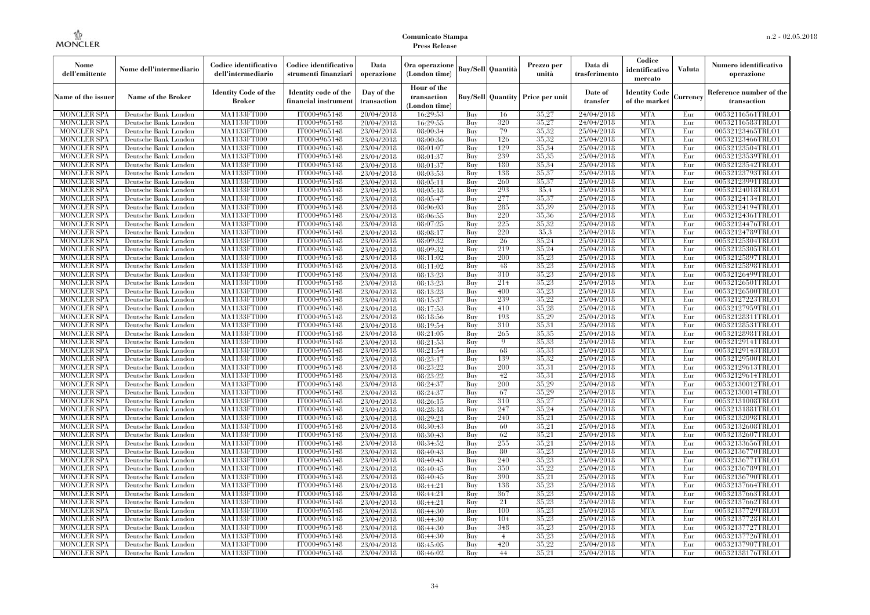| Nome<br>dell'emittente                   | Nome dell'intermediario                      | Codice identificativo<br>dell'intermediario | Codice identificativo<br>strumenti finanziari | Data<br>operazione        | Ora operazione<br>(London time)             |            | Buy/Sell   Quantità      | Prezzo per<br>unità | Data di<br>trasferimento | Codice<br>identificativo<br>mercato   | <b>Valuta</b> | Numero identificativo<br>operazione    |
|------------------------------------------|----------------------------------------------|---------------------------------------------|-----------------------------------------------|---------------------------|---------------------------------------------|------------|--------------------------|---------------------|--------------------------|---------------------------------------|---------------|----------------------------------------|
| Name of the issuer                       | Name of the Broker                           | <b>Identity Code of the</b><br>Broker       | Identity code of the<br>financial instrument  | Day of the<br>transaction | Hour of the<br>transaction<br>(London time) |            | <b>Buy/Sell Quantity</b> | Price per unit      | Date of<br>transfer      | <b>Identity Code</b><br>of the market | Currencv      | Reference number of the<br>transaction |
| <b>MONCLER SPA</b>                       | Deutsche Bank London                         | MA1133FT000                                 | IT0004965148                                  | 20/04/2018                | 16:29:53                                    | Buy        | 16                       | 35,27               | 24/04/2018               | <b>MTA</b>                            | Eur           | 00532116561TRLO1                       |
| <b>MONCLER SPA</b>                       | Deutsche Bank London                         | <b>MA1133FT000</b>                          | IT0004965148                                  | 20/04/2018                | 16:29:55                                    | Buy        | 320                      | 35,27               | 24/04/2018               | <b>MTA</b>                            | Eur           | 00532116583TRLO1                       |
| <b>MONCLER SPA</b>                       | Deutsche Bank London                         | MA1133FT000                                 | IT0004965148                                  | 23/04/2018                | 08:00:34                                    | Buv        | 79                       | 35.32               | 25/04/2018               | <b>MTA</b>                            | Eur           | 00532123465TRLO1                       |
| <b>MONCLER SPA</b>                       | Deutsche Bank London                         | MA1133FT000                                 | IT0004965148                                  | 23/04/2018                | 08:00:36                                    | Buy        | 126                      | 35,32               | 25/04/2018               | <b>MTA</b>                            | Eur           | 00532123466TRLO1                       |
| <b>MONCLER SPA</b>                       | Deutsche Bank London                         | MA1133FT000                                 | IT0004965148                                  | 23/04/2018                | 08:01:07                                    | Buy        | 129<br>239               | 35.34<br>35,35      | 25/04/2018<br>25/04/2018 | <b>MTA</b><br><b>MTA</b>              | Eur<br>Eur    | 00532123504TRLO1                       |
| <b>MONCLER SPA</b><br><b>MONCLER SPA</b> | Deutsche Bank London<br>Deutsche Bank London | <b>MA1133FT000</b><br>MA1133FT000           | IT0004965148<br>IT0004965148                  | 23/04/2018<br>23/04/2018  | 08:01:37<br>08:01:37                        | Buy<br>Buy | 180                      | 35,34               | 25/04/2018               | <b>MTA</b>                            | Eur           | 00532123539TRLO1<br>00532123542TRLO1   |
| <b>MONCLER SPA</b>                       | Deutsche Bank London                         | MA1133FT000                                 | IT0004965148                                  | 23/04/2018                | 08:03:53                                    | Buy        | 138                      | 35.37               | 25/04/2018               | <b>MTA</b>                            | Eur           | 00532123793TRLO1                       |
| <b>MONCLER SPA</b>                       | Deutsche Bank London                         | MA1133FT000                                 | IT0004965148                                  | 23/04/2018                | 08:05:11                                    | Buy        | 260                      | 35,37               | 25/04/2018               | <b>MTA</b>                            | Eur           | 00532123991TRLO1                       |
| <b>MONCLER SPA</b>                       | Deutsche Bank London                         | MA1133FT000                                 | IT0004965148                                  | 23/04/2018                | 08:05:18                                    | Buy        | 293                      | 35.4                | 25/04/2018               | <b>MTA</b>                            | Eur           | 00532124018TRLO1                       |
| <b>MONCLER SPA</b>                       | Deutsche Bank London                         | MA1133FT000                                 | IT0004965148                                  | 23/04/2018                | 08:05:47                                    | Buy        | 277                      | 35,37               | 25/04/2018               | <b>MTA</b>                            | Eur           | 00532124134TRLO1                       |
| <b>MONCLER SPA</b>                       | Deutsche Bank London                         | MA1133FT000                                 | IT0004965148                                  | 23/04/2018                | 08:06:03                                    | Buy        | 285                      | 35,39               | 25/04/2018               | <b>MTA</b>                            | Eur           | 00532124194TRLO1                       |
| <b>MONCLER SPA</b>                       | Deutsche Bank London                         | MA1133FT000                                 | IT0004965148                                  | 23/04/2018                | 08:06:55                                    | Buy        | 220                      | 35.36               | 25/04/2018               | <b>MTA</b>                            | Eur           | 00532124361TRLO1                       |
| <b>MONCLER SPA</b>                       | Deutsche Bank London                         | MA1133FT000                                 | IT0004965148                                  | 23/04/2018                | 08:07:25                                    | Buy        | 225                      | 35,32               | 25/04/2018               | <b>MTA</b>                            | Eur           | 00532124476TRLO1                       |
| <b>MONCLER SPA</b>                       | Deutsche Bank London                         | MA1133FT000                                 | IT0004965148                                  | 23/04/2018                | 08:08:17                                    | Buy        | 220                      | 35.3                | 25/04/2018               | <b>MTA</b>                            | Eur           | 00532124789TRLO1                       |
| <b>MONCLER SPA</b>                       | Deutsche Bank London                         | MA1133FT000                                 | IT0004965148                                  | 23/04/2018                | 08:09:32                                    | Buy        | 26                       | 35,24               | 25/04/2018               | <b>MTA</b>                            | Eur           | 00532125304TRLO1                       |
| <b>MONCLER SPA</b>                       | Deutsche Bank London                         | MA1133FT000                                 | IT0004965148                                  | 23/04/2018                | 08:09:32                                    | Buy        | 219                      | 35,24               | 25/04/2018               | <b>MTA</b>                            | Eur           | 00532125305TRLO1                       |
| <b>MONCLER SPA</b>                       | Deutsche Bank London                         | MA1133FT000                                 | IT0004965148                                  | 23/04/2018                | 08:11:02                                    | Buy        | 200                      | 35,23               | 25/04/2018               | <b>MTA</b>                            | Eur           | 00532125897TRLO1                       |
| <b>MONCLER SPA</b>                       | Deutsche Bank London                         | MA1133FT000                                 | IT0004965148                                  | 23/04/2018                | 08:11:02                                    | Buy        | 48                       | 35,23               | 25/04/2018               | <b>MTA</b>                            | Eur           | 00532125898TRLO1                       |
| <b>MONCLER SPA</b>                       | Deutsche Bank London                         | MA1133FT000                                 | IT0004965148                                  | 23/04/2018                | 08:13:23                                    | Buy        | 310                      | 35,23               | 25/04/2018               | <b>MTA</b>                            | Eur           | 00532126499TRLO1                       |
| <b>MONCLER SPA</b>                       | Deutsche Bank London                         | MA1133FT000                                 | IT0004965148                                  | 23/04/2018                | 08:13:23                                    | Buy        | 214                      | 35,23               | 25/04/2018               | <b>MTA</b>                            | Eur           | 00532126501TRLO1                       |
| <b>MONCLER SPA</b>                       | Deutsche Bank London                         | MA1133FT000                                 | IT0004965148                                  | 23/04/2018                | 08:13:23                                    | Buy        | 400                      | 35,23               | 25/04/2018               | <b>MTA</b>                            | Eur           | 00532126500TRLO1                       |
| <b>MONCLER SPA</b>                       | Deutsche Bank London                         | MA1133FT000                                 | IT0004965148                                  | 23/04/2018                | 08:15:37                                    | Buy        | 239                      | 35,22               | 25/04/2018               | <b>MTA</b>                            | Eur           | 00532127223TRLO1                       |
| <b>MONCLER SPA</b>                       | Deutsche Bank London                         | MA1133FT000                                 | IT0004965148                                  | 23/04/2018                | 08:17:53                                    | Buy        | 410<br>193               | 35,28               | 25/04/2018               | <b>MTA</b>                            | Eur           | 00532127959TRLO1                       |
| <b>MONCLER SPA</b><br><b>MONCLER SPA</b> | Deutsche Bank London<br>Deutsche Bank London | MA1133FT000<br>MA1133FT000                  | IT0004965148<br>IT0004965148                  | 23/04/2018<br>23/04/2018  | 08:18:56<br>08:19:54                        | Buy<br>Buy | 310                      | 35,29<br>35.31      | 25/04/2018<br>25/04/2018 | <b>MTA</b><br><b>MTA</b>              | Eur<br>Eur    | 00532128311TRLO1<br>00532128531TRLO1   |
| <b>MONCLER SPA</b>                       | Deutsche Bank London                         | MA1133FT000                                 | IT0004965148                                  | 23/04/2018                | 08:21:05                                    | Buy        | 265                      | 35.35               | 25/04/2018               | <b>MTA</b>                            | Eur           | 00532128981TRLO1                       |
| <b>MONCLER SPA</b>                       | Deutsche Bank London                         | MA1133FT000                                 | IT0004965148                                  | 23/04/2018                | 08:21:53                                    | Buy        | $\mathbf Q$              | 35.33               | 25/04/2018               | <b>MTA</b>                            | Eur           | 00532129141TRLO1                       |
| <b>MONCLER SPA</b>                       | Deutsche Bank London                         | MA1133FT000                                 | IT0004965148                                  | 23/04/2018                | 08:21:54                                    | Buy        | 68                       | 35.33               | 25/04/2018               | <b>MTA</b>                            | Eur           | 00532129143TRLO1                       |
| <b>MONCLER SPA</b>                       | Deutsche Bank London                         | <b>MA1133FT000</b>                          | IT0004965148                                  | 23/04/2018                | 08:23:17                                    | Buy        | 139                      | 35.32               | 25/04/2018               | <b>MTA</b>                            | Eur           | 00532129500TRLO1                       |
| <b>MONCLER SPA</b>                       | Deutsche Bank London                         | MA1133FT000                                 | IT0004965148                                  | 23/04/2018                | 08:23:22                                    | Buy        | 200                      | 35.31               | 25/04/2018               | <b>MTA</b>                            | Eur           | 00532129613TRLO1                       |
| <b>MONCLER SPA</b>                       | Deutsche Bank London                         | MA1133FT000                                 | IT0004965148                                  | 23/04/2018                | 08:23:22                                    | Buy        | 42                       | 35,31               | 25/04/2018               | <b>MTA</b>                            | Eur           | 00532129614TRLO1                       |
| <b>MONCLER SPA</b>                       | Deutsche Bank London                         | MA1133FT000                                 | IT0004965148                                  | 23/04/2018                | 08:24:37                                    | Buy        | 200                      | 35.29               | 25/04/2018               | <b>MTA</b>                            | Eur           | 00532130012TRLO1                       |
| <b>MONCLER SPA</b>                       | Deutsche Bank London                         | <b>MA1133FT000</b>                          | IT0004965148                                  | 23/04/2018                | 08:24:37                                    | Buy        | 67                       | 35,29               | 25/04/2018               | <b>MTA</b>                            | Eur           | 00532130014TRLO1                       |
| <b>MONCLER SPA</b>                       | Deutsche Bank London                         | <b>MA1133FT000</b>                          | IT0004965148                                  | 23/04/2018                | 08:26:15                                    | Buy        | 310                      | 35,27               | 25/04/2018               | <b>MTA</b>                            | Eur           | 00532131008TRLO1                       |
| <b>MONCLER SPA</b>                       | Deutsche Bank London                         | MA1133FT000                                 | IT0004965148                                  | 23/04/2018                | 08:28:18                                    | Buy        | 247                      | 35,24               | 25/04/2018               | <b>MTA</b>                            | Eur           | 00532131881TRLO1                       |
| <b>MONCLER SPA</b>                       | Deutsche Bank London                         | MA1133FT000                                 | IT0004965148                                  | 23/04/2018                | 08:29:21                                    | Buy        | 240                      | 35,21               | 25/04/2018               | <b>MTA</b>                            | Eur           | 00532132098TRLO1                       |
| <b>MONCLER SPA</b>                       | Deutsche Bank London                         | <b>MA1133FT000</b>                          | IT0004965148                                  | 23/04/2018                | 08:30:43                                    | Buy        | 60                       | 35,21               | 25/04/2018               | <b>MTA</b>                            | Eur           | 00532132608TRLO1                       |
| <b>MONCLER SPA</b>                       | Deutsche Bank London                         | MA1133FT000                                 | IT0004965148                                  | 23/04/2018                | 08:30:43                                    | Buy        | 62                       | 35,21               | 25/04/2018               | <b>MTA</b>                            | Eur           | 00532132607TRLO1                       |
| <b>MONCLER SPA</b>                       | Deutsche Bank London                         | <b>MA1133FT000</b>                          | IT0004965148                                  | 23/04/2018                | 08:34:52                                    | Buy        | 255                      | 35,21               | 25/04/2018               | <b>MTA</b>                            | Eur           | 00532133656TRLO1                       |
| <b>MONCLER SPA</b>                       | Deutsche Bank London                         | MA1133FT000                                 | IT0004965148                                  | 23/04/2018                | 08:40:43                                    | Buy        | 80                       | 35,23               | 25/04/2018               | <b>MTA</b>                            | Eur           | 00532136770TRLO1                       |
| <b>MONCLER SPA</b>                       | Deutsche Bank London                         | MA1133FT000                                 | IT0004965148                                  | 23/04/2018                | 08:40:43                                    | Buy        | 240                      | 35.23               | 25/04/2018               | <b>MTA</b>                            | Eur           | 00532136771TRLO1                       |
| <b>MONCLER SPA</b>                       | Deutsche Bank London                         | MA1133FT000                                 | IT0004965148                                  | 23/04/2018                | 08:40:45                                    | Buy        | 350                      | 35,22<br>35,21      | 25/04/2018               | <b>MTA</b>                            | Eur           | 00532136789TRLO1                       |
| <b>MONCLER SPA</b>                       | Deutsche Bank London                         | MA1133FT000                                 | IT0004965148                                  | 23/04/2018                | 08:40:45                                    | Buy<br>Buy | 390<br>138               | 35,23               | 25/04/2018<br>25/04/2018 | <b>MTA</b><br><b>MTA</b>              | Eur<br>Eur    | 00532136790TRLO1                       |
| <b>MONCLER SPA</b><br><b>MONCLER SPA</b> | Deutsche Bank London<br>Deutsche Bank London | MA1133FT000<br>MA1133FT000                  | IT0004965148<br>IT0004965148                  | 23/04/2018<br>23/04/2018  | 08:44:21<br>08:44:21                        | Buy        | 367                      | 35,23               | 25/04/2018               | <b>MTA</b>                            | Eur           | 00532137664TRLO1<br>00532137663TRLO1   |
| <b>MONCLER SPA</b>                       | Deutsche Bank London                         | MA1133FT000                                 | IT0004965148                                  | 23/04/2018                | 08:44:21                                    | Buy        | 21                       | 35.23               | 25/04/2018               | <b>MTA</b>                            | Eur           | 00532137662TRLO1                       |
| <b>MONCLER SPA</b>                       | Deutsche Bank London                         | MA1133FT000                                 | IT0004965148                                  | 23/04/2018                | 08:44:30                                    | Buy        | 100                      | 35,23               | 25/04/2018               | <b>MTA</b>                            | Eur           | 00532137729TRLO1                       |
| <b>MONCLER SPA</b>                       | Deutsche Bank London                         | MA1133FT000                                 | IT0004965148                                  | 23/04/2018                | 08:44:30                                    | Buy        | 104                      | 35,23               | 25/04/2018               | <b>MTA</b>                            | Eur           | 00532137728TRLO1                       |
| <b>MONCLER SPA</b>                       | Deutsche Bank London                         | MA1133FT000                                 | IT0004965148                                  | 23/04/2018                | 08:44:30                                    | Buy        | 348                      | 35,23               | 25/04/2018               | <b>MTA</b>                            | Eur           | 00532137727TRLO1                       |
| <b>MONCLER SPA</b>                       | Deutsche Bank London                         | MA1133FT000                                 | IT0004965148                                  | 23/04/2018                | 08:44:30                                    | Buy        | $\overline{4}$           | 35,23               | 25/04/2018               | <b>MTA</b>                            | Eur           | 00532137726TRLO1                       |
| <b>MONCLER SPA</b>                       | Deutsche Bank London                         | MA1133FT000                                 | IT0004965148                                  | 23/04/2018                | 08:45:05                                    | Buy        | 420                      | 35,22               | 25/04/2018               | <b>MTA</b>                            | Eur           | 00532137907TRLO1                       |
| <b>MONCLER SPA</b>                       | Deutsche Bank London                         | MA1133FT000                                 | IT0004965148                                  | 23/04/2018                | 08:46:02                                    | Buy        | 44                       | 35,21               | 25/04/2018               | <b>MTA</b>                            | Eur           | 00532138176TRLO1                       |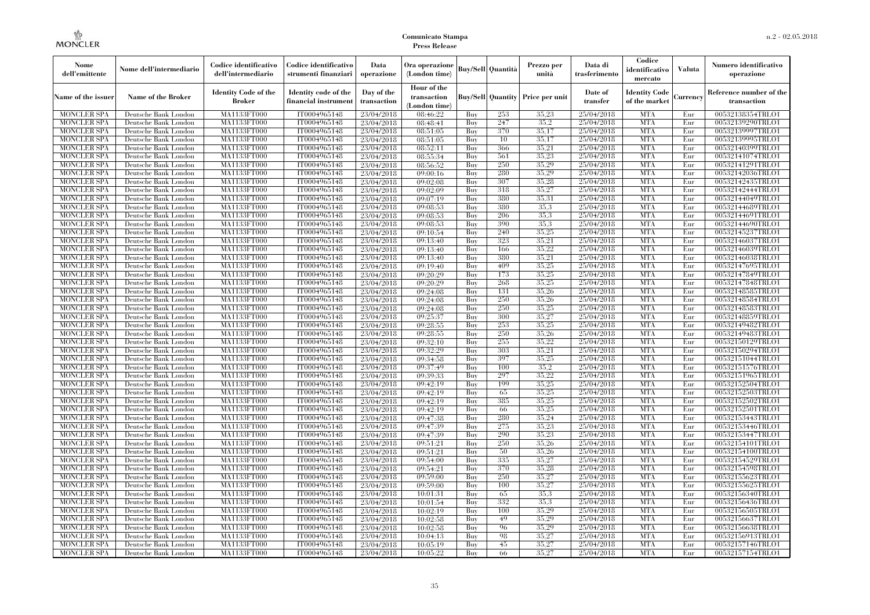| Nome<br>dell'emittente                   | Nome dell'intermediario                      | Codice identificativo<br>dell'intermediario | Codice identificativo<br>strumenti finanziari | Data<br>operazione        | Ora operazione<br>(London time)             |            | Buy/Sell   Quantità      | Prezzo per<br>unità | Data di<br>trasferimento | Codice<br>identificativo<br>mercato   | <b>Valuta</b> | Numero identificativo<br>operazione    |
|------------------------------------------|----------------------------------------------|---------------------------------------------|-----------------------------------------------|---------------------------|---------------------------------------------|------------|--------------------------|---------------------|--------------------------|---------------------------------------|---------------|----------------------------------------|
| Name of the issuer                       | Name of the Broker                           | <b>Identity Code of the</b><br>Broker       | Identity code of the<br>financial instrument  | Day of the<br>transaction | Hour of the<br>transaction<br>(London time) |            | <b>Buy/Sell Quantity</b> | Price per unit      | Date of<br>transfer      | <b>Identity Code</b><br>of the market | Currencv      | Reference number of the<br>transaction |
| <b>MONCLER SPA</b>                       | Deutsche Bank London                         | MA1133FT000                                 | IT0004965148                                  | 23/04/2018                | 08:46:22                                    | Buy        | 253                      | 35,23               | 25/04/2018               | <b>MTA</b>                            | Eur           | 00532138354TRLO1                       |
| <b>MONCLER SPA</b>                       | Deutsche Bank London                         | <b>MA1133FT000</b>                          | IT0004965148                                  | 23/04/2018                | 08:48:41                                    | Buy        | 247                      | 35.2                | 25/04/2018               | <b>MTA</b>                            | Eur           | 00532139290TRLO1                       |
| <b>MONCLER SPA</b>                       | Deutsche Bank London                         | MA1133FT000                                 | IT0004965148                                  | 23/04/2018                | 08:51:05                                    | Buv        | 370                      | 35.17               | 25/04/2018               | <b>MTA</b>                            | Eur           | 00532139997TRLO1                       |
| <b>MONCLER SPA</b>                       | Deutsche Bank London                         | MA1133FT000                                 | IT0004965148                                  | 23/04/2018                | 08:51:05                                    | Buy        | 10                       | 35,17               | 25/04/2018               | <b>MTA</b>                            | Eur           | 00532139995TRLO1                       |
| <b>MONCLER SPA</b>                       | Deutsche Bank London                         | MA1133FT000                                 | IT0004965148                                  | 23/04/2018                | 08:52:11                                    | Buy        | 366                      | 35,21               | 25/04/2018               | <b>MTA</b>                            | Eur           | 00532140399TRLO1                       |
| <b>MONCLER SPA</b>                       | Deutsche Bank London                         | <b>MA1133FT000</b>                          | IT0004965148                                  | 23/04/2018                | 08:55:34                                    | Buy        | 561                      | 35,23               | 25/04/2018               | <b>MTA</b>                            | Eur           | 00532141074TRLO1                       |
| <b>MONCLER SPA</b>                       | Deutsche Bank London                         | MA1133FT000                                 | IT0004965148                                  | 23/04/2018                | 08:56:52                                    | Buy        | 250                      | 35,29               | 25/04/2018               | <b>MTA</b>                            | Eur           | 00532141291TRLO1                       |
| <b>MONCLER SPA</b>                       | Deutsche Bank London                         | MA1133FT000                                 | IT0004965148                                  | 23/04/2018                | 09:00:16                                    | Buy        | 280                      | 35.29               | 25/04/2018               | <b>MTA</b>                            | Eur           | 00532142036TRLO1                       |
| <b>MONCLER SPA</b>                       | Deutsche Bank London                         | MA1133FT000                                 | IT0004965148                                  | 23/04/2018                | 09:02:08                                    | Buy        | 307                      | 35,28               | 25/04/2018               | <b>MTA</b>                            | Eur           | 00532142435TRLO1                       |
| <b>MONCLER SPA</b>                       | Deutsche Bank London                         | MA1133FT000                                 | IT0004965148                                  | 23/04/2018                | 09:02:09                                    | Buy        | 318<br>380               | 35,27<br>35,31      | 25/04/2018               | <b>MTA</b><br><b>MTA</b>              | Eur           | 00532142444TRLO1                       |
| <b>MONCLER SPA</b>                       | Deutsche Bank London                         | MA1133FT000                                 | IT0004965148                                  | 23/04/2018                | 09:07:19                                    | Buy        |                          | 35.3                | 25/04/2018               | <b>MTA</b>                            | Eur           | 00532144049TRLO1                       |
| <b>MONCLER SPA</b><br><b>MONCLER SPA</b> | Deutsche Bank London<br>Deutsche Bank London | MA1133FT000<br>MA1133FT000                  | IT0004965148<br>IT0004965148                  | 23/04/2018                | 09:08:53<br>09:08:53                        | Buy<br>Buy | 380<br>206               | 35.3                | 25/04/2018<br>25/04/2018 | <b>MTA</b>                            | Eur<br>Eur    | 00532144689TRLO1<br>00532144691TRLO1   |
| <b>MONCLER SPA</b>                       | Deutsche Bank London                         | MA1133FT000                                 | IT0004965148                                  | 23/04/2018<br>23/04/2018  | 09:08:53                                    | Buy        | 390                      | 35.3                | 25/04/2018               | <b>MTA</b>                            | Eur           | 00532144690TRLO1                       |
| <b>MONCLER SPA</b>                       | Deutsche Bank London                         | MA1133FT000                                 | IT0004965148                                  | 23/04/2018                | 09:10:54                                    | Buy        | 240                      | 35,25               | 25/04/2018               | <b>MTA</b>                            | Eur           | 00532145237TRLO1                       |
| <b>MONCLER SPA</b>                       | Deutsche Bank London                         | MA1133FT000                                 | IT0004965148                                  | 23/04/2018                | 09:13:40                                    | Buy        | 323                      | 35,21               | 25/04/2018               | <b>MTA</b>                            | Eur           | 00532146037TRLO1                       |
| <b>MONCLER SPA</b>                       | Deutsche Bank London                         | MA1133FT000                                 | IT0004965148                                  | 23/04/2018                | 09:13:40                                    | Buy        | 166                      | 35,22               | 25/04/2018               | <b>MTA</b>                            | Eur           | 00532146039TRLO1                       |
| <b>MONCLER SPA</b>                       | Deutsche Bank London                         | MA1133FT000                                 | IT0004965148                                  | 23/04/2018                | 09:13:40                                    | Buy        | 380                      | 35,21               | 25/04/2018               | <b>MTA</b>                            | Eur           | 00532146038TRLO1                       |
| <b>MONCLER SPA</b>                       | Deutsche Bank London                         | MA1133FT000                                 | IT0004965148                                  | 23/04/2018                | 09:19:40                                    | Buy        | 409                      | 35,25               | 25/04/2018               | <b>MTA</b>                            | Eur           | 00532147695TRLO1                       |
| <b>MONCLER SPA</b>                       | Deutsche Bank London                         | MA1133FT000                                 | IT0004965148                                  | 23/04/2018                | 09:20:29                                    | Buy        | 173                      | 35,25               | 25/04/2018               | <b>MTA</b>                            | Eur           | 00532147849TRLO1                       |
| <b>MONCLER SPA</b>                       | Deutsche Bank London                         | MA1133FT000                                 | IT0004965148                                  | 23/04/2018                | 09:20:29                                    | Buy        | 268                      | 35,25               | 25/04/2018               | <b>MTA</b>                            | Eur           | 00532147848TRLO1                       |
| <b>MONCLER SPA</b>                       | Deutsche Bank London                         | MA1133FT000                                 | IT0004965148                                  | 23/04/2018                | 09:24:08                                    | Buy        | 131                      | 35,26               | 25/04/2018               | <b>MTA</b>                            | Eur           | 00532148585TRLO1                       |
| <b>MONCLER SPA</b>                       | Deutsche Bank London                         | MA1133FT000                                 | IT0004965148                                  | 23/04/2018                | 09:24:08                                    | Buy        | 250                      | 35,26               | 25/04/2018               | <b>MTA</b>                            | Eur           | 00532148584TRLO1                       |
| <b>MONCLER SPA</b>                       | Deutsche Bank London                         | MA1133FT000                                 | IT0004965148                                  | 23/04/2018                | 09:24:08                                    | Buy        | 250                      | 35,25               | 25/04/2018               | <b>MTA</b>                            | Eur           | 00532148583TRLO1                       |
| <b>MONCLER SPA</b>                       | Deutsche Bank London                         | MA1133FT000                                 | IT0004965148                                  | 23/04/2018                | 09:25:37                                    | Buy        | 300                      | 35,27               | 25/04/2018               | <b>MTA</b>                            | Eur           | 00532148859TRLO1                       |
| <b>MONCLER SPA</b>                       | Deutsche Bank London                         | MA1133FT000                                 | IT0004965148                                  | 23/04/2018                | 09:28:55                                    | Buy        | 253                      | 35,25               | 25/04/2018               | <b>MTA</b>                            | Eur           | 00532149482TRLO1                       |
| <b>MONCLER SPA</b>                       | Deutsche Bank London                         | MA1133FT000                                 | IT0004965148                                  | 23/04/2018                | 09:28:55                                    | Buy        | 250                      | 35,26               | 25/04/2018               | <b>MTA</b>                            | Eur           | 00532149483TRLO1                       |
| <b>MONCLER SPA</b>                       | Deutsche Bank London                         | MA1133FT000                                 | IT0004965148                                  | 23/04/2018                | 09:32:10                                    | Buy        | 255                      | 35.22               | 25/04/2018               | <b>MTA</b>                            | Eur           | 00532150129TRLO1                       |
| <b>MONCLER SPA</b>                       | Deutsche Bank London                         | MA1133FT000                                 | IT0004965148                                  | 23/04/2018                | 09:32:29                                    | Buy        | 303                      | 35,21               | 25/04/2018               | <b>MTA</b>                            | Eur           | 00532150294TRLO1                       |
| <b>MONCLER SPA</b>                       | Deutsche Bank London                         | <b>MA1133FT000</b>                          | IT0004965148                                  | 23/04/2018                | 09:34:58                                    | Buy        | 397                      | 35,25               | 25/04/2018               | <b>MTA</b>                            | Eur           | 00532151044TRLO1                       |
| <b>MONCLER SPA</b>                       | Deutsche Bank London                         | MA1133FT000                                 | IT0004965148                                  | 23/04/2018                | 09:37:49                                    | Buy        | 100                      | 35,2                | 25/04/2018               | <b>MTA</b>                            | Eur           | 00532151576TRLO1                       |
| <b>MONCLER SPA</b>                       | Deutsche Bank London                         | MA1133FT000                                 | IT0004965148                                  | 23/04/2018                | 09:39:33                                    | Buy        | 297                      | 35,22               | 25/04/2018               | <b>MTA</b>                            | Eur           | 00532151965TRLO1                       |
| <b>MONCLER SPA</b>                       | Deutsche Bank London                         | MA1133FT000                                 | IT0004965148                                  | 23/04/2018                | 09:42:19                                    | Buy        | 199                      | 35,25               | 25/04/2018               | <b>MTA</b>                            | Eur           | 00532152504TRLO1                       |
| <b>MONCLER SPA</b>                       | Deutsche Bank London                         | MA1133FT000                                 | IT0004965148                                  | 23/04/2018                | 09:42:19                                    | Buy        | 65                       | 35,25               | 25/04/2018               | <b>MTA</b>                            | Eur           | 00532152503TRLO1                       |
| <b>MONCLER SPA</b>                       | Deutsche Bank London                         | MA1133FT000                                 | IT0004965148                                  | 23/04/2018                | 09:42:19                                    | Buy        | 385                      | 35,25               | 25/04/2018               | <b>MTA</b>                            | Eur           | 00532152502TRLO1                       |
| <b>MONCLER SPA</b>                       | Deutsche Bank London                         | MA1133FT000                                 | IT0004965148                                  | 23/04/2018                | 09:42:19                                    | Buy        | 66                       | 35,25               | 25/04/2018               | <b>MTA</b>                            | Eur           | 00532152501TRLO1                       |
| <b>MONCLER SPA</b>                       | Deutsche Bank London                         | MA1133FT000                                 | IT0004965148                                  | 23/04/2018                | 09:47:38                                    | Buy        | 280                      | 35,24               | 25/04/2018               | <b>MTA</b>                            | Eur           | 00532153443TRLO1                       |
| <b>MONCLER SPA</b>                       | Deutsche Bank London                         | <b>MA1133FT000</b>                          | IT0004965148                                  | 23/04/2018                | 09:47:39                                    | Buy        | 275                      | 35,23               | 25/04/2018               | <b>MTA</b>                            | Eur           | 00532153446TRLO1                       |
| <b>MONCLER SPA</b>                       | Deutsche Bank London                         | MA1133FT000                                 | IT0004965148                                  | 23/04/2018                | 09:47:39                                    | Buy        | 290                      | 35,23               | 25/04/2018               | <b>MTA</b>                            | Eur           | 00532153447TRLO1                       |
| <b>MONCLER SPA</b>                       | Deutsche Bank London                         | <b>MA1133FT000</b>                          | IT0004965148                                  | 23/04/2018                | 09:51:21                                    | Buy        | 250                      | 35,26               | 25/04/2018               | <b>MTA</b>                            | Eur           | 00532154101TRLO1                       |
| <b>MONCLER SPA</b>                       | Deutsche Bank London                         | MA1133FT000                                 | IT0004965148                                  | 23/04/2018                | 09:51:21                                    | Buy        | 50                       | 35,26               | 25/04/2018               | <b>MTA</b>                            | Eur           | 00532154100TRLO1                       |
| <b>MONCLER SPA</b>                       | Deutsche Bank London                         | MA1133FT000                                 | IT0004965148                                  | 23/04/2018                | 09:54:00                                    | Buy        | 335                      | 35.27               | 25/04/2018               | <b>MTA</b>                            | Eur           | 00532154529TRLO1                       |
| <b>MONCLER SPA</b>                       | Deutsche Bank London                         | MA1133FT000                                 | IT0004965148                                  | 23/04/2018                | 09:54:21                                    | Buy        | 370                      | 35,28               | 25/04/2018               | <b>MTA</b>                            | Eur           | 00532154598TRLO1                       |
| <b>MONCLER SPA</b>                       | Deutsche Bank London                         | MA1133FT000                                 | IT0004965148                                  | 23/04/2018                | 09:59:00                                    | Buy        | 250                      | 35,27               | 25/04/2018               | <b>MTA</b>                            | Eur           | 00532155623TRLO1                       |
| <b>MONCLER SPA</b>                       | Deutsche Bank London                         | MA1133FT000                                 | IT0004965148                                  | 23/04/2018                | 09:59:00                                    | Buy        | 100                      | 35,27               | 25/04/2018               | <b>MTA</b>                            | Eur           | 00532155625TRLO1                       |
| <b>MONCLER SPA</b>                       | Deutsche Bank London                         | MA1133FT000                                 | IT0004965148                                  | 23/04/2018                | 10:01:31                                    | Buy        | 65                       | 35.3                | 25/04/2018               | <b>MTA</b>                            | Eur           | 00532156340TRLO1                       |
| <b>MONCLER SPA</b>                       | Deutsche Bank London                         | MA1133FT000                                 | IT0004965148                                  | 23/04/2018                | 10:01:54                                    | Buy        | 332                      | 35.3                | 25/04/2018               | <b>MTA</b>                            | Eur           | 00532156436TRLO1                       |
| <b>MONCLER SPA</b>                       | Deutsche Bank London                         | MA1133FT000                                 | IT0004965148                                  | 23/04/2018                | 10:02:19                                    | Buy        | 100                      | 35,29               | 25/04/2018               | <b>MTA</b>                            | Eur           | 00532156505TRLO1                       |
| <b>MONCLER SPA</b>                       | Deutsche Bank London                         | MA1133FT000                                 | IT0004965148                                  | 23/04/2018                | 10:02:58                                    | Buy        | 49                       | 35,29               | 25/04/2018               | <b>MTA</b>                            | Eur           | 00532156637TRLO1                       |
| <b>MONCLER SPA</b>                       | Deutsche Bank London                         | MA1133FT000                                 | IT0004965148                                  | 23/04/2018                | 10:02:58                                    | Buy        | 96                       | 35,29               | 25/04/2018               | <b>MTA</b>                            | Eur           | 00532156638TRLO1                       |
| <b>MONCLER SPA</b>                       | Deutsche Bank London                         | MA1133FT000                                 | IT0004965148                                  | 23/04/2018                | 10:04:13                                    | Buy        | 98<br>45                 | 35,27<br>35,27      | 25/04/2018               | <b>MTA</b><br><b>MTA</b>              | Eur           | 00532156913TRLO1                       |
| <b>MONCLER SPA</b><br><b>MONCLER SPA</b> | Deutsche Bank London<br>Deutsche Bank London | MA1133FT000<br>MA1133FT000                  | IT0004965148<br>IT0004965148                  | 23/04/2018                | 10:05:19                                    | Buy<br>Buy | 66                       | 35,27               | 25/04/2018<br>25/04/2018 | <b>MTA</b>                            | Eur<br>Eur    | 00532157146TRLO1<br>00532157154TRLO1   |
|                                          |                                              |                                             |                                               | 23/04/2018                | 10:05:22                                    |            |                          |                     |                          |                                       |               |                                        |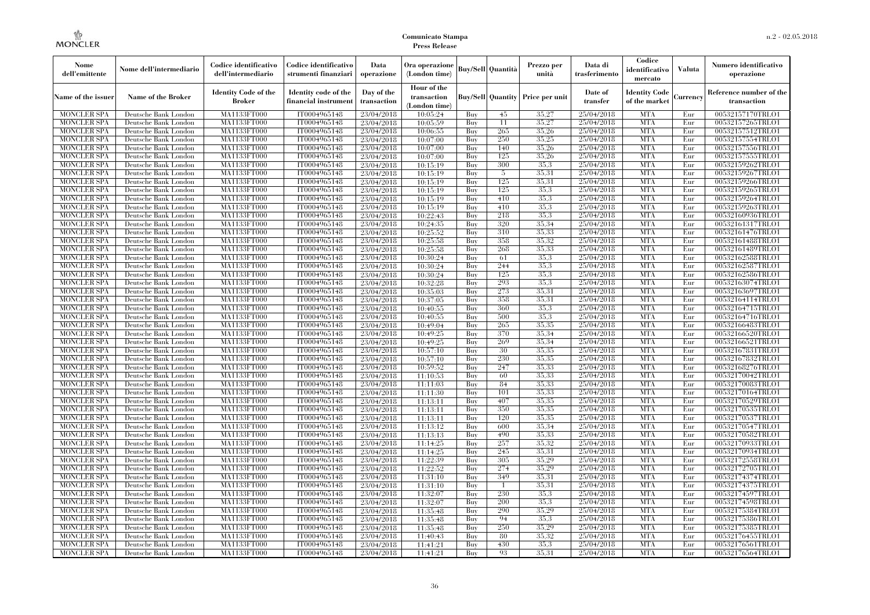| Nome<br>dell'emittente                   | Nome dell'intermediario                      | Codice identificativo<br>dell'intermediario  | Codice identificativo<br>strumenti finanziari | Data<br>operazione        | Ora operazione<br>(London time)             |            | <b>Buy/Sell Quantità</b> | Prezzo per<br>unità | Data di<br>trasferimento | Codice<br>identificativo<br>mercato   | <b>Valuta</b> | Numero identificativo<br>operazione    |
|------------------------------------------|----------------------------------------------|----------------------------------------------|-----------------------------------------------|---------------------------|---------------------------------------------|------------|--------------------------|---------------------|--------------------------|---------------------------------------|---------------|----------------------------------------|
| Name of the issuer                       | <b>Name of the Broker</b>                    | <b>Identity Code of the</b><br><b>Broker</b> | Identity code of the<br>financial instrumen   | Day of the<br>transaction | Hour of the<br>transaction<br>(London time) |            | <b>Buy/Sell Quantity</b> | Price per unit      | Date of<br>transfer      | <b>Identity Code</b><br>of the market | Currency      | Reference number of the<br>transaction |
| <b>MONCLER SPA</b>                       | Deutsche Bank London                         | MA1133FT000                                  | IT0004965148                                  | 23/04/2018                | 10:05:24                                    | Buy        | 45                       | 35,27               | 25/04/2018               | <b>MTA</b>                            | Eur           | 00532157170TRLO1                       |
| <b>MONCLER SPA</b>                       | Deutsche Bank London                         | MA1133FT000                                  | IT0004965148                                  | 23/04/2018                | 10:05:59                                    | Buy        | 11                       | 35,27               | 25/04/2018               | <b>MTA</b>                            | Eur           | 00532157265TRLO1                       |
| <b>MONCLER SPA</b>                       | Deutsche Bank London                         | <b>MA1133FT000</b>                           | IT0004965148                                  | 23/04/2018                | 10:06:55                                    | Buy        | 265                      | 35,26               | 25/04/2018               | <b>MTA</b>                            | Eur           | 00532157512TRLO1                       |
| <b>MONCLER SPA</b>                       | Deutsche Bank London                         | MA1133FT000                                  | IT0004965148                                  | 23/04/2018                | 10:07:00                                    | Buy        | 250                      | 35,25               | 25/04/2018               | <b>MTA</b>                            | Eur           | 00532157554TRLO1                       |
| <b>MONCLER SPA</b>                       | Deutsche Bank London                         | MA1133FT000                                  | IT0004965148                                  | 23/04/2018                | 10:07:00                                    | Buy        | 140                      | 35,26               | 25/04/2018               | <b>MTA</b>                            | Eur           | 00532157556TRLO1                       |
| <b>MONCLER SPA</b>                       | Deutsche Bank London                         | MA1133FT000                                  | IT0004965148                                  | 23/04/2018                | 10:07:00                                    | Buy        | 125                      | 35,26               | 25/04/2018               | <b>MTA</b>                            | Eur           | 00532157555TRLO1                       |
| <b>MONCLER SPA</b>                       | Deutsche Bank London                         | <b>MA1133FT000</b>                           | IT0004965148                                  | 23/04/2018                | 10:15:19                                    | Buy        | 300                      | 35,3                | 25/04/2018               | <b>MTA</b>                            | Eur           | 00532159262TRLO1                       |
| <b>MONCLER SPA</b>                       | Deutsche Bank London                         | <b>MA1133FT000</b>                           | IT0004965148                                  | 23/04/2018                | 10:15:19                                    | Buy        | 5                        | 35.31               | 25/04/2018               | <b>MTA</b>                            | Eur           | 00532159267TRLO1                       |
| <b>MONCLER SPA</b>                       | Deutsche Bank London                         | MA1133FT000                                  | IT0004965148                                  | 23/04/2018                | 10:15:19                                    | Buy        | 125                      | 35.31               | 25/04/2018               | <b>MTA</b>                            | Eur           | 00532159266TRLO1                       |
| <b>MONCLER SPA</b>                       | Deutsche Bank London                         | MA1133FT000                                  | IT0004965148                                  | 23/04/2018                | 10:15:19                                    | Buy        | 125                      | 35.3                | 25/04/2018               | <b>MTA</b>                            | Eur           | 00532159265TRLO1                       |
| <b>MONCLER SPA</b><br><b>MONCLER SPA</b> | Deutsche Bank London<br>Deutsche Bank London | <b>MA1133FT000</b><br><b>MA1133FT000</b>     | IT0004965148<br>IT0004965148                  | 23/04/2018<br>23/04/2018  | 10:15:19<br>10:15:19                        | Buy        | 410<br>410               | 35,3<br>35.3        | 25/04/2018<br>25/04/2018 | <b>MTA</b><br><b>MTA</b>              | Eur<br>Eur    | 00532159264TRLO1<br>00532159263TRLO1   |
| <b>MONCLER SPA</b>                       | Deutsche Bank London                         | MA1133FT000                                  | IT0004965148                                  | 23/04/2018                | 10:22:43                                    | Buy<br>Buy | 218                      | 35.3                | 25/04/2018               | <b>MTA</b>                            | Eur           | 00532160936TRLO1                       |
| <b>MONCLER SPA</b>                       | Deutsche Bank London                         | MA1133FT000                                  | IT0004965148                                  | 23/04/2018                | 10:24:35                                    | Buy        | 320                      | 35,34               | 25/04/2018               | <b>MTA</b>                            | Eur           | 00532161317TRLO1                       |
| <b>MONCLER SPA</b>                       | Deutsche Bank London                         | <b>MA1133FT000</b>                           | IT0004965148                                  | 23/04/2018                | 10:25:52                                    | Buy        | 310                      | 35,33               | 25/04/2018               | <b>MTA</b>                            | Eur           | 00532161476TRLO1                       |
| <b>MONCLER SPA</b>                       | Deutsche Bank London                         | <b>MA1133FT000</b>                           | IT0004965148                                  | 23/04/2018                | 10:25:58                                    | Buy        | 358                      | 35.32               | 25/04/2018               | <b>MTA</b>                            | Eur           | 00532161488TRLO1                       |
| <b>MONCLER SPA</b>                       | Deutsche Bank London                         | MA1133FT000                                  | IT0004965148                                  | 23/04/2018                | 10:25:58                                    | Buy        | 268                      | 35.33               | 25/04/2018               | <b>MTA</b>                            | Eur           | 00532161489TRLO1                       |
| <b>MONCLER SPA</b>                       | Deutsche Bank London                         | MA1133FT000                                  | IT0004965148                                  | 23/04/2018                | 10:30:24                                    | Buy        | 61                       | 35.3                | 25/04/2018               | <b>MTA</b>                            | Eur           | 00532162588TRLO1                       |
| <b>MONCLER SPA</b>                       | Deutsche Bank London                         | <b>MA1133FT000</b>                           | IT0004965148                                  | 23/04/2018                | 10:30:24                                    | Buy        | 244                      | 35,3                | 25/04/2018               | <b>MTA</b>                            | Eur           | 00532162587TRLO1                       |
| <b>MONCLER SPA</b>                       | Deutsche Bank London                         | <b>MA1133FT000</b>                           | IT0004965148                                  | 23/04/2018                | 10:30:24                                    | Buy        | 125                      | 35.3                | 25/04/2018               | <b>MTA</b>                            | Eur           | 00532162586TRLO1                       |
| <b>MONCLER SPA</b>                       | Deutsche Bank London                         | MA1133FT000                                  | IT0004965148                                  | 23/04/2018                | 10:32:28                                    | Buy        | 293                      | 35,3                | 25/04/2018               | <b>MTA</b>                            | Eur           | 00532163074TRLO1                       |
| <b>MONCLER SPA</b>                       | Deutsche Bank London                         | MA1133FT000                                  | IT0004965148                                  | 23/04/2018                | 10:35:03                                    | Buy        | 273                      | 35,31               | 25/04/2018               | <b>MTA</b>                            | Eur           | 00532163697TRLO1                       |
| MONCLER SPA                              | Deutsche Bank London                         | <b>MA1133FT000</b>                           | IT0004965148                                  | 23/04/2018                | 10:37:05                                    | Buy        | 358                      | 35.31               | 25/04/2018               | <b>MTA</b>                            | Eur           | 00532164114TRLO1                       |
| <b>MONCLER SPA</b>                       | Deutsche Bank London                         | MA1133FT000                                  | IT0004965148                                  | 23/04/2018                | 10:40:55                                    | Buy        | 360                      | 35.3                | 25/04/2018               | <b>MTA</b>                            | Eur           | 00532164715TRLO1                       |
| <b>MONCLER SPA</b>                       | Deutsche Bank London                         | MA1133FT000                                  | IT0004965148                                  | 23/04/2018                | 10:40:55                                    | Buy        | 500                      | 35.3                | 25/04/2018               | <b>MTA</b>                            | Eur           | 00532164716TRLO1                       |
| <b>MONCLER SPA</b>                       | Deutsche Bank London                         | <b>MA1133FT000</b>                           | IT0004965148                                  | 23/04/2018                | 10:49:04                                    | Buy        | 265                      | 35,35               | 25/04/2018               | <b>MTA</b>                            | Eur           | 00532166483TRLO1                       |
| MONCLER SPA                              | Deutsche Bank London                         | <b>MA1133FT000</b>                           | IT0004965148                                  | 23/04/2018                | 10:49:25                                    | Buy        | 370                      | 35,34               | 25/04/2018               | <b>MTA</b>                            | Eur           | 00532166520TRLO1                       |
| <b>MONCLER SPA</b>                       | Deutsche Bank London                         | MA1133FT000                                  | IT0004965148                                  | 23/04/2018                | 10:49:25                                    | Buy        | 269                      | 35,34               | 25/04/2018               | <b>MTA</b>                            | Eur           | 00532166521TRLO1                       |
| <b>MONCLER SPA</b>                       | Deutsche Bank London                         | MA1133FT000                                  | IT0004965148                                  | 23/04/2018                | 10:57:10                                    | Buy        | 30                       | 35,35               | 25/04/2018               | <b>MTA</b>                            | Eur           | 00532167831TRLO1                       |
| <b>MONCLER SPA</b>                       | Deutsche Bank London                         | <b>MA1133FT000</b>                           | IT0004965148                                  | 23/04/2018                | 10:57:10                                    | Buy        | 230                      | 35,35               | 25/04/2018               | <b>MTA</b>                            | Eur           | 00532167832TRLO1                       |
| <b>MONCLER SPA</b>                       | Deutsche Bank London                         | <b>MA1133FT000</b>                           | IT0004965148                                  | 23/04/2018                | 10:59:52                                    | Buy        | 247                      | 35,33               | 25/04/2018               | <b>MTA</b>                            | Eur           | 00532168276TRLO1                       |
| <b>MONCLER SPA</b>                       | Deutsche Bank London                         | MA1133FT000                                  | IT0004965148                                  | 23/04/2018                | 11:10:53                                    | Buy        | 60                       | 35.33               | 25/04/2018               | <b>MTA</b>                            | Eur           | 00532170042TRLO1                       |
| <b>MONCLER SPA</b>                       | Deutsche Bank London                         | MA1133FT000                                  | IT0004965148                                  | 23/04/2018                | 11:11:03                                    | Buy        | 84                       | 35.33               | 25/04/2018               | <b>MTA</b>                            | Eur           | 00532170083TRLO1                       |
| <b>MONCLER SPA</b>                       | Deutsche Bank London                         | <b>MA1133FT000</b>                           | IT0004965148                                  | 23/04/2018                | 11:11:30                                    | Buy        | 101                      | 35.33               | 25/04/2018               | <b>MTA</b>                            | Eur           | 00532170164TRLO1                       |
| <b>MONCLER SPA</b>                       | Deutsche Bank London                         | <b>MA1133FT000</b>                           | IT0004965148                                  | 23/04/2018                | 11:13:11                                    | Buy        | 407                      | 35,35               | 25/04/2018               | <b>MTA</b>                            | Eur           | 00532170529TRLO1                       |
| <b>MONCLER SPA</b>                       | Deutsche Bank London                         | MA1133FT000                                  | IT0004965148                                  | 23/04/2018                | 11:13:11                                    | Buy        | 350                      | 35.35               | 25/04/2018               | <b>MTA</b>                            | Eur           | 00532170535TRLO1                       |
| <b>MONCLER SPA</b>                       | Deutsche Bank London                         | MA1133FT000                                  | IT0004965148                                  | 23/04/2018                | 11:13:11                                    | Buy        | 120                      | 35.35               | 25/04/2018               | <b>MTA</b>                            | Eur           | 00532170537TRLO1                       |
| <b>MONCLER SPA</b>                       | Deutsche Bank London                         | <b>MA1133FT000</b>                           | IT0004965148                                  | 23/04/2018                | 11:13:12                                    | Buy        | 600                      | 35,34               | 25/04/2018               | <b>MTA</b>                            | Eur           | 00532170547TRLO1                       |
| <b>MONCLER SPA</b>                       | Deutsche Bank London                         | <b>MA1133FT000</b>                           | IT0004965148                                  | 23/04/2018                | 11:13:13                                    | Buy        | 490                      | 35,33               | 25/04/2018               | <b>MTA</b>                            | Eur           | 00532170582TRLO1                       |
| <b>MONCLER SPA</b>                       | Deutsche Bank London                         | MA1133FT000                                  | IT0004965148                                  | 23/04/2018                | 11:14:25                                    | Buy        | 257                      | 35.32               | 25/04/2018               | <b>MTA</b>                            | Eur           | 00532170933TRLO1                       |
| <b>MONCLER SPA</b>                       | Deutsche Bank London                         | MA1133FT000                                  | IT0004965148                                  | 23/04/2018                | 11:14:25                                    | Buy        | 245                      | 35.31               | 25/04/2018               | <b>MTA</b>                            | Eur           | 00532170934TRLO1                       |
| <b>MONCLER SPA</b>                       | Deutsche Bank London                         | MA1133FT000                                  | IT0004965148                                  | 23/04/2018                | 11:22:39                                    | Buy        | 305                      | 35.29               | 25/04/2018               | <b>MTA</b>                            | Eur           | 00532172558TRLO1                       |
| <b>MONCLER SPA</b>                       | Deutsche Bank London                         | <b>MA1133FT000</b>                           | IT0004965148                                  | 23/04/2018                | 11:22:52                                    | Buy        | 274                      | 35,29               | 25/04/2018               | MTA                                   | Eur           | 00532172705TRLO1                       |
| <b>MONCLER SPA</b>                       | Deutsche Bank London                         | MA1133FT000                                  | IT0004965148                                  | 23/04/2018                | 11:31:10                                    | Buy        | 349                      | 35,31               | 25/04/2018               | <b>MTA</b>                            | Eur           | 00532174374TRLO1                       |
| <b>MONCLER SPA</b>                       | Deutsche Bank London                         | MA1133FT000                                  | IT0004965148                                  | 23/04/2018                | 11:31:10                                    | Buy        | $\overline{1}$           | 35.31               | 25/04/2018               | <b>MTA</b>                            | Eur           | 00532174375TRLO1                       |
| <b>MONCLER SPA</b>                       | Deutsche Bank London                         | MA1133FT000                                  | IT0004965148                                  | 23/04/2018                | 11:32:07                                    | Buy        | 230                      | 35.3                | 25/04/2018               | <b>MTA</b>                            | Eur           | 00532174597TRLO1                       |
| <b>MONCLER SPA</b>                       | Deutsche Bank London                         | <b>MA1133FT000</b>                           | IT0004965148                                  | 23/04/2018                | 11:32:07                                    | Buy        | 200                      | 35.3                | 25/04/2018               | <b>MTA</b>                            | Eur           | 00532174598TRLO1                       |
| <b>MONCLER SPA</b>                       | Deutsche Bank London                         | MA1133FT000                                  | IT0004965148                                  | 23/04/2018                | 11:35:48                                    | Buy        | 290                      | 35,29               | 25/04/2018               | <b>MTA</b>                            | Eur           | 00532175384TRLO1                       |
| <b>MONCLER SPA</b>                       | Deutsche Bank London                         | MA1133FT000                                  | IT0004965148                                  | 23/04/2018                | 11:35:48                                    | Buy        | 94                       | 35.3                | 25/04/2018               | <b>MTA</b>                            | Eur           | 00532175386TRLO1                       |
| <b>MONCLER SPA</b>                       | Deutsche Bank London                         | MA1133FT000                                  | IT0004965148                                  | 23/04/2018                | 11:35:48                                    | Buy        | 250                      | 35.29               | 25/04/2018               | <b>MTA</b>                            | Eur           | 00532175385TRLO1                       |
| MONCLER SPA                              | Deutsche Bank London                         | <b>MA1133FT000</b>                           | IT0004965148                                  | 23/04/2018                | 11:40:43                                    | Buy        | 80                       | 35.32               | 25/04/2018               | <b>MTA</b>                            | Eur           | 00532176455TRLO1                       |
| <b>MONCLER SPA</b>                       | Deutsche Bank London                         | <b>MA1133FT000</b>                           | IT0004965148                                  | 23/04/2018                | 11:41:21                                    | Buy        | 430<br>93                | 35.3                | 25/04/2018               | <b>MTA</b>                            | Eur           | 00532176561TRLO1                       |
| <b>MONCLER SPA</b>                       | Deutsche Bank London                         | MA1133FT000                                  | IT0004965148                                  | 23/04/2018                | 11:41:21                                    | Buy        |                          | 35,31               | 25/04/2018               | <b>MTA</b>                            | Eur           | 00532176564TRLO1                       |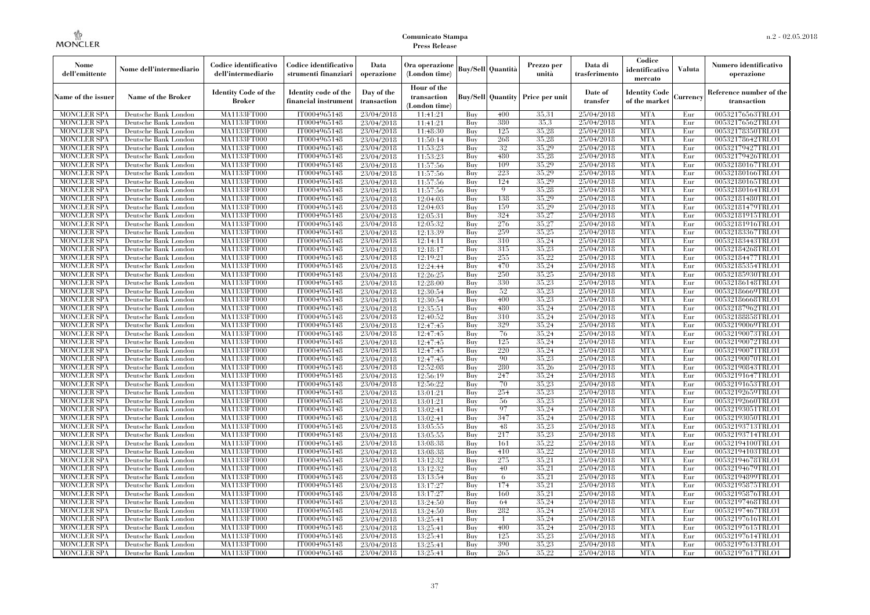| Nome<br>dell'emittente                   | Nome dell'intermediario                      | Codice identificativo<br>dell'intermediario  | Codice identificativo<br>strumenti finanziari | Data<br>operazione        | Ora operazione<br>(London time)             |            | <b>Buy/Sell Quantità</b> | Prezzo per<br>unità | Data di<br>trasferimento | Codice<br>identificativo<br>mercato   | Valuta     | Numero identificativo<br>operazione    |
|------------------------------------------|----------------------------------------------|----------------------------------------------|-----------------------------------------------|---------------------------|---------------------------------------------|------------|--------------------------|---------------------|--------------------------|---------------------------------------|------------|----------------------------------------|
| Name of the issuer                       | <b>Name of the Broker</b>                    | <b>Identity Code of the</b><br><b>Broker</b> | Identity code of the<br>financial instrumen   | Day of the<br>transaction | Hour of the<br>transaction<br>(London time) |            | <b>Buy/Sell Quantity</b> | Price per unit      | Date of<br>transfer      | <b>Identity Code</b><br>of the market | Currency   | Reference number of the<br>transaction |
| <b>MONCLER SPA</b>                       | Deutsche Bank London                         | MA1133FT000                                  | IT0004965148                                  | 23/04/2018                | 11:41:21                                    | Buy        | 400                      | 35.31               | 25/04/2018               | <b>MTA</b>                            | Eur        | 00532176563TRLO1                       |
| <b>MONCLER SPA</b>                       | Deutsche Bank London                         | MA1133FT000                                  | IT0004965148                                  | 23/04/2018                | 11:41:21                                    | Buy        | 380                      | 35,3                | 25/04/2018               | <b>MTA</b>                            | Eur        | 00532176562TRLO1                       |
| <b>MONCLER SPA</b>                       | Deutsche Bank London                         | <b>MA1133FT000</b>                           | IT0004965148                                  | 23/04/2018                | 11:48:30                                    | Buy        | 125                      | 35.28               | 25/04/2018               | <b>MTA</b>                            | Eur        | 00532178350TRLO1                       |
| <b>MONCLER SPA</b>                       | Deutsche Bank London                         | MA1133FT000                                  | IT0004965148                                  | 23/04/2018                | 11:50:14                                    | Buy        | 268                      | 35,28               | 25/04/2018               | <b>MTA</b>                            | Eur        | 00532178642TRLO1                       |
| <b>MONCLER SPA</b>                       | Deutsche Bank London                         | MA1133FT000                                  | IT0004965148                                  | 23/04/2018                | 11:53:23                                    | Buy        | 32                       | 35,29               | 25/04/2018               | <b>MTA</b>                            | Eur        | 00532179427TRLO1                       |
| <b>MONCLER SPA</b>                       | Deutsche Bank London                         | MA1133FT000                                  | IT0004965148                                  | 23/04/2018                | 11:53:23                                    | Buy        | 480                      | 35,28               | 25/04/2018               | <b>MTA</b>                            | Eur        | 00532179426TRLO1                       |
| <b>MONCLER SPA</b>                       | Deutsche Bank London                         | <b>MA1133FT000</b>                           | IT0004965148                                  | 23/04/2018                | 11:57:56                                    | Buy        | 109                      | 35,29               | 25/04/2018               | <b>MTA</b>                            | Eur        | 00532180167TRLO1                       |
| <b>MONCLER SPA</b>                       | Deutsche Bank London                         | <b>MA1133FT000</b>                           | IT0004965148                                  | 23/04/2018                | 11:57:56                                    | Buy        | 223                      | 35.29               | 25/04/2018               | <b>MTA</b>                            | Eur        | 00532180166TRLO1                       |
| <b>MONCLER SPA</b>                       | Deutsche Bank London                         | MA1133FT000                                  | IT0004965148                                  | 23/04/2018                | 11:57:56                                    | Buy        | 124<br>9                 | 35,29               | 25/04/2018               | <b>MTA</b>                            | Eur        | 00532180165TRLO1                       |
| <b>MONCLER SPA</b>                       | Deutsche Bank London                         | MA1133FT000                                  | IT0004965148                                  | 23/04/2018                | 11:57:56                                    | Buy        | 138                      | 35,28<br>35,29      | 25/04/2018               | <b>MTA</b>                            | Eur        | 00532180164TRLO1                       |
| <b>MONCLER SPA</b><br><b>MONCLER SPA</b> | Deutsche Bank London<br>Deutsche Bank London | <b>MA1133FT000</b><br><b>MA1133FT000</b>     | IT0004965148<br>IT0004965148                  | 23/04/2018<br>23/04/2018  | 12:04:03<br>12:04:03                        | Buy        | 159                      | 35.29               | 25/04/2018<br>25/04/2018 | <b>MTA</b><br><b>MTA</b>              | Eur<br>Eur | 00532181480TRLO1<br>00532181479TRLO1   |
| <b>MONCLER SPA</b>                       | Deutsche Bank London                         | MA1133FT000                                  | IT0004965148                                  | 23/04/2018                | 12:05:31                                    | Buy<br>Buy | 324                      | 35,27               | 25/04/2018               | <b>MTA</b>                            | Eur        | 00532181915TRLO1                       |
| <b>MONCLER SPA</b>                       | Deutsche Bank London                         | MA1133FT000                                  | IT0004965148                                  | 23/04/2018                | 12:05:32                                    | Buy        | 276                      | 35,27               | 25/04/2018               | <b>MTA</b>                            | Eur        | 00532181916TRLO1                       |
| <b>MONCLER SPA</b>                       | Deutsche Bank London                         | <b>MA1133FT000</b>                           | IT0004965148                                  |                           |                                             | Buy        | 259                      | 35,25               | 25/04/2018               | <b>MTA</b>                            | Eur        | 00532183367TRLO1                       |
| <b>MONCLER SPA</b>                       | Deutsche Bank London                         | <b>MA1133FT000</b>                           | IT0004965148                                  | 23/04/2018<br>23/04/2018  | 12:13:39<br>12:14:11                        | Buy        | 310                      | 35.24               | 25/04/2018               | <b>MTA</b>                            | Eur        | 00532183443TRLO1                       |
| <b>MONCLER SPA</b>                       | Deutsche Bank London                         | MA1133FT000                                  | IT0004965148                                  | 23/04/2018                | 12:18:17                                    | Buy        | 315                      | 35,23               | 25/04/2018               | <b>MTA</b>                            | Eur        | 00532184268TRLO1                       |
| <b>MONCLER SPA</b>                       | Deutsche Bank London                         | MA1133FT000                                  | IT0004965148                                  | 23/04/2018                | 12:19:21                                    | Buy        | 255                      | 35,22               | 25/04/2018               | <b>MTA</b>                            | Eur        | 00532184477TRLO1                       |
| <b>MONCLER SPA</b>                       | Deutsche Bank London                         | <b>MA1133FT000</b>                           | IT0004965148                                  | 23/04/2018                | 12:24:44                                    | Buy        | 470                      | 35,24               | 25/04/2018               | <b>MTA</b>                            | Eur        | 00532185354TRLO1                       |
| <b>MONCLER SPA</b>                       | Deutsche Bank London                         | <b>MA1133FT000</b>                           | IT0004965148                                  | 23/04/2018                | 12:26:25                                    | Buy        | 250                      | 35,25               | 25/04/2018               | <b>MTA</b>                            | Eur        | 00532185930TRLO1                       |
| <b>MONCLER SPA</b>                       | Deutsche Bank London                         | MA1133FT000                                  | IT0004965148                                  | 23/04/2018                | 12:28:00                                    | Buy        | 330                      | 35,23               | 25/04/2018               | <b>MTA</b>                            | Eur        | 00532186148TRLO1                       |
| <b>MONCLER SPA</b>                       | Deutsche Bank London                         | MA1133FT000                                  | IT0004965148                                  | 23/04/2018                | 12:30:54                                    | Buy        | 52                       | 35,23               | 25/04/2018               | <b>MTA</b>                            | Eur        | 00532186669TRLO1                       |
| MONCLER SPA                              | Deutsche Bank London                         | <b>MA1133FT000</b>                           | IT0004965148                                  | 23/04/2018                | 12:30:54                                    | Buy        | 400                      | 35,23               | 25/04/2018               | <b>MTA</b>                            | Eur        | 00532186668TRLO1                       |
| <b>MONCLER SPA</b>                       | Deutsche Bank London                         | MA1133FT000                                  | IT0004965148                                  | 23/04/2018                | 12:35:51                                    | Buy        | 480                      | 35,24               | 25/04/2018               | <b>MTA</b>                            | Eur        | 00532187962TRLO1                       |
| <b>MONCLER SPA</b>                       | Deutsche Bank London                         | MA1133FT000                                  | IT0004965148                                  | 23/04/2018                | 12:40:52                                    | Buy        | 310                      | 35,24               | 25/04/2018               | <b>MTA</b>                            | Eur        | 00532188858TRLO1                       |
| <b>MONCLER SPA</b>                       | Deutsche Bank London                         | <b>MA1133FT000</b>                           | IT0004965148                                  | 23/04/2018                | 12:47:45                                    | Buy        | 329                      | 35,24               | 25/04/2018               | <b>MTA</b>                            | Eur        | 00532190069TRLO1                       |
| MONCLER SPA                              | Deutsche Bank London                         | <b>MA1133FT000</b>                           | IT0004965148                                  | 23/04/2018                | 12:47:45                                    | Buy        | 76                       | 35,24               | 25/04/2018               | <b>MTA</b>                            | Eur        | 00532190073TRLO1                       |
| <b>MONCLER SPA</b>                       | Deutsche Bank London                         | MA1133FT000                                  | IT0004965148                                  | 23/04/2018                | 12:47:45                                    | Buy        | 125                      | 35,24               | 25/04/2018               | <b>MTA</b>                            | Eur        | 00532190072TRLO1                       |
| <b>MONCLER SPA</b>                       | Deutsche Bank London                         | MA1133FT000                                  | IT0004965148                                  | 23/04/2018                | 12:47:45                                    | Buy        | 220                      | 35,24               | 25/04/2018               | <b>MTA</b>                            | Eur        | 00532190071TRLO1                       |
| <b>MONCLER SPA</b>                       | Deutsche Bank London                         | <b>MA1133FT000</b>                           | IT0004965148                                  | 23/04/2018                | 12:47:45                                    | Buy        | 90                       | 35,23               | 25/04/2018               | <b>MTA</b>                            | Eur        | 00532190070TRLO1                       |
| <b>MONCLER SPA</b>                       | Deutsche Bank London                         | <b>MA1133FT000</b>                           | IT0004965148                                  | 23/04/2018                | 12:52:08                                    | Buy        | 280                      | 35,26               | 25/04/2018               | <b>MTA</b>                            | Eur        | 00532190843TRLO1                       |
| <b>MONCLER SPA</b>                       | Deutsche Bank London                         | MA1133FT000                                  | IT0004965148                                  | 23/04/2018                | 12:56:19                                    | Buy        | 247                      | 35,24               | 25/04/2018               | <b>MTA</b>                            | Eur        | 00532191647TRLO1                       |
| <b>MONCLER SPA</b>                       | Deutsche Bank London                         | MA1133FT000                                  | IT0004965148                                  | 23/04/2018                | 12:56:22                                    | Buy        | 70                       | 35,23               | 25/04/2018               | <b>MTA</b>                            | Eur        | 00532191653TRLO1                       |
| <b>MONCLER SPA</b>                       | Deutsche Bank London                         | <b>MA1133FT000</b>                           | IT0004965148                                  | 23/04/2018                | 13:01:21                                    | Buy        | 254                      | 35,23               | 25/04/2018               | <b>MTA</b>                            | Eur        | 00532192659TRLO1                       |
| <b>MONCLER SPA</b>                       | Deutsche Bank London                         | <b>MA1133FT000</b>                           | IT0004965148                                  | 23/04/2018                | 13:01:21                                    | Buy        | 56                       | 35,23               | 25/04/2018               | <b>MTA</b>                            | Eur        | 00532192660TRLO1                       |
| <b>MONCLER SPA</b>                       | Deutsche Bank London                         | MA1133FT000                                  | IT0004965148                                  | 23/04/2018                | 13:02:41                                    | Buy        | 97                       | 35,24               | 25/04/2018               | <b>MTA</b>                            | Eur        | 00532193051TRLO1                       |
| <b>MONCLER SPA</b>                       | Deutsche Bank London                         | MA1133FT000                                  | IT0004965148                                  | 23/04/2018                | 13:02:41                                    | Buy        | 347                      | 35,24               | 25/04/2018               | <b>MTA</b>                            | Eur        | 00532193050TRLO1                       |
| <b>MONCLER SPA</b>                       | Deutsche Bank London                         | <b>MA1133FT000</b>                           | IT0004965148                                  | 23/04/2018                | 13:05:55                                    | Buy        | 48                       | 35,23               | 25/04/2018               | <b>MTA</b>                            | Eur        | 00532193713TRLO1                       |
| <b>MONCLER SPA</b>                       | Deutsche Bank London                         | <b>MA1133FT000</b>                           | IT0004965148                                  | 23/04/2018                | 13:05:55                                    | Buy        | 217                      | 35,23               | 25/04/2018               | <b>MTA</b>                            | Eur        | 00532193714TRLO1                       |
| <b>MONCLER SPA</b>                       | Deutsche Bank London                         | MA1133FT000                                  | IT0004965148                                  | 23/04/2018                | 13:08:38                                    | Buy        | 161                      | 35,22               | 25/04/2018               | <b>MTA</b>                            | Eur        | 00532194100TRLO1                       |
| <b>MONCLER SPA</b>                       | Deutsche Bank London                         | MA1133FT000                                  | IT0004965148                                  | 23/04/2018                | 13:08:38                                    | Buy        | 410                      | 35.22               | 25/04/2018               | <b>MTA</b>                            | Eur        | 00532194103TRLO1                       |
| <b>MONCLER SPA</b>                       | Deutsche Bank London                         | MA1133FT000                                  | IT0004965148                                  | 23/04/2018                | 13:12:32                                    | Buy        | 275                      | 35,21               | 25/04/2018               | <b>MTA</b>                            | Eur        | 00532194678TRLO1                       |
| <b>MONCLER SPA</b>                       | Deutsche Bank London                         | <b>MA1133FT000</b>                           | IT0004965148                                  | 23/04/2018                | 13:12:32                                    | Buy        | 40                       | 35,21               | 25/04/2018               | MTA                                   | Eur        | 00532194679TRLO1                       |
| <b>MONCLER SPA</b>                       | Deutsche Bank London                         | MA1133FT000                                  | IT0004965148                                  | 23/04/2018                | 13:13:54                                    | Buy        | 6                        | 35,21               | 25/04/2018               | <b>MTA</b>                            | Eur        | 00532194899TRLO1                       |
| <b>MONCLER SPA</b>                       | Deutsche Bank London                         | MA1133FT000                                  | IT0004965148                                  | 23/04/2018                | 13:17:27                                    | Buy        | 174                      | 35,21               | 25/04/2018               | <b>MTA</b>                            | Eur        | 00532195875TRLO1                       |
| <b>MONCLER SPA</b>                       | Deutsche Bank London                         | MA1133FT000                                  | IT0004965148                                  | 23/04/2018                | 13:17:27                                    | Buy        | 160                      | 35,21               | 25/04/2018               | <b>MTA</b>                            | Eur        | 00532195876TRLO1                       |
| <b>MONCLER SPA</b>                       | Deutsche Bank London                         | <b>MA1133FT000</b>                           | IT0004965148                                  | 23/04/2018                | 13:24:50                                    | Buy        | 64                       | 35,24               | 25/04/2018               | <b>MTA</b>                            | Eur        | 00532197468TRLO1                       |
| <b>MONCLER SPA</b>                       | Deutsche Bank London                         | MA1133FT000                                  | IT0004965148                                  | 23/04/2018                | 13:24:50                                    | Buy        | 282                      | 35,24               | 25/04/2018               | <b>MTA</b>                            | Eur        | 00532197467TRLO1                       |
| <b>MONCLER SPA</b>                       | Deutsche Bank London                         | MA1133FT000                                  | IT0004965148                                  | 23/04/2018                | 13:25:41                                    | Buy        | $\overline{1}$           | 35.24               | 25/04/2018               | <b>MTA</b>                            | Eur        | 00532197616TRLO1                       |
| <b>MONCLER SPA</b>                       | Deutsche Bank London                         | MA1133FT000                                  | IT0004965148                                  | 23/04/2018                | 13:25:41                                    | Buy        | 400                      | 35.24               | 25/04/2018               | <b>MTA</b>                            | Eur        | 00532197615TRLO1                       |
| MONCLER SPA                              | Deutsche Bank London                         | <b>MA1133FT000</b>                           | IT0004965148                                  | 23/04/2018                | 13:25:41                                    | Buy        | 125                      | 35,23               | 25/04/2018               | <b>MTA</b>                            | Eur        | 00532197614TRLO1                       |
| <b>MONCLER SPA</b>                       | Deutsche Bank London                         | <b>MA1133FT000</b>                           | IT0004965148                                  | 23/04/2018                | 13:25:41                                    | Buy        | 390                      | 35,23               | 25/04/2018               | <b>MTA</b>                            | Eur        | 00532197613TRLO1                       |
| <b>MONCLER SPA</b>                       | Deutsche Bank London                         | MA1133FT000                                  | IT0004965148                                  | 23/04/2018                | 13:25:41                                    | Buy        | 265                      | 35,22               | 25/04/2018               | <b>MTA</b>                            | Eur        | 00532197617TRLO1                       |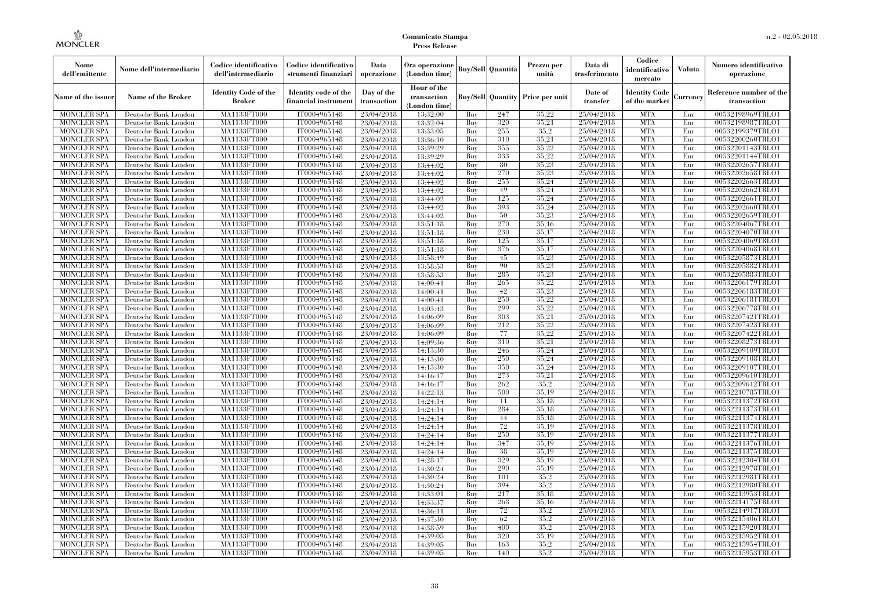| Nome<br>dell'emittente                   | Nome dell'intermediario                      | Codice identificativo<br>dell'intermediario  | Codice identificativo<br>strumenti finanziari | Data<br>operazione        | Ora operazione<br>(London time)             |            | <b>Buy/Sell   Quantità</b> | Prezzo per<br>unità | Data di<br>trasferimento | Codice<br>identificativo<br>mercato   | <b>Valuta</b> | Numero identificativo<br>operazione    |
|------------------------------------------|----------------------------------------------|----------------------------------------------|-----------------------------------------------|---------------------------|---------------------------------------------|------------|----------------------------|---------------------|--------------------------|---------------------------------------|---------------|----------------------------------------|
| Name of the issuer                       | Name of the Broker                           | <b>Identity Code of the</b><br><b>Broker</b> | Identity code of the<br>financial instrument  | Day of the<br>transaction | Hour of the<br>transaction<br>(London time) |            | <b>Buy/Sell Quantity</b>   | Price per unit      | Date of<br>transfer      | <b>Identity Code</b><br>of the market | Currencv      | Reference number of the<br>transaction |
| <b>MONCLER SPA</b>                       | Deutsche Bank London                         | MA1133FT000                                  | IT0004965148                                  | 23/04/2018                | 13:32:00                                    | Buy        | 247                        | 35.22               | 25/04/2018               | <b>MTA</b>                            | Eur           | 00532198969TRLO1                       |
| <b>MONCLER SPA</b>                       | Deutsche Bank London                         | <b>MA1133FT000</b>                           | IT0004965148                                  | 23/04/2018                | 13:32:04                                    | Buy        | 320                        | 35,21               | 25/04/2018               | <b>MTA</b>                            | Eur           | 00532198987TRLO1                       |
| <b>MONCLER SPA</b>                       | Deutsche Bank London                         | MA1133FT000                                  | IT0004965148                                  | 23/04/2018                | 13:33:05                                    | Buy        | 255                        | 35.2                | 25/04/2018               | <b>MTA</b>                            | Eur           | 00532199379TRLO1                       |
| <b>MONCLER SPA</b>                       | Deutsche Bank London                         | <b>MA1133FT000</b>                           | IT0004965148                                  | 23/04/2018                | 13:36:10                                    | Buy        | 310                        | 35,21               | 25/04/2018               | <b>MTA</b>                            | Eur           | 00532200260TRLO1                       |
| <b>MONCLER SPA</b>                       | Deutsche Bank London                         | <b>MA1133FT000</b>                           | IT0004965148                                  | 23/04/2018                | 13:39:29                                    | Buy        | 355<br>333                 | 35,22               | 25/04/2018               | <b>MTA</b><br><b>MTA</b>              | Eur           | 00532201143TRLO1                       |
| <b>MONCLER SPA</b><br><b>MONCLER SPA</b> | Deutsche Bank London<br>Deutsche Bank London | MA1133FT000<br>MA1133FT000                   | IT0004965148<br>IT0004965148                  | 23/04/2018                | 13:39:29<br>13:44:02                        | Buy<br>Buy | 80                         | 35,22<br>35,23      | 25/04/2018<br>25/04/2018 | <b>MTA</b>                            | Eur<br>Eur    | 00532201144TRLO1<br>00532202657TRLO1   |
| <b>MONCLER SPA</b>                       | Deutsche Bank London                         | MA1133FT000                                  | IT0004965148                                  | 23/04/2018<br>23/04/2018  | 13:44:02                                    | Buy        | 270                        | 35,23               | 25/04/2018               | <b>MTA</b>                            | Eur           | 00532202658TRLO1                       |
| <b>MONCLER SPA</b>                       | Deutsche Bank London                         | <b>MA1133FT000</b>                           | IT0004965148                                  | 23/04/2018                | 13:44:02                                    | Buy        | 255                        | 35,24               | 25/04/2018               | <b>MTA</b>                            | Eur           | 00532202663TRLO1                       |
| <b>MONCLER SPA</b>                       | Deutsche Bank London                         | MA1133FT000                                  | IT0004965148                                  | 23/04/2018                | 13:44:02                                    | Buy        | 49                         | 35,24               | 25/04/2018               | <b>MTA</b>                            | Eur           | 00532202662TRLO1                       |
| <b>MONCLER SPA</b>                       | Deutsche Bank London                         | MA1133FT000                                  | IT0004965148                                  | 23/04/2018                | 13:44:02                                    | Buv        | 125                        | 35.24               | 25/04/2018               | <b>MTA</b>                            | Eur           | 00532202661TRLO1                       |
| <b>MONCLER SPA</b>                       | Deutsche Bank London                         | MA1133FT000                                  | IT0004965148                                  | 23/04/2018                | 13:44:02                                    | Buy        | 393                        | 35.24               | 25/04/2018               | <b>MTA</b>                            | Eur           | 00532202660TRLO1                       |
| <b>MONCLER SPA</b>                       | Deutsche Bank London                         | MA1133FT000                                  | IT0004965148                                  | 23/04/2018                | 13:44:02                                    | Buy        | 50                         | 35,23               | 25/04/2018               | <b>MTA</b>                            | Eur           | 00532202659TRLO1                       |
| <b>MONCLER SPA</b>                       | Deutsche Bank London                         | <b>MA1133FT000</b>                           | IT0004965148                                  | 23/04/2018                | 13:51:18                                    | Buy        | 270                        | 35,16               | 25/04/2018               | <b>MTA</b>                            | Eur           | 00532204067TRLO1                       |
| <b>MONCLER SPA</b>                       | Deutsche Bank London                         | MA1133FT000                                  | IT0004965148                                  | 23/04/2018                | 13:51:18                                    | Buy        | 230                        | 35.17               | 25/04/2018               | <b>MTA</b>                            | Eur           | 00532204070TRLO1                       |
| <b>MONCLER SPA</b>                       | Deutsche Bank London                         | MA1133FT000                                  | IT0004965148                                  | 23/04/2018                | 13:51:18                                    | Buy        | 125                        | 35,17               | 25/04/2018               | <b>MTA</b>                            | Eur           | 00532204069TRLO1                       |
| <b>MONCLER SPA</b>                       | Deutsche Bank London                         | MA1133FT000                                  | IT0004965148                                  | 23/04/2018                | 13:51:18                                    | Buy        | 376                        | 35,17               | 25/04/2018               | <b>MTA</b>                            | Eur           | 00532204068TRLO1                       |
| <b>MONCLER SPA</b>                       | Deutsche Bank London                         | MA1133FT000                                  | IT0004965148                                  | 23/04/2018                | 13:58:49                                    | Buy        | 45                         | 35,23               | 25/04/2018               | <b>MTA</b>                            | Eur           | 00532205873TRLO1                       |
| <b>MONCLER SPA</b>                       | Deutsche Bank London                         | MA1133FT000                                  | IT0004965148                                  | 23/04/2018                | 13:58:53                                    | Buy        | 90                         | 35,23               | 25/04/2018               | <b>MTA</b>                            | Eur           | 00532205882TRLO1                       |
| <b>MONCLER SPA</b>                       | Deutsche Bank London                         | MA1133FT000                                  | IT0004965148                                  | 23/04/2018                | 13:58:53                                    | Buy        | 285                        | 35,23               | 25/04/2018               | <b>MTA</b>                            | Eur           | 00532205883TRLO1                       |
| <b>MONCLER SPA</b>                       | Deutsche Bank London                         | MA1133FT000                                  | IT0004965148                                  | 23/04/2018                | 14:00:41                                    | Buy        | 265                        | 35,22               | 25/04/2018               | <b>MTA</b>                            | Eur           | 00532206179TRLO1                       |
| <b>MONCLER SPA</b>                       | Deutsche Bank London                         | MA1133FT000                                  | IT0004965148                                  | 23/04/2018                | 14:00:41                                    | Buy        | 42                         | 35,23               | 25/04/2018               | <b>MTA</b>                            | Eur           | 00532206183TRLO1                       |
| <b>MONCLER SPA</b>                       | Deutsche Bank London                         | <b>MA1133FT000</b>                           | IT0004965148                                  | 23/04/2018                | 14:00:41                                    | Buy        | 250                        | 35,22               | 25/04/2018               | <b>MTA</b>                            | Eur           | 00532206181TRLO1                       |
| <b>MONCLER SPA</b>                       | Deutsche Bank London                         | MA1133FT000                                  | IT0004965148                                  | 23/04/2018                | 14:03:43                                    | Buy        | 299                        | 35,22               | 25/04/2018               | <b>MTA</b>                            | Eur           | 00532206778TRLO1                       |
| <b>MONCLER SPA</b>                       | Deutsche Bank London                         | MA1133FT000                                  | IT0004965148                                  | 23/04/2018                | 14:06:09                                    | Buy        | 303                        | 35,21               | 25/04/2018               | <b>MTA</b>                            | Eur           | 00532207421TRLO1                       |
| <b>MONCLER SPA</b>                       | Deutsche Bank London                         | <b>MA1133FT000</b>                           | IT0004965148                                  | 23/04/2018                | 14:06:09                                    | Buy        | 212                        | 35.22               | 25/04/2018               | <b>MTA</b>                            | Eur           | 00532207423TRLO1                       |
| <b>MONCLER SPA</b>                       | Deutsche Bank London                         | MA1133FT000                                  | IT0004965148                                  | 23/04/2018                | 14:06:09                                    | Buy        | 77                         | 35,22               | 25/04/2018               | <b>MTA</b>                            | Eur           | 00532207422TRLO1                       |
| <b>MONCLER SPA</b>                       | Deutsche Bank London                         | MA1133FT000                                  | IT0004965148                                  | 23/04/2018                | 14:09:36                                    | Buy        | 310                        | 35,21               | 25/04/2018               | <b>MTA</b>                            | Eur           | 00532208273TRLO1                       |
| <b>MONCLER SPA</b>                       | Deutsche Bank London                         | MA1133FT000                                  | IT0004965148                                  | 23/04/2018                | 14:13:30                                    | Buy        | 246                        | 35,24               | 25/04/2018               | <b>MTA</b>                            | Eur           | 00532209109TRLO1                       |
| <b>MONCLER SPA</b>                       | Deutsche Bank London                         | MA1133FT000                                  | IT0004965148                                  | 23/04/2018                | 14:13:30                                    | Buy        | 250                        | 35.24               | 25/04/2018               | <b>MTA</b>                            | Eur           | 00532209108TRLO1                       |
| <b>MONCLER SPA</b>                       | Deutsche Bank London                         | <b>MA1133FT000</b>                           | IT0004965148                                  | 23/04/2018                | 14:13:30                                    | Buy        | 350                        | 35.24               | 25/04/2018               | <b>MTA</b>                            | Eur           | 00532209107TRLO1                       |
| <b>MONCLER SPA</b>                       | Deutsche Bank London                         | MA1133FT000                                  | IT0004965148                                  | 23/04/2018                | 14:16:17                                    | Buy        | 273                        | 35,21               | 25/04/2018               | <b>MTA</b>                            | Eur           | 00532209610TRLO1                       |
| <b>MONCLER SPA</b>                       | Deutsche Bank London                         | MA1133FT000                                  | IT0004965148                                  | 23/04/2018                | 14:16:17                                    | Buy        | 262                        | 35.2                | 25/04/2018               | <b>MTA</b>                            | Eur           | 00532209612TRLO1                       |
| <b>MONCLER SPA</b>                       | Deutsche Bank London                         | MA1133FT000                                  | IT0004965148                                  | 23/04/2018                | 14:22:13                                    | Buy        | 500                        | 35,19               | 25/04/2018               | <b>MTA</b>                            | Eur           | 00532210785TRLO1                       |
| <b>MONCLER SPA</b>                       | Deutsche Bank London                         | MA1133FT000                                  | IT0004965148                                  | 23/04/2018                | 14:24:14                                    | Buy        | 11                         | 35,18               | 25/04/2018               | <b>MTA</b>                            | Eur           | 00532211372TRLO1                       |
| <b>MONCLER SPA</b>                       | Deutsche Bank London                         | <b>MA1133FT000</b>                           | IT0004965148                                  | 23/04/2018                | 14:24:14                                    | Buy        | 284                        | 35.18               | 25/04/2018               | <b>MTA</b>                            | Eur           | 00532211373TRLO1                       |
| <b>MONCLER SPA</b>                       | Deutsche Bank London                         | MA1133FT000                                  | IT0004965148                                  | 23/04/2018                | 14:24:14                                    | Buy        | 44                         | 35.18               | 25/04/2018               | <b>MTA</b>                            | Eur           | 00532211374TRLO1                       |
| <b>MONCLER SPA</b>                       | Deutsche Bank London                         | MA1133FT000                                  | IT0004965148                                  | 23/04/2018                | 14:24:14                                    | Buy        | 72<br>250                  | 35,19<br>35,19      | 25/04/2018               | <b>MTA</b>                            | Eur           | 00532211378TRLO1                       |
| <b>MONCLER SPA</b>                       | Deutsche Bank London                         | MA1133FT000                                  | IT0004965148                                  | 23/04/2018                | 14:24:14                                    | Buy        |                            | 35,19               | 25/04/2018               | <b>MTA</b><br><b>MTA</b>              | Eur           | 00532211377TRLO1                       |
| <b>MONCLER SPA</b>                       | Deutsche Bank London<br>Deutsche Bank London | MA1133FT000                                  | IT0004965148                                  | 23/04/2018                | 14:24:14                                    | Buy<br>Buy | 347<br>38                  | 35,19               | 25/04/2018<br>25/04/2018 | <b>MTA</b>                            | Eur<br>Eur    | 00532211376TRLO1                       |
| <b>MONCLER SPA</b><br><b>MONCLER SPA</b> | Deutsche Bank London                         | MA1133FT000<br>MA1133FT000                   | IT0004965148<br>IT0004965148                  | 23/04/2018<br>23/04/2018  | 14:24:14<br>14:28:17                        | Buy        | 329                        | 35,19               | 25/04/2018               | <b>MTA</b>                            | Eur           | 00532211375TRLO1<br>00532212304TRLO1   |
| <b>MONCLER SPA</b>                       | Deutsche Bank London                         | MA1133FT000                                  | IT0004965148                                  | 23/04/2018                | 14:30:24                                    | Buy        | 290                        | 35,19               | 25/04/2018               | <b>MTA</b>                            | Eur           | 00532212978TRLO1                       |
| <b>MONCLER SPA</b>                       | Deutsche Bank London                         | MA1133FT000                                  | IT0004965148                                  |                           | 14:30:24                                    | Buy        | 101                        | 35,2                | 25/04/2018               | <b>MTA</b>                            | Eur           | 00532212981TRLO1                       |
| <b>MONCLER SPA</b>                       | Deutsche Bank London                         | MA1133FT000                                  | IT0004965148                                  | 23/04/2018<br>23/04/2018  | 14:30:24                                    | Buy        | 394                        | 35.2                | 25/04/2018               | <b>MTA</b>                            | Eur           | 00532212980TRLO1                       |
| <b>MONCLER SPA</b>                       | Deutsche Bank London                         | MA1133FT000                                  | IT0004965148                                  | 23/04/2018                | 14:33:01                                    | Buy        | 217                        | 35.18               | 25/04/2018               | <b>MTA</b>                            | Eur           | 00532213953TRLO1                       |
| <b>MONCLER SPA</b>                       | Deutsche Bank London                         | MA1133FT000                                  | IT0004965148                                  | 23/04/2018                | 14:33:37                                    | Buy        | 268                        | 35.16               | 25/04/2018               | <b>MTA</b>                            | Eur           | 00532214175TRLO1                       |
| <b>MONCLER SPA</b>                       | Deutsche Bank London                         | MA1133FT000                                  | IT0004965148                                  | 23/04/2018                | 14:36:11                                    | Buy        | 72                         | 35.2                | 25/04/2018               | <b>MTA</b>                            | Eur           | 00532214917TRLO1                       |
| <b>MONCLER SPA</b>                       | Deutsche Bank London                         | MA1133FT000                                  | IT0004965148                                  | 23/04/2018                | 14:37:30                                    | Buy        | 62                         | 35.2                | 25/04/2018               | <b>MTA</b>                            | Eur           | 00532215406TRLO1                       |
| <b>MONCLER SPA</b>                       | Deutsche Bank London                         | MA1133FT000                                  | IT0004965148                                  | 23/04/2018                | 14:38:59                                    | Buy        | 400                        | 35.2                | 25/04/2018               | <b>MTA</b>                            | Eur           | 00532215920TRLO1                       |
| <b>MONCLER SPA</b>                       | Deutsche Bank London                         | MA1133FT000                                  | IT0004965148                                  | 23/04/2018                | 14:39:05                                    | Buy        | 320                        | 35,19               | 25/04/2018               | <b>MTA</b>                            | Eur           | 00532215952TRLO1                       |
| <b>MONCLER SPA</b>                       | Deutsche Bank London                         | <b>MA1133FT000</b>                           | IT0004965148                                  | 23/04/2018                | 14:39:05                                    | Buy        | 163                        | 35,2                | 25/04/2018               | <b>MTA</b>                            | Eur           | 00532215954TRLO1                       |
| <b>MONCLER SPA</b>                       | Deutsche Bank London                         | MA1133FT000                                  | IT0004965148                                  | 23/04/2018                | 14:39:05                                    | Buy        | 140                        | 35.2                | 25/04/2018               | <b>MTA</b>                            | Eur           | 00532215953TRLO1                       |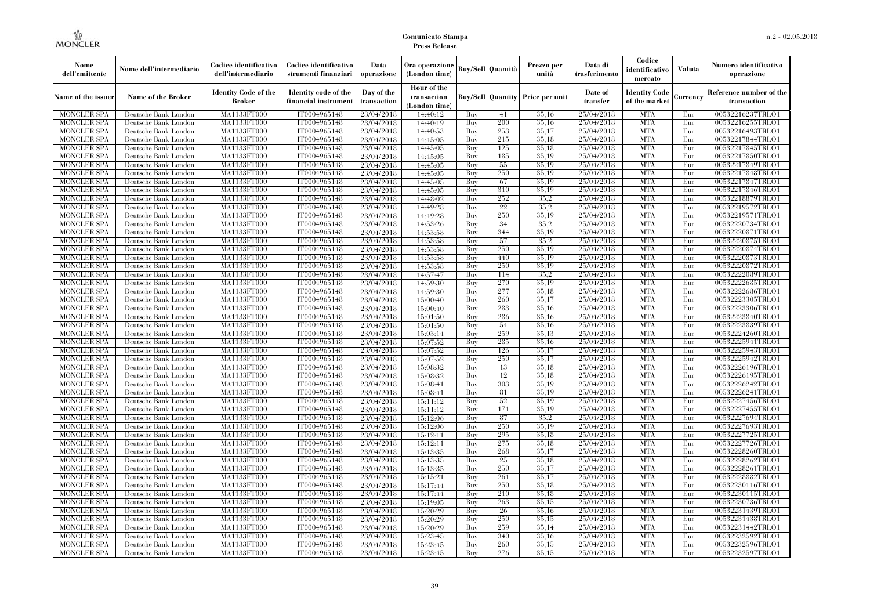| Nome<br>dell'emittente                   | Nome dell'intermediario                      | Codice identificativo<br>dell'intermediario  | Codice identificativo<br>strumenti finanziari | Data<br>operazione        | Ora operazione<br>(London time)             |            | Buy/Sell   Quantità      | Prezzo per<br>unità | Data di<br>trasferimento | Codice<br>identificativo<br>mercato   | <b>Valuta</b> | Numero identificativo<br>operazione    |
|------------------------------------------|----------------------------------------------|----------------------------------------------|-----------------------------------------------|---------------------------|---------------------------------------------|------------|--------------------------|---------------------|--------------------------|---------------------------------------|---------------|----------------------------------------|
| Name of the issuer                       | Name of the Broker                           | <b>Identity Code of the</b><br><b>Broker</b> | Identity code of the<br>financial instrument  | Day of the<br>transaction | Hour of the<br>transaction<br>(London time) |            | <b>Buy/Sell Quantity</b> | Price per unit      | Date of<br>transfer      | <b>Identity Code</b><br>of the market | Currencv      | Reference number of the<br>transaction |
| <b>MONCLER SPA</b>                       | Deutsche Bank London                         | MA1133FT000                                  | IT0004965148                                  | 23/04/2018                | 14:40:12                                    | Buy        | 41                       | 35,16               | 25/04/2018               | <b>MTA</b>                            | Eur           | 00532216237TRLO1                       |
| <b>MONCLER SPA</b>                       | Deutsche Bank London                         | <b>MA1133FT000</b>                           | IT0004965148                                  | 23/04/2018                | 14:40:19                                    | Buy        | 200                      | 35,16               | 25/04/2018               | <b>MTA</b>                            | Eur           | 00532216255TRLO1                       |
| <b>MONCLER SPA</b>                       | Deutsche Bank London                         | <b>MA1133FT000</b>                           | IT0004965148                                  | 23/04/2018                | 14:40:53                                    | Buv        | 253                      | 35.17               | 25/04/2018               | <b>MTA</b>                            | Eur           | 00532216493TRLO1                       |
| <b>MONCLER SPA</b>                       | Deutsche Bank London                         | MA1133FT000                                  | IT0004965148                                  | 23/04/2018                | 14:45:05                                    | Buy        | 215                      | 35,18               | 25/04/2018               | <b>MTA</b>                            | Eur           | 00532217844TRLO1                       |
| <b>MONCLER SPA</b>                       | Deutsche Bank London                         | MA1133FT000<br><b>MA1133FT000</b>            | IT0004965148                                  | 23/04/2018                | 14:45:05                                    | Buy        | 125<br>185               | 35,18<br>35,19      | 25/04/2018<br>25/04/2018 | <b>MTA</b><br><b>MTA</b>              | Eur<br>Eur    | 00532217845TRLO1                       |
| MONCLER SPA<br><b>MONCLER SPA</b>        | Deutsche Bank London<br>Deutsche Bank London | MA1133FT000                                  | IT0004965148<br>IT0004965148                  | 23/04/2018<br>23/04/2018  | 14:45:05<br>14:45:05                        | Buy<br>Buy | 55                       | 35,19               | 25/04/2018               | <b>MTA</b>                            | Eur           | 00532217850TRLO1<br>00532217849TRLO1   |
| <b>MONCLER SPA</b>                       | Deutsche Bank London                         | MA1133FT000                                  | IT0004965148                                  | 23/04/2018                | 14:45:05                                    | Buy        | 250                      | 35.19               | 25/04/2018               | <b>MTA</b>                            | Eur           | 00532217848TRLO1                       |
| <b>MONCLER SPA</b>                       | Deutsche Bank London                         | MA1133FT000                                  | IT0004965148                                  | 23/04/2018                | 14:45:05                                    | Buy        | 67                       | 35,19               | 25/04/2018               | <b>MTA</b>                            | Eur           | 00532217847TRLO1                       |
| <b>MONCLER SPA</b>                       | Deutsche Bank London                         | MA1133FT000                                  | IT0004965148                                  | 23/04/2018                | 14:45:05                                    | Buy        | 310                      | 35,19               | 25/04/2018               | <b>MTA</b>                            | Eur           | 00532217846TRLO1                       |
| <b>MONCLER SPA</b>                       | Deutsche Bank London                         | <b>MA1133FT000</b>                           | IT0004965148                                  | 23/04/2018                | 14:48:02                                    | Buy        | 252                      | 35.2                | 25/04/2018               | <b>MTA</b>                            | Eur           | 00532218879TRLO1                       |
| <b>MONCLER SPA</b>                       | Deutsche Bank London                         | MA1133FT000                                  | IT0004965148                                  | 23/04/2018                | 14:49:28                                    | Buy        | 22                       | 35.2                | 25/04/2018               | <b>MTA</b>                            | Eur           | 00532219572TRLO1                       |
| <b>MONCLER SPA</b>                       | Deutsche Bank London                         | MA1133FT000                                  | IT0004965148                                  | 23/04/2018                | 14:49:28                                    | Buy        | 250                      | 35.19               | 25/04/2018               | <b>MTA</b>                            | Eur           | 00532219571TRLO1                       |
| <b>MONCLER SPA</b>                       | Deutsche Bank London                         | MA1133FT000                                  | IT0004965148                                  | 23/04/2018                | 14:53:26                                    | Buy        | 34                       | 35.2                | 25/04/2018               | <b>MTA</b>                            | Eur           | 00532220734TRLO1                       |
| <b>MONCLER SPA</b>                       | Deutsche Bank London                         | MA1133FT000                                  | IT0004965148                                  | 23/04/2018                | 14:53:58                                    | Buy        | 344                      | 35,19               | 25/04/2018               | <b>MTA</b>                            | Eur           | 00532220871TRLO1                       |
| <b>MONCLER SPA</b>                       | Deutsche Bank London                         | MA1133FT000                                  | IT0004965148                                  | 23/04/2018                | 14:53:58                                    | Buy        | 57                       | 35.2                | 25/04/2018               | <b>MTA</b>                            | Eur           | 00532220875TRLO1                       |
| <b>MONCLER SPA</b>                       | Deutsche Bank London                         | MA1133FT000                                  | IT0004965148                                  | 23/04/2018                | 14:53:58                                    | Buy        | 250                      | 35.19               | 25/04/2018               | <b>MTA</b>                            | Eur           | 00532220874TRLO1                       |
| <b>MONCLER SPA</b>                       | Deutsche Bank London                         | MA1133FT000                                  | IT0004965148                                  | 23/04/2018                | 14:53:58                                    | Buy        | 440                      | 35.19               | 25/04/2018               | <b>MTA</b>                            | Eur           | 00532220873TRLO1                       |
| <b>MONCLER SPA</b>                       | Deutsche Bank London                         | MA1133FT000                                  | IT0004965148                                  | 23/04/2018                | 14:53:58                                    | Buy        | 250                      | 35,19               | 25/04/2018               | <b>MTA</b>                            | Eur           | 00532220872TRLO1                       |
| <b>MONCLER SPA</b>                       | Deutsche Bank London                         | MA1133FT000                                  | IT0004965148                                  | 23/04/2018                | 14:57:47                                    | Buy        | 114                      | 35.2                | 25/04/2018               | <b>MTA</b>                            | Eur           | 00532222089TRLO1                       |
| <b>MONCLER SPA</b>                       | Deutsche Bank London                         | MA1133FT000                                  | IT0004965148                                  | 23/04/2018                | 14:59:30                                    | Buy        | 270                      | 35,19               | 25/04/2018               | <b>MTA</b>                            | Eur           | 00532222685TRLO1                       |
| <b>MONCLER SPA</b>                       | Deutsche Bank London                         | MA1133FT000                                  | IT0004965148                                  | 23/04/2018                | 14:59:30                                    | Buy        | 277                      | 35,18               | 25/04/2018               | <b>MTA</b>                            | Eur           | 00532222686TRLO1                       |
| <b>MONCLER SPA</b>                       | Deutsche Bank London                         | MA1133FT000                                  | IT0004965148                                  | 23/04/2018                | 15:00:40                                    | Buy        | 260                      | 35,17               | 25/04/2018               | <b>MTA</b>                            | Eur           | 00532223305TRLO1                       |
| <b>MONCLER SPA</b>                       | Deutsche Bank London                         | MA1133FT000                                  | IT0004965148<br>IT0004965148                  | 23/04/2018                | 15:00:40                                    | Buy        | 283<br>286               | 35.16<br>35.16      | 25/04/2018<br>25/04/2018 | <b>MTA</b><br><b>MTA</b>              | Eur           | 00532223306TRLO1<br>00532223840TRLO1   |
| <b>MONCLER SPA</b><br><b>MONCLER SPA</b> | Deutsche Bank London<br>Deutsche Bank London | MA1133FT000<br>MA1133FT000                   | IT0004965148                                  | 23/04/2018<br>23/04/2018  | 15:01:50<br>15:01:50                        | Buy<br>Buy | 54                       | 35,16               | 25/04/2018               | <b>MTA</b>                            | Eur<br>Eur    | 00532223839TRLO1                       |
| <b>MONCLER SPA</b>                       | Deutsche Bank London                         | MA1133FT000                                  | IT0004965148                                  | 23/04/2018                | 15:03:14                                    | Buy        | 259                      | 35.13               | 25/04/2018               | <b>MTA</b>                            | Eur           | 00532224260TRLO1                       |
| <b>MONCLER SPA</b>                       | Deutsche Bank London                         | MA1133FT000                                  | IT0004965148                                  | 23/04/2018                | 15:07:52                                    | Buy        | 285                      | 35.16               | 25/04/2018               | <b>MTA</b>                            | Eur           | 00532225941TRLO1                       |
| <b>MONCLER SPA</b>                       | Deutsche Bank London                         | MA1133FT000                                  | IT0004965148                                  | 23/04/2018                | 15:07:52                                    | Buy        | 126                      | 35,17               | 25/04/2018               | <b>MTA</b>                            | Eur           | 00532225943TRLO1                       |
| <b>MONCLER SPA</b>                       | Deutsche Bank London                         | <b>MA1133FT000</b>                           | IT0004965148                                  | 23/04/2018                | 15:07:52                                    | Buy        | 250                      | 35,17               | 25/04/2018               | <b>MTA</b>                            | Eur           | 00532225942TRLO1                       |
| <b>MONCLER SPA</b>                       | Deutsche Bank London                         | MA1133FT000                                  | IT0004965148                                  | 23/04/2018                | 15:08:32                                    | Buy        | 13                       | 35,18               | 25/04/2018               | <b>MTA</b>                            | Eur           | 00532226196TRLO1                       |
| <b>MONCLER SPA</b>                       | Deutsche Bank London                         | MA1133FT000                                  | IT0004965148                                  | 23/04/2018                | 15:08:32                                    | Buy        | 12                       | 35,18               | 25/04/2018               | <b>MTA</b>                            | Eur           | 00532226195TRLO1                       |
| <b>MONCLER SPA</b>                       | Deutsche Bank London                         | MA1133FT000                                  | IT0004965148                                  | 23/04/2018                | 15:08:41                                    | Buv        | 303                      | 35.19               | 25/04/2018               | <b>MTA</b>                            | Eur           | 00532226242TRLO1                       |
| <b>MONCLER SPA</b>                       | Deutsche Bank London                         | MA1133FT000                                  | IT0004965148                                  | 23/04/2018                | 15:08:41                                    | Buy        | 81                       | 35,19               | 25/04/2018               | <b>MTA</b>                            | Eur           | 00532226241TRLO1                       |
| <b>MONCLER SPA</b>                       | Deutsche Bank London                         | MA1133FT000                                  | IT0004965148                                  | 23/04/2018                | 15:11:12                                    | Buy        | 52                       | 35,19               | 25/04/2018               | <b>MTA</b>                            | Eur           | 00532227456TRLO1                       |
| <b>MONCLER SPA</b>                       | Deutsche Bank London                         | MA1133FT000                                  | IT0004965148                                  | 23/04/2018                | 15:11:12                                    | Buy        | 171                      | 35,19               | 25/04/2018               | <b>MTA</b>                            | Eur           | 00532227455TRLO1                       |
| <b>MONCLER SPA</b>                       | Deutsche Bank London                         | MA1133FT000                                  | IT0004965148                                  | 23/04/2018                | 15:12:06                                    | Buy        | 87                       | 35,2                | 25/04/2018               | <b>MTA</b>                            | Eur           | 00532227694TRLO1                       |
| <b>MONCLER SPA</b>                       | Deutsche Bank London                         | <b>MA1133FT000</b>                           | IT0004965148                                  | 23/04/2018                | 15:12:06                                    | Buy        | 250                      | 35,19               | 25/04/2018               | <b>MTA</b>                            | Eur           | 00532227693TRLO1                       |
| <b>MONCLER SPA</b>                       | Deutsche Bank London                         | MA1133FT000                                  | IT0004965148                                  | 23/04/2018                | 15:12:11                                    | Buy        | 295                      | 35,18               | 25/04/2018               | <b>MTA</b>                            | Eur           | 00532227725TRLO1                       |
| <b>MONCLER SPA</b>                       | Deutsche Bank London                         | <b>MA1133FT000</b>                           | IT0004965148                                  | 23/04/2018                | 15:12:11                                    | Buy        | 275                      | 35.18               | 25/04/2018               | <b>MTA</b>                            | Eur           | 00532227726TRLO1                       |
| <b>MONCLER SPA</b>                       | Deutsche Bank London                         | MA1133FT000                                  | IT0004965148                                  | 23/04/2018                | 15:13:35                                    | Buy        | 268                      | 35,17               | 25/04/2018               | <b>MTA</b>                            | Eur           | 00532228260TRLO1                       |
| <b>MONCLER SPA</b>                       | Deutsche Bank London                         | MA1133FT000                                  | IT0004965148                                  | 23/04/2018                | 15:13:35                                    | Buy        | 25                       | 35,18               | 25/04/2018               | <b>MTA</b>                            | Eur           | 00532228262TRLO1                       |
| <b>MONCLER SPA</b>                       | Deutsche Bank London                         | MA1133FT000                                  | IT0004965148                                  | 23/04/2018                | 15:13:35                                    | Buy        | 250                      | 35,17               | 25/04/2018               | <b>MTA</b>                            | Eur           | 00532228261TRLO1                       |
| <b>MONCLER SPA</b>                       | Deutsche Bank London                         | MA1133FT000                                  | IT0004965148                                  | 23/04/2018                | 15:15:21                                    | Buy<br>Buy | 261<br>250               | 35,17<br>35,18      | 25/04/2018<br>25/04/2018 | <b>MTA</b><br><b>MTA</b>              | Eur<br>Eur    | 00532228882TRLO1<br>00532230116TRLO1   |
| <b>MONCLER SPA</b><br><b>MONCLER SPA</b> | Deutsche Bank London<br>Deutsche Bank London | MA1133FT000<br>MA1133FT000                   | IT0004965148<br>IT0004965148                  | 23/04/2018<br>23/04/2018  | 15:17:44                                    | Buy        | 210                      | 35.18               | 25/04/2018               | <b>MTA</b>                            | Eur           | 00532230115TRLO1                       |
| <b>MONCLER SPA</b>                       | Deutsche Bank London                         | MA1133FT000                                  | IT0004965148                                  | 23/04/2018                | 15:17:44<br>15:19:05                        | Buy        | 263                      | 35,15               | 25/04/2018               | <b>MTA</b>                            | Eur           | 00532230736TRLO1                       |
| <b>MONCLER SPA</b>                       | Deutsche Bank London                         | MA1133FT000                                  | IT0004965148                                  | 23/04/2018                | 15:20:29                                    | Buy        | 26                       | 35,16               | 25/04/2018               | <b>MTA</b>                            | Eur           | 00532231439TRLO1                       |
| <b>MONCLER SPA</b>                       | Deutsche Bank London                         | MA1133FT000                                  | IT0004965148                                  | 23/04/2018                | 15:20:29                                    | Buy        | 250                      | 35.15               | 25/04/2018               | <b>MTA</b>                            | Eur           | 00532231438TRLO1                       |
| <b>MONCLER SPA</b>                       | Deutsche Bank London                         | MA1133FT000                                  | IT0004965148                                  | 23/04/2018                | 15:20:29                                    | Buy        | 259                      | 35,14               | 25/04/2018               | <b>MTA</b>                            | Eur           | 00532231442TRLO1                       |
| <b>MONCLER SPA</b>                       | Deutsche Bank London                         | MA1133FT000                                  | IT0004965148                                  | 23/04/2018                | 15:23:45                                    | Buy        | 340                      | 35,16               | 25/04/2018               | <b>MTA</b>                            | Eur           | 00532232592TRLO1                       |
| <b>MONCLER SPA</b>                       | Deutsche Bank London                         | MA1133FT000                                  | IT0004965148                                  | 23/04/2018                | 15:23:45                                    | Buy        | 260                      | 35,15               | 25/04/2018               | <b>MTA</b>                            | Eur           | 00532232596TRLO1                       |
| <b>MONCLER SPA</b>                       | Deutsche Bank London                         | MA1133FT000                                  | IT0004965148                                  | 23/04/2018                | 15:23:45                                    | Buy        | 276                      | 35,15               | 25/04/2018               | <b>MTA</b>                            | Eur           | 00532232597TRLO1                       |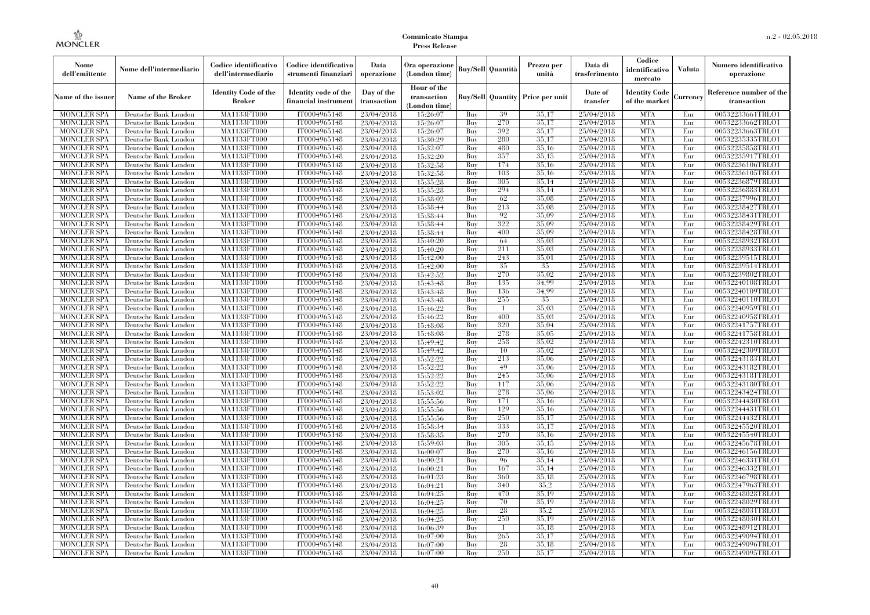| Nome<br>dell'emittente | Nome dell'intermediario   | Codice identificativo<br>dell'intermediario  | Codice identificativo<br>strumenti finanziari | Data<br>operazione        | Ora operazione<br>(London time)             |     | <b>Buy/Sell Quantità</b> | Prezzo per<br>unità | Data di<br>trasferimento | Codice<br>identificativo<br>mercato   | Valuta   | Numero identificativo<br>operazione    |
|------------------------|---------------------------|----------------------------------------------|-----------------------------------------------|---------------------------|---------------------------------------------|-----|--------------------------|---------------------|--------------------------|---------------------------------------|----------|----------------------------------------|
| Name of the issuer     | <b>Name of the Broker</b> | <b>Identity Code of the</b><br><b>Broker</b> | Identity code of the<br>financial instrumen   | Day of the<br>transaction | Hour of the<br>transaction<br>(London time) |     | <b>Buy/Sell Quantity</b> | Price per unit      | Date of<br>transfer      | <b>Identity Code</b><br>of the market | Currency | Reference number of the<br>transaction |
| <b>MONCLER SPA</b>     | Deutsche Bank London      | MA1133FT000                                  | IT0004965148                                  | 23/04/2018                | 15:26:07                                    | Buy | 39                       | 35,17               | 25/04/2018               | <b>MTA</b>                            | Eur      | 00532233661TRLO1                       |
| <b>MONCLER SPA</b>     | Deutsche Bank London      | MA1133FT000                                  | IT0004965148                                  | 23/04/2018                | 15:26:07                                    | Buy | 270                      | 35,17               | 25/04/2018               | <b>MTA</b>                            | Eur      | 00532233662TRLO1                       |
| <b>MONCLER SPA</b>     | Deutsche Bank London      | <b>MA1133FT000</b>                           | IT0004965148                                  | 23/04/2018                | 15:26:07                                    | Buy | 392                      | 35,17               | 25/04/2018               | <b>MTA</b>                            | Eur      | 00532233663TRLO1                       |
| <b>MONCLER SPA</b>     | Deutsche Bank London      | MA1133FT000                                  | IT0004965148                                  | 23/04/2018                | 15:30:29                                    | Buy | 280                      | 35,17               | 25/04/2018               | <b>MTA</b>                            | Eur      | 00532235335TRLO1                       |
| <b>MONCLER SPA</b>     | Deutsche Bank London      | MA1133FT000                                  | IT0004965148                                  | 23/04/2018                | 15:32:07                                    | Buy | 480                      | 35,16               | 25/04/2018               | <b>MTA</b>                            | Eur      | 00532235858TRLO1                       |
| <b>MONCLER SPA</b>     | Deutsche Bank London      | MA1133FT000                                  | IT0004965148                                  | 23/04/2018                | 15:32:20                                    | Buy | 357                      | 35,15               | 25/04/2018               | <b>MTA</b>                            | Eur      | 00532235917TRLO1                       |
| <b>MONCLER SPA</b>     | Deutsche Bank London      | <b>MA1133FT000</b>                           | IT0004965148                                  | 23/04/2018                | 15:32:58                                    | Buy | 174                      | 35,16               | 25/04/2018               | <b>MTA</b>                            | Eur      | 00532236106TRLO1                       |
| <b>MONCLER SPA</b>     | Deutsche Bank London      | <b>MA1133FT000</b>                           | IT0004965148                                  | 23/04/2018                | 15:32:58                                    | Buy | 103                      | 35.16               | 25/04/2018               | <b>MTA</b>                            | Eur      | 00532236105TRLO1                       |
| <b>MONCLER SPA</b>     | Deutsche Bank London      | MA1133FT000                                  | IT0004965148                                  | 23/04/2018                | 15:35:28                                    | Buy | 305                      | 35,14               | 25/04/2018               | <b>MTA</b>                            | Eur      | 00532236879TRLO1                       |
| <b>MONCLER SPA</b>     | Deutsche Bank London      | MA1133FT000                                  | IT0004965148                                  | 23/04/2018                | 15:35:28                                    | Buy | 294                      | 35,14               | 25/04/2018               | <b>MTA</b>                            | Eur      | 00532236883TRLO1                       |
| <b>MONCLER SPA</b>     | Deutsche Bank London      | <b>MA1133FT000</b>                           | IT0004965148                                  | 23/04/2018                | 15:38:02                                    | Buy | 62                       | 35,08               | 25/04/2018               | <b>MTA</b>                            | Eur      | 00532237996TRLO1                       |
| <b>MONCLER SPA</b>     | Deutsche Bank London      | <b>MA1133FT000</b>                           | IT0004965148                                  | 23/04/2018                | 15:38:44                                    | Buy | 213                      | 35,08               | 25/04/2018               | <b>MTA</b>                            | Eur      | 00532238427TRLO1                       |
| <b>MONCLER SPA</b>     | Deutsche Bank London      | MA1133FT000                                  | IT0004965148                                  | 23/04/2018                | 15:38:44                                    | Buy | 92                       | 35,09               | 25/04/2018               | <b>MTA</b>                            | Eur      | 00532238431TRLO1                       |
| <b>MONCLER SPA</b>     | Deutsche Bank London      | MA1133FT000                                  | IT0004965148                                  | 23/04/2018                | 15:38:44                                    | Buy | 322                      | 35,09               | 25/04/2018               | <b>MTA</b>                            | Eur      | 00532238429TRLO1                       |
| <b>MONCLER SPA</b>     | Deutsche Bank London      | <b>MA1133FT000</b>                           | IT0004965148                                  | 23/04/2018                | 15:38:44                                    | Buy | 400                      | 35,09               | 25/04/2018               | <b>MTA</b>                            | Eur      | 00532238428TRLO1                       |
| <b>MONCLER SPA</b>     | Deutsche Bank London      | <b>MA1133FT000</b>                           | IT0004965148                                  | 23/04/2018                | 15:40:20                                    | Buy | 64                       | 35.03               | 25/04/2018               | <b>MTA</b>                            | Eur      | 00532238932TRLO1                       |
| <b>MONCLER SPA</b>     | Deutsche Bank London      | MA1133FT000                                  | IT0004965148                                  | 23/04/2018                | 15:40:20                                    | Buy | 211                      | 35,03               | 25/04/2018               | <b>MTA</b>                            | Eur      | 00532238933TRLO1                       |
| <b>MONCLER SPA</b>     | Deutsche Bank London      | MA1133FT000                                  | IT0004965148                                  | 23/04/2018                | 15:42:00                                    | Buy | 243                      | 35,01               | 25/04/2018               | <b>MTA</b>                            | Eur      | 00532239515TRLO1                       |
| <b>MONCLER SPA</b>     | Deutsche Bank London      | <b>MA1133FT000</b>                           | IT0004965148                                  | 23/04/2018                | 15:42:00                                    | Buy | 35                       | 35                  | 25/04/2018               | <b>MTA</b>                            | Eur      | 00532239514TRLO1                       |
| <b>MONCLER SPA</b>     | Deutsche Bank London      | <b>MA1133FT000</b>                           | IT0004965148                                  | 23/04/2018                | 15:42:52                                    | Buy | 270                      | 35.02               | 25/04/2018               | <b>MTA</b>                            | Eur      | 00532239802TRLO1                       |
| <b>MONCLER SPA</b>     | Deutsche Bank London      | MA1133FT000                                  | IT0004965148                                  | 23/04/2018                | 15:43:48                                    | Buy | 135                      | 34.99               | 25/04/2018               | <b>MTA</b>                            | Eur      | 00532240108TRLO1                       |
| <b>MONCLER SPA</b>     | Deutsche Bank London      | MA1133FT000                                  | IT0004965148                                  | 23/04/2018                | 15:43:48                                    | Buy | 136                      | 34.99               | 25/04/2018               | <b>MTA</b>                            | Eur      | 00532240109TRLO1                       |
| MONCLER SPA            | Deutsche Bank London      | <b>MA1133FT000</b>                           | IT0004965148                                  | 23/04/2018                | 15:43:48                                    | Buy | 255                      | 35                  | 25/04/2018               | <b>MTA</b>                            | Eur      | 00532240110TRLO1                       |
| <b>MONCLER SPA</b>     | Deutsche Bank London      | MA1133FT000                                  | IT0004965148                                  | 23/04/2018                | 15:46:22                                    | Buy | $\mathbf{1}$             | 35,03               | 25/04/2018               | <b>MTA</b>                            | Eur      | 00532240959TRLO1                       |
| <b>MONCLER SPA</b>     | Deutsche Bank London      | MA1133FT000                                  | IT0004965148                                  | 23/04/2018                | 15:46:22                                    | Buy | 400                      | 35,03               | 25/04/2018               | <b>MTA</b>                            | Eur      | 00532240958TRLO1                       |
| <b>MONCLER SPA</b>     | Deutsche Bank London      | <b>MA1133FT000</b>                           | IT0004965148                                  | 23/04/2018                | 15:48:08                                    | Buy | 320                      | 35,04               | 25/04/2018               | <b>MTA</b>                            | Eur      | 00532241757TRLO1                       |
| MONCLER SPA            | Deutsche Bank London      | <b>MA1133FT000</b>                           | IT0004965148                                  | 23/04/2018                | 15:48:08                                    | Buy | 278                      | 35,05               | 25/04/2018               | <b>MTA</b>                            | Eur      | 00532241758TRLO1                       |
| <b>MONCLER SPA</b>     | Deutsche Bank London      | MA1133FT000                                  | IT0004965148                                  | 23/04/2018                | 15:49:42                                    | Buy | 258                      | 35,02               | 25/04/2018               | <b>MTA</b>                            | Eur      | 00532242310TRLO1                       |
| <b>MONCLER SPA</b>     | Deutsche Bank London      | MA1133FT000                                  | IT0004965148                                  | 23/04/2018                | 15:49:42                                    | Buy | 10                       | 35,02               | 25/04/2018               | <b>MTA</b>                            | Eur      | 00532242309TRLO1                       |
| <b>MONCLER SPA</b>     | Deutsche Bank London      | <b>MA1133FT000</b>                           | IT0004965148                                  | 23/04/2018                | 15:52:22                                    | Buy | 213                      | 35,06               | 25/04/2018               | <b>MTA</b>                            | Eur      | 00532243183TRLO1                       |
| <b>MONCLER SPA</b>     | Deutsche Bank London      | <b>MA1133FT000</b>                           | IT0004965148                                  | 23/04/2018                | 15:52:22                                    | Buy | 49                       | 35,06               | 25/04/2018               | <b>MTA</b>                            | Eur      | 00532243182TRLO1                       |
| <b>MONCLER SPA</b>     | Deutsche Bank London      | MA1133FT000                                  | IT0004965148                                  | 23/04/2018                | 15:52:22                                    | Buy | 245                      | 35,06               | 25/04/2018               | <b>MTA</b>                            | Eur      | 00532243181TRLO1                       |
| <b>MONCLER SPA</b>     | Deutsche Bank London      | MA1133FT000                                  | IT0004965148                                  | 23/04/2018                | 15:52:22                                    | Buy | 117                      | 35,06               | 25/04/2018               | <b>MTA</b>                            | Eur      | 00532243180TRLO1                       |
| <b>MONCLER SPA</b>     | Deutsche Bank London      | <b>MA1133FT000</b>                           | IT0004965148                                  | 23/04/2018                | 15:53:02                                    | Buy | 278                      | 35,06               | 25/04/2018               | <b>MTA</b>                            | Eur      | 00532243424TRLO1                       |
| <b>MONCLER SPA</b>     | Deutsche Bank London      | <b>MA1133FT000</b>                           | IT0004965148                                  | 23/04/2018                | 15:55:56                                    | Buy | 171                      | 35,16               | 25/04/2018               | <b>MTA</b>                            | Eur      | 00532244430TRLO1                       |
| <b>MONCLER SPA</b>     | Deutsche Bank London      | MA1133FT000                                  | IT0004965148                                  | 23/04/2018                | 15:55:56                                    | Buy | 129                      | 35,16               | 25/04/2018               | <b>MTA</b>                            | Eur      | 00532244431TRLO1                       |
| <b>MONCLER SPA</b>     | Deutsche Bank London      | MA1133FT000                                  | IT0004965148                                  | 23/04/2018                | 15:55:56                                    | Buy | 250                      | 35,17               | 25/04/2018               | <b>MTA</b>                            | Eur      | 00532244432TRLO1                       |
| <b>MONCLER SPA</b>     | Deutsche Bank London      | <b>MA1133FT000</b>                           | IT0004965148                                  | 23/04/2018                | 15:58:34                                    | Buy | 333                      | 35,17               | 25/04/2018               | <b>MTA</b>                            | Eur      | 00532245520TRLO1                       |
| <b>MONCLER SPA</b>     | Deutsche Bank London      | <b>MA1133FT000</b>                           | IT0004965148                                  | 23/04/2018                | 15:58:35                                    | Buy | 270                      | 35,16               | 25/04/2018               | <b>MTA</b>                            | Eur      | 00532245540TRLO1                       |
| <b>MONCLER SPA</b>     | Deutsche Bank London      | MA1133FT000                                  | IT0004965148                                  | 23/04/2018                | 15:59:03                                    | Buy | 305                      | 35,15               | 25/04/2018               | <b>MTA</b>                            | Eur      | 00532245678TRLO1                       |
| <b>MONCLER SPA</b>     | Deutsche Bank London      | MA1133FT000                                  | IT0004965148                                  | 23/04/2018                | 16:00:07                                    | Buy | 270                      | 35,16               | 25/04/2018               | <b>MTA</b>                            | Eur      | 00532246156TRLO1                       |
| <b>MONCLER SPA</b>     | Deutsche Bank London      | MA1133FT000                                  | IT0004965148                                  | 23/04/2018                | 16:00:21                                    | Buy | 96                       | 35.14               | 25/04/2018               | <b>MTA</b>                            | Eur      | 00532246331TRLO1                       |
| <b>MONCLER SPA</b>     | Deutsche Bank London      | <b>MA1133FT000</b>                           | IT0004965148                                  | 23/04/2018                | 16:00:21                                    | Buy | 167                      | 35,14               | 25/04/2018               | MTA                                   | Eur      | 00532246332TRLO1                       |
| <b>MONCLER SPA</b>     | Deutsche Bank London      | MA1133FT000                                  | IT0004965148                                  | 23/04/2018                | 16:01:23                                    | Buy | 360                      | 35,18               | 25/04/2018               | <b>MTA</b>                            | Eur      | 00532246798TRLO1                       |
| <b>MONCLER SPA</b>     | Deutsche Bank London      | MA1133FT000                                  | IT0004965148                                  | 23/04/2018                | 16:04:21                                    | Buy | 340                      | 35.2                | 25/04/2018               | <b>MTA</b>                            | Eur      | 00532247963TRLO1                       |
| <b>MONCLER SPA</b>     | Deutsche Bank London      | MA1133FT000                                  | IT0004965148                                  | 23/04/2018                | 16:04:25                                    | Buy | 470                      | 35.19               | 25/04/2018               | <b>MTA</b>                            | Eur      | 00532248028TRLO1                       |
| <b>MONCLER SPA</b>     | Deutsche Bank London      | <b>MA1133FT000</b>                           | IT0004965148                                  | 23/04/2018                | 16:04:25                                    | Buy | 70                       | 35,19               | 25/04/2018               | <b>MTA</b>                            | Eur      | 00532248029TRLO1                       |
| <b>MONCLER SPA</b>     | Deutsche Bank London      | MA1133FT000                                  | IT0004965148                                  | 23/04/2018                | 16:04:25                                    | Buy | 28                       | 35.2                | 25/04/2018               | <b>MTA</b>                            | Eur      | 00532248031TRLO1                       |
| <b>MONCLER SPA</b>     | Deutsche Bank London      | MA1133FT000                                  | IT0004965148                                  | 23/04/2018                | 16:04:25                                    | Buy | 250                      | 35.19               | 25/04/2018               | <b>MTA</b>                            | Eur      | 00532248030TRLO1                       |
| <b>MONCLER SPA</b>     | Deutsche Bank London      | MA1133FT000                                  | IT0004965148                                  | 23/04/2018                | 16:06:39                                    | Buy | $\mathbf{1}$             | 35.18               | 25/04/2018               | <b>MTA</b>                            | Eur      | 00532248912TRLO1                       |
| MONCLER SPA            | Deutsche Bank London      | <b>MA1133FT000</b>                           | IT0004965148                                  | 23/04/2018                | 16:07:00                                    | Buy | 265                      | 35,17               | 25/04/2018               | <b>MTA</b>                            | Eur      | 00532249094TRLO1                       |
| <b>MONCLER SPA</b>     | Deutsche Bank London      | <b>MA1133FT000</b>                           | IT0004965148                                  | 23/04/2018                | 16:07:00                                    | Buy | 28                       | 35.18               | 25/04/2018               | <b>MTA</b>                            | Eur      | 00532249096TRLO1                       |
| <b>MONCLER SPA</b>     | Deutsche Bank London      | MA1133FT000                                  | IT0004965148                                  | 23/04/2018                | 16:07:00                                    | Buy | 250                      | 35,17               | 25/04/2018               | <b>MTA</b>                            | Eur      | 00532249095TRLO1                       |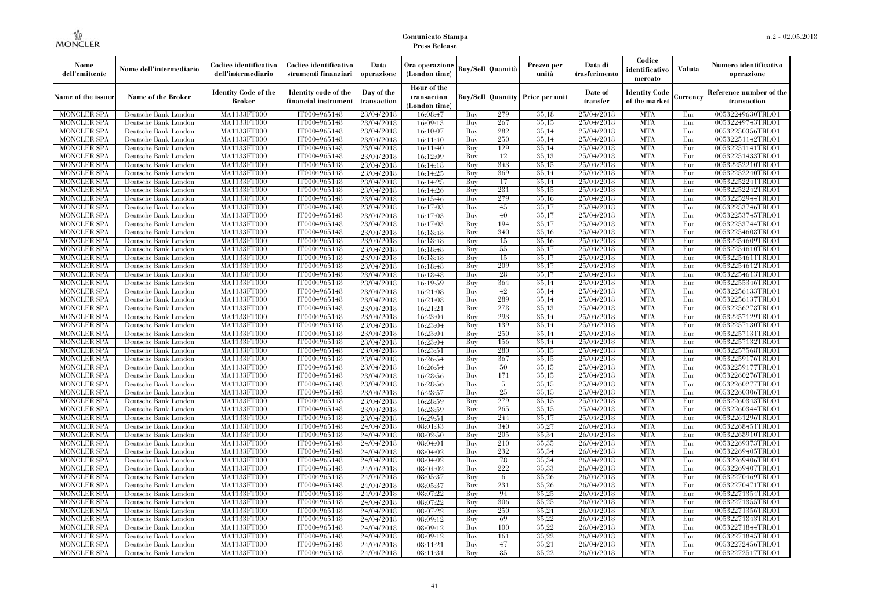| Nome<br>dell'emittente                   | Nome dell'intermediario                      | Codice identificativo<br>dell'intermediario  | Codice identificativo<br>strumenti finanziari | Data<br>operazione        | Ora operazione<br>(London time)             |            | <b>Buy/Sell</b> Quantità | Prezzo per<br>unità                     | Data di<br>trasferimento | Codice<br>identificativo<br>mercato   | <b>Valuta</b> | Numero identificativo<br>operazione    |
|------------------------------------------|----------------------------------------------|----------------------------------------------|-----------------------------------------------|---------------------------|---------------------------------------------|------------|--------------------------|-----------------------------------------|--------------------------|---------------------------------------|---------------|----------------------------------------|
| Name of the issuer                       | Name of the Broker                           | <b>Identity Code of the</b><br><b>Broker</b> | Identity code of the<br>financial instrumen   | Day of the<br>transaction | Hour of the<br>transaction<br>(London time) |            |                          | <b>Buy/Sell Quantity Price per unit</b> | Date of<br>transfer      | <b>Identity Code</b><br>of the market | Currency      | Reference number of the<br>transaction |
| <b>MONCLER SPA</b>                       | Deutsche Bank London                         | MA1133FT000                                  | IT0004965148                                  | 23/04/2018                | 16:08:47                                    | Buy        | 279                      | 35,18                                   | 25/04/2018               | <b>MTA</b>                            | Eur           | 00532249630TRLO1                       |
| <b>MONCLER SPA</b>                       | Deutsche Bank London                         | MA1133FT000                                  | IT0004965148                                  | 23/04/2018                | 16:09:13                                    | Buy        | 267                      | 35,15                                   | 25/04/2018               | <b>MTA</b>                            | Eur           | 00532249743TRLO1                       |
| <b>MONCLER SPA</b>                       | Deutsche Bank London                         | MA1133FT000                                  | IT0004965148                                  | 23/04/2018                | 16:10:07                                    | Buy        | 282                      | 35,14<br>35.14                          | 25/04/2018               | <b>MTA</b><br><b>MTA</b>              | Eur           | 00532250356TRLO1                       |
| <b>MONCLER SPA</b><br><b>MONCLER SPA</b> | Deutsche Bank London<br>Deutsche Bank London | MA1133FT000<br>MA1133FT000                   | IT0004965148<br>IT0004965148                  | 23/04/2018<br>23/04/2018  | 16:11:40<br>16:11:40                        | Buy<br>Buy | 250<br>129               | 35,14                                   | 25/04/2018<br>25/04/2018 | <b>MTA</b>                            | Eur<br>Eur    | 00532251142TRLO1<br>00532251141TRLO1   |
| <b>MONCLER SPA</b>                       | Deutsche Bank London                         | MA1133FT000                                  | IT0004965148                                  | 23/04/2018                | 16:12:09                                    | Buy        | 12                       | 35.13                                   | 25/04/2018               | <b>MTA</b>                            | Eur           | 00532251433TRLO1                       |
| <b>MONCLER SPA</b>                       | Deutsche Bank London                         | <b>MA1133FT000</b>                           | IT0004965148                                  | 23/04/2018                | 16:14:18                                    | Buy        | 343                      | 35,15                                   | 25/04/2018               | <b>MTA</b>                            | Eur           | 00532252210TRLO1                       |
| <b>MONCLER SPA</b>                       | Deutsche Bank London                         | MA1133FT000                                  | IT0004965148                                  | 23/04/2018                | 16:14:25                                    | Buy        | 369                      | 35.14                                   | 25/04/2018               | <b>MTA</b>                            | Eur           | 00532252240TRLO1                       |
| <b>MONCLER SPA</b>                       | Deutsche Bank London                         | MA1133FT000                                  | IT0004965148                                  | 23/04/2018                | 16:14:25                                    | Buv        | 17                       | 35.14                                   | 25/04/2018               | <b>MTA</b>                            | Eur           | 00532252241TRLO1                       |
| MONCLER SPA                              | Deutsche Bank London                         | MA1133FT000                                  | IT0004965148                                  | 23/04/2018                | 16:14:26                                    | Buy        | 281                      | 35,15                                   | 25/04/2018               | <b>MTA</b>                            | Eur           | 00532252242TRLO1                       |
| <b>MONCLER SPA</b>                       | Deutsche Bank London                         | <b>MA1133FT000</b>                           | IT0004965148                                  | 23/04/2018                | 16:15:46                                    | Buy        | 279                      | 35,16                                   | 25/04/2018               | <b>MTA</b>                            | Eur           | 00532252944TRLO1                       |
| <b>MONCLER SPA</b>                       | Deutsche Bank London                         | <b>MA1133FT000</b>                           | IT0004965148                                  | 23/04/2018                | 16:17:03                                    | Buy        | 45                       | 35,17                                   | 25/04/2018               | <b>MTA</b>                            | Eur           | 00532253746TRLO1                       |
| <b>MONCLER SPA</b>                       | Deutsche Bank London                         | <b>MA1133FT000</b>                           | IT0004965148                                  | 23/04/2018                | 16:17:03                                    | Buv        | 40                       | 35,17                                   | 25/04/2018               | <b>MTA</b>                            | Eur           | 00532253745TRLO1                       |
| <b>MONCLER SPA</b>                       | Deutsche Bank London                         | MA1133FT000                                  | IT0004965148                                  | 23/04/2018                | 16:17:03                                    | Buy        | 194                      | 35,17                                   | 25/04/2018               | <b>MTA</b>                            | Eur           | 00532253744TRLO1                       |
| <b>MONCLER SPA</b>                       | Deutsche Bank London                         | <b>MA1133FT000</b>                           | IT0004965148                                  | 23/04/2018                | 16:18:48                                    | Buy        | 340                      | 35,16                                   | 25/04/2018               | <b>MTA</b>                            | Eur           | 00532254608TRLO1                       |
| <b>MONCLER SPA</b>                       | Deutsche Bank London                         | MA1133FT000                                  | IT0004965148                                  | 23/04/2018                | 16:18:48                                    | Buy        | 15                       | 35.16                                   | 25/04/2018               | <b>MTA</b>                            | Eur           | 00532254609TRLO1                       |
| <b>MONCLER SPA</b>                       | Deutsche Bank London                         | MA1133FT000                                  | IT0004965148                                  | 23/04/2018                | 16:18:48                                    | Buy        | 55                       | 35,17                                   | 25/04/2018               | <b>MTA</b>                            | Eur           | 00532254610TRLO1                       |
| MONCLER SPA                              | Deutsche Bank London                         | MA1133FT000                                  | IT0004965148                                  | 23/04/2018                | 16:18:48                                    | Buy        | 15                       | 35,17                                   | 25/04/2018               | <b>MTA</b>                            | Eur           | 00532254611TRLO1                       |
| MONCLER SPA                              | Deutsche Bank London                         | <b>MA1133FT000</b>                           | IT0004965148                                  | 23/04/2018                | 16:18:48                                    | Buy        | 209                      | 35,17                                   | 25/04/2018               | <b>MTA</b>                            | Eur           | 00532254612TRLO1                       |
| <b>MONCLER SPA</b>                       | Deutsche Bank London                         | MA1133FT000                                  | IT0004965148                                  | 23/04/2018                | 16:18:48                                    | Buy        | 28                       | 35,17                                   | 25/04/2018               | <b>MTA</b>                            | Eur           | 00532254613TRLO1                       |
| <b>MONCLER SPA</b>                       | Deutsche Bank London                         | MA1133FT000                                  | IT0004965148                                  | 23/04/2018                | 16:19:59                                    | Buv        | 364                      | 35.14                                   | 25/04/2018               | <b>MTA</b>                            | Eur           | 00532255346TRLO1                       |
| <b>MONCLER SPA</b>                       | Deutsche Bank London                         | MA1133FT000                                  | IT0004965148                                  | 23/04/2018                | 16:21:08                                    | Buy        | 42<br>289                | 35,14<br>35,14                          | 25/04/2018<br>25/04/2018 | <b>MTA</b><br><b>MTA</b>              | Eur           | 00532256133TRLO1                       |
| <b>MONCLER SPA</b><br><b>MONCLER SPA</b> | Deutsche Bank London<br>Deutsche Bank London | <b>MA1133FT000</b><br>MA1133FT000            | IT0004965148<br>IT0004965148                  | 23/04/2018                | 16:21:08                                    | Buy<br>Buy | 278                      | 35.13                                   | 25/04/2018               | <b>MTA</b>                            | Eur<br>Eur    | 00532256137TRLO1<br>00532256278TRLO1   |
| <b>MONCLER SPA</b>                       | Deutsche Bank London                         | MA1133FT000                                  | IT0004965148                                  | 23/04/2018<br>23/04/2018  | 16:21:21<br>16:23:04                        | Buy        | 293                      | 35.14                                   | 25/04/2018               | <b>MTA</b>                            | Eur           | 00532257129TRLO1                       |
| <b>MONCLER SPA</b>                       | Deutsche Bank London                         | MA1133FT000                                  | IT0004965148                                  | 23/04/2018                | 16:23:04                                    | Buy        | 139                      | 35,14                                   | 25/04/2018               | <b>MTA</b>                            | Eur           | 00532257130TRLO1                       |
| <b>MONCLER SPA</b>                       | Deutsche Bank London                         | <b>MA1133FT000</b>                           | IT0004965148                                  | 23/04/2018                | 16:23:04                                    | Buy        | 250                      | 35,14                                   | 25/04/2018               | <b>MTA</b>                            | Eur           | 00532257131TRLO1                       |
| <b>MONCLER SPA</b>                       | Deutsche Bank London                         | MA1133FT000                                  | IT0004965148                                  | 23/04/2018                | 16:23:04                                    | Buy        | 156                      | 35.14                                   | 25/04/2018               | <b>MTA</b>                            | Eur           | 00532257132TRLO1                       |
| <b>MONCLER SPA</b>                       | Deutsche Bank London                         | MA1133FT000                                  | IT0004965148                                  | 23/04/2018                | 16:23:51                                    | Buy        | 280                      | 35.15                                   | 25/04/2018               | <b>MTA</b>                            | Eur           | 00532257568TRLO1                       |
| <b>MONCLER SPA</b>                       | Deutsche Bank London                         | <b>MA1133FT000</b>                           | IT0004965148                                  | 23/04/2018                | 16:26:54                                    | Buy        | 367                      | 35,15                                   | 25/04/2018               | <b>MTA</b>                            | Eur           | 00532259176TRLO1                       |
| MONCLER SPA                              | Deutsche Bank London                         | <b>MA1133FT000</b>                           | IT0004965148                                  | 23/04/2018                | 16:26:54                                    | Buy        | 50                       | 35,15                                   | 25/04/2018               | <b>MTA</b>                            | Eur           | 00532259177TRLO1                       |
| <b>MONCLER SPA</b>                       | Deutsche Bank London                         | MA1133FT000                                  | IT0004965148                                  | 23/04/2018                | 16:28:56                                    | Buy        | 171                      | 35.15                                   | 25/04/2018               | <b>MTA</b>                            | Eur           | 00532260276TRLO1                       |
| <b>MONCLER SPA</b>                       | Deutsche Bank London                         | MA1133FT000                                  | IT0004965148                                  | 23/04/2018                | 16:28:56                                    | Buy        | 5                        | 35.15                                   | 25/04/2018               | <b>MTA</b>                            | Eur           | 00532260277TRLO1                       |
| <b>MONCLER SPA</b>                       | Deutsche Bank London                         | MA1133FT000                                  | IT0004965148                                  | 23/04/2018                | 16:28:57                                    | Buy        | 25                       | 35,15                                   | 25/04/2018               | <b>MTA</b>                            | Eur           | 00532260306TRLO1                       |
| <b>MONCLER SPA</b>                       | Deutsche Bank London                         | <b>MA1133FT000</b>                           | IT0004965148                                  | 23/04/2018                | 16:28:59                                    | Buy        | 279                      | 35,15                                   | 25/04/2018               | <b>MTA</b>                            | Eur           | 00532260343TRLO1                       |
| <b>MONCLER SPA</b>                       | Deutsche Bank London                         | MA1133FT000                                  | IT0004965148                                  | 23/04/2018                | 16:28:59                                    | Buy        | 265                      | 35,15                                   | 25/04/2018               | <b>MTA</b>                            | Eur           | 00532260344TRLO1                       |
| <b>MONCLER SPA</b>                       | Deutsche Bank London                         | MA1133FT000                                  | IT0004965148                                  | 23/04/2018                | 16:29:51                                    | Buy        | 244                      | 35.17                                   | 25/04/2018               | <b>MTA</b>                            | Eur           | 00532261296TRLO1                       |
| <b>MONCLER SPA</b>                       | Deutsche Bank London                         | <b>MA1133FT000</b>                           | IT0004965148                                  | 24/04/2018                | 08:01:33                                    | Buy        | 340                      | 35,27                                   | 26/04/2018               | <b>MTA</b>                            | Eur           | 00532268451TRLO1                       |
| <b>MONCLER SPA</b>                       | Deutsche Bank London                         | <b>MA1133FT000</b>                           | IT0004965148                                  | 24/04/2018                | 08:02:50                                    | Buy        | 205                      | 35,34                                   | 26/04/2018               | <b>MTA</b>                            | Eur           | 00532268910TRLO1                       |
| <b>MONCLER SPA</b>                       | Deutsche Bank London                         | MA1133FT000                                  | IT0004965148                                  | 24/04/2018                | 08:04:01                                    | Buy        | 210                      | 35.35                                   | 26/04/2018               | <b>MTA</b>                            | Eur           | 00532269373TRLO1                       |
| <b>MONCLER SPA</b>                       | Deutsche Bank London                         | MA1133FT000                                  | IT0004965148                                  | 24/04/2018                | 08:04:02                                    | Buy        | 232                      | 35.34                                   | 26/04/2018               | <b>MTA</b>                            | Eur           | 00532269405TRLO1                       |
| <b>MONCLER SPA</b><br>MONCLER SPA        | Deutsche Bank London                         | MA1133FT000<br><b>MA1133FT000</b>            | IT0004965148<br>IT0004965148                  | 24/04/2018                | 08:04:02                                    | Buy<br>Buy | 78<br>222                | 35,34<br>35,33                          | 26/04/2018<br>26/04/2018 | <b>MTA</b><br>MTA                     | Eur<br>Eur    | 00532269406TRLO1                       |
| <b>MONCLER SPA</b>                       | Deutsche Bank London<br>Deutsche Bank London | MA1133FT000                                  | IT0004965148                                  | 24/04/2018<br>24/04/2018  | 08:04:02<br>08:05:37                        | Buy        | 6                        | 35,26                                   | 26/04/2018               | <b>MTA</b>                            | Eur           | 00532269407TRLO1<br>00532270469TRLO1   |
| <b>MONCLER SPA</b>                       | Deutsche Bank London                         | MA1133FT000                                  | IT0004965148                                  | 24/04/2018                | 08:05:37                                    | Buy        | 231                      | 35,26                                   | 26/04/2018               | <b>MTA</b>                            | Eur           | 00532270471TRLO1                       |
| <b>MONCLER SPA</b>                       | Deutsche Bank London                         | MA1133FT000                                  | IT0004965148                                  | 24/04/2018                | 08:07:22                                    | Buy        | 94                       | 35,25                                   | 26/04/2018               | <b>MTA</b>                            | Eur           | 00532271354TRLO1                       |
| <b>MONCLER SPA</b>                       | Deutsche Bank London                         | <b>MA1133FT000</b>                           | IT0004965148                                  | 24/04/2018                | 08:07:22                                    | Buy        | 306                      | 35,25                                   | 26/04/2018               | MTA                                   | Eur           | 00532271355TRLO1                       |
| <b>MONCLER SPA</b>                       | Deutsche Bank London                         | MA1133FT000                                  | IT0004965148                                  | 24/04/2018                | 08:07:22                                    | Buy        | 250                      | 35,24                                   | 26/04/2018               | <b>MTA</b>                            | Eur           | 00532271356TRLO1                       |
| <b>MONCLER SPA</b>                       | Deutsche Bank London                         | MA1133FT000                                  | IT0004965148                                  | 24/04/2018                | 08:09:12                                    | Buy        | 69                       | 35,22                                   | 26/04/2018               | <b>MTA</b>                            | Eur           | 00532271843TRLO1                       |
| <b>MONCLER SPA</b>                       | Deutsche Bank London                         | MA1133FT000                                  | IT0004965148                                  | 24/04/2018                | 08:09:12                                    | Buy        | 100                      | 35,22                                   | 26/04/2018               | <b>MTA</b>                            | Eur           | 00532271844TRLO1                       |
| MONCLER SPA                              | Deutsche Bank London                         | <b>MA1133FT000</b>                           | IT0004965148                                  | 24/04/2018                | 08:09:12                                    | Buy        | 161                      | 35,22                                   | 26/04/2018               | <b>MTA</b>                            | Eur           | 00532271845TRLO1                       |
| <b>MONCLER SPA</b>                       | Deutsche Bank London                         | <b>MA1133FT000</b>                           | IT0004965148                                  | 24/04/2018                | 08:11:21                                    | Buy        | 47                       | 35,21                                   | 26/04/2018               | <b>MTA</b>                            | Eur           | 00532272456TRLO1                       |
| <b>MONCLER SPA</b>                       | Deutsche Bank London                         | MA1133FT000                                  | IT0004965148                                  | 24/04/2018                | 08:11:31                                    | Buy        | 85                       | 35,22                                   | 26/04/2018               | <b>MTA</b>                            | Eur           | 00532272517TRLO1                       |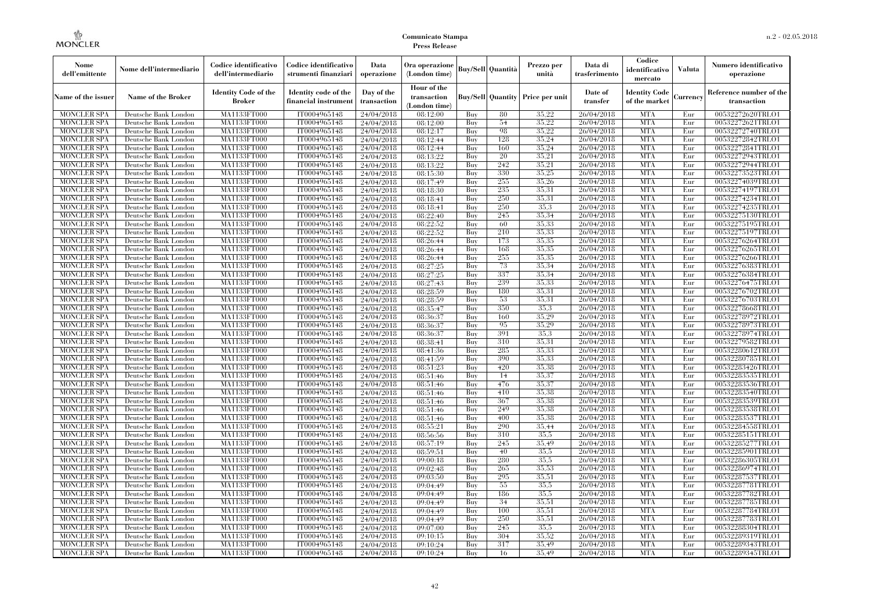| Nome<br>dell'emittente                   | Nome dell'intermediario                      | Codice identificativo<br>dell'intermediario  | Codice identificativo<br>strumenti finanziari | Data<br>operazione        | Ora operazione<br>(London time)             |            | Buy/Sell   Quantità      | Prezzo per<br>unità | Data di<br>trasferimento | Codice<br>identificativo<br>mercato   | <b>Valuta</b> | Numero identificativo<br>operazione    |
|------------------------------------------|----------------------------------------------|----------------------------------------------|-----------------------------------------------|---------------------------|---------------------------------------------|------------|--------------------------|---------------------|--------------------------|---------------------------------------|---------------|----------------------------------------|
| Name of the issuer                       | Name of the Broker                           | <b>Identity Code of the</b><br><b>Broker</b> | Identity code of the<br>financial instrument  | Day of the<br>transaction | Hour of the<br>transaction<br>(London time) |            | <b>Buy/Sell Quantity</b> | Price per unit      | Date of<br>transfer      | <b>Identity Code</b><br>of the market | Currencv      | Reference number of the<br>transaction |
| <b>MONCLER SPA</b>                       | Deutsche Bank London                         | MA1133FT000                                  | IT0004965148                                  | 24/04/2018                | 08:12:00                                    | Buy        | 80                       | 35,22               | 26/04/2018               | <b>MTA</b>                            | Eur           | 00532272620TRLO1                       |
| <b>MONCLER SPA</b>                       | Deutsche Bank London                         | <b>MA1133FT000</b>                           | IT0004965148                                  | 24/04/2018                | 08:12:00                                    | Buy        | 54                       | 35,22               | 26/04/2018               | <b>MTA</b>                            | Eur           | 00532272621TRLO1                       |
| <b>MONCLER SPA</b>                       | Deutsche Bank London                         | MA1133FT000                                  | IT0004965148                                  | 24/04/2018                | 08:12:17                                    | Buv        | 98                       | 35,22               | 26/04/2018               | <b>MTA</b>                            | Eur           | 00532272740TRLO1                       |
| <b>MONCLER SPA</b>                       | Deutsche Bank London                         | MA1133FT000                                  | IT0004965148                                  | 24/04/2018                | 08:12:44                                    | Buy        | 128                      | 35,24               | 26/04/2018               | <b>MTA</b>                            | Eur           | 00532272842TRLO1                       |
| <b>MONCLER SPA</b>                       | Deutsche Bank London                         | MA1133FT000<br><b>MA1133FT000</b>            | IT0004965148                                  | 24/04/2018                | 08:12:44                                    | Buy        | 160<br>20                | 35,24<br>35,21      | 26/04/2018<br>26/04/2018 | <b>MTA</b><br><b>MTA</b>              | Eur<br>Eur    | 00532272841TRLO1                       |
| <b>MONCLER SPA</b><br><b>MONCLER SPA</b> | Deutsche Bank London<br>Deutsche Bank London | MA1133FT000                                  | IT0004965148<br>IT0004965148                  | 24/04/2018<br>24/04/2018  | 08:13:22<br>08:13:22                        | Buy<br>Buy | 242                      | 35,21               | 26/04/2018               | <b>MTA</b>                            | Eur           | 00532272943TRLO1<br>00532272944TRLO1   |
| <b>MONCLER SPA</b>                       | Deutsche Bank London                         | MA1133FT000                                  | IT0004965148                                  | 24/04/2018                | 08:15:30                                    | Buy        | 330                      | 35,25               | 26/04/2018               | <b>MTA</b>                            | Eur           | 00532273523TRLO1                       |
| <b>MONCLER SPA</b>                       | Deutsche Bank London                         | MA1133FT000                                  | IT0004965148                                  | 24/04/2018                | 08:17:49                                    | Buy        | 255                      | 35,26               | 26/04/2018               | <b>MTA</b>                            | Eur           | 00532274039TRLO1                       |
| <b>MONCLER SPA</b>                       | Deutsche Bank London                         | MA1133FT000                                  | IT0004965148                                  | 24/04/2018                | 08:18:30                                    | Buy        | 235                      | 35.31               | 26/04/2018               | <b>MTA</b>                            | Eur           | 00532274197TRLO1                       |
| <b>MONCLER SPA</b>                       | Deutsche Bank London                         | MA1133FT000                                  | IT0004965148                                  | 24/04/2018                | 08:18:41                                    | Buy        | 250                      | 35,31               | 26/04/2018               | <b>MTA</b>                            | Eur           | 00532274234TRLO1                       |
| <b>MONCLER SPA</b>                       | Deutsche Bank London                         | MA1133FT000                                  | IT0004965148                                  | 24/04/2018                | 08:18:41                                    | Buy        | 250                      | 35.3                | 26/04/2018               | <b>MTA</b>                            | Eur           | 00532274235TRLO1                       |
| <b>MONCLER SPA</b>                       | Deutsche Bank London                         | MA1133FT000                                  | IT0004965148                                  | 24/04/2018                | 08:22:40                                    | Buy        | 245                      | 35.34               | 26/04/2018               | <b>MTA</b>                            | Eur           | 00532275130TRLO1                       |
| <b>MONCLER SPA</b>                       | Deutsche Bank London                         | MA1133FT000                                  | IT0004965148                                  | 24/04/2018                | 08:22:52                                    | Buy        | 60                       | 35,33               | 26/04/2018               | <b>MTA</b>                            | Eur           | 00532275195TRLO1                       |
| <b>MONCLER SPA</b>                       | Deutsche Bank London                         | MA1133FT000                                  | IT0004965148                                  | 24/04/2018                | 08:22:52                                    | Buy        | 210                      | 35.33               | 26/04/2018               | <b>MTA</b>                            | Eur           | 00532275197TRLO1                       |
| <b>MONCLER SPA</b>                       | Deutsche Bank London                         | MA1133FT000                                  | IT0004965148                                  | 24/04/2018                | 08:26:44                                    | Buy        | 173                      | 35,35               | 26/04/2018               | <b>MTA</b>                            | Eur           | 00532276264TRLO1                       |
| <b>MONCLER SPA</b>                       | Deutsche Bank London                         | MA1133FT000                                  | IT0004965148                                  | 24/04/2018                | 08:26:44                                    | Buy        | 168                      | 35.35               | 26/04/2018               | <b>MTA</b>                            | Eur           | 00532276265TRLO1                       |
| <b>MONCLER SPA</b>                       | Deutsche Bank London                         | MA1133FT000                                  | IT0004965148                                  | 24/04/2018                | 08:26:44                                    | Buy        | 255                      | 35,35               | 26/04/2018               | <b>MTA</b>                            | Eur           | 00532276266TRLO1                       |
| <b>MONCLER SPA</b>                       | Deutsche Bank London                         | MA1133FT000                                  | IT0004965148                                  | 24/04/2018                | 08:27:25                                    | Buy        | 73                       | 35.34               | 26/04/2018               | <b>MTA</b>                            | Eur           | 00532276383TRLO1                       |
| <b>MONCLER SPA</b>                       | Deutsche Bank London                         | MA1133FT000                                  | IT0004965148                                  | 24/04/2018                | 08:27:25                                    | Buy        | 337                      | 35.34               | 26/04/2018               | <b>MTA</b>                            | Eur           | 00532276384TRLO1                       |
| <b>MONCLER SPA</b>                       | Deutsche Bank London                         | MA1133FT000                                  | IT0004965148                                  | 24/04/2018                | 08:27:43                                    | Buy        | 239                      | 35,33               | 26/04/2018               | <b>MTA</b>                            | Eur           | 00532276475TRLO1                       |
| <b>MONCLER SPA</b>                       | Deutsche Bank London                         | MA1133FT000                                  | IT0004965148                                  | 24/04/2018                | 08:28:59                                    | Buy        | 180                      | 35,31               | 26/04/2018               | <b>MTA</b>                            | Eur           | 00532276702TRLO1                       |
| <b>MONCLER SPA</b>                       | Deutsche Bank London                         | MA1133FT000                                  | IT0004965148                                  | 24/04/2018                | 08:28:59                                    | Buy        | 53                       | 35.31               | 26/04/2018               | <b>MTA</b>                            | Eur           | 00532276703TRLO1                       |
| <b>MONCLER SPA</b>                       | Deutsche Bank London                         | MA1133FT000                                  | IT0004965148<br>IT0004965148                  | 24/04/2018                | 08:35:47                                    | Buy        | 350<br>160               | 35.3<br>35,29       | 26/04/2018               | <b>MTA</b><br><b>MTA</b>              | Eur           | 00532278668TRLO1                       |
| <b>MONCLER SPA</b><br><b>MONCLER SPA</b> | Deutsche Bank London<br>Deutsche Bank London | MA1133FT000<br>MA1133FT000                   | IT0004965148                                  | 24/04/2018<br>24/04/2018  | 08:36:37<br>08:36:37                        | Buy<br>Buy | 95                       | 35,29               | 26/04/2018<br>26/04/2018 | <b>MTA</b>                            | Eur<br>Eur    | 00532278972TRLO1<br>00532278973TRLO1   |
| <b>MONCLER SPA</b>                       | Deutsche Bank London                         | MA1133FT000                                  | IT0004965148                                  | 24/04/2018                | 08:36:37                                    | Buy        | 391                      | 35.3                | 26/04/2018               | <b>MTA</b>                            | Eur           | 00532278974TRLO1                       |
| <b>MONCLER SPA</b>                       | Deutsche Bank London                         | MA1133FT000                                  | IT0004965148                                  | 24/04/2018                | 08:38:41                                    | Buy        | 310                      | 35.31               | 26/04/2018               | <b>MTA</b>                            | Eur           | 00532279582TRLO1                       |
| <b>MONCLER SPA</b>                       | Deutsche Bank London                         | MA1133FT000                                  | IT0004965148                                  | 24/04/2018                | 08:41:36                                    | Buy        | 285                      | 35.33               | 26/04/2018               | <b>MTA</b>                            | Eur           | 00532280612TRLO1                       |
| <b>MONCLER SPA</b>                       | Deutsche Bank London                         | <b>MA1133FT000</b>                           | IT0004965148                                  | 24/04/2018                | 08:41:59                                    | Buy        | 390                      | 35.33               | 26/04/2018               | <b>MTA</b>                            | Eur           | 00532280785TRLO1                       |
| <b>MONCLER SPA</b>                       | Deutsche Bank London                         | MA1133FT000                                  | IT0004965148                                  | 24/04/2018                | 08:51:23                                    | Buy        | 420                      | 35,38               | 26/04/2018               | <b>MTA</b>                            | Eur           | 00532283426TRLO1                       |
| <b>MONCLER SPA</b>                       | Deutsche Bank London                         | MA1133FT000                                  | IT0004965148                                  | 24/04/2018                | 08:51:46                                    | Buy        | 14                       | 35,37               | 26/04/2018               | <b>MTA</b>                            | Eur           | 00532283535TRLO1                       |
| <b>MONCLER SPA</b>                       | Deutsche Bank London                         | MA1133FT000                                  | IT0004965148                                  | 24/04/2018                | 08:51:46                                    | Buy        | 476                      | 35.37               | 26/04/2018               | <b>MTA</b>                            | Eur           | 00532283536TRLO1                       |
| <b>MONCLER SPA</b>                       | Deutsche Bank London                         | MA1133FT000                                  | IT0004965148                                  | 24/04/2018                | 08:51:46                                    | Buy        | 410                      | 35.38               | 26/04/2018               | <b>MTA</b>                            | Eur           | 00532283540TRLO1                       |
| <b>MONCLER SPA</b>                       | Deutsche Bank London                         | MA1133FT000                                  | IT0004965148                                  | 24/04/2018                | 08:51:46                                    | Buy        | 367                      | 35.38               | 26/04/2018               | <b>MTA</b>                            | Eur           | 00532283539TRLO1                       |
| <b>MONCLER SPA</b>                       | Deutsche Bank London                         | MA1133FT000                                  | IT0004965148                                  | 24/04/2018                | 08:51:46                                    | Buy        | 249                      | 35,38               | 26/04/2018               | <b>MTA</b>                            | Eur           | 00532283538TRLO1                       |
| <b>MONCLER SPA</b>                       | Deutsche Bank London                         | MA1133FT000                                  | IT0004965148                                  | 24/04/2018                | 08:51:46                                    | Buy        | 400                      | 35.38               | 26/04/2018               | <b>MTA</b>                            | Eur           | 00532283537TRLO1                       |
| <b>MONCLER SPA</b>                       | Deutsche Bank London                         | <b>MA1133FT000</b>                           | IT0004965148                                  | 24/04/2018                | 08:55:21                                    | Buy        | 290                      | 35.44               | 26/04/2018               | <b>MTA</b>                            | Eur           | 00532284558TRLO1                       |
| <b>MONCLER SPA</b>                       | Deutsche Bank London                         | MA1133FT000                                  | IT0004965148                                  | 24/04/2018                | 08:56:56                                    | Buy        | 310                      | 35,5                | 26/04/2018               | <b>MTA</b>                            | Eur           | 00532285151TRLO1                       |
| <b>MONCLER SPA</b>                       | Deutsche Bank London                         | <b>MA1133FT000</b>                           | IT0004965148                                  | 24/04/2018                | 08:57:19                                    | Buy        | 245                      | 35.49               | 26/04/2018               | <b>MTA</b>                            | Eur           | 00532285277TRLO1                       |
| <b>MONCLER SPA</b>                       | Deutsche Bank London                         | MA1133FT000                                  | IT0004965148                                  | 24/04/2018                | 08:59:51                                    | Buy        | 40                       | 35,5                | 26/04/2018               | <b>MTA</b>                            | Eur           | 00532285901TRLO1                       |
| <b>MONCLER SPA</b>                       | Deutsche Bank London                         | MA1133FT000                                  | IT0004965148                                  | 24/04/2018                | 09:00:18                                    | Buy        | 280                      | 35.5                | 26/04/2018               | <b>MTA</b>                            | Eur           | 00532286305TRLO1                       |
| <b>MONCLER SPA</b>                       | Deutsche Bank London                         | MA1133FT000                                  | IT0004965148                                  | 24/04/2018                | 09:02:48                                    | Buy        | 265                      | 35,53               | 26/04/2018               | <b>MTA</b>                            | Eur           | 00532286974TRLO1                       |
| <b>MONCLER SPA</b>                       | Deutsche Bank London                         | MA1133FT000                                  | IT0004965148                                  | 24/04/2018                | 09:03:50                                    | Buy        | 295                      | 35,51               | 26/04/2018               | <b>MTA</b><br><b>MTA</b>              | Eur           | 00532287537TRLO1                       |
| <b>MONCLER SPA</b><br><b>MONCLER SPA</b> | Deutsche Bank London<br>Deutsche Bank London | MA1133FT000<br>MA1133FT000                   | IT0004965148<br>IT0004965148                  | 24/04/2018                | 09:04:49<br>09:04:49                        | Buy<br>Buy | 55<br>186                | 35.5<br>35,5        | 26/04/2018<br>26/04/2018 | <b>MTA</b>                            | Eur<br>Eur    | 00532287781TRLO1<br>00532287782TRLO1   |
| <b>MONCLER SPA</b>                       | Deutsche Bank London                         | MA1133FT000                                  | IT0004965148                                  | 24/04/2018<br>24/04/2018  | 09:04:49                                    | Buy        | 34                       | 35,51               | 26/04/2018               | <b>MTA</b>                            | Eur           | 00532287785TRLO1                       |
| <b>MONCLER SPA</b>                       | Deutsche Bank London                         | MA1133FT000                                  | IT0004965148                                  | 24/04/2018                | 09:04:49                                    | Buy        | 100                      | 35,51               | 26/04/2018               | <b>MTA</b>                            | Eur           | 00532287784TRLO1                       |
| <b>MONCLER SPA</b>                       | Deutsche Bank London                         | MA1133FT000                                  | IT0004965148                                  | 24/04/2018                | 09:04:49                                    | Buy        | 250                      | 35,51               | 26/04/2018               | <b>MTA</b>                            | Eur           | 00532287783TRLO1                       |
| <b>MONCLER SPA</b>                       | Deutsche Bank London                         | MA1133FT000                                  | IT0004965148                                  | 24/04/2018                | 09:07:00                                    | Buy        | 245                      | 35.5                | 26/04/2018               | <b>MTA</b>                            | Eur           | 00532288304TRLO1                       |
| <b>MONCLER SPA</b>                       | Deutsche Bank London                         | MA1133FT000                                  | IT0004965148                                  | 24/04/2018                | 09:10:15                                    | Buy        | 304                      | 35,52               | 26/04/2018               | <b>MTA</b>                            | Eur           | 00532289319TRLO1                       |
| <b>MONCLER SPA</b>                       | Deutsche Bank London                         | MA1133FT000                                  | IT0004965148                                  | 24/04/2018                | 09:10:24                                    | Buy        | 317                      | 35,49               | 26/04/2018               | <b>MTA</b>                            | Eur           | 00532289343TRLO1                       |
| <b>MONCLER SPA</b>                       | Deutsche Bank London                         | MA1133FT000                                  | IT0004965148                                  | 24/04/2018                | 09:10:24                                    | Buy        | 16                       | 35,49               | 26/04/2018               | <b>MTA</b>                            | Eur           | 00532289345TRLO1                       |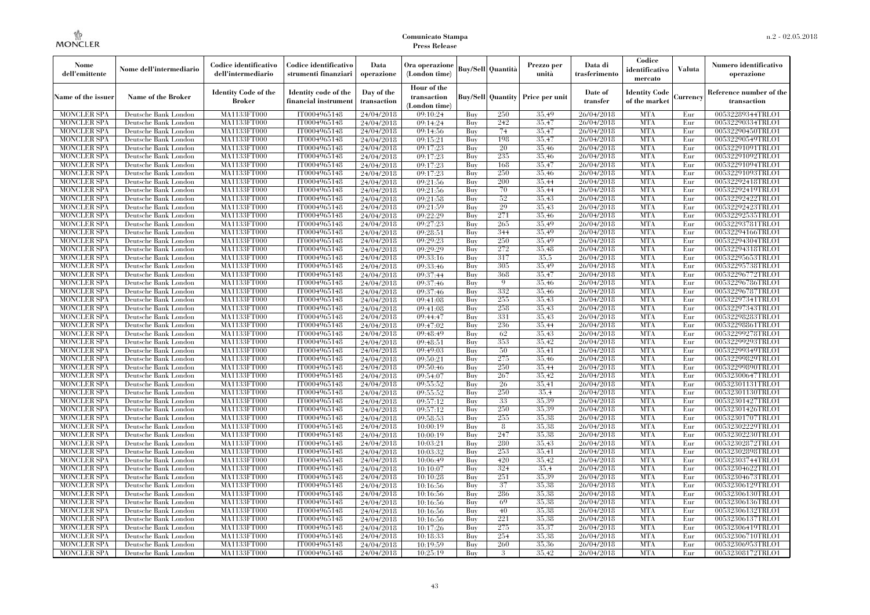| Nome<br>dell'emittente                   | Nome dell'intermediario                      | Codice identificativo<br>dell'intermediario  | Codice identificativo<br>strumenti finanziari | Data<br>operazione        | Ora operazione<br>(London time)             |            | Buy/Sell   Quantità      | Prezzo per<br>unità | Data di<br>trasferimento | Codice<br>identificativo<br>mercato   | <b>Valuta</b> | Numero identificativo<br>operazione    |
|------------------------------------------|----------------------------------------------|----------------------------------------------|-----------------------------------------------|---------------------------|---------------------------------------------|------------|--------------------------|---------------------|--------------------------|---------------------------------------|---------------|----------------------------------------|
| Name of the issuer                       | Name of the Broker                           | <b>Identity Code of the</b><br><b>Broker</b> | Identity code of the<br>financial instrument  | Day of the<br>transaction | Hour of the<br>transaction<br>(London time) |            | <b>Buy/Sell Quantity</b> | Price per unit      | Date of<br>transfer      | <b>Identity Code</b><br>of the market | Currencv      | Reference number of the<br>transaction |
| <b>MONCLER SPA</b>                       | Deutsche Bank London                         | MA1133FT000                                  | IT0004965148                                  | 24/04/2018                | 09:10:24                                    | Buy        | 250                      | 35,49               | 26/04/2018               | <b>MTA</b>                            | Eur           | 00532289344TRLO1                       |
| <b>MONCLER SPA</b>                       | Deutsche Bank London                         | <b>MA1133FT000</b>                           | IT0004965148                                  | 24/04/2018                | 09:14:24                                    | Buy        | 242                      | 35,47               | 26/04/2018               | <b>MTA</b>                            | Eur           | 00532290334TRLO1                       |
| <b>MONCLER SPA</b>                       | Deutsche Bank London                         | MA1133FT000                                  | IT0004965148                                  | 24/04/2018                | 09:14:56                                    | Buv        | 74                       | 35.47               | 26/04/2018               | <b>MTA</b>                            | Eur           | 00532290450TRLO1                       |
| <b>MONCLER SPA</b>                       | Deutsche Bank London                         | MA1133FT000                                  | IT0004965148                                  | 24/04/2018                | 09:15:21                                    | Buy        | 198                      | 35,47               | 26/04/2018               | <b>MTA</b>                            | Eur           | 00532290549TRLO1                       |
| <b>MONCLER SPA</b>                       | Deutsche Bank London                         | MA1133FT000                                  | IT0004965148                                  | 24/04/2018                | 09:17:23                                    | Buy        | 20                       | 35,46               | 26/04/2018               | <b>MTA</b>                            | Eur           | 00532291091TRLO1                       |
| MONCLER SPA                              | Deutsche Bank London                         | <b>MA1133FT000</b>                           | IT0004965148                                  | 24/04/2018                | 09:17:23                                    | Buy        | 235                      | 35,46               | 26/04/2018               | <b>MTA</b>                            | Eur           | 00532291092TRLO1                       |
| <b>MONCLER SPA</b>                       | Deutsche Bank London                         | MA1133FT000                                  | IT0004965148                                  | 24/04/2018                | 09:17:23                                    | Buy        | 168                      | 35,47               | 26/04/2018               | <b>MTA</b>                            | Eur           | 00532291094TRLO1                       |
| <b>MONCLER SPA</b>                       | Deutsche Bank London                         | MA1133FT000                                  | IT0004965148                                  | 24/04/2018                | 09:17:23                                    | Buy        | 250                      | 35.46               | 26/04/2018               | <b>MTA</b>                            | Eur           | 00532291093TRLO1                       |
| <b>MONCLER SPA</b>                       | Deutsche Bank London                         | MA1133FT000                                  | IT0004965148                                  | 24/04/2018                | 09:21:56                                    | Buy        | 200                      | 35,44               | 26/04/2018               | <b>MTA</b>                            | Eur           | 00532292418TRLO1                       |
| <b>MONCLER SPA</b>                       | Deutsche Bank London                         | <b>MA1133FT000</b>                           | IT0004965148                                  | 24/04/2018                | 09:21:56                                    | Buy        | 70<br>52                 | 35,44<br>35,43      | 26/04/2018               | <b>MTA</b><br><b>MTA</b>              | Eur           | 00532292419TRLO1                       |
| <b>MONCLER SPA</b>                       | Deutsche Bank London                         | <b>MA1133FT000</b>                           | IT0004965148                                  | 24/04/2018                | 09:21:58                                    | Buy        | 29                       | 35,43               | 26/04/2018               | <b>MTA</b>                            | Eur           | 00532292422TRLO1                       |
| <b>MONCLER SPA</b><br><b>MONCLER SPA</b> | Deutsche Bank London<br>Deutsche Bank London | MA1133FT000<br>MA1133FT000                   | IT0004965148<br>IT0004965148                  | 24/04/2018                | 09:21:59<br>09:22:29                        | Buy<br>Buy | 271                      | 35,46               | 26/04/2018<br>26/04/2018 | <b>MTA</b>                            | Eur<br>Eur    | 00532292423TRLO1<br>00532292535TRLO1   |
| <b>MONCLER SPA</b>                       |                                              | MA1133FT000                                  | IT0004965148                                  | 24/04/2018                |                                             | Buy        | 265                      | 35,49               | 26/04/2018               | <b>MTA</b>                            | Eur           | 00532293781TRLO1                       |
| <b>MONCLER SPA</b>                       | Deutsche Bank London                         | MA1133FT000                                  | IT0004965148                                  | 24/04/2018                | 09:27:23                                    | Buy        | 344                      | 35.49               | 26/04/2018               | <b>MTA</b>                            | Eur           | 00532294166TRLO1                       |
| <b>MONCLER SPA</b>                       | Deutsche Bank London<br>Deutsche Bank London | MA1133FT000                                  | IT0004965148                                  | 24/04/2018<br>24/04/2018  | 09:28:51<br>09:29:23                        | Buy        | 250                      | 35,49               | 26/04/2018               | <b>MTA</b>                            | Eur           | 00532294304TRLO1                       |
| <b>MONCLER SPA</b>                       | Deutsche Bank London                         | MA1133FT000                                  | IT0004965148                                  | 24/04/2018                | 09:29:29                                    | Buy        | 272                      | 35.48               | 26/04/2018               | <b>MTA</b>                            | Eur           | 00532294318TRLO1                       |
| <b>MONCLER SPA</b>                       | Deutsche Bank London                         | MA1133FT000                                  | IT0004965148                                  | 24/04/2018                | 09:33:16                                    | Buy        | 317                      | 35.5                | 26/04/2018               | <b>MTA</b>                            | Eur           | 00532295653TRLO1                       |
| <b>MONCLER SPA</b>                       | Deutsche Bank London                         | MA1133FT000                                  | IT0004965148                                  | 24/04/2018                | 09:33:46                                    | Buy        | 305                      | 35,49               | 26/04/2018               | <b>MTA</b>                            | Eur           | 00532295738TRLO1                       |
| <b>MONCLER SPA</b>                       | Deutsche Bank London                         | MA1133FT000                                  | IT0004965148                                  | 24/04/2018                | 09:37:44                                    | Buy        | 368                      | 35,47               | 26/04/2018               | <b>MTA</b>                            | Eur           | 00532296772TRLO1                       |
| <b>MONCLER SPA</b>                       | Deutsche Bank London                         | MA1133FT000                                  | IT0004965148                                  | 24/04/2018                | 09:37:46                                    | Buy        | $\overline{Q}$           | 35,46               | 26/04/2018               | <b>MTA</b>                            | Eur           | 00532296786TRLO1                       |
| <b>MONCLER SPA</b>                       | Deutsche Bank London                         | MA1133FT000                                  | IT0004965148                                  | 24/04/2018                | 09:37:46                                    | Buy        | 332                      | 35,46               | 26/04/2018               | <b>MTA</b>                            | Eur           | 00532296787TRLO1                       |
| <b>MONCLER SPA</b>                       | Deutsche Bank London                         | MA1133FT000                                  | IT0004965148                                  | 24/04/2018                | 09:41:08                                    | Buy        | 255                      | 35,43               | 26/04/2018               | <b>MTA</b>                            | Eur           | 00532297341TRLO1                       |
| <b>MONCLER SPA</b>                       | Deutsche Bank London                         | MA1133FT000                                  | IT0004965148                                  | 24/04/2018                | 09:41:08                                    | Buy        | 258                      | 35.43               | 26/04/2018               | <b>MTA</b>                            | Eur           | 00532297343TRLO1                       |
| <b>MONCLER SPA</b>                       | Deutsche Bank London                         | MA1133FT000                                  | IT0004965148                                  | 24/04/2018                | 09:44:47                                    | Buy        | 331                      | 35.43               | 26/04/2018               | <b>MTA</b>                            | Eur           | 00532298283TRLO1                       |
| <b>MONCLER SPA</b>                       | Deutsche Bank London                         | MA1133FT000                                  | IT0004965148                                  | 24/04/2018                | 09:47:02                                    | Buy        | 236                      | 35,44               | 26/04/2018               | <b>MTA</b>                            | Eur           | 00532298861TRLO1                       |
| <b>MONCLER SPA</b>                       | Deutsche Bank London                         | MA1133FT000                                  | IT0004965148                                  | 24/04/2018                | 09:48:49                                    | Buy        | 62                       | 35,43               | 26/04/2018               | <b>MTA</b>                            | Eur           | 00532299278TRLO1                       |
| <b>MONCLER SPA</b>                       | Deutsche Bank London                         | MA1133FT000                                  | IT0004965148                                  | 24/04/2018                | 09:48:51                                    | Buy        | 353                      | 35.42               | 26/04/2018               | <b>MTA</b>                            | Eur           | 00532299293TRLO1                       |
| <b>MONCLER SPA</b>                       | Deutsche Bank London                         | MA1133FT000                                  | IT0004965148                                  | 24/04/2018                | 09:49:03                                    | Buy        | 50                       | 35,41               | 26/04/2018               | <b>MTA</b>                            | Eur           | 00532299349TRLO1                       |
| <b>MONCLER SPA</b>                       | Deutsche Bank London                         | <b>MA1133FT000</b>                           | IT0004965148                                  | 24/04/2018                | 09:50:21                                    | Buy        | 275                      | 35,46               | 26/04/2018               | <b>MTA</b>                            | Eur           | 00532299829TRLO1                       |
| <b>MONCLER SPA</b>                       | Deutsche Bank London                         | MA1133FT000                                  | IT0004965148                                  | 24/04/2018                | 09:50:46                                    | Buy        | 250                      | 35,44               | 26/04/2018               | <b>MTA</b>                            | Eur           | 00532299890TRLO1                       |
| <b>MONCLER SPA</b>                       | Deutsche Bank London                         | MA1133FT000                                  | IT0004965148                                  | 24/04/2018                | 09:54:07                                    | Buy        | 267                      | 35,42               | 26/04/2018               | <b>MTA</b>                            | Eur           | 00532300647TRLO1                       |
| <b>MONCLER SPA</b>                       | Deutsche Bank London                         | MA1133FT000                                  | IT0004965148                                  | 24/04/2018                | 09:55:52                                    | Buy        | 26                       | 35,41               | 26/04/2018               | <b>MTA</b>                            | Eur           | 00532301131TRLO1                       |
| <b>MONCLER SPA</b>                       | Deutsche Bank London                         | MA1133FT000                                  | IT0004965148                                  | 24/04/2018                | 09:55:52                                    | Buy        | 250                      | 35.4                | 26/04/2018               | <b>MTA</b>                            | Eur           | 00532301130TRLO1                       |
| <b>MONCLER SPA</b>                       | Deutsche Bank London                         | MA1133FT000                                  | IT0004965148                                  | 24/04/2018                | 09:57:12                                    | Buy        | 33                       | 35.39               | 26/04/2018               | <b>MTA</b>                            | Eur           | 00532301427TRLO1                       |
| <b>MONCLER SPA</b>                       | Deutsche Bank London                         | MA1133FT000                                  | IT0004965148                                  | 24/04/2018                | 09:57:12                                    | Buy        | 250                      | 35.39               | 26/04/2018               | <b>MTA</b>                            | Eur           | 00532301426TRLO1                       |
| <b>MONCLER SPA</b>                       | Deutsche Bank London                         | MA1133FT000                                  | IT0004965148                                  | 24/04/2018                | 09:58:53                                    | Buy        | 255                      | 35.38               | 26/04/2018               | <b>MTA</b>                            | Eur           | 00532301707TRLO1                       |
| <b>MONCLER SPA</b>                       | Deutsche Bank London                         | <b>MA1133FT000</b>                           | IT0004965148                                  | 24/04/2018                | 10:00:19                                    | Buy        | 8                        | 35.38               | 26/04/2018               | <b>MTA</b>                            | Eur           | 00532302229TRLO1                       |
| <b>MONCLER SPA</b>                       | Deutsche Bank London                         | MA1133FT000                                  | IT0004965148                                  | 24/04/2018                | 10:00:19                                    | Buy        | 247                      | 35,38               | 26/04/2018               | <b>MTA</b>                            | Eur           | 00532302230TRLO1                       |
| <b>MONCLER SPA</b>                       | Deutsche Bank London                         | <b>MA1133FT000</b>                           | IT0004965148                                  | 24/04/2018                | 10:03:21                                    | Buy        | 280                      | 35.43               | 26/04/2018               | <b>MTA</b>                            | Eur           | 00532302872TRLO1                       |
| <b>MONCLER SPA</b>                       | Deutsche Bank London                         | MA1133FT000                                  | IT0004965148                                  | 24/04/2018                | 10:03:32                                    | Buy        | 253                      | 35,41               | 26/04/2018               | <b>MTA</b>                            | Eur           | 00532302898TRLO1                       |
| <b>MONCLER SPA</b>                       | Deutsche Bank London                         | MA1133FT000                                  | IT0004965148                                  | 24/04/2018                | 10:06:49                                    | Buy        | 420                      | 35,42               | 26/04/2018               | <b>MTA</b>                            | Eur           | 00532303744TRLO1                       |
| <b>MONCLER SPA</b>                       | Deutsche Bank London                         | MA1133FT000                                  | IT0004965148                                  | 24/04/2018                | 10:10:07                                    | Buy        | 324                      | 35.4                | 26/04/2018               | <b>MTA</b>                            | Eur           | 00532304622TRLO1                       |
| <b>MONCLER SPA</b>                       | Deutsche Bank London                         | MA1133FT000                                  | IT0004965148                                  | 24/04/2018                | 10:10:28                                    | Buy        | 251                      | 35.39               | 26/04/2018               | <b>MTA</b>                            | Eur           | 00532304673TRLO1                       |
| <b>MONCLER SPA</b>                       | Deutsche Bank London                         | MA1133FT000                                  | IT0004965148                                  | 24/04/2018                | 10:16:56                                    | Buy        | 37                       | 35,38               | 26/04/2018               | <b>MTA</b>                            | Eur           | 00532306129TRLO1                       |
| <b>MONCLER SPA</b>                       | Deutsche Bank London                         | MA1133FT000                                  | IT0004965148                                  | 24/04/2018                | 10:16:56                                    | Buy        | 286                      | 35.38               | 26/04/2018               | <b>MTA</b>                            | Eur           | 00532306130TRLO1                       |
| <b>MONCLER SPA</b>                       | Deutsche Bank London                         | MA1133FT000                                  | IT0004965148                                  | 24/04/2018                | 10:16:56                                    | Buy        | 69                       | 35.38               | 26/04/2018               | <b>MTA</b>                            | Eur           | 00532306136TRLO1                       |
| <b>MONCLER SPA</b>                       | Deutsche Bank London                         | MA1133FT000                                  | IT0004965148                                  | 24/04/2018                | 10:16:56                                    | Buy        | 40                       | 35,38               | 26/04/2018               | <b>MTA</b>                            | Eur           | 00532306132TRLO1                       |
| <b>MONCLER SPA</b>                       | Deutsche Bank London                         | MA1133FT000                                  | IT0004965148                                  | 24/04/2018                | 10:16:56                                    | Buy        | 221                      | 35.38               | 26/04/2018               | <b>MTA</b>                            | Eur           | 00532306137TRLO1                       |
| <b>MONCLER SPA</b>                       | Deutsche Bank London                         | MA1133FT000                                  | IT0004965148                                  | 24/04/2018                | 10:17:26                                    | Buy        | 275                      | 35.37               | 26/04/2018               | <b>MTA</b>                            | Eur           | 00532306419TRLO1                       |
| <b>MONCLER SPA</b>                       | Deutsche Bank London                         | MA1133FT000                                  | IT0004965148                                  | 24/04/2018                | 10:18:33                                    | Buy        | 254                      | 35,38               | 26/04/2018               | <b>MTA</b>                            | Eur           | 00532306710TRLO1                       |
| <b>MONCLER SPA</b>                       | Deutsche Bank London                         | MA1133FT000                                  | IT0004965148                                  | 24/04/2018                | 10:19:59                                    | Buy        | 260                      | 35,36               | 26/04/2018               | <b>MTA</b>                            | Eur           | 00532306953TRLO1                       |
| <b>MONCLER SPA</b>                       | Deutsche Bank London                         | MA1133FT000                                  | IT0004965148                                  | 24/04/2018                | 10:25:19                                    | Buy        | 3                        | 35,42               | 26/04/2018               | <b>MTA</b>                            | Eur           | 00532308172TRLO1                       |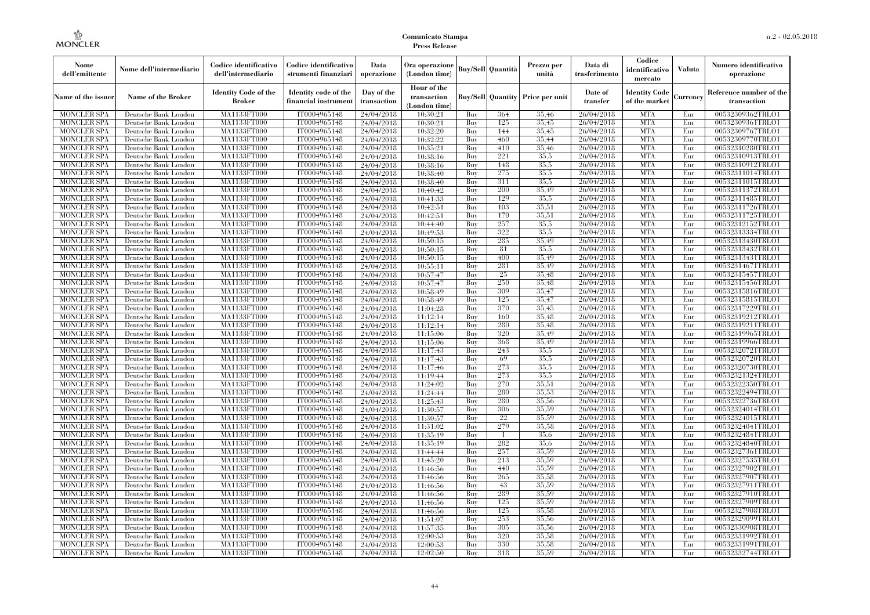| Nome<br>dell'emittente                   | Nome dell'intermediario                      | Codice identificativo<br>dell'intermediario  | Codice identificativo<br>strumenti finanziari | Data<br>operazione        | Ora operazione<br>(London time)             |            | <b>Buy/Sell   Quantità</b> | Prezzo per<br>unità | Data di<br>trasferimento | Codice<br>identificativo<br>mercato   | <b>Valuta</b> | Numero identificativo<br>operazione    |
|------------------------------------------|----------------------------------------------|----------------------------------------------|-----------------------------------------------|---------------------------|---------------------------------------------|------------|----------------------------|---------------------|--------------------------|---------------------------------------|---------------|----------------------------------------|
| Name of the issuer                       | Name of the Broker                           | <b>Identity Code of the</b><br><b>Broker</b> | Identity code of the<br>financial instrument  | Day of the<br>transaction | Hour of the<br>transaction<br>(London time) |            | <b>Buy/Sell Quantity</b>   | Price per unit      | Date of<br>transfer      | <b>Identity Code</b><br>of the market | Currencv      | Reference number of the<br>transaction |
| <b>MONCLER SPA</b>                       | Deutsche Bank London                         | MA1133FT000                                  | IT0004965148                                  | 24/04/2018                | 10:30:21                                    | Buy        | 364                        | 35.46               | 26/04/2018               | <b>MTA</b>                            | Eur           | 00532309362TRLO1                       |
| <b>MONCLER SPA</b>                       | Deutsche Bank London                         | <b>MA1133FT000</b>                           | IT0004965148                                  | 24/04/2018                | 10:30:21                                    | Buy        | 125                        | 35.45               | 26/04/2018               | <b>MTA</b>                            | Eur           | 00532309361TRLO1                       |
| <b>MONCLER SPA</b>                       | Deutsche Bank London                         | MA1133FT000                                  | IT0004965148                                  | 24/04/2018                | 10:32:20                                    | Buy        | 144                        | 35.45               | 26/04/2018               | <b>MTA</b>                            | Eur           | 00532309767TRLO1                       |
| <b>MONCLER SPA</b>                       | Deutsche Bank London                         | <b>MA1133FT000</b>                           | IT0004965148                                  | 24/04/2018                | 10:32:22                                    | Buy        | 460                        | 35,44               | 26/04/2018               | <b>MTA</b>                            | Eur           | 00532309770TRLO1                       |
| <b>MONCLER SPA</b>                       | Deutsche Bank London                         | <b>MA1133FT000</b>                           | IT0004965148                                  | 24/04/2018                | 10:35:21                                    | Buy        | 410<br>221                 | 35,46               | 26/04/2018               | <b>MTA</b><br><b>MTA</b>              | Eur           | 00532310280TRLO1                       |
| <b>MONCLER SPA</b><br><b>MONCLER SPA</b> | Deutsche Bank London<br>Deutsche Bank London | MA1133FT000<br>MA1133FT000                   | IT0004965148<br>IT0004965148                  | 24/04/2018<br>24/04/2018  | 10:38:16<br>10:38:16                        | Buy<br>Buy | 148                        | 35,5<br>35,5        | 26/04/2018<br>26/04/2018 | <b>MTA</b>                            | Eur<br>Eur    | 00532310913TRLO1<br>00532310912TRLO1   |
| <b>MONCLER SPA</b>                       | Deutsche Bank London                         | MA1133FT000                                  | IT0004965148                                  | 24/04/2018                | 10:38:40                                    | Buy        | 275                        | 35.5                | 26/04/2018               | <b>MTA</b>                            | Eur           | 00532311014TRLO1                       |
| <b>MONCLER SPA</b>                       | Deutsche Bank London                         | <b>MA1133FT000</b>                           | IT0004965148                                  | 24/04/2018                | 10:38:40                                    | Buy        | 311                        | 35.5                | 26/04/2018               | <b>MTA</b>                            | Eur           | 00532311015TRLO1                       |
| <b>MONCLER SPA</b>                       | Deutsche Bank London                         | MA1133FT000                                  | IT0004965148                                  | 24/04/2018                | 10:40:42                                    | Buy        | 200                        | 35,49               | 26/04/2018               | <b>MTA</b>                            | Eur           | 00532311372TRLO1                       |
| <b>MONCLER SPA</b>                       | Deutsche Bank London                         | MA1133FT000                                  | IT0004965148                                  | 24/04/2018                | 10:41:33                                    | Buy        | 129                        | 35.5                | 26/04/2018               | <b>MTA</b>                            | Eur           | 00532311485TRLO1                       |
| <b>MONCLER SPA</b>                       | Deutsche Bank London                         | MA1133FT000                                  | IT0004965148                                  | 24/04/2018                | 10:42:51                                    | Buy        | 103                        | 35,51               | 26/04/2018               | <b>MTA</b>                            | Eur           | 00532311726TRLO1                       |
| <b>MONCLER SPA</b>                       | Deutsche Bank London                         | MA1133FT000                                  | IT0004965148                                  | 24/04/2018                | 10:42:51                                    | Buy        | 170                        | 35,51               | 26/04/2018               | <b>MTA</b>                            | Eur           | 00532311725TRLO1                       |
| <b>MONCLER SPA</b>                       | Deutsche Bank London                         | <b>MA1133FT000</b>                           | IT0004965148                                  | 24/04/2018                | 10:44:40                                    | Buy        | 257                        | 35,5                | 26/04/2018               | <b>MTA</b>                            | Eur           | 00532312152TRLO1                       |
| <b>MONCLER SPA</b>                       | Deutsche Bank London                         | MA1133FT000                                  | IT0004965148                                  | 24/04/2018                | 10:49:53                                    | Buy        | 322                        | 35.5                | 26/04/2018               | <b>MTA</b>                            | Eur           | 00532313334TRLO1                       |
| <b>MONCLER SPA</b>                       | Deutsche Bank London                         | MA1133FT000                                  | IT0004965148                                  | 24/04/2018                | 10:50:15                                    | Buy        | 285                        | 35,49               | 26/04/2018               | <b>MTA</b>                            | Eur           | 00532313430TRLO1                       |
| <b>MONCLER SPA</b>                       | Deutsche Bank London                         | MA1133FT000                                  | IT0004965148                                  | 24/04/2018                | 10:50:15                                    | Buy        | 81                         | 35.5                | 26/04/2018               | <b>MTA</b>                            | Eur           | 00532313432TRLO1                       |
| <b>MONCLER SPA</b>                       | Deutsche Bank London                         | <b>MA1133FT000</b>                           | IT0004965148                                  | 24/04/2018                | 10:50:15                                    | Buy        | 400                        | 35.49               | 26/04/2018               | <b>MTA</b>                            | Eur           | 00532313431TRLO1                       |
| <b>MONCLER SPA</b>                       | Deutsche Bank London                         | MA1133FT000                                  | IT0004965148                                  | 24/04/2018                | 10:55:11                                    | Buy        | 281                        | 35,49               | 26/04/2018               | <b>MTA</b>                            | Eur           | 00532314671TRLO1                       |
| <b>MONCLER SPA</b>                       | Deutsche Bank London                         | MA1133FT000                                  | IT0004965148                                  | 24/04/2018                | 10:57:47                                    | Buy        | 25                         | 35.48               | 26/04/2018               | <b>MTA</b>                            | Eur           | 00532315457TRLO1                       |
| <b>MONCLER SPA</b>                       | Deutsche Bank London                         | MA1133FT000                                  | IT0004965148                                  | 24/04/2018                | 10:57:47                                    | Buy        | 250                        | 35.48               | 26/04/2018               | <b>MTA</b>                            | Eur           | 00532315456TRLO1                       |
| <b>MONCLER SPA</b>                       | Deutsche Bank London                         | MA1133FT000                                  | IT0004965148                                  | 24/04/2018                | 10:58:49                                    | Buy        | 309                        | 35,47               | 26/04/2018               | <b>MTA</b>                            | Eur           | 00532315816TRLO1                       |
| <b>MONCLER SPA</b>                       | Deutsche Bank London                         | <b>MA1133FT000</b>                           | IT0004965148                                  | 24/04/2018                | 10:58:49                                    | Buy        | 125                        | 35,47               | 26/04/2018               | <b>MTA</b>                            | Eur           | 00532315815TRLO1                       |
| <b>MONCLER SPA</b><br><b>MONCLER SPA</b> | Deutsche Bank London<br>Deutsche Bank London | MA1133FT000<br>MA1133FT000                   | IT0004965148<br>IT0004965148                  | 24/04/2018<br>24/04/2018  | 11:04:28<br>11:12:14                        | Buy<br>Buv | 370<br>160                 | 35,45<br>35.48      | 26/04/2018<br>26/04/2018 | <b>MTA</b><br><b>MTA</b>              | Eur<br>Eur    | 00532317229TRLO1<br>00532319212TRLO1   |
| <b>MONCLER SPA</b>                       | Deutsche Bank London                         | <b>MA1133FT000</b>                           | IT0004965148                                  | 24/04/2018                | 11:12:14                                    | Buy        | 280                        | 35.48               | 26/04/2018               | <b>MTA</b>                            | Eur           | 00532319211TRLO1                       |
| <b>MONCLER SPA</b>                       | Deutsche Bank London                         | MA1133FT000                                  | IT0004965148                                  | 24/04/2018                | 11:15:06                                    | Buy        | 320                        | 35,49               | 26/04/2018               | <b>MTA</b>                            | Eur           | 00532319965TRLO1                       |
| <b>MONCLER SPA</b>                       | Deutsche Bank London                         | MA1133FT000                                  | IT0004965148                                  | 24/04/2018                | 11:15:06                                    | Buy        | 368                        | 35,49               | 26/04/2018               | <b>MTA</b>                            | Eur           | 00532319966TRLO1                       |
| <b>MONCLER SPA</b>                       | Deutsche Bank London                         | MA1133FT000                                  | IT0004965148                                  | 24/04/2018                | 11:17:43                                    | Buy        | 243                        | 35.5                | 26/04/2018               | <b>MTA</b>                            | Eur           | 00532320721TRLO1                       |
| <b>MONCLER SPA</b>                       | Deutsche Bank London                         | MA1133FT000                                  | IT0004965148                                  | 24/04/2018                | 11:17:43                                    | Buy        | 69                         | 35,5                | 26/04/2018               | <b>MTA</b>                            | Eur           | 00532320720TRLO1                       |
| <b>MONCLER SPA</b>                       | Deutsche Bank London                         | MA1133FT000                                  | IT0004965148                                  | 24/04/2018                | 11:17:46                                    | Buy        | 273                        | 35,5                | 26/04/2018               | <b>MTA</b>                            | Eur           | 00532320730TRLO1                       |
| <b>MONCLER SPA</b>                       | Deutsche Bank London                         | MA1133FT000                                  | IT0004965148                                  | 24/04/2018                | 11:19:44                                    | Buy        | 273                        | 35,5                | 26/04/2018               | <b>MTA</b>                            | Eur           | 00532321324TRLO1                       |
| <b>MONCLER SPA</b>                       | Deutsche Bank London                         | MA1133FT000                                  | IT0004965148                                  | 24/04/2018                | 11:24:02                                    | Buy        | 270                        | 35,51               | 26/04/2018               | <b>MTA</b>                            | Eur           | 00532322350TRLO1                       |
| <b>MONCLER SPA</b>                       | Deutsche Bank London                         | MA1133FT000                                  | IT0004965148                                  | 24/04/2018                | 11:24:44                                    | Buy        | 280                        | 35,53               | 26/04/2018               | <b>MTA</b>                            | Eur           | 00532322494TRLO1                       |
| <b>MONCLER SPA</b>                       | Deutsche Bank London                         | MA1133FT000                                  | IT0004965148                                  | 24/04/2018                | 11:25:43                                    | Buy        | 280                        | 35,56               | 26/04/2018               | <b>MTA</b>                            | Eur           | 00532322736TRLO1                       |
| <b>MONCLER SPA</b>                       | Deutsche Bank London                         | <b>MA1133FT000</b>                           | IT0004965148                                  | 24/04/2018                | 11:30:57                                    | Buy        | 306                        | 35,59               | 26/04/2018               | <b>MTA</b>                            | Eur           | 00532324014TRLO1                       |
| <b>MONCLER SPA</b>                       | Deutsche Bank London                         | MA1133FT000                                  | IT0004965148                                  | 24/04/2018                | 11:30:57                                    | Buy        | 22                         | 35,59               | 26/04/2018               | <b>MTA</b>                            | Eur           | 00532324015TRLO1                       |
| <b>MONCLER SPA</b>                       | Deutsche Bank London                         | MA1133FT000                                  | IT0004965148                                  | 24/04/2018                | 11:31:02                                    | Buy        | 279                        | 35,58               | 26/04/2018               | <b>MTA</b>                            | Eur           | 00532324041TRLO1                       |
| <b>MONCLER SPA</b>                       | Deutsche Bank London                         | MA1133FT000                                  | IT0004965148                                  | 24/04/2018                | 11:35:19                                    | Buy        | $\mathbf{1}$               | 35,6                | 26/04/2018               | <b>MTA</b>                            | Eur           | 00532324841TRLO1                       |
| <b>MONCLER SPA</b>                       | Deutsche Bank London                         | MA1133FT000                                  | IT0004965148                                  | 24/04/2018                | 11:35:19                                    | Buy        | 282                        | 35,6                | 26/04/2018               | <b>MTA</b>                            | Eur           | 00532324840TRLO1                       |
| <b>MONCLER SPA</b>                       | Deutsche Bank London                         | MA1133FT000                                  | IT0004965148                                  | 24/04/2018                | 11:44:44                                    | Buy        | 257                        | 35,59               | 26/04/2018               | <b>MTA</b>                            | Eur           | 00532327361TRLO1                       |
| <b>MONCLER SPA</b><br><b>MONCLER SPA</b> | Deutsche Bank London<br>Deutsche Bank London | MA1133FT000<br>MA1133FT000                   | IT0004965148<br>IT0004965148                  | 24/04/2018                | 11:45:20<br>11:46:56                        | Buy<br>Buy | 213<br>440                 | 35,59<br>35,59      | 26/04/2018<br>26/04/2018 | <b>MTA</b><br><b>MTA</b>              | Eur<br>Eur    | 00532327535TRLO1<br>00532327902TRLO1   |
| <b>MONCLER SPA</b>                       | Deutsche Bank London                         | MA1133FT000                                  | IT0004965148                                  | 24/04/2018                | 11:46:56                                    | Buy        | 265                        | 35,58               | 26/04/2018               | <b>MTA</b>                            | Eur           | 00532327907TRLO1                       |
| <b>MONCLER SPA</b>                       | Deutsche Bank London                         | MA1133FT000                                  | IT0004965148                                  | 24/04/2018<br>24/04/2018  | 11:46:56                                    | Buy        | 43                         | 35,59               | 26/04/2018               | <b>MTA</b>                            | Eur           | 00532327911TRLO1                       |
| <b>MONCLER SPA</b>                       | Deutsche Bank London                         | MA1133FT000                                  | IT0004965148                                  | 24/04/2018                | 11:46:56                                    | Buy        | 289                        | 35,59               | 26/04/2018               | <b>MTA</b>                            | Eur           | 00532327910TRLO1                       |
| <b>MONCLER SPA</b>                       | Deutsche Bank London                         | MA1133FT000                                  | IT0004965148                                  | 24/04/2018                | 11:46:56                                    | Buy        | 125                        | 35.59               | 26/04/2018               | <b>MTA</b>                            | Eur           | 00532327909TRLO1                       |
| <b>MONCLER SPA</b>                       | Deutsche Bank London                         | MA1133FT000                                  | IT0004965148                                  | 24/04/2018                | 11:46:56                                    | Buy        | 125                        | 35,58               | 26/04/2018               | <b>MTA</b>                            | Eur           | 00532327908TRLO1                       |
| <b>MONCLER SPA</b>                       | Deutsche Bank London                         | MA1133FT000                                  | IT0004965148                                  | 24/04/2018                | 11:51:07                                    | Buy        | 253                        | 35,56               | 26/04/2018               | <b>MTA</b>                            | Eur           | 00532329099TRLO1                       |
| <b>MONCLER SPA</b>                       | Deutsche Bank London                         | MA1133FT000                                  | IT0004965148                                  | 24/04/2018                | 11:57:35                                    | Buy        | 305                        | 35,56               | 26/04/2018               | <b>MTA</b>                            | Eur           | 00532330908TRLO1                       |
| <b>MONCLER SPA</b>                       | Deutsche Bank London                         | MA1133FT000                                  | IT0004965148                                  | 24/04/2018                | 12:00:53                                    | Buy        | 320                        | 35,58               | 26/04/2018               | <b>MTA</b>                            | Eur           | 00532331992TRLO1                       |
| <b>MONCLER SPA</b>                       | Deutsche Bank London                         | MA1133FT000                                  | IT0004965148                                  | 24/04/2018                | 12:00:53                                    | Buy        | 330                        | 35,58               | 26/04/2018               | <b>MTA</b>                            | Eur           | 00532331991TRLO1                       |
| <b>MONCLER SPA</b>                       | Deutsche Bank London                         | MA1133FT000                                  | IT0004965148                                  | 24/04/2018                | 12:02:50                                    | Buy        | 318                        | 35,59               | 26/04/2018               | <b>MTA</b>                            | Eur           | 00532332744TRLO1                       |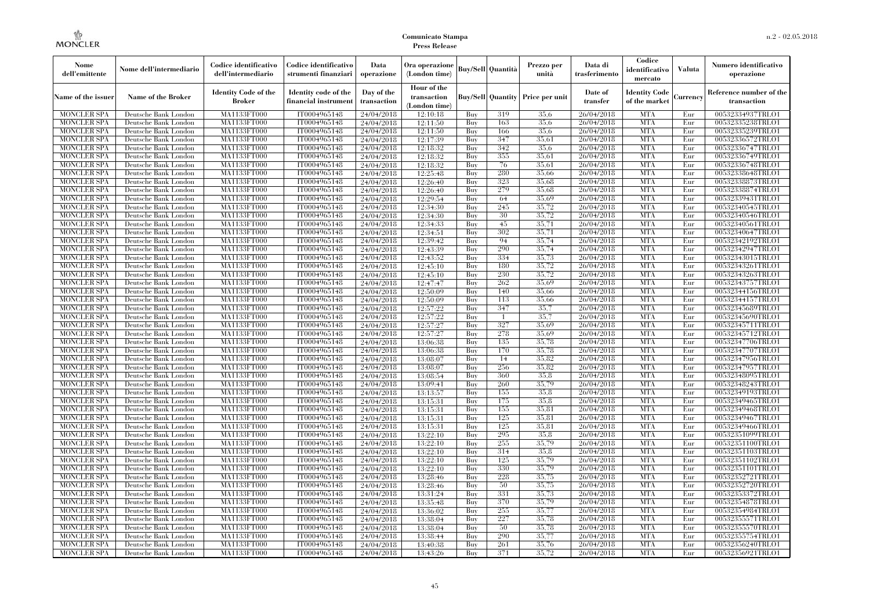| Nome<br>dell'emittente                   | Nome dell'intermediario                      | Codice identificativo<br>dell'intermediario | Codice identificativo<br>strumenti finanziari | Data<br>operazione        | Ora operazione<br>(London time)             |            | Buy/Sell   Quantità      | Prezzo per<br>unità | Data di<br>trasferimento | Codice<br>identificativo<br>mercato   | <b>Valuta</b> | Numero identificativo<br>operazione    |
|------------------------------------------|----------------------------------------------|---------------------------------------------|-----------------------------------------------|---------------------------|---------------------------------------------|------------|--------------------------|---------------------|--------------------------|---------------------------------------|---------------|----------------------------------------|
| Name of the issuer                       | Name of the Broker                           | <b>Identity Code of the</b><br>Broker       | Identity code of the<br>financial instrument  | Day of the<br>transaction | Hour of the<br>transaction<br>(London time) |            | <b>Buy/Sell Quantity</b> | Price per unit      | Date of<br>transfer      | <b>Identity Code</b><br>of the market | Currencv      | Reference number of the<br>transaction |
| <b>MONCLER SPA</b>                       | Deutsche Bank London                         | MA1133FT000                                 | IT0004965148                                  | 24/04/2018                | 12:10:18                                    | Buy        | 319                      | 35.6                | 26/04/2018               | <b>MTA</b>                            | Eur           | 00532334937TRLO1                       |
| <b>MONCLER SPA</b>                       | Deutsche Bank London                         | <b>MA1133FT000</b>                          | IT0004965148                                  | 24/04/2018                | 12:11:50                                    | Buy        | 163                      | 35.6                | 26/04/2018               | <b>MTA</b>                            | Eur           | 00532335238TRLO1                       |
| <b>MONCLER SPA</b>                       | Deutsche Bank London                         | MA1133FT000                                 | IT0004965148                                  | 24/04/2018                | 12:11:50                                    | Buv        | 166                      | 35.6                | 26/04/2018               | <b>MTA</b>                            | Eur           | 00532335239TRLO1                       |
| <b>MONCLER SPA</b>                       | Deutsche Bank London                         | MA1133FT000                                 | IT0004965148                                  | 24/04/2018                | 12:17:39                                    | Buy        | 347                      | 35,61               | 26/04/2018               | <b>MTA</b>                            | Eur           | 00532336572TRLO1                       |
| <b>MONCLER SPA</b>                       | Deutsche Bank London                         | MA1133FT000                                 | IT0004965148                                  | 24/04/2018                | 12:18:32                                    | Buy        | 342                      | 35,6                | 26/04/2018               | <b>MTA</b>                            | Eur           | 00532336747TRLO1                       |
| MONCLER SPA                              | Deutsche Bank London                         | <b>MA1133FT000</b>                          | IT0004965148                                  | 24/04/2018                | 12:18:32                                    | Buy        | 355                      | 35,61               | 26/04/2018               | <b>MTA</b>                            | Eur           | 00532336749TRLO1                       |
| <b>MONCLER SPA</b>                       | Deutsche Bank London                         | MA1133FT000                                 | IT0004965148                                  | 24/04/2018                | 12:18:32                                    | Buy        | 76                       | 35,61               | 26/04/2018               | <b>MTA</b>                            | Eur           | 00532336748TRLO1                       |
| <b>MONCLER SPA</b>                       | Deutsche Bank London                         | MA1133FT000                                 | IT0004965148                                  | 24/04/2018                | 12:25:48                                    | Buy        | 280                      | 35,66               | 26/04/2018               | <b>MTA</b>                            | Eur           | 00532338648TRLO1                       |
| <b>MONCLER SPA</b>                       | Deutsche Bank London                         | MA1133FT000                                 | IT0004965148                                  | 24/04/2018                | 12:26:40                                    | Buy        | 323                      | 35,68               | 26/04/2018               | <b>MTA</b>                            | Eur           | 00532338873TRLO1                       |
| <b>MONCLER SPA</b>                       | Deutsche Bank London                         | MA1133FT000                                 | IT0004965148                                  | 24/04/2018                | 12:26:40                                    | Buy        | 279                      | 35,68               | 26/04/2018               | <b>MTA</b>                            | Eur           | 00532338874TRLO1                       |
| <b>MONCLER SPA</b>                       | Deutsche Bank London                         | MA1133FT000                                 | IT0004965148                                  | 24/04/2018                | 12:29:54                                    | Buy        | 64                       | 35,69               | 26/04/2018               | <b>MTA</b>                            | Eur           | 00532339431TRLO1                       |
| <b>MONCLER SPA</b>                       | Deutsche Bank London                         | MA1133FT000                                 | IT0004965148                                  | 24/04/2018                | 12:34:30                                    | Buy        | 245                      | 35,72               | 26/04/2018               | <b>MTA</b>                            | Eur           | 00532340545TRLO1                       |
| <b>MONCLER SPA</b>                       | Deutsche Bank London                         | MA1133FT000                                 | IT0004965148                                  | 24/04/2018                | 12:34:30                                    | Buy        | 30                       | 35,72               | 26/04/2018               | <b>MTA</b>                            | Eur           | 00532340546TRLO1                       |
| <b>MONCLER SPA</b>                       | Deutsche Bank London                         | MA1133FT000                                 | IT0004965148                                  | 24/04/2018                | 12:34:33                                    | Buy        | 45                       | 35,71               | 26/04/2018               | <b>MTA</b>                            | Eur           | 00532340561TRLO1                       |
| <b>MONCLER SPA</b>                       | Deutsche Bank London                         | MA1133FT000                                 | IT0004965148                                  | 24/04/2018                | 12:34:51                                    | Buy        | 302                      | 35,71               | 26/04/2018               | <b>MTA</b>                            | Eur           | 00532340647TRLO1                       |
| <b>MONCLER SPA</b>                       | Deutsche Bank London                         | MA1133FT000                                 | IT0004965148                                  | 24/04/2018                | 12:39:42                                    | Buy        | 94<br>290                | 35,74               | 26/04/2018               | <b>MTA</b>                            | Eur           | 00532342192TRLO1                       |
| <b>MONCLER SPA</b>                       | Deutsche Bank London                         | MA1133FT000                                 | IT0004965148                                  | 24/04/2018                | 12:43:39                                    | Buy        | 334                      | 35,74               | 26/04/2018               | <b>MTA</b>                            | Eur           | 00532342947TRLO1                       |
| <b>MONCLER SPA</b>                       | Deutsche Bank London                         | MA1133FT000                                 | IT0004965148                                  | 24/04/2018                | 12:43:52                                    | Buy        |                          | 35,73               | 26/04/2018               | <b>MTA</b>                            | Eur           | 00532343015TRLO1                       |
| <b>MONCLER SPA</b>                       | Deutsche Bank London                         | MA1133FT000                                 | IT0004965148                                  | 24/04/2018                | 12:45:10                                    | Buy        | 180                      | 35,72               | 26/04/2018               | <b>MTA</b>                            | Eur           | 00532343261TRLO1                       |
| <b>MONCLER SPA</b><br><b>MONCLER SPA</b> | Deutsche Bank London                         | MA1133FT000                                 | IT0004965148                                  | 24/04/2018                | 12:45:10                                    | Buy<br>Buy | 230<br>262               | 35,72<br>35,69      | 26/04/2018<br>26/04/2018 | <b>MTA</b><br><b>MTA</b>              | Eur<br>Eur    | 00532343263TRLO1<br>00532343757TRLO1   |
|                                          | Deutsche Bank London                         | MA1133FT000                                 | IT0004965148                                  | 24/04/2018                | 12:47:47                                    |            | 140                      | 35,66               |                          | <b>MTA</b>                            |               |                                        |
| <b>MONCLER SPA</b>                       | Deutsche Bank London                         | MA1133FT000                                 | IT0004965148                                  | 24/04/2018                | 12:50:09                                    | Buy        | 113                      | 35,66               | 26/04/2018               | <b>MTA</b>                            | Eur           | 00532344156TRLO1                       |
| <b>MONCLER SPA</b>                       | Deutsche Bank London                         | MA1133FT000                                 | IT0004965148                                  | 24/04/2018                | 12:50:09                                    | Buy        |                          |                     | 26/04/2018               |                                       | Eur           | 00532344157TRLO1                       |
| <b>MONCLER SPA</b>                       | Deutsche Bank London                         | MA1133FT000                                 | IT0004965148                                  | 24/04/2018                | 12:57:22                                    | Buy        | 347                      | 35,7                | 26/04/2018               | <b>MTA</b>                            | Eur           | 00532345689TRLO1                       |
| <b>MONCLER SPA</b><br><b>MONCLER SPA</b> | Deutsche Bank London<br>Deutsche Bank London | MA1133FT000<br>MA1133FT000                  | IT0004965148<br>IT0004965148                  | 24/04/2018                | 12:57:22                                    | Buy<br>Buy | $\overline{1}$<br>327    | 35,7<br>35.69       | 26/04/2018<br>26/04/2018 | <b>MTA</b><br><b>MTA</b>              | Eur<br>Eur    | 00532345690TRLO1                       |
| <b>MONCLER SPA</b>                       | Deutsche Bank London                         | MA1133FT000                                 | IT0004965148                                  | 24/04/2018                | 12:57:27<br>12:57:27                        | Buy        | 278                      | 35.69               | 26/04/2018               | <b>MTA</b>                            | Eur           | 00532345711TRLO1<br>00532345712TRLO1   |
| <b>MONCLER SPA</b>                       | Deutsche Bank London                         | MA1133FT000                                 | IT0004965148                                  | 24/04/2018                | 13:06:38                                    | Buy        | 135                      | 35,78               | 26/04/2018               | <b>MTA</b>                            | Eur           | 00532347706TRLO1                       |
| <b>MONCLER SPA</b>                       | Deutsche Bank London                         | MA1133FT000                                 | IT0004965148                                  | 24/04/2018<br>24/04/2018  | 13:06:38                                    | Buy        | 170                      | 35,78               | 26/04/2018               | <b>MTA</b>                            | Eur           | 00532347707TRLO1                       |
| <b>MONCLER SPA</b>                       | Deutsche Bank London                         | <b>MA1133FT000</b>                          | IT0004965148                                  | 24/04/2018                | 13:08:07                                    | Buy        | 14                       | 35.82               | 26/04/2018               | <b>MTA</b>                            | Eur           | 00532347956TRLO1                       |
| <b>MONCLER SPA</b>                       | Deutsche Bank London                         | MA1133FT000                                 | IT0004965148                                  | 24/04/2018                | 13:08:07                                    | Buy        | 256                      | 35,82               | 26/04/2018               | <b>MTA</b>                            | Eur           | 00532347957TRLO1                       |
| <b>MONCLER SPA</b>                       | Deutsche Bank London                         | MA1133FT000                                 | IT0004965148                                  | 24/04/2018                | 13:08:54                                    | Buy        | 360                      | 35,8                | 26/04/2018               | <b>MTA</b>                            | Eur           | 00532348095TRLO1                       |
| <b>MONCLER SPA</b>                       | Deutsche Bank London                         | MA1133FT000                                 | IT0004965148                                  | 24/04/2018                | 13:09:41                                    | Buy        | 260                      | 35.79               | 26/04/2018               | <b>MTA</b>                            | Eur           | 00532348243TRLO1                       |
| <b>MONCLER SPA</b>                       | Deutsche Bank London                         | MA1133FT000                                 | IT0004965148                                  | 24/04/2018                | 13:13:57                                    | Buy        | 155                      | 35.8                | 26/04/2018               | <b>MTA</b>                            | Eur           | 00532349193TRLO1                       |
| <b>MONCLER SPA</b>                       | Deutsche Bank London                         | MA1133FT000                                 | IT0004965148                                  | 24/04/2018                | 13:15:31                                    | Buy        | 175                      | 35.8                | 26/04/2018               | <b>MTA</b>                            | Eur           | 00532349465TRLO1                       |
| <b>MONCLER SPA</b>                       | Deutsche Bank London                         | MA1133FT000                                 | IT0004965148                                  | 24/04/2018                | 13:15:31                                    | Buy        | 155                      | 35,81               | 26/04/2018               | <b>MTA</b>                            | Eur           | 00532349468TRLO1                       |
| <b>MONCLER SPA</b>                       | Deutsche Bank London                         | MA1133FT000                                 | IT0004965148                                  | 24/04/2018                | 13:15:31                                    | Buv        | 125                      | 35.81               | 26/04/2018               | <b>MTA</b>                            | Eur           | 00532349467TRLO1                       |
| <b>MONCLER SPA</b>                       | Deutsche Bank London                         | <b>MA1133FT000</b>                          | IT0004965148                                  | 24/04/2018                | 13:15:31                                    | Buy        | 125                      | 35,81               | 26/04/2018               | <b>MTA</b>                            | Eur           | 00532349466TRLO1                       |
| <b>MONCLER SPA</b>                       | Deutsche Bank London                         | MA1133FT000                                 | IT0004965148                                  | 24/04/2018                | 13:22:10                                    | Buy        | 295                      | 35.8                | 26/04/2018               | <b>MTA</b>                            | Eur           | 00532351099TRLO1                       |
| <b>MONCLER SPA</b>                       | Deutsche Bank London                         | <b>MA1133FT000</b>                          | IT0004965148                                  | 24/04/2018                | 13:22:10                                    | Buy        | 255                      | 35,79               | 26/04/2018               | <b>MTA</b>                            | Eur           | 00532351100TRLO1                       |
| <b>MONCLER SPA</b>                       | Deutsche Bank London                         | MA1133FT000                                 | IT0004965148                                  | 24/04/2018                | 13:22:10                                    | Buy        | 314                      | 35.8                | 26/04/2018               | <b>MTA</b>                            | Eur           | 00532351103TRLO1                       |
| <b>MONCLER SPA</b>                       | Deutsche Bank London                         | MA1133FT000                                 | IT0004965148                                  | 24/04/2018                | 13:22:10                                    | Buy        | 125                      | 35.79               | 26/04/2018               | <b>MTA</b>                            | Eur           | 00532351102TRLO1                       |
| <b>MONCLER SPA</b>                       | Deutsche Bank London                         | MA1133FT000                                 | IT0004965148                                  | 24/04/2018                | 13:22:10                                    | Buy        | 330                      | 35,79               | 26/04/2018               | <b>MTA</b>                            | Eur           | 00532351101TRLO1                       |
| <b>MONCLER SPA</b>                       | Deutsche Bank London                         | MA1133FT000                                 | IT0004965148                                  | 24/04/2018                | 13:28:46                                    | Buy        | 228                      | 35,75               | 26/04/2018               | <b>MTA</b>                            | Eur           | 00532352721TRLO1                       |
| <b>MONCLER SPA</b>                       | Deutsche Bank London                         | MA1133FT000                                 | IT0004965148                                  | 24/04/2018                | 13:28:46                                    | Buy        | 50                       | 35,75               | 26/04/2018               | <b>MTA</b>                            | Eur           | 00532352720TRLO1                       |
| <b>MONCLER SPA</b>                       | Deutsche Bank London                         | MA1133FT000                                 | IT0004965148                                  | 24/04/2018                | 13:31:24                                    | Buy        | 331                      | 35,73               | 26/04/2018               | <b>MTA</b>                            | Eur           | 00532353372TRLO1                       |
| <b>MONCLER SPA</b>                       | Deutsche Bank London                         | MA1133FT000                                 | IT0004965148                                  | 24/04/2018                | 13:35:48                                    | Buy        | 370                      | 35.79               | 26/04/2018               | <b>MTA</b>                            | Eur           | 00532354878TRLO1                       |
| <b>MONCLER SPA</b>                       | Deutsche Bank London                         | MA1133FT000                                 | IT0004965148                                  | 24/04/2018                | 13:36:02                                    | Buy        | 255                      | 35,77               | 26/04/2018               | <b>MTA</b>                            | Eur           | 00532354984TRLO1                       |
| <b>MONCLER SPA</b>                       | Deutsche Bank London                         | MA1133FT000                                 | IT0004965148                                  | 24/04/2018                | 13:38:04                                    | Buy        | 227                      | 35,78               | 26/04/2018               | <b>MTA</b>                            | Eur           | 00532355571TRLO1                       |
| <b>MONCLER SPA</b>                       | Deutsche Bank London                         | MA1133FT000                                 | IT0004965148                                  | 24/04/2018                | 13:38:04                                    | Buy        | 50                       | 35,78               | 26/04/2018               | <b>MTA</b>                            | Eur           | 00532355570TRLO1                       |
| <b>MONCLER SPA</b>                       | Deutsche Bank London                         | MA1133FT000                                 | IT0004965148                                  | 24/04/2018                | 13:38:44                                    | Buy        | 290                      | 35,77               | 26/04/2018               | <b>MTA</b>                            | Eur           | 00532355754TRLO1                       |
| <b>MONCLER SPA</b>                       | Deutsche Bank London                         | MA1133FT000                                 | IT0004965148                                  | 24/04/2018                | 13:40:38                                    | Buy        | 261                      | 35,76               | 26/04/2018               | <b>MTA</b>                            | Eur           | 00532356240TRLO1                       |
| <b>MONCLER SPA</b>                       | Deutsche Bank London                         | MA1133FT000                                 | IT0004965148                                  | 24/04/2018                | 13:43:26                                    | Buy        | 371                      | 35,72               | 26/04/2018               | <b>MTA</b>                            | Eur           | 00532356921TRLO1                       |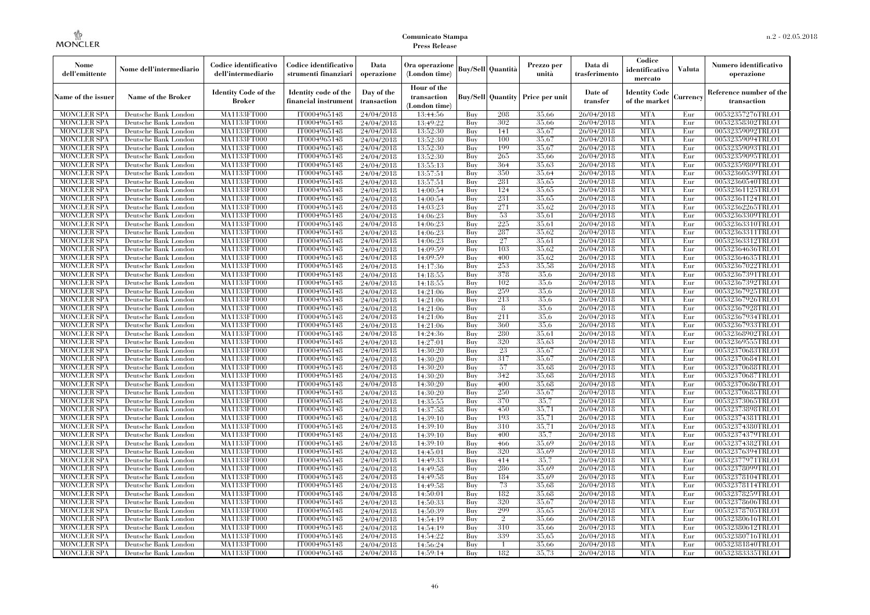| Nome<br>dell'emittente                   | Nome dell'intermediario                      | Codice identificativo<br>dell'intermediario | Codice identificativo<br>strumenti finanziari | Data<br>operazione        | Ora operazione<br>(London time)             |            | Buy/Sell   Quantità      | Prezzo per<br>unità | Data di<br>trasferimento | Codice<br>identificativo<br>mercato   | <b>Valuta</b> | Numero identificativo<br>operazione    |
|------------------------------------------|----------------------------------------------|---------------------------------------------|-----------------------------------------------|---------------------------|---------------------------------------------|------------|--------------------------|---------------------|--------------------------|---------------------------------------|---------------|----------------------------------------|
| Name of the issuer                       | Name of the Broker                           | <b>Identity Code of the</b><br>Broker       | Identity code of the<br>financial instrument  | Day of the<br>transaction | Hour of the<br>transaction<br>(London time) |            | <b>Buy/Sell Quantity</b> | Price per unit      | Date of<br>transfer      | <b>Identity Code</b><br>of the market | Currencv      | Reference number of the<br>transaction |
| <b>MONCLER SPA</b>                       | Deutsche Bank London                         | MA1133FT000                                 | IT0004965148                                  | 24/04/2018                | 13:44:56                                    | Buy        | 208                      | 35,66               | 26/04/2018               | <b>MTA</b>                            | Eur           | 00532357276TRLO1                       |
| <b>MONCLER SPA</b>                       | Deutsche Bank London                         | <b>MA1133FT000</b>                          | IT0004965148                                  | 24/04/2018                | 13:49:22                                    | Buy        | 302                      | 35,66               | 26/04/2018               | <b>MTA</b>                            | Eur           | 00532358302TRLO1                       |
| <b>MONCLER SPA</b>                       | Deutsche Bank London                         | MA1133FT000                                 | IT0004965148                                  | 24/04/2018                | 13:52:30                                    | Buv        | 141                      | 35,67               | 26/04/2018               | <b>MTA</b>                            | Eur           | 00532359092TRLO1                       |
| <b>MONCLER SPA</b>                       | Deutsche Bank London                         | MA1133FT000                                 | IT0004965148                                  | 24/04/2018                | 13:52:30                                    | Buy        | 100                      | 35,67               | 26/04/2018               | <b>MTA</b>                            | Eur           | 00532359094TRLO1                       |
| <b>MONCLER SPA</b>                       | Deutsche Bank London                         | MA1133FT000                                 | IT0004965148                                  | 24/04/2018                | 13:52:30                                    | Buy        | 199<br>265               | 35,67<br>35,66      | 26/04/2018               | <b>MTA</b><br><b>MTA</b>              | Eur<br>Eur    | 00532359093TRLO1<br>00532359095TRLO1   |
| MONCLER SPA<br><b>MONCLER SPA</b>        | Deutsche Bank London<br>Deutsche Bank London | <b>MA1133FT000</b><br>MA1133FT000           | IT0004965148<br>IT0004965148                  | 24/04/2018<br>24/04/2018  | 13:52:30<br>13:55:13                        | Buy<br>Buy | 364                      | 35,63               | 26/04/2018<br>26/04/2018 | <b>MTA</b>                            | Eur           | 00532359809TRLO1                       |
| <b>MONCLER SPA</b>                       | Deutsche Bank London                         | MA1133FT000                                 | IT0004965148                                  | 24/04/2018                | 13:57:51                                    | Buy        | 350                      | 35,64               | 26/04/2018               | <b>MTA</b>                            | Eur           | 00532360539TRLO1                       |
| <b>MONCLER SPA</b>                       | Deutsche Bank London                         | MA1133FT000                                 | IT0004965148                                  | 24/04/2018                | 13:57:51                                    | Buy        | 281                      | 35,65               | 26/04/2018               | <b>MTA</b>                            | Eur           | 00532360540TRLO1                       |
| <b>MONCLER SPA</b>                       | Deutsche Bank London                         | <b>MA1133FT000</b>                          | IT0004965148                                  | 24/04/2018                | 14:00:54                                    | Buy        | 124                      | 35,65               | 26/04/2018               | <b>MTA</b>                            | Eur           | 00532361125TRLO1                       |
| <b>MONCLER SPA</b>                       | Deutsche Bank London                         | MA1133FT000                                 | IT0004965148                                  | 24/04/2018                | 14:00:54                                    | Buy        | 231                      | 35,65               | 26/04/2018               | <b>MTA</b>                            | Eur           | 00532361124TRLO1                       |
| <b>MONCLER SPA</b>                       | Deutsche Bank London                         | MA1133FT000                                 | IT0004965148                                  | 24/04/2018                | 14:03:23                                    | Buy        | 271                      | 35,62               | 26/04/2018               | <b>MTA</b>                            | Eur           | 00532362265TRLO1                       |
| <b>MONCLER SPA</b>                       | Deutsche Bank London                         | MA1133FT000                                 | IT0004965148                                  | 24/04/2018                | 14:06:23                                    | Buy        | 53                       | 35,61               | 26/04/2018               | <b>MTA</b>                            | Eur           | 00532363309TRLO1                       |
| <b>MONCLER SPA</b>                       | Deutsche Bank London                         | MA1133FT000                                 | IT0004965148                                  | 24/04/2018                | 14:06:23                                    | Buy        | 225                      | 35,61               | 26/04/2018               | <b>MTA</b>                            | Eur           | 00532363310TRLO1                       |
| <b>MONCLER SPA</b>                       | Deutsche Bank London                         | MA1133FT000                                 | IT0004965148                                  | 24/04/2018                | 14:06:23                                    | Buy        | 287                      | 35.62               | 26/04/2018               | <b>MTA</b>                            | Eur           | 00532363311TRLO1                       |
| <b>MONCLER SPA</b>                       | Deutsche Bank London                         | MA1133FT000                                 | IT0004965148                                  | 24/04/2018                | 14:06:23                                    | Buy        | 27                       | 35,61               | 26/04/2018               | <b>MTA</b>                            | Eur           | 00532363312TRLO1                       |
| <b>MONCLER SPA</b>                       | Deutsche Bank London                         | MA1133FT000                                 | IT0004965148                                  | 24/04/2018                | 14:09:59                                    | Buy        | 103                      | 35,62               | 26/04/2018               | <b>MTA</b>                            | Eur           | 00532364636TRLO1                       |
| <b>MONCLER SPA</b>                       | Deutsche Bank London                         | MA1133FT000                                 | IT0004965148                                  | 24/04/2018                | 14:09:59                                    | Buy        | 400                      | 35,62               | 26/04/2018               | <b>MTA</b>                            | Eur           | 00532364635TRLO1                       |
| <b>MONCLER SPA</b>                       | Deutsche Bank London                         | MA1133FT000                                 | IT0004965148                                  | 24/04/2018                | 14:17:36                                    | Buy        | 253                      | 35,58               | 26/04/2018               | <b>MTA</b>                            | Eur           | 00532367022TRLO1                       |
| <b>MONCLER SPA</b>                       | Deutsche Bank London                         | MA1133FT000                                 | IT0004965148                                  | 24/04/2018                | 14:18:55                                    | Buy        | 378                      | 35.6                | 26/04/2018               | <b>MTA</b>                            | Eur           | 00532367391TRLO1                       |
| <b>MONCLER SPA</b>                       | Deutsche Bank London                         | MA1133FT000                                 | IT0004965148                                  | 24/04/2018                | 14:18:55                                    | Buy        | 102                      | 35.6                | 26/04/2018               | <b>MTA</b>                            | Eur           | 00532367392TRLO1                       |
| <b>MONCLER SPA</b>                       | Deutsche Bank London                         | MA1133FT000                                 | IT0004965148                                  | 24/04/2018                | 14:21:06                                    | Buy        | 259                      | 35,6                | 26/04/2018               | <b>MTA</b>                            | Eur           | 00532367925TRLO1                       |
| <b>MONCLER SPA</b>                       | Deutsche Bank London                         | MA1133FT000                                 | IT0004965148                                  | 24/04/2018                | 14:21:06                                    | Buy        | 213                      | 35.6                | 26/04/2018               | <b>MTA</b>                            | Eur           | 00532367926TRLO1                       |
| <b>MONCLER SPA</b>                       | Deutsche Bank London                         | MA1133FT000                                 | IT0004965148<br>IT0004965148                  | 24/04/2018                | 14:21:06                                    | Buy        | 8<br>211                 | 35.6<br>35.6        | 26/04/2018               | <b>MTA</b><br><b>MTA</b>              | Eur           | 00532367928TRLO1                       |
| <b>MONCLER SPA</b><br><b>MONCLER SPA</b> | Deutsche Bank London<br>Deutsche Bank London | MA1133FT000<br>MA1133FT000                  | IT0004965148                                  | 24/04/2018<br>24/04/2018  | 14:21:06<br>14:21:06                        | Buy<br>Buy | 360                      | 35.6                | 26/04/2018<br>26/04/2018 | <b>MTA</b>                            | Eur<br>Eur    | 00532367934TRLO1<br>00532367933TRLO1   |
| <b>MONCLER SPA</b>                       | Deutsche Bank London                         | MA1133FT000                                 | IT0004965148                                  | 24/04/2018                | 14:24:36                                    | Buy        | 280                      | 35.61               | 26/04/2018               | <b>MTA</b>                            | Eur           | 00532368902TRLO1                       |
| <b>MONCLER SPA</b>                       | Deutsche Bank London                         | MA1133FT000                                 | IT0004965148                                  | 24/04/2018                | 14:27:01                                    | Buy        | 320                      | 35.63               | 26/04/2018               | <b>MTA</b>                            | Eur           | 00532369555TRLO1                       |
| <b>MONCLER SPA</b>                       | Deutsche Bank London                         | MA1133FT000                                 | IT0004965148                                  | 24/04/2018                | 14:30:20                                    | Buy        | 23                       | 35,67               | 26/04/2018               | <b>MTA</b>                            | Eur           | 00532370683TRLO1                       |
| <b>MONCLER SPA</b>                       | Deutsche Bank London                         | <b>MA1133FT000</b>                          | IT0004965148                                  | 24/04/2018                | 14:30:20                                    | Buy        | 317                      | 35,67               | 26/04/2018               | <b>MTA</b>                            | Eur           | 00532370684TRLO1                       |
| <b>MONCLER SPA</b>                       | Deutsche Bank London                         | MA1133FT000                                 | IT0004965148                                  | 24/04/2018                | 14:30:20                                    | Buy        | 57                       | 35,68               | 26/04/2018               | <b>MTA</b>                            | Eur           | 00532370688TRLO1                       |
| <b>MONCLER SPA</b>                       | Deutsche Bank London                         | MA1133FT000                                 | IT0004965148                                  | 24/04/2018                | 14:30:20                                    | Buy        | 342                      | 35,68               | 26/04/2018               | <b>MTA</b>                            | Eur           | 00532370687TRLO1                       |
| <b>MONCLER SPA</b>                       | Deutsche Bank London                         | MA1133FT000                                 | IT0004965148                                  | 24/04/2018                | 14:30:20                                    | Buv        | 400                      | 35.68               | 26/04/2018               | <b>MTA</b>                            | Eur           | 00532370686TRLO1                       |
| <b>MONCLER SPA</b>                       | Deutsche Bank London                         | MA1133FT000                                 | IT0004965148                                  | 24/04/2018                | 14:30:20                                    | Buy        | 250                      | 35,67               | 26/04/2018               | <b>MTA</b>                            | Eur           | 00532370685TRLO1                       |
| <b>MONCLER SPA</b>                       | Deutsche Bank London                         | <b>MA1133FT000</b>                          | IT0004965148                                  | 24/04/2018                | 14:35:55                                    | Buy        | 370                      | 35,7                | 26/04/2018               | <b>MTA</b>                            | Eur           | 00532373065TRLO1                       |
| <b>MONCLER SPA</b>                       | Deutsche Bank London                         | MA1133FT000                                 | IT0004965148                                  | 24/04/2018                | 14:37:58                                    | Buy        | 450                      | 35,71               | 26/04/2018               | <b>MTA</b>                            | Eur           | 00532373898TRLO1                       |
| <b>MONCLER SPA</b>                       | Deutsche Bank London                         | MA1133FT000                                 | IT0004965148                                  | 24/04/2018                | 14:39:10                                    | Buv        | 193                      | 35.71               | 26/04/2018               | <b>MTA</b>                            | Eur           | 00532374381TRLO1                       |
| <b>MONCLER SPA</b>                       | Deutsche Bank London                         | <b>MA1133FT000</b>                          | IT0004965148                                  | 24/04/2018                | 14:39:10                                    | Buy        | 310                      | 35,71               | 26/04/2018               | <b>MTA</b>                            | Eur           | 00532374380TRLO1                       |
| <b>MONCLER SPA</b>                       | Deutsche Bank London                         | MA1133FT000                                 | IT0004965148                                  | 24/04/2018                | 14:39:10                                    | Buy        | 400                      | 35,7                | 26/04/2018               | <b>MTA</b>                            | Eur           | 00532374379TRLO1                       |
| <b>MONCLER SPA</b>                       | Deutsche Bank London                         | <b>MA1133FT000</b>                          | IT0004965148                                  | 24/04/2018                | 14:39:10                                    | Buy        | 466                      | 35,69               | 26/04/2018               | <b>MTA</b>                            | Eur           | 00532374382TRLO1                       |
| <b>MONCLER SPA</b>                       | Deutsche Bank London                         | MA1133FT000                                 | IT0004965148                                  | 24/04/2018                | 14:45:01                                    | Buy        | 320                      | 35,69               | 26/04/2018               | <b>MTA</b>                            | Eur           | 00532376394TRLO1                       |
| <b>MONCLER SPA</b>                       | Deutsche Bank London                         | MA1133FT000                                 | IT0004965148                                  | 24/04/2018                | 14:49:33                                    | Buy        | 414                      | 35,7                | 26/04/2018               | <b>MTA</b>                            | Eur           | 00532377971TRLO1                       |
| <b>MONCLER SPA</b>                       | Deutsche Bank London                         | MA1133FT000                                 | IT0004965148                                  | 24/04/2018                | 14:49:58                                    | Buy        | 286                      | 35,69               | 26/04/2018               | <b>MTA</b>                            | Eur           | 00532378099TRLO1                       |
| <b>MONCLER SPA</b>                       | Deutsche Bank London                         | MA1133FT000                                 | IT0004965148                                  | 24/04/2018                | 14:49:58                                    | Buy        | 184                      | 35,69<br>35,68      | 26/04/2018               | <b>MTA</b><br><b>MTA</b>              | Eur           | 00532378104TRLO1                       |
| <b>MONCLER SPA</b><br><b>MONCLER SPA</b> | Deutsche Bank London<br>Deutsche Bank London | MA1133FT000<br>MA1133FT000                  | IT0004965148<br>IT0004965148                  | 24/04/2018                | 14:49:58<br>14:50:01                        | Buy<br>Buy | 73<br>182                | 35.68               | 26/04/2018<br>26/04/2018 | <b>MTA</b>                            | Eur<br>Eur    | 00532378114TRLO1<br>00532378259TRLO1   |
| <b>MONCLER SPA</b>                       | Deutsche Bank London                         | MA1133FT000                                 | IT0004965148                                  | 24/04/2018<br>24/04/2018  | 14:50:33                                    | Buy        | 320                      | 35,67               | 26/04/2018               | <b>MTA</b>                            | Eur           | 00532378606TRLO1                       |
| <b>MONCLER SPA</b>                       | Deutsche Bank London                         | MA1133FT000                                 | IT0004965148                                  | 24/04/2018                | 14:50:39                                    | Buy        | 299                      | 35,65               | 26/04/2018               | <b>MTA</b>                            | Eur           | 00532378705TRLO1                       |
| <b>MONCLER SPA</b>                       | Deutsche Bank London                         | MA1133FT000                                 | IT0004965148                                  | 24/04/2018                | 14:54:19                                    | Buy        | $\overline{2}$           | 35,66               | 26/04/2018               | <b>MTA</b>                            | Eur           | 00532380616TRLO1                       |
| <b>MONCLER SPA</b>                       | Deutsche Bank London                         | MA1133FT000                                 | IT0004965148                                  | 24/04/2018                | 14:54:19                                    | Buy        | 310                      | 35,66               | 26/04/2018               | <b>MTA</b>                            | Eur           | 00532380612TRLO1                       |
| <b>MONCLER SPA</b>                       | Deutsche Bank London                         | MA1133FT000                                 | IT0004965148                                  | 24/04/2018                | 14:54:22                                    | Buy        | 339                      | 35,65               | 26/04/2018               | <b>MTA</b>                            | Eur           | 00532380716TRLO1                       |
| <b>MONCLER SPA</b>                       | Deutsche Bank London                         | MA1133FT000                                 | IT0004965148                                  | 24/04/2018                | 14:56:24                                    | Buy        | $\mathbf{1}$             | 35,66               | 26/04/2018               | <b>MTA</b>                            | Eur           | 00532381840TRLO1                       |
| <b>MONCLER SPA</b>                       | Deutsche Bank London                         | MA1133FT000                                 | IT0004965148                                  | 24/04/2018                | 14:59:14                                    | Buy        | 182                      | 35,73               | 26/04/2018               | <b>MTA</b>                            | Eur           | 00532383335TRLO1                       |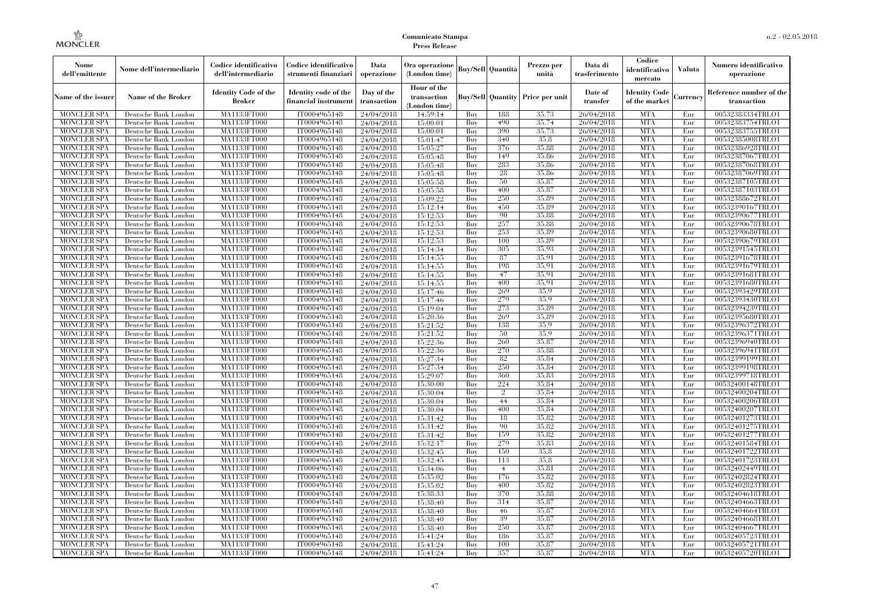| Nome<br>dell'emittente                   | Nome dell'intermediario                      | Codice identificativo<br>dell'intermediario | Codice identificativo<br>strumenti finanziari | Data<br>operazione        | Ora operazione<br>(London time)             |            | <b>Buy/Sell Quantità</b> | Prezzo per<br>unità | Data di<br>trasferimento | Codice<br>identificativo<br>mercato   | <b>Valuta</b> | Numero identificativo<br>operazione    |
|------------------------------------------|----------------------------------------------|---------------------------------------------|-----------------------------------------------|---------------------------|---------------------------------------------|------------|--------------------------|---------------------|--------------------------|---------------------------------------|---------------|----------------------------------------|
| Name of the issuer                       | <b>Name of the Broker</b>                    | <b>Identity Code of the</b><br>Broker       | Identity code of the<br>financial instrumen   | Day of the<br>transaction | Hour of the<br>transaction<br>(London time) |            | <b>Buy/Sell</b> Quantity | Price per unit      | Date of<br>transfer      | <b>Identity Code</b><br>of the market | Currency      | Reference number of the<br>transaction |
| <b>MONCLER SPA</b>                       | Deutsche Bank London                         | MA1133FT000                                 | IT0004965148                                  | 24/04/2018                | 14:59:14                                    | Buy        | 188                      | 35,73               | 26/04/2018               | <b>MTA</b>                            | Eur           | 00532383334TRLO1                       |
| <b>MONCLER SPA</b>                       | Deutsche Bank London                         | MA1133FT000                                 | IT0004965148                                  | 24/04/2018                | 15:00:01                                    | Buy        | 490                      | 35,74               | 26/04/2018               | <b>MTA</b>                            | Eur           | 00532383754TRLO1                       |
| <b>MONCLER SPA</b>                       | Deutsche Bank London                         | <b>MA1133FT000</b>                          | IT0004965148                                  | 24/04/2018                | 15:00:01                                    | Buy        | 390                      | 35,73               | 26/04/2018               | <b>MTA</b>                            | Eur           | 00532383755TRLO1                       |
| <b>MONCLER SPA</b>                       | Deutsche Bank London                         | MA1133FT000                                 | IT0004965148                                  | 24/04/2018                | 15:01:47                                    | Buy        | 340                      | 35.8                | 26/04/2018               | <b>MTA</b>                            | Eur           | 00532385008TRLO1                       |
| <b>MONCLER SPA</b>                       | Deutsche Bank London                         | MA1133FT000                                 | IT0004965148                                  | 24/04/2018                | 15:05:27                                    | Buy        | 376                      | 35,88               | 26/04/2018               | <b>MTA</b>                            | Eur           | 00532386928TRLO1                       |
| <b>MONCLER SPA</b>                       | Deutsche Bank London                         | <b>MA1133FT000</b>                          | IT0004965148                                  | 24/04/2018                | 15:05:48                                    | Buy        | 149                      | 35,86               | 26/04/2018               | <b>MTA</b>                            | Eur           | 00532387067TRLO1                       |
| <b>MONCLER SPA</b>                       | Deutsche Bank London                         | <b>MA1133FT000</b>                          | IT0004965148                                  | 24/04/2018                | 15:05:48                                    | Buy        | 283                      | 35,86               | 26/04/2018               | <b>MTA</b>                            | Eur           | 00532387068TRLO1                       |
| <b>MONCLER SPA</b>                       | Deutsche Bank London                         | <b>MA1133FT000</b>                          | IT0004965148                                  | 24/04/2018                | 15:05:48                                    | Buy<br>Buy | 28<br>50                 | 35,86<br>35,87      | 26/04/2018               | <b>MTA</b><br><b>MTA</b>              | Eur           | 00532387069TRLO1                       |
| <b>MONCLER SPA</b><br><b>MONCLER SPA</b> | Deutsche Bank London                         | MA1133FT000<br>MA1133FT000                  | IT0004965148                                  | 24/04/2018                | 15:05:58                                    |            | 400                      |                     | 26/04/2018<br>26/04/2018 | <b>MTA</b>                            | Eur           | 00532387105TRLO1                       |
|                                          | Deutsche Bank London                         |                                             | IT0004965148<br>IT0004965148                  | 24/04/2018                | 15:05:58                                    | Buy<br>Buy | 250                      | 35,87<br>35.89      | 26/04/2018               | <b>MTA</b>                            | Eur           | 00532387103TRLO1<br>00532388672TRLO1   |
| <b>MONCLER SPA</b><br>MONCLER SPA        | Deutsche Bank London<br>Deutsche Bank London | <b>MA1133FT000</b><br><b>MA1133FT000</b>    | IT0004965148                                  | 24/04/2018<br>24/04/2018  | 15:09:22<br>15:12:14                        | Buy        | 450                      | 35.89               | 26/04/2018               | <b>MTA</b>                            | Eur<br>Eur    | 00532390167TRLO1                       |
| <b>MONCLER SPA</b>                       | Deutsche Bank London                         | MA1133FT000                                 | IT0004965148                                  | 24/04/2018                | 15:12:53                                    | Buy        | 90                       | 35,88               | 26/04/2018               | <b>MTA</b>                            | Eur           | 00532390677TRLO1                       |
| <b>MONCLER SPA</b>                       | Deutsche Bank London                         | MA1133FT000                                 | IT0004965148                                  | 24/04/2018                | 15:12:53                                    | Buy        | 257                      | 35,88               | 26/04/2018               | <b>MTA</b>                            | Eur           | 00532390678TRLO1                       |
| <b>MONCLER SPA</b>                       | Deutsche Bank London                         | <b>MA1133FT000</b>                          | IT0004965148                                  | 24/04/2018                | 15:12:53                                    | Buy        | 253                      | 35.89               | 26/04/2018               | <b>MTA</b>                            | Eur           | 00532390680TRLO1                       |
| MONCLER SPA                              | Deutsche Bank London                         | <b>MA1133FT000</b>                          | IT0004965148                                  | 24/04/2018                | 15:12:53                                    | Buy        | 100                      | 35.89               | 26/04/2018               | <b>MTA</b>                            | Eur           | 00532390679TRLO1                       |
| <b>MONCLER SPA</b>                       | Deutsche Bank London                         | MA1133FT000                                 | IT0004965148                                  | 24/04/2018                | 15:14:34                                    | Buy        | 305                      | 35,93               | 26/04/2018               | <b>MTA</b>                            | Eur           | 00532391545TRLO1                       |
| <b>MONCLER SPA</b>                       | Deutsche Bank London                         | <b>MA1133FT000</b>                          | IT0004965148                                  | 24/04/2018                | 15:14:55                                    | Buy        | 87                       | 35.91               | 26/04/2018               | <b>MTA</b>                            | Eur           | 00532391678TRLO1                       |
| <b>MONCLER SPA</b>                       | Deutsche Bank London                         | <b>MA1133FT000</b>                          | IT0004965148                                  | 24/04/2018                | 15:14:55                                    | Buy        | 198                      | 35.91               | 26/04/2018               | <b>MTA</b>                            | Eur           | 00532391679TRLO1                       |
| <b>MONCLER SPA</b>                       | Deutsche Bank London                         | <b>MA1133FT000</b>                          | IT0004965148                                  | 24/04/2018                | 15:14:55                                    | Buy        | 47                       | 35.91               | 26/04/2018               | <b>MTA</b>                            | Eur           | 00532391681TRLO1                       |
| <b>MONCLER SPA</b>                       | Deutsche Bank London                         | MA1133FT000                                 | IT0004965148                                  | 24/04/2018                | 15:14:55                                    | Buy        | 400                      | 35.91               | 26/04/2018               | <b>MTA</b>                            | Eur           | 00532391680TRLO1                       |
| <b>MONCLER SPA</b>                       | Deutsche Bank London                         | MA1133FT000                                 | IT0004965148                                  | 24/04/2018                | 15:17:46                                    | Buy        | 269                      | 35.9                | 26/04/2018               | <b>MTA</b>                            | Eur           | 00532393429TRLO1                       |
| <b>MONCLER SPA</b>                       | Deutsche Bank London                         | <b>MA1133FT000</b>                          | IT0004965148                                  | 24/04/2018                | 15:17:46                                    | Buy        | 279                      | 35.9                | 26/04/2018               | <b>MTA</b>                            | Eur           | 00532393430TRLO1                       |
| MONCLER SPA                              | Deutsche Bank London                         | MA1133FT000                                 | IT0004965148                                  | 24/04/2018                | 15:19:04                                    | Buy        | 273                      | 35.89               | 26/04/2018               | <b>MTA</b>                            | Eur           | 00532394239TRLO1                       |
| <b>MONCLER SPA</b>                       | Deutsche Bank London                         | MA1133FT000                                 | IT0004965148                                  | 24/04/2018                | 15:20:36                                    | Buy        | 269                      | 35.89               | 26/04/2018               | <b>MTA</b>                            | Eur           | 00532395680TRLO1                       |
| <b>MONCLER SPA</b>                       | Deutsche Bank London                         | <b>MA1133FT000</b>                          | IT0004965148                                  | 24/04/2018                | 15:21:52                                    | Buy        | 138                      | 35.9                | 26/04/2018               | <b>MTA</b>                            | Eur           | 00532396372TRLO1                       |
| <b>MONCLER SPA</b>                       | Deutsche Bank London                         | <b>MA1133FT000</b>                          | IT0004965148                                  | 24/04/2018                | 15:21:52                                    | Buy        | 50                       | 35.9                | 26/04/2018               | <b>MTA</b>                            | Eur           | 00532396371TRLO1                       |
| <b>MONCLER SPA</b>                       | Deutsche Bank London                         | MA1133FT000                                 | IT0004965148                                  | 24/04/2018                | 15:22:36                                    | Buy        | 260                      | 35,87               | 26/04/2018               | <b>MTA</b>                            | Eur           | 00532396940TRLO1                       |
| <b>MONCLER SPA</b>                       | Deutsche Bank London                         | MA1133FT000                                 | IT0004965148                                  | 24/04/2018                | 15:22:36                                    | Buy        | 270                      | 35,88               | 26/04/2018               | <b>MTA</b>                            | Eur           | 00532396941TRLO1                       |
| <b>MONCLER SPA</b>                       | Deutsche Bank London                         | <b>MA1133FT000</b>                          | IT0004965148                                  | 24/04/2018                | 15:27:34                                    | Buy        | 82                       | 35,84               | 26/04/2018               | <b>MTA</b>                            | Eur           | 00532399199TRLO1                       |
| <b>MONCLER SPA</b>                       | Deutsche Bank London                         | <b>MA1133FT000</b>                          | IT0004965148                                  | 24/04/2018                | 15:27:34                                    | Buy        | 250                      | 35,84               | 26/04/2018               | <b>MTA</b>                            | Eur           | 00532399198TRLO1                       |
| MONCLER SPA                              | Deutsche Bank London                         | MA1133FT000                                 | IT0004965148                                  | 24/04/2018                | 15:29:07                                    | Buy        | 360                      | 35,83               | 26/04/2018               | <b>MTA</b>                            | Eur           | 00532399718TRLO1                       |
| <b>MONCLER SPA</b>                       | Deutsche Bank London                         | MA1133FT000                                 | IT0004965148                                  | 24/04/2018                | 15:30:00                                    | Buy        | 224                      | 35.84               | 26/04/2018               | <b>MTA</b>                            | Eur           | 00532400148TRLO1                       |
| <b>MONCLER SPA</b>                       | Deutsche Bank London                         | <b>MA1133FT000</b>                          | IT0004965148                                  | 24/04/2018                | 15:30:04                                    | Buy        | $\overline{2}$           | 35,84               | 26/04/2018               | <b>MTA</b>                            | Eur           | 00532400204TRLO1                       |
| <b>MONCLER SPA</b>                       | Deutsche Bank London                         | <b>MA1133FT000</b>                          | IT0004965148                                  | 24/04/2018                | 15:30:04                                    | Buy        | 44                       | 35,84               | 26/04/2018               | <b>MTA</b>                            | Eur           | 00532400206TRLO1                       |
| <b>MONCLER SPA</b>                       | Deutsche Bank London                         | MA1133FT000                                 | IT0004965148                                  | 24/04/2018                | 15:30:04                                    | Buy        | 400                      | 35,84               | 26/04/2018               | <b>MTA</b>                            | Eur           | 00532400207TRLO1                       |
| <b>MONCLER SPA</b>                       | Deutsche Bank London                         | MA1133FT000                                 | IT0004965148                                  | 24/04/2018                | 15:31:42                                    | Buy        | 18                       | 35,82               | 26/04/2018               | <b>MTA</b>                            | Eur           | 00532401273TRLO1                       |
| <b>MONCLER SPA</b>                       | Deutsche Bank London                         | <b>MA1133FT000</b>                          | IT0004965148                                  | 24/04/2018                | 15:31:42                                    | Buy        | 90                       | 35,82               | 26/04/2018               | <b>MTA</b>                            | Eur           | 00532401275TRLO1                       |
| <b>MONCLER SPA</b>                       | Deutsche Bank London                         | <b>MA1133FT000</b>                          | IT0004965148                                  | 24/04/2018                | 15:31:42                                    | Buy        | 159                      | 35,82               | 26/04/2018               | <b>MTA</b>                            | Eur           | 00532401277TRLO1                       |
| <b>MONCLER SPA</b>                       | Deutsche Bank London                         | MA1133FT000                                 | IT0004965148                                  | 24/04/2018                | 15:32:17                                    | Buy        | 279                      | 35,83               | 26/04/2018               | <b>MTA</b>                            | Eur           | 00532401584TRLO1                       |
| <b>MONCLER SPA</b>                       | Deutsche Bank London                         | MA1133FT000                                 | IT0004965148                                  | 24/04/2018                | 15:32:45                                    | Buy        | 150                      | 35.8                | 26/04/2018               | <b>MTA</b>                            | Eur           | 00532401722TRLO1                       |
| <b>MONCLER SPA</b>                       | Deutsche Bank London                         | MA1133FT000                                 | IT0004965148                                  | 24/04/2018                | 15:32:45                                    | Buy        | 113                      | 35.8                | 26/04/2018               | <b>MTA</b>                            | Eur           | 00532401723TRLO1                       |
| <b>MONCLER SPA</b>                       | Deutsche Bank London                         | <b>MA1133FT000</b>                          | IT0004965148                                  | 24/04/2018                | 15:34:06                                    | Buy        | $\overline{4}$           | 35,81               | 26/04/2018               | MTA                                   | Eur           | 00532402449TRLO1                       |
| <b>MONCLER SPA</b>                       | Deutsche Bank London                         | <b>MA1133FT000</b>                          | IT0004965148                                  | 24/04/2018                | 15:35:02                                    | Buy        | 176                      | 35,82               | 26/04/2018               | <b>MTA</b>                            | Eur           | 00532402824TRLO1                       |
| <b>MONCLER SPA</b>                       | Deutsche Bank London                         | MA1133FT000                                 | IT0004965148                                  | 24/04/2018                | 15:35:02                                    | Buy        | 400                      | 35.82               | 26/04/2018               | <b>MTA</b>                            | Eur           | 00532402823TRLO1                       |
| <b>MONCLER SPA</b>                       | Deutsche Bank London                         | MA1133FT000                                 | IT0004965148                                  | 24/04/2018                | 15:38:33                                    | Buy        | 370                      | 35,88               | 26/04/2018               | <b>MTA</b>                            | Eur           | 00532404618TRLO1                       |
| <b>MONCLER SPA</b>                       | Deutsche Bank London                         | <b>MA1133FT000</b>                          | IT0004965148                                  | 24/04/2018                | 15:38:40                                    | Buy        | 314                      | 35,87               | 26/04/2018               | <b>MTA</b>                            | Eur           | 00532404663TRLO1                       |
| <b>MONCLER SPA</b>                       | Deutsche Bank London                         | MA1133FT000                                 | IT0004965148                                  | 24/04/2018                | 15:38:40                                    | Buy        | 46                       | 35,87               | 26/04/2018               | <b>MTA</b>                            | Eur           | 00532404664TRLO1                       |
| <b>MONCLER SPA</b>                       | Deutsche Bank London                         | MA1133FT000                                 | IT0004965148                                  | 24/04/2018                | 15:38:40                                    | Buy        | 39                       | 35,87               | 26/04/2018               | <b>MTA</b>                            | Eur           | 00532404668TRLO1                       |
| <b>MONCLER SPA</b>                       | Deutsche Bank London                         | <b>MA1133FT000</b>                          | IT0004965148                                  | 24/04/2018                | 15:38:40                                    | Buy        | 250                      | 35,87<br>35,87      | 26/04/2018               | <b>MTA</b><br><b>MTA</b>              | Eur           | 00532404667TRLO1                       |
| <b>MONCLER SPA</b><br><b>MONCLER SPA</b> | Deutsche Bank London<br>Deutsche Bank London | <b>MA1133FT000</b><br><b>MA1133FT000</b>    | IT0004965148<br>IT0004965148                  | 24/04/2018                | 15:41:24                                    | Buy<br>Buy | 186<br>100               | 35,87               | 26/04/2018<br>26/04/2018 | <b>MTA</b>                            | Eur<br>Eur    | 00532405723TRLO1<br>00532405721TRLO1   |
| MONCLER SPA                              | Deutsche Bank London                         | MA1133FT000                                 | IT0004965148                                  | 24/04/2018<br>24/04/2018  | 15:41:24<br>15:41:24                        | Buy        | 357                      | 35,87               | 26/04/2018               | <b>MTA</b>                            | Eur           | 00532405720TRLO1                       |
|                                          |                                              |                                             |                                               |                           |                                             |            |                          |                     |                          |                                       |               |                                        |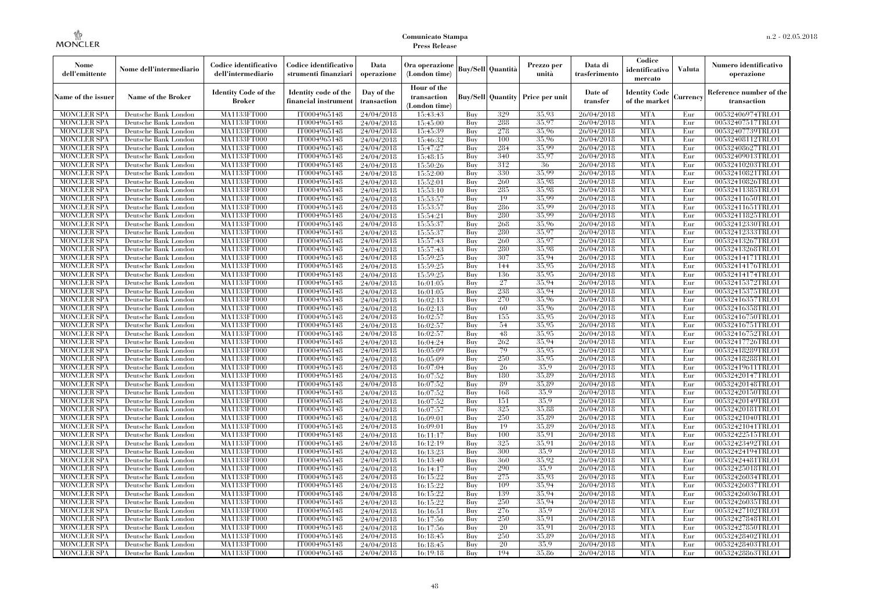| Nome<br>dell'emittente                   | Nome dell'intermediario                      | Codice identificativo<br>dell'intermediario | Codice identificativo<br>strumenti finanziari | Data<br>operazione        | Ora operazione<br>(London time)             |            | Buy/Sell   Quantità      | Prezzo per<br>unità | Data di<br>trasferimento | Codice<br>identificativo<br>mercato   | <b>Valuta</b> | Numero identificativo<br>operazione    |
|------------------------------------------|----------------------------------------------|---------------------------------------------|-----------------------------------------------|---------------------------|---------------------------------------------|------------|--------------------------|---------------------|--------------------------|---------------------------------------|---------------|----------------------------------------|
| Name of the issuer                       | Name of the Broker                           | <b>Identity Code of the</b><br>Broker       | Identity code of the<br>financial instrument  | Day of the<br>transaction | Hour of the<br>transaction<br>(London time) |            | <b>Buy/Sell Quantity</b> | Price per unit      | Date of<br>transfer      | <b>Identity Code</b><br>of the market | Currencv      | Reference number of the<br>transaction |
| <b>MONCLER SPA</b>                       | Deutsche Bank London                         | MA1133FT000                                 | IT0004965148                                  | 24/04/2018                | 15:43:43                                    | Buy        | 329                      | 35,93               | 26/04/2018               | <b>MTA</b>                            | Eur           | 00532406974TRLO1                       |
| <b>MONCLER SPA</b>                       | Deutsche Bank London                         | <b>MA1133FT000</b>                          | IT0004965148                                  | 24/04/2018                | 15:45:00                                    | Buy        | 288                      | 35,97               | 26/04/2018               | <b>MTA</b>                            | Eur           | 00532407517TRLO1                       |
| <b>MONCLER SPA</b>                       | Deutsche Bank London                         | MA1133FT000                                 | IT0004965148                                  | 24/04/2018                | 15:45:39                                    | Buv        | 278                      | 35.96               | 26/04/2018               | <b>MTA</b>                            | Eur           | 00532407739TRLO1                       |
| <b>MONCLER SPA</b>                       | Deutsche Bank London                         | MA1133FT000                                 | IT0004965148                                  | 24/04/2018                | 15:46:32                                    | Buy        | 100                      | 35,96<br>35.99      | 26/04/2018               | <b>MTA</b>                            | Eur           | 00532408112TRLO1                       |
| <b>MONCLER SPA</b>                       | Deutsche Bank London                         | MA1133FT000<br><b>MA1133FT000</b>           | IT0004965148                                  | 24/04/2018                | 15:47:27                                    | Buy        | 284<br>340               | 35,97               | 26/04/2018               | <b>MTA</b><br><b>MTA</b>              | Eur<br>Eur    | 00532408627TRLO1<br>00532409013TRLO1   |
| <b>MONCLER SPA</b><br><b>MONCLER SPA</b> | Deutsche Bank London<br>Deutsche Bank London | MA1133FT000                                 | IT0004965148<br>IT0004965148                  | 24/04/2018<br>24/04/2018  | 15:48:15<br>15:50:26                        | Buy<br>Buy | 312                      | 36                  | 26/04/2018<br>26/04/2018 | <b>MTA</b>                            | Eur           | 00532410203TRLO1                       |
| <b>MONCLER SPA</b>                       | Deutsche Bank London                         | MA1133FT000                                 | IT0004965148                                  | 24/04/2018                | 15:52:00                                    | Buy        | 330                      | 35.99               | 26/04/2018               | <b>MTA</b>                            | Eur           | 00532410821TRLO1                       |
| <b>MONCLER SPA</b>                       | Deutsche Bank London                         | MA1133FT000                                 | IT0004965148                                  | 24/04/2018                | 15:52:01                                    | Buy        | 260                      | 35.98               | 26/04/2018               | <b>MTA</b>                            | Eur           | 00532410826TRLO1                       |
| <b>MONCLER SPA</b>                       | Deutsche Bank London                         | MA1133FT000                                 | IT0004965148                                  | 24/04/2018                | 15:53:10                                    | Buy        | 285                      | 35.98               | 26/04/2018               | <b>MTA</b>                            | Eur           | 00532411385TRLO1                       |
| <b>MONCLER SPA</b>                       | Deutsche Bank London                         | MA1133FT000                                 | IT0004965148                                  | 24/04/2018                | 15:53:57                                    | Buy        | 19                       | 35,99               | 26/04/2018               | <b>MTA</b>                            | Eur           | 00532411650TRLO1                       |
| <b>MONCLER SPA</b>                       | Deutsche Bank London                         | MA1133FT000                                 | IT0004965148                                  | 24/04/2018                | 15:53:57                                    | Buy        | 286                      | 35,99               | 26/04/2018               | <b>MTA</b>                            | Eur           | 00532411651TRLO1                       |
| <b>MONCLER SPA</b>                       | Deutsche Bank London                         | MA1133FT000                                 | IT0004965148                                  | 24/04/2018                | 15:54:21                                    | Buy        | 280                      | 35.99               | 26/04/2018               | <b>MTA</b>                            | Eur           | 00532411825TRLO1                       |
| <b>MONCLER SPA</b>                       | Deutsche Bank London                         | MA1133FT000                                 | IT0004965148                                  | 24/04/2018                | 15:55:37                                    | Buy        | 268                      | 35,96               | 26/04/2018               | <b>MTA</b>                            | Eur           | 00532412330TRLO1                       |
| <b>MONCLER SPA</b>                       | Deutsche Bank London                         | MA1133FT000                                 | IT0004965148                                  | 24/04/2018                | 15:55:37                                    | Buy        | 280                      | 35,97               | 26/04/2018               | <b>MTA</b>                            | Eur           | 00532412333TRLO1                       |
| <b>MONCLER SPA</b>                       | Deutsche Bank London                         | MA1133FT000                                 | IT0004965148                                  | 24/04/2018                | 15:57:43                                    | Buy        | 260                      | 35,97               | 26/04/2018               | <b>MTA</b>                            | Eur           | 00532413267TRLO1                       |
| <b>MONCLER SPA</b>                       | Deutsche Bank London                         | MA1133FT000                                 | IT0004965148                                  | 24/04/2018                | 15:57:43                                    | Buy        | 280                      | 35.98               | 26/04/2018               | <b>MTA</b>                            | Eur           | 00532413268TRLO1                       |
| <b>MONCLER SPA</b>                       | Deutsche Bank London                         | MA1133FT000                                 | IT0004965148                                  | 24/04/2018                | 15:59:25                                    | Buy        | 307                      | 35.94               | 26/04/2018               | <b>MTA</b>                            | Eur           | 00532414171TRLO1                       |
| <b>MONCLER SPA</b>                       | Deutsche Bank London                         | MA1133FT000                                 | IT0004965148                                  | 24/04/2018                | 15:59:25                                    | Buy        | 144                      | 35,95               | 26/04/2018               | <b>MTA</b>                            | Eur           | 00532414176TRLO1                       |
| <b>MONCLER SPA</b>                       | Deutsche Bank London                         | MA1133FT000                                 | IT0004965148                                  | 24/04/2018                | 15:59:25                                    | Buy        | 136                      | 35.95               | 26/04/2018               | <b>MTA</b>                            | Eur           | 00532414174TRLO1                       |
| <b>MONCLER SPA</b>                       | Deutsche Bank London                         | <b>MA1133FT000</b>                          | IT0004965148                                  | 24/04/2018                | 16:01:05                                    | Buy        | 27                       | 35.94               | 26/04/2018               | <b>MTA</b>                            | Eur           | 00532415372TRLO1                       |
| <b>MONCLER SPA</b>                       | Deutsche Bank London                         | MA1133FT000                                 | IT0004965148                                  | 24/04/2018                | 16:01:05                                    | Buy        | 238                      | 35,94               | 26/04/2018               | <b>MTA</b>                            | Eur           | 00532415375TRLO1                       |
| <b>MONCLER SPA</b>                       | Deutsche Bank London                         | MA1133FT000                                 | IT0004965148                                  | 24/04/2018                | 16:02:13                                    | Buy        | 270                      | 35,96               | 26/04/2018               | <b>MTA</b>                            | Eur           | 00532416357TRLO1                       |
| <b>MONCLER SPA</b>                       | Deutsche Bank London                         | MA1133FT000                                 | IT0004965148<br>IT0004965148                  | 24/04/2018                | 16:02:13                                    | Buy        | 60<br>155                | 35.96<br>35.95      | 26/04/2018               | <b>MTA</b><br><b>MTA</b>              | Eur           | 00532416358TRLO1                       |
| <b>MONCLER SPA</b><br><b>MONCLER SPA</b> | Deutsche Bank London<br>Deutsche Bank London | MA1133FT000<br>MA1133FT000                  | IT0004965148                                  | 24/04/2018<br>24/04/2018  | 16:02:57<br>16:02:57                        | Buy<br>Buy | 54                       | 35,95               | 26/04/2018<br>26/04/2018 | <b>MTA</b>                            | Eur<br>Eur    | 00532416750TRLO1<br>00532416751TRLO1   |
| <b>MONCLER SPA</b>                       | Deutsche Bank London                         | MA1133FT000                                 | IT0004965148                                  | 24/04/2018                | 16:02:57                                    | Buy        | 48                       | 35,95               | 26/04/2018               | <b>MTA</b>                            | Eur           | 00532416752TRLO1                       |
| <b>MONCLER SPA</b>                       | Deutsche Bank London                         | MA1133FT000                                 | IT0004965148                                  | 24/04/2018                | 16:04:24                                    | Buy        | 262                      | 35.94               | 26/04/2018               | <b>MTA</b>                            | Eur           | 00532417726TRLO1                       |
| <b>MONCLER SPA</b>                       | Deutsche Bank London                         | MA1133FT000                                 | IT0004965148                                  | 24/04/2018                | 16:05:09                                    | Buy        | 79                       | 35.95               | 26/04/2018               | <b>MTA</b>                            | Eur           | 00532418289TRLO1                       |
| <b>MONCLER SPA</b>                       | Deutsche Bank London                         | <b>MA1133FT000</b>                          | IT0004965148                                  | 24/04/2018                | 16:05:09                                    | Buy        | 250                      | 35.95               | 26/04/2018               | <b>MTA</b>                            | Eur           | 00532418288TRLO1                       |
| <b>MONCLER SPA</b>                       | Deutsche Bank London                         | MA1133FT000                                 | IT0004965148                                  | 24/04/2018                | 16:07:04                                    | Buy        | 26                       | 35.9                | 26/04/2018               | <b>MTA</b>                            | Eur           | 00532419611TRLO1                       |
| <b>MONCLER SPA</b>                       | Deutsche Bank London                         | MA1133FT000                                 | IT0004965148                                  | 24/04/2018                | 16:07:52                                    | Buy        | 180                      | 35,89               | 26/04/2018               | <b>MTA</b>                            | Eur           | 00532420147TRLO1                       |
| <b>MONCLER SPA</b>                       | Deutsche Bank London                         | MA1133FT000                                 | IT0004965148                                  | 24/04/2018                | 16:07:52                                    | Buy        | 89                       | 35.89               | 26/04/2018               | <b>MTA</b>                            | Eur           | 00532420148TRLO1                       |
| <b>MONCLER SPA</b>                       | Deutsche Bank London                         | MA1133FT000                                 | IT0004965148                                  | 24/04/2018                | 16:07:52                                    | Buy        | 168                      | 35.9                | 26/04/2018               | <b>MTA</b>                            | Eur           | 00532420150TRLO1                       |
| <b>MONCLER SPA</b>                       | Deutsche Bank London                         | <b>MA1133FT000</b>                          | IT0004965148                                  | 24/04/2018                | 16:07:52                                    | Buy        | 151                      | 35.9                | 26/04/2018               | <b>MTA</b>                            | Eur           | 00532420149TRLO1                       |
| <b>MONCLER SPA</b>                       | Deutsche Bank London                         | MA1133FT000                                 | IT0004965148                                  | 24/04/2018                | 16:07:57                                    | Buy        | 325                      | 35,88               | 26/04/2018               | <b>MTA</b>                            | Eur           | 00532420181TRLO1                       |
| <b>MONCLER SPA</b>                       | Deutsche Bank London                         | MA1133FT000                                 | IT0004965148                                  | 24/04/2018                | 16:09:01                                    | Buv        | 250                      | 35.89               | 26/04/2018               | <b>MTA</b>                            | Eur           | 00532421040TRLO1                       |
| <b>MONCLER SPA</b>                       | Deutsche Bank London                         | <b>MA1133FT000</b>                          | IT0004965148                                  | 24/04/2018                | 16:09:01                                    | Buy        | 19                       | 35,89               | 26/04/2018               | <b>MTA</b>                            | Eur           | 00532421041TRLO1                       |
| <b>MONCLER SPA</b>                       | Deutsche Bank London                         | MA1133FT000                                 | IT0004965148                                  | 24/04/2018                | 16:11:17                                    | Buy        | 100                      | 35.91               | 26/04/2018               | <b>MTA</b>                            | Eur           | 00532422515TRLO1                       |
| <b>MONCLER SPA</b>                       | Deutsche Bank London                         | <b>MA1133FT000</b>                          | IT0004965148                                  | 24/04/2018                | 16:12:19                                    | Buy        | 325                      | 35.91               | 26/04/2018               | <b>MTA</b>                            | Eur           | 00532423492TRLO1                       |
| <b>MONCLER SPA</b>                       | Deutsche Bank London                         | MA1133FT000                                 | IT0004965148                                  | 24/04/2018                | 16:13:23                                    | Buy        | 300                      | 35,9                | 26/04/2018               | <b>MTA</b>                            | Eur           | 00532424194TRLO1                       |
| <b>MONCLER SPA</b>                       | Deutsche Bank London                         | MA1133FT000                                 | IT0004965148                                  | 24/04/2018                | 16:13:40                                    | Buy        | 360                      | 35.92<br>35.9       | 26/04/2018               | <b>MTA</b>                            | Eur           | 00532424481TRLO1                       |
| <b>MONCLER SPA</b>                       | Deutsche Bank London                         | MA1133FT000                                 | IT0004965148                                  | 24/04/2018                | 16:14:17                                    | Buy        | 290                      |                     | 26/04/2018               | <b>MTA</b>                            | Eur           | 00532425018TRLO1                       |
| <b>MONCLER SPA</b>                       | Deutsche Bank London                         | MA1133FT000                                 | IT0004965148                                  | 24/04/2018                | 16:15:22                                    | Buy        | 275                      | 35,93<br>35,94      | 26/04/2018               | <b>MTA</b><br><b>MTA</b>              | Eur           | 00532426034TRLO1                       |
| <b>MONCLER SPA</b><br><b>MONCLER SPA</b> | Deutsche Bank London<br>Deutsche Bank London | MA1133FT000<br>MA1133FT000                  | IT0004965148<br>IT0004965148                  | 24/04/2018                | 16:15:22<br>16:15:22                        | Buy<br>Buy | 109<br>139               | 35,94               | 26/04/2018<br>26/04/2018 | <b>MTA</b>                            | Eur<br>Eur    | 00532426037TRLO1<br>00532426036TRLO1   |
| <b>MONCLER SPA</b>                       | Deutsche Bank London                         | MA1133FT000                                 | IT0004965148                                  | 24/04/2018<br>24/04/2018  | 16:15:22                                    | Buy        | 250                      | 35.94               | 26/04/2018               | <b>MTA</b>                            | Eur           | 00532426035TRLO1                       |
| <b>MONCLER SPA</b>                       | Deutsche Bank London                         | MA1133FT000                                 | IT0004965148                                  | 24/04/2018                | 16:16:51                                    | Buy        | 276                      | 35.9                | 26/04/2018               | <b>MTA</b>                            | Eur           | 00532427102TRLO1                       |
| <b>MONCLER SPA</b>                       | Deutsche Bank London                         | MA1133FT000                                 | IT0004965148                                  | 24/04/2018                | 16:17:56                                    | Buy        | 250                      | 35.91               | 26/04/2018               | <b>MTA</b>                            | Eur           | 00532427848TRLO1                       |
| <b>MONCLER SPA</b>                       | Deutsche Bank London                         | MA1133FT000                                 | IT0004965148                                  | 24/04/2018                | 16:17:56                                    | Buy        | 20                       | 35.91               | 26/04/2018               | <b>MTA</b>                            | Eur           | 00532427850TRLO1                       |
| <b>MONCLER SPA</b>                       | Deutsche Bank London                         | MA1133FT000                                 | IT0004965148                                  | 24/04/2018                | 16:18:45                                    | Buy        | 250                      | 35,89               | 26/04/2018               | <b>MTA</b>                            | Eur           | 00532428402TRLO1                       |
| <b>MONCLER SPA</b>                       | Deutsche Bank London                         | <b>MA1133FT000</b>                          | IT0004965148                                  | 24/04/2018                | 16:18:45                                    | Buy        | 20                       | 35.9                | 26/04/2018               | <b>MTA</b>                            | Eur           | 00532428403TRLO1                       |
| <b>MONCLER SPA</b>                       | Deutsche Bank London                         | MA1133FT000                                 | IT0004965148                                  | 24/04/2018                | 16:19:18                                    | Buy        | 194                      | 35,86               | 26/04/2018               | <b>MTA</b>                            | Eur           | 00532428863TRLO1                       |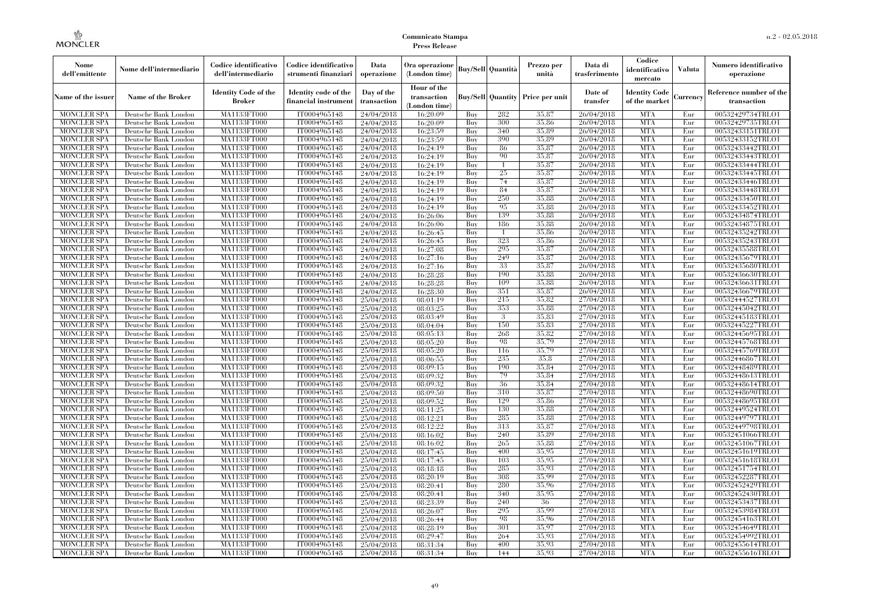| Nome<br>dell'emittente                   | Nome dell'intermediario                      | Codice identificativo<br>dell'intermediario  | Codice identificativo<br>strumenti finanziari | Data<br>operazione        | Ora operazione<br>(London time)             |            | <b>Buy/Sell Quantità</b> | Prezzo per<br>unità                     | Data di<br>trasferimento | Codice<br>identificativo<br>mercato   | Valuta     | Numero identificativo<br>operazione    |
|------------------------------------------|----------------------------------------------|----------------------------------------------|-----------------------------------------------|---------------------------|---------------------------------------------|------------|--------------------------|-----------------------------------------|--------------------------|---------------------------------------|------------|----------------------------------------|
| Name of the issuer                       | Name of the Broker                           | <b>Identity Code of the</b><br><b>Broker</b> | Identity code of the<br>financial instrument  | Day of the<br>transaction | Hour of the<br>transaction<br>(London time) |            |                          | <b>Buy/Sell Quantity Price per unit</b> | Date of<br>transfer      | <b>Identity Code</b><br>of the market | Currencv   | Reference number of the<br>transaction |
| <b>MONCLER SPA</b>                       | Deutsche Bank London                         | MA1133FT000                                  | IT0004965148                                  | 24/04/2018                | 16:20:09                                    | Buy        | 282                      | 35.87                                   | 26/04/2018               | <b>MTA</b>                            | Eur        | 00532429734TRLO1                       |
| <b>MONCLER SPA</b>                       | Deutsche Bank London                         | MA1133FT000                                  | IT0004965148                                  | 24/04/2018                | 16:20:09                                    | Buy        | 300                      | 35,86                                   | 26/04/2018               | <b>MTA</b>                            | Eur        | 00532429735TRLO1                       |
| <b>MONCLER SPA</b>                       | Deutsche Bank London                         | MA1133FT000                                  | IT0004965148                                  | 24/04/2018                | 16:23:59                                    | Buy        | 340                      | 35.89                                   | 26/04/2018               | <b>MTA</b>                            | Eur        | 00532433151TRLO1                       |
| <b>MONCLER SPA</b>                       | Deutsche Bank London                         | <b>MA1133FT000</b>                           | IT0004965148                                  | 24/04/2018                | 16:23:59                                    | Buy        | 390                      | 35.89                                   | 26/04/2018               | <b>MTA</b>                            | Eur        | 00532433152TRLO1                       |
| MONCLER SPA                              | Deutsche Bank London                         | <b>MA1133FT000</b>                           | IT0004965148                                  | 24/04/2018                | 16:24:19                                    | Buy        | 86<br>90                 | 35,87                                   | 26/04/2018               | <b>MTA</b><br><b>MTA</b>              | Eur        | 00532433442TRLO1                       |
| <b>MONCLER SPA</b><br><b>MONCLER SPA</b> | Deutsche Bank London<br>Deutsche Bank London | MA1133FT000<br>MA1133FT000                   | IT0004965148<br>IT0004965148                  | 24/04/2018                | 16:24:19<br>16:24:19                        | Buy<br>Buy |                          | 35,87<br>35.87                          | 26/04/2018<br>26/04/2018 | <b>MTA</b>                            | Eur<br>Eur | 00532433443TRLO1<br>00532433444TRLO1   |
| <b>MONCLER SPA</b>                       | Deutsche Bank London                         | MA1133FT000                                  | IT0004965148                                  | 24/04/2018<br>24/04/2018  | 16:24:19                                    | Buy        | 25                       | 35,87                                   | 26/04/2018               | <b>MTA</b>                            | Eur        | 00532433445TRLO1                       |
| <b>MONCLER SPA</b>                       | Deutsche Bank London                         | <b>MA1133FT000</b>                           | IT0004965148                                  | 24/04/2018                | 16:24:19                                    | Buy        | 74                       | 35,87                                   | 26/04/2018               | <b>MTA</b>                            | Eur        | 00532433446TRLO1                       |
| <b>MONCLER SPA</b>                       | Deutsche Bank London                         | MA1133FT000                                  | IT0004965148                                  | 24/04/2018                | 16:24:19                                    | Buy        | 84                       | 35,87                                   | 26/04/2018               | <b>MTA</b>                            | Eur        | 00532433448TRLO1                       |
| <b>MONCLER SPA</b>                       | Deutsche Bank London                         | MA1133FT000                                  | IT0004965148                                  | 24/04/2018                | 16:24:19                                    | Buy        | 250                      | 35.88                                   | 26/04/2018               | <b>MTA</b>                            | Eur        | 00532433450TRLO1                       |
| <b>MONCLER SPA</b>                       | Deutsche Bank London                         | MA1133FT000                                  | IT0004965148                                  | 24/04/2018                | 16:24:19                                    | Buy        | 95                       | 35.88                                   | 26/04/2018               | <b>MTA</b>                            | Eur        | 00532433452TRLO1                       |
| <b>MONCLER SPA</b>                       | Deutsche Bank London                         | MA1133FT000                                  | IT0004965148                                  | 24/04/2018                | 16:26:06                                    | Buy        | 139                      | 35,88                                   | 26/04/2018               | <b>MTA</b>                            | Eur        | 00532434874TRLO1                       |
| <b>MONCLER SPA</b>                       | Deutsche Bank London                         | <b>MA1133FT000</b>                           | IT0004965148                                  | 24/04/2018                | 16:26:06                                    | Buy        | 186                      | 35,88                                   | 26/04/2018               | <b>MTA</b>                            | Eur        | 00532434875TRLO1                       |
| MONCLER SPA                              | Deutsche Bank London                         | MA1133FT000                                  | IT0004965148                                  | 24/04/2018                | 16:26:45                                    | Buy        |                          | 35.86                                   | 26/04/2018               | <b>MTA</b>                            | Eur        | 00532435242TRLO1                       |
| <b>MONCLER SPA</b>                       | Deutsche Bank London                         | MA1133FT000                                  | IT0004965148                                  | 24/04/2018                | 16:26:45                                    | Buy        | 323                      | 35,86                                   | 26/04/2018               | <b>MTA</b>                            | Eur        | 00532435243TRLO1                       |
| <b>MONCLER SPA</b>                       | Deutsche Bank London                         | MA1133FT000                                  | IT0004965148                                  | 24/04/2018                | 16:27:08                                    | Buy        | 295                      | 35,87                                   | 26/04/2018               | <b>MTA</b>                            | Eur        | 00532435588TRLO1                       |
| <b>MONCLER SPA</b>                       | Deutsche Bank London                         | <b>MA1133FT000</b>                           | IT0004965148                                  | 24/04/2018                | 16:27:16                                    | Buy        | 249                      | 35,87                                   | 26/04/2018               | <b>MTA</b>                            | Eur        | 00532435679TRLO1                       |
| <b>MONCLER SPA</b>                       | Deutsche Bank London                         | MA1133FT000                                  | IT0004965148                                  | 24/04/2018                | 16:27:16                                    | Buy        | 33                       | 35,87                                   | 26/04/2018               | <b>MTA</b>                            | Eur        | 00532435680TRLO1                       |
| <b>MONCLER SPA</b>                       | Deutsche Bank London                         | <b>MA1133FT000</b>                           | IT0004965148                                  | 24/04/2018                | 16:28:28                                    | Buy        | 190                      | 35.88                                   | 26/04/2018               | <b>MTA</b>                            | Eur        | 00532436630TRLO1                       |
| <b>MONCLER SPA</b>                       | Deutsche Bank London                         | MA1133FT000                                  | IT0004965148                                  | 24/04/2018                | 16:28:28                                    | Buy        | 109                      | 35,88                                   | 26/04/2018               | <b>MTA</b>                            | Eur        | 00532436631TRLO1                       |
| <b>MONCLER SPA</b>                       | Deutsche Bank London                         | MA1133FT000                                  | IT0004965148                                  | 24/04/2018                | 16:28:30                                    | Buy        | 351                      | 35,87                                   | 26/04/2018               | <b>MTA</b>                            | Eur        | 00532436679TRLO1                       |
| <b>MONCLER SPA</b>                       | Deutsche Bank London                         | <b>MA1133FT000</b>                           | IT0004965148                                  | 25/04/2018                | 08:01:19                                    | Buy        | 215                      | 35,82                                   | 27/04/2018               | <b>MTA</b>                            | Eur        | 00532444527TRLO1                       |
| <b>MONCLER SPA</b>                       | Deutsche Bank London                         | MA1133FT000                                  | IT0004965148                                  | 25/04/2018                | 08:03:25                                    | Buy        | 353                      | 35.88                                   | 27/04/2018               | <b>MTA</b>                            | Eur        | 00532445042TRLO1                       |
| <b>MONCLER SPA</b>                       | Deutsche Bank London                         | MA1133FT000                                  | IT0004965148                                  | 25/04/2018                | 08:03:49                                    | Buy        | 3                        | 35.83                                   | 27/04/2018               | <b>MTA</b>                            | Eur        | 00532445183TRLO1                       |
| <b>MONCLER SPA</b>                       | Deutsche Bank London                         | <b>MA1133FT000</b>                           | IT0004965148                                  | 25/04/2018                | 08:04:04                                    | Buy        | 150                      | 35,83                                   | 27/04/2018               | <b>MTA</b>                            | Eur        | 00532445227TRLO1                       |
| <b>MONCLER SPA</b>                       | Deutsche Bank London                         | MA1133FT000                                  | IT0004965148                                  | 25/04/2018                | 08:05:13                                    | Buy        | 268                      | 35,82                                   | 27/04/2018               | <b>MTA</b>                            | Eur        | 00532445695TRLO1                       |
| <b>MONCLER SPA</b>                       | Deutsche Bank London                         | MA1133FT000                                  | IT0004965148                                  | 25/04/2018                | 08:05:20                                    | Buy        | 98                       | 35,79                                   | 27/04/2018               | <b>MTA</b>                            | Eur        | 00532445768TRLO1                       |
| MONCLER SPA                              | Deutsche Bank London                         | <b>MA1133FT000</b>                           | IT0004965148                                  | 25/04/2018                | 08:05:20                                    | Buv        | 116                      | 35.79                                   | 27/04/2018               | <b>MTA</b>                            | Eur        | 00532445769TRLO1                       |
| <b>MONCLER SPA</b>                       | Deutsche Bank London<br>Deutsche Bank London | MA1133FT000                                  | IT0004965148                                  | 25/04/2018                | 08:06:55                                    | Buy<br>Buy | 235<br>190               | 35.8<br>35.84                           | 27/04/2018               | <b>MTA</b><br><b>MTA</b>              | Eur<br>Eur | 00532446867TRLO1                       |
| <b>MONCLER SPA</b><br><b>MONCLER SPA</b> | Deutsche Bank London                         | MA1133FT000<br>MA1133FT000                   | IT0004965148<br>IT0004965148                  | 25/04/2018<br>25/04/2018  | 08:09:15<br>08:09:32                        | Buy        | 79                       | 35.84                                   | 27/04/2018<br>27/04/2018 | <b>MTA</b>                            | Eur        | 00532448489TRLO1<br>00532448613TRLO1   |
| MONCLER SPA                              | Deutsche Bank London                         | <b>MA1133FT000</b>                           | IT0004965148                                  | 25/04/2018                | 08:09:32                                    | Buy        | 36                       | 35.84                                   | 27/04/2018               | <b>MTA</b>                            | Eur        | 00532448614TRLO1                       |
| <b>MONCLER SPA</b>                       | Deutsche Bank London                         | MA1133FT000                                  | IT0004965148                                  | 25/04/2018                | 08:09:50                                    | Buy        | 310                      | 35,87                                   | 27/04/2018               | <b>MTA</b>                            | Eur        | 00532448690TRLO1                       |
| <b>MONCLER SPA</b>                       | Deutsche Bank London                         | MA1133FT000                                  | IT0004965148                                  | 25/04/2018                | 08:09:52                                    | Buy        | 129                      | 35,86                                   | 27/04/2018               | <b>MTA</b>                            | Eur        | 00532448695TRLO1                       |
| <b>MONCLER SPA</b>                       | Deutsche Bank London                         | MA1133FT000                                  | IT0004965148                                  | 25/04/2018                | 08:11:25                                    | Buy        | 130                      | 35,88                                   | 27/04/2018               | <b>MTA</b>                            | Eur        | 00532449524TRLO1                       |
| <b>MONCLER SPA</b>                       | Deutsche Bank London                         | MA1133FT000                                  | IT0004965148                                  | 25/04/2018                | 08:12:21                                    | Buy        | 285                      | 35,88                                   | 27/04/2018               | <b>MTA</b>                            | Eur        | 00532449797TRLO1                       |
| <b>MONCLER SPA</b>                       | Deutsche Bank London                         | MA1133FT000                                  | IT0004965148                                  | 25/04/2018                | 08:12:22                                    | Buy        | 313                      | 35,87                                   | 27/04/2018               | <b>MTA</b>                            | Eur        | 00532449798TRLO1                       |
| <b>MONCLER SPA</b>                       | Deutsche Bank London                         | MA1133FT000                                  | IT0004965148                                  | 25/04/2018                | 08:16:02                                    | Buy        | 240                      | 35.89                                   | 27/04/2018               | <b>MTA</b>                            | Eur        | 00532451066TRLO1                       |
| <b>MONCLER SPA</b>                       | Deutsche Bank London                         | MA1133FT000                                  | IT0004965148                                  | 25/04/2018                | 08:16:02                                    | Buy        | 265                      | 35,88                                   | 27/04/2018               | <b>MTA</b>                            | Eur        | 00532451067TRLO1                       |
| <b>MONCLER SPA</b>                       | Deutsche Bank London                         | MA1133FT000                                  | IT0004965148                                  | 25/04/2018                | 08:17:45                                    | Buy        | 400                      | 35,95                                   | 27/04/2018               | <b>MTA</b>                            | Eur        | 00532451619TRLO1                       |
| <b>MONCLER SPA</b>                       | Deutsche Bank London                         | MA1133FT000                                  | IT0004965148                                  | 25/04/2018                | 08:17:45                                    | Buy        | 103                      | 35.95                                   | 27/04/2018               | <b>MTA</b>                            | Eur        | 00532451618TRLO1                       |
| <b>MONCLER SPA</b>                       | Deutsche Bank London                         | MA1133FT000                                  | IT0004965148                                  | 25/04/2018                | 08:18:18                                    | Buy        | 285                      | 35,93                                   | 27/04/2018               | <b>MTA</b>                            | Eur        | 00532451754TRLO1                       |
| <b>MONCLER SPA</b>                       | Deutsche Bank London                         | MA1133FT000                                  | IT0004965148                                  | 25/04/2018                | 08:20:19                                    | Buy        | 308                      | 35.99                                   | 27/04/2018               | <b>MTA</b>                            | Eur        | 00532452287TRLO1                       |
| <b>MONCLER SPA</b>                       | Deutsche Bank London                         | MA1133FT000                                  | IT0004965148                                  | 25/04/2018                | 08:20:41                                    | Buy        | 280                      | 35,96                                   | 27/04/2018               | <b>MTA</b>                            | Eur        | 00532452429TRLO1                       |
| <b>MONCLER SPA</b>                       | Deutsche Bank London                         | MA1133FT000                                  | IT0004965148                                  | 25/04/2018                | 08:20:41                                    | Buy        | 340                      | 35.95                                   | 27/04/2018               | <b>MTA</b>                            | Eur        | 00532452430TRLO1                       |
| <b>MONCLER SPA</b>                       | Deutsche Bank London                         | MA1133FT000                                  | IT0004965148                                  | 25/04/2018                | 08:23:39                                    | Buy        | 240                      | 36                                      | 27/04/2018               | <b>MTA</b>                            | Eur        | 00532453437TRLO1                       |
| <b>MONCLER SPA</b>                       | Deutsche Bank London                         | MA1133FT000                                  | IT0004965148                                  | 25/04/2018                | 08:26:07                                    | Buy        | 295                      | 35.99                                   | 27/04/2018               | <b>MTA</b>                            | Eur        | 00532453984TRLO1                       |
| <b>MONCLER SPA</b>                       | Deutsche Bank London                         | MA1133FT000                                  | IT0004965148                                  | 25/04/2018                | 08:26:44                                    | Buy        | 98                       | 35,96                                   | 27/04/2018               | <b>MTA</b>                            | Eur        | 00532454163TRLO1                       |
| <b>MONCLER SPA</b>                       | Deutsche Bank London                         | MA1133FT000                                  | IT0004965148                                  | 25/04/2018                | 08:28:19                                    | Buy        | 301                      | 35,97                                   | 27/04/2018               | <b>MTA</b>                            | Eur        | 00532454649TRLO1                       |
| <b>MONCLER SPA</b>                       | Deutsche Bank London                         | MA1133FT000                                  | IT0004965148                                  | 25/04/2018                | 08:29:47                                    | Buy        | 264                      | 35,93                                   | 27/04/2018               | <b>MTA</b>                            | Eur        | 00532454992TRLO1                       |
| <b>MONCLER SPA</b>                       | Deutsche Bank London                         | <b>MA1133FT000</b>                           | IT0004965148                                  | 25/04/2018                | 08:31:34                                    | Buy        | 400                      | 35.93                                   | 27/04/2018               | <b>MTA</b>                            | Eur        | 00532455614TRLO1                       |
| <b>MONCLER SPA</b>                       | Deutsche Bank London                         | MA1133FT000                                  | IT0004965148                                  | 25/04/2018                | 08:31:34                                    | Buy        | 144                      | 35,93                                   | 27/04/2018               | <b>MTA</b>                            | Eur        | 00532455616TRLO1                       |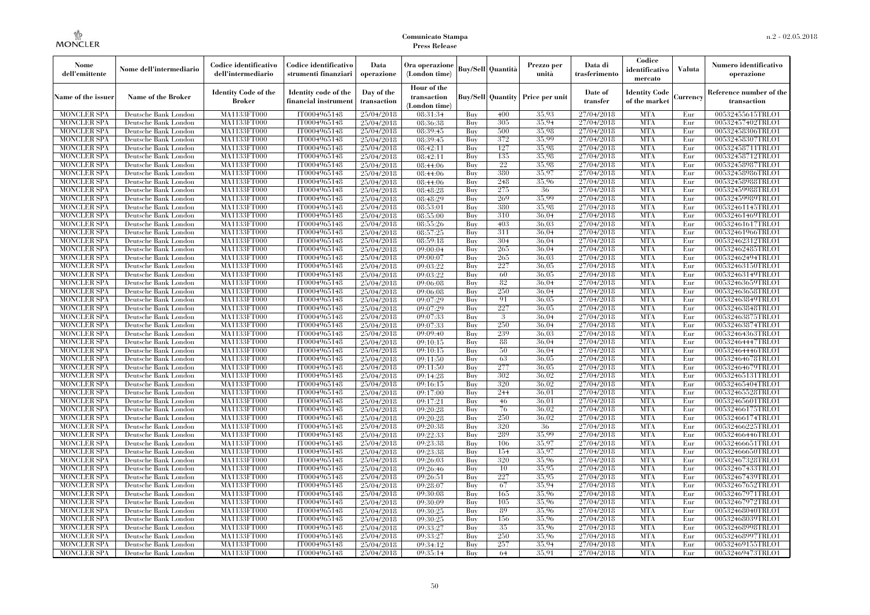| Nome<br>dell'emittente                   | Nome dell'intermediario                      | Codice identificativo<br>dell'intermediario  | Codice identificativo<br>strumenti finanziari | Data<br>operazione        | Ora operazione<br>(London time)             |            | <b>Buy/Sell</b> Quantità | Prezzo per<br>unità | Data di<br>trasferimento | Codice<br>identificativo<br>mercato   | Valuta     | Numero identificativo<br>operazione    |
|------------------------------------------|----------------------------------------------|----------------------------------------------|-----------------------------------------------|---------------------------|---------------------------------------------|------------|--------------------------|---------------------|--------------------------|---------------------------------------|------------|----------------------------------------|
| Name of the issuer                       | <b>Name of the Broker</b>                    | <b>Identity Code of the</b><br><b>Broker</b> | Identity code of the<br>financial instrumen   | Day of the<br>transaction | Hour of the<br>transaction<br>(London time) |            | <b>Buy/Sell Quantity</b> | Price per unit      | Date of<br>transfer      | <b>Identity Code</b><br>of the market | Currency   | Reference number of the<br>transaction |
| <b>MONCLER SPA</b>                       | Deutsche Bank London                         | MA1133FT000                                  | IT0004965148                                  | 25/04/2018                | 08:31:34                                    | Buy        | 400                      | 35.93               | 27/04/2018               | <b>MTA</b>                            | Eur        | 00532455615TRLO1                       |
| <b>MONCLER SPA</b>                       | Deutsche Bank London                         | MA1133FT000                                  | IT0004965148                                  | 25/04/2018                | 08:36:38                                    | Buy        | 305                      | 35.94               | 27/04/2018               | <b>MTA</b>                            | Eur        | 00532457402TRLO1                       |
| <b>MONCLER SPA</b>                       | Deutsche Bank London                         | <b>MA1133FT000</b>                           | IT0004965148                                  | 25/04/2018                | 08:39:45                                    | Buy        | 500                      | 35,98               | 27/04/2018               | <b>MTA</b>                            | Eur        | 00532458306TRLO1                       |
| <b>MONCLER SPA</b>                       | Deutsche Bank London                         | MA1133FT000                                  | IT0004965148                                  | 25/04/2018                | 08:39:45                                    | Buy        | 372                      | 35.99               | 27/04/2018               | <b>MTA</b>                            | Eur        | 00532458307TRLO1                       |
| <b>MONCLER SPA</b>                       | Deutsche Bank London                         | MA1133FT000                                  | IT0004965148                                  | 25/04/2018                | 08:42:11                                    | Buy        | 127                      | 35.98               | 27/04/2018               | <b>MTA</b>                            | Eur        | 00532458711TRLO1                       |
| <b>MONCLER SPA</b>                       | Deutsche Bank London                         | MA1133FT000                                  | IT0004965148                                  | 25/04/2018                | 08:42:11                                    | Buy        | 135                      | 35.98               | 27/04/2018               | <b>MTA</b>                            | Eur        | 00532458712TRLO1                       |
| <b>MONCLER SPA</b>                       | Deutsche Bank London                         | <b>MA1133FT000</b>                           | IT0004965148                                  | 25/04/2018                | 08:44:06                                    | Buy        | 22                       | 35,98               | 27/04/2018               | <b>MTA</b>                            | Eur        | 00532458987TRLO1                       |
| <b>MONCLER SPA</b>                       | Deutsche Bank London                         | <b>MA1133FT000</b>                           | IT0004965148                                  | 25/04/2018                | 08:44:06                                    | Buy        | 380                      | 35.97               | 27/04/2018               | <b>MTA</b>                            | Eur        | 00532458986TRLO1                       |
| <b>MONCLER SPA</b>                       | Deutsche Bank London                         | MA1133FT000                                  | IT0004965148                                  | 25/04/2018                | 08:44:06                                    | Buy        | 248                      | 35.96               | 27/04/2018               | <b>MTA</b>                            | Eur        | 00532458988TRLO1                       |
| <b>MONCLER SPA</b>                       | Deutsche Bank London                         | MA1133FT000                                  | IT0004965148                                  | 25/04/2018                | 08:48:28                                    | Buy        | 275<br>269               | 36<br>35,99         | 27/04/2018               | <b>MTA</b>                            | Eur        | 00532459988TRLO1                       |
| <b>MONCLER SPA</b><br><b>MONCLER SPA</b> | Deutsche Bank London<br>Deutsche Bank London | <b>MA1133FT000</b><br><b>MA1133FT000</b>     | IT0004965148<br>IT0004965148                  | 25/04/2018                | 08:48:29<br>08:53:01                        | Buy        | 380                      | 35.98               | 27/04/2018<br>27/04/2018 | <b>MTA</b><br><b>MTA</b>              | Eur<br>Eur | 00532459989TRLO1<br>00532461145TRLO1   |
| <b>MONCLER SPA</b>                       | Deutsche Bank London                         | MA1133FT000                                  | IT0004965148                                  | 25/04/2018<br>25/04/2018  | 08:55:00                                    | Buy<br>Buy | 310                      | 36,04               | 27/04/2018               | <b>MTA</b>                            | Eur        | 00532461469TRLO1                       |
| <b>MONCLER SPA</b>                       | Deutsche Bank London                         | MA1133FT000                                  | IT0004965148                                  | 25/04/2018                | 08:55:26                                    | Buy        | 403                      | 36,03               | 27/04/2018               | <b>MTA</b>                            | Eur        | 00532461617TRLO1                       |
|                                          |                                              |                                              | IT0004965148                                  |                           |                                             |            | 311                      | 36,04               | 27/04/2018               | <b>MTA</b>                            |            | 00532461966TRLO1                       |
| <b>MONCLER SPA</b><br><b>MONCLER SPA</b> | Deutsche Bank London<br>Deutsche Bank London | <b>MA1133FT000</b><br><b>MA1133FT000</b>     | IT0004965148                                  | 25/04/2018<br>25/04/2018  | 08:57:25<br>08:59:18                        | Buy<br>Buy | 304                      | 36,04               | 27/04/2018               | <b>MTA</b>                            | Eur<br>Eur | 00532462312TRLO1                       |
| <b>MONCLER SPA</b>                       | Deutsche Bank London                         | MA1133FT000                                  | IT0004965148                                  | 25/04/2018                | 09:00:04                                    | Buy        | 265                      | 36,04               | 27/04/2018               | <b>MTA</b>                            | Eur        | 00532462485TRLO1                       |
| MONCLER SPA                              | Deutsche Bank London                         | MA1133FT000                                  | IT0004965148                                  | 25/04/2018                | 09:00:07                                    | Buy        | 265                      | 36,03               | 27/04/2018               | <b>MTA</b>                            | Eur        | 00532462494TRLO1                       |
| <b>MONCLER SPA</b>                       | Deutsche Bank London                         | <b>MA1133FT000</b>                           | IT0004965148                                  | 25/04/2018                | 09:03:22                                    | Buy        | 227                      | 36,05               | 27/04/2018               | <b>MTA</b>                            | Eur        | 00532463150TRLO1                       |
| <b>MONCLER SPA</b>                       | Deutsche Bank London                         | <b>MA1133FT000</b>                           | IT0004965148                                  | 25/04/2018                | 09:03:22                                    | Buy        | 60                       | 36.05               | 27/04/2018               | <b>MTA</b>                            | Eur        | 00532463149TRLO1                       |
| <b>MONCLER SPA</b>                       | Deutsche Bank London                         | MA1133FT000                                  | IT0004965148                                  | 25/04/2018                | 09:06:08                                    | Buy        | 82                       | 36,04               | 27/04/2018               | <b>MTA</b>                            | Eur        | 00532463659TRLO1                       |
| <b>MONCLER SPA</b>                       | Deutsche Bank London                         | MA1133FT000                                  | IT0004965148                                  | 25/04/2018                | 09:06:08                                    | Buy        | 250                      | 36,04               | 27/04/2018               | <b>MTA</b>                            | Eur        | 00532463658TRLO1                       |
| MONCLER SPA                              | Deutsche Bank London                         | <b>MA1133FT000</b>                           | IT0004965148                                  |                           | 09:07:29                                    | Buy        | 91                       | 36,05               | 27/04/2018               | <b>MTA</b>                            | Eur        | 00532463849TRLO1                       |
| <b>MONCLER SPA</b>                       | Deutsche Bank London                         | MA1133FT000                                  | IT0004965148                                  | 25/04/2018<br>25/04/2018  | 09:07:29                                    | Buy        | 227                      | 36,05               | 27/04/2018               | <b>MTA</b>                            | Eur        | 00532463848TRLO1                       |
| <b>MONCLER SPA</b>                       | Deutsche Bank London                         | MA1133FT000                                  | IT0004965148                                  | 25/04/2018                | 09:07:33                                    | Buy        | 3                        | 36,04               | 27/04/2018               | <b>MTA</b>                            | Eur        | 00532463875TRLO1                       |
| <b>MONCLER SPA</b>                       | Deutsche Bank London                         | <b>MA1133FT000</b>                           | IT0004965148                                  | 25/04/2018                | 09:07:33                                    | Buy        | 250                      | 36,04               | 27/04/2018               | <b>MTA</b>                            | Eur        | 00532463874TRLO1                       |
| MONCLER SPA                              | Deutsche Bank London                         | <b>MA1133FT000</b>                           | IT0004965148                                  | 25/04/2018                | 09:09:40                                    | Buy        | 239                      | 36,03               | 27/04/2018               | <b>MTA</b>                            | Eur        | 00532464363TRLO1                       |
| <b>MONCLER SPA</b>                       | Deutsche Bank London                         | MA1133FT000                                  | IT0004965148                                  | 25/04/2018                | 09:10:15                                    | Buy        | 88                       | 36,04               | 27/04/2018               | <b>MTA</b>                            | Eur        | 00532464447TRLO1                       |
| <b>MONCLER SPA</b>                       | Deutsche Bank London                         | MA1133FT000                                  | IT0004965148                                  | 25/04/2018                | 09:10:15                                    | Buy        | 50                       | 36,04               | 27/04/2018               | <b>MTA</b>                            | Eur        | 00532464446TRLO1                       |
| <b>MONCLER SPA</b>                       | Deutsche Bank London                         | <b>MA1133FT000</b>                           | IT0004965148                                  | 25/04/2018                | 09:11:50                                    | Buy        | 63                       | 36,05               | 27/04/2018               | <b>MTA</b>                            | Eur        | 00532464678TRLO1                       |
| <b>MONCLER SPA</b>                       | Deutsche Bank London                         | <b>MA1133FT000</b>                           | IT0004965148                                  | 25/04/2018                | 09:11:50                                    | Buy        | 277                      | 36,05               | 27/04/2018               | <b>MTA</b>                            | Eur        | 00532464679TRLO1                       |
| <b>MONCLER SPA</b>                       | Deutsche Bank London                         | MA1133FT000                                  | IT0004965148                                  | 25/04/2018                | 09:14:28                                    | Buy        | 302                      | 36,02               | 27/04/2018               | <b>MTA</b>                            | Eur        | 00532465131TRLO1                       |
| <b>MONCLER SPA</b>                       | Deutsche Bank London                         | MA1133FT000                                  | IT0004965148                                  | 25/04/2018                | 09:16:15                                    | Buy        | 320                      | 36,02               | 27/04/2018               | <b>MTA</b>                            | Eur        | 00532465404TRLO1                       |
| <b>MONCLER SPA</b>                       | Deutsche Bank London                         | <b>MA1133FT000</b>                           | IT0004965148                                  | 25/04/2018                | 09:17:00                                    | Buy        | 244                      | 36,01               | 27/04/2018               | <b>MTA</b>                            | Eur        | 00532465528TRLO1                       |
| <b>MONCLER SPA</b>                       | Deutsche Bank London                         | <b>MA1133FT000</b>                           | IT0004965148                                  | 25/04/2018                | 09:17:21                                    | Buy        | 46                       | 36,01               | 27/04/2018               | <b>MTA</b>                            | Eur        | 00532465601TRLO1                       |
| <b>MONCLER SPA</b>                       | Deutsche Bank London                         | MA1133FT000                                  | IT0004965148                                  | 25/04/2018                | 09:20:28                                    | Buy        | 76                       | 36,02               | 27/04/2018               | <b>MTA</b>                            | Eur        | 00532466175TRLO1                       |
| <b>MONCLER SPA</b>                       | Deutsche Bank London                         | MA1133FT000                                  | IT0004965148                                  | 25/04/2018                | 09:20:28                                    | Buy        | 250                      | 36,02               | 27/04/2018               | <b>MTA</b>                            | Eur        | 00532466174TRLO1                       |
| <b>MONCLER SPA</b>                       | Deutsche Bank London                         | <b>MA1133FT000</b>                           | IT0004965148                                  | 25/04/2018                | 09:20:38                                    | Buy        | 320                      | -36                 | 27/04/2018               | <b>MTA</b>                            | Eur        | 00532466225TRLO1                       |
| <b>MONCLER SPA</b>                       | Deutsche Bank London                         | <b>MA1133FT000</b>                           | IT0004965148                                  | 25/04/2018                | 09:22:33                                    | Buy        | 289                      | 35,99               | 27/04/2018               | <b>MTA</b>                            | Eur        | 00532466446TRLO1                       |
| <b>MONCLER SPA</b>                       | Deutsche Bank London                         | MA1133FT000                                  | IT0004965148                                  | 25/04/2018                | 09:23:38                                    | Buy        | 106                      | 35.97               | 27/04/2018               | <b>MTA</b>                            | Eur        | 00532466651TRLO1                       |
| <b>MONCLER SPA</b>                       | Deutsche Bank London                         | MA1133FT000                                  | IT0004965148                                  | 25/04/2018                | 09:23:38                                    | Buy        | 154                      | 35,97               | 27/04/2018               | <b>MTA</b>                            | Eur        | 00532466650TRLO1                       |
| <b>MONCLER SPA</b>                       | Deutsche Bank London                         | MA1133FT000                                  | IT0004965148                                  | 25/04/2018                | 09:26:03                                    | Buy        | 320                      | 35.96               | 27/04/2018               | <b>MTA</b>                            | Eur        | 00532467328TRLO1                       |
| <b>MONCLER SPA</b>                       | Deutsche Bank London                         | <b>MA1133FT000</b>                           | IT0004965148                                  | 25/04/2018                | 09:26:46                                    | Buy        | 10                       | 35.95               | 27/04/2018               | MTA                                   | Eur        | 00532467433TRLO1                       |
| <b>MONCLER SPA</b>                       | Deutsche Bank London                         | MA1133FT000                                  | IT0004965148                                  | 25/04/2018                | 09:26:51                                    | Buy        | 227                      | 35.95               | 27/04/2018               | <b>MTA</b>                            | Eur        | 00532467439TRLO1                       |
| <b>MONCLER SPA</b>                       | Deutsche Bank London                         | MA1133FT000                                  | IT0004965148                                  | 25/04/2018                | 09:28:07                                    | Buy        | 67                       | 35.94               | 27/04/2018               | <b>MTA</b>                            | Eur        | 00532467652TRLO1                       |
| <b>MONCLER SPA</b>                       | Deutsche Bank London                         | MA1133FT000                                  | IT0004965148                                  | 25/04/2018                | 09:30:08                                    | Buy        | 165                      | 35.96               | 27/04/2018               | <b>MTA</b>                            | Eur        | 00532467971TRLO1                       |
| <b>MONCLER SPA</b>                       | Deutsche Bank London                         | <b>MA1133FT000</b>                           | IT0004965148                                  | 25/04/2018                | 09:30:09                                    | Buy        | 105                      | 35,96               | 27/04/2018               | <b>MTA</b>                            | Eur        | 00532467972TRLO1                       |
| <b>MONCLER SPA</b>                       | Deutsche Bank London                         | MA1133FT000                                  | IT0004965148                                  | 25/04/2018                | 09:30:25                                    | Buy        | 89                       | 35,96               | 27/04/2018               | <b>MTA</b>                            | Eur        | 00532468040TRLO1                       |
| <b>MONCLER SPA</b>                       | Deutsche Bank London                         | MA1133FT000                                  | IT0004965148                                  | 25/04/2018                | 09:30:25                                    | Buy        | 156                      | 35,96               | 27/04/2018               | <b>MTA</b>                            | Eur        | 00532468039TRLO1                       |
| <b>MONCLER SPA</b>                       | Deutsche Bank London                         | MA1133FT000                                  | IT0004965148                                  | 25/04/2018                | 09:33:27                                    | Buy        | 35                       | 35.96               | 27/04/2018               | <b>MTA</b>                            | Eur        | 00532468998TRLO1                       |
| MONCLER SPA                              | Deutsche Bank London                         | <b>MA1133FT000</b>                           | IT0004965148                                  | 25/04/2018                | 09:33:27                                    | Buy        | 250                      | 35.96               | 27/04/2018               | <b>MTA</b>                            | Eur        | 00532468997TRLO1                       |
| <b>MONCLER SPA</b>                       | Deutsche Bank London                         | <b>MA1133FT000</b>                           | IT0004965148                                  | 25/04/2018                | 09:34:12                                    | Buy        | 257                      | 35.94               | 27/04/2018               | <b>MTA</b>                            | Eur        | 00532469155TRLO1                       |
| <b>MONCLER SPA</b>                       | Deutsche Bank London                         | MA1133FT000                                  | IT0004965148                                  | 25/04/2018                | 09:35:14                                    | Buy        | 64                       | 35.91               | 27/04/2018               | <b>MTA</b>                            | Eur        | 00532469473TRLO1                       |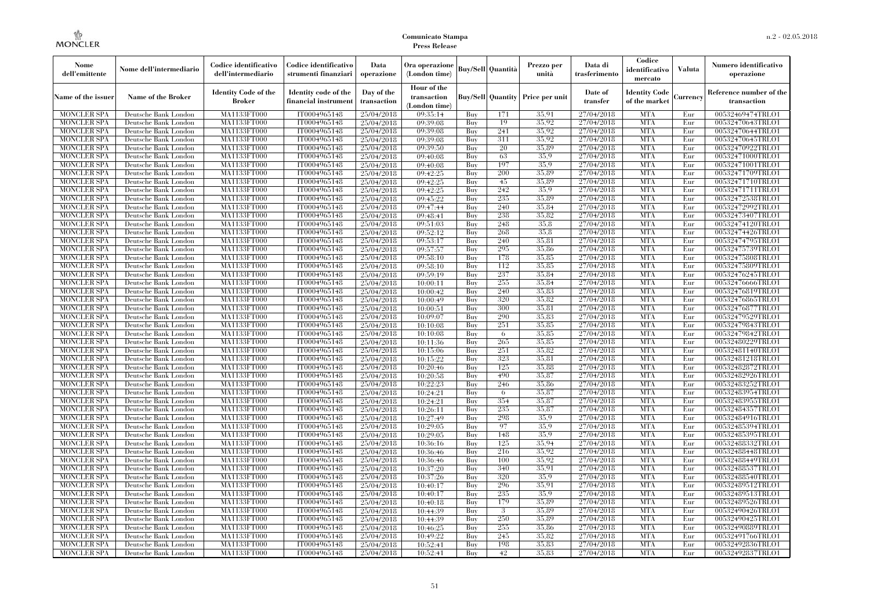| Nome<br>dell'emittente                   | Nome dell'intermediario                      | Codice identificativo<br>dell'intermediario | Codice identificativo<br>strumenti finanziari | Data<br>operazione        | Ora operazione<br>(London time)             |            | Buy/Sell   Quantità      | Prezzo per<br>unità | Data di<br>trasferimento | Codice<br>identificativo<br>mercato   | <b>Valuta</b> | Numero identificativo<br>operazione    |
|------------------------------------------|----------------------------------------------|---------------------------------------------|-----------------------------------------------|---------------------------|---------------------------------------------|------------|--------------------------|---------------------|--------------------------|---------------------------------------|---------------|----------------------------------------|
| Name of the issuer                       | Name of the Broker                           | <b>Identity Code of the</b><br>Broker       | Identity code of the<br>financial instrument  | Day of the<br>transaction | Hour of the<br>transaction<br>(London time) |            | <b>Buy/Sell Quantity</b> | Price per unit      | Date of<br>transfer      | <b>Identity Code</b><br>of the market | Currencv      | Reference number of the<br>transaction |
| <b>MONCLER SPA</b>                       | Deutsche Bank London                         | MA1133FT000                                 | IT0004965148                                  | 25/04/2018                | 09:35:14                                    | Buy        | 171                      | 35,91               | 27/04/2018               | <b>MTA</b>                            | Eur           | 00532469474TRLO1                       |
| <b>MONCLER SPA</b>                       | Deutsche Bank London                         | <b>MA1133FT000</b>                          | IT0004965148                                  | 25/04/2018                | 09:39:08                                    | Buy        | 19                       | 35,92               | 27/04/2018               | <b>MTA</b>                            | Eur           | 00532470643TRLO1                       |
| <b>MONCLER SPA</b>                       | Deutsche Bank London                         | MA1133FT000                                 | IT0004965148                                  | 25/04/2018                | 09:39:08                                    | Buv        | 241                      | 35.92               | 27/04/2018               | <b>MTA</b>                            | Eur           | 00532470644TRLO1                       |
| <b>MONCLER SPA</b>                       | Deutsche Bank London                         | MA1133FT000                                 | IT0004965148                                  | 25/04/2018                | 09:39:08                                    | Buy        | 311                      | 35.92               | 27/04/2018               | <b>MTA</b>                            | Eur           | 00532470645TRLO1                       |
| <b>MONCLER SPA</b>                       | Deutsche Bank London                         | MA1133FT000                                 | IT0004965148                                  | 25/04/2018                | 09:39:50                                    | Buy        | 20                       | 35.89               | 27/04/2018               | <b>MTA</b>                            | Eur           | 00532470922TRLO1                       |
| <b>MONCLER SPA</b>                       | Deutsche Bank London                         | <b>MA1133FT000</b>                          | IT0004965148                                  | 25/04/2018                | 09:40:08                                    | Buy        | 63                       | 35.9                | 27/04/2018               | <b>MTA</b>                            | Eur           | 00532471000TRLO1                       |
| <b>MONCLER SPA</b>                       | Deutsche Bank London                         | MA1133FT000                                 | IT0004965148                                  | 25/04/2018                | 09:40:08                                    | Buy        | 197                      | 35.9                | 27/04/2018               | <b>MTA</b>                            | Eur           | 00532471001TRLO1                       |
| <b>MONCLER SPA</b>                       | Deutsche Bank London                         | MA1133FT000                                 | IT0004965148                                  | 25/04/2018                | 09:42:25                                    | Buy        | 200                      | 35.89<br>35,89      | 27/04/2018<br>27/04/2018 | <b>MTA</b><br><b>MTA</b>              | Eur           | 00532471709TRLO1                       |
| <b>MONCLER SPA</b>                       | Deutsche Bank London                         | MA1133FT000<br>MA1133FT000                  | IT0004965148<br>IT0004965148                  | 25/04/2018                | 09:42:25                                    | Buy        | 45<br>242                | 35.9                |                          | <b>MTA</b>                            | Eur<br>Eur    | 00532471710TRLO1                       |
| <b>MONCLER SPA</b><br><b>MONCLER SPA</b> | Deutsche Bank London<br>Deutsche Bank London | MA1133FT000                                 | IT0004965148                                  | 25/04/2018<br>25/04/2018  | 09:42:25<br>09:45:22                        | Buy<br>Buy | 235                      | 35,89               | 27/04/2018<br>27/04/2018 | <b>MTA</b>                            | Eur           | 00532471711TRLO1<br>00532472538TRLO1   |
| <b>MONCLER SPA</b>                       | Deutsche Bank London                         | MA1133FT000                                 | IT0004965148                                  | 25/04/2018                | 09:47:44                                    | Buy        | 240                      | 35,84               | 27/04/2018               | <b>MTA</b>                            | Eur           | 00532472992TRLO1                       |
| <b>MONCLER SPA</b>                       | Deutsche Bank London                         | MA1133FT000                                 | IT0004965148                                  | 25/04/2018                | 09:48:41                                    | Buy        | 238                      | 35,82               | 27/04/2018               | <b>MTA</b>                            | Eur           | 00532473407TRLO1                       |
| <b>MONCLER SPA</b>                       | Deutsche Bank London                         | MA1133FT000                                 | IT0004965148                                  | 25/04/2018                | 09:51:03                                    | Buy        | 248                      | 35.8                | 27/04/2018               | <b>MTA</b>                            | Eur           | 00532474120TRLO1                       |
| <b>MONCLER SPA</b>                       | Deutsche Bank London                         | MA1133FT000                                 | IT0004965148                                  | 25/04/2018                | 09:52:12                                    | Buy        | 268                      | 35.8                | 27/04/2018               | <b>MTA</b>                            | Eur           | 00532474426TRLO1                       |
| <b>MONCLER SPA</b>                       | Deutsche Bank London                         | MA1133FT000                                 | IT0004965148                                  | 25/04/2018                | 09:53:17                                    | Buy        | 240                      | 35,81               | 27/04/2018               | <b>MTA</b>                            | Eur           | 00532474795TRLO1                       |
| <b>MONCLER SPA</b>                       | Deutsche Bank London                         | MA1133FT000                                 | IT0004965148                                  | 25/04/2018                | 09:57:57                                    | Buy        | 295                      | 35.86               | 27/04/2018               | <b>MTA</b>                            | Eur           | 00532475739TRLO1                       |
| <b>MONCLER SPA</b>                       | Deutsche Bank London                         | MA1133FT000                                 | IT0004965148                                  | 25/04/2018                | 09:58:10                                    | Buy        | 178                      | 35,85               | 27/04/2018               | <b>MTA</b>                            | Eur           | 00532475808TRLO1                       |
| <b>MONCLER SPA</b>                       | Deutsche Bank London                         | MA1133FT000                                 | IT0004965148                                  | 25/04/2018                | 09:58:10                                    | Buy        | 112                      | 35,85               | 27/04/2018               | <b>MTA</b>                            | Eur           | 00532475809TRLO1                       |
| <b>MONCLER SPA</b>                       | Deutsche Bank London                         | MA1133FT000                                 | IT0004965148                                  | 25/04/2018                | 09:59:19                                    | Buy        | 237                      | 35.84               | 27/04/2018               | <b>MTA</b>                            | Eur           | 00532476245TRLO1                       |
| <b>MONCLER SPA</b>                       | Deutsche Bank London                         | MA1133FT000                                 | IT0004965148                                  | 25/04/2018                | 10:00:11                                    | Buy        | 255                      | 35,84               | 27/04/2018               | <b>MTA</b>                            | Eur           | 00532476666TRLO1                       |
| <b>MONCLER SPA</b>                       | Deutsche Bank London                         | MA1133FT000                                 | IT0004965148                                  | 25/04/2018                | 10:00:42                                    | Buy        | 240                      | 35,83               | 27/04/2018               | <b>MTA</b>                            | Eur           | 00532476819TRLO1                       |
| <b>MONCLER SPA</b>                       | Deutsche Bank London                         | MA1133FT000                                 | IT0004965148                                  | 25/04/2018                | 10:00:49                                    | Buy        | 320                      | 35,82               | 27/04/2018               | <b>MTA</b>                            | Eur           | 00532476865TRLO1                       |
| <b>MONCLER SPA</b>                       | Deutsche Bank London                         | MA1133FT000                                 | IT0004965148                                  | 25/04/2018                | 10:00:51                                    | Buy        | 300                      | 35.81               | 27/04/2018               | <b>MTA</b>                            | Eur           | 00532476877TRLO1                       |
| <b>MONCLER SPA</b>                       | Deutsche Bank London                         | MA1133FT000                                 | IT0004965148                                  | 25/04/2018                | 10:09:07                                    | Buy        | 290                      | 35,83               | 27/04/2018               | <b>MTA</b>                            | Eur           | 00532479529TRLO1                       |
| <b>MONCLER SPA</b>                       | Deutsche Bank London                         | MA1133FT000                                 | IT0004965148                                  | 25/04/2018                | 10:10:08                                    | Buy        | 251                      | 35,85               | 27/04/2018               | <b>MTA</b>                            | Eur           | 00532479843TRLO1                       |
| <b>MONCLER SPA</b>                       | Deutsche Bank London                         | MA1133FT000                                 | IT0004965148                                  | 25/04/2018                | 10:10:08                                    | Buy        | 6                        | 35,85               | 27/04/2018               | <b>MTA</b>                            | Eur           | 00532479842TRLO1                       |
| <b>MONCLER SPA</b>                       | Deutsche Bank London                         | MA1133FT000                                 | IT0004965148                                  | 25/04/2018                | 10:11:36                                    | Buy        | 265                      | 35,85               | 27/04/2018               | <b>MTA</b>                            | Eur           | 00532480229TRLO1                       |
| <b>MONCLER SPA</b>                       | Deutsche Bank London                         | MA1133FT000                                 | IT0004965148                                  | 25/04/2018                | 10:15:06                                    | Buy        | 251                      | 35.82               | 27/04/2018               | <b>MTA</b>                            | Eur           | 00532481140TRLO1                       |
| <b>MONCLER SPA</b>                       | Deutsche Bank London                         | <b>MA1133FT000</b>                          | IT0004965148                                  | 25/04/2018                | 10:15:22                                    | Buy        | 323                      | 35.81               | 27/04/2018               | <b>MTA</b>                            | Eur           | 00532481218TRLO1                       |
| <b>MONCLER SPA</b>                       | Deutsche Bank London                         | MA1133FT000                                 | IT0004965148                                  | 25/04/2018                | 10:20:46                                    | Buy        | 125                      | 35,88               | 27/04/2018               | <b>MTA</b>                            | Eur           | 00532482872TRLO1                       |
| <b>MONCLER SPA</b>                       | Deutsche Bank London                         | MA1133FT000                                 | IT0004965148                                  | 25/04/2018                | 10:20:58                                    | Buy        | 490                      | 35,87               | 27/04/2018               | <b>MTA</b>                            | Eur           | 00532482926TRLO1                       |
| <b>MONCLER SPA</b>                       | Deutsche Bank London                         | MA1133FT000                                 | IT0004965148                                  | 25/04/2018                | 10:22:23                                    | Buy        | 246                      | 35.86               | 27/04/2018               | <b>MTA</b>                            | Eur           | 00532483252TRLO1                       |
| <b>MONCLER SPA</b>                       | Deutsche Bank London                         | MA1133FT000                                 | IT0004965148                                  | 25/04/2018                | 10:24:21                                    | Buy        | 6                        | 35,87               | 27/04/2018               | <b>MTA</b>                            | Eur           | 00532483954TRLO1                       |
| <b>MONCLER SPA</b>                       | Deutsche Bank London                         | <b>MA1133FT000</b>                          | IT0004965148                                  | 25/04/2018                | 10:24:21                                    | Buy        | 354                      | 35,87               | 27/04/2018               | <b>MTA</b>                            | Eur           | 00532483955TRLO1                       |
| <b>MONCLER SPA</b>                       | Deutsche Bank London                         | MA1133FT000                                 | IT0004965148                                  | 25/04/2018                | 10:26:11                                    | Buy<br>Buv | 235<br>298               | 35,87<br>35.9       | 27/04/2018               | <b>MTA</b>                            | Eur<br>Eur    | 00532484357TRLO1                       |
| <b>MONCLER SPA</b><br><b>MONCLER SPA</b> | Deutsche Bank London<br>Deutsche Bank London | MA1133FT000<br><b>MA1133FT000</b>           | IT0004965148<br>IT0004965148                  | 25/04/2018<br>25/04/2018  | 10:27:49<br>10:29:05                        | Buy        | 97                       | 35.9                | 27/04/2018<br>27/04/2018 | <b>MTA</b><br><b>MTA</b>              | Eur           | 00532484916TRLO1<br>00532485394TRLO1   |
| <b>MONCLER SPA</b>                       | Deutsche Bank London                         | MA1133FT000                                 | IT0004965148                                  | 25/04/2018                | 10:29:05                                    | Buy        | 148                      | 35.9                | 27/04/2018               | <b>MTA</b>                            | Eur           | 00532485395TRLO1                       |
| <b>MONCLER SPA</b>                       | Deutsche Bank London                         | <b>MA1133FT000</b>                          | IT0004965148                                  | 25/04/2018                | 10:36:16                                    | Buy        | 125                      | 35,94               | 27/04/2018               | <b>MTA</b>                            | Eur           | 00532488332TRLO1                       |
| <b>MONCLER SPA</b>                       | Deutsche Bank London                         | MA1133FT000                                 | IT0004965148                                  | 25/04/2018                | 10:36:46                                    | Buy        | 216                      | 35,92               | 27/04/2018               | <b>MTA</b>                            | Eur           | 00532488448TRLO1                       |
| <b>MONCLER SPA</b>                       | Deutsche Bank London                         | MA1133FT000                                 | IT0004965148                                  | 25/04/2018                | 10:36:46                                    | Buy        | 100                      | 35.92               | 27/04/2018               | <b>MTA</b>                            | Eur           | 00532488449TRLO1                       |
| <b>MONCLER SPA</b>                       | Deutsche Bank London                         | MA1133FT000                                 | IT0004965148                                  | 25/04/2018                | 10:37:20                                    | Buy        | 340                      | 35.91               | 27/04/2018               | <b>MTA</b>                            | Eur           | 00532488537TRLO1                       |
| <b>MONCLER SPA</b>                       | Deutsche Bank London                         | MA1133FT000                                 | IT0004965148                                  | 25/04/2018                | 10:37:26                                    | Buy        | 320                      | 35.9                | 27/04/2018               | <b>MTA</b>                            | Eur           | 00532488540TRLO1                       |
| <b>MONCLER SPA</b>                       | Deutsche Bank London                         | MA1133FT000                                 | IT0004965148                                  | 25/04/2018                | 10:40:17                                    | Buy        | 296                      | 35,91               | 27/04/2018               | <b>MTA</b>                            | Eur           | 00532489512TRLO1                       |
| <b>MONCLER SPA</b>                       | Deutsche Bank London                         | MA1133FT000                                 | IT0004965148                                  | 25/04/2018                | 10:40:17                                    | Buy        | 235                      | 35.9                | 27/04/2018               | <b>MTA</b>                            | Eur           | 00532489513TRLO1                       |
| <b>MONCLER SPA</b>                       | Deutsche Bank London                         | MA1133FT000                                 | IT0004965148                                  | 25/04/2018                | 10:40:18                                    | Buy        | 179                      | 35.89               | 27/04/2018               | <b>MTA</b>                            | Eur           | 00532489526TRLO1                       |
| <b>MONCLER SPA</b>                       | Deutsche Bank London                         | MA1133FT000                                 | IT0004965148                                  | 25/04/2018                | 10:44:39                                    | Buy        | 3                        | 35,89               | 27/04/2018               | <b>MTA</b>                            | Eur           | 00532490426TRLO1                       |
| <b>MONCLER SPA</b>                       | Deutsche Bank London                         | MA1133FT000                                 | IT0004965148                                  | 25/04/2018                | 10:44:39                                    | Buy        | 250                      | 35,89               | 27/04/2018               | <b>MTA</b>                            | Eur           | 00532490425TRLO1                       |
| <b>MONCLER SPA</b>                       | Deutsche Bank London                         | MA1133FT000                                 | IT0004965148                                  | 25/04/2018                | 10:46:25                                    | Buy        | 255                      | 35,86               | 27/04/2018               | <b>MTA</b>                            | Eur           | 00532490889TRLO1                       |
| <b>MONCLER SPA</b>                       | Deutsche Bank London                         | MA1133FT000                                 | IT0004965148                                  | 25/04/2018                | 10:49:22                                    | Buy        | 245                      | 35,82               | 27/04/2018               | <b>MTA</b>                            | Eur           | 00532491766TRLO1                       |
| <b>MONCLER SPA</b>                       | Deutsche Bank London                         | MA1133FT000                                 | IT0004965148                                  | 25/04/2018                | 10:52:41                                    | Buy        | 198                      | 35,83               | 27/04/2018               | <b>MTA</b>                            | Eur           | 00532492836TRLO1                       |
| <b>MONCLER SPA</b>                       | Deutsche Bank London                         | MA1133FT000                                 | IT0004965148                                  | 25/04/2018                | 10:52:41                                    | Buy        | 42                       | 35,83               | 27/04/2018               | <b>MTA</b>                            | Eur           | 00532492837TRLO1                       |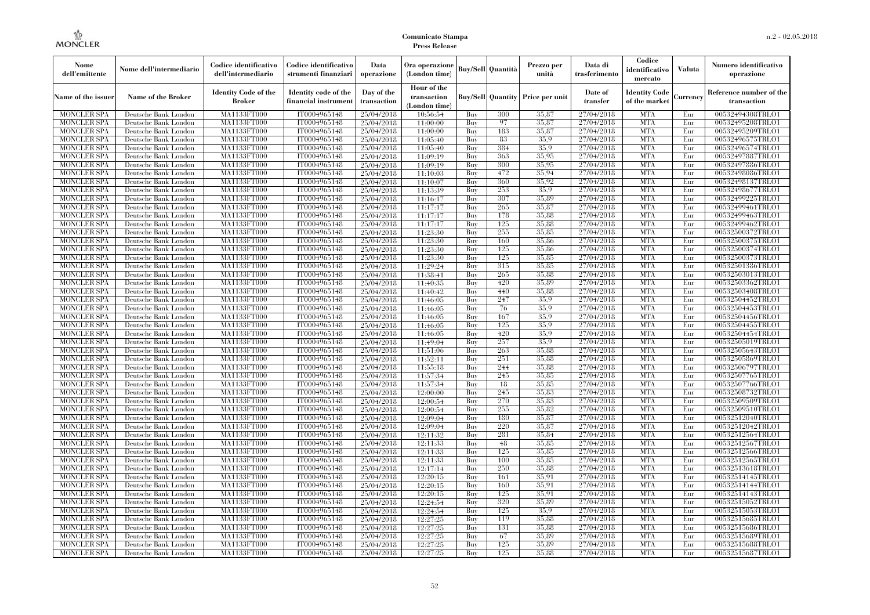| Nome<br>dell'emittente                   | Nome dell'intermediario                      | Codice identificativo<br>dell'intermediario | Codice identificativo<br>strumenti finanziari | Data<br>operazione        | Ora operazione<br>(London time)             |            | Buy/Sell   Quantità      | Prezzo per<br>unità | Data di<br>trasferimento | Codice<br>identificativo<br>mercato   | <b>Valuta</b> | Numero identificativo<br>operazione    |
|------------------------------------------|----------------------------------------------|---------------------------------------------|-----------------------------------------------|---------------------------|---------------------------------------------|------------|--------------------------|---------------------|--------------------------|---------------------------------------|---------------|----------------------------------------|
| Name of the issuer                       | Name of the Broker                           | <b>Identity Code of the</b><br>Broker       | Identity code of the<br>financial instrument  | Day of the<br>transaction | Hour of the<br>transaction<br>(London time) |            | <b>Buy/Sell Quantity</b> | Price per unit      | Date of<br>transfer      | <b>Identity Code</b><br>of the market | Currencv      | Reference number of the<br>transaction |
| <b>MONCLER SPA</b>                       | Deutsche Bank London                         | MA1133FT000                                 | IT0004965148                                  | 25/04/2018                | 10:56:54                                    | Buy        | 300                      | 35,87               | 27/04/2018               | <b>MTA</b>                            | Eur           | 00532494308TRLO1                       |
| <b>MONCLER SPA</b>                       | Deutsche Bank London                         | <b>MA1133FT000</b>                          | IT0004965148                                  | 25/04/2018                | 11:00:00                                    | Buy        | 97                       | 35,87               | 27/04/2018               | <b>MTA</b>                            | Eur           | 00532495208TRLO1                       |
| <b>MONCLER SPA</b>                       | Deutsche Bank London                         | MA1133FT000                                 | IT0004965148                                  | 25/04/2018                | 11:00:00                                    | Buv        | 183                      | 35.87               | 27/04/2018               | <b>MTA</b>                            | Eur           | 00532495209TRLO1                       |
| <b>MONCLER SPA</b>                       | Deutsche Bank London                         | MA1133FT000                                 | IT0004965148                                  | 25/04/2018                | 11:05:40                                    | Buy        | 83                       | 35.9                | 27/04/2018               | <b>MTA</b>                            | Eur           | 00532496575TRLO1                       |
| <b>MONCLER SPA</b>                       | Deutsche Bank London                         | MA1133FT000                                 | IT0004965148                                  | 25/04/2018                | 11:05:40                                    | Buy        | 384                      | 35.9                | 27/04/2018               | <b>MTA</b>                            | Eur           | 00532496574TRLO1                       |
| <b>MONCLER SPA</b>                       | Deutsche Bank London                         | <b>MA1133FT000</b>                          | IT0004965148                                  | 25/04/2018                | 11:09:19                                    | Buy        | 363                      | 35,95               | 27/04/2018               | <b>MTA</b>                            | Eur           | 00532497887TRLO1                       |
| <b>MONCLER SPA</b>                       | Deutsche Bank London                         | MA1133FT000                                 | IT0004965148                                  | 25/04/2018                | 11:09:19                                    | Buy        | 300                      | 35,95               | 27/04/2018               | <b>MTA</b>                            | Eur           | 00532497886TRLO1                       |
| <b>MONCLER SPA</b>                       | Deutsche Bank London                         | MA1133FT000                                 | IT0004965148                                  | 25/04/2018                | 11:10:03                                    | Buy        | 472                      | 35.94               | 27/04/2018               | <b>MTA</b>                            | Eur           | 00532498086TRLO1                       |
| <b>MONCLER SPA</b>                       | Deutsche Bank London                         | MA1133FT000                                 | IT0004965148                                  | 25/04/2018                | 11:10:07                                    | Buy        | 360                      | 35.92               | 27/04/2018               | <b>MTA</b>                            | Eur           | 00532498137TRLO1                       |
| <b>MONCLER SPA</b>                       | Deutsche Bank London                         | MA1133FT000                                 | IT0004965148                                  | 25/04/2018                | 11:13:39                                    | Buy        | 253                      | 35.9<br>35,89       | 27/04/2018               | <b>MTA</b><br><b>MTA</b>              | Eur           | 00532498677TRLO1                       |
| <b>MONCLER SPA</b>                       | Deutsche Bank London                         | MA1133FT000                                 | IT0004965148                                  | 25/04/2018                | 11:16:17                                    | Buy        | 307                      | 35,87               | 27/04/2018               | <b>MTA</b>                            | Eur           | 00532499225TRLO1                       |
| <b>MONCLER SPA</b><br><b>MONCLER SPA</b> | Deutsche Bank London<br>Deutsche Bank London | MA1133FT000<br>MA1133FT000                  | IT0004965148<br>IT0004965148                  | 25/04/2018                | 11:17:17<br>11:17:17                        | Buy<br>Buy | 265<br>178               | 35,88               | 27/04/2018<br>27/04/2018 | <b>MTA</b>                            | Eur<br>Eur    | 00532499461TRLO1<br>00532499463TRLO1   |
| <b>MONCLER SPA</b>                       | Deutsche Bank London                         | MA1133FT000                                 | IT0004965148                                  | 25/04/2018<br>25/04/2018  | 11:17:17                                    | Buy        | 125                      | 35,88               | 27/04/2018               | <b>MTA</b>                            | Eur           | 00532499462TRLO1                       |
| <b>MONCLER SPA</b>                       | Deutsche Bank London                         | MA1133FT000                                 | IT0004965148                                  | 25/04/2018                | 11:23:30                                    | Buy        | 255                      | 35,85               | 27/04/2018               | <b>MTA</b>                            | Eur           | 00532500372TRLO1                       |
| <b>MONCLER SPA</b>                       | Deutsche Bank London                         | MA1133FT000                                 | IT0004965148                                  | 25/04/2018                | 11:23:30                                    | Buy        | 160                      | 35,86               | 27/04/2018               | <b>MTA</b>                            | Eur           | 00532500375TRLO1                       |
| <b>MONCLER SPA</b>                       | Deutsche Bank London                         | MA1133FT000                                 | IT0004965148                                  | 25/04/2018                | 11:23:30                                    | Buy        | 125                      | 35.86               | 27/04/2018               | <b>MTA</b>                            | Eur           | 00532500374TRLO1                       |
| <b>MONCLER SPA</b>                       | Deutsche Bank London                         | MA1133FT000                                 | IT0004965148                                  | 25/04/2018                | 11:23:30                                    | Buy        | 125                      | 35,85               | 27/04/2018               | <b>MTA</b>                            | Eur           | 00532500373TRLO1                       |
| <b>MONCLER SPA</b>                       | Deutsche Bank London                         | MA1133FT000                                 | IT0004965148                                  | 25/04/2018                | 11:29:24                                    | Buy        | 315                      | 35,85               | 27/04/2018               | <b>MTA</b>                            | Eur           | 00532501386TRLO1                       |
| <b>MONCLER SPA</b>                       | Deutsche Bank London                         | MA1133FT000                                 | IT0004965148                                  | 25/04/2018                | 11:38:41                                    | Buy        | 265                      | 35.88               | 27/04/2018               | <b>MTA</b>                            | Eur           | 00532503013TRLO1                       |
| <b>MONCLER SPA</b>                       | Deutsche Bank London                         | MA1133FT000                                 | IT0004965148                                  | 25/04/2018                | 11:40:35                                    | Buy        | 420                      | 35,89               | 27/04/2018               | <b>MTA</b>                            | Eur           | 00532503362TRLO1                       |
| <b>MONCLER SPA</b>                       | Deutsche Bank London                         | MA1133FT000                                 | IT0004965148                                  | 25/04/2018                | 11:40:42                                    | Buy        | 440                      | 35,88               | 27/04/2018               | <b>MTA</b>                            | Eur           | 00532503408TRLO1                       |
| <b>MONCLER SPA</b>                       | Deutsche Bank London                         | MA1133FT000                                 | IT0004965148                                  | 25/04/2018                | 11:46:05                                    | Buy        | 247                      | 35.9                | 27/04/2018               | <b>MTA</b>                            | Eur           | 00532504452TRLO1                       |
| <b>MONCLER SPA</b>                       | Deutsche Bank London                         | MA1133FT000                                 | IT0004965148                                  | 25/04/2018                | 11:46:05                                    | Buy        | 76                       | 35.9                | 27/04/2018               | <b>MTA</b>                            | Eur           | 00532504453TRLO1                       |
| <b>MONCLER SPA</b>                       | Deutsche Bank London                         | MA1133FT000                                 | IT0004965148                                  | 25/04/2018                | 11:46:05                                    | Buy        | 167                      | 35.9                | 27/04/2018               | <b>MTA</b>                            | Eur           | 00532504456TRLO1                       |
| <b>MONCLER SPA</b>                       | Deutsche Bank London                         | MA1133FT000                                 | IT0004965148                                  | 25/04/2018                | 11:46:05                                    | Buy        | 125                      | 35.9                | 27/04/2018               | <b>MTA</b>                            | Eur           | 00532504455TRLO1                       |
| <b>MONCLER SPA</b>                       | Deutsche Bank London                         | MA1133FT000                                 | IT0004965148                                  | 25/04/2018                | 11:46:05                                    | Buy        | 420                      | 35.9                | 27/04/2018               | <b>MTA</b>                            | Eur           | 00532504454TRLO1                       |
| <b>MONCLER SPA</b>                       | Deutsche Bank London                         | MA1133FT000                                 | IT0004965148                                  | 25/04/2018                | 11:49:04                                    | Buy        | 257                      | 35.9                | 27/04/2018               | <b>MTA</b>                            | Eur           | 00532505019TRLO1                       |
| <b>MONCLER SPA</b>                       | Deutsche Bank London                         | MA1133FT000                                 | IT0004965148                                  | 25/04/2018                | 11:51:06                                    | Buy        | 263                      | 35.88               | 27/04/2018               | <b>MTA</b>                            | Eur           | 00532505643TRLO1                       |
| <b>MONCLER SPA</b>                       | Deutsche Bank London                         | <b>MA1133FT000</b>                          | IT0004965148                                  | 25/04/2018                | 11:52:11                                    | Buy        | 251                      | 35.88               | 27/04/2018               | <b>MTA</b>                            | Eur           | 00532505869TRLO1                       |
| <b>MONCLER SPA</b>                       | Deutsche Bank London                         | MA1133FT000                                 | IT0004965148                                  | 25/04/2018                | 11:55:18                                    | Buy        | 244                      | 35,88               | 27/04/2018               | <b>MTA</b>                            | Eur           | 00532506797TRLO1                       |
| <b>MONCLER SPA</b>                       | Deutsche Bank London                         | MA1133FT000                                 | IT0004965148                                  | 25/04/2018                | 11:57:34                                    | Buy        | 245                      | 35,85               | 27/04/2018               | <b>MTA</b>                            | Eur           | 00532507765TRLO1                       |
| <b>MONCLER SPA</b>                       | Deutsche Bank London                         | MA1133FT000                                 | IT0004965148                                  | 25/04/2018                | 11:57:34                                    | Buy        | 18                       | 35.85               | 27/04/2018               | <b>MTA</b>                            | Eur           | 00532507766TRLO1                       |
| <b>MONCLER SPA</b>                       | Deutsche Bank London                         | MA1133FT000                                 | IT0004965148                                  | 25/04/2018                | 12:00:00                                    | Buy        | 245                      | 35,83               | 27/04/2018               | <b>MTA</b>                            | Eur           | 00532508732TRLO1                       |
| <b>MONCLER SPA</b>                       | Deutsche Bank London                         | <b>MA1133FT000</b>                          | IT0004965148                                  | 25/04/2018                | 12:00:54                                    | Buy        | 270                      | 35,83               | 27/04/2018               | <b>MTA</b>                            | Eur           | 00532509509TRLO1                       |
| <b>MONCLER SPA</b>                       | Deutsche Bank London                         | MA1133FT000                                 | IT0004965148                                  | 25/04/2018                | 12:00:54                                    | Buy        | 255                      | 35,82               | 27/04/2018               | <b>MTA</b>                            | Eur           | 00532509510TRLO1                       |
| <b>MONCLER SPA</b>                       | Deutsche Bank London                         | MA1133FT000                                 | IT0004965148                                  | 25/04/2018                | 12:09:04                                    | Buy        | 180                      | 35,87               | 27/04/2018               | <b>MTA</b>                            | Eur           | 00532512040TRLO1                       |
| <b>MONCLER SPA</b>                       | Deutsche Bank London                         | <b>MA1133FT000</b>                          | IT0004965148                                  | 25/04/2018                | 12:09:04                                    | Buy        | 220                      | 35,87               | 27/04/2018               | <b>MTA</b>                            | Eur           | 00532512042TRLO1                       |
| <b>MONCLER SPA</b>                       | Deutsche Bank London                         | MA1133FT000                                 | IT0004965148                                  | 25/04/2018                | 12:11:32                                    | Buy        | 281                      | 35,84               | 27/04/2018               | <b>MTA</b>                            | Eur           | 00532512564TRLO1                       |
| <b>MONCLER SPA</b>                       | Deutsche Bank London                         | <b>MA1133FT000</b>                          | IT0004965148                                  | 25/04/2018                | 12:11:33                                    | Buy        | 48                       | 35,85               | 27/04/2018               | <b>MTA</b>                            | Eur           | 00532512567TRLO1                       |
| <b>MONCLER SPA</b>                       | Deutsche Bank London                         | MA1133FT000                                 | IT0004965148                                  | 25/04/2018                | 12:11:33                                    | Buy        | 125                      | 35,85               | 27/04/2018               | <b>MTA</b>                            | Eur           | 00532512566TRLO1                       |
| <b>MONCLER SPA</b>                       | Deutsche Bank London                         | MA1133FT000                                 | IT0004965148                                  | 25/04/2018                | 12:11:33                                    | Buy        | 100                      | 35.85               | 27/04/2018               | <b>MTA</b>                            | Eur           | 00532512565TRLO1                       |
| <b>MONCLER SPA</b>                       | Deutsche Bank London                         | MA1133FT000                                 | IT0004965148                                  | 25/04/2018                | 12:17:14                                    | Buy        | 250                      | 35,88               | 27/04/2018               | <b>MTA</b>                            | Eur           | 00532513618TRLO1                       |
| <b>MONCLER SPA</b>                       | Deutsche Bank London                         | MA1133FT000                                 | IT0004965148                                  | 25/04/2018                | 12:20:15                                    | Buy        | 161                      | 35.91               | 27/04/2018               | <b>MTA</b>                            | Eur           | 00532514145TRLO1                       |
| <b>MONCLER SPA</b>                       | Deutsche Bank London                         | MA1133FT000                                 | IT0004965148                                  | 25/04/2018                | 12:20:15                                    | Buy        | 160                      | 35,91               | 27/04/2018               | <b>MTA</b>                            | Eur           | 00532514144TRLO1                       |
| <b>MONCLER SPA</b>                       | Deutsche Bank London                         | MA1133FT000                                 | IT0004965148                                  | 25/04/2018                | 12:20:15                                    | Buy        | 125                      | 35.91               | 27/04/2018               | <b>MTA</b>                            | Eur           | 00532514143TRLO1                       |
| <b>MONCLER SPA</b>                       | Deutsche Bank London                         | MA1133FT000                                 | IT0004965148                                  | 25/04/2018                | 12:24:54                                    | Buy        | 320                      | 35.89               | 27/04/2018               | <b>MTA</b>                            | Eur           | 00532515052TRLO1                       |
| <b>MONCLER SPA</b>                       | Deutsche Bank London                         | MA1133FT000                                 | IT0004965148                                  | 25/04/2018                | 12:24:54                                    | Buy        | 125                      | 35.9                | 27/04/2018               | <b>MTA</b>                            | Eur           | 00532515053TRLO1                       |
| <b>MONCLER SPA</b>                       | Deutsche Bank London                         | MA1133FT000                                 | IT0004965148                                  | 25/04/2018                | 12:27:25                                    | Buy        | 119                      | 35.88               | 27/04/2018               | <b>MTA</b>                            | Eur           | 00532515685TRLO1                       |
| <b>MONCLER SPA</b>                       | Deutsche Bank London                         | MA1133FT000                                 | IT0004965148                                  | 25/04/2018                | 12:27:25                                    | Buy        | 131                      | 35.88               | 27/04/2018               | <b>MTA</b>                            | Eur           | 00532515686TRLO1                       |
| <b>MONCLER SPA</b>                       | Deutsche Bank London                         | MA1133FT000                                 | IT0004965148                                  | 25/04/2018                | 12:27:25                                    | Buy        | 67<br>125                | 35,89<br>35.89      | 27/04/2018               | <b>MTA</b><br><b>MTA</b>              | Eur           | 00532515689TRLO1                       |
| <b>MONCLER SPA</b><br><b>MONCLER SPA</b> | Deutsche Bank London<br>Deutsche Bank London | MA1133FT000<br>MA1133FT000                  | IT0004965148<br>IT0004965148                  | 25/04/2018                | 12:27:25                                    | Buy<br>Buy | 125                      | 35,88               | 27/04/2018<br>27/04/2018 | <b>MTA</b>                            | Eur<br>Eur    | 00532515688TRLO1<br>00532515687TRLO1   |
|                                          |                                              |                                             |                                               | 25/04/2018                | 12:27:25                                    |            |                          |                     |                          |                                       |               |                                        |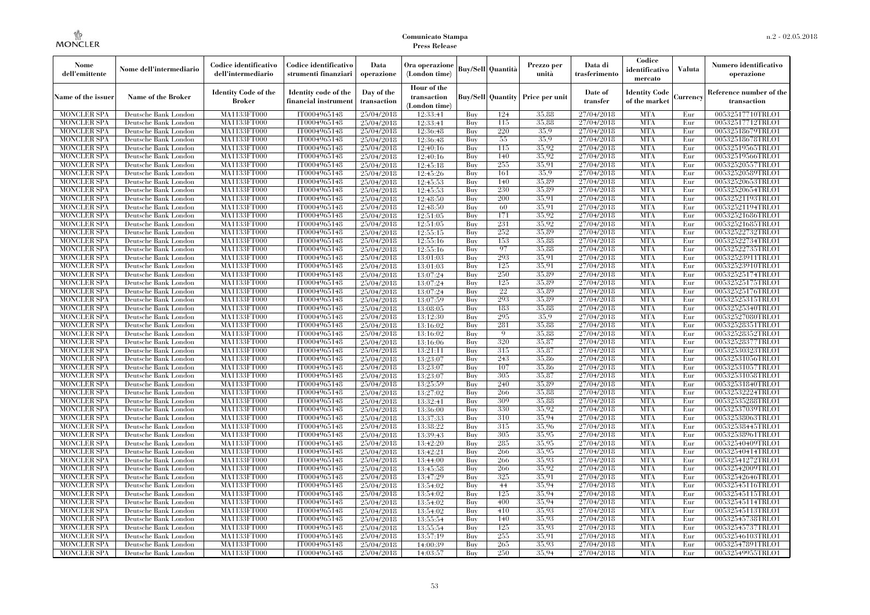| Nome<br>dell'emittente                   | Nome dell'intermediario                      | Codice identificativo<br>dell'intermediario  | Codice identificativo<br>strumenti finanziari | Data<br>operazione        | Ora operazione<br>(London time)             |            | <b>Buy/Sell Quantità</b> | Prezzo per<br>unità | Data di<br>trasferimento | Codice<br>identificativo<br>mercato   | Valuta     | Numero identificativo<br>operazione    |
|------------------------------------------|----------------------------------------------|----------------------------------------------|-----------------------------------------------|---------------------------|---------------------------------------------|------------|--------------------------|---------------------|--------------------------|---------------------------------------|------------|----------------------------------------|
| Name of the issuer                       | <b>Name of the Broker</b>                    | <b>Identity Code of the</b><br><b>Broker</b> | Identity code of the<br>financial instrumen   | Day of the<br>transaction | Hour of the<br>transaction<br>(London time) |            | <b>Buy/Sell Quantity</b> | Price per unit      | Date of<br>transfer      | <b>Identity Code</b><br>of the market | Currency   | Reference number of the<br>transaction |
| <b>MONCLER SPA</b>                       | Deutsche Bank London                         | MA1133FT000                                  | IT0004965148                                  | 25/04/2018                | 12:33:41                                    | Buy        | 124                      | 35,88               | 27/04/2018               | <b>MTA</b>                            | Eur        | 00532517710TRLO1                       |
| <b>MONCLER SPA</b>                       | Deutsche Bank London                         | MA1133FT000                                  | IT0004965148                                  | 25/04/2018                | 12:33:41                                    | Buy        | 115                      | 35,88               | 27/04/2018               | <b>MTA</b>                            | Eur        | 00532517712TRLO1                       |
| <b>MONCLER SPA</b>                       | Deutsche Bank London                         | <b>MA1133FT000</b>                           | IT0004965148                                  | 25/04/2018                | 12:36:48                                    | Buy        | 220                      | 35.9                | 27/04/2018               | <b>MTA</b>                            | Eur        | 00532518679TRLO1                       |
| <b>MONCLER SPA</b>                       | Deutsche Bank London                         | MA1133FT000                                  | IT0004965148                                  | 25/04/2018                | 12:36:48                                    | Buy        | 55                       | 35.9                | 27/04/2018               | <b>MTA</b>                            | Eur        | 00532518678TRLO1                       |
| <b>MONCLER SPA</b>                       | Deutsche Bank London                         | MA1133FT000                                  | IT0004965148                                  | 25/04/2018                | 12:40:16                                    | Buy        | 115                      | 35.92               | 27/04/2018               | <b>MTA</b>                            | Eur        | 00532519565TRLO1                       |
| <b>MONCLER SPA</b>                       | Deutsche Bank London                         | MA1133FT000                                  | IT0004965148                                  | 25/04/2018                | 12:40:16                                    | Buy        | 140                      | 35.92               | 27/04/2018               | <b>MTA</b>                            | Eur        | 00532519566TRLO1                       |
| <b>MONCLER SPA</b>                       | Deutsche Bank London                         | <b>MA1133FT000</b>                           | IT0004965148                                  | 25/04/2018                | 12:45:18                                    | Buy        | 255                      | 35,91               | 27/04/2018               | <b>MTA</b>                            | Eur        | 00532520557TRLO1                       |
| <b>MONCLER SPA</b>                       | Deutsche Bank London                         | <b>MA1133FT000</b>                           | IT0004965148                                  | 25/04/2018                | 12:45:26                                    | Buy        | 161                      | 35.9                | 27/04/2018               | <b>MTA</b>                            | Eur        | 00532520589TRLO1                       |
| <b>MONCLER SPA</b>                       | Deutsche Bank London                         | MA1133FT000                                  | IT0004965148                                  | 25/04/2018                | 12:45:53                                    | Buy        | 140                      | 35,89               | 27/04/2018               | <b>MTA</b>                            | Eur        | 00532520653TRLO1                       |
| <b>MONCLER SPA</b>                       | Deutsche Bank London                         | MA1133FT000                                  | IT0004965148                                  | 25/04/2018                | 12:45:53                                    | Buy        | 230                      | 35,89               | 27/04/2018               | <b>MTA</b>                            | Eur        | 00532520654TRLO1                       |
| <b>MONCLER SPA</b>                       | Deutsche Bank London                         | <b>MA1133FT000</b>                           | IT0004965148                                  | 25/04/2018                | 12:48:50                                    | Buy        | 200                      | 35.91               | 27/04/2018               | <b>MTA</b>                            | Eur        | 00532521193TRLO1                       |
| <b>MONCLER SPA</b>                       | Deutsche Bank London                         | <b>MA1133FT000</b>                           | IT0004965148                                  | 25/04/2018                | 12:48:50                                    | Buy        | 60                       | 35.91<br>35.92      | 27/04/2018               | <b>MTA</b>                            | Eur        | 00532521194TRLO1                       |
| <b>MONCLER SPA</b>                       | Deutsche Bank London                         | MA1133FT000                                  | IT0004965148                                  | 25/04/2018                | 12:51:05                                    | Buy        | 171                      | 35.92               | 27/04/2018               | <b>MTA</b>                            | Eur        | 00532521686TRLO1                       |
| MONCLER SPA                              | Deutsche Bank London                         | MA1133FT000                                  | IT0004965148                                  | 25/04/2018                | 12:51:05                                    | Buy        | 231<br>252               | 35,89               | 27/04/2018               | <b>MTA</b>                            | Eur        | 00532521685TRLO1                       |
| <b>MONCLER SPA</b>                       | Deutsche Bank London                         | <b>MA1133FT000</b><br><b>MA1133FT000</b>     | IT0004965148                                  | 25/04/2018                | 12:55:15                                    | Buy        |                          | 35,88               | 27/04/2018               | <b>MTA</b><br><b>MTA</b>              | Eur        | 00532522732TRLO1                       |
| <b>MONCLER SPA</b>                       | Deutsche Bank London                         |                                              | IT0004965148<br>IT0004965148                  | 25/04/2018                | 12:55:16<br>12:55:16                        | Buy<br>Buy | 153<br>97                | 35,88               | 27/04/2018<br>27/04/2018 | <b>MTA</b>                            | Eur<br>Eur | 00532522734TRLO1<br>00532522735TRLO1   |
| <b>MONCLER SPA</b>                       | Deutsche Bank London                         | MA1133FT000<br>MA1133FT000                   | IT0004965148                                  | 25/04/2018                |                                             | Buy        | 293                      | 35.91               | 27/04/2018               | <b>MTA</b>                            | Eur        | 00532523911TRLO1                       |
| MONCLER SPA                              | Deutsche Bank London                         |                                              |                                               | 25/04/2018                | 13:01:03                                    |            |                          | 35,91               | 27/04/2018               | <b>MTA</b>                            |            | 00532523910TRLO1                       |
| <b>MONCLER SPA</b><br><b>MONCLER SPA</b> | Deutsche Bank London<br>Deutsche Bank London | <b>MA1133FT000</b><br><b>MA1133FT000</b>     | IT0004965148<br>IT0004965148                  | 25/04/2018<br>25/04/2018  | 13:01:03<br>13:07:24                        | Buy        | 125<br>250               | 35.89               | 27/04/2018               | <b>MTA</b>                            | Eur<br>Eur | 00532525174TRLO1                       |
| <b>MONCLER SPA</b>                       |                                              |                                              | IT0004965148                                  |                           | 13:07:24                                    | Buy<br>Buy | 125                      | 35,89               | 27/04/2018               | <b>MTA</b>                            | Eur        | 00532525175TRLO1                       |
|                                          | Deutsche Bank London                         | MA1133FT000<br>MA1133FT000                   |                                               | 25/04/2018                |                                             |            | 22                       | 35,89               |                          | <b>MTA</b>                            |            |                                        |
| <b>MONCLER SPA</b>                       | Deutsche Bank London                         |                                              | IT0004965148                                  | 25/04/2018                | 13:07:24                                    | Buy        | 293                      | 35,89               | 27/04/2018<br>27/04/2018 | <b>MTA</b>                            | Eur        | 00532525176TRLO1                       |
| MONCLER SPA                              | Deutsche Bank London                         | <b>MA1133FT000</b>                           | IT0004965148                                  | 25/04/2018                | 13:07:59                                    | Buy        |                          | 35,88               |                          | <b>MTA</b>                            | Eur        | 00532525315TRLO1                       |
| <b>MONCLER SPA</b>                       | Deutsche Bank London                         | MA1133FT000                                  | IT0004965148                                  | 25/04/2018                | 13:08:05                                    | Buy        | 183<br>295               |                     | 27/04/2018               |                                       | Eur        | 00532525340TRLO1                       |
| <b>MONCLER SPA</b>                       | Deutsche Bank London                         | MA1133FT000<br><b>MA1133FT000</b>            | IT0004965148<br>IT0004965148                  | 25/04/2018                | 13:12:30                                    | Buy        | 281                      | 35.9<br>35,88       | 27/04/2018<br>27/04/2018 | <b>MTA</b><br><b>MTA</b>              | Eur        | 00532527080TRLO1                       |
| <b>MONCLER SPA</b>                       | Deutsche Bank London                         |                                              | IT0004965148                                  | 25/04/2018                | 13:16:02                                    | Buy        | $\overline{Q}$           | 35,88               | 27/04/2018               | <b>MTA</b>                            | Eur<br>Eur | 00532528351TRLO1                       |
| MONCLER SPA<br><b>MONCLER SPA</b>        | Deutsche Bank London<br>Deutsche Bank London | <b>MA1133FT000</b><br>MA1133FT000            | IT0004965148                                  | 25/04/2018                | 13:16:02                                    | Buy<br>Buy | 320                      | 35,87               | 27/04/2018               | <b>MTA</b>                            | Eur        | 00532528352TRLO1<br>00532528377TRLO1   |
| <b>MONCLER SPA</b>                       | Deutsche Bank London                         | MA1133FT000                                  | IT0004965148                                  | 25/04/2018                | 13:16:06<br>13:21:11                        | Buy        | 315                      | 35,87               | 27/04/2018               | <b>MTA</b>                            | Eur        | 00532530323TRLO1                       |
| <b>MONCLER SPA</b>                       | Deutsche Bank London                         | <b>MA1133FT000</b>                           | IT0004965148                                  | 25/04/2018<br>25/04/2018  | 13:23:07                                    | Buy        | 243                      | 35,86               | 27/04/2018               | <b>MTA</b>                            | Eur        | 00532531056TRLO1                       |
| <b>MONCLER SPA</b>                       | Deutsche Bank London                         | <b>MA1133FT000</b>                           | IT0004965148                                  | 25/04/2018                | 13:23:07                                    | Buy        | 107                      | 35,86               | 27/04/2018               | <b>MTA</b>                            | Eur        | 00532531057TRLO1                       |
| <b>MONCLER SPA</b>                       | Deutsche Bank London                         | MA1133FT000                                  | IT0004965148                                  | 25/04/2018                | 13:23:07                                    | Buy        | 305                      | 35,87               | 27/04/2018               | <b>MTA</b>                            | Eur        | 00532531058TRLO1                       |
| <b>MONCLER SPA</b>                       | Deutsche Bank London                         | MA1133FT000                                  | IT0004965148                                  | 25/04/2018                | 13:25:59                                    | Buy        | 240                      | 35.89               | 27/04/2018               | <b>MTA</b>                            | Eur        | 00532531840TRLO1                       |
| <b>MONCLER SPA</b>                       | Deutsche Bank London                         | <b>MA1133FT000</b>                           | IT0004965148                                  | 25/04/2018                | 13:27:02                                    | Buy        | 266                      | 35,88               | 27/04/2018               | <b>MTA</b>                            | Eur        | 00532532224TRLO1                       |
| <b>MONCLER SPA</b>                       | Deutsche Bank London                         | <b>MA1133FT000</b>                           | IT0004965148                                  | 25/04/2018                | 13:32:41                                    | Buy        | 309                      | 35,88               | 27/04/2018               | <b>MTA</b>                            | Eur        | 00532535288TRLO1                       |
| <b>MONCLER SPA</b>                       | Deutsche Bank London                         | MA1133FT000                                  | IT0004965148                                  | 25/04/2018                | 13:36:00                                    | Buy        | 330                      | 35.92               | 27/04/2018               | <b>MTA</b>                            | Eur        | 00532537039TRLO1                       |
| <b>MONCLER SPA</b>                       | Deutsche Bank London                         | MA1133FT000                                  | IT0004965148                                  | 25/04/2018                | 13:37:33                                    | Buy        | 310                      | 35.94               | 27/04/2018               | <b>MTA</b>                            | Eur        | 00532538063TRLO1                       |
| <b>MONCLER SPA</b>                       | Deutsche Bank London                         | <b>MA1133FT000</b>                           | IT0004965148                                  | 25/04/2018                | 13:38:22                                    | Buy        | 315                      | 35.96               | 27/04/2018               | <b>MTA</b>                            | Eur        | 00532538445TRLO1                       |
| <b>MONCLER SPA</b>                       | Deutsche Bank London                         | <b>MA1133FT000</b>                           | IT0004965148                                  | 25/04/2018                | 13:39:43                                    | Buy        | 305                      | 35.95               | 27/04/2018               | <b>MTA</b>                            | Eur        | 00532538961TRLO1                       |
| <b>MONCLER SPA</b>                       | Deutsche Bank London                         | MA1133FT000                                  | IT0004965148                                  | 25/04/2018                | 13:42:20                                    | Buy        | 285                      | 35.95               | 27/04/2018               | <b>MTA</b>                            | Eur        | 00532540409TRLO1                       |
| <b>MONCLER SPA</b>                       | Deutsche Bank London                         | MA1133FT000                                  | IT0004965148                                  | 25/04/2018                | 13:42:21                                    | Buy        | 266                      | 35.95               | 27/04/2018               | <b>MTA</b>                            | Eur        | 00532540414TRLO1                       |
| <b>MONCLER SPA</b>                       | Deutsche Bank London                         | MA1133FT000                                  | IT0004965148                                  | 25/04/2018                | 13:44:00                                    | Buy        | 266                      | 35.93               | 27/04/2018               | <b>MTA</b>                            | Eur        | 00532541272TRLO1                       |
| <b>MONCLER SPA</b>                       | Deutsche Bank London                         | <b>MA1133FT000</b>                           | IT0004965148                                  | 25/04/2018                | 13:45:58                                    | Buy        | 266                      | 35.92               | 27/04/2018               | MTA                                   | Eur        | 00532542009TRLO1                       |
| <b>MONCLER SPA</b>                       | Deutsche Bank London                         | MA1133FT000                                  | IT0004965148                                  | 25/04/2018                | 13:47:29                                    | Buy        | 325                      | 35.91               | 27/04/2018               | <b>MTA</b>                            | Eur        | 00532542646TRLO1                       |
| <b>MONCLER SPA</b>                       | Deutsche Bank London                         | MA1133FT000                                  | IT0004965148                                  | 25/04/2018                | 13:54:02                                    | Buy        | 44                       | 35.94               | 27/04/2018               | <b>MTA</b>                            | Eur        | 00532545116TRLO1                       |
| <b>MONCLER SPA</b>                       | Deutsche Bank London                         | MA1133FT000                                  | IT0004965148                                  | 25/04/2018                | 13:54:02                                    | Buy        | 125                      | 35.94               | 27/04/2018               | <b>MTA</b>                            | Eur        | 00532545115TRLO1                       |
| <b>MONCLER SPA</b>                       | Deutsche Bank London                         | <b>MA1133FT000</b>                           | IT0004965148                                  | 25/04/2018                | 13:54:02                                    | Buy        | 400                      | 35,94               | 27/04/2018               | <b>MTA</b>                            | Eur        | 00532545114TRLO1                       |
| <b>MONCLER SPA</b>                       | Deutsche Bank London                         | MA1133FT000                                  | IT0004965148                                  | 25/04/2018                | 13:54:02                                    | Buy        | 410                      | 35.93               | 27/04/2018               | <b>MTA</b>                            | Eur        | 00532545113TRLO1                       |
| <b>MONCLER SPA</b>                       | Deutsche Bank London                         | MA1133FT000                                  | IT0004965148                                  | 25/04/2018                | 13:55:54                                    | Buy        | 140                      | 35,93               | 27/04/2018               | <b>MTA</b>                            | Eur        | 00532545738TRLO1                       |
| <b>MONCLER SPA</b>                       | Deutsche Bank London                         | MA1133FT000                                  | IT0004965148                                  | 25/04/2018                | 13:55:54                                    | Buy        | 125                      | 35.93               | 27/04/2018               | <b>MTA</b>                            | Eur        | 00532545737TRLO1                       |
| MONCLER SPA                              | Deutsche Bank London                         | <b>MA1133FT000</b>                           | IT0004965148                                  | 25/04/2018                | 13:57:19                                    | Buy        | 255                      | 35.91               | 27/04/2018               | <b>MTA</b>                            | Eur        | 00532546103TRLO1                       |
| <b>MONCLER SPA</b>                       | Deutsche Bank London                         | <b>MA1133FT000</b>                           | IT0004965148                                  | 25/04/2018                | 14:00:39                                    | Buy        | 265                      | 35.93               | 27/04/2018               | <b>MTA</b>                            | Eur        | 00532547891TRLO1                       |
| <b>MONCLER SPA</b>                       | Deutsche Bank London                         | MA1133FT000                                  | IT0004965148                                  | 25/04/2018                | 14:03:57                                    | Buy        | 250                      | 35.94               | 27/04/2018               | <b>MTA</b>                            | Eur        | 00532549955TRLO1                       |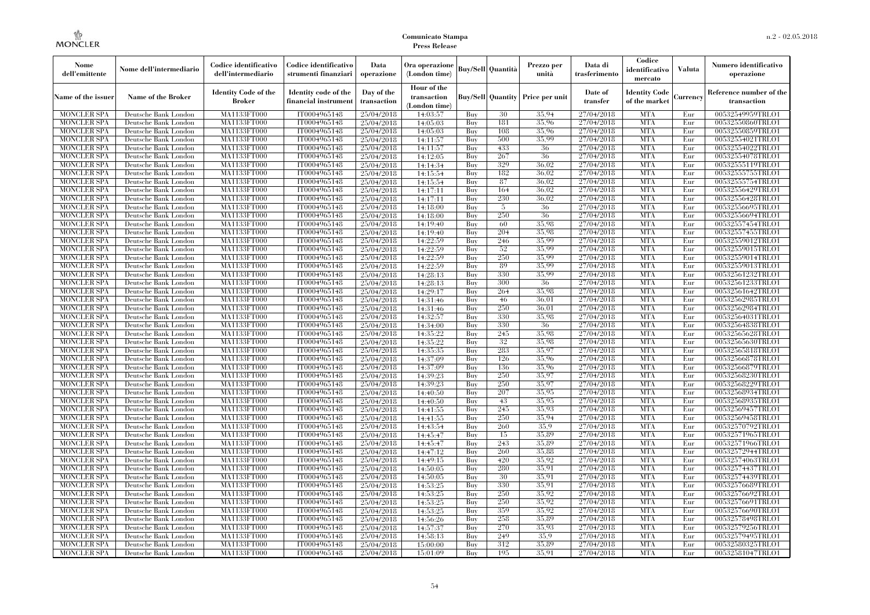| Nome<br>dell'emittente | Nome dell'intermediario   | Codice identificativo<br>dell'intermediario  | Codice identificativo<br>strumenti finanziari | Data<br>operazione        | Ora operazione<br>(London time)             |     | <b>Buy/Sell Quantità</b> | Prezzo per<br>unità | Data di<br>trasferimento | Codice<br>identificativo<br>mercato   | Valuta   | Numero identificativo<br>operazione    |
|------------------------|---------------------------|----------------------------------------------|-----------------------------------------------|---------------------------|---------------------------------------------|-----|--------------------------|---------------------|--------------------------|---------------------------------------|----------|----------------------------------------|
| Name of the issuer     | <b>Name of the Broker</b> | <b>Identity Code of the</b><br><b>Broker</b> | Identity code of the<br>financial instrumen   | Day of the<br>transaction | Hour of the<br>transaction<br>(London time) |     | <b>Buy/Sell Quantity</b> | Price per unit      | Date of<br>transfer      | <b>Identity Code</b><br>of the market | Currency | Reference number of the<br>transaction |
| <b>MONCLER SPA</b>     | Deutsche Bank London      | MA1133FT000                                  | IT0004965148                                  | 25/04/2018                | 14:03:57                                    | Buy | 30                       | 35.94               | 27/04/2018               | <b>MTA</b>                            | Eur      | 00532549959TRLO1                       |
| <b>MONCLER SPA</b>     | Deutsche Bank London      | MA1133FT000                                  | IT0004965148                                  | 25/04/2018                | 14:05:03                                    | Buy | 181                      | 35,96               | 27/04/2018               | <b>MTA</b>                            | Eur      | 00532550860TRLO1                       |
| <b>MONCLER SPA</b>     | Deutsche Bank London      | <b>MA1133FT000</b>                           | IT0004965148                                  | 25/04/2018                | 14:05:03                                    | Buy | 108                      | 35.96               | 27/04/2018               | <b>MTA</b>                            | Eur      | 00532550859TRLO1                       |
| <b>MONCLER SPA</b>     | Deutsche Bank London      | MA1133FT000                                  | IT0004965148                                  | 25/04/2018                | 14:11:57                                    | Buy | 500                      | 35.99               | 27/04/2018               | <b>MTA</b>                            | Eur      | 00532554021TRLO1                       |
| <b>MONCLER SPA</b>     | Deutsche Bank London      | MA1133FT000                                  | IT0004965148                                  | 25/04/2018                | 14:11:57                                    | Buy | 433                      | 36                  | 27/04/2018               | <b>MTA</b>                            | Eur      | 00532554022TRLO1                       |
| <b>MONCLER SPA</b>     | Deutsche Bank London      | MA1133FT000                                  | IT0004965148                                  | 25/04/2018                | 14:12:05                                    | Buy | 267                      | 36                  | 27/04/2018               | <b>MTA</b>                            | Eur      | 00532554078TRLO1                       |
| <b>MONCLER SPA</b>     | Deutsche Bank London      | <b>MA1133FT000</b>                           | IT0004965148                                  | 25/04/2018                | 14:14:34                                    | Buy | 329                      | 36,02               | 27/04/2018               | <b>MTA</b>                            | Eur      | 00532555119TRLO1                       |
| <b>MONCLER SPA</b>     | Deutsche Bank London      | <b>MA1133FT000</b>                           | IT0004965148                                  | 25/04/2018                | 14:15:54                                    | Buy | 182                      | 36.02               | 27/04/2018               | <b>MTA</b>                            | Eur      | 00532555755TRLO1                       |
| <b>MONCLER SPA</b>     | Deutsche Bank London      | MA1133FT000                                  | IT0004965148                                  | 25/04/2018                | 14:15:54                                    | Buy | 87                       | 36,02               | 27/04/2018               | <b>MTA</b>                            | Eur      | 00532555754TRLO1                       |
| <b>MONCLER SPA</b>     | Deutsche Bank London      | MA1133FT000                                  | IT0004965148                                  | 25/04/2018                | 14:17:11                                    | Buy | 164                      | 36,02               | 27/04/2018               | <b>MTA</b>                            | Eur      | 00532556429TRLO1                       |
| <b>MONCLER SPA</b>     | Deutsche Bank London      | <b>MA1133FT000</b>                           | IT0004965148                                  | 25/04/2018                | 14:17:11                                    | Buy | 230                      | 36,02               | 27/04/2018               | <b>MTA</b>                            | Eur      | 00532556428TRLO1                       |
| <b>MONCLER SPA</b>     | Deutsche Bank London      | <b>MA1133FT000</b>                           | IT0004965148                                  | 25/04/2018                | 14:18:00                                    | Buy | -5                       | 36                  | 27/04/2018               | <b>MTA</b>                            | Eur      | 00532556695TRLO1                       |
| <b>MONCLER SPA</b>     | Deutsche Bank London      | MA1133FT000                                  | IT0004965148                                  | 25/04/2018                | 14:18:00                                    | Buy | 250                      | 36                  | 27/04/2018               | <b>MTA</b>                            | Eur      | 00532556694TRLO1                       |
| MONCLER SPA            | Deutsche Bank London      | MA1133FT000                                  | IT0004965148                                  | 25/04/2018                | 14:19:40                                    | Buy | 60                       | 35.98               | 27/04/2018               | <b>MTA</b>                            | Eur      | 00532557454TRLO1                       |
| <b>MONCLER SPA</b>     | Deutsche Bank London      | <b>MA1133FT000</b>                           | IT0004965148                                  | 25/04/2018                | 14:19:40                                    | Buy | 204                      | 35.98               | 27/04/2018               | <b>MTA</b>                            | Eur      | 00532557455TRLO1                       |
| <b>MONCLER SPA</b>     | Deutsche Bank London      | <b>MA1133FT000</b>                           | IT0004965148                                  | 25/04/2018                | 14:22:59                                    | Buy | 246                      | 35.99               | 27/04/2018               | <b>MTA</b>                            | Eur      | 00532559012TRLO1                       |
| <b>MONCLER SPA</b>     | Deutsche Bank London      | MA1133FT000                                  | IT0004965148                                  | 25/04/2018                | 14:22:59                                    | Buy | 52                       | 35.99               | 27/04/2018               | <b>MTA</b>                            | Eur      | 00532559015TRLO1                       |
| MONCLER SPA            | Deutsche Bank London      | MA1133FT000                                  | IT0004965148                                  | 25/04/2018                | 14:22:59                                    | Buy | 250                      | 35.99               | 27/04/2018               | <b>MTA</b>                            | Eur      | 00532559014TRLO1                       |
| <b>MONCLER SPA</b>     | Deutsche Bank London      | <b>MA1133FT000</b>                           | IT0004965148                                  | 25/04/2018                | 14:22:59                                    | Buy | 89                       | 35.99               | 27/04/2018               | <b>MTA</b>                            | Eur      | 00532559013TRLO1                       |
| <b>MONCLER SPA</b>     | Deutsche Bank London      | <b>MA1133FT000</b>                           | IT0004965148                                  | 25/04/2018                | 14:28:13                                    | Buy | 330                      | 35.99               | 27/04/2018               | <b>MTA</b>                            | Eur      | 00532561232TRLO1                       |
| <b>MONCLER SPA</b>     | Deutsche Bank London      | MA1133FT000                                  | IT0004965148                                  | 25/04/2018                | 14:28:13                                    | Buy | 300                      | 36                  | 27/04/2018               | <b>MTA</b>                            | Eur      | 00532561233TRLO1                       |
| <b>MONCLER SPA</b>     | Deutsche Bank London      | MA1133FT000                                  | IT0004965148                                  | 25/04/2018                | 14:29:17                                    | Buy | 264                      | 35.98               | 27/04/2018               | <b>MTA</b>                            | Eur      | 00532561642TRLO1                       |
| MONCLER SPA            | Deutsche Bank London      | <b>MA1133FT000</b>                           | IT0004965148                                  | 25/04/2018                | 14:31:46                                    | Buy | 46                       | 36,01               | 27/04/2018               | <b>MTA</b>                            | Eur      | 00532562985TRLO1                       |
| <b>MONCLER SPA</b>     | Deutsche Bank London      | MA1133FT000                                  | IT0004965148                                  | 25/04/2018                | 14:31:46                                    | Buy | 250                      | 36.01               | 27/04/2018               | <b>MTA</b>                            | Eur      | 00532562984TRLO1                       |
| <b>MONCLER SPA</b>     | Deutsche Bank London      | MA1133FT000                                  | IT0004965148                                  | 25/04/2018                | 14:32:57                                    | Buy | 330                      | 35.98               | 27/04/2018               | <b>MTA</b>                            | Eur      | 00532564031TRLO1                       |
| <b>MONCLER SPA</b>     | Deutsche Bank London      | <b>MA1133FT000</b>                           | IT0004965148                                  | 25/04/2018                | 14:34:00                                    | Buy | 330                      | -36                 | 27/04/2018               | <b>MTA</b>                            | Eur      | 00532564838TRLO1                       |
| MONCLER SPA            | Deutsche Bank London      | <b>MA1133FT000</b>                           | IT0004965148                                  | 25/04/2018                | 14:35:22                                    | Buy | 245                      | 35.98               | 27/04/2018               | <b>MTA</b>                            | Eur      | 00532565628TRLO1                       |
| <b>MONCLER SPA</b>     | Deutsche Bank London      | MA1133FT000                                  | IT0004965148                                  | 25/04/2018                | 14:35:22                                    | Buy | 32                       | 35.98               | 27/04/2018               | <b>MTA</b>                            | Eur      | 00532565630TRLO1                       |
| <b>MONCLER SPA</b>     | Deutsche Bank London      | MA1133FT000                                  | IT0004965148                                  | 25/04/2018                | 14:35:35                                    | Buy | 283                      | 35,97               | 27/04/2018               | <b>MTA</b>                            | Eur      | 00532565818TRLO1                       |
| <b>MONCLER SPA</b>     | Deutsche Bank London      | <b>MA1133FT000</b>                           | IT0004965148                                  | 25/04/2018                | 14:37:09                                    | Buy | 126                      | 35.96               | 27/04/2018               | <b>MTA</b>                            | Eur      | 00532566878TRLO1                       |
| <b>MONCLER SPA</b>     | Deutsche Bank London      | <b>MA1133FT000</b>                           | IT0004965148                                  | 25/04/2018                | 14:37:09                                    | Buy | 136                      | 35,96               | 27/04/2018               | <b>MTA</b>                            | Eur      | 00532566879TRLO1                       |
| <b>MONCLER SPA</b>     | Deutsche Bank London      | MA1133FT000                                  | IT0004965148                                  | 25/04/2018                | 14:39:23                                    | Buy | 250                      | 35.97               | 27/04/2018               | <b>MTA</b>                            | Eur      | 00532568230TRLO1                       |
| <b>MONCLER SPA</b>     | Deutsche Bank London      | MA1133FT000                                  | IT0004965148                                  | 25/04/2018                | 14:39:23                                    | Buy | 250                      | 35,97               | 27/04/2018               | <b>MTA</b>                            | Eur      | 00532568229TRLO1                       |
| <b>MONCLER SPA</b>     | Deutsche Bank London      | <b>MA1133FT000</b>                           | IT0004965148                                  | 25/04/2018                | 14:40:50                                    | Buy | 207                      | 35.95               | 27/04/2018               | <b>MTA</b>                            | Eur      | 00532568934TRLO1                       |
| <b>MONCLER SPA</b>     | Deutsche Bank London      | <b>MA1133FT000</b>                           | IT0004965148                                  | 25/04/2018                | 14:40:50                                    | Buy | 43                       | 35.95               | 27/04/2018               | <b>MTA</b>                            | Eur      | 00532568935TRLO1                       |
| <b>MONCLER SPA</b>     | Deutsche Bank London      | MA1133FT000                                  | IT0004965148                                  | 25/04/2018                | 14:41:55                                    | Buy | 245                      | 35.93               | 27/04/2018               | <b>MTA</b>                            | Eur      | 00532569457TRLO1                       |
| <b>MONCLER SPA</b>     | Deutsche Bank London      | MA1133FT000                                  | IT0004965148                                  | 25/04/2018                | 14:41:55                                    | Buy | 250                      | 35.94               | 27/04/2018               | <b>MTA</b>                            | Eur      | 00532569458TRLO1                       |
| <b>MONCLER SPA</b>     | Deutsche Bank London      | <b>MA1133FT000</b>                           | IT0004965148                                  | 25/04/2018                | 14:43:54                                    | Buy | 260                      | 35.9                | 27/04/2018               | <b>MTA</b>                            | Eur      | 00532570792TRLO1                       |
| <b>MONCLER SPA</b>     | Deutsche Bank London      | <b>MA1133FT000</b>                           | IT0004965148                                  | 25/04/2018                | 14:45:47                                    | Buy | 15                       | 35,89               | 27/04/2018               | <b>MTA</b>                            | Eur      | 00532571965TRLO1                       |
| <b>MONCLER SPA</b>     | Deutsche Bank London      | MA1133FT000                                  | IT0004965148                                  | 25/04/2018                | 14:45:47                                    | Buy | 243                      | 35,89               | 27/04/2018               | <b>MTA</b>                            | Eur      | 00532571966TRLO1                       |
| <b>MONCLER SPA</b>     | Deutsche Bank London      | MA1133FT000                                  | IT0004965148                                  | 25/04/2018                | 14:47:12                                    | Buy | 260                      | 35,88               | 27/04/2018               | <b>MTA</b>                            | Eur      | 00532572944TRLO1                       |
| <b>MONCLER SPA</b>     | Deutsche Bank London      | MA1133FT000                                  | IT0004965148                                  | 25/04/2018                | 14:49:15                                    | Buy | 420                      | 35.92               | 27/04/2018               | <b>MTA</b>                            | Eur      | 00532574063TRLO1                       |
| <b>MONCLER SPA</b>     | Deutsche Bank London      | <b>MA1133FT000</b>                           | IT0004965148                                  | 25/04/2018                | 14:50:05                                    | Buy | 280                      | 35.91               | 27/04/2018               | MTA                                   | Eur      | 00532574437TRLO1                       |
| <b>MONCLER SPA</b>     | Deutsche Bank London      | MA1133FT000                                  | IT0004965148                                  | 25/04/2018                | 14:50:05                                    | Buy | 30                       | 35.91               | 27/04/2018               | <b>MTA</b>                            | Eur      | 00532574439TRLO1                       |
| <b>MONCLER SPA</b>     | Deutsche Bank London      | MA1133FT000                                  | IT0004965148                                  | 25/04/2018                | 14:53:25                                    | Buy | 330                      | 35.91               | 27/04/2018               | <b>MTA</b>                            | Eur      | 00532576689TRLO1                       |
| <b>MONCLER SPA</b>     | Deutsche Bank London      | MA1133FT000                                  | IT0004965148                                  | 25/04/2018                | 14:53:25                                    | Buy | 250                      | 35.92               | 27/04/2018               | <b>MTA</b>                            | Eur      | 00532576692TRLO1                       |
| <b>MONCLER SPA</b>     | Deutsche Bank London      | <b>MA1133FT000</b>                           | IT0004965148                                  | 25/04/2018                | 14:53:25                                    | Buy | 250                      | 35.92               | 27/04/2018               | <b>MTA</b>                            | Eur      | 00532576691TRLO1                       |
| <b>MONCLER SPA</b>     | Deutsche Bank London      | MA1133FT000                                  | IT0004965148                                  | 25/04/2018                | 14:53:25                                    | Buy | 359                      | 35.92               | 27/04/2018               | <b>MTA</b>                            | Eur      | 00532576690TRLO1                       |
| <b>MONCLER SPA</b>     | Deutsche Bank London      | MA1133FT000                                  | IT0004965148                                  | 25/04/2018                | 14:56:26                                    | Buy | 258                      | 35.89               | 27/04/2018               | <b>MTA</b>                            | Eur      | 00532578498TRLO1                       |
| <b>MONCLER SPA</b>     | Deutsche Bank London      | MA1133FT000                                  | IT0004965148                                  | 25/04/2018                | 14:57:37                                    | Buy | 270                      | 35.93               | 27/04/2018               | <b>MTA</b>                            | Eur      | 00532579256TRLO1                       |
| MONCLER SPA            | Deutsche Bank London      | <b>MA1133FT000</b>                           | IT0004965148                                  | 25/04/2018                | 14:58:13                                    | Buy | 249                      | 35.9                | 27/04/2018               | <b>MTA</b>                            | Eur      | 00532579495TRLO1                       |
| <b>MONCLER SPA</b>     | Deutsche Bank London      | <b>MA1133FT000</b>                           | IT0004965148                                  | 25/04/2018                | 15:00:00                                    | Buy | 312                      | 35,89               | 27/04/2018               | <b>MTA</b>                            | Eur      | 00532580325TRLO1                       |
| <b>MONCLER SPA</b>     | Deutsche Bank London      | MA1133FT000                                  | IT0004965148                                  | 25/04/2018                | 15:01:09                                    | Buy | 195                      | 35.91               | 27/04/2018               | <b>MTA</b>                            | Eur      | 00532581047TRLO1                       |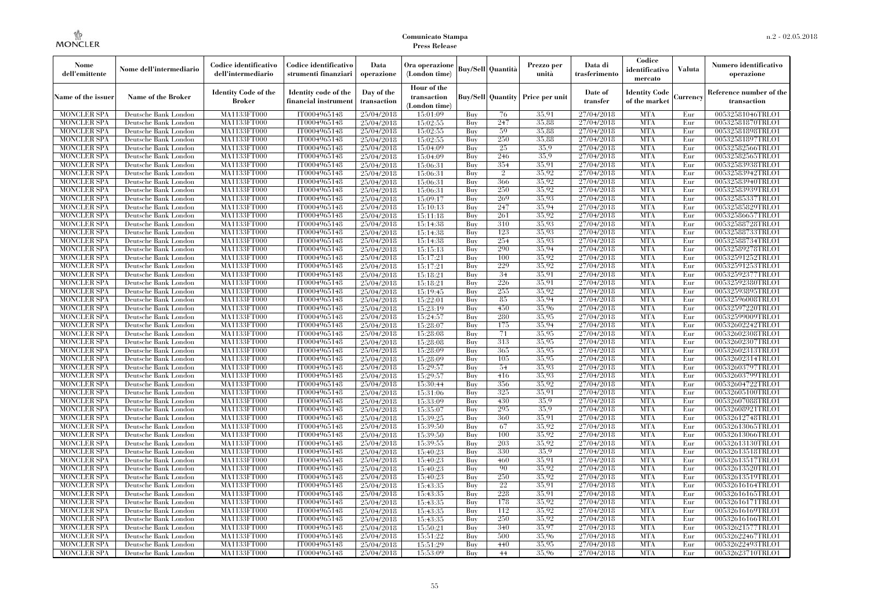| Nome<br>dell'emittente                   | Nome dell'intermediario                      | Codice identificativo<br>dell'intermediario | Codice identificativo<br>strumenti finanziari | Data<br>operazione        | Ora operazione<br>(London time)             |            | Buy/Sell   Quantità      | Prezzo per<br>unità | Data di<br>trasferimento | Codice<br>identificativo<br>mercato   | <b>Valuta</b> | Numero identificativo<br>operazione    |
|------------------------------------------|----------------------------------------------|---------------------------------------------|-----------------------------------------------|---------------------------|---------------------------------------------|------------|--------------------------|---------------------|--------------------------|---------------------------------------|---------------|----------------------------------------|
| Name of the issuer                       | Name of the Broker                           | <b>Identity Code of the</b><br>Broker       | Identity code of the<br>financial instrument  | Day of the<br>transaction | Hour of the<br>transaction<br>(London time) |            | <b>Buy/Sell Quantity</b> | Price per unit      | Date of<br>transfer      | <b>Identity Code</b><br>of the market | Currencv      | Reference number of the<br>transaction |
| <b>MONCLER SPA</b>                       | Deutsche Bank London                         | MA1133FT000                                 | IT0004965148                                  | 25/04/2018                | 15:01:09                                    | Buy        | 76                       | 35,91               | 27/04/2018               | <b>MTA</b>                            | Eur           | 00532581046TRLO1                       |
| <b>MONCLER SPA</b>                       | Deutsche Bank London                         | <b>MA1133FT000</b>                          | IT0004965148                                  | 25/04/2018                | 15:02:55                                    | Buy        | 247                      | 35,88               | 27/04/2018               | <b>MTA</b>                            | Eur           | 00532581870TRLO1                       |
| <b>MONCLER SPA</b>                       | Deutsche Bank London                         | MA1133FT000                                 | IT0004965148                                  | 25/04/2018                | 15:02:55                                    | Buv        | 59                       | 35.88               | 27/04/2018               | <b>MTA</b>                            | Eur           | 00532581898TRLO1                       |
| <b>MONCLER SPA</b>                       | Deutsche Bank London                         | MA1133FT000                                 | IT0004965148                                  | 25/04/2018                | 15:02:55                                    | Buy        | 250                      | 35,88               | 27/04/2018               | <b>MTA</b>                            | Eur           | 00532581897TRLO1                       |
| <b>MONCLER SPA</b>                       | Deutsche Bank London                         | MA1133FT000                                 | IT0004965148                                  | 25/04/2018                | 15:04:09                                    | Buy        | 25                       | 35.9                | 27/04/2018               | <b>MTA</b>                            | Eur           | 00532582566TRLO1                       |
| <b>MONCLER SPA</b>                       | Deutsche Bank London                         | <b>MA1133FT000</b>                          | IT0004965148                                  | 25/04/2018                | 15:04:09                                    | Buy        | 246                      | 35.9                | 27/04/2018               | <b>MTA</b>                            | Eur           | 00532582565TRLO1                       |
| <b>MONCLER SPA</b>                       | Deutsche Bank London                         | MA1133FT000                                 | IT0004965148                                  | 25/04/2018                | 15:06:31                                    | Buy        | 354                      | 35,91               | 27/04/2018               | <b>MTA</b>                            | Eur           | 00532583938TRLO1                       |
| <b>MONCLER SPA</b>                       | Deutsche Bank London                         | MA1133FT000                                 | IT0004965148                                  | 25/04/2018                | 15:06:31                                    | Buy        | $\overline{2}$           | 35.92               | 27/04/2018               | <b>MTA</b>                            | Eur           | 00532583942TRLO1                       |
| <b>MONCLER SPA</b>                       | Deutsche Bank London                         | MA1133FT000                                 | IT0004965148                                  | 25/04/2018                | 15:06:31                                    | Buy        | 366                      | 35.92               | 27/04/2018               | <b>MTA</b>                            | Eur           | 00532583940TRLO1                       |
| <b>MONCLER SPA</b>                       | Deutsche Bank London                         | MA1133FT000                                 | IT0004965148                                  | 25/04/2018                | 15:06:31                                    | Buy        | 250                      | 35.92<br>35,93      | 27/04/2018               | <b>MTA</b><br><b>MTA</b>              | Eur           | 00532583939TRLO1                       |
| <b>MONCLER SPA</b>                       | Deutsche Bank London                         | MA1133FT000                                 | IT0004965148                                  | 25/04/2018                | 15:09:17                                    | Buy        | 269                      | 35,94               | 27/04/2018               | <b>MTA</b>                            | Eur           | 00532585337TRLO1                       |
| <b>MONCLER SPA</b><br><b>MONCLER SPA</b> | Deutsche Bank London<br>Deutsche Bank London | MA1133FT000<br>MA1133FT000                  | IT0004965148<br>IT0004965148                  | 25/04/2018                | 15:10:13<br>15:11:18                        | Buy<br>Buy | 247<br>261               | 35.92               | 27/04/2018<br>27/04/2018 | <b>MTA</b>                            | Eur<br>Eur    | 00532585829TRLO1<br>00532586657TRLO1   |
| <b>MONCLER SPA</b>                       | Deutsche Bank London                         | MA1133FT000                                 | IT0004965148                                  | 25/04/2018<br>25/04/2018  | 15:14:38                                    | Buy        | 310                      | 35.93               | 27/04/2018               | <b>MTA</b>                            | Eur           | 00532588728TRLO1                       |
| <b>MONCLER SPA</b>                       | Deutsche Bank London                         | MA1133FT000                                 | IT0004965148                                  | 25/04/2018                | 15:14:38                                    | Buy        | 123                      | 35.93               | 27/04/2018               | <b>MTA</b>                            | Eur           | 00532588733TRLO1                       |
| <b>MONCLER SPA</b>                       | Deutsche Bank London                         | MA1133FT000                                 | IT0004965148                                  | 25/04/2018                | 15:14:38                                    | Buy        | 254                      | 35,93               | 27/04/2018               | <b>MTA</b>                            | Eur           | 00532588734TRLO1                       |
| <b>MONCLER SPA</b>                       | Deutsche Bank London                         | MA1133FT000                                 | IT0004965148                                  | 25/04/2018                | 15:15:13                                    | Buy        | 290                      | 35.94               | 27/04/2018               | <b>MTA</b>                            | Eur           | 00532589278TRLO1                       |
| <b>MONCLER SPA</b>                       | Deutsche Bank London                         | MA1133FT000                                 | IT0004965148                                  | 25/04/2018                | 15:17:21                                    | Buy        | 100                      | 35.92               | 27/04/2018               | <b>MTA</b>                            | Eur           | 00532591252TRLO1                       |
| <b>MONCLER SPA</b>                       | Deutsche Bank London                         | MA1133FT000                                 | IT0004965148                                  | 25/04/2018                | 15:17:21                                    | Buy        | 229                      | 35.92               | 27/04/2018               | <b>MTA</b>                            | Eur           | 00532591253TRLO1                       |
| <b>MONCLER SPA</b>                       | Deutsche Bank London                         | MA1133FT000                                 | IT0004965148                                  | 25/04/2018                | 15:18:21                                    | Buy        | 34                       | 35.91               | 27/04/2018               | <b>MTA</b>                            | Eur           | 00532592377TRLO1                       |
| <b>MONCLER SPA</b>                       | Deutsche Bank London                         | MA1133FT000                                 | IT0004965148                                  | 25/04/2018                | 15:18:21                                    | Buy        | 226                      | 35.91               | 27/04/2018               | <b>MTA</b>                            | Eur           | 00532592380TRLO1                       |
| <b>MONCLER SPA</b>                       | Deutsche Bank London                         | MA1133FT000                                 | IT0004965148                                  | 25/04/2018                | 15:19:45                                    | Buy        | 255                      | 35,92               | 27/04/2018               | <b>MTA</b>                            | Eur           | 00532593895TRLO1                       |
| <b>MONCLER SPA</b>                       | Deutsche Bank London                         | MA1133FT000                                 | IT0004965148                                  | 25/04/2018                | 15:22:01                                    | Buy        | 85                       | 35.94               | 27/04/2018               | <b>MTA</b>                            | Eur           | 00532596008TRLO1                       |
| <b>MONCLER SPA</b>                       | Deutsche Bank London                         | MA1133FT000                                 | IT0004965148                                  | 25/04/2018                | 15:23:19                                    | Buy        | 450                      | 35.96               | 27/04/2018               | <b>MTA</b>                            | Eur           | 00532597220TRLO1                       |
| <b>MONCLER SPA</b>                       | Deutsche Bank London                         | MA1133FT000                                 | IT0004965148                                  | 25/04/2018                | 15:24:57                                    | Buy        | 280                      | 35.95               | 27/04/2018               | <b>MTA</b>                            | Eur           | 00532599009TRLO1                       |
| <b>MONCLER SPA</b>                       | Deutsche Bank London                         | MA1133FT000                                 | IT0004965148                                  | 25/04/2018                | 15:28:07                                    | Buy        | 175                      | 35.94               | 27/04/2018               | <b>MTA</b>                            | Eur           | 00532602242TRLO1                       |
| <b>MONCLER SPA</b>                       | Deutsche Bank London                         | MA1133FT000                                 | IT0004965148                                  | 25/04/2018                | 15:28:08                                    | Buy        | 71                       | 35,95               | 27/04/2018               | <b>MTA</b>                            | Eur           | 00532602308TRLO1                       |
| <b>MONCLER SPA</b>                       | Deutsche Bank London                         | MA1133FT000                                 | IT0004965148                                  | 25/04/2018                | 15:28:08                                    | Buy        | 313                      | 35.95               | 27/04/2018               | <b>MTA</b>                            | Eur           | 00532602307TRLO1                       |
| <b>MONCLER SPA</b>                       | Deutsche Bank London                         | MA1133FT000                                 | IT0004965148                                  | 25/04/2018                | 15:28:09                                    | Buy        | 365                      | 35.95               | 27/04/2018               | <b>MTA</b>                            | Eur           | 00532602313TRLO1                       |
| <b>MONCLER SPA</b>                       | Deutsche Bank London                         | <b>MA1133FT000</b>                          | IT0004965148                                  | 25/04/2018                | 15:28:09                                    | Buy        | 105                      | 35.95               | 27/04/2018               | <b>MTA</b>                            | Eur           | 00532602314TRLO1                       |
| <b>MONCLER SPA</b>                       | Deutsche Bank London                         | MA1133FT000                                 | IT0004965148                                  | 25/04/2018                | 15:29:57                                    | Buy        | 54                       | 35.93               | 27/04/2018               | <b>MTA</b>                            | Eur           | 00532603797TRLO1                       |
| <b>MONCLER SPA</b>                       | Deutsche Bank London                         | MA1133FT000                                 | IT0004965148                                  | 25/04/2018                | 15:29:57                                    | Buy        | 416                      | 35,93               | 27/04/2018               | <b>MTA</b>                            | Eur           | 00532603799TRLO1                       |
| <b>MONCLER SPA</b>                       | Deutsche Bank London                         | MA1133FT000                                 | IT0004965148                                  | 25/04/2018                | 15:30:44                                    | Buy        | 356                      | 35.92               | 27/04/2018               | <b>MTA</b>                            | Eur           | 00532604722TRLO1                       |
| <b>MONCLER SPA</b>                       | Deutsche Bank London                         | MA1133FT000                                 | IT0004965148                                  | 25/04/2018                | 15:31:06                                    | Buy        | 325                      | 35.91               | 27/04/2018               | <b>MTA</b>                            | Eur           | 00532605100TRLO1                       |
| <b>MONCLER SPA</b>                       | Deutsche Bank London                         | <b>MA1133FT000</b>                          | IT0004965148                                  | 25/04/2018                | 15:33:09                                    | Buy        | 430                      | 35.9                | 27/04/2018               | <b>MTA</b>                            | Eur           | 00532607088TRLO1                       |
| <b>MONCLER SPA</b>                       | Deutsche Bank London                         | MA1133FT000                                 | IT0004965148                                  | 25/04/2018                | 15:35:07                                    | Buy        | 295                      | 35.9                | 27/04/2018               | <b>MTA</b>                            | Eur           | 00532608921TRLO1                       |
| <b>MONCLER SPA</b>                       | Deutsche Bank London                         | MA1133FT000                                 | IT0004965148                                  | 25/04/2018                | 15:39:25                                    | Buy        | 360                      | 35.91               | 27/04/2018               | <b>MTA</b>                            | Eur           | 00532612748TRLO1                       |
| <b>MONCLER SPA</b>                       | Deutsche Bank London                         | <b>MA1133FT000</b>                          | IT0004965148                                  | 25/04/2018                | 15:39:50                                    | Buy        | 67                       | 35.92               | 27/04/2018               | <b>MTA</b>                            | Eur           | 00532613065TRLO1                       |
| <b>MONCLER SPA</b>                       | Deutsche Bank London                         | MA1133FT000                                 | IT0004965148                                  | 25/04/2018                | 15:39:50                                    | Buy        | 100                      | 35.92               | 27/04/2018               | <b>MTA</b>                            | Eur           | 00532613066TRLO1                       |
| <b>MONCLER SPA</b>                       | Deutsche Bank London                         | <b>MA1133FT000</b>                          | IT0004965148                                  | 25/04/2018                | 15:39:55                                    | Buy        | 203                      | 35,92               | 27/04/2018               | <b>MTA</b>                            | Eur           | 00532613130TRLO1                       |
| <b>MONCLER SPA</b>                       | Deutsche Bank London                         | MA1133FT000                                 | IT0004965148                                  | 25/04/2018                | 15:40:23                                    | Buy        | 330                      | 35.9                | 27/04/2018               | <b>MTA</b>                            | Eur           | 00532613518TRLO1                       |
| <b>MONCLER SPA</b>                       | Deutsche Bank London                         | MA1133FT000                                 | IT0004965148                                  | 25/04/2018                | 15:40:23                                    | Buy        | 460                      | 35.91               | 27/04/2018               | <b>MTA</b>                            | Eur           | 00532613517TRLO1                       |
| <b>MONCLER SPA</b>                       | Deutsche Bank London                         | MA1133FT000                                 | IT0004965148                                  | 25/04/2018                | 15:40:23                                    | Buy        | 90                       | 35.92               | 27/04/2018               | <b>MTA</b>                            | Eur           | 00532613520TRLO1                       |
| <b>MONCLER SPA</b>                       | Deutsche Bank London                         | MA1133FT000                                 | IT0004965148                                  | 25/04/2018                | 15:40:23                                    | Buy        | 250                      | 35.92               | 27/04/2018               | <b>MTA</b>                            | Eur           | 00532613519TRLO1                       |
| <b>MONCLER SPA</b>                       | Deutsche Bank London                         | MA1133FT000                                 | IT0004965148                                  | 25/04/2018                | 15:43:35                                    | Buy        | 22                       | 35,91               | 27/04/2018               | <b>MTA</b>                            | Eur           | 00532616164TRLO1                       |
| <b>MONCLER SPA</b>                       | Deutsche Bank London                         | MA1133FT000                                 | IT0004965148                                  | 25/04/2018                | 15:43:35                                    | Buy        | 228                      | 35.91               | 27/04/2018               | <b>MTA</b>                            | Eur           | 00532616165TRLO1                       |
| <b>MONCLER SPA</b>                       | Deutsche Bank London                         | MA1133FT000                                 | IT0004965148                                  | 25/04/2018                | 15:43:35                                    | Buy        | 178                      | 35.92               | 27/04/2018               | <b>MTA</b>                            | Eur           | 00532616171TRLO1                       |
| <b>MONCLER SPA</b>                       | Deutsche Bank London                         | MA1133FT000                                 | IT0004965148                                  | 25/04/2018                | 15:43:35                                    | Buy        | 112                      | 35.92               | 27/04/2018               | <b>MTA</b>                            | Eur           | 00532616169TRLO1                       |
| <b>MONCLER SPA</b>                       | Deutsche Bank London                         | MA1133FT000                                 | IT0004965148                                  | 25/04/2018                | 15:43:35                                    | Buy        | 250                      | 35.92               | 27/04/2018               | <b>MTA</b>                            | Eur           | 00532616166TRLO1                       |
| <b>MONCLER SPA</b>                       | Deutsche Bank London                         | MA1133FT000                                 | IT0004965148                                  | 25/04/2018                | 15:50:21                                    | Buy        | 340                      | 35,97               | 27/04/2018               | <b>MTA</b>                            | Eur           | 00532621577TRLO1                       |
| <b>MONCLER SPA</b>                       | Deutsche Bank London                         | MA1133FT000                                 | IT0004965148                                  | 25/04/2018                | 15:51:22                                    | Buy        | 500                      | 35,96<br>35.95      | 27/04/2018               | <b>MTA</b><br><b>MTA</b>              | Eur           | 00532622467TRLO1                       |
| <b>MONCLER SPA</b><br><b>MONCLER SPA</b> | Deutsche Bank London<br>Deutsche Bank London | MA1133FT000<br>MA1133FT000                  | IT0004965148<br>IT0004965148                  | 25/04/2018                | 15:51:29<br>15:53:09                        | Buy<br>Buy | 440<br>44                | 35.96               | 27/04/2018<br>27/04/2018 | <b>MTA</b>                            | Eur<br>Eur    | 00532622493TRLO1<br>00532623710TRLO1   |
|                                          |                                              |                                             |                                               | 25/04/2018                |                                             |            |                          |                     |                          |                                       |               |                                        |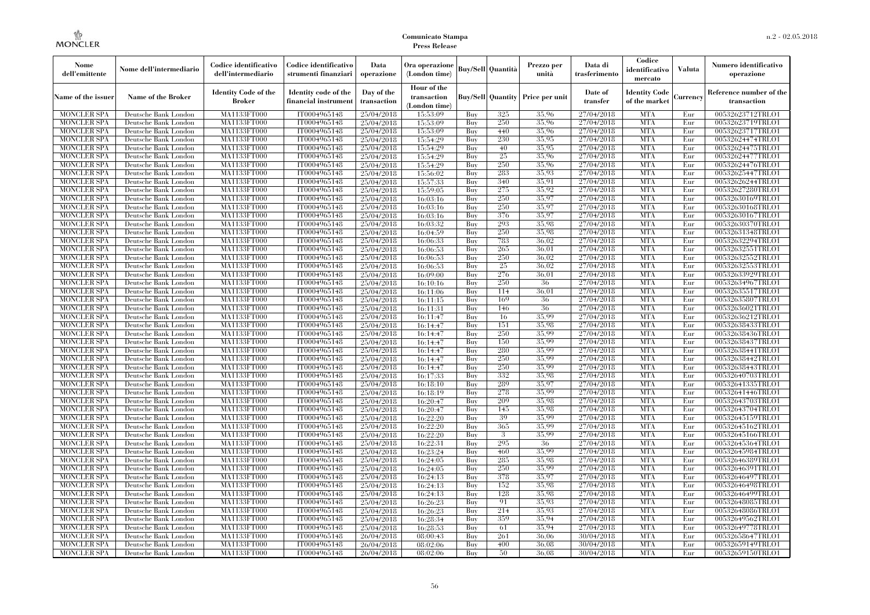| Nome<br>dell'emittente                   | Nome dell'intermediario                      | Codice identificativo<br>dell'intermediario | Codice identificativo<br>strumenti finanziari | Data<br>operazione        | Ora operazione<br>(London time)             |            | Buy/Sell   Quantità      | Prezzo per<br>unità | Data di<br>trasferimento | Codice<br>identificativo<br>mercato   | <b>Valuta</b> | Numero identificativo<br>operazione    |
|------------------------------------------|----------------------------------------------|---------------------------------------------|-----------------------------------------------|---------------------------|---------------------------------------------|------------|--------------------------|---------------------|--------------------------|---------------------------------------|---------------|----------------------------------------|
| Name of the issuer                       | Name of the Broker                           | <b>Identity Code of the</b><br>Broker       | Identity code of the<br>financial instrument  | Day of the<br>transaction | Hour of the<br>transaction<br>(London time) |            | <b>Buy/Sell Quantity</b> | Price per unit      | Date of<br>transfer      | <b>Identity Code</b><br>of the market | Currencv      | Reference number of the<br>transaction |
| <b>MONCLER SPA</b>                       | Deutsche Bank London                         | MA1133FT000                                 | IT0004965148                                  | 25/04/2018                | 15:53:09                                    | Buy        | 325                      | 35,96               | 27/04/2018               | <b>MTA</b>                            | Eur           | 00532623712TRLO1                       |
| <b>MONCLER SPA</b>                       | Deutsche Bank London                         | <b>MA1133FT000</b>                          | IT0004965148                                  | 25/04/2018                | 15:53:09                                    | Buy        | 250                      | 35,96               | 27/04/2018               | <b>MTA</b>                            | Eur           | 00532623719TRLO1                       |
| <b>MONCLER SPA</b>                       | Deutsche Bank London                         | MA1133FT000                                 | IT0004965148                                  | 25/04/2018                | 15:53:09                                    | Buv        | 440                      | 35.96               | 27/04/2018               | <b>MTA</b>                            | Eur           | 00532623717TRLO1                       |
| <b>MONCLER SPA</b>                       | Deutsche Bank London                         | MA1133FT000                                 | IT0004965148                                  | 25/04/2018                | 15:54:29                                    | Buy        | 230                      | 35,95               | 27/04/2018               | <b>MTA</b>                            | Eur           | 00532624474TRLO1                       |
| <b>MONCLER SPA</b>                       | Deutsche Bank London                         | MA1133FT000<br><b>MA1133FT000</b>           | IT0004965148                                  | 25/04/2018                | 15:54:29                                    | Buy        | 40<br>25                 | 35,95<br>35,96      | 27/04/2018<br>27/04/2018 | <b>MTA</b><br><b>MTA</b>              | Eur<br>Eur    | 00532624475TRLO1                       |
| <b>MONCLER SPA</b><br><b>MONCLER SPA</b> | Deutsche Bank London<br>Deutsche Bank London | MA1133FT000                                 | IT0004965148<br>IT0004965148                  | 25/04/2018<br>25/04/2018  | 15:54:29<br>15:54:29                        | Buy<br>Buy | 250                      | 35,96               | 27/04/2018               | <b>MTA</b>                            | Eur           | 00532624477TRLO1<br>00532624476TRLO1   |
| <b>MONCLER SPA</b>                       | Deutsche Bank London                         | MA1133FT000                                 | IT0004965148                                  | 25/04/2018                | 15:56:02                                    | Buy        | 283                      | 35.93               | 27/04/2018               | <b>MTA</b>                            | Eur           | 00532625447TRLO1                       |
| <b>MONCLER SPA</b>                       | Deutsche Bank London                         | MA1133FT000                                 | IT0004965148                                  | 25/04/2018                | 15:57:33                                    | Buy        | 340                      | 35.91               | 27/04/2018               | <b>MTA</b>                            | Eur           | 00532626244TRLO1                       |
| <b>MONCLER SPA</b>                       | Deutsche Bank London                         | MA1133FT000                                 | IT0004965148                                  | 25/04/2018                | 15:59:05                                    | Buy        | 275                      | 35.92               | 27/04/2018               | <b>MTA</b>                            | Eur           | 00532627280TRLO1                       |
| <b>MONCLER SPA</b>                       | Deutsche Bank London                         | MA1133FT000                                 | IT0004965148                                  | 25/04/2018                | 16:03:16                                    | Buy        | 250                      | 35,97               | 27/04/2018               | <b>MTA</b>                            | Eur           | 00532630169TRLO1                       |
| <b>MONCLER SPA</b>                       | Deutsche Bank London                         | MA1133FT000                                 | IT0004965148                                  | 25/04/2018                | 16:03:16                                    | Buy        | 250                      | 35,97               | 27/04/2018               | <b>MTA</b>                            | Eur           | 00532630168TRLO1                       |
| <b>MONCLER SPA</b>                       | Deutsche Bank London                         | MA1133FT000                                 | IT0004965148                                  | 25/04/2018                | 16:03:16                                    | Buy        | 376                      | 35.97               | 27/04/2018               | <b>MTA</b>                            | Eur           | 00532630167TRLO1                       |
| <b>MONCLER SPA</b>                       | Deutsche Bank London                         | MA1133FT000                                 | IT0004965148                                  | 25/04/2018                | 16:03:32                                    | Buy        | 293                      | 35.98               | 27/04/2018               | <b>MTA</b>                            | Eur           | 00532630370TRLO1                       |
| <b>MONCLER SPA</b>                       | Deutsche Bank London                         | MA1133FT000                                 | IT0004965148                                  | 25/04/2018                | 16:04:59                                    | Buy        | 250                      | 35.98               | 27/04/2018               | <b>MTA</b>                            | Eur           | 00532631348TRLO1                       |
| <b>MONCLER SPA</b>                       | Deutsche Bank London                         | MA1133FT000                                 | IT0004965148                                  | 25/04/2018                | 16:06:33                                    | Buy        | 783                      | 36,02               | 27/04/2018               | <b>MTA</b>                            | Eur           | 00532632294TRLO1                       |
| <b>MONCLER SPA</b>                       | Deutsche Bank London                         | MA1133FT000                                 | IT0004965148                                  | 25/04/2018                | 16:06:53                                    | Buy        | 265                      | 36.01               | 27/04/2018               | <b>MTA</b>                            | Eur           | 00532632551TRLO1                       |
| <b>MONCLER SPA</b>                       | Deutsche Bank London                         | MA1133FT000                                 | IT0004965148                                  | 25/04/2018                | 16:06:53                                    | Buy        | 250                      | 36,02               | 27/04/2018               | <b>MTA</b>                            | Eur           | 00532632552TRLO1                       |
| <b>MONCLER SPA</b>                       | Deutsche Bank London                         | MA1133FT000                                 | IT0004965148                                  | 25/04/2018                | 16:06:53                                    | Buy        | 25                       | 36,02               | 27/04/2018               | <b>MTA</b>                            | Eur           | 00532632553TRLO1                       |
| <b>MONCLER SPA</b>                       | Deutsche Bank London                         | MA1133FT000                                 | IT0004965148                                  | 25/04/2018                | 16:09:00                                    | Buy        | 276                      | 36,01               | 27/04/2018               | <b>MTA</b>                            | Eur           | 00532633929TRLO1                       |
| <b>MONCLER SPA</b>                       | Deutsche Bank London                         | MA1133FT000                                 | IT0004965148                                  | 25/04/2018                | 16:10:16                                    | Buy        | 250                      | 36                  | 27/04/2018               | <b>MTA</b>                            | Eur           | 00532634967TRLO1                       |
| <b>MONCLER SPA</b>                       | Deutsche Bank London                         | MA1133FT000                                 | IT0004965148                                  | 25/04/2018                | 16:11:06                                    | Buy        | 114                      | 36,01               | 27/04/2018               | <b>MTA</b>                            | Eur           | 00532635517TRLO1                       |
| <b>MONCLER SPA</b>                       | Deutsche Bank London                         | MA1133FT000                                 | IT0004965148                                  | 25/04/2018                | 16:11:15                                    | Buy        | 169                      | 36                  | 27/04/2018               | <b>MTA</b>                            | Eur           | 00532635807TRLO1                       |
| <b>MONCLER SPA</b>                       | Deutsche Bank London                         | MA1133FT000                                 | IT0004965148<br>IT0004965148                  | 25/04/2018<br>25/04/2018  | 16:11:31                                    | Buy        | 146<br>16                | 36<br>35,99         | 27/04/2018<br>27/04/2018 | <b>MTA</b><br><b>MTA</b>              | Eur           | 00532636021TRLO1                       |
| <b>MONCLER SPA</b><br><b>MONCLER SPA</b> | Deutsche Bank London<br>Deutsche Bank London | MA1133FT000<br>MA1133FT000                  | IT0004965148                                  | 25/04/2018                | 16:11:47<br>16:14:47                        | Buy<br>Buy | 151                      | 35.98               | 27/04/2018               | <b>MTA</b>                            | Eur<br>Eur    | 00532636212TRLO1<br>00532638433TRLO1   |
| <b>MONCLER SPA</b>                       | Deutsche Bank London                         | MA1133FT000                                 | IT0004965148                                  | 25/04/2018                | 16:14:47                                    | Buy        | 250                      | 35.99               | 27/04/2018               | <b>MTA</b>                            | Eur           | 00532638436TRLO1                       |
| <b>MONCLER SPA</b>                       | Deutsche Bank London                         | MA1133FT000                                 | IT0004965148                                  | 25/04/2018                | 16:14:47                                    | Buy        | 150                      | 35.99               | 27/04/2018               | <b>MTA</b>                            | Eur           | 00532638437TRLO1                       |
| <b>MONCLER SPA</b>                       | Deutsche Bank London                         | MA1133FT000                                 | IT0004965148                                  | 25/04/2018                | 16:14:47                                    | Buy        | 280                      | 35.99               | 27/04/2018               | <b>MTA</b>                            | Eur           | 00532638441TRLO1                       |
| <b>MONCLER SPA</b>                       | Deutsche Bank London                         | <b>MA1133FT000</b>                          | IT0004965148                                  | 25/04/2018                | 16:14:47                                    | Buy        | 250                      | 35.99               | 27/04/2018               | <b>MTA</b>                            | Eur           | 00532638442TRLO1                       |
| <b>MONCLER SPA</b>                       | Deutsche Bank London                         | MA1133FT000                                 | IT0004965148                                  | 25/04/2018                | 16:14:47                                    | Buy        | 250                      | 35,99               | 27/04/2018               | <b>MTA</b>                            | Eur           | 00532638443TRLO1                       |
| <b>MONCLER SPA</b>                       | Deutsche Bank London                         | MA1133FT000                                 | IT0004965148                                  | 25/04/2018                | 16:17:33                                    | Buy        | 332                      | 35,98               | 27/04/2018               | <b>MTA</b>                            | Eur           | 00532640703TRLO1                       |
| <b>MONCLER SPA</b>                       | Deutsche Bank London                         | MA1133FT000                                 | IT0004965148                                  | 25/04/2018                | 16:18:10                                    | Buv        | 289                      | 35.97               | 27/04/2018               | <b>MTA</b>                            | Eur           | 00532641335TRLO1                       |
| <b>MONCLER SPA</b>                       | Deutsche Bank London                         | MA1133FT000                                 | IT0004965148                                  | 25/04/2018                | 16:18:19                                    | Buy        | 278                      | 35,99               | 27/04/2018               | <b>MTA</b>                            | Eur           | 00532641446TRLO1                       |
| <b>MONCLER SPA</b>                       | Deutsche Bank London                         | <b>MA1133FT000</b>                          | IT0004965148                                  | 25/04/2018                | 16:20:47                                    | Buy        | 209                      | 35.98               | 27/04/2018               | <b>MTA</b>                            | Eur           | 00532643703TRLO1                       |
| <b>MONCLER SPA</b>                       | Deutsche Bank London                         | MA1133FT000                                 | IT0004965148                                  | 25/04/2018                | 16:20:47                                    | Buy        | 145                      | 35,98               | 27/04/2018               | <b>MTA</b>                            | Eur           | 00532643704TRLO1                       |
| <b>MONCLER SPA</b>                       | Deutsche Bank London                         | MA1133FT000                                 | IT0004965148                                  | 25/04/2018                | 16:22:20                                    | Buv        | 39                       | 35.99               | 27/04/2018               | <b>MTA</b>                            | Eur           | 00532645159TRLO1                       |
| <b>MONCLER SPA</b>                       | Deutsche Bank London                         | <b>MA1133FT000</b>                          | IT0004965148                                  | 25/04/2018                | 16:22:20                                    | Buy        | 365                      | 35,99               | 27/04/2018               | <b>MTA</b>                            | Eur           | 00532645162TRLO1                       |
| <b>MONCLER SPA</b>                       | Deutsche Bank London                         | MA1133FT000                                 | IT0004965148                                  | 25/04/2018                | 16:22:20                                    | Buy        | 3                        | 35,99               | 27/04/2018               | <b>MTA</b>                            | Eur           | 00532645166TRLO1                       |
| <b>MONCLER SPA</b>                       | Deutsche Bank London                         | <b>MA1133FT000</b>                          | IT0004965148                                  | 25/04/2018                | 16:22:31                                    | Buy        | 295                      | 36                  | 27/04/2018               | <b>MTA</b>                            | Eur           | 00532645364TRLO1                       |
| <b>MONCLER SPA</b>                       | Deutsche Bank London                         | MA1133FT000                                 | IT0004965148                                  | 25/04/2018                | 16:23:24                                    | Buy        | 460                      | 35,99               | 27/04/2018               | <b>MTA</b>                            | Eur           | 00532645984TRLO1                       |
| <b>MONCLER SPA</b>                       | Deutsche Bank London                         | MA1133FT000                                 | IT0004965148                                  | 25/04/2018                | 16:24:05                                    | Buy        | 285                      | 35.98               | 27/04/2018               | <b>MTA</b>                            | Eur           | 00532646389TRLO1                       |
| <b>MONCLER SPA</b>                       | Deutsche Bank London                         | MA1133FT000                                 | IT0004965148                                  | 25/04/2018                | 16:24:05                                    | Buy        | 250                      | 35,99<br>35,97      | 27/04/2018               | <b>MTA</b>                            | Eur           | 00532646391TRLO1                       |
| <b>MONCLER SPA</b>                       | Deutsche Bank London                         | MA1133FT000                                 | IT0004965148                                  | 25/04/2018                | 16:24:13                                    | Buy<br>Buy | 378<br>152               | 35,98               | 27/04/2018<br>27/04/2018 | <b>MTA</b><br><b>MTA</b>              | Eur<br>Eur    | 00532646497TRLO1                       |
| <b>MONCLER SPA</b><br><b>MONCLER SPA</b> | Deutsche Bank London<br>Deutsche Bank London | MA1133FT000<br>MA1133FT000                  | IT0004965148<br>IT0004965148                  | 25/04/2018<br>25/04/2018  | 16:24:13<br>16:24:13                        | Buy        | 128                      | 35.98               | 27/04/2018               | <b>MTA</b>                            | Eur           | 00532646498TRLO1<br>00532646499TRLO1   |
| <b>MONCLER SPA</b>                       | Deutsche Bank London                         | MA1133FT000                                 | IT0004965148                                  | 25/04/2018                | 16:26:23                                    | Buy        | 91                       | 35.93               | 27/04/2018               | <b>MTA</b>                            | Eur           | 00532648085TRLO1                       |
| <b>MONCLER SPA</b>                       | Deutsche Bank London                         | MA1133FT000                                 | IT0004965148                                  | 25/04/2018                | 16:26:23                                    | Buy        | 214                      | 35.93               | 27/04/2018               | <b>MTA</b>                            | Eur           | 00532648086TRLO1                       |
| <b>MONCLER SPA</b>                       | Deutsche Bank London                         | MA1133FT000                                 | IT0004965148                                  | 25/04/2018                | 16:28:34                                    | Buy        | 359                      | 35.94               | 27/04/2018               | <b>MTA</b>                            | Eur           | 00532649562TRLO1                       |
| <b>MONCLER SPA</b>                       | Deutsche Bank London                         | MA1133FT000                                 | IT0004965148                                  | 25/04/2018                | 16:28:53                                    | Buy        | 61                       | 35.94               | 27/04/2018               | <b>MTA</b>                            | Eur           | 00532649778TRLO1                       |
| <b>MONCLER SPA</b>                       | Deutsche Bank London                         | MA1133FT000                                 | IT0004965148                                  | 26/04/2018                | 08:00:43                                    | Buy        | 261                      | 36,06               | 30/04/2018               | <b>MTA</b>                            | Eur           | 00532658647TRLO1                       |
| <b>MONCLER SPA</b>                       | Deutsche Bank London                         | MA1133FT000                                 | IT0004965148                                  | 26/04/2018                | 08:02:06                                    | Buy        | 400                      | 36,08               | 30/04/2018               | <b>MTA</b>                            | Eur           | 00532659149TRLO1                       |
| <b>MONCLER SPA</b>                       | Deutsche Bank London                         | MA1133FT000                                 | IT0004965148                                  | 26/04/2018                | 08:02:06                                    | Buy        | 50                       | 36,08               | 30/04/2018               | <b>MTA</b>                            | Eur           | 00532659150TRLO1                       |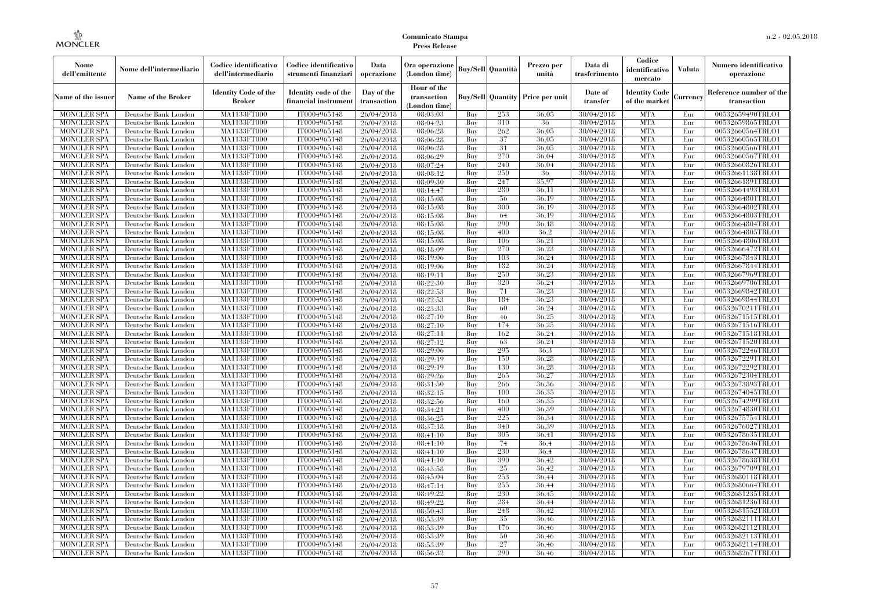| Nome<br>dell'emittente                   | Nome dell'intermediario                      | Codice identificativo<br>dell'intermediario  | Codice identificativo<br>strumenti finanziari | Data<br>operazione        | Ora operazione<br>(London time)             |            | <b>Buy/Sell Quantità</b> | Prezzo per<br>unità                     | Data di<br>trasferimento | Codice<br>identificativo<br>mercato   | <b>Valuta</b> | Numero identificativo<br>operazione    |
|------------------------------------------|----------------------------------------------|----------------------------------------------|-----------------------------------------------|---------------------------|---------------------------------------------|------------|--------------------------|-----------------------------------------|--------------------------|---------------------------------------|---------------|----------------------------------------|
| Name of the issuer                       | Name of the Broker                           | <b>Identity Code of the</b><br><b>Broker</b> | Identity code of the<br>financial instrument  | Day of the<br>transaction | Hour of the<br>transaction<br>(London time) |            |                          | <b>Buy/Sell Quantity Price per unit</b> | Date of<br>transfer      | <b>Identity Code</b><br>of the market | Currencv      | Reference number of the<br>transaction |
| <b>MONCLER SPA</b>                       | Deutsche Bank London                         | MA1133FT000                                  | IT0004965148                                  | 26/04/2018                | 08:03:03                                    | Buy        | 253                      | 36,05                                   | 30/04/2018               | <b>MTA</b>                            | Eur           | 00532659490TRLO1                       |
| <b>MONCLER SPA</b>                       | Deutsche Bank London                         | <b>MA1133FT000</b>                           | IT0004965148                                  | 26/04/2018                | 08:04:23                                    | Buy        | 310                      | 36                                      | 30/04/2018               | <b>MTA</b>                            | Eur           | 00532659865TRLO1                       |
| <b>MONCLER SPA</b>                       | Deutsche Bank London                         | MA1133FT000                                  | IT0004965148                                  | 26/04/2018                | 08:06:28                                    | Buy        | 262                      | 36.05                                   | 30/04/2018               | <b>MTA</b>                            | Eur           | 00532660564TRLO1                       |
| <b>MONCLER SPA</b>                       | Deutsche Bank London                         | MA1133FT000                                  | IT0004965148                                  | 26/04/2018                | 08:06:28                                    | Buy        | 37                       | 36,05<br>36.05                          | 30/04/2018               | <b>MTA</b>                            | Eur           | 00532660565TRLO1                       |
| <b>MONCLER SPA</b>                       | Deutsche Bank London                         | MA1133FT000<br><b>MA1133FT000</b>            | IT0004965148<br>IT0004965148                  | 26/04/2018                | 08:06:28                                    | Buy        | 31<br>270                | 36,04                                   | 30/04/2018               | <b>MTA</b><br><b>MTA</b>              | Eur<br>Eur    | 00532660566TRLO1                       |
| MONCLER SPA<br><b>MONCLER SPA</b>        | Deutsche Bank London<br>Deutsche Bank London | MA1133FT000                                  | IT0004965148                                  | 26/04/2018<br>26/04/2018  | 08:06:29<br>08:07:24                        | Buy<br>Buy | 240                      | 36,04                                   | 30/04/2018<br>30/04/2018 | <b>MTA</b>                            | Eur           | 00532660567TRLO1<br>00532660826TRLO1   |
| <b>MONCLER SPA</b>                       | Deutsche Bank London                         | MA1133FT000                                  | IT0004965148                                  | 26/04/2018                | 08:08:12                                    | Buv        | 250                      | 36                                      | 30/04/2018               | <b>MTA</b>                            | Eur           | 00532661138TRLO1                       |
| <b>MONCLER SPA</b>                       | Deutsche Bank London                         | MA1133FT000                                  | IT0004965148                                  | 26/04/2018                | 08:09:30                                    | Buy        | 247                      | 35,97                                   | 30/04/2018               | <b>MTA</b>                            | Eur           | 00532661891TRLO1                       |
| <b>MONCLER SPA</b>                       | Deutsche Bank London                         | <b>MA1133FT000</b>                           | IT0004965148                                  | 26/04/2018                | 08:14:47                                    | Buy        | 280                      | 36.11                                   | 30/04/2018               | <b>MTA</b>                            | Eur           | 00532664493TRLO1                       |
| <b>MONCLER SPA</b>                       | Deutsche Bank London                         | MA1133FT000                                  | IT0004965148                                  | 26/04/2018                | 08:15:08                                    | Buy        | 56                       | 36,19                                   | 30/04/2018               | <b>MTA</b>                            | Eur           | 00532664801TRLO1                       |
| <b>MONCLER SPA</b>                       | Deutsche Bank London                         | MA1133FT000                                  | IT0004965148                                  | 26/04/2018                | 08:15:08                                    | Buy        | 300                      | 36,19                                   | 30/04/2018               | <b>MTA</b>                            | Eur           | 00532664802TRLO1                       |
| <b>MONCLER SPA</b>                       | Deutsche Bank London                         | MA1133FT000                                  | IT0004965148                                  | 26/04/2018                | 08:15:08                                    | Buy        | 64                       | 36.19                                   | 30/04/2018               | <b>MTA</b>                            | Eur           | 00532664803TRLO1                       |
| <b>MONCLER SPA</b>                       | Deutsche Bank London                         | MA1133FT000                                  | IT0004965148                                  | 26/04/2018                | 08:15:08                                    | Buy        | 290                      | 36,18                                   | 30/04/2018               | <b>MTA</b>                            | Eur           | 00532664804TRLO1                       |
| <b>MONCLER SPA</b>                       | Deutsche Bank London                         | MA1133FT000                                  | IT0004965148                                  | 26/04/2018                | 08:15:08                                    | Buy        | 400                      | 36.2                                    | 30/04/2018               | <b>MTA</b>                            | Eur           | 00532664805TRLO1                       |
| <b>MONCLER SPA</b>                       | Deutsche Bank London                         | MA1133FT000                                  | IT0004965148                                  | 26/04/2018                | 08:15:08                                    | Buy        | 106                      | 36.21                                   | 30/04/2018               | <b>MTA</b>                            | Eur           | 00532664806TRLO1                       |
| <b>MONCLER SPA</b>                       | Deutsche Bank London                         | MA1133FT000                                  | IT0004965148                                  | 26/04/2018                | 08:18:09                                    | Buy        | 270                      | 36.23                                   | 30/04/2018               | <b>MTA</b>                            | Eur           | 00532666472TRLO1                       |
| <b>MONCLER SPA</b>                       | Deutsche Bank London                         | MA1133FT000                                  | IT0004965148                                  | 26/04/2018                | 08:19:06                                    | Buy        | 103                      | 36,24                                   | 30/04/2018               | <b>MTA</b>                            | Eur           | 00532667843TRLO1                       |
| <b>MONCLER SPA</b>                       | Deutsche Bank London                         | MA1133FT000                                  | IT0004965148                                  | 26/04/2018                | 08:19:06                                    | Buy        | 182                      | 36.24                                   | 30/04/2018               | <b>MTA</b>                            | Eur           | 00532667844TRLO1                       |
| <b>MONCLER SPA</b>                       | Deutsche Bank London                         | MA1133FT000                                  | IT0004965148                                  | 26/04/2018                | 08:19:11                                    | Buy        | 250                      | 36,23                                   | 30/04/2018               | <b>MTA</b>                            | Eur           | 00532667969TRLO1                       |
| MONCLER SPA                              | Deutsche Bank London                         | MA1133FT000                                  | IT0004965148                                  | 26/04/2018                | 08:22:30                                    | Buy        | 320                      | 36,24                                   | 30/04/2018               | <b>MTA</b>                            | Eur           | 00532669706TRLO1                       |
| <b>MONCLER SPA</b>                       | Deutsche Bank London                         | MA1133FT000                                  | IT0004965148                                  | 26/04/2018                | 08:22:53                                    | Buy        | 71                       | 36,23                                   | 30/04/2018               | <b>MTA</b>                            | Eur           | 00532669842TRLO1                       |
| <b>MONCLER SPA</b>                       | Deutsche Bank London                         | MA1133FT000                                  | IT0004965148                                  | 26/04/2018                | 08:22:53                                    | Buy        | 184                      | 36,23                                   | 30/04/2018               | <b>MTA</b>                            | Eur           | 00532669844TRLO1                       |
| <b>MONCLER SPA</b>                       | Deutsche Bank London                         | MA1133FT000                                  | IT0004965148                                  | 26/04/2018                | 08:23:33                                    | Buy        | 60                       | 36.24                                   | 30/04/2018               | <b>MTA</b>                            | Eur           | 00532670211TRLO1                       |
| <b>MONCLER SPA</b><br><b>MONCLER SPA</b> | Deutsche Bank London<br>Deutsche Bank London | MA1133FT000<br>MA1133FT000                   | IT0004965148<br>IT0004965148                  | 26/04/2018<br>26/04/2018  | 08:27:10<br>08:27:10                        | Buy<br>Buy | 46<br>174                | 36,25<br>36,25                          | 30/04/2018<br>30/04/2018 | <b>MTA</b><br><b>MTA</b>              | Eur<br>Eur    | 00532671515TRLO1<br>00532671516TRLO1   |
| <b>MONCLER SPA</b>                       | Deutsche Bank London                         | MA1133FT000                                  | IT0004965148                                  | 26/04/2018                | 08:27:11                                    | Buy        | 162                      | 36,24                                   | 30/04/2018               | <b>MTA</b>                            | Eur           | 00532671518TRLO1                       |
| <b>MONCLER SPA</b>                       | Deutsche Bank London                         | MA1133FT000                                  | IT0004965148                                  | 26/04/2018                | 08:27:12                                    | Buy        | 63                       | 36.24                                   | 30/04/2018               | <b>MTA</b>                            | Eur           | 00532671520TRLO1                       |
| <b>MONCLER SPA</b>                       | Deutsche Bank London                         | MA1133FT000                                  | IT0004965148                                  | 26/04/2018                | 08:29:06                                    | Buy        | 295                      | 36.3                                    | 30/04/2018               | <b>MTA</b>                            | Eur           | 00532672246TRLO1                       |
| <b>MONCLER SPA</b>                       | Deutsche Bank London                         | <b>MA1133FT000</b>                           | IT0004965148                                  | 26/04/2018                | 08:29:19                                    | Buy        | 150                      | 36.28                                   | 30/04/2018               | <b>MTA</b>                            | Eur           | 00532672291TRLO1                       |
| MONCLER SPA                              | Deutsche Bank London                         | MA1133FT000                                  | IT0004965148                                  | 26/04/2018                | 08:29:19                                    | Buy        | 130                      | 36,28                                   | 30/04/2018               | <b>MTA</b>                            | Eur           | 00532672292TRLO1                       |
| <b>MONCLER SPA</b>                       | Deutsche Bank London                         | MA1133FT000                                  | IT0004965148                                  | 26/04/2018                | 08:29:26                                    | Buy        | 265                      | 36,27                                   | 30/04/2018               | <b>MTA</b>                            | Eur           | 00532672304TRLO1                       |
| <b>MONCLER SPA</b>                       | Deutsche Bank London                         | MA1133FT000                                  | IT0004965148                                  | 26/04/2018                | 08:31:50                                    | Buy        | 266                      | 36.36                                   | 30/04/2018               | <b>MTA</b>                            | Eur           | 00532673893TRLO1                       |
| <b>MONCLER SPA</b>                       | Deutsche Bank London                         | <b>MA1133FT000</b>                           | IT0004965148                                  | 26/04/2018                | 08:32:15                                    | Buy        | 100                      | 36,35                                   | 30/04/2018               | <b>MTA</b>                            | Eur           | 00532674045TRLO1                       |
| <b>MONCLER SPA</b>                       | Deutsche Bank London                         | MA1133FT000                                  | IT0004965148                                  | 26/04/2018                | 08:32:56                                    | Buy        | 160                      | 36,35                                   | 30/04/2018               | <b>MTA</b>                            | Eur           | 00532674299TRLO1                       |
| <b>MONCLER SPA</b>                       | Deutsche Bank London                         | MA1133FT000                                  | IT0004965148                                  | 26/04/2018                | 08:34:21                                    | Buy        | 400                      | 36,39                                   | 30/04/2018               | <b>MTA</b>                            | Eur           | 00532674830TRLO1                       |
| <b>MONCLER SPA</b>                       | Deutsche Bank London                         | MA1133FT000                                  | IT0004965148                                  | 26/04/2018                | 08:36:25                                    | Buy        | 225                      | 36.34                                   | 30/04/2018               | <b>MTA</b>                            | Eur           | 00532675754TRLO1                       |
| <b>MONCLER SPA</b>                       | Deutsche Bank London                         | <b>MA1133FT000</b>                           | IT0004965148                                  | 26/04/2018                | 08:37:18                                    | Buy        | 340                      | 36.39                                   | 30/04/2018               | <b>MTA</b>                            | Eur           | 00532676027TRLO1                       |
| <b>MONCLER SPA</b>                       | Deutsche Bank London                         | MA1133FT000                                  | IT0004965148                                  | 26/04/2018                | 08:41:10                                    | Buy        | 305                      | 36.41                                   | 30/04/2018               | <b>MTA</b>                            | Eur           | 00532678635TRLO1                       |
| <b>MONCLER SPA</b>                       | Deutsche Bank London                         | <b>MA1133FT000</b>                           | IT0004965148                                  | 26/04/2018                | 08:41:10                                    | Buy        | 74                       | 36,4                                    | 30/04/2018               | <b>MTA</b>                            | Eur           | 00532678636TRLO1                       |
| <b>MONCLER SPA</b>                       | Deutsche Bank London                         | <b>MA1133FT000</b>                           | IT0004965148                                  | 26/04/2018                | 08:41:10                                    | Buy        | 230                      | 36.4                                    | 30/04/2018               | <b>MTA</b>                            | Eur           | 00532678637TRLO1                       |
| <b>MONCLER SPA</b>                       | Deutsche Bank London                         | <b>MA1133FT000</b>                           | IT0004965148                                  | 26/04/2018                | 08:41:10                                    | Buy        | 390                      | 36,42                                   | 30/04/2018               | <b>MTA</b>                            | Eur           | 00532678638TRLO1                       |
| <b>MONCLER SPA</b>                       | Deutsche Bank London                         | MA1133FT000                                  | IT0004965148                                  | 26/04/2018                | 08:43:58                                    | Buy        | 25                       | 36.42                                   | 30/04/2018               | <b>MTA</b>                            | Eur           | 00532679709TRLO1                       |
| <b>MONCLER SPA</b>                       | Deutsche Bank London                         | MA1133FT000                                  | IT0004965148                                  | 26/04/2018                | 08:45:04                                    | Buy        | 253                      | 36,44                                   | 30/04/2018               | <b>MTA</b>                            | Eur           | 00532680118TRLO1                       |
| <b>MONCLER SPA</b><br><b>MONCLER SPA</b> | Deutsche Bank London<br>Deutsche Bank London | MA1133FT000<br>MA1133FT000                   | IT0004965148<br>IT0004965148                  | 26/04/2018                | 08:47:14<br>08:49:22                        | Buy<br>Buy | 255<br>230               | 36,44<br>36,45                          | 30/04/2018<br>30/04/2018 | <b>MTA</b><br><b>MTA</b>              | Eur<br>Eur    | 00532680664TRLO1<br>00532681235TRLO1   |
| <b>MONCLER SPA</b>                       | Deutsche Bank London                         | MA1133FT000                                  | IT0004965148                                  | 26/04/2018<br>26/04/2018  | 08:49:22                                    | Buy        | 284                      | 36.44                                   | 30/04/2018               | <b>MTA</b>                            | Eur           | 00532681236TRLO1                       |
| <b>MONCLER SPA</b>                       | Deutsche Bank London                         | MA1133FT000                                  | IT0004965148                                  | 26/04/2018                | 08:50:43                                    | Buy        | 248                      | 36.42                                   | 30/04/2018               | <b>MTA</b>                            | Eur           | 00532681552TRLO1                       |
| <b>MONCLER SPA</b>                       | Deutsche Bank London                         | MA1133FT000                                  | IT0004965148                                  | 26/04/2018                | 08:53:39                                    | Buy        | 35                       | 36,46                                   | 30/04/2018               | <b>MTA</b>                            | Eur           | 00532682111TRLO1                       |
| <b>MONCLER SPA</b>                       | Deutsche Bank London                         | MA1133FT000                                  | IT0004965148                                  | 26/04/2018                | 08:53:39                                    | Buy        | 176                      | 36.46                                   | 30/04/2018               | <b>MTA</b>                            | Eur           | 00532682112TRLO1                       |
| <b>MONCLER SPA</b>                       | Deutsche Bank London                         | MA1133FT000                                  | IT0004965148                                  | 26/04/2018                | 08:53:39                                    | Buy        | 50                       | 36,46                                   | 30/04/2018               | <b>MTA</b>                            | Eur           | 00532682113TRLO1                       |
| <b>MONCLER SPA</b>                       | Deutsche Bank London                         | <b>MA1133FT000</b>                           | IT0004965148                                  | 26/04/2018                | 08:53:39                                    | Buy        | 27                       | 36,46                                   | 30/04/2018               | <b>MTA</b>                            | Eur           | 00532682114TRLO1                       |
| <b>MONCLER SPA</b>                       | Deutsche Bank London                         | MA1133FT000                                  | IT0004965148                                  | 26/04/2018                | 08:56:32                                    | Buy        | 290                      | 36,46                                   | 30/04/2018               | <b>MTA</b>                            | Eur           | 00532682671TRLO1                       |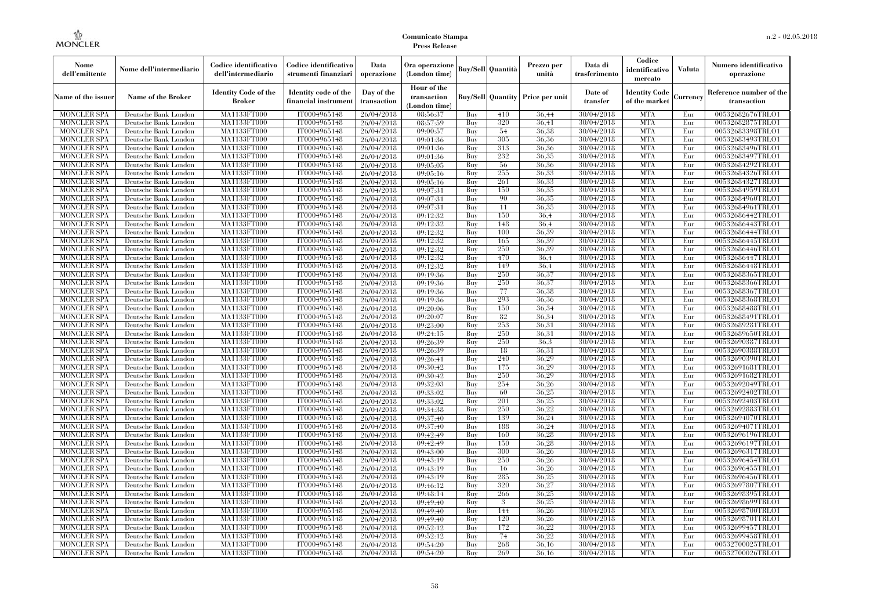| Nome<br>dell'emittente                   | Nome dell'intermediario                      | Codice identificativo<br>dell'intermediario | Codice identificativo<br>strumenti finanziari | Data<br>operazione        | Ora operazione<br>(London time)             |            | Buy/Sell   Quantità      | Prezzo per<br>unità | Data di<br>trasferimento | Codice<br>identificativo<br>mercato   | <b>Valuta</b> | Numero identificativo<br>operazione    |
|------------------------------------------|----------------------------------------------|---------------------------------------------|-----------------------------------------------|---------------------------|---------------------------------------------|------------|--------------------------|---------------------|--------------------------|---------------------------------------|---------------|----------------------------------------|
| Name of the issuer                       | Name of the Broker                           | <b>Identity Code of the</b><br>Broker       | Identity code of the<br>financial instrument  | Day of the<br>transaction | Hour of the<br>transaction<br>(London time) |            | <b>Buy/Sell Quantity</b> | Price per unit      | Date of<br>transfer      | <b>Identity Code</b><br>of the market | Currencv      | Reference number of the<br>transaction |
| <b>MONCLER SPA</b>                       | Deutsche Bank London                         | MA1133FT000                                 | IT0004965148                                  | 26/04/2018                | 08:56:37                                    | Buy        | 410                      | 36,44               | 30/04/2018               | <b>MTA</b>                            | Eur           | 00532682676TRLO1                       |
| <b>MONCLER SPA</b>                       | Deutsche Bank London                         | <b>MA1133FT000</b>                          | IT0004965148                                  | 26/04/2018                | 08:57:59                                    | Buy        | 320                      | 36,41               | 30/04/2018               | <b>MTA</b>                            | Eur           | 00532682875TRLO1                       |
| <b>MONCLER SPA</b>                       | Deutsche Bank London                         | MA1133FT000                                 | IT0004965148                                  | 26/04/2018                | 09:00:57                                    | Buv        | 54                       | 36.38               | 30/04/2018               | <b>MTA</b>                            | Eur           | 00532683398TRLO1                       |
| <b>MONCLER SPA</b>                       | Deutsche Bank London                         | MA1133FT000                                 | IT0004965148                                  | 26/04/2018                | 09:01:36                                    | Buy        | 305                      | 36,36               | 30/04/2018               | <b>MTA</b>                            | Eur           | 00532683493TRLO1                       |
| <b>MONCLER SPA</b>                       | Deutsche Bank London                         | MA1133FT000                                 | IT0004965148                                  | 26/04/2018                | 09:01:36                                    | Buy        | 313<br>232               | 36,36<br>36.35      | 30/04/2018               | <b>MTA</b><br><b>MTA</b>              | Eur<br>Eur    | 00532683496TRLO1                       |
| <b>MONCLER SPA</b><br><b>MONCLER SPA</b> | Deutsche Bank London<br>Deutsche Bank London | <b>MA1133FT000</b><br>MA1133FT000           | IT0004965148<br>IT0004965148                  | 26/04/2018<br>26/04/2018  | 09:01:36<br>09:05:05                        | Buy<br>Buy | 56                       | 36,36               | 30/04/2018<br>30/04/2018 | <b>MTA</b>                            | Eur           | 00532683497TRLO1<br>00532684292TRLO1   |
| <b>MONCLER SPA</b>                       | Deutsche Bank London                         | MA1133FT000                                 | IT0004965148                                  | 26/04/2018                | 09:05:16                                    | Buy        | 255                      | 36.33               | 30/04/2018               | <b>MTA</b>                            | Eur           | 00532684326TRLO1                       |
| <b>MONCLER SPA</b>                       | Deutsche Bank London                         | MA1133FT000                                 | IT0004965148                                  | 26/04/2018                | 09:05:16                                    | Buy        | 261                      | 36,33               | 30/04/2018               | <b>MTA</b>                            | Eur           | 00532684327TRLO1                       |
| <b>MONCLER SPA</b>                       | Deutsche Bank London                         | MA1133FT000                                 | IT0004965148                                  | 26/04/2018                | 09:07:31                                    | Buy        | 150                      | 36,35               | 30/04/2018               | <b>MTA</b>                            | Eur           | 00532684959TRLO1                       |
| <b>MONCLER SPA</b>                       | Deutsche Bank London                         | MA1133FT000                                 | IT0004965148                                  | 26/04/2018                | 09:07:31                                    | Buy        | 90                       | 36.35               | 30/04/2018               | <b>MTA</b>                            | Eur           | 00532684960TRLO1                       |
| <b>MONCLER SPA</b>                       | Deutsche Bank London                         | MA1133FT000                                 | IT0004965148                                  | 26/04/2018                | 09:07:31                                    | Buy        | 11                       | 36.35               | 30/04/2018               | <b>MTA</b>                            | Eur           | 00532684961TRLO1                       |
| <b>MONCLER SPA</b>                       | Deutsche Bank London                         | MA1133FT000                                 | IT0004965148                                  | 26/04/2018                | 09:12:32                                    | Buy        | 150                      | 36.4                | 30/04/2018               | <b>MTA</b>                            | Eur           | 00532686442TRLO1                       |
| <b>MONCLER SPA</b>                       | Deutsche Bank London                         | MA1133FT000                                 | IT0004965148                                  | 26/04/2018                | 09:12:32                                    | Buy        | 148                      | 36.4                | 30/04/2018               | <b>MTA</b>                            | Eur           | 00532686443TRLO1                       |
| <b>MONCLER SPA</b>                       | Deutsche Bank London                         | MA1133FT000                                 | IT0004965148                                  | 26/04/2018                | 09:12:32                                    | Buy        | 100                      | 36.39               | 30/04/2018               | <b>MTA</b>                            | Eur           | 00532686444TRLO1                       |
| <b>MONCLER SPA</b>                       | Deutsche Bank London                         | MA1133FT000                                 | IT0004965148                                  | 26/04/2018                | 09:12:32                                    | Buy        | 165                      | 36.39               | 30/04/2018               | <b>MTA</b>                            | Eur           | 00532686445TRLO1                       |
| <b>MONCLER SPA</b>                       | Deutsche Bank London                         | MA1133FT000                                 | IT0004965148                                  | 26/04/2018                | 09:12:32                                    | Buy        | 250                      | 36.39               | 30/04/2018               | <b>MTA</b>                            | Eur           | 00532686446TRLO1                       |
| <b>MONCLER SPA</b>                       | Deutsche Bank London                         | MA1133FT000                                 | IT0004965148                                  | 26/04/2018                | 09:12:32                                    | Buy        | 470                      | 36.4                | 30/04/2018               | <b>MTA</b>                            | Eur           | 00532686447TRLO1                       |
| <b>MONCLER SPA</b>                       | Deutsche Bank London                         | MA1133FT000                                 | IT0004965148                                  | 26/04/2018                | 09:12:32                                    | Buy        | 149                      | 36.4                | 30/04/2018               | <b>MTA</b>                            | Eur           | 00532686448TRLO1                       |
| <b>MONCLER SPA</b>                       | Deutsche Bank London                         | MA1133FT000                                 | IT0004965148                                  | 26/04/2018                | 09:19:36                                    | Buy        | 250                      | 36.37               | 30/04/2018               | <b>MTA</b>                            | Eur           | 00532688365TRLO1                       |
| <b>MONCLER SPA</b>                       | Deutsche Bank London                         | MA1133FT000                                 | IT0004965148                                  | 26/04/2018                | 09:19:36                                    | Buy        | 250                      | 36,37               | 30/04/2018               | <b>MTA</b>                            | Eur           | 00532688366TRLO1                       |
| <b>MONCLER SPA</b>                       | Deutsche Bank London                         | MA1133FT000                                 | IT0004965148                                  | 26/04/2018                | 09:19:36                                    | Buy        | 77                       | 36,38               | 30/04/2018               | <b>MTA</b>                            | Eur           | 00532688367TRLO1                       |
| <b>MONCLER SPA</b>                       | Deutsche Bank London                         | MA1133FT000                                 | IT0004965148                                  | 26/04/2018                | 09:19:36                                    | Buy        | 293                      | 36,36               | 30/04/2018               | <b>MTA</b>                            | Eur           | 00532688368TRLO1                       |
| <b>MONCLER SPA</b>                       | Deutsche Bank London                         | MA1133FT000                                 | IT0004965148<br>IT0004965148                  | 26/04/2018                | 09:20:06<br>09:20:07                        | Buy        | 150<br>82                | 36.34<br>36.34      | 30/04/2018<br>30/04/2018 | <b>MTA</b><br><b>MTA</b>              | Eur           | 00532688488TRLO1                       |
| <b>MONCLER SPA</b><br><b>MONCLER SPA</b> | Deutsche Bank London<br>Deutsche Bank London | MA1133FT000<br>MA1133FT000                  | IT0004965148                                  | 26/04/2018<br>26/04/2018  | 09:23:00                                    | Buy<br>Buy | 253                      | 36,31               | 30/04/2018               | <b>MTA</b>                            | Eur<br>Eur    | 00532688491TRLO1<br>00532689281TRLO1   |
| <b>MONCLER SPA</b>                       | Deutsche Bank London                         | MA1133FT000                                 | IT0004965148                                  | 26/04/2018                | 09:24:15                                    | Buy        | 250                      | 36.31               | 30/04/2018               | <b>MTA</b>                            | Eur           | 00532689650TRLO1                       |
| <b>MONCLER SPA</b>                       | Deutsche Bank London                         | MA1133FT000                                 | IT0004965148                                  | 26/04/2018                | 09:26:39                                    | Buy        | 250                      | 36.3                | 30/04/2018               | <b>MTA</b>                            | Eur           | 00532690387TRLO1                       |
| <b>MONCLER SPA</b>                       | Deutsche Bank London                         | MA1133FT000                                 | IT0004965148                                  | 26/04/2018                | 09:26:39                                    | Buy        | 18                       | 36.31               | 30/04/2018               | <b>MTA</b>                            | Eur           | 00532690388TRLO1                       |
| <b>MONCLER SPA</b>                       | Deutsche Bank London                         | <b>MA1133FT000</b>                          | IT0004965148                                  | 26/04/2018                | 09:26:41                                    | Buy        | 240                      | 36,29               | 30/04/2018               | <b>MTA</b>                            | Eur           | 00532690390TRLO1                       |
| <b>MONCLER SPA</b>                       | Deutsche Bank London                         | MA1133FT000                                 | IT0004965148                                  | 26/04/2018                | 09:30:42                                    | Buy        | 175                      | 36,29               | 30/04/2018               | <b>MTA</b>                            | Eur           | 00532691681TRLO1                       |
| <b>MONCLER SPA</b>                       | Deutsche Bank London                         | MA1133FT000                                 | IT0004965148                                  | 26/04/2018                | 09:30:42                                    | Buy        | 250                      | 36,29               | 30/04/2018               | <b>MTA</b>                            | Eur           | 00532691682TRLO1                       |
| <b>MONCLER SPA</b>                       | Deutsche Bank London                         | MA1133FT000                                 | IT0004965148                                  | 26/04/2018                | 09:32:03                                    | Buy        | 254                      | 36,26               | 30/04/2018               | <b>MTA</b>                            | Eur           | 00532692049TRLO1                       |
| <b>MONCLER SPA</b>                       | Deutsche Bank London                         | MA1133FT000                                 | IT0004965148                                  | 26/04/2018                | 09:33:02                                    | Buy        | 60                       | 36.25               | 30/04/2018               | <b>MTA</b>                            | Eur           | 00532692402TRLO1                       |
| <b>MONCLER SPA</b>                       | Deutsche Bank London                         | <b>MA1133FT000</b>                          | IT0004965148                                  | 26/04/2018                | 09:33:02                                    | Buy        | 201                      | 36.25               | 30/04/2018               | <b>MTA</b>                            | Eur           | 00532692403TRLO1                       |
| <b>MONCLER SPA</b>                       | Deutsche Bank London                         | MA1133FT000                                 | IT0004965148                                  | 26/04/2018                | 09:34:38                                    | Buy        | 250                      | 36,22               | 30/04/2018               | <b>MTA</b>                            | Eur           | 00532692883TRLO1                       |
| <b>MONCLER SPA</b>                       | Deutsche Bank London                         | MA1133FT000                                 | IT0004965148                                  | 26/04/2018                | 09:37:40                                    | Buy        | 139                      | 36,24               | 30/04/2018               | <b>MTA</b>                            | Eur           | 00532694070TRLO1                       |
| <b>MONCLER SPA</b>                       | Deutsche Bank London                         | <b>MA1133FT000</b>                          | IT0004965148                                  | 26/04/2018                | 09:37:40                                    | Buy        | 188                      | 36.24               | 30/04/2018               | <b>MTA</b>                            | Eur           | 00532694071TRLO1                       |
| <b>MONCLER SPA</b>                       | Deutsche Bank London                         | MA1133FT000                                 | IT0004965148                                  | 26/04/2018                | 09:42:49                                    | Buy        | 160                      | 36.28               | 30/04/2018               | <b>MTA</b>                            | Eur           | 00532696196TRLO1                       |
| <b>MONCLER SPA</b>                       | Deutsche Bank London                         | <b>MA1133FT000</b>                          | IT0004965148                                  | 26/04/2018                | 09:42:49                                    | Buy        | 150                      | 36.28               | 30/04/2018               | <b>MTA</b>                            | Eur           | 00532696197TRLO1                       |
| <b>MONCLER SPA</b>                       | Deutsche Bank London                         | MA1133FT000                                 | IT0004965148                                  | 26/04/2018                | 09:43:00                                    | Buy        | 300                      | 36,26               | 30/04/2018               | <b>MTA</b>                            | Eur           | 00532696317TRLO1                       |
| <b>MONCLER SPA</b>                       | Deutsche Bank London                         | MA1133FT000                                 | IT0004965148                                  | 26/04/2018                | 09:43:19                                    | Buy        | 250                      | 36,26               | 30/04/2018               | <b>MTA</b>                            | Eur           | 00532696454TRLO1                       |
| <b>MONCLER SPA</b>                       | Deutsche Bank London                         | MA1133FT000                                 | IT0004965148                                  | 26/04/2018                | 09:43:19                                    | Buy        | 16                       | 36,26               | 30/04/2018               | <b>MTA</b>                            | Eur           | 00532696455TRLO1                       |
| <b>MONCLER SPA</b>                       | Deutsche Bank London                         | MA1133FT000                                 | IT0004965148                                  | 26/04/2018                | 09:43:19                                    | Buy        | 285                      | 36,25               | 30/04/2018               | <b>MTA</b>                            | Eur           | 00532696456TRLO1                       |
| <b>MONCLER SPA</b><br><b>MONCLER SPA</b> | Deutsche Bank London<br>Deutsche Bank London | MA1133FT000<br>MA1133FT000                  | IT0004965148<br>IT0004965148                  | 26/04/2018<br>26/04/2018  | 09:46:12<br>09:48:14                        | Buy<br>Buy | 320<br>266               | 36,27<br>36.25      | 30/04/2018<br>30/04/2018 | <b>MTA</b><br><b>MTA</b>              | Eur<br>Eur    | 00532697807TRLO1<br>00532698395TRLO1   |
| <b>MONCLER SPA</b>                       | Deutsche Bank London                         | MA1133FT000                                 | IT0004965148                                  | 26/04/2018                | 09:49:40                                    | Buy        | 3                        | 36,25               | 30/04/2018               | <b>MTA</b>                            | Eur           | 00532698699TRLO1                       |
| <b>MONCLER SPA</b>                       | Deutsche Bank London                         | MA1133FT000                                 | IT0004965148                                  | 26/04/2018                | 09:49:40                                    | Buy        | 144                      | 36.26               | 30/04/2018               | <b>MTA</b>                            | Eur           | 00532698700TRLO1                       |
| <b>MONCLER SPA</b>                       | Deutsche Bank London                         | MA1133FT000                                 | IT0004965148                                  | 26/04/2018                | 09:49:40                                    | Buy        | 120                      | 36,26               | 30/04/2018               | <b>MTA</b>                            | Eur           | 00532698701TRLO1                       |
| <b>MONCLER SPA</b>                       | Deutsche Bank London                         | MA1133FT000                                 | IT0004965148                                  | 26/04/2018                | 09:52:12                                    | Buy        | 172                      | 36.22               | 30/04/2018               | <b>MTA</b>                            | Eur           | 00532699457TRLO1                       |
| <b>MONCLER SPA</b>                       | Deutsche Bank London                         | MA1133FT000                                 | IT0004965148                                  | 26/04/2018                | 09:52:12                                    | Buy        | 74                       | 36,22               | 30/04/2018               | <b>MTA</b>                            | Eur           | 00532699458TRLO1                       |
| <b>MONCLER SPA</b>                       | Deutsche Bank London                         | MA1133FT000                                 | IT0004965148                                  | 26/04/2018                | 09:54:20                                    | Buy        | 268                      | 36,16               | 30/04/2018               | <b>MTA</b>                            | Eur           | 00532700025TRLO1                       |
| <b>MONCLER SPA</b>                       | Deutsche Bank London                         | MA1133FT000                                 | IT0004965148                                  | 26/04/2018                | 09:54:20                                    | Buy        | 269                      | 36.16               | 30/04/2018               | <b>MTA</b>                            | Eur           | 00532700026TRLO1                       |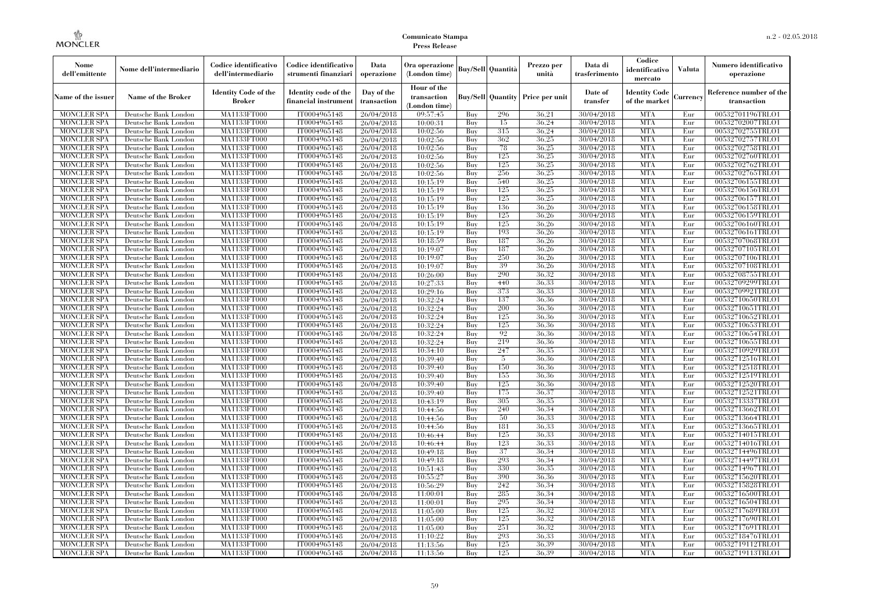| Nome<br>dell'emittente                   | Nome dell'intermediario                      | Codice identificativo<br>dell'intermediario  | Codice identificativo<br>strumenti finanziari | Data<br>operazione        | Ora operazione<br>(London time)             |            | <b>Buy/Sell Quantità</b> | Prezzo per<br>unità | Data di<br>trasferimento | Codice<br>identificativo<br>mercato   | <b>Valuta</b> | Numero identificativo<br>operazione    |
|------------------------------------------|----------------------------------------------|----------------------------------------------|-----------------------------------------------|---------------------------|---------------------------------------------|------------|--------------------------|---------------------|--------------------------|---------------------------------------|---------------|----------------------------------------|
| Name of the issuer                       | Name of the Broker                           | <b>Identity Code of the</b><br><b>Broker</b> | Identity code of the<br>financial instrumen   | Day of the<br>transaction | Hour of the<br>transaction<br>(London time) |            | <b>Buy/Sell Quantity</b> | Price per unit      | Date of<br>transfer      | <b>Identity Code</b><br>of the market | Currency      | Reference number of the<br>transaction |
| <b>MONCLER SPA</b>                       | Deutsche Bank London                         | MA1133FT000                                  | IT0004965148                                  | 26/04/2018                | 09:57:45                                    | Buy        | 296                      | 36,21               | 30/04/2018               | <b>MTA</b>                            | Eur           | 00532701196TRLO1                       |
| <b>MONCLER SPA</b>                       | Deutsche Bank London                         | MA1133FT000                                  | IT0004965148                                  | 26/04/2018                | 10:00:31                                    | Buy        | 15                       | 36.24               | 30/04/2018               | <b>MTA</b>                            | Eur           | 00532702007TRLO1                       |
| <b>MONCLER SPA</b>                       | Deutsche Bank London                         | MA1133FT000                                  | IT0004965148                                  | 26/04/2018                | 10:02:56                                    | Buy        | 315                      | 36.24               | 30/04/2018               | <b>MTA</b>                            | Eur           | 00532702755TRLO1                       |
| <b>MONCLER SPA</b>                       | Deutsche Bank London                         | <b>MA1133FT000</b>                           | IT0004965148                                  | 26/04/2018                | 10:02:56                                    | Buy        | 362                      | 36.25               | 30/04/2018               | <b>MTA</b>                            | Eur           | 00532702757TRLO1                       |
| MONCLER SPA                              | Deutsche Bank London                         | MA1133FT000                                  | IT0004965148                                  | 26/04/2018                | 10:02:56                                    | Buy        | 78                       | 36.25               | 30/04/2018               | <b>MTA</b><br><b>MTA</b>              | Eur           | 00532702758TRLO1                       |
| <b>MONCLER SPA</b><br><b>MONCLER SPA</b> | Deutsche Bank London<br>Deutsche Bank London | MA1133FT000<br>MA1133FT000                   | IT0004965148<br>IT0004965148                  | 26/04/2018                | 10:02:56<br>10:02:56                        | Buy<br>Buy | 125<br>125               | 36,25<br>36.25      | 30/04/2018<br>30/04/2018 | <b>MTA</b>                            | Eur<br>Eur    | 00532702760TRLO1<br>00532702762TRLO1   |
| <b>MONCLER SPA</b>                       | Deutsche Bank London                         | MA1133FT000                                  | IT0004965148                                  | 26/04/2018<br>26/04/2018  | 10:02:56                                    | Buy        | 256                      | 36.25               | 30/04/2018               | <b>MTA</b>                            | Eur           | 00532702765TRLO1                       |
| MONCLER SPA                              | Deutsche Bank London                         | MA1133FT000                                  | IT0004965148                                  | 26/04/2018                | 10:15:19                                    | Buy        | 540                      | 36,25               | 30/04/2018               | <b>MTA</b>                            | Eur           | 00532706155TRLO1                       |
| <b>MONCLER SPA</b>                       | Deutsche Bank London                         | MA1133FT000                                  | IT0004965148                                  | 26/04/2018                | 10:15:19                                    | Buy        | 125                      | 36,25               | 30/04/2018               | <b>MTA</b>                            | Eur           | 00532706156TRLO1                       |
| <b>MONCLER SPA</b>                       | Deutsche Bank London                         | MA1133FT000                                  | IT0004965148                                  | 26/04/2018                | 10:15:19                                    | Buy        | 125                      | 36.25               | 30/04/2018               | <b>MTA</b>                            | Eur           | 00532706157TRLO1                       |
| <b>MONCLER SPA</b>                       | Deutsche Bank London                         | MA1133FT000                                  | IT0004965148                                  | 26/04/2018                | 10:15:19                                    | Buy        | 136                      | 36.26               | 30/04/2018               | <b>MTA</b>                            | Eur           | 00532706158TRLO1                       |
| MONCLER SPA                              | Deutsche Bank London                         | MA1133FT000                                  | IT0004965148                                  | 26/04/2018                | 10:15:19                                    | Buy        | 125                      | 36.26               | 30/04/2018               | <b>MTA</b>                            | Eur           | 00532706159TRLO1                       |
| <b>MONCLER SPA</b>                       | Deutsche Bank London                         | <b>MA1133FT000</b>                           | IT0004965148                                  | 26/04/2018                | 10:15:19                                    | Buy        | 125                      | 36,26               | 30/04/2018               | <b>MTA</b>                            | Eur           | 00532706160TRLO1                       |
| <b>MONCLER SPA</b>                       | Deutsche Bank London                         | MA1133FT000                                  | IT0004965148                                  | 26/04/2018                | 10:15:19                                    | Buy        | 193                      | 36,26               | 30/04/2018               | <b>MTA</b>                            | Eur           | 00532706161TRLO1                       |
| <b>MONCLER SPA</b>                       | Deutsche Bank London                         | MA1133FT000                                  | IT0004965148                                  | 26/04/2018                | 10:18:59                                    | Buy        | 187                      | 36.26               | 30/04/2018               | <b>MTA</b>                            | Eur           | 00532707068TRLO1                       |
| MONCLER SPA                              | Deutsche Bank London                         | MA1133FT000                                  | IT0004965148                                  | 26/04/2018                | 10:19:07                                    | Buy        | 187                      | 36.26               | 30/04/2018               | <b>MTA</b>                            | Eur           | 00532707105TRLO1                       |
| <b>MONCLER SPA</b>                       | Deutsche Bank London                         | MA1133FT000                                  | IT0004965148                                  | 26/04/2018                | 10:19:07                                    | Buy        | 250                      | 36,26               | 30/04/2018               | <b>MTA</b>                            | Eur           | 00532707106TRLO1                       |
| <b>MONCLER SPA</b>                       | Deutsche Bank London                         | MA1133FT000                                  | IT0004965148                                  | 26/04/2018                | 10:19:07                                    | Buy        | 39                       | 36,26               | 30/04/2018               | <b>MTA</b>                            | Eur           | 00532707108TRLO1                       |
| <b>MONCLER SPA</b>                       | Deutsche Bank London                         | MA1133FT000                                  | IT0004965148                                  | 26/04/2018                | 10:26:00                                    | Buy        | 290                      | 36.32               | 30/04/2018               | <b>MTA</b>                            | Eur           | 00532708755TRLO1                       |
| <b>MONCLER SPA</b>                       | Deutsche Bank London                         | MA1133FT000                                  | IT0004965148                                  | 26/04/2018                | 10:27:33                                    | Buy        | 440                      | 36.33               | 30/04/2018               | <b>MTA</b>                            | Eur           | 00532709299TRLO1                       |
| <b>MONCLER SPA</b>                       | Deutsche Bank London                         | MA1133FT000                                  | IT0004965148                                  | 26/04/2018                | 10:29:16                                    | Buy        | 373                      | 36.33               | 30/04/2018               | <b>MTA</b>                            | Eur           | 00532709921TRLO1                       |
| <b>MONCLER SPA</b>                       | Deutsche Bank London                         | MA1133FT000                                  | IT0004965148                                  | 26/04/2018                | 10:32:24                                    | Buy        | 137                      | 36.36               | 30/04/2018               | <b>MTA</b>                            | Eur           | 00532710650TRLO1                       |
| <b>MONCLER SPA</b>                       | Deutsche Bank London                         | MA1133FT000                                  | IT0004965148                                  | 26/04/2018                | 10:32:24                                    | Buy        | 200                      | 36,36               | 30/04/2018               | <b>MTA</b>                            | Eur           | 00532710651TRLO1                       |
| <b>MONCLER SPA</b>                       | Deutsche Bank London                         | MA1133FT000                                  | IT0004965148                                  | 26/04/2018                | 10:32:24                                    | Buv        | 125                      | 36.36               | 30/04/2018               | <b>MTA</b>                            | Eur           | 00532710652TRLO1                       |
| <b>MONCLER SPA</b>                       | Deutsche Bank London                         | <b>MA1133FT000</b>                           | IT0004965148                                  | 26/04/2018                | 10:32:24                                    | Buy        | 125                      | 36.36               | 30/04/2018               | <b>MTA</b>                            | Eur           | 00532710653TRLO1                       |
| <b>MONCLER SPA</b>                       | Deutsche Bank London                         | MA1133FT000                                  | IT0004965148                                  | 26/04/2018                | 10:32:24                                    | Buy        | 92                       | 36.36               | 30/04/2018               | <b>MTA</b>                            | Eur           | 00532710654TRLO1                       |
| <b>MONCLER SPA</b>                       | Deutsche Bank London                         | MA1133FT000                                  | IT0004965148                                  | 26/04/2018                | 10:32:24                                    | Buy        | 219                      | 36.36               | 30/04/2018               | <b>MTA</b>                            | Eur           | 00532710655TRLO1                       |
| <b>MONCLER SPA</b>                       | Deutsche Bank London                         | MA1133FT000                                  | IT0004965148                                  | 26/04/2018                | 10:34:10                                    | Buv        | 247                      | 36.35               | 30/04/2018               | <b>MTA</b>                            | Eur           | 00532710929TRLO1                       |
| <b>MONCLER SPA</b>                       | Deutsche Bank London                         | MA1133FT000                                  | IT0004965148                                  | 26/04/2018                | 10:39:40                                    | Buy        | 5                        | 36.36               | 30/04/2018               | <b>MTA</b>                            | Eur           | 00532712516TRLO1                       |
| <b>MONCLER SPA</b>                       | Deutsche Bank London                         | MA1133FT000                                  | IT0004965148                                  | 26/04/2018                | 10:39:40                                    | Buy        | 150                      | 36.36               | 30/04/2018               | <b>MTA</b>                            | Eur           | 00532712518TRLO1                       |
| <b>MONCLER SPA</b>                       | Deutsche Bank London                         | MA1133FT000                                  | IT0004965148                                  | 26/04/2018                | 10:39:40                                    | Buy        | 155                      | 36.36               | 30/04/2018               | <b>MTA</b>                            | Eur           | 00532712519TRLO1                       |
| <b>MONCLER SPA</b>                       | Deutsche Bank London                         | MA1133FT000                                  | IT0004965148                                  | 26/04/2018                | 10:39:40                                    | Buy        | 125                      | 36.36               | 30/04/2018               | <b>MTA</b>                            | Eur           | 00532712520TRLO1                       |
| <b>MONCLER SPA</b>                       | Deutsche Bank London                         | MA1133FT000                                  | IT0004965148                                  | 26/04/2018                | 10:39:40                                    | Buy        | 175                      | 36,37               | 30/04/2018               | <b>MTA</b>                            | Eur           | 00532712521TRLO1                       |
| <b>MONCLER SPA</b><br><b>MONCLER SPA</b> | Deutsche Bank London                         | MA1133FT000<br>MA1133FT000                   | IT0004965148<br>IT0004965148                  | 26/04/2018                | 10:43:19                                    | Buy        | 305<br>240               | 36.35<br>36.34      | 30/04/2018<br>30/04/2018 | <b>MTA</b><br><b>MTA</b>              | Eur           | 00532713337TRLO1<br>00532713662TRLO1   |
| <b>MONCLER SPA</b>                       | Deutsche Bank London<br>Deutsche Bank London | MA1133FT000                                  | IT0004965148                                  | 26/04/2018                | 10:44:56                                    | Buy<br>Buy | 50                       | 36.33               | 30/04/2018               | <b>MTA</b>                            | Eur<br>Eur    | 00532713664TRLO1                       |
| <b>MONCLER SPA</b>                       | Deutsche Bank London                         | MA1133FT000                                  | IT0004965148                                  | 26/04/2018<br>26/04/2018  | 10:44:56<br>10:44:56                        | Buy        | 181                      | 36.33               | 30/04/2018               | <b>MTA</b>                            | Eur           | 00532713665TRLO1                       |
| <b>MONCLER SPA</b>                       | Deutsche Bank London                         | MA1133FT000                                  | IT0004965148                                  | 26/04/2018                | 10:46:44                                    | Buy        | 125                      | 36.33               | 30/04/2018               | <b>MTA</b>                            | Eur           | 00532714015TRLO1                       |
| <b>MONCLER SPA</b>                       | Deutsche Bank London                         | MA1133FT000                                  | IT0004965148                                  | 26/04/2018                | 10:46:44                                    | Buy        | 123                      | 36.33               | 30/04/2018               | <b>MTA</b>                            | Eur           | 00532714016TRLO1                       |
| <b>MONCLER SPA</b>                       | Deutsche Bank London                         | MA1133FT000                                  | IT0004965148                                  | 26/04/2018                | 10:49:18                                    | Buy        | 37                       | 36.34               | 30/04/2018               | <b>MTA</b>                            | Eur           | 00532714496TRLO1                       |
| <b>MONCLER SPA</b>                       | Deutsche Bank London                         | MA1133FT000                                  | IT0004965148                                  | 26/04/2018                | 10:49:18                                    | Buy        | 293                      | 36.34               | 30/04/2018               | <b>MTA</b>                            | Eur           | 00532714497TRLO1                       |
| <b>MONCLER SPA</b>                       | Deutsche Bank London                         | MA1133FT000                                  | IT0004965148                                  | 26/04/2018                | 10:51:43                                    | Buy        | 330                      | 36.35               | 30/04/2018               | <b>MTA</b>                            | Eur           | 00532714967TRLO1                       |
| <b>MONCLER SPA</b>                       | Deutsche Bank London                         | MA1133FT000                                  | IT0004965148                                  | 26/04/2018                | 10:55:27                                    | Buy        | 390                      | 36.36               | 30/04/2018               | <b>MTA</b>                            | Eur           | 00532715620TRLO1                       |
| <b>MONCLER SPA</b>                       | Deutsche Bank London                         | MA1133FT000                                  | IT0004965148                                  | 26/04/2018                | 10:56:29                                    | Buy        | 242                      | 36.34               | 30/04/2018               | <b>MTA</b>                            | Eur           | 00532715828TRLO1                       |
| <b>MONCLER SPA</b>                       | Deutsche Bank London                         | MA1133FT000                                  | IT0004965148                                  | 26/04/2018                | 11:00:01                                    | Buy        | 285                      | 36.34               | 30/04/2018               | <b>MTA</b>                            | Eur           | 00532716500TRLO1                       |
| MONCLER SPA                              | Deutsche Bank London                         | MA1133FT000                                  | IT0004965148                                  | 26/04/2018                | 11:00:01                                    | Buy        | 295                      | 36,34               | 30/04/2018               | <b>MTA</b>                            | Eur           | 00532716504TRLO1                       |
| <b>MONCLER SPA</b>                       | Deutsche Bank London                         | MA1133FT000                                  | IT0004965148                                  | 26/04/2018                | 11:05:00                                    | Buy        | 125                      | 36.32               | 30/04/2018               | <b>MTA</b>                            | Eur           | 00532717689TRLO1                       |
| <b>MONCLER SPA</b>                       | Deutsche Bank London                         | MA1133FT000                                  | IT0004965148                                  | 26/04/2018                | 11:05:00                                    | Buy        | 125                      | 36.32               | 30/04/2018               | <b>MTA</b>                            | Eur           | 00532717690TRLO1                       |
| <b>MONCLER SPA</b>                       | Deutsche Bank London                         | MA1133FT000                                  | IT0004965148                                  | 26/04/2018                | 11:05:00                                    | Buy        | 251                      | 36.32               | 30/04/2018               | <b>MTA</b>                            | Eur           | 00532717691TRLO1                       |
| MONCLER SPA                              | Deutsche Bank London                         | MA1133FT000                                  | IT0004965148                                  | 26/04/2018                | 11:10:22                                    | Buy        | 293                      | 36.33               | 30/04/2018               | <b>MTA</b>                            | Eur           | 00532718476TRLO1                       |
| <b>MONCLER SPA</b>                       | Deutsche Bank London                         | MA1133FT000                                  | IT0004965148                                  | 26/04/2018                | 11:13:56                                    | Buy        | 125                      | 36.39               | 30/04/2018               | <b>MTA</b>                            | Eur           | 00532719112TRLO1                       |
| <b>MONCLER SPA</b>                       | Deutsche Bank London                         | MA1133FT000                                  | IT0004965148                                  | 26/04/2018                | 11:13:56                                    | Buy        | 125                      | 36.39               | 30/04/2018               | <b>MTA</b>                            | Eur           | 00532719113TRLO1                       |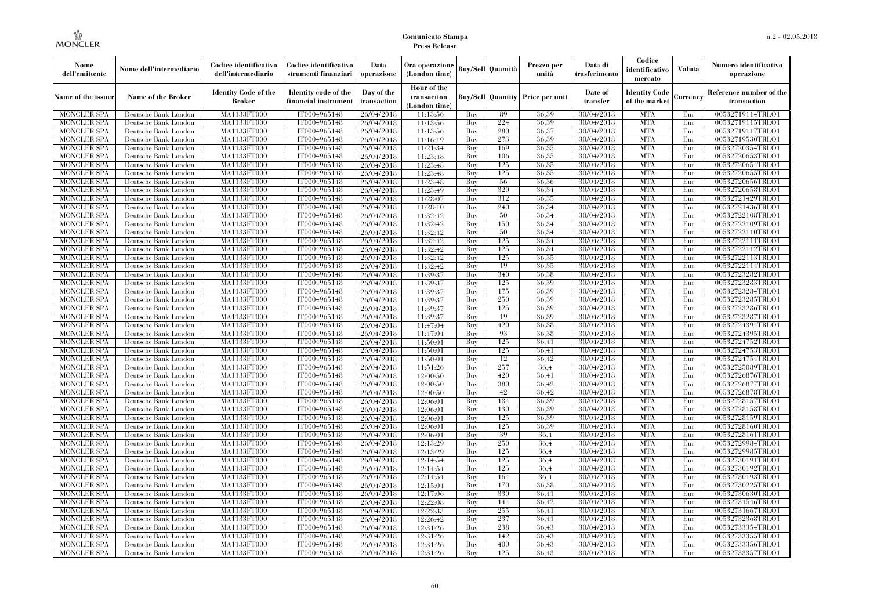| Nome<br>dell'emittente                   | Nome dell'intermediario                      | Codice identificativo<br>dell'intermediario  | Codice identificativo<br>strumenti finanziari | Data<br>operazione        | Ora operazione<br>(London time)             |            | Buy/Sell   Quantità | Prezzo per<br>unità                     | Data di<br>trasferimento | Codice<br>identificativo<br>mercato   | <b>Valuta</b>   | Numero identificativo<br>operazione    |
|------------------------------------------|----------------------------------------------|----------------------------------------------|-----------------------------------------------|---------------------------|---------------------------------------------|------------|---------------------|-----------------------------------------|--------------------------|---------------------------------------|-----------------|----------------------------------------|
| Name of the issuer                       | Name of the Broker                           | <b>Identity Code of the</b><br><b>Broker</b> | Identity code of the<br>financial instrument  | Day of the<br>transaction | Hour of the<br>transaction<br>(London time) |            |                     | <b>Buy/Sell Quantity Price per unit</b> | Date of<br>transfer      | <b>Identity Code</b><br>of the market | <b>Currency</b> | Reference number of the<br>transaction |
| <b>MONCLER SPA</b>                       | Deutsche Bank London                         | MA1133FT000                                  | IT0004965148                                  | 26/04/2018                | 11:13:56                                    | Buy        | 89                  | 36.39                                   | 30/04/2018               | <b>MTA</b>                            | Eur             | 00532719114TRLO1                       |
| <b>MONCLER SPA</b>                       | Deutsche Bank London                         | MA1133FT000                                  | IT0004965148                                  | 26/04/2018                | 11:13:56                                    | Buy        | 224                 | 36,39                                   | 30/04/2018               | <b>MTA</b>                            | Eur             | 00532719115TRLO1                       |
| <b>MONCLER SPA</b>                       | Deutsche Bank London                         | MA1133FT000                                  | IT0004965148                                  | 26/04/2018                | 11:13:56                                    | Buv        | 280                 | 36.37                                   | 30/04/2018               | <b>MTA</b>                            | Eur             | 00532719117TRLO1                       |
| <b>MONCLER SPA</b>                       | Deutsche Bank London                         | MA1133FT000                                  | IT0004965148                                  | 26/04/2018                | 11:16:19                                    | Buy        | 273                 | 36.39                                   | 30/04/2018               | <b>MTA</b>                            | Eur             | 00532719530TRLO1                       |
| <b>MONCLER SPA</b><br><b>MONCLER SPA</b> | Deutsche Bank London                         | MA1133FT000<br><b>MA1133FT000</b>            | IT0004965148                                  | 26/04/2018                | 11:21:34                                    | Buy        | 169<br>106          | 36,35<br>36,35                          | 30/04/2018               | <b>MTA</b><br><b>MTA</b>              | Eur<br>Eur      | 00532720354TRLO1                       |
| <b>MONCLER SPA</b>                       | Deutsche Bank London<br>Deutsche Bank London | MA1133FT000                                  | IT0004965148<br>IT0004965148                  | 26/04/2018<br>26/04/2018  | 11:23:48                                    | Buy<br>Buy | 125                 | 36.35                                   | 30/04/2018<br>30/04/2018 | <b>MTA</b>                            | Eur             | 00532720653TRLO1<br>00532720654TRLO1   |
| <b>MONCLER SPA</b>                       | Deutsche Bank London                         | MA1133FT000                                  | IT0004965148                                  | 26/04/2018                | 11:23:48<br>11:23:48                        | Buy        | 125                 | 36.35                                   | 30/04/2018               | <b>MTA</b>                            | Eur             | 00532720655TRLO1                       |
| <b>MONCLER SPA</b>                       | Deutsche Bank London                         | MA1133FT000                                  | IT0004965148                                  | 26/04/2018                | 11:23:48                                    | Buy        | 56                  | 36,36                                   | 30/04/2018               | <b>MTA</b>                            | Eur             | 00532720656TRLO1                       |
| <b>MONCLER SPA</b>                       | Deutsche Bank London                         | MA1133FT000                                  | IT0004965148                                  | 26/04/2018                | 11:23:49                                    | Buy        | 320                 | 36.34                                   | 30/04/2018               | <b>MTA</b>                            | Eur             | 00532720658TRLO1                       |
| <b>MONCLER SPA</b>                       | Deutsche Bank London                         | MA1133FT000                                  | IT0004965148                                  | 26/04/2018                | 11:28:07                                    | Buy        | 312                 | 36,35                                   | 30/04/2018               | <b>MTA</b>                            | Eur             | 00532721429TRLO1                       |
| <b>MONCLER SPA</b>                       | Deutsche Bank London                         | MA1133FT000                                  | IT0004965148                                  | 26/04/2018                | 11:28:10                                    | Buy        | 240                 | 36.34                                   | 30/04/2018               | <b>MTA</b>                            | Eur             | 00532721436TRLO1                       |
| <b>MONCLER SPA</b>                       | Deutsche Bank London                         | MA1133FT000                                  | IT0004965148                                  | 26/04/2018                | 11:32:42                                    | Buy        | 50                  | 36.34                                   | 30/04/2018               | <b>MTA</b>                            | Eur             | 00532722108TRLO1                       |
| <b>MONCLER SPA</b>                       | Deutsche Bank London                         | MA1133FT000                                  | IT0004965148                                  | 26/04/2018                | 11:32:42                                    | Buy        | 150                 | 36.34                                   | 30/04/2018               | <b>MTA</b>                            | Eur             | 00532722109TRLO1                       |
| <b>MONCLER SPA</b>                       | Deutsche Bank London                         | MA1133FT000                                  | IT0004965148                                  | 26/04/2018                | 11:32:42                                    | Buy        | 50                  | 36.34                                   | 30/04/2018               | <b>MTA</b>                            | Eur             | 00532722110TRLO1                       |
| <b>MONCLER SPA</b>                       | Deutsche Bank London                         | MA1133FT000                                  | IT0004965148                                  | 26/04/2018                | 11:32:42                                    | Buy        | 125                 | 36,34                                   | 30/04/2018               | <b>MTA</b>                            | Eur             | 00532722111TRLO1                       |
| <b>MONCLER SPA</b>                       | Deutsche Bank London                         | MA1133FT000                                  | IT0004965148                                  | 26/04/2018                | 11:32:42                                    | Buy        | 125                 | 36.34                                   | 30/04/2018               | <b>MTA</b>                            | Eur             | 00532722112TRLO1                       |
| <b>MONCLER SPA</b>                       | Deutsche Bank London                         | MA1133FT000                                  | IT0004965148                                  | 26/04/2018                | 11:32:42                                    | Buy        | 125                 | 36.35                                   | 30/04/2018               | <b>MTA</b>                            | Eur             | 00532722113TRLO1                       |
| <b>MONCLER SPA</b>                       | Deutsche Bank London                         | MA1133FT000                                  | IT0004965148                                  | 26/04/2018                | 11:32:42                                    | Buy        | 19                  | 36,35                                   | 30/04/2018               | <b>MTA</b>                            | Eur             | 00532722114TRLO1                       |
| <b>MONCLER SPA</b>                       | Deutsche Bank London                         | MA1133FT000                                  | IT0004965148                                  | 26/04/2018                | 11:39:37                                    | Buy        | 340                 | 36.38                                   | 30/04/2018               | <b>MTA</b>                            | Eur             | 00532723282TRLO1                       |
| <b>MONCLER SPA</b>                       | Deutsche Bank London                         | <b>MA1133FT000</b>                           | IT0004965148                                  | 26/04/2018                | 11:39:37                                    | Buy        | 125                 | 36.39                                   | 30/04/2018               | <b>MTA</b>                            | Eur             | 00532723283TRLO1                       |
| <b>MONCLER SPA</b>                       | Deutsche Bank London                         | MA1133FT000                                  | IT0004965148                                  | 26/04/2018                | 11:39:37                                    | Buy        | 175                 | 36,39                                   | 30/04/2018               | <b>MTA</b>                            | Eur             | 00532723284TRLO1                       |
| <b>MONCLER SPA</b>                       | Deutsche Bank London                         | MA1133FT000                                  | IT0004965148                                  | 26/04/2018                | 11:39:37                                    | Buy        | 250                 | 36.39                                   | 30/04/2018               | <b>MTA</b>                            | Eur             | 00532723285TRLO1                       |
| <b>MONCLER SPA</b>                       | Deutsche Bank London                         | MA1133FT000                                  | IT0004965148                                  | 26/04/2018                | 11:39:37                                    | Buy        | 125<br>19           | 36.39<br>36.39                          | 30/04/2018               | <b>MTA</b>                            | Eur             | 00532723286TRLO1                       |
| <b>MONCLER SPA</b><br><b>MONCLER SPA</b> | Deutsche Bank London<br>Deutsche Bank London | MA1133FT000<br>MA1133FT000                   | IT0004965148<br>IT0004965148                  | 26/04/2018<br>26/04/2018  | 11:39:37<br>11:47:04                        | Buy<br>Buy | 420                 | 36,38                                   | 30/04/2018<br>30/04/2018 | <b>MTA</b><br><b>MTA</b>              | Eur<br>Eur      | 00532723287TRLO1<br>00532724394TRLO1   |
| <b>MONCLER SPA</b>                       | Deutsche Bank London                         | MA1133FT000                                  | IT0004965148                                  | 26/04/2018                | 11:47:04                                    | Buy        | 93                  | 36.38                                   | 30/04/2018               | <b>MTA</b>                            | Eur             | 00532724395TRLO1                       |
| <b>MONCLER SPA</b>                       | Deutsche Bank London                         | MA1133FT000                                  | IT0004965148                                  | 26/04/2018                | 11:50:01                                    | Buy        | 125                 | 36.41                                   | 30/04/2018               | <b>MTA</b>                            | Eur             | 00532724752TRLO1                       |
| <b>MONCLER SPA</b>                       | Deutsche Bank London                         | MA1133FT000                                  | IT0004965148                                  | 26/04/2018                | 11:50:01                                    | Buy        | 125                 | 36.41                                   | 30/04/2018               | <b>MTA</b>                            | Eur             | 00532724753TRLO1                       |
| <b>MONCLER SPA</b>                       | Deutsche Bank London                         | <b>MA1133FT000</b>                           | IT0004965148                                  | 26/04/2018                | 11:50:01                                    | Buy        | 12                  | 36,42                                   | 30/04/2018               | <b>MTA</b>                            | Eur             | 00532724754TRLO1                       |
| <b>MONCLER SPA</b>                       | Deutsche Bank London                         | <b>MA1133FT000</b>                           | IT0004965148                                  | 26/04/2018                | 11:51:26                                    | Buy        | 257                 | 36.4                                    | 30/04/2018               | <b>MTA</b>                            | Eur             | 00532725089TRLO1                       |
| <b>MONCLER SPA</b>                       | Deutsche Bank London                         | MA1133FT000                                  | IT0004965148                                  | 26/04/2018                | 12:00:50                                    | Buy        | 420                 | 36,41                                   | 30/04/2018               | <b>MTA</b>                            | Eur             | 00532726876TRLO1                       |
| <b>MONCLER SPA</b>                       | Deutsche Bank London                         | MA1133FT000                                  | IT0004965148                                  | 26/04/2018                | 12:00:50                                    | Buy        | 380                 | 36,42                                   | 30/04/2018               | <b>MTA</b>                            | Eur             | 00532726877TRLO1                       |
| <b>MONCLER SPA</b>                       | Deutsche Bank London                         | <b>MA1133FT000</b>                           | IT0004965148                                  | 26/04/2018                | 12:00:50                                    | Buy        | 42                  | 36.42                                   | 30/04/2018               | <b>MTA</b>                            | Eur             | 00532726878TRLO1                       |
| <b>MONCLER SPA</b>                       | Deutsche Bank London                         | MA1133FT000                                  | IT0004965148                                  | 26/04/2018                | 12:06:01                                    | Buy        | 184                 | 36.39                                   | 30/04/2018               | <b>MTA</b>                            | Eur             | 00532728157TRLO1                       |
| <b>MONCLER SPA</b>                       | Deutsche Bank London                         | MA1133FT000                                  | IT0004965148                                  | 26/04/2018                | 12:06:01                                    | Buy        | 130                 | 36.39                                   | 30/04/2018               | <b>MTA</b>                            | Eur             | 00532728158TRLO1                       |
| <b>MONCLER SPA</b>                       | Deutsche Bank London                         | MA1133FT000                                  | IT0004965148                                  | 26/04/2018                | 12:06:01                                    | Buy        | 125                 | 36.39                                   | 30/04/2018               | <b>MTA</b>                            | Eur             | 00532728159TRLO1                       |
| <b>MONCLER SPA</b>                       | Deutsche Bank London                         | MA1133FT000                                  | IT0004965148                                  | 26/04/2018                | 12:06:01                                    | Buy        | 125                 | 36.39                                   | 30/04/2018               | <b>MTA</b>                            | Eur             | 00532728160TRLO1                       |
| <b>MONCLER SPA</b>                       | Deutsche Bank London                         | MA1133FT000                                  | IT0004965148                                  | 26/04/2018                | 12:06:01                                    | Buy        | 39                  | 36.4                                    | 30/04/2018               | <b>MTA</b>                            | Eur             | 00532728161TRLO1                       |
| <b>MONCLER SPA</b>                       | Deutsche Bank London                         | <b>MA1133FT000</b>                           | IT0004965148                                  | 26/04/2018                | 12:13:29                                    | Buy        | 250                 | 36,4                                    | 30/04/2018               | <b>MTA</b>                            | Eur             | 00532729984TRLO1                       |
| <b>MONCLER SPA</b>                       | Deutsche Bank London                         | MA1133FT000                                  | IT0004965148                                  | 26/04/2018                | 12:13:29                                    | Buy        | 125                 | 36.4                                    | 30/04/2018               | <b>MTA</b>                            | Eur             | 00532729985TRLO1                       |
| <b>MONCLER SPA</b>                       | Deutsche Bank London                         | MA1133FT000                                  | IT0004965148                                  | 26/04/2018                | 12:14:54                                    | Buy        | 125                 | 36.4                                    | 30/04/2018               | <b>MTA</b>                            | Eur             | 00532730191TRLO1                       |
| <b>MONCLER SPA</b>                       | Deutsche Bank London                         | MA1133FT000                                  | IT0004965148                                  | 26/04/2018                | 12:14:54                                    | Buy        | 125                 | 36.4                                    | 30/04/2018               | <b>MTA</b>                            | Eur             | 00532730192TRLO1                       |
| <b>MONCLER SPA</b>                       | Deutsche Bank London                         | MA1133FT000                                  | IT0004965148                                  | 26/04/2018                | 12:14:54                                    | Buy        | 164                 | 36.4                                    | 30/04/2018               | <b>MTA</b><br><b>MTA</b>              | Eur             | 00532730193TRLO1                       |
| <b>MONCLER SPA</b><br><b>MONCLER SPA</b> | Deutsche Bank London<br>Deutsche Bank London | MA1133FT000<br>MA1133FT000                   | IT0004965148<br>IT0004965148                  | 26/04/2018                | 12:15:04<br>12:17:06                        | Buy<br>Buy | 170<br>330          | 36.38<br>36,41                          | 30/04/2018<br>30/04/2018 | <b>MTA</b>                            | Eur<br>Eur      | 00532730225TRLO1<br>00532730630TRLO1   |
| <b>MONCLER SPA</b>                       | Deutsche Bank London                         | MA1133FT000                                  | IT0004965148                                  | 26/04/2018<br>26/04/2018  | 12:22:08                                    | Buy        | 144                 | 36.42                                   | 30/04/2018               | <b>MTA</b>                            | Eur             | 00532731546TRLO1                       |
| <b>MONCLER SPA</b>                       | Deutsche Bank London                         | MA1133FT000                                  | IT0004965148                                  | 26/04/2018                | 12:22:33                                    | Buy        | 255                 | 36.41                                   | 30/04/2018               | <b>MTA</b>                            | Eur             | 00532731667TRLO1                       |
| <b>MONCLER SPA</b>                       | Deutsche Bank London                         | MA1133FT000                                  | IT0004965148                                  | 26/04/2018                | 12:26:42                                    | Buy        | 237                 | 36.41                                   | 30/04/2018               | <b>MTA</b>                            | Eur             | 00532732368TRLO1                       |
| <b>MONCLER SPA</b>                       | Deutsche Bank London                         | MA1133FT000                                  | IT0004965148                                  | 26/04/2018                | 12:31:26                                    | Buy        | 238                 | 36,43                                   | 30/04/2018               | <b>MTA</b>                            | Eur             | 00532733354TRLO1                       |
| <b>MONCLER SPA</b>                       | Deutsche Bank London                         | MA1133FT000                                  | IT0004965148                                  | 26/04/2018                | 12:31:26                                    | Buy        | 142                 | 36,43                                   | 30/04/2018               | <b>MTA</b>                            | Eur             | 00532733355TRLO1                       |
| <b>MONCLER SPA</b>                       | Deutsche Bank London                         | MA1133FT000                                  | IT0004965148                                  | 26/04/2018                | 12:31:26                                    | Buy        | 400                 | 36,43                                   | 30/04/2018               | <b>MTA</b>                            | Eur             | 00532733356TRLO1                       |
| <b>MONCLER SPA</b>                       | Deutsche Bank London                         | MA1133FT000                                  | IT0004965148                                  | 26/04/2018                | 12:31:26                                    | Buy        | 125                 | 36.43                                   | 30/04/2018               | <b>MTA</b>                            | Eur             | 00532733357TRLO1                       |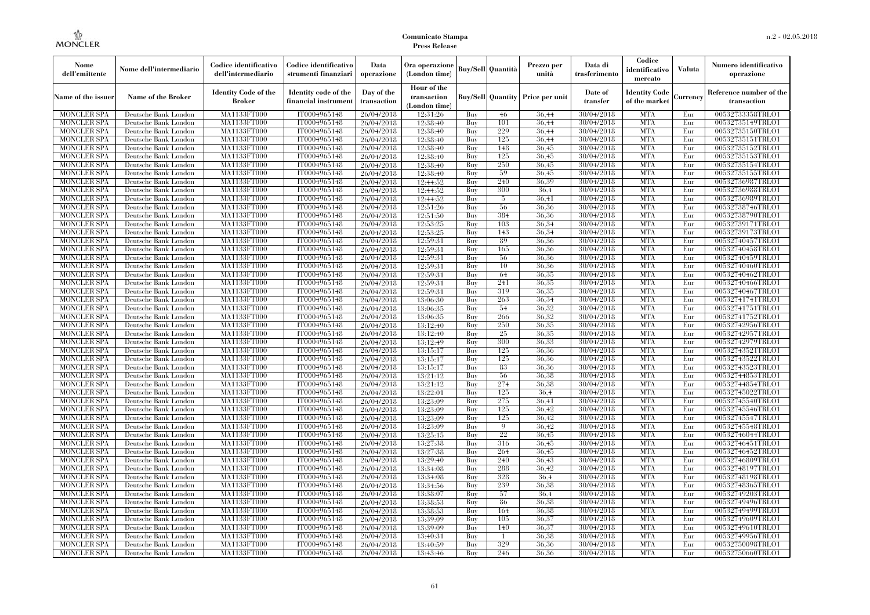| Nome<br>dell'emittente                   | Nome dell'intermediario                      | Codice identificativo<br>dell'intermediario  | Codice identificativo<br>strumenti finanziari | Data<br>operazione        | Ora operazione<br>(London time)             |            | <b>Buy/Sell   Quantità</b> | Prezzo per<br>unità                  | Data di<br>trasferimento | Codice<br>identificativo<br>mercato | <b>Valuta</b> | Numero identificativo<br>operazione    |
|------------------------------------------|----------------------------------------------|----------------------------------------------|-----------------------------------------------|---------------------------|---------------------------------------------|------------|----------------------------|--------------------------------------|--------------------------|-------------------------------------|---------------|----------------------------------------|
| Name of the issuer                       | Name of the Broker                           | <b>Identity Code of the</b><br><b>Broker</b> | Identity code of the<br>financial instrument  | Day of the<br>transaction | Hour of the<br>transaction<br>(London time) |            |                            | Buy/Sell   Quantity   Price per unit | Date of<br>transfer      | Identity Code<br>of the market      | Currencv      | Reference number of the<br>transaction |
| <b>MONCLER SPA</b>                       | Deutsche Bank London                         | MA1133FT000                                  | IT0004965148                                  | 26/04/2018                | 12:31:26                                    | Buy        | 46                         | 36,44                                | 30/04/2018               | <b>MTA</b>                          | Eur           | 00532733358TRLO1                       |
| <b>MONCLER SPA</b>                       | Deutsche Bank London                         | <b>MA1133FT000</b>                           | IT0004965148                                  | 26/04/2018                | 12:38:40                                    | Buy        | 101                        | 36.44                                | 30/04/2018               | <b>MTA</b>                          | Eur           | 00532735149TRLO1                       |
| <b>MONCLER SPA</b>                       | Deutsche Bank London                         | MA1133FT000                                  | IT0004965148                                  | 26/04/2018                | 12:38:40                                    | Buy        | 229                        | 36,44                                | 30/04/2018               | <b>MTA</b>                          | Eur           | 00532735150TRLO1                       |
| <b>MONCLER SPA</b>                       | Deutsche Bank London                         | <b>MA1133FT000</b>                           | IT0004965148                                  | 26/04/2018                | 12:38:40                                    | Buy        | 125                        | 36,44                                | 30/04/2018               | <b>MTA</b>                          | Eur           | 00532735151TRLO1                       |
| <b>MONCLER SPA</b>                       | Deutsche Bank London                         | MA1133FT000                                  | IT0004965148                                  | 26/04/2018                | 12:38:40                                    | Buy        | 148                        | 36,45                                | 30/04/2018               | <b>MTA</b><br><b>MTA</b>            | Eur           | 00532735152TRLO1                       |
| <b>MONCLER SPA</b><br><b>MONCLER SPA</b> | Deutsche Bank London<br>Deutsche Bank London | MA1133FT000<br>MA1133FT000                   | IT0004965148<br>IT0004965148                  | 26/04/2018<br>26/04/2018  | 12:38:40<br>12:38:40                        | Buy<br>Buy | 125<br>250                 | 36,45<br>36,45                       | 30/04/2018<br>30/04/2018 | <b>MTA</b>                          | Eur<br>Eur    | 00532735153TRLO1<br>00532735154TRLO1   |
| <b>MONCLER SPA</b>                       | Deutsche Bank London                         | MA1133FT000                                  | IT0004965148                                  | 26/04/2018                | 12:38:40                                    | Buy        | 59                         | 36.45                                | 30/04/2018               | <b>MTA</b>                          | Eur           | 00532735155TRLO1                       |
| <b>MONCLER SPA</b>                       | Deutsche Bank London                         | MA1133FT000                                  | IT0004965148                                  | 26/04/2018                | 12:44:52                                    | Buy        | 240                        | 36.39                                | 30/04/2018               | <b>MTA</b>                          | Eur           | 00532736987TRLO1                       |
| <b>MONCLER SPA</b>                       | Deutsche Bank London                         | MA1133FT000                                  | IT0004965148                                  | 26/04/2018                | 12:44:52                                    | Buy        | 300                        | 36,4                                 | 30/04/2018               | <b>MTA</b>                          | Eur           | 00532736988TRLO1                       |
| <b>MONCLER SPA</b>                       | Deutsche Bank London                         | MA1133FT000                                  | IT0004965148                                  | 26/04/2018                | 12:44:52                                    | Buy        | 5                          | 36.41                                | 30/04/2018               | <b>MTA</b>                          | Eur           | 00532736989TRLO1                       |
| <b>MONCLER SPA</b>                       | Deutsche Bank London                         | MA1133FT000                                  | IT0004965148                                  | 26/04/2018                | 12:51:26                                    | Buy        | 56                         | 36.36                                | 30/04/2018               | <b>MTA</b>                          | Eur           | 00532738746TRLO1                       |
| <b>MONCLER SPA</b>                       | Deutsche Bank London                         | MA1133FT000                                  | IT0004965148                                  | 26/04/2018                | 12:51:50                                    | Buy        | 384                        | 36.36                                | 30/04/2018               | <b>MTA</b>                          | Eur           | 00532738790TRLO1                       |
| <b>MONCLER SPA</b>                       | Deutsche Bank London                         | <b>MA1133FT000</b>                           | IT0004965148                                  | 26/04/2018                | 12:53:25                                    | Buy        | 103                        | 36,34                                | 30/04/2018               | <b>MTA</b>                          | Eur           | 00532739171TRLO1                       |
| <b>MONCLER SPA</b>                       | Deutsche Bank London                         | MA1133FT000                                  | IT0004965148                                  | 26/04/2018                | 12:53:25                                    | Buy        | 143                        | 36.34                                | 30/04/2018               | <b>MTA</b>                          | Eur           | 00532739173TRLO1                       |
| <b>MONCLER SPA</b>                       | Deutsche Bank London                         | MA1133FT000                                  | IT0004965148                                  | 26/04/2018                | 12:59:31                                    | Buy        | 89                         | 36.36                                | 30/04/2018               | <b>MTA</b>                          | Eur           | 00532740457TRLO1                       |
| <b>MONCLER SPA</b>                       | Deutsche Bank London                         | MA1133FT000                                  | IT0004965148                                  | 26/04/2018                | 12:59:31                                    | Buy        | 165                        | 36.36                                | 30/04/2018               | <b>MTA</b>                          | Eur           | 00532740458TRLO1                       |
| <b>MONCLER SPA</b>                       | Deutsche Bank London                         | <b>MA1133FT000</b>                           | IT0004965148                                  | 26/04/2018                | 12:59:31                                    | Buy        | -56                        | 36.36                                | 30/04/2018               | <b>MTA</b>                          | Eur           | 00532740459TRLO1                       |
| <b>MONCLER SPA</b>                       | Deutsche Bank London                         | MA1133FT000                                  | IT0004965148                                  | 26/04/2018                | 12:59:31                                    | Buy        | 10                         | 36.36                                | 30/04/2018               | <b>MTA</b>                          | Eur           | 00532740460TRLO1                       |
| <b>MONCLER SPA</b>                       | Deutsche Bank London                         | MA1133FT000                                  | IT0004965148                                  | 26/04/2018                | 12:59:31                                    | Buy        | 64                         | 36.35                                | 30/04/2018               | <b>MTA</b>                          | Eur           | 00532740462TRLO1                       |
| <b>MONCLER SPA</b>                       | Deutsche Bank London                         | MA1133FT000                                  | IT0004965148                                  | 26/04/2018                | 12:59:31                                    | Buy        | 241                        | 36.35                                | 30/04/2018               | <b>MTA</b>                          | Eur           | 00532740466TRLO1                       |
| <b>MONCLER SPA</b>                       | Deutsche Bank London                         | MA1133FT000                                  | IT0004965148                                  | 26/04/2018                | 12:59:31                                    | Buy        | 319                        | 36.35                                | 30/04/2018               | <b>MTA</b>                          | Eur           | 00532740467TRLO1                       |
| <b>MONCLER SPA</b>                       | Deutsche Bank London                         | MA1133FT000                                  | IT0004965148                                  | 26/04/2018                | 13:06:30                                    | Buy        | 263                        | 36.34                                | 30/04/2018               | <b>MTA</b>                          | Eur           | 00532741741TRLO1                       |
| <b>MONCLER SPA</b><br><b>MONCLER SPA</b> | Deutsche Bank London<br>Deutsche Bank London | MA1133FT000<br>MA1133FT000                   | IT0004965148<br>IT0004965148                  | 26/04/2018<br>26/04/2018  | 13:06:35<br>13:06:35                        | Buy<br>Buy | 54<br>266                  | 36,32<br>36.32                       | 30/04/2018<br>30/04/2018 | <b>MTA</b><br><b>MTA</b>            | Eur<br>Eur    | 00532741751TRLO1<br>00532741752TRLO1   |
| <b>MONCLER SPA</b>                       | Deutsche Bank London                         | MA1133FT000                                  | IT0004965148                                  | 26/04/2018                | 13:12:40                                    | Buy        | 250                        | 36.35                                | 30/04/2018               | <b>MTA</b>                          | Eur           | 00532742956TRLO1                       |
| <b>MONCLER SPA</b>                       | Deutsche Bank London                         | MA1133FT000                                  | IT0004965148                                  | 26/04/2018                | 13:12:40                                    | Buy        | 25                         | 36.35                                | 30/04/2018               | <b>MTA</b>                          | Eur           | 00532742957TRLO1                       |
| <b>MONCLER SPA</b>                       | Deutsche Bank London                         | MA1133FT000                                  | IT0004965148                                  | 26/04/2018                | 13:12:49                                    | Buy        | 300                        | 36.33                                | 30/04/2018               | <b>MTA</b>                          | Eur           | 00532742979TRLO1                       |
| <b>MONCLER SPA</b>                       | Deutsche Bank London                         | MA1133FT000                                  | IT0004965148                                  | 26/04/2018                | 13:15:17                                    | Buy        | 125                        | 36.36                                | 30/04/2018               | <b>MTA</b>                          | Eur           | 00532743521TRLO1                       |
| <b>MONCLER SPA</b>                       | Deutsche Bank London                         | <b>MA1133FT000</b>                           | IT0004965148                                  | 26/04/2018                | 13:15:17                                    | Buy        | 125                        | 36.36                                | 30/04/2018               | <b>MTA</b>                          | Eur           | 00532743522TRLO1                       |
| <b>MONCLER SPA</b>                       | Deutsche Bank London                         | MA1133FT000                                  | IT0004965148                                  | 26/04/2018                | 13:15:17                                    | Buy        | 83                         | 36.36                                | 30/04/2018               | <b>MTA</b>                          | Eur           | 00532743523TRLO1                       |
| <b>MONCLER SPA</b>                       | Deutsche Bank London                         | MA1133FT000                                  | IT0004965148                                  | 26/04/2018                | 13:21:12                                    | Buy        | 56                         | 36.38                                | 30/04/2018               | <b>MTA</b>                          | Eur           | 00532744853TRLO1                       |
| <b>MONCLER SPA</b>                       | Deutsche Bank London                         | MA1133FT000                                  | IT0004965148                                  | 26/04/2018                | 13:21:12                                    | Buy        | 274                        | 36.38                                | 30/04/2018               | <b>MTA</b>                          | Eur           | 00532744854TRLO1                       |
| <b>MONCLER SPA</b>                       | Deutsche Bank London                         | MA1133FT000                                  | IT0004965148                                  | 26/04/2018                | 13:22:01                                    | Buy        | 125                        | 36.4                                 | 30/04/2018               | <b>MTA</b>                          | Eur           | 00532745022TRLO1                       |
| <b>MONCLER SPA</b>                       | Deutsche Bank London                         | MA1133FT000                                  | IT0004965148                                  | 26/04/2018                | 13:23:09                                    | Buy        | 275                        | 36.41                                | 30/04/2018               | <b>MTA</b>                          | Eur           | 00532745540TRLO1                       |
| <b>MONCLER SPA</b>                       | Deutsche Bank London                         | <b>MA1133FT000</b>                           | IT0004965148                                  | 26/04/2018                | 13:23:09                                    | Buy        | 125                        | 36,42                                | 30/04/2018               | <b>MTA</b>                          | Eur           | 00532745546TRLO1                       |
| <b>MONCLER SPA</b>                       | Deutsche Bank London                         | MA1133FT000                                  | IT0004965148                                  | 26/04/2018                | 13:23:09                                    | Buy        | 125                        | 36,42                                | 30/04/2018               | <b>MTA</b>                          | Eur           | 00532745547TRLO1                       |
| <b>MONCLER SPA</b>                       | Deutsche Bank London                         | MA1133FT000                                  | IT0004965148                                  | 26/04/2018                | 13:23:09                                    | Buy        | $\mathbf Q$                | 36.42                                | 30/04/2018               | <b>MTA</b>                          | Eur           | 00532745548TRLO1                       |
| <b>MONCLER SPA</b>                       | Deutsche Bank London                         | MA1133FT000                                  | IT0004965148                                  | 26/04/2018                | 13:25:15                                    | Buy        | 22                         | 36.45                                | 30/04/2018               | <b>MTA</b>                          | Eur           | 00532746044TRLO1                       |
| <b>MONCLER SPA</b>                       | Deutsche Bank London                         | MA1133FT000                                  | IT0004965148                                  | 26/04/2018                | 13:27:38                                    | Buy        | 316                        | 36.45                                | 30/04/2018               | <b>MTA</b>                          | Eur           | 00532746451TRLO1                       |
| <b>MONCLER SPA</b>                       | Deutsche Bank London                         | MA1133FT000                                  | IT0004965148                                  | 26/04/2018                | 13:27:38                                    | Buy        | 264                        | 36,45                                | 30/04/2018               | <b>MTA</b>                          | Eur           | 00532746452TRLO1                       |
| <b>MONCLER SPA</b><br><b>MONCLER SPA</b> | Deutsche Bank London<br>Deutsche Bank London | MA1133FT000<br>MA1133FT000                   | IT0004965148<br>IT0004965148                  | 26/04/2018                | 13:29:40                                    | Buy<br>Buy | 240<br>288                 | 36,43<br>36.42                       | 30/04/2018<br>30/04/2018 | <b>MTA</b><br><b>MTA</b>            | Eur<br>Eur    | 00532746809TRLO1<br>00532748197TRLO1   |
| <b>MONCLER SPA</b>                       | Deutsche Bank London                         | MA1133FT000                                  | IT0004965148                                  | 26/04/2018<br>26/04/2018  | 13:34:08<br>13:34:08                        | Buy        | 328                        | 36.4                                 | 30/04/2018               | <b>MTA</b>                          | Eur           | 00532748198TRLO1                       |
| <b>MONCLER SPA</b>                       | Deutsche Bank London                         | MA1133FT000                                  | IT0004965148                                  | 26/04/2018                | 13:34:56                                    | Buy        | 239                        | 36.38                                | 30/04/2018               | <b>MTA</b>                          | Eur           | 00532748365TRLO1                       |
| <b>MONCLER SPA</b>                       | Deutsche Bank London                         | MA1133FT000                                  | IT0004965148                                  | 26/04/2018                | 13:38:07                                    | Buy        | 57                         | 36.4                                 | 30/04/2018               | <b>MTA</b>                          | Eur           | 00532749203TRLO1                       |
| <b>MONCLER SPA</b>                       | Deutsche Bank London                         | MA1133FT000                                  | IT0004965148                                  | 26/04/2018                | 13:38:53                                    | Buy        | 86                         | 36,38                                | 30/04/2018               | <b>MTA</b>                          | Eur           | 00532749496TRLO1                       |
| <b>MONCLER SPA</b>                       | Deutsche Bank London                         | MA1133FT000                                  | IT0004965148                                  | 26/04/2018                | 13:38:53                                    | Buy        | 164                        | 36.38                                | 30/04/2018               | <b>MTA</b>                          | Eur           | 00532749499TRLO1                       |
| <b>MONCLER SPA</b>                       | Deutsche Bank London                         | MA1133FT000                                  | IT0004965148                                  | 26/04/2018                | 13:39:09                                    | Buy        | 105                        | 36.37                                | 30/04/2018               | <b>MTA</b>                          | Eur           | 00532749609TRLO1                       |
| <b>MONCLER SPA</b>                       | Deutsche Bank London                         | MA1133FT000                                  | IT0004965148                                  | 26/04/2018                | 13:39:09                                    | Buy        | 140                        | 36.37                                | 30/04/2018               | <b>MTA</b>                          | Eur           | 00532749610TRLO1                       |
| <b>MONCLER SPA</b>                       | Deutsche Bank London                         | MA1133FT000                                  | IT0004965148                                  | 26/04/2018                | 13:40:31                                    | Buy        |                            | 36.38                                | 30/04/2018               | <b>MTA</b>                          | Eur           | 00532749956TRLO1                       |
| <b>MONCLER SPA</b>                       | Deutsche Bank London                         | MA1133FT000                                  | IT0004965148                                  | 26/04/2018                | 13:40:59                                    | Buy        | 329                        | 36.36                                | 30/04/2018               | <b>MTA</b>                          | Eur           | 00532750098TRLO1                       |
| <b>MONCLER SPA</b>                       | Deutsche Bank London                         | MA1133FT000                                  | IT0004965148                                  | 26/04/2018                | 13:43:46                                    | Buy        | 246                        | 36,36                                | 30/04/2018               | <b>MTA</b>                          | Eur           | 00532750660TRLO1                       |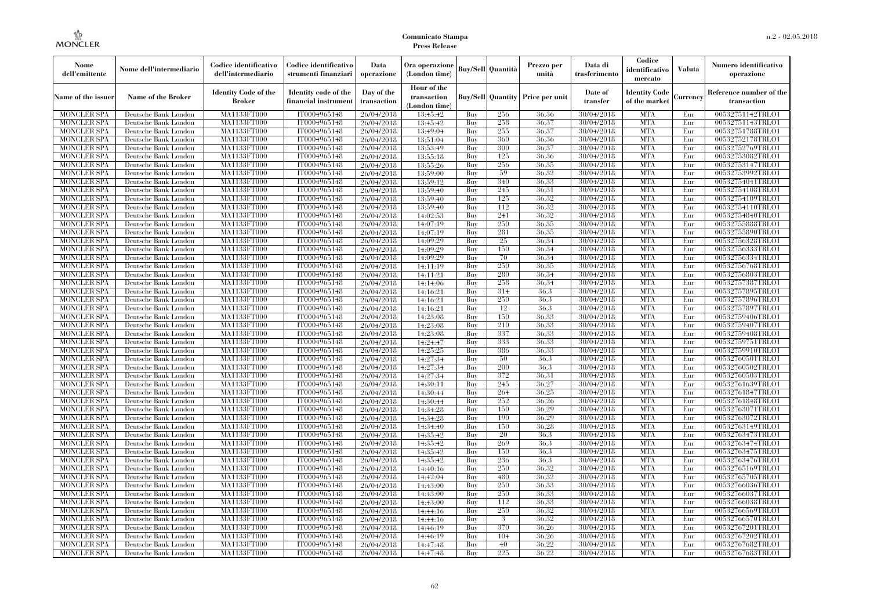| Nome<br>dell'emittente                   | Nome dell'intermediario                      | Codice identificativo<br>dell'intermediario | Codice identificativo<br>strumenti finanziari | Data<br>operazione        | Ora operazione<br>(London time)             |            | Buy/Sell   Quantità      | Prezzo per<br>unità | Data di<br>trasferimento | Codice<br>identificativo<br>mercato   | <b>Valuta</b> | Numero identificativo<br>operazione    |
|------------------------------------------|----------------------------------------------|---------------------------------------------|-----------------------------------------------|---------------------------|---------------------------------------------|------------|--------------------------|---------------------|--------------------------|---------------------------------------|---------------|----------------------------------------|
| Name of the issuer                       | Name of the Broker                           | <b>Identity Code of the</b><br>Broker       | Identity code of the<br>financial instrument  | Day of the<br>transaction | Hour of the<br>transaction<br>(London time) |            | <b>Buy/Sell Quantity</b> | Price per unit      | Date of<br>transfer      | <b>Identity Code</b><br>of the market | Currencv      | Reference number of the<br>transaction |
| <b>MONCLER SPA</b>                       | Deutsche Bank London                         | MA1133FT000                                 | IT0004965148                                  | 26/04/2018                | 13:45:42                                    | Buy        | 256                      | 36,36               | 30/04/2018               | <b>MTA</b>                            | Eur           | 00532751142TRLO1                       |
| <b>MONCLER SPA</b>                       | Deutsche Bank London                         | <b>MA1133FT000</b>                          | IT0004965148                                  | 26/04/2018                | 13:45:42                                    | Buy        | 258                      | 36,37               | 30/04/2018               | <b>MTA</b>                            | Eur           | 00532751143TRLO1                       |
| <b>MONCLER SPA</b>                       | Deutsche Bank London                         | MA1133FT000                                 | IT0004965148                                  | 26/04/2018                | 13:49:04                                    | Buv        | 255                      | 36.37               | 30/04/2018               | <b>MTA</b>                            | Eur           | 00532751788TRLO1                       |
| <b>MONCLER SPA</b>                       | Deutsche Bank London                         | MA1133FT000                                 | IT0004965148                                  | 26/04/2018                | 13:51:04                                    | Buy        | 360                      | 36,36               | 30/04/2018               | <b>MTA</b>                            | Eur           | 00532752178TRLO1                       |
| <b>MONCLER SPA</b>                       | Deutsche Bank London                         | MA1133FT000<br><b>MA1133FT000</b>           | IT0004965148                                  | 26/04/2018                | 13:53:49                                    | Buy        | 300<br>125               | 36.37<br>36.36      | 30/04/2018               | <b>MTA</b><br><b>MTA</b>              | Eur<br>Eur    | 00532752769TRLO1                       |
| MONCLER SPA<br><b>MONCLER SPA</b>        | Deutsche Bank London<br>Deutsche Bank London | MA1133FT000                                 | IT0004965148<br>IT0004965148                  | 26/04/2018<br>26/04/2018  | 13:55:18<br>13:55:26                        | Buy<br>Buy | 256                      | 36.35               | 30/04/2018<br>30/04/2018 | <b>MTA</b>                            | Eur           | 00532753082TRLO1<br>00532753147TRLO1   |
| <b>MONCLER SPA</b>                       | Deutsche Bank London                         | MA1133FT000                                 | IT0004965148                                  | 26/04/2018                | 13:59:00                                    | Buy        | 59                       | 36.32               | 30/04/2018               | <b>MTA</b>                            | Eur           | 00532753992TRLO1                       |
| <b>MONCLER SPA</b>                       | Deutsche Bank London                         | MA1133FT000                                 | IT0004965148                                  | 26/04/2018                | 13:59:12                                    | Buy        | 340                      | 36,33               | 30/04/2018               | <b>MTA</b>                            | Eur           | 00532754041TRLO1                       |
| <b>MONCLER SPA</b>                       | Deutsche Bank London                         | MA1133FT000                                 | IT0004965148                                  | 26/04/2018                | 13:59:40                                    | Buy        | 245                      | 36.31               | 30/04/2018               | <b>MTA</b>                            | Eur           | 00532754108TRLO1                       |
| <b>MONCLER SPA</b>                       | Deutsche Bank London                         | MA1133FT000                                 | IT0004965148                                  | 26/04/2018                | 13:59:40                                    | Buy        | 125                      | 36,32               | 30/04/2018               | <b>MTA</b>                            | Eur           | 00532754109TRLO1                       |
| <b>MONCLER SPA</b>                       | Deutsche Bank London                         | MA1133FT000                                 | IT0004965148                                  | 26/04/2018                | 13:59:40                                    | Buy        | 112                      | 36,32               | 30/04/2018               | <b>MTA</b>                            | Eur           | 00532754110TRLO1                       |
| <b>MONCLER SPA</b>                       | Deutsche Bank London                         | MA1133FT000                                 | IT0004965148                                  | 26/04/2018                | 14:02:53                                    | Buy        | 241                      | 36.32               | 30/04/2018               | <b>MTA</b>                            | Eur           | 00532754840TRLO1                       |
| <b>MONCLER SPA</b>                       | Deutsche Bank London                         | MA1133FT000                                 | IT0004965148                                  | 26/04/2018                | 14:07:19                                    | Buy        | 250                      | 36,35               | 30/04/2018               | <b>MTA</b>                            | Eur           | 00532755888TRLO1                       |
| <b>MONCLER SPA</b>                       | Deutsche Bank London                         | MA1133FT000                                 | IT0004965148                                  | 26/04/2018                | 14:07:19                                    | Buy        | 281                      | 36.35               | 30/04/2018               | <b>MTA</b>                            | Eur           | 00532755890TRLO1                       |
| <b>MONCLER SPA</b>                       | Deutsche Bank London                         | MA1133FT000                                 | IT0004965148                                  | 26/04/2018                | 14:09:29                                    | Buy        | 25                       | 36.34               | 30/04/2018               | <b>MTA</b>                            | Eur           | 00532756328TRLO1                       |
| <b>MONCLER SPA</b>                       | Deutsche Bank London                         | MA1133FT000                                 | IT0004965148                                  | 26/04/2018                | 14:09:29                                    | Buy        | 150                      | 36.34               | 30/04/2018               | <b>MTA</b>                            | Eur           | 00532756333TRLO1                       |
| <b>MONCLER SPA</b>                       | Deutsche Bank London                         | MA1133FT000                                 | IT0004965148                                  | 26/04/2018                | 14:09:29                                    | Buy        | 70                       | 36.34               | 30/04/2018               | <b>MTA</b>                            | Eur           | 00532756334TRLO1                       |
| <b>MONCLER SPA</b>                       | Deutsche Bank London                         | MA1133FT000                                 | IT0004965148                                  | 26/04/2018                | 14:11:19                                    | Buy        | 250                      | 36,35               | 30/04/2018               | <b>MTA</b>                            | Eur           | 00532756768TRLO1                       |
| <b>MONCLER SPA</b>                       | Deutsche Bank London                         | MA1133FT000                                 | IT0004965148                                  | 26/04/2018                | 14:11:21                                    | Buy        | 280                      | 36.34               | 30/04/2018               | <b>MTA</b>                            | Eur           | 00532756803TRLO1                       |
| <b>MONCLER SPA</b>                       | Deutsche Bank London                         | MA1133FT000                                 | IT0004965148                                  | 26/04/2018                | 14:14:06                                    | Buy        | 258                      | 36.34               | 30/04/2018               | <b>MTA</b>                            | Eur           | 00532757387TRLO1                       |
| <b>MONCLER SPA</b>                       | Deutsche Bank London                         | MA1133FT000                                 | IT0004965148                                  | 26/04/2018                | 14:16:21                                    | Buy        | 314                      | 36,3                | 30/04/2018               | <b>MTA</b>                            | Eur           | 00532757895TRLO1                       |
| <b>MONCLER SPA</b>                       | Deutsche Bank London                         | MA1133FT000                                 | IT0004965148                                  | 26/04/2018                | 14:16:21                                    | Buy        | 250                      | 36.3                | 30/04/2018               | <b>MTA</b>                            | Eur           | 00532757896TRLO1                       |
| <b>MONCLER SPA</b>                       | Deutsche Bank London                         | MA1133FT000                                 | IT0004965148<br>IT0004965148                  | 26/04/2018                | 14:16:21                                    | Buy        | 12<br>150                | 36.3<br>36.33       | 30/04/2018<br>30/04/2018 | <b>MTA</b><br><b>MTA</b>              | Eur           | 00532757897TRLO1<br>00532759406TRLO1   |
| <b>MONCLER SPA</b><br><b>MONCLER SPA</b> | Deutsche Bank London<br>Deutsche Bank London | MA1133FT000<br>MA1133FT000                  | IT0004965148                                  | 26/04/2018<br>26/04/2018  | 14:23:08<br>14:23:08                        | Buy<br>Buy | 210                      | 36,33               | 30/04/2018               | <b>MTA</b>                            | Eur<br>Eur    | 00532759407TRLO1                       |
| <b>MONCLER SPA</b>                       | Deutsche Bank London                         | MA1133FT000                                 | IT0004965148                                  | 26/04/2018                | 14:23:08                                    | Buy        | 337                      | 36.33               | 30/04/2018               | <b>MTA</b>                            | Eur           | 00532759408TRLO1                       |
| <b>MONCLER SPA</b>                       | Deutsche Bank London                         | MA1133FT000                                 | IT0004965148                                  | 26/04/2018                | 14:24:47                                    | Buy        | 333                      | 36.33               | 30/04/2018               | <b>MTA</b>                            | Eur           | 00532759751TRLO1                       |
| <b>MONCLER SPA</b>                       | Deutsche Bank London                         | MA1133FT000                                 | IT0004965148                                  | 26/04/2018                | 14:25:25                                    | Buy        | 386                      | 36.33               | 30/04/2018               | <b>MTA</b>                            | Eur           | 00532759910TRLO1                       |
| <b>MONCLER SPA</b>                       | Deutsche Bank London                         | <b>MA1133FT000</b>                          | IT0004965148                                  | 26/04/2018                | 14:27:34                                    | Buy        | 50                       | 36.3                | 30/04/2018               | <b>MTA</b>                            | Eur           | 00532760501TRLO1                       |
| <b>MONCLER SPA</b>                       | Deutsche Bank London                         | MA1133FT000                                 | IT0004965148                                  | 26/04/2018                | 14:27:34                                    | Buy        | 200                      | 36.3                | 30/04/2018               | <b>MTA</b>                            | Eur           | 00532760502TRLO1                       |
| <b>MONCLER SPA</b>                       | Deutsche Bank London                         | MA1133FT000                                 | IT0004965148                                  | 26/04/2018                | 14:27:34                                    | Buy        | 372                      | 36,31               | 30/04/2018               | <b>MTA</b>                            | Eur           | 00532760503TRLO1                       |
| <b>MONCLER SPA</b>                       | Deutsche Bank London                         | MA1133FT000                                 | IT0004965148                                  | 26/04/2018                | 14:30:11                                    | Buy        | 245                      | 36,27               | 30/04/2018               | <b>MTA</b>                            | Eur           | 00532761639TRLO1                       |
| <b>MONCLER SPA</b>                       | Deutsche Bank London                         | MA1133FT000                                 | IT0004965148                                  | 26/04/2018                | 14:30:44                                    | Buy        | 264                      | 36.25               | 30/04/2018               | <b>MTA</b>                            | Eur           | 00532761847TRLO1                       |
| <b>MONCLER SPA</b>                       | Deutsche Bank London                         | <b>MA1133FT000</b>                          | IT0004965148                                  | 26/04/2018                | 14:30:44                                    | Buy        | 252                      | 36,26               | 30/04/2018               | <b>MTA</b>                            | Eur           | 00532761848TRLO1                       |
| <b>MONCLER SPA</b>                       | Deutsche Bank London                         | MA1133FT000                                 | IT0004965148                                  | 26/04/2018                | 14:34:28                                    | Buy        | 150                      | 36,29               | 30/04/2018               | <b>MTA</b>                            | Eur           | 00532763071TRLO1                       |
| <b>MONCLER SPA</b>                       | Deutsche Bank London                         | MA1133FT000                                 | IT0004965148                                  | 26/04/2018                | 14:34:28                                    | Buv        | 190                      | 36.29               | 30/04/2018               | <b>MTA</b>                            | Eur           | 00532763072TRLO1                       |
| <b>MONCLER SPA</b>                       | Deutsche Bank London                         | <b>MA1133FT000</b>                          | IT0004965148                                  | 26/04/2018                | 14:34:40                                    | Buy        | 150                      | 36.28               | 30/04/2018               | <b>MTA</b>                            | Eur           | 00532763149TRLO1                       |
| <b>MONCLER SPA</b>                       | Deutsche Bank London                         | MA1133FT000                                 | IT0004965148                                  | 26/04/2018                | 14:35:42                                    | Buy        | 20                       | 36.3                | 30/04/2018               | <b>MTA</b>                            | Eur           | 00532763473TRLO1                       |
| <b>MONCLER SPA</b>                       | Deutsche Bank London                         | <b>MA1133FT000</b>                          | IT0004965148                                  | 26/04/2018                | 14:35:42                                    | Buy        | 269                      | 36.3                | 30/04/2018               | <b>MTA</b>                            | Eur           | 00532763474TRLO1                       |
| <b>MONCLER SPA</b>                       | Deutsche Bank London                         | MA1133FT000                                 | IT0004965148                                  | 26/04/2018                | 14:35:42                                    | Buy        | 150                      | 36.3                | 30/04/2018               | <b>MTA</b>                            | Eur           | 00532763475TRLO1                       |
| <b>MONCLER SPA</b>                       | Deutsche Bank London                         | MA1133FT000                                 | IT0004965148                                  | 26/04/2018                | 14:35:42                                    | Buy        | 236                      | 36.3                | 30/04/2018               | <b>MTA</b>                            | Eur           | 00532763476TRLO1                       |
| <b>MONCLER SPA</b>                       | Deutsche Bank London                         | MA1133FT000                                 | IT0004965148                                  | 26/04/2018                | 14:40:16                                    | Buy        | 250                      | 36.32               | 30/04/2018               | <b>MTA</b>                            | Eur           | 00532765169TRLO1                       |
| <b>MONCLER SPA</b>                       | Deutsche Bank London                         | MA1133FT000                                 | IT0004965148                                  | 26/04/2018                | 14:42:04                                    | Buy        | 480                      | 36.32               | 30/04/2018               | <b>MTA</b><br><b>MTA</b>              | Eur           | 00532765705TRLO1                       |
| <b>MONCLER SPA</b><br><b>MONCLER SPA</b> | Deutsche Bank London<br>Deutsche Bank London | MA1133FT000<br>MA1133FT000                  | IT0004965148<br>IT0004965148                  | 26/04/2018<br>26/04/2018  | 14:43:00<br>14:43:00                        | Buy<br>Buy | 250<br>250               | 36.33<br>36.33      | 30/04/2018<br>30/04/2018 | <b>MTA</b>                            | Eur<br>Eur    | 00532766036TRLO1<br>00532766037TRLO1   |
| <b>MONCLER SPA</b>                       | Deutsche Bank London                         | MA1133FT000                                 | IT0004965148                                  | 26/04/2018                | 14:43:00                                    | Buy        | 112                      | 36.33               | 30/04/2018               | <b>MTA</b>                            | Eur           | 00532766038TRLO1                       |
| <b>MONCLER SPA</b>                       | Deutsche Bank London                         | MA1133FT000                                 | IT0004965148                                  | 26/04/2018                | 14:44:16                                    | Buy        | 250                      | 36.32               | 30/04/2018               | <b>MTA</b>                            | Eur           | 00532766569TRLO1                       |
| <b>MONCLER SPA</b>                       | Deutsche Bank London                         | MA1133FT000                                 | IT0004965148                                  | 26/04/2018                | 14:44:16                                    | Buy        | 3                        | 36.32               | 30/04/2018               | <b>MTA</b>                            | Eur           | 00532766570TRLO1                       |
| <b>MONCLER SPA</b>                       | Deutsche Bank London                         | MA1133FT000                                 | IT0004965148                                  | 26/04/2018                | 14:46:19                                    | Buy        | 370                      | 36.26               | 30/04/2018               | <b>MTA</b>                            | Eur           | 00532767201TRLO1                       |
| <b>MONCLER SPA</b>                       | Deutsche Bank London                         | MA1133FT000                                 | IT0004965148                                  | 26/04/2018                | 14:46:19                                    | Buy        | 104                      | 36,26               | 30/04/2018               | <b>MTA</b>                            | Eur           | 00532767202TRLO1                       |
| <b>MONCLER SPA</b>                       | Deutsche Bank London                         | MA1133FT000                                 | IT0004965148                                  | 26/04/2018                | 14:47:48                                    | Buy        | 40                       | 36,22               | 30/04/2018               | <b>MTA</b>                            | Eur           | 00532767682TRLO1                       |
| <b>MONCLER SPA</b>                       | Deutsche Bank London                         | MA1133FT000                                 | IT0004965148                                  | 26/04/2018                | 14:47:48                                    | Buy        | 225                      | 36.22               | 30/04/2018               | <b>MTA</b>                            | Eur           | 00532767683TRLO1                       |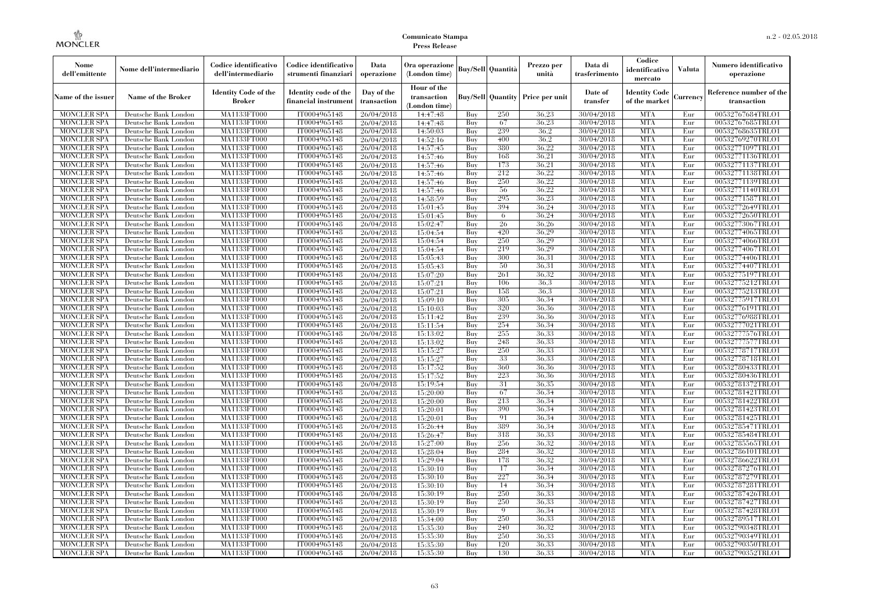| Nome<br>dell'emittente                   | Nome dell'intermediario                      | Codice identificativo<br>dell'intermediario  | Codice identificativo<br>strumenti finanziari | Data<br>operazione        | Ora operazione<br>(London time)             |            | Buy/Sell Quantità        | Prezzo per<br>unità | Data di<br>trasferimento | Codice<br>identificativo<br>mercato   | <b>Valuta</b> | Numero identificativo<br>operazione    |
|------------------------------------------|----------------------------------------------|----------------------------------------------|-----------------------------------------------|---------------------------|---------------------------------------------|------------|--------------------------|---------------------|--------------------------|---------------------------------------|---------------|----------------------------------------|
| Name of the issuer                       | Name of the Broker                           | <b>Identity Code of the</b><br><b>Broker</b> | Identity code of the<br>financial instrument  | Day of the<br>transaction | Hour of the<br>transaction<br>(London time) |            | <b>Buy/Sell Quantity</b> | Price per unit      | Date of<br>transfer      | <b>Identity Code</b><br>of the market | Currencv      | Reference number of the<br>transaction |
| <b>MONCLER SPA</b>                       | Deutsche Bank London                         | MA1133FT000                                  | IT0004965148                                  | 26/04/2018                | 14:47:48                                    | Buv        | 250                      | 36.23               | 30/04/2018               | <b>MTA</b>                            | Eur           | 00532767684TRLO1                       |
| <b>MONCLER SPA</b>                       | Deutsche Bank London                         | MA1133FT000                                  | IT0004965148                                  | 26/04/2018                | 14:47:48                                    | Buy        | 67                       | 36,23               | 30/04/2018               | <b>MTA</b>                            | Eur           | 00532767685TRLO1                       |
| <b>MONCLER SPA</b>                       | Deutsche Bank London                         | MA1133FT000                                  | IT0004965148                                  | 26/04/2018                | 14:50:03                                    | Buy        | 239                      | 36.2                | 30/04/2018               | <b>MTA</b>                            | Eur           | 00532768635TRLO1                       |
| <b>MONCLER SPA</b>                       | Deutsche Bank London                         | <b>MA1133FT000</b>                           | IT0004965148                                  | 26/04/2018                | 14:52:16                                    | Buy        | 400                      | 36,2                | 30/04/2018               | <b>MTA</b>                            | Eur           | 00532769270TRLO1                       |
| <b>MONCLER SPA</b>                       | Deutsche Bank London                         | <b>MA1133FT000</b>                           | IT0004965148                                  | 26/04/2018                | 14:57:45                                    | Buy        | 380<br>168               | 36,22               | 30/04/2018               | <b>MTA</b><br><b>MTA</b>              | Eur           | 00532771097TRLO1                       |
| <b>MONCLER SPA</b><br><b>MONCLER SPA</b> | Deutsche Bank London<br>Deutsche Bank London | MA1133FT000<br>MA1133FT000                   | IT0004965148<br>IT0004965148                  | 26/04/2018                | 14:57:46<br>14:57:46                        | Buy<br>Buy | 173                      | 36,21<br>36,21      | 30/04/2018<br>30/04/2018 | <b>MTA</b>                            | Eur<br>Eur    | 00532771136TRLO1<br>00532771137TRLO1   |
| <b>MONCLER SPA</b>                       | Deutsche Bank London                         | MA1133FT000                                  | IT0004965148                                  | 26/04/2018<br>26/04/2018  | 14:57:46                                    | Buy        | 212                      | 36.22               | 30/04/2018               | <b>MTA</b>                            | Eur           | 00532771138TRLO1                       |
| <b>MONCLER SPA</b>                       | Deutsche Bank London                         | MA1133FT000                                  | IT0004965148                                  | 26/04/2018                | 14:57:46                                    | Buy        | 250                      | 36,22               | 30/04/2018               | <b>MTA</b>                            | Eur           | 00532771139TRLO1                       |
| <b>MONCLER SPA</b>                       | Deutsche Bank London                         | MA1133FT000                                  | IT0004965148                                  | 26/04/2018                | 14:57:46                                    | Buy        | 56                       | 36,22               | 30/04/2018               | <b>MTA</b>                            | Eur           | 00532771140TRLO1                       |
| <b>MONCLER SPA</b>                       | Deutsche Bank London                         | MA1133FT000                                  | IT0004965148                                  | 26/04/2018                | 14:58:59                                    | Buy        | 295                      | 36,23               | 30/04/2018               | <b>MTA</b>                            | Eur           | 00532771587TRLO1                       |
| <b>MONCLER SPA</b>                       | Deutsche Bank London                         | MA1133FT000                                  | IT0004965148                                  | 26/04/2018                | 15:01:45                                    | Buy        | 394                      | 36,24               | 30/04/2018               | <b>MTA</b>                            | Eur           | 00532772649TRLO1                       |
| <b>MONCLER SPA</b>                       | Deutsche Bank London                         | MA1133FT000                                  | IT0004965148                                  | 26/04/2018                | 15:01:45                                    | Buy        | 6                        | 36,24               | 30/04/2018               | <b>MTA</b>                            | Eur           | 00532772650TRLO1                       |
| MONCLER SPA                              | Deutsche Bank London                         | <b>MA1133FT000</b>                           | IT0004965148                                  | 26/04/2018                | 15:02:47                                    | Buy        | 26                       | 36,26               | 30/04/2018               | <b>MTA</b>                            | Eur           | 00532773067TRLO1                       |
| <b>MONCLER SPA</b>                       | Deutsche Bank London                         | MA1133FT000                                  | IT0004965148                                  | 26/04/2018                | 15:04:54                                    | Buy        | 420                      | 36.29               | 30/04/2018               | <b>MTA</b>                            | Eur           | 00532774065TRLO1                       |
| <b>MONCLER SPA</b>                       | Deutsche Bank London                         | MA1133FT000                                  | IT0004965148                                  | 26/04/2018                | 15:04:54                                    | Buy        | 250                      | 36,29               | 30/04/2018               | <b>MTA</b>                            | Eur           | 00532774066TRLO1                       |
| <b>MONCLER SPA</b>                       | Deutsche Bank London                         | MA1133FT000                                  | IT0004965148                                  | 26/04/2018                | 15:04:54                                    | Buy        | 219                      | 36,29               | 30/04/2018               | <b>MTA</b>                            | Eur           | 00532774067TRLO1                       |
| <b>MONCLER SPA</b>                       | Deutsche Bank London                         | MA1133FT000                                  | IT0004965148                                  | 26/04/2018                | 15:05:43                                    | Buy        | 300                      | 36.31               | 30/04/2018               | <b>MTA</b>                            | Eur           | 00532774406TRLO1                       |
| MONCLER SPA                              | Deutsche Bank London                         | <b>MA1133FT000</b>                           | IT0004965148                                  | 26/04/2018                | 15:05:43                                    | Buy        | 50                       | 36.31               | 30/04/2018               | <b>MTA</b>                            | Eur           | 00532774407TRLO1                       |
| <b>MONCLER SPA</b>                       | Deutsche Bank London                         | MA1133FT000                                  | IT0004965148                                  | 26/04/2018                | 15:07:20                                    | Buy        | 261                      | 36,32               | 30/04/2018               | <b>MTA</b>                            | Eur           | 00532775197TRLO1                       |
| <b>MONCLER SPA</b>                       | Deutsche Bank London                         | MA1133FT000                                  | IT0004965148                                  | 26/04/2018                | 15:07:21                                    | Buy        | 106                      | 36.3                | 30/04/2018               | <b>MTA</b>                            | Eur           | 00532775212TRLO1                       |
| <b>MONCLER SPA</b>                       | Deutsche Bank London                         | MA1133FT000                                  | IT0004965148                                  | 26/04/2018                | 15:07:21                                    | Buy        | 158                      | 36.3                | 30/04/2018               | <b>MTA</b>                            | Eur           | 00532775213TRLO1                       |
| MONCLER SPA                              | Deutsche Bank London                         | MA1133FT000                                  | IT0004965148                                  | 26/04/2018                | 15:09:10                                    | Buy        | 305                      | 36,34               | 30/04/2018               | <b>MTA</b>                            | Eur           | 00532775917TRLO1                       |
| <b>MONCLER SPA</b>                       | Deutsche Bank London                         | MA1133FT000                                  | IT0004965148                                  | 26/04/2018                | 15:10:03                                    | Buy        | 320                      | 36,36               | 30/04/2018               | <b>MTA</b>                            | Eur           | 00532776191TRLO1                       |
| <b>MONCLER SPA</b>                       | Deutsche Bank London                         | MA1133FT000                                  | IT0004965148                                  | 26/04/2018                | 15:11:42                                    | Buy        | 239                      | 36.36               | 30/04/2018               | <b>MTA</b>                            | Eur           | 00532776988TRLO1                       |
| <b>MONCLER SPA</b>                       | Deutsche Bank London                         | <b>MA1133FT000</b>                           | IT0004965148                                  | 26/04/2018                | 15:11:54                                    | Buy        | 254                      | 36.34               | 30/04/2018               | <b>MTA</b>                            | Eur           | 00532777021TRLO1                       |
| <b>MONCLER SPA</b>                       | Deutsche Bank London                         | MA1133FT000                                  | IT0004965148                                  | 26/04/2018                | 15:13:02                                    | Buy        | 255                      | 36,33               | 30/04/2018               | <b>MTA</b>                            | Eur           | 00532777576TRLO1                       |
| <b>MONCLER SPA</b>                       | Deutsche Bank London                         | MA1133FT000                                  | IT0004965148                                  | 26/04/2018                | 15:13:02                                    | Buy        | 248                      | 36,33               | 30/04/2018               | <b>MTA</b>                            | Eur           | 00532777577TRLO1                       |
| <b>MONCLER SPA</b>                       | Deutsche Bank London                         | MA1133FT000                                  | IT0004965148                                  | 26/04/2018                | 15:15:27                                    | Buv        | 250                      | 36.33               | 30/04/2018               | <b>MTA</b>                            | Eur           | 00532778717TRLO1                       |
| <b>MONCLER SPA</b>                       | Deutsche Bank London                         | MA1133FT000                                  | IT0004965148                                  | 26/04/2018                | 15:15:27                                    | Buy        | 33                       | 36,33               | 30/04/2018               | <b>MTA</b>                            | Eur           | 00532778718TRLO1                       |
| <b>MONCLER SPA</b>                       | Deutsche Bank London                         | MA1133FT000                                  | IT0004965148                                  | 26/04/2018                | 15:17:52                                    | Buy        | 360                      | 36,36               | 30/04/2018               | <b>MTA</b>                            | Eur           | 00532780433TRLO1                       |
| <b>MONCLER SPA</b>                       | Deutsche Bank London                         | MA1133FT000                                  | IT0004965148                                  | 26/04/2018                | 15:17:52                                    | Buy        | 223                      | 36,36               | 30/04/2018               | <b>MTA</b>                            | Eur           | 00532780436TRLO1                       |
| MONCLER SPA                              | Deutsche Bank London                         | <b>MA1133FT000</b>                           | IT0004965148                                  | 26/04/2018                | 15:19:54                                    | Buy        | 31                       | 36,35               | 30/04/2018               | <b>MTA</b>                            | Eur           | 00532781372TRLO1                       |
| <b>MONCLER SPA</b>                       | Deutsche Bank London                         | MA1133FT000                                  | IT0004965148                                  | 26/04/2018                | 15:20:00                                    | Buy        | 67                       | 36.34               | 30/04/2018               | <b>MTA</b>                            | Eur           | 00532781421TRLO1                       |
| <b>MONCLER SPA</b>                       | Deutsche Bank London                         | MA1133FT000                                  | IT0004965148                                  | 26/04/2018                | 15:20:00                                    | Buy        | 213                      | 36.34               | 30/04/2018               | <b>MTA</b>                            | Eur           | 00532781422TRLO1                       |
| <b>MONCLER SPA</b><br><b>MONCLER SPA</b> | Deutsche Bank London                         | MA1133FT000<br>MA1133FT000                   | IT0004965148                                  | 26/04/2018                | 15:20:01<br>15:20:01                        | Buy<br>Buy | 390<br>91                | 36.34<br>36.34      | 30/04/2018<br>30/04/2018 | <b>MTA</b><br><b>MTA</b>              | Eur<br>Eur    | 00532781423TRLO1<br>00532781425TRLO1   |
| <b>MONCLER SPA</b>                       | Deutsche Bank London<br>Deutsche Bank London | MA1133FT000                                  | IT0004965148<br>IT0004965148                  | 26/04/2018<br>26/04/2018  | 15:26:44                                    | Buy        | 389                      | 36.34               | 30/04/2018               | <b>MTA</b>                            | Eur           | 00532785471TRLO1                       |
| <b>MONCLER SPA</b>                       | Deutsche Bank London                         | MA1133FT000                                  | IT0004965148                                  | 26/04/2018                | 15:26:47                                    | Buy        | 318                      | 36,33               | 30/04/2018               | <b>MTA</b>                            | Eur           | 00532785484TRLO1                       |
| <b>MONCLER SPA</b>                       | Deutsche Bank London                         | MA1133FT000                                  | IT0004965148                                  | 26/04/2018                | 15:27:00                                    | Buy        | 256                      | 36.32               | 30/04/2018               | <b>MTA</b>                            | Eur           | 00532785565TRLO1                       |
| <b>MONCLER SPA</b>                       | Deutsche Bank London                         | MA1133FT000                                  | IT0004965148                                  | 26/04/2018                | 15:28:04                                    | Buy        | 284                      | 36,32               | 30/04/2018               | <b>MTA</b>                            | Eur           | 00532786101TRLO1                       |
| <b>MONCLER SPA</b>                       | Deutsche Bank London                         | MA1133FT000                                  | IT0004965148                                  | 26/04/2018                | 15:29:04                                    | Buy        | 178                      | 36,32               | 30/04/2018               | <b>MTA</b>                            | Eur           | 00532786622TRLO1                       |
| <b>MONCLER SPA</b>                       | Deutsche Bank London                         | MA1133FT000                                  | IT0004965148                                  | 26/04/2018                | 15:30:10                                    | Buy        | 17                       | 36.34               | 30/04/2018               | <b>MTA</b>                            | Eur           | 00532787276TRLO1                       |
| <b>MONCLER SPA</b>                       | Deutsche Bank London                         | MA1133FT000                                  | IT0004965148                                  | 26/04/2018                | 15:30:10                                    | Buy        | 227                      | 36.34               | 30/04/2018               | <b>MTA</b>                            | Eur           | 00532787279TRLO1                       |
| <b>MONCLER SPA</b>                       | Deutsche Bank London                         | MA1133FT000                                  | IT0004965148                                  | 26/04/2018                | 15:30:10                                    | Buy        | 14                       | 36.34               | 30/04/2018               | <b>MTA</b>                            | Eur           | 00532787281TRLO1                       |
| <b>MONCLER SPA</b>                       | Deutsche Bank London                         | MA1133FT000                                  | IT0004965148                                  | 26/04/2018                | 15:30:19                                    | Buy        | 250                      | 36,33               | 30/04/2018               | <b>MTA</b>                            | Eur           | 00532787426TRLO1                       |
| <b>MONCLER SPA</b>                       | Deutsche Bank London                         | MA1133FT000                                  | IT0004965148                                  | 26/04/2018                | 15:30:19                                    | Buy        | 250                      | 36.33               | 30/04/2018               | <b>MTA</b>                            | Eur           | 00532787427TRLO1                       |
| <b>MONCLER SPA</b>                       | Deutsche Bank London                         | MA1133FT000                                  | IT0004965148                                  | 26/04/2018                | 15:30:19                                    | Buy        | $\mathbf Q$              | 36.34               | 30/04/2018               | <b>MTA</b>                            | Eur           | 00532787428TRLO1                       |
| <b>MONCLER SPA</b>                       | Deutsche Bank London                         | MA1133FT000                                  | IT0004965148                                  | 26/04/2018                | 15:34:00                                    | Buy        | 250                      | 36,33               | 30/04/2018               | <b>MTA</b>                            | Eur           | 00532789517TRLO1                       |
| <b>MONCLER SPA</b>                       | Deutsche Bank London                         | MA1133FT000                                  | IT0004965148                                  | 26/04/2018                | 15:35:30                                    | Buy        | 240                      | 36,32               | 30/04/2018               | <b>MTA</b>                            | Eur           | 00532790348TRLO1                       |
| <b>MONCLER SPA</b>                       | Deutsche Bank London                         | MA1133FT000                                  | IT0004965148                                  | 26/04/2018                | 15:35:30                                    | Buy        | 250                      | 36,33               | 30/04/2018               | <b>MTA</b>                            | Eur           | 00532790349TRLO1                       |
| <b>MONCLER SPA</b>                       | Deutsche Bank London                         | MA1133FT000                                  | IT0004965148                                  | 26/04/2018                | 15:35:30                                    | Buy        | 120                      | 36,33               | 30/04/2018               | <b>MTA</b>                            | Eur           | 00532790350TRLO1                       |
| <b>MONCLER SPA</b>                       | Deutsche Bank London                         | MA1133FT000                                  | IT0004965148                                  | 26/04/2018                | 15:35:30                                    | Buy        | 130                      | 36,33               | 30/04/2018               | <b>MTA</b>                            | Eur           | 00532790352TRLO1                       |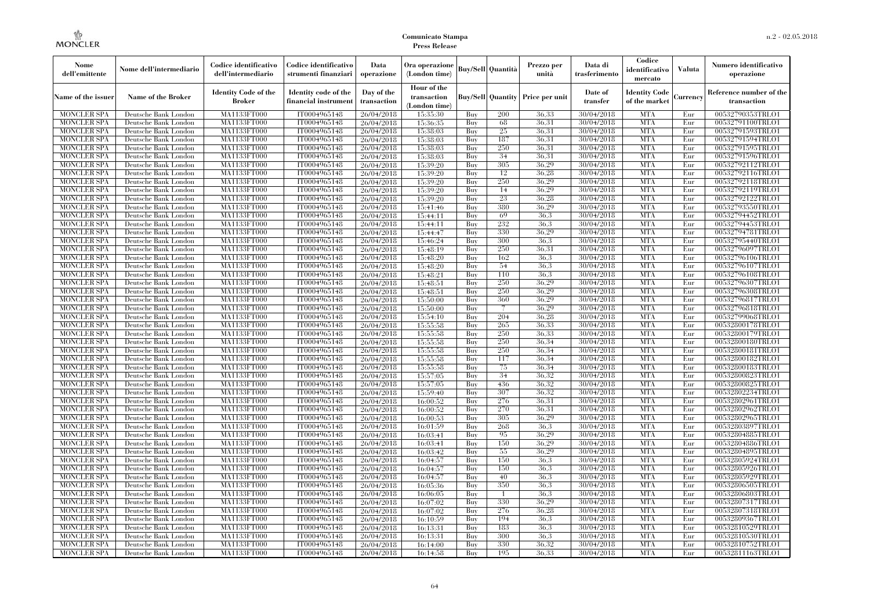| Nome<br>dell'emittente                   | Nome dell'intermediario                      | Codice identificativo<br>dell'intermediario | Codice identificativo<br>strumenti finanziari | Data<br>operazione        | Ora operazione<br>(London time)             |            | Buy/Sell   Quantità      | Prezzo per<br>unità | Data di<br>trasferimento | Codice<br>identificativo<br>mercato   | <b>Valuta</b> | Numero identificativo<br>operazione    |
|------------------------------------------|----------------------------------------------|---------------------------------------------|-----------------------------------------------|---------------------------|---------------------------------------------|------------|--------------------------|---------------------|--------------------------|---------------------------------------|---------------|----------------------------------------|
| Name of the issuer                       | Name of the Broker                           | <b>Identity Code of the</b><br>Broker       | Identity code of the<br>financial instrument  | Day of the<br>transaction | Hour of the<br>transaction<br>(London time) |            | <b>Buy/Sell Quantity</b> | Price per unit      | Date of<br>transfer      | <b>Identity Code</b><br>of the market | Currencv      | Reference number of the<br>transaction |
| <b>MONCLER SPA</b>                       | Deutsche Bank London                         | MA1133FT000                                 | IT0004965148                                  | 26/04/2018                | 15:35:30                                    | Buy        | 200                      | 36,33               | 30/04/2018               | <b>MTA</b>                            | Eur           | 00532790353TRLO1                       |
| <b>MONCLER SPA</b>                       | Deutsche Bank London                         | <b>MA1133FT000</b>                          | IT0004965148                                  | 26/04/2018                | 15:36:35                                    | Buy        | 68                       | 36,31               | 30/04/2018               | <b>MTA</b>                            | Eur           | 00532791100TRLO1                       |
| <b>MONCLER SPA</b>                       | Deutsche Bank London                         | MA1133FT000                                 | IT0004965148                                  | 26/04/2018                | 15:38:03                                    | Buv        | 25                       | 36.31               | 30/04/2018               | <b>MTA</b>                            | Eur           | 00532791593TRLO1                       |
| <b>MONCLER SPA</b>                       | Deutsche Bank London                         | MA1133FT000                                 | IT0004965148                                  | 26/04/2018                | 15:38:03                                    | Buy        | 187                      | 36.31               | 30/04/2018               | <b>MTA</b>                            | Eur           | 00532791594TRLO1                       |
| <b>MONCLER SPA</b>                       | Deutsche Bank London                         | MA1133FT000<br><b>MA1133FT000</b>           | IT0004965148                                  | 26/04/2018                | 15:38:03                                    | Buy        | 250<br>34                | 36.31<br>36,31      | 30/04/2018               | <b>MTA</b><br><b>MTA</b>              | Eur<br>Eur    | 00532791595TRLO1                       |
| <b>MONCLER SPA</b><br><b>MONCLER SPA</b> | Deutsche Bank London<br>Deutsche Bank London | MA1133FT000                                 | IT0004965148<br>IT0004965148                  | 26/04/2018<br>26/04/2018  | 15:38:03<br>15:39:20                        | Buy<br>Buy | 305                      | 36,29               | 30/04/2018<br>30/04/2018 | <b>MTA</b>                            | Eur           | 00532791596TRLO1<br>00532792112TRLO1   |
| <b>MONCLER SPA</b>                       | Deutsche Bank London                         | MA1133FT000                                 | IT0004965148                                  | 26/04/2018                | 15:39:20                                    | Buy        | 12                       | 36.28               | 30/04/2018               | <b>MTA</b>                            | Eur           | 00532792116TRLO1                       |
| <b>MONCLER SPA</b>                       | Deutsche Bank London                         | MA1133FT000                                 | IT0004965148                                  | 26/04/2018                | 15:39:20                                    | Buy        | 250                      | 36,29               | 30/04/2018               | <b>MTA</b>                            | Eur           | 00532792118TRLO1                       |
| <b>MONCLER SPA</b>                       | Deutsche Bank London                         | MA1133FT000                                 | IT0004965148                                  | 26/04/2018                | 15:39:20                                    | Buy        | 14                       | 36,29               | 30/04/2018               | <b>MTA</b>                            | Eur           | 00532792119TRLO1                       |
| <b>MONCLER SPA</b>                       | Deutsche Bank London                         | MA1133FT000                                 | IT0004965148                                  | 26/04/2018                | 15:39:20                                    | Buy        | 23                       | 36.28               | 30/04/2018               | <b>MTA</b>                            | Eur           | 00532792122TRLO1                       |
| <b>MONCLER SPA</b>                       | Deutsche Bank London                         | MA1133FT000                                 | IT0004965148                                  | 26/04/2018                | 15:41:46                                    | Buy        | 380                      | 36.29               | 30/04/2018               | <b>MTA</b>                            | Eur           | 00532793550TRLO1                       |
| <b>MONCLER SPA</b>                       | Deutsche Bank London                         | MA1133FT000                                 | IT0004965148                                  | 26/04/2018                | 15:44:11                                    | Buy        | 69                       | 36.3                | 30/04/2018               | <b>MTA</b>                            | Eur           | 00532794452TRLO1                       |
| <b>MONCLER SPA</b>                       | Deutsche Bank London                         | MA1133FT000                                 | IT0004965148                                  | 26/04/2018                | 15:44:11                                    | Buy        | 232                      | 36.3                | 30/04/2018               | <b>MTA</b>                            | Eur           | 00532794453TRLO1                       |
| <b>MONCLER SPA</b>                       | Deutsche Bank London                         | MA1133FT000                                 | IT0004965148                                  | 26/04/2018                | 15:44:47                                    | Buy        | 330                      | 36,29               | 30/04/2018               | <b>MTA</b>                            | Eur           | 00532794781TRLO1                       |
| <b>MONCLER SPA</b>                       | Deutsche Bank London                         | MA1133FT000                                 | IT0004965148                                  | 26/04/2018                | 15:46:24                                    | Buy        | 300                      | 36.3                | 30/04/2018               | <b>MTA</b>                            | Eur           | 00532795440TRLO1                       |
| <b>MONCLER SPA</b>                       | Deutsche Bank London                         | MA1133FT000                                 | IT0004965148                                  | 26/04/2018                | 15:48:19                                    | Buy        | 250                      | 36.31               | 30/04/2018               | <b>MTA</b>                            | Eur           | 00532796097TRLO1                       |
| <b>MONCLER SPA</b>                       | Deutsche Bank London                         | MA1133FT000                                 | IT0004965148                                  | 26/04/2018                | 15:48:20                                    | Buy        | 162                      | 36.3                | 30/04/2018               | <b>MTA</b>                            | Eur           | 00532796106TRLO1                       |
| <b>MONCLER SPA</b>                       | Deutsche Bank London                         | MA1133FT000                                 | IT0004965148                                  | 26/04/2018                | 15:48:20                                    | Buy        | 54                       | 36.3                | 30/04/2018               | <b>MTA</b>                            | Eur           | 00532796107TRLO1                       |
| <b>MONCLER SPA</b>                       | Deutsche Bank London                         | MA1133FT000                                 | IT0004965148                                  | 26/04/2018                | 15:48:21                                    | Buy        | 110                      | 36.3                | 30/04/2018               | <b>MTA</b>                            | Eur           | 00532796108TRLO1                       |
| <b>MONCLER SPA</b>                       | Deutsche Bank London                         | MA1133FT000                                 | IT0004965148                                  | 26/04/2018                | 15:48:51                                    | Buy        | 250                      | 36,29               | 30/04/2018               | <b>MTA</b>                            | Eur           | 00532796307TRLO1                       |
| <b>MONCLER SPA</b>                       | Deutsche Bank London                         | MA1133FT000                                 | IT0004965148                                  | 26/04/2018                | 15:48:51                                    | Buy        | 250                      | 36.29               | 30/04/2018               | <b>MTA</b>                            | Eur           | 00532796308TRLO1                       |
| <b>MONCLER SPA</b>                       | Deutsche Bank London                         | MA1133FT000                                 | IT0004965148                                  | 26/04/2018                | 15:50:00                                    | Buy        | 360                      | 36.29               | 30/04/2018               | <b>MTA</b>                            | Eur           | 00532796817TRLO1                       |
| <b>MONCLER SPA</b>                       | Deutsche Bank London                         | MA1133FT000                                 | IT0004965148<br>IT0004965148                  | 26/04/2018                | 15:50:00                                    | Buy        | 7<br>204                 | 36.29<br>36.28      | 30/04/2018<br>30/04/2018 | <b>MTA</b><br><b>MTA</b>              | Eur           | 00532796818TRLO1                       |
| <b>MONCLER SPA</b><br><b>MONCLER SPA</b> | Deutsche Bank London<br>Deutsche Bank London | MA1133FT000<br>MA1133FT000                  | IT0004965148                                  | 26/04/2018<br>26/04/2018  | 15:54:10<br>15:55:58                        | Buy<br>Buy | 265                      | 36,33               | 30/04/2018               | <b>MTA</b>                            | Eur<br>Eur    | 00532799068TRLO1<br>00532800178TRLO1   |
| <b>MONCLER SPA</b>                       | Deutsche Bank London                         | MA1133FT000                                 | IT0004965148                                  | 26/04/2018                | 15:55:58                                    | Buy        | 250                      | 36.33               | 30/04/2018               | <b>MTA</b>                            | Eur           | 00532800179TRLO1                       |
| <b>MONCLER SPA</b>                       | Deutsche Bank London                         | MA1133FT000                                 | IT0004965148                                  | 26/04/2018                | 15:55:58                                    | Buy        | 250                      | 36.34               | 30/04/2018               | <b>MTA</b>                            | Eur           | 00532800180TRLO1                       |
| <b>MONCLER SPA</b>                       | Deutsche Bank London                         | MA1133FT000                                 | IT0004965148                                  | 26/04/2018                | 15:55:58                                    | Buy        | 250                      | 36.34               | 30/04/2018               | <b>MTA</b>                            | Eur           | 00532800181TRLO1                       |
| <b>MONCLER SPA</b>                       | Deutsche Bank London                         | <b>MA1133FT000</b>                          | IT0004965148                                  | 26/04/2018                | 15:55:58                                    | Buy        | 117                      | 36.34               | 30/04/2018               | <b>MTA</b>                            | Eur           | 00532800182TRLO1                       |
| <b>MONCLER SPA</b>                       | Deutsche Bank London                         | MA1133FT000                                 | IT0004965148                                  | 26/04/2018                | 15:55:58                                    | Buy        | 75                       | 36.34               | 30/04/2018               | <b>MTA</b>                            | Eur           | 00532800183TRLO1                       |
| <b>MONCLER SPA</b>                       | Deutsche Bank London                         | MA1133FT000                                 | IT0004965148                                  | 26/04/2018                | 15:57:05                                    | Buy        | 34                       | 36,32               | 30/04/2018               | <b>MTA</b>                            | Eur           | 00532800823TRLO1                       |
| <b>MONCLER SPA</b>                       | Deutsche Bank London                         | MA1133FT000                                 | IT0004965148                                  | 26/04/2018                | 15:57:05                                    | Buv        | 436                      | 36.32               | 30/04/2018               | <b>MTA</b>                            | Eur           | 00532800825TRLO1                       |
| <b>MONCLER SPA</b>                       | Deutsche Bank London                         | MA1133FT000                                 | IT0004965148                                  | 26/04/2018                | 15:59:40                                    | Buy        | 307                      | 36.32               | 30/04/2018               | <b>MTA</b>                            | Eur           | 00532802234TRLO1                       |
| <b>MONCLER SPA</b>                       | Deutsche Bank London                         | <b>MA1133FT000</b>                          | IT0004965148                                  | 26/04/2018                | 16:00:52                                    | Buy        | 276                      | 36.31               | 30/04/2018               | <b>MTA</b>                            | Eur           | 00532802961TRLO1                       |
| <b>MONCLER SPA</b>                       | Deutsche Bank London                         | MA1133FT000                                 | IT0004965148                                  | 26/04/2018                | 16:00:52                                    | Buy        | 270                      | 36,31               | 30/04/2018               | <b>MTA</b>                            | Eur           | 00532802962TRLO1                       |
| <b>MONCLER SPA</b>                       | Deutsche Bank London                         | MA1133FT000                                 | IT0004965148                                  | 26/04/2018                | 16:00:53                                    | Buv        | 305                      | 36.29               | 30/04/2018               | <b>MTA</b>                            | Eur           | 00532802965TRLO1                       |
| <b>MONCLER SPA</b>                       | Deutsche Bank London                         | <b>MA1133FT000</b>                          | IT0004965148                                  | 26/04/2018                | 16:01:59                                    | Buy        | 268                      | 36.3                | 30/04/2018               | <b>MTA</b>                            | Eur           | 00532803897TRLO1                       |
| <b>MONCLER SPA</b>                       | Deutsche Bank London                         | MA1133FT000                                 | IT0004965148                                  | 26/04/2018                | 16:03:41                                    | Buy        | 95                       | 36,29               | 30/04/2018               | <b>MTA</b>                            | Eur           | 00532804885TRLO1                       |
| <b>MONCLER SPA</b>                       | Deutsche Bank London                         | <b>MA1133FT000</b>                          | IT0004965148                                  | 26/04/2018                | 16:03:41                                    | Buy        | 150                      | 36.29               | 30/04/2018               | <b>MTA</b>                            | Eur           | 00532804886TRLO1                       |
| <b>MONCLER SPA</b>                       | Deutsche Bank London                         | MA1133FT000                                 | IT0004965148                                  | 26/04/2018                | 16:03:42                                    | Buy        | 55                       | 36,29               | 30/04/2018               | <b>MTA</b>                            | Eur           | 00532804895TRLO1                       |
| <b>MONCLER SPA</b>                       | Deutsche Bank London                         | MA1133FT000                                 | IT0004965148                                  | 26/04/2018                | 16:04:57                                    | Buy        | 150                      | 36,3                | 30/04/2018               | <b>MTA</b>                            | Eur           | 00532805924TRLO1                       |
| <b>MONCLER SPA</b>                       | Deutsche Bank London                         | MA1133FT000                                 | IT0004965148                                  | 26/04/2018                | 16:04:57                                    | Buy        | 150                      | 36.3                | 30/04/2018               | <b>MTA</b>                            | Eur           | 00532805926TRLO1                       |
| <b>MONCLER SPA</b>                       | Deutsche Bank London                         | MA1133FT000                                 | IT0004965148                                  | 26/04/2018                | 16:04:57                                    | Buy<br>Buy | 40<br>350                | 36.3<br>36.3        | 30/04/2018<br>30/04/2018 | <b>MTA</b><br><b>MTA</b>              | Eur<br>Eur    | 00532805929TRLO1<br>00532806505TRLO1   |
| <b>MONCLER SPA</b><br><b>MONCLER SPA</b> | Deutsche Bank London<br>Deutsche Bank London | MA1133FT000<br>MA1133FT000                  | IT0004965148<br>IT0004965148                  | 26/04/2018<br>26/04/2018  | 16:05:36<br>16:06:05                        | Buy        | $\mathbf{1}$             | 36.3                | 30/04/2018               | <b>MTA</b>                            | Eur           | 00532806803TRLO1                       |
| <b>MONCLER SPA</b>                       | Deutsche Bank London                         | MA1133FT000                                 | IT0004965148                                  | 26/04/2018                | 16:07:02                                    | Buy        | 330                      | 36.29               | 30/04/2018               | <b>MTA</b>                            | Eur           | 00532807317TRLO1                       |
| <b>MONCLER SPA</b>                       | Deutsche Bank London                         | MA1133FT000                                 | IT0004965148                                  | 26/04/2018                | 16:07:02                                    | Buy        | 276                      | 36.28               | 30/04/2018               | <b>MTA</b>                            | Eur           | 00532807318TRLO1                       |
| <b>MONCLER SPA</b>                       | Deutsche Bank London                         | MA1133FT000                                 | IT0004965148                                  | 26/04/2018                | 16:10:59                                    | Buy        | 194                      | 36.3                | 30/04/2018               | <b>MTA</b>                            | Eur           | 00532809367TRLO1                       |
| <b>MONCLER SPA</b>                       | Deutsche Bank London                         | MA1133FT000                                 | IT0004965148                                  | 26/04/2018                | 16:13:31                                    | Buy        | 183                      | 36.3                | 30/04/2018               | <b>MTA</b>                            | Eur           | 00532810529TRLO1                       |
| <b>MONCLER SPA</b>                       | Deutsche Bank London                         | MA1133FT000                                 | IT0004965148                                  | 26/04/2018                | 16:13:31                                    | Buy        | 300                      | 36.3                | 30/04/2018               | <b>MTA</b>                            | Eur           | 00532810530TRLO1                       |
| <b>MONCLER SPA</b>                       | Deutsche Bank London                         | MA1133FT000                                 | IT0004965148                                  | 26/04/2018                | 16:14:00                                    | Buy        | 330                      | 36.32               | 30/04/2018               | <b>MTA</b>                            | Eur           | 00532810752TRLO1                       |
| <b>MONCLER SPA</b>                       | Deutsche Bank London                         | MA1133FT000                                 | IT0004965148                                  | 26/04/2018                | 16:14:58                                    | Buy        | 195                      | 36,33               | 30/04/2018               | <b>MTA</b>                            | Eur           | 00532811163TRLO1                       |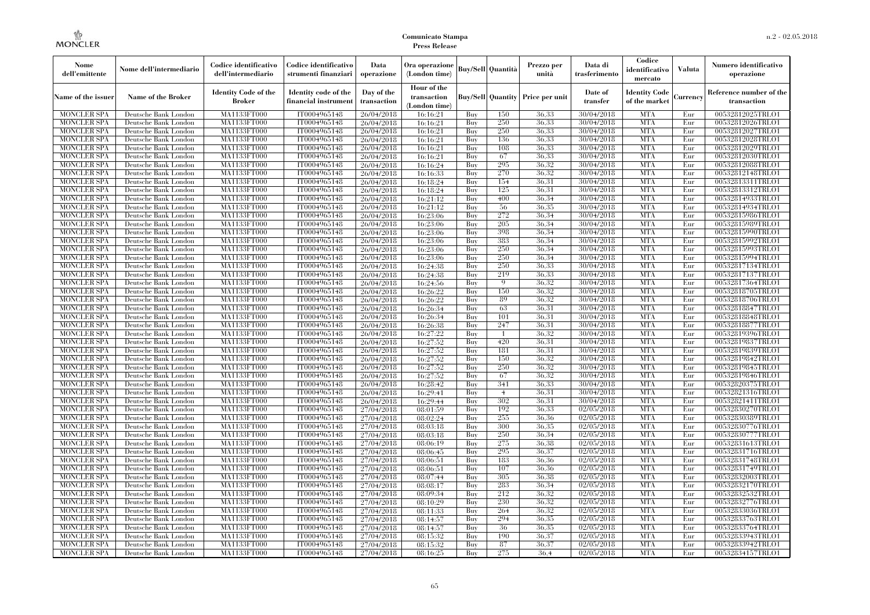| Nome<br>dell'emittente                   | Nome dell'intermediario                      | Codice identificativo<br>dell'intermediario  | Codice identificativo<br>strumenti finanziari | Data<br>operazione        | Ora operazione<br>(London time)             |            | <b>Buy/Sell Quantità</b> | Prezzo per<br>unità                     | Data di<br>trasferimento | Codice<br>identificativo<br>mercato   | <b>Valuta</b> | Numero identificativo<br>operazione    |
|------------------------------------------|----------------------------------------------|----------------------------------------------|-----------------------------------------------|---------------------------|---------------------------------------------|------------|--------------------------|-----------------------------------------|--------------------------|---------------------------------------|---------------|----------------------------------------|
| Name of the issuer                       | Name of the Broker                           | <b>Identity Code of the</b><br><b>Broker</b> | Identity code of the<br>financial instrument  | Day of the<br>transaction | Hour of the<br>transaction<br>(London time) |            |                          | <b>Buy/Sell Quantity Price per unit</b> | Date of<br>transfer      | <b>Identity Code</b><br>of the market | Currencv      | Reference number of the<br>transaction |
| <b>MONCLER SPA</b>                       | Deutsche Bank London                         | MA1133FT000                                  | IT0004965148                                  | 26/04/2018                | 16:16:21                                    | Buy        | 150                      | 36.33                                   | 30/04/2018               | <b>MTA</b>                            | Eur           | 00532812025TRLO1                       |
| <b>MONCLER SPA</b>                       | Deutsche Bank London                         | <b>MA1133FT000</b>                           | IT0004965148                                  | 26/04/2018                | 16:16:21                                    | Buy        | 250                      | 36.33                                   | 30/04/2018               | <b>MTA</b>                            | Eur           | 00532812026TRLO1                       |
| <b>MONCLER SPA</b>                       | Deutsche Bank London                         | MA1133FT000                                  | IT0004965148                                  | 26/04/2018                | 16:16:21                                    | Buy        | 250                      | 36.33                                   | 30/04/2018               | <b>MTA</b>                            | Eur           | 00532812027TRLO1                       |
| <b>MONCLER SPA</b>                       | Deutsche Bank London                         | MA1133FT000                                  | IT0004965148                                  | 26/04/2018                | 16:16:21                                    | Buy        | 136                      | 36,33                                   | 30/04/2018               | <b>MTA</b>                            | Eur           | 00532812028TRLO1                       |
| <b>MONCLER SPA</b>                       | Deutsche Bank London                         | MA1133FT000                                  | IT0004965148                                  | 26/04/2018                | 16:16:21                                    | Buy        | 108<br>67                | 36.33<br>36.33                          | 30/04/2018               | <b>MTA</b><br><b>MTA</b>              | Eur<br>Eur    | 00532812029TRLO1                       |
| <b>MONCLER SPA</b><br><b>MONCLER SPA</b> | Deutsche Bank London<br>Deutsche Bank London | <b>MA1133FT000</b><br>MA1133FT000            | IT0004965148<br>IT0004965148                  | 26/04/2018<br>26/04/2018  | 16:16:21<br>16:16:24                        | Buy<br>Buy | 295                      | 36.32                                   | 30/04/2018<br>30/04/2018 | <b>MTA</b>                            | Eur           | 00532812030TRLO1<br>00532812088TRLO1   |
| <b>MONCLER SPA</b>                       | Deutsche Bank London                         | MA1133FT000                                  | IT0004965148                                  | 26/04/2018                | 16:16:33                                    | Buy        | 270                      | 36.32                                   | 30/04/2018               | <b>MTA</b>                            | Eur           | 00532812148TRLO1                       |
| <b>MONCLER SPA</b>                       | Deutsche Bank London                         | MA1133FT000                                  | IT0004965148                                  | 26/04/2018                | 16:18:24                                    | Buy        | 154                      | 36.31                                   | 30/04/2018               | <b>MTA</b>                            | Eur           | 00532813311TRLO1                       |
| <b>MONCLER SPA</b>                       | Deutsche Bank London                         | <b>MA1133FT000</b>                           | IT0004965148                                  | 26/04/2018                | 16:18:24                                    | Buy        | 125                      | 36.31                                   | 30/04/2018               | <b>MTA</b>                            | Eur           | 00532813312TRLO1                       |
| <b>MONCLER SPA</b>                       | Deutsche Bank London                         | MA1133FT000                                  | IT0004965148                                  | 26/04/2018                | 16:21:12                                    | Buy        | 400                      | 36,34                                   | 30/04/2018               | <b>MTA</b>                            | Eur           | 00532814933TRLO1                       |
| <b>MONCLER SPA</b>                       | Deutsche Bank London                         | MA1133FT000                                  | IT0004965148                                  | 26/04/2018                | 16:21:12                                    | Buy        | 56                       | 36,35                                   | 30/04/2018               | <b>MTA</b>                            | Eur           | 00532814934TRLO1                       |
| <b>MONCLER SPA</b>                       | Deutsche Bank London                         | MA1133FT000                                  | IT0004965148                                  | 26/04/2018                | 16:23:06                                    | Buy        | 272                      | 36.34                                   | 30/04/2018               | <b>MTA</b>                            | Eur           | 00532815986TRLO1                       |
| <b>MONCLER SPA</b>                       | Deutsche Bank London                         | MA1133FT000                                  | IT0004965148                                  | 26/04/2018                | 16:23:06                                    | Buy        | 205                      | 36,34                                   | 30/04/2018               | <b>MTA</b>                            | Eur           | 00532815989TRLO1                       |
| <b>MONCLER SPA</b>                       | Deutsche Bank London                         | MA1133FT000                                  | IT0004965148                                  | 26/04/2018                | 16:23:06                                    | Buy        | 398                      | 36.34                                   | 30/04/2018               | <b>MTA</b>                            | Eur           | 00532815990TRLO1                       |
| <b>MONCLER SPA</b>                       | Deutsche Bank London                         | MA1133FT000                                  | IT0004965148                                  | 26/04/2018                | 16:23:06                                    | Buy        | 383                      | 36,34                                   | 30/04/2018               | <b>MTA</b>                            | Eur           | 00532815992TRLO1                       |
| <b>MONCLER SPA</b>                       | Deutsche Bank London                         | MA1133FT000                                  | IT0004965148                                  | 26/04/2018                | 16:23:06                                    | Buy        | 250                      | 36.34                                   | 30/04/2018               | <b>MTA</b>                            | Eur           | 00532815993TRLO1                       |
| <b>MONCLER SPA</b>                       | Deutsche Bank London                         | MA1133FT000                                  | IT0004965148                                  | 26/04/2018                | 16:23:06                                    | Buy        | 250                      | 36,34                                   | 30/04/2018               | <b>MTA</b>                            | Eur           | 00532815994TRLO1                       |
| <b>MONCLER SPA</b>                       | Deutsche Bank London                         | MA1133FT000                                  | IT0004965148                                  | 26/04/2018                | 16:24:38                                    | Buy        | 250                      | 36,33                                   | 30/04/2018               | <b>MTA</b>                            | Eur           | 00532817134TRLO1                       |
| <b>MONCLER SPA</b>                       | Deutsche Bank London                         | MA1133FT000                                  | IT0004965148                                  | 26/04/2018                | 16:24:38                                    | Buy        | 219                      | 36,33                                   | 30/04/2018               | <b>MTA</b>                            | Eur           | 00532817137TRLO1                       |
| MONCLER SPA                              | Deutsche Bank London                         | MA1133FT000                                  | IT0004965148                                  | 26/04/2018                | 16:24:56                                    | Buy        | 9                        | 36,32                                   | 30/04/2018               | <b>MTA</b>                            | Eur           | 00532817364TRLO1                       |
| <b>MONCLER SPA</b>                       | Deutsche Bank London                         | MA1133FT000                                  | IT0004965148                                  | 26/04/2018                | 16:26:22                                    | Buy        | 150                      | 36,32                                   | 30/04/2018               | <b>MTA</b>                            | Eur           | 00532818705TRLO1                       |
| <b>MONCLER SPA</b>                       | Deutsche Bank London                         | MA1133FT000                                  | IT0004965148                                  | 26/04/2018                | 16:26:22                                    | Buy        | 89                       | 36,32                                   | 30/04/2018               | <b>MTA</b>                            | Eur           | 00532818706TRLO1                       |
| <b>MONCLER SPA</b>                       | Deutsche Bank London                         | MA1133FT000                                  | IT0004965148                                  | 26/04/2018                | 16:26:34                                    | Buy        | 63                       | 36.31                                   | 30/04/2018               | <b>MTA</b>                            | Eur           | 00532818847TRLO1                       |
| <b>MONCLER SPA</b><br><b>MONCLER SPA</b> | Deutsche Bank London<br>Deutsche Bank London | MA1133FT000<br>MA1133FT000                   | IT0004965148<br>IT0004965148                  | 26/04/2018<br>26/04/2018  | 16:26:34<br>16:26:38                        | Buy<br>Buy | 101<br>247               | 36.31<br>36,31                          | 30/04/2018<br>30/04/2018 | <b>MTA</b><br><b>MTA</b>              | Eur<br>Eur    | 00532818848TRLO1<br>00532818877TRLO1   |
| <b>MONCLER SPA</b>                       | Deutsche Bank London                         | MA1133FT000                                  | IT0004965148                                  | 26/04/2018                | 16:27:22                                    | Buy        |                          | 36,32                                   | 30/04/2018               | <b>MTA</b>                            | Eur           | 00532819396TRLO1                       |
| <b>MONCLER SPA</b>                       | Deutsche Bank London                         | MA1133FT000                                  | IT0004965148                                  | 26/04/2018                | 16:27:52                                    | Buy        | 420                      | 36.31                                   | 30/04/2018               | <b>MTA</b>                            | Eur           | 00532819837TRLO1                       |
| <b>MONCLER SPA</b>                       | Deutsche Bank London                         | MA1133FT000                                  | IT0004965148                                  | 26/04/2018                | 16:27:52                                    | Buy        | 181                      | 36.31                                   | 30/04/2018               | <b>MTA</b>                            | Eur           | 00532819839TRLO1                       |
| <b>MONCLER SPA</b>                       | Deutsche Bank London                         | <b>MA1133FT000</b>                           | IT0004965148                                  | 26/04/2018                | 16:27:52                                    | Buy        | 150                      | 36.32                                   | 30/04/2018               | <b>MTA</b>                            | Eur           | 00532819842TRLO1                       |
| MONCLER SPA                              | Deutsche Bank London                         | MA1133FT000                                  | IT0004965148                                  | 26/04/2018                | 16:27:52                                    | Buy        | 250                      | 36,32                                   | 30/04/2018               | <b>MTA</b>                            | Eur           | 00532819845TRLO1                       |
| <b>MONCLER SPA</b>                       | Deutsche Bank London                         | MA1133FT000                                  | IT0004965148                                  | 26/04/2018                | 16:27:52                                    | Buy        | 67                       | 36,32                                   | 30/04/2018               | <b>MTA</b>                            | Eur           | 00532819846TRLO1                       |
| <b>MONCLER SPA</b>                       | Deutsche Bank London                         | MA1133FT000                                  | IT0004965148                                  | 26/04/2018                | 16:28:42                                    | Buy        | 341                      | 36.33                                   | 30/04/2018               | <b>MTA</b>                            | Eur           | 00532820375TRLO1                       |
| <b>MONCLER SPA</b>                       | Deutsche Bank London                         | <b>MA1133FT000</b>                           | IT0004965148                                  | 26/04/2018                | 16:29:41                                    | Buy        | $\overline{4}$           | 36.31                                   | 30/04/2018               | <b>MTA</b>                            | Eur           | 00532821316TRLO1                       |
| <b>MONCLER SPA</b>                       | Deutsche Bank London                         | MA1133FT000                                  | IT0004965148                                  | 26/04/2018                | 16:29:44                                    | Buy        | 302                      | 36.31                                   | 30/04/2018               | <b>MTA</b>                            | Eur           | 00532821411TRLO1                       |
| <b>MONCLER SPA</b>                       | Deutsche Bank London                         | MA1133FT000                                  | IT0004965148                                  | 27/04/2018                | 08:01:59                                    | Buy        | 192                      | 36,33                                   | 02/05/2018               | <b>MTA</b>                            | Eur           | 00532830270TRLO1                       |
| <b>MONCLER SPA</b>                       | Deutsche Bank London                         | MA1133FT000                                  | IT0004965148                                  | 27/04/2018                | 08:02:24                                    | Buy        | 255                      | 36.36                                   | 02/05/2018               | <b>MTA</b>                            | Eur           | 00532830389TRLO1                       |
| <b>MONCLER SPA</b>                       | Deutsche Bank London                         | <b>MA1133FT000</b>                           | IT0004965148                                  | 27/04/2018                | 08:03:18                                    | Buy        | 300                      | 36.35                                   | 02/05/2018               | <b>MTA</b>                            | Eur           | 00532830776TRLO1                       |
| <b>MONCLER SPA</b>                       | Deutsche Bank London                         | MA1133FT000                                  | IT0004965148                                  | 27/04/2018                | 08:03:18                                    | Buy        | 250                      | 36.34                                   | 02/05/2018               | <b>MTA</b>                            | Eur           | 00532830777TRLO1                       |
| <b>MONCLER SPA</b>                       | Deutsche Bank London                         | <b>MA1133FT000</b>                           | IT0004965148                                  | 27/04/2018                | 08:06:19                                    | Buy        | 275                      | 36.38                                   | 02/05/2018               | <b>MTA</b>                            | Eur           | 00532831613TRLO1                       |
| <b>MONCLER SPA</b>                       | Deutsche Bank London                         | MA1133FT000                                  | IT0004965148                                  | 27/04/2018                | 08:06:45                                    | Buy        | 295                      | 36.37                                   | 02/05/2018               | <b>MTA</b>                            | Eur           | 00532831716TRLO1                       |
| <b>MONCLER SPA</b>                       | Deutsche Bank London                         | MA1133FT000                                  | IT0004965148                                  | 27/04/2018                | 08:06:51                                    | Buy        | 183                      | 36,36                                   | 02/05/2018               | <b>MTA</b>                            | Eur           | 00532831748TRLO1                       |
| <b>MONCLER SPA</b>                       | Deutsche Bank London                         | MA1133FT000                                  | IT0004965148                                  | 27/04/2018                | 08:06:51                                    | Buy        | 107                      | 36.36                                   | 02/05/2018               | <b>MTA</b>                            | Eur           | 00532831749TRLO1                       |
| <b>MONCLER SPA</b>                       | Deutsche Bank London                         | MA1133FT000                                  | IT0004965148                                  | 27/04/2018                | 08:07:44                                    | Buy        | 305                      | 36.38                                   | 02/05/2018               | <b>MTA</b>                            | Eur           | 00532832003TRLO1                       |
| <b>MONCLER SPA</b><br><b>MONCLER SPA</b> | Deutsche Bank London<br>Deutsche Bank London | MA1133FT000<br>MA1133FT000                   | IT0004965148<br>IT0004965148                  | 27/04/2018<br>27/04/2018  | 08:08:17<br>08:09:34                        | Buy<br>Buy | 283<br>212               | 36.34<br>36.32                          | 02/05/2018<br>02/05/2018 | <b>MTA</b><br><b>MTA</b>              | Eur<br>Eur    | 00532832170TRLO1<br>00532832532TRLO1   |
| <b>MONCLER SPA</b>                       | Deutsche Bank London                         | MA1133FT000                                  | IT0004965148                                  | 27/04/2018                | 08:10:29                                    | Buy        | 230                      | 36.32                                   | 02/05/2018               | <b>MTA</b>                            | Eur           | 00532832776TRLO1                       |
| <b>MONCLER SPA</b>                       | Deutsche Bank London                         | MA1133FT000                                  | IT0004965148                                  | 27/04/2018                | 08:11:33                                    | Buy        | 264                      | 36.32                                   | 02/05/2018               | <b>MTA</b>                            | Eur           | 00532833036TRLO1                       |
| <b>MONCLER SPA</b>                       | Deutsche Bank London                         | MA1133FT000                                  | IT0004965148                                  | 27/04/2018                | 08:14:57                                    | Buy        | 294                      | 36,35                                   | 02/05/2018               | <b>MTA</b>                            | Eur           | 00532833763TRLO1                       |
| <b>MONCLER SPA</b>                       | Deutsche Bank London                         | MA1133FT000                                  | IT0004965148                                  | 27/04/2018                | 08:14:57                                    | Buy        | 36                       | 36.35                                   | 02/05/2018               | <b>MTA</b>                            | Eur           | 00532833764TRLO1                       |
| <b>MONCLER SPA</b>                       | Deutsche Bank London                         | MA1133FT000                                  | IT0004965148                                  | 27/04/2018                | 08:15:32                                    | Buy        | 190                      | 36,37                                   | 02/05/2018               | <b>MTA</b>                            | Eur           | 00532833943TRLO1                       |
| <b>MONCLER SPA</b>                       | Deutsche Bank London                         | <b>MA1133FT000</b>                           | IT0004965148                                  | 27/04/2018                | 08:15:32                                    | Buy        | 87                       | 36,37                                   | 02/05/2018               | <b>MTA</b>                            | Eur           | 00532833942TRLO1                       |
| <b>MONCLER SPA</b>                       | Deutsche Bank London                         | MA1133FT000                                  | IT0004965148                                  | 27/04/2018                | 08:16:25                                    | Buy        | 275                      | 36.4                                    | 02/05/2018               | <b>MTA</b>                            | Eur           | 00532834157TRLO1                       |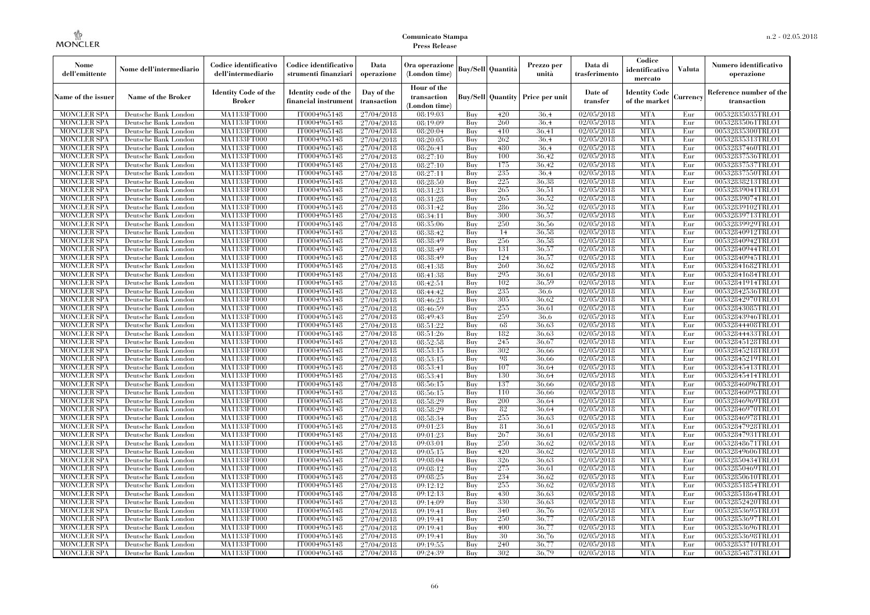| Nome<br>dell'emittente                   | Nome dell'intermediario                      | Codice identificativo<br>dell'intermediario  | Codice identificativo<br>strumenti finanziari | Data<br>operazione        | Ora operazione<br>(London time)             |            | <b>Buy/Sell</b> Quantità | Prezzo per<br>unità                     | Data di<br>trasferimento | Codice<br>identificativo<br>mercato   | <b>Valuta</b> | Numero identificativo<br>operazione    |
|------------------------------------------|----------------------------------------------|----------------------------------------------|-----------------------------------------------|---------------------------|---------------------------------------------|------------|--------------------------|-----------------------------------------|--------------------------|---------------------------------------|---------------|----------------------------------------|
| Name of the issuer                       | Name of the Broker                           | <b>Identity Code of the</b><br><b>Broker</b> | Identity code of the<br>financial instrument  | Day of the<br>transaction | Hour of the<br>transaction<br>(London time) |            |                          | <b>Buy/Sell Quantity Price per unit</b> | Date of<br>transfer      | <b>Identity Code</b><br>of the market | Currency      | Reference number of the<br>transaction |
| <b>MONCLER SPA</b>                       | Deutsche Bank London                         | MA1133FT000                                  | IT0004965148                                  | 27/04/2018                | 08:19:03                                    | Buy        | 420                      | 36.4                                    | 02/05/2018               | <b>MTA</b>                            | Eur           | 00532835035TRLO1                       |
| <b>MONCLER SPA</b>                       | Deutsche Bank London                         | MA1133FT000                                  | IT0004965148                                  | 27/04/2018                | 08:19:09                                    | Buy        | 260                      | 36,4                                    | 02/05/2018               | <b>MTA</b>                            | Eur           | 00532835061TRLO1                       |
| <b>MONCLER SPA</b>                       | Deutsche Bank London                         | MA1133FT000                                  | IT0004965148                                  | 27/04/2018                | 08:20:04                                    | Buy        | 410                      | 36,41                                   | 02/05/2018               | <b>MTA</b>                            | Eur           | 00532835300TRLO1                       |
| <b>MONCLER SPA</b>                       | Deutsche Bank London                         | MA1133FT000<br>MA1133FT000                   | IT0004965148                                  | 27/04/2018                | 08:20:05                                    | Buy<br>Buy | 262<br>480               | 36.4<br>36.4                            | 02/05/2018<br>02/05/2018 | <b>MTA</b><br><b>MTA</b>              | Eur<br>Eur    | 00532835313TRLO1<br>00532837460TRLO1   |
| <b>MONCLER SPA</b><br><b>MONCLER SPA</b> | Deutsche Bank London<br>Deutsche Bank London | MA1133FT000                                  | IT0004965148<br>IT0004965148                  | 27/04/2018<br>27/04/2018  | 08:26:41<br>08:27:10                        | Buy        | 100                      | 36,42                                   | 02/05/2018               | <b>MTA</b>                            | Eur           | 00532837536TRLO1                       |
| <b>MONCLER SPA</b>                       | Deutsche Bank London                         | <b>MA1133FT000</b>                           | IT0004965148                                  | 27/04/2018                | 08:27:10                                    | Buy        | 175                      | 36,42                                   | 02/05/2018               | <b>MTA</b>                            | Eur           | 00532837537TRLO1                       |
| <b>MONCLER SPA</b>                       | Deutsche Bank London                         | MA1133FT000                                  | IT0004965148                                  | 27/04/2018                | 08:27:11                                    | Buy        | 235                      | 36.4                                    | 02/05/2018               | <b>MTA</b>                            | Eur           | 00532837550TRLO1                       |
| <b>MONCLER SPA</b>                       | Deutsche Bank London                         | MA1133FT000                                  | IT0004965148                                  | 27/04/2018                | 08:28:50                                    | Buv        | 225                      | 36.38                                   | 02/05/2018               | <b>MTA</b>                            | Eur           | 00532838213TRLO1                       |
| <b>MONCLER SPA</b>                       | Deutsche Bank London                         | MA1133FT000                                  | IT0004965148                                  | 27/04/2018                | 08:31:23                                    | Buy        | 265                      | 36,51                                   | 02/05/2018               | <b>MTA</b>                            | Eur           | 00532839041TRLO1                       |
| <b>MONCLER SPA</b>                       | Deutsche Bank London                         | <b>MA1133FT000</b>                           | IT0004965148                                  | 27/04/2018                | 08:31:28                                    | Buy        | 265                      | 36,52                                   | 02/05/2018               | <b>MTA</b>                            | Eur           | 00532839074TRLO1                       |
| <b>MONCLER SPA</b>                       | Deutsche Bank London                         | MA1133FT000                                  | IT0004965148                                  | 27/04/2018                | 08:31:42                                    | Buy        | 286                      | 36.52                                   | 02/05/2018               | <b>MTA</b>                            | Eur           | 00532839102TRLO1                       |
| <b>MONCLER SPA</b>                       | Deutsche Bank London                         | <b>MA1133FT000</b>                           | IT0004965148                                  | 27/04/2018                | 08:34:11                                    | Buv        | 300                      | 36,57                                   | 02/05/2018               | <b>MTA</b>                            | Eur           | 00532839713TRLO1                       |
| <b>MONCLER SPA</b>                       | Deutsche Bank London                         | MA1133FT000                                  | IT0004965148                                  | 27/04/2018                | 08:35:06                                    | Buy        | 250                      | 36,56                                   | 02/05/2018               | <b>MTA</b>                            | Eur           | 00532839929TRLO1                       |
| <b>MONCLER SPA</b>                       | Deutsche Bank London                         | <b>MA1133FT000</b>                           | IT0004965148                                  | 27/04/2018                | 08:38:42                                    | Buy        | 14                       | 36,58                                   | 02/05/2018               | <b>MTA</b>                            | Eur           | 00532840912TRLO1                       |
| <b>MONCLER SPA</b>                       | Deutsche Bank London                         | MA1133FT000                                  | IT0004965148                                  | 27/04/2018                | 08:38:49                                    | Buy        | 256                      | 36.58                                   | 02/05/2018               | <b>MTA</b>                            | Eur           | 00532840942TRLO1                       |
| <b>MONCLER SPA</b>                       | Deutsche Bank London                         | MA1133FT000                                  | IT0004965148                                  | 27/04/2018                | 08:38:49                                    | Buv        | 131                      | 36,57                                   | 02/05/2018               | <b>MTA</b>                            | Eur           | 00532840944TRLO1                       |
| <b>MONCLER SPA</b>                       | Deutsche Bank London                         | MA1133FT000                                  | IT0004965148                                  | 27/04/2018                | 08:38:49                                    | Buy        | 124                      | 36,57                                   | 02/05/2018               | <b>MTA</b>                            | Eur           | 00532840945TRLO1                       |
| MONCLER SPA                              | Deutsche Bank London                         | <b>MA1133FT000</b>                           | IT0004965148                                  | 27/04/2018                | 08:41:38                                    | Buy        | 260                      | 36.62                                   | 02/05/2018               | <b>MTA</b>                            | Eur           | 00532841682TRLO1                       |
| <b>MONCLER SPA</b>                       | Deutsche Bank London                         | MA1133FT000                                  | IT0004965148                                  | 27/04/2018                | 08:41:38                                    | Buy        | 295                      | 36.61                                   | 02/05/2018               | <b>MTA</b>                            | Eur           | 00532841684TRLO1                       |
| <b>MONCLER SPA</b>                       | Deutsche Bank London                         | MA1133FT000                                  | IT0004965148                                  | 27/04/2018                | 08:42:51                                    | Buv        | 102                      | 36.59                                   | 02/05/2018               | <b>MTA</b>                            | Eur           | 00532841914TRLO1                       |
| <b>MONCLER SPA</b>                       | Deutsche Bank London                         | MA1133FT000                                  | IT0004965148                                  | 27/04/2018                | 08:44:42                                    | Buy        | 235                      | 36.6                                    | 02/05/2018               | <b>MTA</b>                            | Eur           | 00532842536TRLO1                       |
| <b>MONCLER SPA</b>                       | Deutsche Bank London                         | <b>MA1133FT000</b>                           | IT0004965148                                  | 27/04/2018                | 08:46:23                                    | Buy        | 305<br>255               | 36,62                                   | 02/05/2018               | <b>MTA</b><br><b>MTA</b>              | Eur           | 00532842970TRLO1                       |
| <b>MONCLER SPA</b><br><b>MONCLER SPA</b> | Deutsche Bank London<br>Deutsche Bank London | MA1133FT000<br>MA1133FT000                   | IT0004965148<br>IT0004965148                  | 27/04/2018<br>27/04/2018  | 08:46:59<br>08:49:43                        | Buy<br>Buy | 259                      | 36.61<br>36.6                           | 02/05/2018<br>02/05/2018 | <b>MTA</b>                            | Eur<br>Eur    | 00532843085TRLO1<br>00532843946TRLO1   |
| <b>MONCLER SPA</b>                       | Deutsche Bank London                         | MA1133FT000                                  | IT0004965148                                  | 27/04/2018                | 08:51:22                                    | Buy        | 68                       | 36.63                                   | 02/05/2018               | <b>MTA</b>                            | Eur           | 00532844408TRLO1                       |
| <b>MONCLER SPA</b>                       | Deutsche Bank London                         | <b>MA1133FT000</b>                           | IT0004965148                                  | 27/04/2018                | 08:51:26                                    | Buy        | 182                      | 36,63                                   | 02/05/2018               | <b>MTA</b>                            | Eur           | 00532844433TRLO1                       |
| <b>MONCLER SPA</b>                       | Deutsche Bank London                         | MA1133FT000                                  | IT0004965148                                  | 27/04/2018                | 08:52:58                                    | Buy        | 245                      | 36.67                                   | 02/05/2018               | <b>MTA</b>                            | Eur           | 00532845128TRLO1                       |
| <b>MONCLER SPA</b>                       | Deutsche Bank London                         | MA1133FT000                                  | IT0004965148                                  | 27/04/2018                | 08:53:15                                    | Buy        | 302                      | 36,66                                   | 02/05/2018               | <b>MTA</b>                            | Eur           | 00532845218TRLO1                       |
| <b>MONCLER SPA</b>                       | Deutsche Bank London                         | <b>MA1133FT000</b>                           | IT0004965148                                  | 27/04/2018                | 08:53:15                                    | Buy        | 98                       | 36,66                                   | 02/05/2018               | <b>MTA</b>                            | Eur           | 00532845219TRLO1                       |
| MONCLER SPA                              | Deutsche Bank London                         | <b>MA1133FT000</b>                           | IT0004965148                                  | 27/04/2018                | 08:53:41                                    | Buy        | 107                      | 36,64                                   | 02/05/2018               | <b>MTA</b>                            | Eur           | 00532845413TRLO1                       |
| <b>MONCLER SPA</b>                       | Deutsche Bank London                         | MA1133FT000                                  | IT0004965148                                  | 27/04/2018                | 08:53:41                                    | Buy        | 130                      | 36.64                                   | 02/05/2018               | <b>MTA</b>                            | Eur           | 00532845414TRLO1                       |
| <b>MONCLER SPA</b>                       | Deutsche Bank London                         | MA1133FT000                                  | IT0004965148                                  | 27/04/2018                | 08:56:15                                    | Buy        | 137                      | 36,66                                   | 02/05/2018               | <b>MTA</b>                            | Eur           | 00532846096TRLO1                       |
| <b>MONCLER SPA</b>                       | Deutsche Bank London                         | MA1133FT000                                  | IT0004965148                                  | 27/04/2018                | 08:56:15                                    | Buy        | 110                      | 36,66                                   | 02/05/2018               | <b>MTA</b>                            | Eur           | 00532846095TRLO1                       |
| <b>MONCLER SPA</b>                       | Deutsche Bank London                         | <b>MA1133FT000</b>                           | IT0004965148                                  | 27/04/2018                | 08:58:29                                    | Buy        | 200                      | 36,64                                   | 02/05/2018               | <b>MTA</b>                            | Eur           | 00532846969TRLO1                       |
| <b>MONCLER SPA</b>                       | Deutsche Bank London                         | MA1133FT000                                  | IT0004965148                                  | 27/04/2018                | 08:58:29                                    | Buy        | 82                       | 36.64                                   | 02/05/2018               | <b>MTA</b>                            | Eur           | 00532846970TRLO1                       |
| <b>MONCLER SPA</b>                       | Deutsche Bank London                         | MA1133FT000                                  | IT0004965148                                  | 27/04/2018                | 08:58:34                                    | Buy        | 255                      | 36.63                                   | 02/05/2018               | <b>MTA</b>                            | Eur           | 00532846978TRLO1                       |
| <b>MONCLER SPA</b>                       | Deutsche Bank London                         | <b>MA1133FT000</b>                           | IT0004965148                                  | 27/04/2018                | 09:01:23                                    | Buy        | 81                       | 36.61                                   | 02/05/2018               | <b>MTA</b>                            | Eur           | 00532847928TRLO1                       |
| <b>MONCLER SPA</b>                       | Deutsche Bank London                         | <b>MA1133FT000</b>                           | IT0004965148                                  | 27/04/2018                | 09:01:23                                    | Buy        | 267                      | 36,61                                   | 02/05/2018               | <b>MTA</b>                            | Eur           | 00532847931TRLO1                       |
| <b>MONCLER SPA</b>                       | Deutsche Bank London                         | MA1133FT000                                  | IT0004965148                                  | 27/04/2018                | 09:03:01                                    | Buy        | 250                      | 36.62                                   | 02/05/2018               | <b>MTA</b>                            | Eur           | 00532848671TRLO1                       |
| <b>MONCLER SPA</b>                       | Deutsche Bank London                         | MA1133FT000                                  | IT0004965148                                  | 27/04/2018                | 09:05:15                                    | Buy        | 420                      | 36.62                                   | 02/05/2018               | <b>MTA</b>                            | Eur           | 00532849606TRLO1                       |
| <b>MONCLER SPA</b>                       | Deutsche Bank London                         | MA1133FT000                                  | IT0004965148                                  | 27/04/2018                | 09:08:04                                    | Buy        | 326                      | 36,63                                   | 02/05/2018               | <b>MTA</b>                            | Eur           | 00532850434TRLO1                       |
| MONCLER SPA<br><b>MONCLER SPA</b>        | Deutsche Bank London<br>Deutsche Bank London | <b>MA1133FT000</b><br>MA1133FT000            | IT0004965148<br>IT0004965148                  | 27/04/2018                | 09:08:12                                    | Buy<br>Buy | 275<br>234               | 36,61<br>36.62                          | 02/05/2018<br>02/05/2018 | MTA<br><b>MTA</b>                     | Eur<br>Eur    | 00532850469TRLO1<br>00532850610TRLO1   |
| <b>MONCLER SPA</b>                       | Deutsche Bank London                         | MA1133FT000                                  | IT0004965148                                  | 27/04/2018<br>27/04/2018  | 09:08:25<br>09:12:12                        | Buy        | 255                      | 36.62                                   | 02/05/2018               | <b>MTA</b>                            | Eur           | 00532851854TRLO1                       |
| <b>MONCLER SPA</b>                       | Deutsche Bank London                         | MA1133FT000                                  | IT0004965148                                  | 27/04/2018                | 09:12:13                                    | Buy        | 430                      | 36,63                                   | 02/05/2018               | <b>MTA</b>                            | Eur           | 00532851864TRLO1                       |
| <b>MONCLER SPA</b>                       | Deutsche Bank London                         | <b>MA1133FT000</b>                           | IT0004965148                                  | 27/04/2018                | 09:14:09                                    | Buy        | 330                      | 36,63                                   | 02/05/2018               | <b>MTA</b>                            | Eur           | 00532852420TRLO1                       |
| <b>MONCLER SPA</b>                       | Deutsche Bank London                         | MA1133FT000                                  | IT0004965148                                  | 27/04/2018                | 09:19:41                                    | Buy        | 340                      | 36,76                                   | 02/05/2018               | <b>MTA</b>                            | Eur           | 00532853695TRLO1                       |
| <b>MONCLER SPA</b>                       | Deutsche Bank London                         | MA1133FT000                                  | IT0004965148                                  | 27/04/2018                | 09:19:41                                    | Buy        | 250                      | 36,77                                   | 02/05/2018               | <b>MTA</b>                            | Eur           | 00532853697TRLO1                       |
| <b>MONCLER SPA</b>                       | Deutsche Bank London                         | MA1133FT000                                  | IT0004965148                                  | 27/04/2018                | 09:19:41                                    | Buy        | 400                      | 36,77                                   | 02/05/2018               | <b>MTA</b>                            | Eur           | 00532853696TRLO1                       |
| MONCLER SPA                              | Deutsche Bank London                         | <b>MA1133FT000</b>                           | IT0004965148                                  | 27/04/2018                | 09:19:41                                    | Buy        | 30                       | 36,76                                   | 02/05/2018               | <b>MTA</b>                            | Eur           | 00532853698TRLO1                       |
| <b>MONCLER SPA</b>                       | Deutsche Bank London                         | <b>MA1133FT000</b>                           | IT0004965148                                  | 27/04/2018                | 09:19:55                                    | Buy        | 240                      | 36,77                                   | 02/05/2018               | <b>MTA</b>                            | Eur           | 00532853710TRLO1                       |
| <b>MONCLER SPA</b>                       | Deutsche Bank London                         | MA1133FT000                                  | IT0004965148                                  | 27/04/2018                | 09:24:39                                    | Buy        | 302                      | 36,79                                   | 02/05/2018               | <b>MTA</b>                            | Eur           | 00532854873TRLO1                       |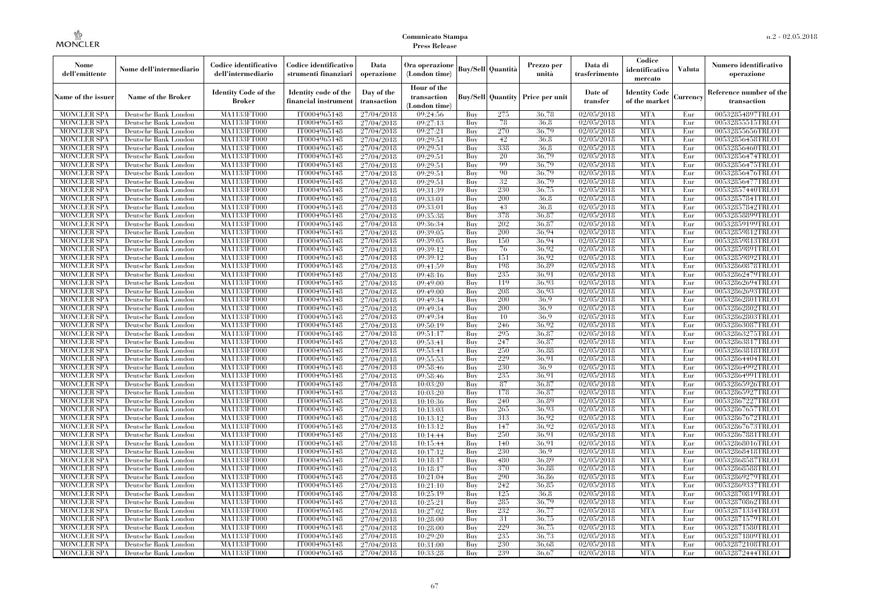| Nome<br>dell'emittente                   | Nome dell'intermediario                      | Codice identificativo<br>dell'intermediario  | Codice identificativo<br>strumenti finanziari | Data<br>operazione        | Ora operazione<br>(London time)             |            | <b>Buy/Sell</b> Quantità | Prezzo per<br>unità                     | Data di<br>trasferimento | Codice<br>identificativo<br>mercato   | <b>Valuta</b> | Numero identificativo<br>operazione    |
|------------------------------------------|----------------------------------------------|----------------------------------------------|-----------------------------------------------|---------------------------|---------------------------------------------|------------|--------------------------|-----------------------------------------|--------------------------|---------------------------------------|---------------|----------------------------------------|
| Name of the issuer                       | Name of the Broker                           | <b>Identity Code of the</b><br><b>Broker</b> | Identity code of the<br>financial instrument  | Day of the<br>transaction | Hour of the<br>transaction<br>(London time) |            |                          | <b>Buy/Sell Quantity Price per unit</b> | Date of<br>transfer      | <b>Identity Code</b><br>of the market | Currency      | Reference number of the<br>transaction |
| <b>MONCLER SPA</b>                       | Deutsche Bank London                         | MA1133FT000                                  | IT0004965148                                  | 27/04/2018                | 09:24:56                                    | Buy        | 275                      | 36,78                                   | 02/05/2018               | <b>MTA</b>                            | Eur           | 00532854897TRLO1                       |
| <b>MONCLER SPA</b>                       | Deutsche Bank London                         | MA1133FT000                                  | IT0004965148                                  | 27/04/2018                | 09:27:13                                    | Buy        | 78                       | 36.8                                    | 02/05/2018               | <b>MTA</b>                            | Eur           | 00532855515TRLO1                       |
| <b>MONCLER SPA</b>                       | Deutsche Bank London                         | MA1133FT000                                  | IT0004965148                                  | 27/04/2018                | 09:27:21                                    | Buy        | 270                      | 36,79                                   | 02/05/2018               | <b>MTA</b>                            | Eur           | 00532855656TRLO1                       |
| <b>MONCLER SPA</b>                       | Deutsche Bank London                         | MA1133FT000<br>MA1133FT000                   | IT0004965148                                  | 27/04/2018                | 09:29:51                                    | Buv<br>Buy | 42<br>338                | 36.8<br>36.8                            | 02/05/2018<br>02/05/2018 | <b>MTA</b><br><b>MTA</b>              | Eur<br>Eur    | 00532856458TRLO1                       |
| <b>MONCLER SPA</b><br><b>MONCLER SPA</b> | Deutsche Bank London<br>Deutsche Bank London | MA1133FT000                                  | IT0004965148<br>IT0004965148                  | 27/04/2018<br>27/04/2018  | 09:29:51<br>09:29:51                        | Buy        | 20                       | 36,79                                   | 02/05/2018               | <b>MTA</b>                            | Eur           | 00532856460TRLO1<br>00532856474TRLO1   |
| <b>MONCLER SPA</b>                       | Deutsche Bank London                         | <b>MA1133FT000</b>                           | IT0004965148                                  | 27/04/2018                | 09:29:51                                    | Buy        | 99                       | 36,79                                   | 02/05/2018               | <b>MTA</b>                            | Eur           | 00532856475TRLO1                       |
| <b>MONCLER SPA</b>                       | Deutsche Bank London                         | MA1133FT000                                  | IT0004965148                                  | 27/04/2018                | 09:29:51                                    | Buy        | 90                       | 36,79                                   | 02/05/2018               | <b>MTA</b>                            | Eur           | 00532856476TRLO1                       |
| <b>MONCLER SPA</b>                       | Deutsche Bank London                         | MA1133FT000                                  | IT0004965148                                  | 27/04/2018                | 09:29:51                                    | Buv        | 32                       | 36.79                                   | 02/05/2018               | <b>MTA</b>                            | Eur           | 00532856477TRLO1                       |
| MONCLER SPA                              | Deutsche Bank London                         | MA1133FT000                                  | IT0004965148                                  | 27/04/2018                | 09:31:39                                    | Buy        | 230                      | 36,75                                   | 02/05/2018               | <b>MTA</b>                            | Eur           | 00532857440TRLO1                       |
| <b>MONCLER SPA</b>                       | Deutsche Bank London                         | <b>MA1133FT000</b>                           | IT0004965148                                  | 27/04/2018                | 09:33:01                                    | Buy        | 200                      | 36,8                                    | 02/05/2018               | <b>MTA</b>                            | Eur           | 00532857841TRLO1                       |
| <b>MONCLER SPA</b>                       | Deutsche Bank London                         | MA1133FT000                                  | IT0004965148                                  | 27/04/2018                | 09:33:01                                    | Buy        | 43                       | 36.8                                    | 02/05/2018               | <b>MTA</b>                            | Eur           | 00532857842TRLO1                       |
| <b>MONCLER SPA</b>                       | Deutsche Bank London                         | <b>MA1133FT000</b>                           | IT0004965148                                  | 27/04/2018                | 09:35:38                                    | Buv        | 378                      | 36.87                                   | 02/05/2018               | <b>MTA</b>                            | Eur           | 00532858899TRLO1                       |
| <b>MONCLER SPA</b>                       | Deutsche Bank London                         | MA1133FT000                                  | IT0004965148                                  | 27/04/2018                | 09:36:34                                    | Buy        | 202                      | 36.87                                   | 02/05/2018               | <b>MTA</b>                            | Eur           | 00532859199TRLO1                       |
| <b>MONCLER SPA</b>                       | Deutsche Bank London                         | <b>MA1133FT000</b>                           | IT0004965148                                  | 27/04/2018                | 09:39:05                                    | Buy        | 200                      | 36.94                                   | 02/05/2018               | <b>MTA</b>                            | Eur           | 00532859812TRLO1                       |
| <b>MONCLER SPA</b>                       | Deutsche Bank London                         | MA1133FT000                                  | IT0004965148                                  | 27/04/2018                | 09:39:05                                    | Buy        | 150                      | 36.94                                   | 02/05/2018               | <b>MTA</b>                            | Eur           | 00532859813TRLO1                       |
| <b>MONCLER SPA</b>                       | Deutsche Bank London                         | MA1133FT000                                  | IT0004965148                                  | 27/04/2018                | 09:39:12                                    | Buy        | 76                       | 36.92                                   | 02/05/2018               | <b>MTA</b>                            | Eur           | 00532859891TRLO1                       |
| MONCLER SPA                              | Deutsche Bank London                         | MA1133FT000                                  | IT0004965148                                  | 27/04/2018                | 09:39:12                                    | Buy        | 151                      | 36.92                                   | 02/05/2018               | <b>MTA</b>                            | Eur           | 00532859892TRLO1                       |
| MONCLER SPA                              | Deutsche Bank London                         | <b>MA1133FT000</b>                           | IT0004965148                                  | 27/04/2018                | 09:41:59                                    | Buy        | 198                      | 36.89                                   | 02/05/2018               | <b>MTA</b>                            | Eur           | 00532860878TRLO1                       |
| <b>MONCLER SPA</b>                       | Deutsche Bank London                         | MA1133FT000                                  | IT0004965148                                  | 27/04/2018                | 09:48:16                                    | Buy        | 235                      | 36.91                                   | 02/05/2018               | <b>MTA</b>                            | Eur           | 00532862479TRLO1                       |
| <b>MONCLER SPA</b>                       | Deutsche Bank London                         | MA1133FT000                                  | IT0004965148                                  | 27/04/2018                | 09:49:00                                    | Buy        | 119                      | 36.93                                   | 02/05/2018               | <b>MTA</b>                            | Eur           | 00532862694TRLO1                       |
| <b>MONCLER SPA</b>                       | Deutsche Bank London                         | MA1133FT000                                  | IT0004965148                                  | 27/04/2018                | 09:49:00                                    | Buy        | 208                      | 36.93                                   | 02/05/2018               | <b>MTA</b>                            | Eur           | 00532862693TRLO1                       |
| <b>MONCLER SPA</b>                       | Deutsche Bank London                         | <b>MA1133FT000</b>                           | IT0004965148                                  | 27/04/2018                | 09:49:34                                    | Buy        | 200                      | 36.9                                    | 02/05/2018               | <b>MTA</b>                            | Eur           | 00532862801TRLO1                       |
| <b>MONCLER SPA</b>                       | Deutsche Bank London                         | MA1133FT000                                  | IT0004965148                                  | 27/04/2018                | 09:49:34                                    | Buy        | 200                      | 36.9                                    | 02/05/2018               | <b>MTA</b>                            | Eur           | 00532862802TRLO1                       |
| <b>MONCLER SPA</b>                       | Deutsche Bank London                         | MA1133FT000                                  | IT0004965148                                  | 27/04/2018                | 09:49:34                                    | Buy        | 10                       | 36.9                                    | 02/05/2018               | <b>MTA</b>                            | Eur           | 00532862803TRLO1                       |
| <b>MONCLER SPA</b>                       | Deutsche Bank London                         | MA1133FT000                                  | IT0004965148                                  | 27/04/2018                | 09:50:19                                    | Buy        | 246                      | 36.92                                   | 02/05/2018               | <b>MTA</b>                            | Eur           | 00532863087TRLO1                       |
| <b>MONCLER SPA</b>                       | Deutsche Bank London                         | <b>MA1133FT000</b>                           | IT0004965148                                  | 27/04/2018                | 09:51:17                                    | Buy        | 295                      | 36,87                                   | 02/05/2018               | <b>MTA</b>                            | Eur           | 00532863275TRLO1                       |
| <b>MONCLER SPA</b>                       | Deutsche Bank London                         | MA1133FT000                                  | IT0004965148                                  | 27/04/2018                | 09:53:41                                    | Buy        | 247                      | 36,87                                   | 02/05/2018               | <b>MTA</b>                            | Eur           | 00532863817TRLO1                       |
| <b>MONCLER SPA</b>                       | Deutsche Bank London                         | MA1133FT000                                  | IT0004965148                                  | 27/04/2018                | 09:53:41                                    | Buy        | 250                      | 36.88                                   | 02/05/2018               | <b>MTA</b>                            | Eur           | 00532863818TRLO1                       |
| <b>MONCLER SPA</b>                       | Deutsche Bank London                         | <b>MA1133FT000</b>                           | IT0004965148                                  | 27/04/2018                | 09:55:53                                    | Buy        | 229                      | 36.91                                   | 02/05/2018               | <b>MTA</b>                            | Eur           | 00532864404TRLO1                       |
| MONCLER SPA                              | Deutsche Bank London                         | <b>MA1133FT000</b>                           | IT0004965148                                  | 27/04/2018                | 09:58:46                                    | Buy        | 230                      | 36.9                                    | 02/05/2018               | <b>MTA</b>                            | Eur           | 00532864992TRLO1                       |
| <b>MONCLER SPA</b>                       | Deutsche Bank London                         | MA1133FT000                                  | IT0004965148                                  | 27/04/2018                | 09:58:46                                    | Buy        | 235                      | 36.91                                   | 02/05/2018               | <b>MTA</b>                            | Eur           | 00532864991TRLO1                       |
| <b>MONCLER SPA</b>                       | Deutsche Bank London                         | MA1133FT000                                  | IT0004965148                                  | 27/04/2018                | 10:03:20                                    | Buy        | 87                       | 36,87                                   | 02/05/2018               | <b>MTA</b>                            | Eur           | 00532865926TRLO1                       |
| <b>MONCLER SPA</b>                       | Deutsche Bank London                         | MA1133FT000                                  | IT0004965148                                  | 27/04/2018                | 10:03:20                                    | Buy        | 178                      | 36.87                                   | 02/05/2018               | <b>MTA</b>                            | Eur           | 00532865927TRLO1                       |
| <b>MONCLER SPA</b>                       | Deutsche Bank London                         | <b>MA1133FT000</b>                           | IT0004965148                                  | 27/04/2018                | 10:10:36                                    | Buy        | 240                      | 36.89                                   | 02/05/2018               | <b>MTA</b>                            | Eur           | 00532867227TRLO1                       |
| <b>MONCLER SPA</b>                       | Deutsche Bank London                         | MA1133FT000                                  | IT0004965148                                  | 27/04/2018                | 10:13:03                                    | Buy        | 265                      | 36.93                                   | 02/05/2018               | <b>MTA</b>                            | Eur           | 00532867657TRLO1                       |
| <b>MONCLER SPA</b>                       | Deutsche Bank London                         | MA1133FT000                                  | IT0004965148                                  | 27/04/2018                | 10:13:12                                    | Buy        | 313                      | 36.92                                   | 02/05/2018               | <b>MTA</b>                            | Eur           | 00532867672TRLO1                       |
| <b>MONCLER SPA</b>                       | Deutsche Bank London                         | <b>MA1133FT000</b>                           | IT0004965148                                  | 27/04/2018                | 10:13:12                                    | Buy        | 147<br>250               | 36.92<br>36.91                          | 02/05/2018               | <b>MTA</b><br><b>MTA</b>              | Eur           | 00532867673TRLO1                       |
| <b>MONCLER SPA</b><br><b>MONCLER SPA</b> | Deutsche Bank London<br>Deutsche Bank London | <b>MA1133FT000</b><br>MA1133FT000            | IT0004965148<br>IT0004965148                  | 27/04/2018                | 10:14:44                                    | Buy<br>Buy | 140                      | 36,91                                   | 02/05/2018<br>02/05/2018 | <b>MTA</b>                            | Eur<br>Eur    | 00532867881TRLO1<br>00532868016TRLO1   |
| <b>MONCLER SPA</b>                       | Deutsche Bank London                         | MA1133FT000                                  | IT0004965148                                  | 27/04/2018<br>27/04/2018  | 10:15:44<br>10:17:12                        | Buy        | 230                      | 36.9                                    | 02/05/2018               | <b>MTA</b>                            | Eur           | 00532868418TRLO1                       |
| <b>MONCLER SPA</b>                       |                                              | MA1133FT000                                  | IT0004965148                                  | 27/04/2018                | 10:18:17                                    | Buy        | 480                      | 36.89                                   | 02/05/2018               | <b>MTA</b>                            | Eur           | 00532868587TRLO1                       |
| MONCLER SPA                              | Deutsche Bank London<br>Deutsche Bank London | <b>MA1133FT000</b>                           | IT0004965148                                  | 27/04/2018                | 10:18:17                                    | Buy        | 370                      | 36,88                                   | 02/05/2018               | MTA                                   | Eur           | 00532868588TRLO1                       |
| <b>MONCLER SPA</b>                       | Deutsche Bank London                         | MA1133FT000                                  | IT0004965148                                  | 27/04/2018                | 10:21:04                                    | Buy        | 290                      | 36.86                                   | 02/05/2018               | <b>MTA</b>                            | Eur           | 00532869279TRLO1                       |
| <b>MONCLER SPA</b>                       | Deutsche Bank London                         | MA1133FT000                                  | IT0004965148                                  | 27/04/2018                | 10:21:10                                    | Buy        | 242                      | 36.85                                   | 02/05/2018               | <b>MTA</b>                            | Eur           | 00532869337TRLO1                       |
| <b>MONCLER SPA</b>                       | Deutsche Bank London                         | MA1133FT000                                  | IT0004965148                                  | 27/04/2018                | 10:25:19                                    | Buy        | 125                      | 36.8                                    | 02/05/2018               | <b>MTA</b>                            | Eur           | 00532870819TRLO1                       |
| <b>MONCLER SPA</b>                       | Deutsche Bank London                         | <b>MA1133FT000</b>                           | IT0004965148                                  | 27/04/2018                | 10:25:21                                    | Buy        | 285                      | 36,79                                   | 02/05/2018               | <b>MTA</b>                            | Eur           | 00532870862TRLO1                       |
| <b>MONCLER SPA</b>                       | Deutsche Bank London                         | MA1133FT000                                  | IT0004965148                                  | 27/04/2018                | 10:27:02                                    | Buy        | 232                      | 36,77                                   | 02/05/2018               | <b>MTA</b>                            | Eur           | 00532871334TRLO1                       |
| <b>MONCLER SPA</b>                       | Deutsche Bank London                         | MA1133FT000                                  | IT0004965148                                  | 27/04/2018                | 10:28:00                                    | Buy        | 31                       | 36,75                                   | 02/05/2018               | <b>MTA</b>                            | Eur           | 00532871579TRLO1                       |
| <b>MONCLER SPA</b>                       | Deutsche Bank London                         | MA1133FT000                                  | IT0004965148                                  | 27/04/2018                | 10:28:00                                    | Buy        | 229                      | 36,75                                   | 02/05/2018               | <b>MTA</b>                            | Eur           | 00532871580TRLO1                       |
| MONCLER SPA                              | Deutsche Bank London                         | <b>MA1133FT000</b>                           | IT0004965148                                  | 27/04/2018                | 10:29:20                                    | Buy        | 235                      | 36,73                                   | 02/05/2018               | <b>MTA</b>                            | Eur           | 00532871809TRLO1                       |
| <b>MONCLER SPA</b>                       | Deutsche Bank London                         | <b>MA1133FT000</b>                           | IT0004965148                                  | 27/04/2018                | 10:31:00                                    | Buy        | 230                      | 36.68                                   | 02/05/2018               | <b>MTA</b>                            | Eur           | 00532872108TRLO1                       |
| <b>MONCLER SPA</b>                       | Deutsche Bank London                         | MA1133FT000                                  | IT0004965148                                  | 27/04/2018                | 10:33:28                                    | Buy        | 239                      | 36.67                                   | 02/05/2018               | <b>MTA</b>                            | Eur           | 00532872444TRLO1                       |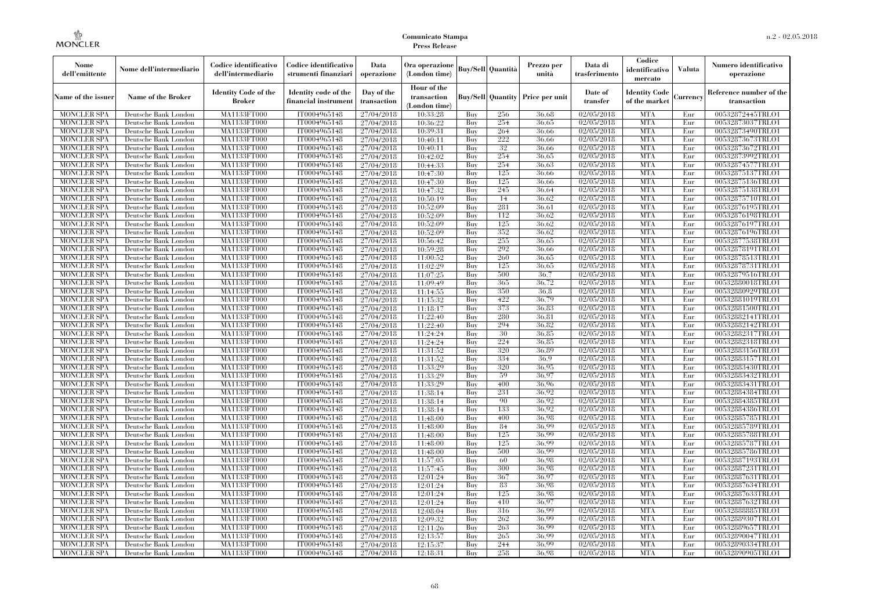| Nome<br>dell'emittente                   | Nome dell'intermediario                      | Codice identificativo<br>dell'intermediario  | Codice identificativo<br>strumenti finanziari | Data<br>operazione        | Ora operazione<br>(London time)             |            | <b>Buy/Sell Quantità</b> | Prezzo per<br>unità                     | Data di<br>trasferimento | Codice<br>identificativo<br>mercato   | <b>Valuta</b> | Numero identificativo<br>operazione    |
|------------------------------------------|----------------------------------------------|----------------------------------------------|-----------------------------------------------|---------------------------|---------------------------------------------|------------|--------------------------|-----------------------------------------|--------------------------|---------------------------------------|---------------|----------------------------------------|
| Name of the issuer                       | Name of the Broker                           | <b>Identity Code of the</b><br><b>Broker</b> | Identity code of the<br>financial instrument  | Day of the<br>transaction | Hour of the<br>transaction<br>(London time) |            |                          | <b>Buy/Sell Quantity Price per unit</b> | Date of<br>transfer      | <b>Identity Code</b><br>of the market | Currencv      | Reference number of the<br>transaction |
| <b>MONCLER SPA</b>                       | Deutsche Bank London                         | MA1133FT000                                  | IT0004965148                                  | 27/04/2018                | 10:33:28                                    | Buy        | 256                      | 36.68                                   | 02/05/2018               | <b>MTA</b>                            | Eur           | 00532872445TRLO1                       |
| <b>MONCLER SPA</b>                       | Deutsche Bank London                         | MA1133FT000                                  | IT0004965148                                  | 27/04/2018                | 10:36:22                                    | Buy        | 254                      | 36.65                                   | 02/05/2018               | <b>MTA</b>                            | Eur           | 00532873037TRLO1                       |
| <b>MONCLER SPA</b>                       | Deutsche Bank London                         | MA1133FT000                                  | IT0004965148                                  | 27/04/2018                | 10:39:31                                    | Buy        | 264                      | 36.66                                   | 02/05/2018               | <b>MTA</b>                            | Eur           | 00532873490TRLO1                       |
| <b>MONCLER SPA</b>                       | Deutsche Bank London                         | <b>MA1133FT000</b>                           | IT0004965148                                  | 27/04/2018                | 10:40:11                                    | Buy        | 222                      | 36,66                                   | 02/05/2018               | <b>MTA</b>                            | Eur           | 00532873673TRLO1                       |
| MONCLER SPA                              | Deutsche Bank London                         | <b>MA1133FT000</b>                           | IT0004965148                                  | 27/04/2018                | 10:40:11                                    | Buy        | 32                       | 36,66                                   | 02/05/2018               | <b>MTA</b><br><b>MTA</b>              | Eur           | 00532873672TRLO1                       |
| <b>MONCLER SPA</b><br><b>MONCLER SPA</b> | Deutsche Bank London<br>Deutsche Bank London | MA1133FT000<br>MA1133FT000                   | IT0004965148<br>IT0004965148                  | 27/04/2018                | 10:42:02                                    | Buy<br>Buy | 254<br>254               | 36,65<br>36.63                          | 02/05/2018<br>02/05/2018 | <b>MTA</b>                            | Eur<br>Eur    | 00532873992TRLO1<br>00532874577TRLO1   |
| <b>MONCLER SPA</b>                       | Deutsche Bank London                         | MA1133FT000                                  | IT0004965148                                  | 27/04/2018<br>27/04/2018  | 10:44:33<br>10:47:30                        | Buy        | 125                      | 36,66                                   | 02/05/2018               | <b>MTA</b>                            | Eur           | 00532875137TRLO1                       |
| <b>MONCLER SPA</b>                       | Deutsche Bank London                         | <b>MA1133FT000</b>                           | IT0004965148                                  | 27/04/2018                | 10:47:30                                    | Buy        | 125                      | 36,66                                   | 02/05/2018               | <b>MTA</b>                            | Eur           | 00532875136TRLO1                       |
| <b>MONCLER SPA</b>                       | Deutsche Bank London                         | MA1133FT000                                  | IT0004965148                                  | 27/04/2018                | 10:47:32                                    | Buy        | 245                      | 36,64                                   | 02/05/2018               | <b>MTA</b>                            | Eur           | 00532875138TRLO1                       |
| <b>MONCLER SPA</b>                       | Deutsche Bank London                         | MA1133FT000                                  | IT0004965148                                  | 27/04/2018                | 10:50:19                                    | Buy        | 14                       | 36.62                                   | 02/05/2018               | <b>MTA</b>                            | Eur           | 00532875710TRLO1                       |
| <b>MONCLER SPA</b>                       | Deutsche Bank London                         | MA1133FT000                                  | IT0004965148                                  | 27/04/2018                | 10:52:09                                    | Buy        | 281                      | 36.61                                   | 02/05/2018               | <b>MTA</b>                            | Eur           | 00532876195TRLO1                       |
| <b>MONCLER SPA</b>                       | Deutsche Bank London                         | MA1133FT000                                  | IT0004965148                                  | 27/04/2018                | 10:52:09                                    | Buy        | 112                      | 36.62                                   | 02/05/2018               | <b>MTA</b>                            | Eur           | 00532876198TRLO1                       |
| <b>MONCLER SPA</b>                       | Deutsche Bank London                         | <b>MA1133FT000</b>                           | IT0004965148                                  | 27/04/2018                | 10:52:09                                    | Buy        | 125                      | 36,62                                   | $\sqrt{02}/05/2018$      | <b>MTA</b>                            | Eur           | 00532876197TRLO1                       |
| MONCLER SPA                              | Deutsche Bank London                         | MA1133FT000                                  | IT0004965148                                  | 27/04/2018                | 10:52:09                                    | Buy        | 352                      | 36.62                                   | 02/05/2018               | <b>MTA</b>                            | Eur           | 00532876196TRLO1                       |
| <b>MONCLER SPA</b>                       | Deutsche Bank London                         | MA1133FT000                                  | IT0004965148                                  | 27/04/2018                | 10:56:42                                    | Buy        | 255                      | 36,65                                   | 02/05/2018               | <b>MTA</b>                            | Eur           | 00532877538TRLO1                       |
| <b>MONCLER SPA</b>                       | Deutsche Bank London                         | MA1133FT000                                  | IT0004965148                                  | 27/04/2018                | 10:59:28                                    | Buy        | 292                      | 36,66                                   | 02/05/2018               | <b>MTA</b>                            | Eur           | 00532878191TRLO1                       |
| <b>MONCLER SPA</b>                       | Deutsche Bank London                         | <b>MA1133FT000</b>                           | IT0004965148                                  | 27/04/2018                | 11:00:52                                    | Buy        | 260                      | 36,65                                   | 02/05/2018               | <b>MTA</b>                            | Eur           | 00532878513TRLO1                       |
| <b>MONCLER SPA</b>                       | Deutsche Bank London                         | MA1133FT000                                  | IT0004965148                                  | 27/04/2018                | 11:02:29                                    | Buy        | 125                      | 36,65                                   | 02/05/2018               | <b>MTA</b>                            | Eur           | 00532878731TRLO1                       |
| <b>MONCLER SPA</b>                       | Deutsche Bank London                         | <b>MA1133FT000</b>                           | IT0004965148                                  | 27/04/2018                | 11:07:25                                    | Buy        | 500                      | 36.7                                    | 02/05/2018               | <b>MTA</b>                            | Eur           | 00532879516TRLO1                       |
| <b>MONCLER SPA</b>                       | Deutsche Bank London                         | MA1133FT000                                  | IT0004965148                                  | 27/04/2018                | 11:09:49                                    | Buy        | 365                      | 36,72                                   | 02/05/2018               | <b>MTA</b>                            | Eur           | 00532880018TRLO1                       |
| <b>MONCLER SPA</b>                       | Deutsche Bank London                         | MA1133FT000                                  | IT0004965148                                  | 27/04/2018                | 11:14:55                                    | Buy        | 350                      | 36.8                                    | 02/05/2018               | <b>MTA</b>                            | Eur           | 00532880929TRLO1                       |
| <b>MONCLER SPA</b>                       | Deutsche Bank London                         | <b>MA1133FT000</b>                           | IT0004965148                                  | 27/04/2018                | 11:15:32                                    | Buy        | 422                      | 36,79                                   | 02/05/2018               | <b>MTA</b>                            | Eur           | 00532881019TRLO1                       |
| <b>MONCLER SPA</b>                       | Deutsche Bank London                         | <b>MA1133FT000</b>                           | IT0004965148                                  | 27/04/2018                | 11:18:17                                    | Buy        | 373                      | 36.83                                   | $\sqrt{02}/05/2018$      | <b>MTA</b>                            | Eur           | 00532881500TRLO1                       |
| <b>MONCLER SPA</b>                       | Deutsche Bank London                         | MA1133FT000<br><b>MA1133FT000</b>            | IT0004965148<br>IT0004965148                  | 27/04/2018                | 11:22:40                                    | Buv<br>Buy | 280<br>294               | 36.81<br>36.82                          | 02/05/2018<br>02/05/2018 | <b>MTA</b><br><b>MTA</b>              | Eur<br>Eur    | 00532882141TRLO1<br>00532882142TRLO1   |
| <b>MONCLER SPA</b><br><b>MONCLER SPA</b> | Deutsche Bank London<br>Deutsche Bank London | MA1133FT000                                  | IT0004965148                                  | 27/04/2018<br>27/04/2018  | 11:22:40<br>11:24:24                        | Buy        | 30                       | 36.85                                   | 02/05/2018               | <b>MTA</b>                            | Eur           | 00532882317TRLO1                       |
| <b>MONCLER SPA</b>                       | Deutsche Bank London                         | MA1133FT000                                  | IT0004965148                                  | 27/04/2018                | 11:24:24                                    | Buy        | 224                      | 36.85                                   | 02/05/2018               | <b>MTA</b>                            | Eur           | 00532882318TRLO1                       |
| MONCLER SPA                              | Deutsche Bank London                         | <b>MA1133FT000</b>                           | IT0004965148                                  | 27/04/2018                | 11:31:52                                    | Buv        | 320                      | 36.89                                   | $\sqrt{02}/05/2018$      | <b>MTA</b>                            | Eur           | 00532883156TRLO1                       |
| <b>MONCLER SPA</b>                       | Deutsche Bank London                         | MA1133FT000                                  | IT0004965148                                  | 27/04/2018                | 11:31:52                                    | Buy        | 334                      | 36.9                                    | 02/05/2018               | <b>MTA</b>                            | Eur           | 00532883157TRLO1                       |
| <b>MONCLER SPA</b>                       | Deutsche Bank London                         | MA1133FT000                                  | IT0004965148                                  | 27/04/2018                | 11:33:29                                    | Buy        | 320                      | 36.95                                   | 02/05/2018               | <b>MTA</b>                            | Eur           | 00532883430TRLO1                       |
| <b>MONCLER SPA</b>                       | Deutsche Bank London                         | MA1133FT000                                  | IT0004965148                                  | 27/04/2018                | 11:33:29                                    | Buy        | 59                       | 36.97                                   | 02/05/2018               | <b>MTA</b>                            | Eur           | 00532883432TRLO1                       |
| MONCLER SPA                              | Deutsche Bank London                         | <b>MA1133FT000</b>                           | IT0004965148                                  | 27/04/2018                | 11:33:29                                    | Buy        | 400                      | 36,96                                   | 02/05/2018               | <b>MTA</b>                            | Eur           | 00532883431TRLO1                       |
| <b>MONCLER SPA</b>                       | Deutsche Bank London                         | MA1133FT000                                  | IT0004965148                                  | 27/04/2018                | 11:38:14                                    | Buy        | 231                      | 36.92                                   | 02/05/2018               | <b>MTA</b>                            | Eur           | 00532884384TRLO1                       |
| <b>MONCLER SPA</b>                       | Deutsche Bank London                         | MA1133FT000                                  | IT0004965148                                  | 27/04/2018                | 11:38:14                                    | Buy        | 90                       | 36,92                                   | 02/05/2018               | <b>MTA</b>                            | Eur           | 00532884385TRLO1                       |
| <b>MONCLER SPA</b>                       | Deutsche Bank London                         | MA1133FT000                                  | IT0004965148                                  | 27/04/2018                | 11:38:14                                    | Buy        | 133                      | 36.92                                   | 02/05/2018               | <b>MTA</b>                            | Eur           | 00532884386TRLO1                       |
| <b>MONCLER SPA</b>                       | Deutsche Bank London                         | MA1133FT000                                  | IT0004965148                                  | 27/04/2018                | 11:48:00                                    | Buy        | 400                      | 36.98                                   | 02/05/2018               | <b>MTA</b>                            | Eur           | 00532885785TRLO1                       |
| <b>MONCLER SPA</b>                       | Deutsche Bank London                         | MA1133FT000                                  | IT0004965148                                  | 27/04/2018                | 11:48:00                                    | Buy        | 84                       | 36.99                                   | 02/05/2018               | <b>MTA</b>                            | Eur           | 00532885789TRLO1                       |
| <b>MONCLER SPA</b>                       | Deutsche Bank London                         | MA1133FT000                                  | IT0004965148                                  | 27/04/2018                | 11:48:00                                    | Buy        | 125                      | 36,99                                   | 02/05/2018               | <b>MTA</b>                            | Eur           | 00532885788TRLO1                       |
| <b>MONCLER SPA</b>                       | Deutsche Bank London                         | MA1133FT000                                  | IT0004965148                                  | 27/04/2018                | 11:48:00                                    | Buy        | 125                      | 36.99                                   | 02/05/2018               | <b>MTA</b>                            | Eur           | 00532885787TRLO1                       |
| <b>MONCLER SPA</b>                       | Deutsche Bank London                         | MA1133FT000                                  | IT0004965148                                  | 27/04/2018                | 11:48:00                                    | Buy        | 500                      | 36.99                                   | 02/05/2018               | <b>MTA</b>                            | Eur           | 00532885786TRLO1                       |
| <b>MONCLER SPA</b>                       | Deutsche Bank London                         | MA1133FT000                                  | IT0004965148                                  | 27/04/2018                | 11:57:05                                    | Buy        | 60                       | 36.98                                   | 02/05/2018               | <b>MTA</b>                            | Eur           | 00532887193TRLO1                       |
| <b>MONCLER SPA</b>                       | Deutsche Bank London                         | MA1133FT000                                  | IT0004965148                                  | 27/04/2018                | 11:57:45                                    | Buy        | 300                      | 36.98                                   | 02/05/2018               | <b>MTA</b>                            | Eur           | 00532887231TRLO1                       |
| <b>MONCLER SPA</b>                       | Deutsche Bank London                         | MA1133FT000                                  | IT0004965148                                  | 27/04/2018                | 12:01:24                                    | Buy        | 367                      | 36.97                                   | 02/05/2018               | <b>MTA</b>                            | Eur           | 00532887631TRLO1                       |
| <b>MONCLER SPA</b>                       | Deutsche Bank London                         | MA1133FT000                                  | IT0004965148                                  | 27/04/2018                | 12:01:24                                    | Buy        | 83                       | 36.98                                   | 02/05/2018               | <b>MTA</b>                            | Eur           | 00532887634TRLO1                       |
| <b>MONCLER SPA</b><br><b>MONCLER SPA</b> | Deutsche Bank London<br>Deutsche Bank London | MA1133FT000<br>MA1133FT000                   | IT0004965148<br>IT0004965148                  | 27/04/2018<br>27/04/2018  | 12:01:24<br>12:01:24                        | Buy<br>Buy | 125<br>410               | 36.98<br>36,97                          | 02/05/2018<br>02/05/2018 | <b>MTA</b><br><b>MTA</b>              | Eur<br>Eur    | 00532887633TRLO1<br>00532887632TRLO1   |
| <b>MONCLER SPA</b>                       | Deutsche Bank London                         | MA1133FT000                                  | IT0004965148                                  | 27/04/2018                | 12:08:04                                    | Buy        | 316                      | 36.99                                   | 02/05/2018               | <b>MTA</b>                            | Eur           | 00532888885TRLO1                       |
| <b>MONCLER SPA</b>                       | Deutsche Bank London                         | MA1133FT000                                  | IT0004965148                                  | 27/04/2018                | 12:09:32                                    | Buy        | 262                      | 36.99                                   | 02/05/2018               | <b>MTA</b>                            | Eur           | 00532889307TRLO1                       |
| <b>MONCLER SPA</b>                       | Deutsche Bank London                         | MA1133FT000                                  | IT0004965148                                  | 27/04/2018                | 12:11:26                                    | Buy        | 263                      | 36.99                                   | 02/05/2018               | <b>MTA</b>                            | Eur           | 00532889657TRLO1                       |
| <b>MONCLER SPA</b>                       | Deutsche Bank London                         | MA1133FT000                                  | IT0004965148                                  | 27/04/2018                | 12:13:57                                    | Buy        | 265                      | 36,99                                   | 02/05/2018               | <b>MTA</b>                            | Eur           | 00532890047TRLO1                       |
| <b>MONCLER SPA</b>                       | Deutsche Bank London                         | <b>MA1133FT000</b>                           | IT0004965148                                  | 27/04/2018                | 12:15:37                                    | Buy        | 244                      | 36.99                                   | 02/05/2018               | <b>MTA</b>                            | Eur           | 00532890334TRLO1                       |
| <b>MONCLER SPA</b>                       | Deutsche Bank London                         | MA1133FT000                                  | IT0004965148                                  | 27/04/2018                | 12:18:31                                    | Buy        | 258                      | 36.98                                   | 02/05/2018               | <b>MTA</b>                            | Eur           | 00532890905TRLO1                       |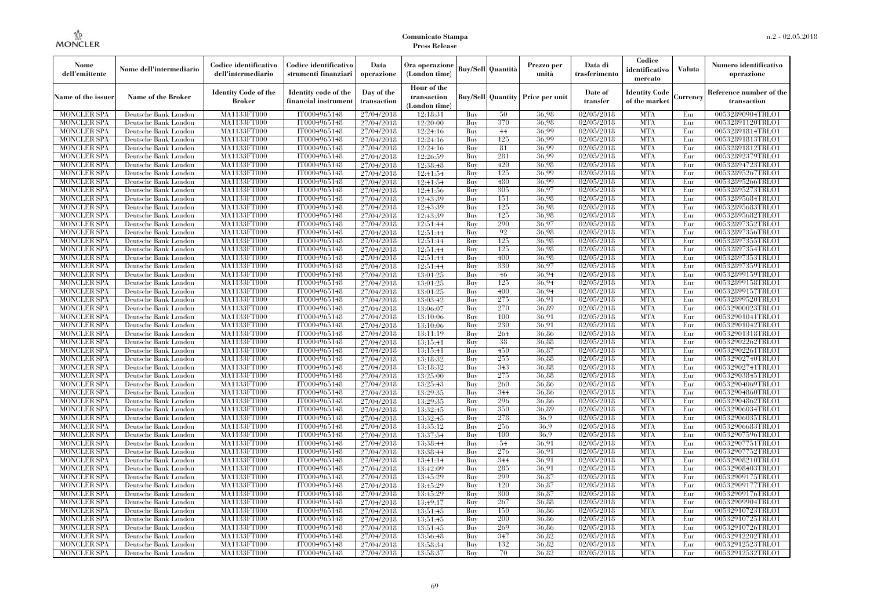| Nome<br>dell'emittente                   | Nome dell'intermediario                      | Codice identificativo<br>dell'intermediario  | Codice identificativo<br>strumenti finanziari | Data<br>operazione        | Ora operazione<br>(London time)             |            | <b>Buy/Sell</b> Quantità | Prezzo per<br>unità                     | Data di<br>trasferimento | Codice<br>identificativo<br>mercato   | <b>Valuta</b> | Numero identificativo<br>operazione    |
|------------------------------------------|----------------------------------------------|----------------------------------------------|-----------------------------------------------|---------------------------|---------------------------------------------|------------|--------------------------|-----------------------------------------|--------------------------|---------------------------------------|---------------|----------------------------------------|
| Name of the issuer                       | Name of the Broker                           | <b>Identity Code of the</b><br><b>Broker</b> | Identity code of the<br>financial instrument  | Day of the<br>transaction | Hour of the<br>transaction<br>(London time) |            |                          | <b>Buy/Sell Quantity Price per unit</b> | Date of<br>transfer      | <b>Identity Code</b><br>of the market | Currency      | Reference number of the<br>transaction |
| <b>MONCLER SPA</b>                       | Deutsche Bank London                         | MA1133FT000                                  | IT0004965148                                  | 27/04/2018                | 12:18:31                                    | Buy        | 50                       | 36.98                                   | 02/05/2018               | <b>MTA</b>                            | Eur           | 00532890904TRLO1                       |
| <b>MONCLER SPA</b>                       | Deutsche Bank London                         | MA1133FT000                                  | IT0004965148                                  | 27/04/2018                | 12:20:00                                    | Buy        | 370                      | 36.98                                   | 02/05/2018               | <b>MTA</b>                            | Eur           | 00532891120TRLO1                       |
| <b>MONCLER SPA</b>                       | Deutsche Bank London                         | MA1133FT000                                  | IT0004965148                                  | 27/04/2018                | 12:24:16                                    | Buy        | 44                       | 36.99                                   | 02/05/2018               | <b>MTA</b>                            | Eur           | 00532891814TRLO1                       |
| <b>MONCLER SPA</b>                       | Deutsche Bank London                         | MA1133FT000                                  | IT0004965148                                  | 27/04/2018                | 12:24:16                                    | Buy        | 125                      | 36.99                                   | 02/05/2018               | <b>MTA</b>                            | Eur           | 00532891813TRLO1                       |
| <b>MONCLER SPA</b>                       | Deutsche Bank London                         | MA1133FT000                                  | IT0004965148                                  | 27/04/2018                | 12:24:16                                    | Buy        | 81                       | 36.99                                   | 02/05/2018               | <b>MTA</b>                            | Eur           | 00532891812TRLO1                       |
| <b>MONCLER SPA</b>                       | Deutsche Bank London                         | MA1133FT000                                  | IT0004965148                                  | 27/04/2018                | 12:26:59                                    | Buy        | 281                      | 36.99                                   | 02/05/2018               | <b>MTA</b>                            | Eur           | 00532892379TRLO1                       |
| <b>MONCLER SPA</b>                       | Deutsche Bank London                         | <b>MA1133FT000</b>                           | IT0004965148                                  | 27/04/2018                | 12:38:48                                    | Buy        | 420                      | 36.98                                   | 02/05/2018               | <b>MTA</b>                            | Eur           | 00532894723TRLO1                       |
| <b>MONCLER SPA</b>                       | Deutsche Bank London                         | MA1133FT000                                  | IT0004965148                                  | 27/04/2018                | 12:41:54                                    | Buy        | 125                      | 36.99                                   | 02/05/2018               | <b>MTA</b>                            | Eur           | 00532895267TRLO1                       |
| <b>MONCLER SPA</b>                       | Deutsche Bank London                         | MA1133FT000                                  | IT0004965148                                  | 27/04/2018                | 12:41:54                                    | Buv        | 480<br>305               | 36.99                                   | 02/05/2018               | <b>MTA</b>                            | Eur           | 00532895266TRLO1                       |
| <b>MONCLER SPA</b>                       | Deutsche Bank London                         | MA1133FT000                                  | IT0004965148                                  | 27/04/2018                | 12:41:56                                    | Buy        | 151                      | 36.97<br>36.98                          | 02/05/2018               | <b>MTA</b>                            | Eur           | 00532895273TRLO1                       |
| <b>MONCLER SPA</b><br><b>MONCLER SPA</b> | Deutsche Bank London<br>Deutsche Bank London | <b>MA1133FT000</b><br>MA1133FT000            | IT0004965148<br>IT0004965148                  | 27/04/2018                | 12:43:39<br>12:43:39                        | Buy        | 125                      | 36.98                                   | 02/05/2018<br>02/05/2018 | <b>MTA</b><br><b>MTA</b>              | Eur<br>Eur    | 00532895684TRLO1<br>00532895683TRLO1   |
| <b>MONCLER SPA</b>                       | Deutsche Bank London                         | <b>MA1133FT000</b>                           | IT0004965148                                  | 27/04/2018<br>27/04/2018  | 12:43:39                                    | Buy<br>Buv | 125                      | 36.98                                   | 02/05/2018               | <b>MTA</b>                            | Eur           | 00532895682TRLO1                       |
| <b>MONCLER SPA</b>                       | Deutsche Bank London                         | MA1133FT000                                  | IT0004965148                                  | 27/04/2018                | 12:51:44                                    | Buy        | 290                      | 36.97                                   | 02/05/2018               | <b>MTA</b>                            | Eur           | 00532897352TRLO1                       |
| <b>MONCLER SPA</b>                       | Deutsche Bank London                         | <b>MA1133FT000</b>                           | IT0004965148                                  | 27/04/2018                | 12:51:44                                    | Buy        | 92                       | 36,98                                   | 02/05/2018               | <b>MTA</b>                            | Eur           | 00532897356TRLO1                       |
| <b>MONCLER SPA</b>                       | Deutsche Bank London                         | MA1133FT000                                  | IT0004965148                                  | 27/04/2018                | 12:51:44                                    | Buy        | 125                      | 36.98                                   | 02/05/2018               | <b>MTA</b>                            | Eur           | 00532897355TRLO1                       |
| <b>MONCLER SPA</b>                       | Deutsche Bank London                         | MA1133FT000                                  | IT0004965148                                  | 27/04/2018                | 12:51:44                                    | Buy        | 125                      | 36.98                                   | 02/05/2018               | <b>MTA</b>                            | Eur           | 00532897354TRLO1                       |
| <b>MONCLER SPA</b>                       | Deutsche Bank London                         | MA1133FT000                                  | IT0004965148                                  | 27/04/2018                | 12:51:44                                    | Buy        | 400                      | 36.98                                   | 02/05/2018               | <b>MTA</b>                            | Eur           | 00532897353TRLO1                       |
| MONCLER SPA                              | Deutsche Bank London                         | <b>MA1133FT000</b>                           | IT0004965148                                  | 27/04/2018                | 12:51:44                                    | Buy        | 330                      | 36,97                                   | 02/05/2018               | <b>MTA</b>                            | Eur           | 00532897359TRLO1                       |
| <b>MONCLER SPA</b>                       | Deutsche Bank London                         | MA1133FT000                                  | IT0004965148                                  | 27/04/2018                | 13:01:25                                    | Buy        | 46                       | 36.94                                   | 02/05/2018               | <b>MTA</b>                            | Eur           | 00532899159TRLO1                       |
| <b>MONCLER SPA</b>                       | Deutsche Bank London                         | MA1133FT000                                  | IT0004965148                                  | 27/04/2018                | 13:01:25                                    | Buv        | 125                      | 36.94                                   | 02/05/2018               | <b>MTA</b>                            | Eur           | 00532899158TRLO1                       |
| <b>MONCLER SPA</b>                       | Deutsche Bank London                         | MA1133FT000                                  | IT0004965148                                  | 27/04/2018                | 13:01:25                                    | Buy        | 400                      | 36.94                                   | 02/05/2018               | <b>MTA</b>                            | Eur           | 00532899157TRLO1                       |
| <b>MONCLER SPA</b>                       | Deutsche Bank London                         | <b>MA1133FT000</b>                           | IT0004965148                                  | 27/04/2018                | 13:03:42                                    | Buy        | 275                      | 36.91                                   | 02/05/2018               | <b>MTA</b>                            | Eur           | 00532899520TRLO1                       |
| <b>MONCLER SPA</b>                       | Deutsche Bank London                         | MA1133FT000                                  | IT0004965148                                  | 27/04/2018                | 13:06:07                                    | Buy        | 270                      | 36.89                                   | 02/05/2018               | <b>MTA</b>                            | Eur           | 00532900023TRLO1                       |
| <b>MONCLER SPA</b>                       | Deutsche Bank London                         | MA1133FT000                                  | IT0004965148                                  | 27/04/2018                | 13:10:06                                    | Buy        | 100                      | 36.91                                   | 02/05/2018               | <b>MTA</b>                            | Eur           | 00532901041TRLO1                       |
| <b>MONCLER SPA</b>                       | Deutsche Bank London                         | MA1133FT000                                  | IT0004965148                                  | 27/04/2018                | 13:10:06                                    | Buy        | 230                      | 36.91                                   | 02/05/2018               | <b>MTA</b>                            | Eur           | 00532901042TRLO1                       |
| <b>MONCLER SPA</b>                       | Deutsche Bank London                         | <b>MA1133FT000</b>                           | IT0004965148                                  | 27/04/2018                | 13:11:19                                    | Buy        | 264                      | 36,86                                   | 02/05/2018               | <b>MTA</b>                            | Eur           | 00532901318TRLO1                       |
| <b>MONCLER SPA</b>                       | Deutsche Bank London                         | MA1133FT000                                  | IT0004965148                                  | 27/04/2018                | 13:15:41                                    | Buy        | 38                       | 36.88                                   | 02/05/2018               | <b>MTA</b>                            | Eur           | 00532902262TRLO1                       |
| <b>MONCLER SPA</b>                       | Deutsche Bank London                         | MA1133FT000                                  | IT0004965148                                  | 27/04/2018                | 13:15:41                                    | Buy        | 450                      | 36,87                                   | 02/05/2018               | <b>MTA</b>                            | Eur           | 00532902261TRLO1                       |
| <b>MONCLER SPA</b>                       | Deutsche Bank London                         | <b>MA1133FT000</b>                           | IT0004965148                                  | 27/04/2018                | 13:18:32                                    | Buy        | 255                      | 36.88                                   | 02/05/2018               | <b>MTA</b>                            | Eur           | 00532902740TRLO1                       |
| MONCLER SPA                              | Deutsche Bank London                         | <b>MA1133FT000</b>                           | IT0004965148                                  | 27/04/2018                | 13:18:32                                    | Buy        | 343                      | 36,88                                   | 02/05/2018               | <b>MTA</b>                            | Eur           | 00532902741TRLO1                       |
| <b>MONCLER SPA</b>                       | Deutsche Bank London                         | MA1133FT000                                  | IT0004965148                                  | 27/04/2018                | 13:25:00                                    | Buy        | 275                      | 36.88                                   | 02/05/2018               | <b>MTA</b>                            | Eur           | 00532903845TRLO1                       |
| <b>MONCLER SPA</b>                       | Deutsche Bank London                         | MA1133FT000                                  | IT0004965148                                  | 27/04/2018                | 13:25:43                                    | Buy        | 260                      | 36.86                                   | 02/05/2018               | <b>MTA</b>                            | Eur           | 00532904069TRLO1                       |
| <b>MONCLER SPA</b>                       | Deutsche Bank London                         | MA1133FT000                                  | IT0004965148                                  | 27/04/2018                | 13:29:35                                    | Buy        | 344                      | 36,86                                   | 02/05/2018               | <b>MTA</b>                            | Eur           | 00532904860TRLO1                       |
| <b>MONCLER SPA</b>                       | Deutsche Bank London                         | <b>MA1133FT000</b>                           | IT0004965148                                  | 27/04/2018                | 13:29:35                                    | Buy        | 296                      | 36,86                                   | 02/05/2018               | <b>MTA</b>                            | Eur           | 00532904862TRLO1                       |
| <b>MONCLER SPA</b>                       | Deutsche Bank London                         | MA1133FT000                                  | IT0004965148                                  | 27/04/2018                | 13:32:45                                    | Buy        | 350                      | 36.89                                   | 02/05/2018               | <b>MTA</b>                            | Eur           | 00532906034TRLO1                       |
| <b>MONCLER SPA</b>                       | Deutsche Bank London                         | MA1133FT000                                  | IT0004965148                                  | 27/04/2018                | 13:32:45                                    | Buy        | 278                      | 36.9                                    | 02/05/2018               | <b>MTA</b>                            | Eur           | 00532906035TRLO1                       |
| <b>MONCLER SPA</b>                       | Deutsche Bank London                         | <b>MA1133FT000</b>                           | IT0004965148                                  | 27/04/2018                | 13:35:12                                    | Buy        | 256                      | 36.9                                    | 02/05/2018               | <b>MTA</b>                            | Eur           | 00532906683TRLO1                       |
| <b>MONCLER SPA</b>                       | Deutsche Bank London                         | <b>MA1133FT000</b>                           | IT0004965148                                  | 27/04/2018                | 13:37:54                                    | Buy        | 100                      | 36.9                                    | 02/05/2018               | <b>MTA</b>                            | Eur           | 00532907596TRLO1                       |
| <b>MONCLER SPA</b>                       | Deutsche Bank London                         | MA1133FT000                                  | IT0004965148                                  | 27/04/2018                | 13:38:44                                    | Buy        | 54                       | 36,91                                   | 02/05/2018               | <b>MTA</b>                            | Eur           | 00532907751TRLO1                       |
| <b>MONCLER SPA</b>                       | Deutsche Bank London                         | MA1133FT000                                  | IT0004965148                                  | 27/04/2018                | 13:38:44                                    | Buy        | 276                      | 36,91                                   | 02/05/2018               | <b>MTA</b>                            | Eur           | 00532907752TRLO1                       |
| <b>MONCLER SPA</b>                       | Deutsche Bank London                         | MA1133FT000                                  | IT0004965148                                  | 27/04/2018                | 13:41:14                                    | Buy        | 344                      | 36.91                                   | 02/05/2018               | <b>MTA</b>                            | Eur           | 00532908210TRLO1                       |
| MONCLER SPA                              | Deutsche Bank London                         | <b>MA1133FT000</b>                           | IT0004965148                                  | 27/04/2018                | 13:42:09                                    | Buy        | 285                      | 36.91                                   | 02/05/2018               | MTA                                   | Eur           | 00532908403TRLO1                       |
| <b>MONCLER SPA</b>                       | Deutsche Bank London                         | MA1133FT000                                  | IT0004965148                                  | 27/04/2018                | 13:45:29                                    | Buy        | 299                      | 36,87                                   | 02/05/2018               | <b>MTA</b>                            | Eur           | 00532909175TRLO1                       |
| <b>MONCLER SPA</b>                       | Deutsche Bank London                         | MA1133FT000                                  | IT0004965148                                  | 27/04/2018                | 13:45:29                                    | Buy        | 120                      | 36.87                                   | 02/05/2018               | <b>MTA</b>                            | Eur           | 00532909177TRLO1                       |
| <b>MONCLER SPA</b>                       | Deutsche Bank London                         | MA1133FT000                                  | IT0004965148                                  | 27/04/2018                | 13:45:29                                    | Buy        | 300                      | 36.87                                   | 02/05/2018               | <b>MTA</b>                            | Eur           | 00532909176TRLO1                       |
| <b>MONCLER SPA</b>                       | Deutsche Bank London                         | <b>MA1133FT000</b>                           | IT0004965148                                  | 27/04/2018                | 13:49:17                                    | Buy        | 267                      | 36,88                                   | 02/05/2018               | <b>MTA</b>                            | Eur           | 00532909904TRLO1                       |
| <b>MONCLER SPA</b>                       | Deutsche Bank London                         | MA1133FT000                                  | IT0004965148                                  | 27/04/2018                | 13:51:45                                    | Buy        | 150                      | 36.86                                   | 02/05/2018               | <b>MTA</b>                            | Eur           | 00532910723TRLO1                       |
| <b>MONCLER SPA</b>                       | Deutsche Bank London                         | MA1133FT000                                  | IT0004965148                                  | 27/04/2018                | 13:51:45                                    | Buy        | 200                      | 36.86                                   | 02/05/2018               | <b>MTA</b>                            | Eur           | 00532910725TRLO1                       |
| <b>MONCLER SPA</b>                       | Deutsche Bank London                         | MA1133FT000                                  | IT0004965148                                  | 27/04/2018                | 13:51:45                                    | Buy        | 269                      | 36.86                                   | 02/05/2018               | <b>MTA</b>                            | Eur           | 00532910726TRLO1                       |
| MONCLER SPA                              | Deutsche Bank London                         | <b>MA1133FT000</b>                           | IT0004965148                                  | 27/04/2018                | 13:56:48                                    | Buy        | 347                      | 36,82                                   | 02/05/2018               | <b>MTA</b>                            | Eur           | 00532912202TRLO1                       |
| <b>MONCLER SPA</b>                       | Deutsche Bank London                         | <b>MA1133FT000</b>                           | IT0004965148                                  | 27/04/2018                | 13:58:34                                    | Buy        | 132                      | 36.82                                   | 02/05/2018               | <b>MTA</b>                            | Eur           | 00532912523TRLO1                       |
| <b>MONCLER SPA</b>                       | Deutsche Bank London                         | MA1133FT000                                  | IT0004965148                                  | 27/04/2018                | 13:58:37                                    | Buy        | 70                       | 36.82                                   | 02/05/2018               | <b>MTA</b>                            | Eur           | 00532912532TRLO1                       |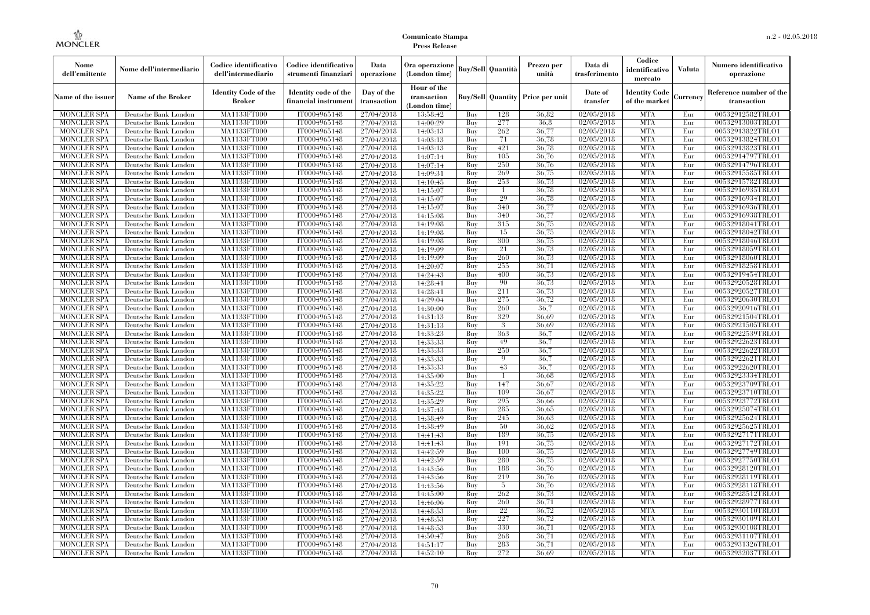| Nome<br>dell'emittente                   | Nome dell'intermediario                      | Codice identificativo<br>dell'intermediario  | Codice identificativo<br>strumenti finanziari | Data<br>operazione        | Ora operazione<br>(London time)             |            | Buv/Sell   Quantità      | Prezzo per<br>unità | Data di<br>trasferimento | Codice<br>identificativo<br>mercato   | <b>Valuta</b> | Numero identificativo<br>operazione    |
|------------------------------------------|----------------------------------------------|----------------------------------------------|-----------------------------------------------|---------------------------|---------------------------------------------|------------|--------------------------|---------------------|--------------------------|---------------------------------------|---------------|----------------------------------------|
| Name of the issuer                       | Name of the Broker                           | <b>Identity Code of the</b><br><b>Broker</b> | Identity code of the<br>financial instrument  | Day of the<br>transaction | Hour of the<br>transaction<br>(London time) |            | <b>Buy/Sell Quantity</b> | Price per unit      | Date of<br>transfer      | <b>Identity Code</b><br>of the market | Currencv      | Reference number of the<br>transaction |
| <b>MONCLER SPA</b>                       | Deutsche Bank London                         | MA1133FT000                                  | IT0004965148                                  | 27/04/2018                | 13:58:42                                    | Buy        | 128                      | 36.82               | 02/05/2018               | <b>MTA</b>                            | Eur           | 00532912582TRLO1                       |
| <b>MONCLER SPA</b>                       | Deutsche Bank London                         | <b>MA1133FT000</b>                           | IT0004965148                                  | 27/04/2018                | 14:00:29                                    | Buy        | 277                      | 36,8                | 02/05/2018               | <b>MTA</b>                            | Eur           | 00532913003TRLO1                       |
| <b>MONCLER SPA</b>                       | Deutsche Bank London                         | MA1133FT000                                  | IT0004965148                                  | 27/04/2018                | 14:03:13                                    | Buv        | 262                      | 36.77               | 02/05/2018               | <b>MTA</b>                            | Eur           | 00532913822TRLO1                       |
| <b>MONCLER SPA</b>                       | Deutsche Bank London                         | MA1133FT000                                  | IT0004965148                                  | 27/04/2018                | 14:03:13                                    | Buy        | 71                       | 36,78               | 02/05/2018               | <b>MTA</b>                            | Eur           | 00532913824TRLO1                       |
| <b>MONCLER SPA</b>                       | Deutsche Bank London                         | MA1133FT000                                  | IT0004965148<br>IT0004965148                  | 27/04/2018                | 14:03:13                                    | Buy        | 421<br>105               | 36,78<br>36,76      | 02/05/2018<br>02/05/2018 | <b>MTA</b><br><b>MTA</b>              | Eur<br>Eur    | 00532913823TRLO1                       |
| <b>MONCLER SPA</b><br><b>MONCLER SPA</b> | Deutsche Bank London<br>Deutsche Bank London | <b>MA1133FT000</b><br>MA1133FT000            | IT0004965148                                  | 27/04/2018<br>27/04/2018  | 14:07:14<br>14:07:14                        | Buy<br>Buy | 250                      | 36,76               | 02/05/2018               | <b>MTA</b>                            | Eur           | 00532914797TRLO1<br>00532914796TRLO1   |
| <b>MONCLER SPA</b>                       | Deutsche Bank London                         | MA1133FT000                                  | IT0004965148                                  | 27/04/2018                | 14:09:31                                    | Buy        | 269                      | 36.75               | 02/05/2018               | <b>MTA</b>                            | Eur           | 00532915585TRLO1                       |
| <b>MONCLER SPA</b>                       | Deutsche Bank London                         | MA1133FT000                                  | IT0004965148                                  | 27/04/2018                | 14:10:45                                    | Buy        | 253                      | 36,73               | 02/05/2018               | <b>MTA</b>                            | Eur           | 00532915782TRLO1                       |
| <b>MONCLER SPA</b>                       | Deutsche Bank London                         | <b>MA1133FT000</b>                           | IT0004965148                                  | 27/04/2018                | 14:15:07                                    | Buy        | -1                       | 36,78               | 02/05/2018               | <b>MTA</b>                            | Eur           | 00532916935TRLO1                       |
| <b>MONCLER SPA</b>                       | Deutsche Bank London                         | MA1133FT000                                  | IT0004965148                                  | 27/04/2018                | 14:15:07                                    | Buy        | 29                       | 36,78               | 02/05/2018               | <b>MTA</b>                            | Eur           | 00532916934TRLO1                       |
| <b>MONCLER SPA</b>                       | Deutsche Bank London                         | MA1133FT000                                  | IT0004965148                                  | 27/04/2018                | 14:15:07                                    | Buy        | 340                      | 36,77               | 02/05/2018               | <b>MTA</b>                            | Eur           | 00532916936TRLO1                       |
| <b>MONCLER SPA</b>                       | Deutsche Bank London                         | MA1133FT000                                  | IT0004965148                                  | 27/04/2018                | 14:15:08                                    | Buy        | 340                      | 36.77               | 02/05/2018               | <b>MTA</b>                            | Eur           | 00532916938TRLO1                       |
| <b>MONCLER SPA</b>                       | Deutsche Bank London                         | MA1133FT000                                  | IT0004965148                                  | 27/04/2018                | 14:19:08                                    | Buy        | 315                      | 36,75               | 02/05/2018               | <b>MTA</b>                            | Eur           | 00532918041TRLO1                       |
| <b>MONCLER SPA</b>                       | Deutsche Bank London                         | MA1133FT000                                  | IT0004965148                                  | 27/04/2018                | 14:19:08                                    | Buy        | 15                       | 36,75               | 02/05/2018               | <b>MTA</b>                            | Eur           | 00532918042TRLO1                       |
| <b>MONCLER SPA</b>                       | Deutsche Bank London                         | MA1133FT000                                  | IT0004965148                                  | 27/04/2018                | 14:19:08                                    | Buy        | 300                      | 36,75               | 02/05/2018               | <b>MTA</b>                            | Eur           | 00532918046TRLO1                       |
| <b>MONCLER SPA</b>                       | Deutsche Bank London                         | MA1133FT000                                  | IT0004965148                                  | 27/04/2018                | 14:19:09                                    | Buy        | 21                       | 36.73               | 02/05/2018               | <b>MTA</b>                            | Eur           | 00532918059TRLO1                       |
| <b>MONCLER SPA</b>                       | Deutsche Bank London                         | MA1133FT000                                  | IT0004965148                                  | 27/04/2018                | 14:19:09                                    | Buy        | 260                      | 36,73               | 02/05/2018               | <b>MTA</b>                            | Eur           | 00532918060TRLO1                       |
| <b>MONCLER SPA</b>                       | Deutsche Bank London                         | MA1133FT000                                  | IT0004965148                                  | 27/04/2018                | 14:20:07                                    | Buy        | 255                      | 36,71               | 02/05/2018               | <b>MTA</b>                            | Eur           | 00532918258TRLO1                       |
| <b>MONCLER SPA</b>                       | Deutsche Bank London                         | MA1133FT000                                  | IT0004965148                                  | 27/04/2018                | 14:24:43                                    | Buy        | 400                      | 36,73               | 02/05/2018               | <b>MTA</b>                            | Eur           | 00532919454TRLO1                       |
| <b>MONCLER SPA</b>                       | Deutsche Bank London                         | MA1133FT000                                  | IT0004965148                                  | 27/04/2018                | 14:28:41                                    | Buy        | 90                       | 36,73               | 02/05/2018               | <b>MTA</b>                            | Eur           | 00532920528TRLO1                       |
| <b>MONCLER SPA</b>                       | Deutsche Bank London                         | <b>MA1133FT000</b>                           | IT0004965148                                  | 27/04/2018                | 14:28:41                                    | Buy        | 211                      | 36,73               | 02/05/2018               | <b>MTA</b>                            | Eur           | 00532920527TRLO1                       |
| <b>MONCLER SPA</b>                       | Deutsche Bank London                         | MA1133FT000                                  | IT0004965148                                  | 27/04/2018                | 14:29:04                                    | Buy        | 275                      | 36,72               | 02/05/2018               | <b>MTA</b>                            | Eur           | 00532920630TRLO1                       |
| <b>MONCLER SPA</b>                       | Deutsche Bank London                         | MA1133FT000                                  | IT0004965148                                  | 27/04/2018                | 14:30:00                                    | Buy        | 260                      | 36.7                | 02/05/2018               | <b>MTA</b>                            | Eur           | 00532920916TRLO1                       |
| <b>MONCLER SPA</b>                       | Deutsche Bank London                         | MA1133FT000                                  | IT0004965148                                  | 27/04/2018                | 14:31:13                                    | Buy        | 329                      | 36,69               | 02/05/2018               | <b>MTA</b>                            | Eur           | 00532921504TRLO1                       |
| <b>MONCLER SPA</b>                       | Deutsche Bank London                         | <b>MA1133FT000</b>                           | IT0004965148                                  | 27/04/2018                | 14:31:13                                    | Buy        | 3                        | 36.69               | 02/05/2018               | <b>MTA</b>                            | Eur           | 00532921505TRLO1                       |
| <b>MONCLER SPA</b>                       | Deutsche Bank London                         | MA1133FT000                                  | IT0004965148                                  | 27/04/2018                | 14:33:23                                    | Buy        | 363                      | 36,7                | 02/05/2018               | <b>MTA</b>                            | Eur           | 00532922539TRLO1                       |
| <b>MONCLER SPA</b>                       | Deutsche Bank London                         | MA1133FT000                                  | IT0004965148                                  | 27/04/2018                | 14:33:33                                    | Buy        | 49                       | 36.7                | 02/05/2018               | <b>MTA</b>                            | Eur           | 00532922623TRLO1                       |
| <b>MONCLER SPA</b>                       | Deutsche Bank London                         | MA1133FT000                                  | IT0004965148                                  | 27/04/2018                | 14:33:33                                    | Buy        | 250<br>9                 | 36.7                | $\sqrt{02}/05/2018$      | <b>MTA</b>                            | Eur           | 00532922622TRLO1                       |
| <b>MONCLER SPA</b><br><b>MONCLER SPA</b> | Deutsche Bank London<br>Deutsche Bank London | <b>MA1133FT000</b><br>MA1133FT000            | IT0004965148<br>IT0004965148                  | 27/04/2018<br>27/04/2018  | 14:33:33<br>14:33:33                        | Buy<br>Buy | 43                       | 36.7<br>36,7        | 02/05/2018<br>02/05/2018 | <b>MTA</b><br><b>MTA</b>              | Eur<br>Eur    | 00532922621TRLO1<br>00532922620TRLO1   |
| <b>MONCLER SPA</b>                       | Deutsche Bank London                         | MA1133FT000                                  | IT0004965148                                  | 27/04/2018                | 14:35:00                                    | Buy        | -1                       | 36,68               | 02/05/2018               | <b>MTA</b>                            | Eur           | 00532923334TRLO1                       |
| <b>MONCLER SPA</b>                       | Deutsche Bank London                         | MA1133FT000                                  | IT0004965148                                  | 27/04/2018                | 14:35:22                                    | Buv        | 147                      | 36.67               | 02/05/2018               | <b>MTA</b>                            | Eur           | 00532923709TRLO1                       |
| <b>MONCLER SPA</b>                       | Deutsche Bank London                         | MA1133FT000                                  | IT0004965148                                  | 27/04/2018                | 14:35:22                                    | Buy        | 109                      | 36,67               | 02/05/2018               | <b>MTA</b>                            | Eur           | 00532923710TRLO1                       |
| <b>MONCLER SPA</b>                       | Deutsche Bank London                         | MA1133FT000                                  | IT0004965148                                  | 27/04/2018                | 14:35:29                                    | Buy        | 295                      | 36,66               | 02/05/2018               | <b>MTA</b>                            | Eur           | 00532923772TRLO1                       |
| <b>MONCLER SPA</b>                       | Deutsche Bank London                         | MA1133FT000                                  | IT0004965148                                  | 27/04/2018                | 14:37:43                                    | Buy        | 285                      | 36,65               | 02/05/2018               | <b>MTA</b>                            | Eur           | 00532925074TRLO1                       |
| <b>MONCLER SPA</b>                       | Deutsche Bank London                         | MA1133FT000                                  | IT0004965148                                  | 27/04/2018                | 14:38:49                                    | Buy        | 245                      | 36.63               | 02/05/2018               | <b>MTA</b>                            | Eur           | 00532925624TRLO1                       |
| <b>MONCLER SPA</b>                       | Deutsche Bank London                         | <b>MA1133FT000</b>                           | IT0004965148                                  | 27/04/2018                | 14:38:49                                    | Buy        | 50                       | 36.62               | 02/05/2018               | <b>MTA</b>                            | Eur           | 00532925625TRLO1                       |
| <b>MONCLER SPA</b>                       | Deutsche Bank London                         | MA1133FT000                                  | IT0004965148                                  | 27/04/2018                | 14:41:43                                    | Buy        | 189                      | 36,75               | 02/05/2018               | <b>MTA</b>                            | Eur           | 00532927171TRLO1                       |
| <b>MONCLER SPA</b>                       | Deutsche Bank London                         | MA1133FT000                                  | IT0004965148                                  | 27/04/2018                | 14:41:43                                    | Buy        | 191                      | 36,75               | 02/05/2018               | <b>MTA</b>                            | Eur           | 00532927172TRLO1                       |
| <b>MONCLER SPA</b>                       | Deutsche Bank London                         | MA1133FT000                                  | IT0004965148                                  | 27/04/2018                | 14:42:59                                    | Buy        | 100                      | 36,75               | 02/05/2018               | <b>MTA</b>                            | Eur           | 00532927749TRLO1                       |
| <b>MONCLER SPA</b>                       | Deutsche Bank London                         | MA1133FT000                                  | IT0004965148                                  | 27/04/2018                | 14:42:59                                    | Buy        | 280                      | 36,75               | 02/05/2018               | <b>MTA</b>                            | Eur           | 00532927750TRLO1                       |
| <b>MONCLER SPA</b>                       | Deutsche Bank London                         | MA1133FT000                                  | IT0004965148                                  | 27/04/2018                | 14:43:56                                    | Buy        | 188                      | 36,76               | 02/05/2018               | <b>MTA</b>                            | Eur           | 00532928120TRLO1                       |
| <b>MONCLER SPA</b>                       | Deutsche Bank London                         | MA1133FT000                                  | IT0004965148                                  | 27/04/2018                | 14:43:56                                    | Buy        | 219                      | 36,76               | 02/05/2018               | <b>MTA</b>                            | Eur           | 00532928119TRLO1                       |
| <b>MONCLER SPA</b>                       | Deutsche Bank London                         | MA1133FT000                                  | IT0004965148                                  | 27/04/2018                | 14:43:56                                    | Buy        | -5                       | 36,76               | 02/05/2018               | <b>MTA</b>                            | Eur           | 00532928118TRLO1                       |
| <b>MONCLER SPA</b>                       | Deutsche Bank London                         | MA1133FT000                                  | IT0004965148                                  | 27/04/2018                | 14:45:00                                    | Buy        | 262                      | 36,73               | 02/05/2018               | <b>MTA</b>                            | Eur           | 00532928512TRLO1                       |
| <b>MONCLER SPA</b>                       | Deutsche Bank London                         | MA1133FT000                                  | IT0004965148                                  | 27/04/2018                | 14:46:06                                    | Buy        | 260                      | 36,71               | 02/05/2018               | <b>MTA</b>                            | Eur           | 00532928977TRLO1                       |
| <b>MONCLER SPA</b>                       | Deutsche Bank London                         | MA1133FT000                                  | IT0004965148                                  | 27/04/2018                | 14:48:53                                    | Buy        | 22                       | 36,72               | 02/05/2018               | <b>MTA</b>                            | Eur           | 00532930110TRLO1                       |
| <b>MONCLER SPA</b>                       | Deutsche Bank London                         | MA1133FT000                                  | IT0004965148                                  | 27/04/2018                | 14:48:53                                    | Buy        | 227                      | 36,72               | 02/05/2018               | <b>MTA</b>                            | Eur           | 00532930109TRLO1                       |
| <b>MONCLER SPA</b>                       | Deutsche Bank London                         | MA1133FT000                                  | IT0004965148                                  | 27/04/2018                | 14:48:53                                    | Buy        | 330                      | 36,71               | 02/05/2018               | <b>MTA</b>                            | Eur           | 00532930108TRLO1                       |
| <b>MONCLER SPA</b>                       | Deutsche Bank London                         | MA1133FT000                                  | IT0004965148                                  | 27/04/2018                | 14:50:47                                    | Buy        | 268                      | 36,71               | 02/05/2018               | <b>MTA</b>                            | Eur           | 00532931107TRLO1                       |
| <b>MONCLER SPA</b>                       | Deutsche Bank London                         | MA1133FT000                                  | IT0004965148                                  | 27/04/2018                | 14:51:17                                    | Buy        | 283                      | 36,71               | 02/05/2018               | <b>MTA</b>                            | Eur           | 00532931326TRLO1                       |
| <b>MONCLER SPA</b>                       | Deutsche Bank London                         | MA1133FT000                                  | IT0004965148                                  | 27/04/2018                | 14:52:10                                    | Buy        | 272                      | 36.69               | 02/05/2018               | <b>MTA</b>                            | Eur           | 00532932037TRLO1                       |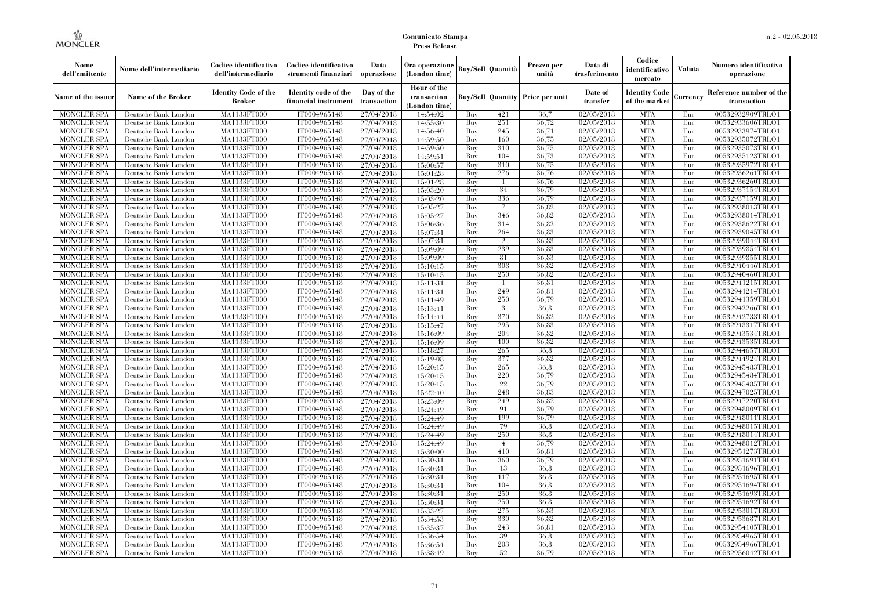| Nome<br>dell'emittente                   | Nome dell'intermediario                      | Codice identificativo<br>dell'intermediario  | Codice identificativo<br>strumenti finanziari | Data<br>operazione        | Ora operazione<br>(London time)             |            | <b>Buy/Sell</b> Quantità | Prezzo per<br>unità                     | Data di<br>trasferimento | Codice<br>identificativo<br>mercato   | <b>Valuta</b> | Numero identificativo<br>operazione    |
|------------------------------------------|----------------------------------------------|----------------------------------------------|-----------------------------------------------|---------------------------|---------------------------------------------|------------|--------------------------|-----------------------------------------|--------------------------|---------------------------------------|---------------|----------------------------------------|
| Name of the issuer                       | Name of the Broker                           | <b>Identity Code of the</b><br><b>Broker</b> | Identity code of the<br>financial instrument  | Day of the<br>transaction | Hour of the<br>transaction<br>(London time) |            |                          | <b>Buy/Sell Quantity Price per unit</b> | Date of<br>transfer      | <b>Identity Code</b><br>of the market | Currency      | Reference number of the<br>transaction |
| <b>MONCLER SPA</b>                       | Deutsche Bank London                         | MA1133FT000                                  | IT0004965148                                  | 27/04/2018                | 14:54:02                                    | Buy        | 421                      | 36,7                                    | 02/05/2018               | <b>MTA</b>                            | Eur           | 00532932909TRLO1                       |
| <b>MONCLER SPA</b>                       | Deutsche Bank London                         | <b>MA1133FT000</b>                           | IT0004965148                                  | 27/04/2018                | 14:55:30                                    | Buy        | 251                      | 36,72                                   | 02/05/2018               | <b>MTA</b>                            | Eur           | 00532933606TRLO1                       |
| <b>MONCLER SPA</b>                       | Deutsche Bank London                         | MA1133FT000                                  | IT0004965148                                  | 27/04/2018                | 14:56:40                                    | Buy        | 245                      | 36,71                                   | 02/05/2018               | <b>MTA</b>                            | Eur           | 00532933974TRLO1                       |
| <b>MONCLER SPA</b>                       | Deutsche Bank London                         | MA1133FT000<br>MA1133FT000                   | IT0004965148                                  | 27/04/2018                | 14:59:50                                    | Buy<br>Buy | 160<br>310               | 36,75<br>36,75                          | 02/05/2018<br>02/05/2018 | <b>MTA</b><br><b>MTA</b>              | Eur<br>Eur    | 00532935072TRLO1<br>00532935073TRLO1   |
| <b>MONCLER SPA</b><br><b>MONCLER SPA</b> | Deutsche Bank London<br>Deutsche Bank London | MA1133FT000                                  | IT0004965148<br>IT0004965148                  | 27/04/2018<br>27/04/2018  | 14:59:50<br>14:59:51                        | Buy        | 104                      | 36,73                                   | 02/05/2018               | <b>MTA</b>                            | Eur           | 00532935123TRLO1                       |
| <b>MONCLER SPA</b>                       | Deutsche Bank London                         | <b>MA1133FT000</b>                           | IT0004965148                                  | 27/04/2018                | 15:00:57                                    | Buy        | 310                      | 36,75                                   | 02/05/2018               | <b>MTA</b>                            | Eur           | 00532935972TRLO1                       |
| <b>MONCLER SPA</b>                       | Deutsche Bank London                         | MA1133FT000                                  | IT0004965148                                  | 27/04/2018                | 15:01:28                                    | Buy        | 276                      | 36,76                                   | 02/05/2018               | <b>MTA</b>                            | Eur           | 00532936261TRLO1                       |
| <b>MONCLER SPA</b>                       | Deutsche Bank London                         | MA1133FT000                                  | IT0004965148                                  | 27/04/2018                | 15:01:28                                    | Buv        | -1                       | 36,76                                   | 02/05/2018               | <b>MTA</b>                            | Eur           | 00532936260TRLO1                       |
| MONCLER SPA                              | Deutsche Bank London                         | MA1133FT000                                  | IT0004965148                                  | 27/04/2018                | 15:03:20                                    | Buy        | 34                       | 36,79                                   | 02/05/2018               | <b>MTA</b>                            | Eur           | 00532937154TRLO1                       |
| <b>MONCLER SPA</b>                       | Deutsche Bank London                         | <b>MA1133FT000</b>                           | IT0004965148                                  | 27/04/2018                | 15:03:20                                    | Buy        | 336                      | 36.79                                   | 02/05/2018               | <b>MTA</b>                            | Eur           | 00532937159TRLO1                       |
| <b>MONCLER SPA</b>                       | Deutsche Bank London                         | <b>MA1133FT000</b>                           | IT0004965148                                  | 27/04/2018                | 15:05:27                                    | Buy        |                          | 36.82                                   | 02/05/2018               | <b>MTA</b>                            | Eur           | 00532938013TRLO1                       |
| <b>MONCLER SPA</b>                       | Deutsche Bank London                         | <b>MA1133FT000</b>                           | IT0004965148                                  | 27/04/2018                | 15:05:27                                    | Buv        | 346                      | 36.82                                   | 02/05/2018               | <b>MTA</b>                            | Eur           | 00532938014TRLO1                       |
| <b>MONCLER SPA</b>                       | Deutsche Bank London                         | MA1133FT000                                  | IT0004965148                                  | 27/04/2018                | 15:06:36                                    | Buy        | 314                      | 36.82                                   | 02/05/2018               | <b>MTA</b>                            | Eur           | 00532938622TRLO1                       |
| <b>MONCLER SPA</b>                       | Deutsche Bank London                         | <b>MA1133FT000</b>                           | IT0004965148                                  | 27/04/2018                | 15:07:31                                    | Buy        | 264                      | 36,83                                   | 02/05/2018               | <b>MTA</b>                            | Eur           | 00532939045TRLO1                       |
| <b>MONCLER SPA</b>                       | Deutsche Bank London                         | MA1133FT000                                  | IT0004965148                                  | 27/04/2018                | 15:07:31                                    | Buy        | $\mathbf{2}$             | 36.83                                   | 02/05/2018               | <b>MTA</b>                            | Eur           | 00532939044TRLO1                       |
| <b>MONCLER SPA</b>                       | Deutsche Bank London                         | MA1133FT000                                  | IT0004965148                                  | 27/04/2018                | 15:09:09                                    | Buv        | 239                      | 36.83                                   | 02/05/2018               | <b>MTA</b>                            | Eur           | 00532939854TRLO1                       |
| MONCLER SPA                              | Deutsche Bank London                         | MA1133FT000                                  | IT0004965148                                  | 27/04/2018                | 15:09:09                                    | Buy        | 81                       | 36.83                                   | 02/05/2018               | <b>MTA</b>                            | Eur           | 00532939855TRLO1                       |
| MONCLER SPA                              | Deutsche Bank London                         | <b>MA1133FT000</b>                           | IT0004965148                                  | 27/04/2018                | 15:10:15                                    | Buy        | 308                      | 36,82                                   | 02/05/2018               | <b>MTA</b>                            | Eur           | 00532940446TRLO1                       |
| <b>MONCLER SPA</b>                       | Deutsche Bank London                         | <b>MA1133FT000</b>                           | IT0004965148                                  | 27/04/2018                | 15:10:15                                    | Buy        | 250                      | 36.82                                   | 02/05/2018               | <b>MTA</b>                            | Eur           | 00532940460TRLO1                       |
| <b>MONCLER SPA</b>                       | Deutsche Bank London                         | MA1133FT000                                  | IT0004965148                                  | 27/04/2018                | 15:11:31                                    | Buy        | $\overline{1}$           | 36.81                                   | 02/05/2018               | <b>MTA</b>                            | Eur           | 00532941215TRLO1                       |
| <b>MONCLER SPA</b>                       | Deutsche Bank London                         | MA1133FT000                                  | IT0004965148                                  | 27/04/2018                | 15:11:31                                    | Buy        | 249                      | 36.81                                   | 02/05/2018               | <b>MTA</b>                            | Eur           | 00532941214TRLO1                       |
| <b>MONCLER SPA</b>                       | Deutsche Bank London                         | <b>MA1133FT000</b>                           | IT0004965148                                  | 27/04/2018                | 15:11:49                                    | Buy        | 250                      | 36,79                                   | 02/05/2018               | <b>MTA</b>                            | Eur           | 00532941359TRLO1                       |
| <b>MONCLER SPA</b>                       | Deutsche Bank London                         | MA1133FT000                                  | IT0004965148                                  | 27/04/2018                | 15:13:41                                    | Buy        | 3                        | 36.8                                    | 02/05/2018               | <b>MTA</b>                            | Eur           | 00532942266TRLO1                       |
| <b>MONCLER SPA</b>                       | Deutsche Bank London                         | MA1133FT000                                  | IT0004965148                                  | 27/04/2018                | 15:14:44                                    | Buy        | 370                      | 36.82                                   | 02/05/2018               | <b>MTA</b>                            | Eur           | 00532942733TRLO1                       |
| <b>MONCLER SPA</b>                       | Deutsche Bank London                         | MA1133FT000                                  | IT0004965148                                  | 27/04/2018                | 15:15:47                                    | Buy        | 295                      | 36.83                                   | 02/05/2018               | <b>MTA</b>                            | Eur           | 00532943317TRLO1                       |
| <b>MONCLER SPA</b>                       | Deutsche Bank London                         | <b>MA1133FT000</b>                           | IT0004965148                                  | 27/04/2018                | 15:16:09                                    | Buy        | 204                      | 36,82                                   | 02/05/2018               | <b>MTA</b>                            | Eur           | 00532943534TRLO1                       |
| <b>MONCLER SPA</b>                       | Deutsche Bank London                         | MA1133FT000                                  | IT0004965148                                  | 27/04/2018                | 15:16:09                                    | Buy        | 100                      | 36.82                                   | 02/05/2018               | <b>MTA</b>                            | Eur           | 00532943535TRLO1                       |
| <b>MONCLER SPA</b>                       | Deutsche Bank London                         | MA1133FT000                                  | IT0004965148                                  | 27/04/2018                | 15:18:27                                    | Buy        | 265                      | 36.8                                    | 02/05/2018               | <b>MTA</b>                            | Eur           | 00532944657TRLO1                       |
| <b>MONCLER SPA</b>                       | Deutsche Bank London                         | <b>MA1133FT000</b>                           | IT0004965148                                  | 27/04/2018                | 15:19:08                                    | Buy        | 377                      | 36.82                                   | 02/05/2018               | <b>MTA</b>                            | Eur           | 00532944924TRLO1                       |
| MONCLER SPA                              | Deutsche Bank London                         | <b>MA1133FT000</b>                           | IT0004965148                                  | 27/04/2018                | 15:20:15                                    | Buy        | 265                      | 36,8                                    | 02/05/2018               | <b>MTA</b>                            | Eur           | 00532945483TRLO1                       |
| <b>MONCLER SPA</b>                       | Deutsche Bank London                         | MA1133FT000                                  | IT0004965148                                  | 27/04/2018                | 15:20:15                                    | Buy        | 220                      | 36,79                                   | 02/05/2018               | <b>MTA</b>                            | Eur           | 00532945484TRLO1                       |
| <b>MONCLER SPA</b>                       | Deutsche Bank London                         | MA1133FT000                                  | IT0004965148                                  | 27/04/2018                | 15:20:15                                    | Buy        | $22\,$                   | 36.79                                   | 02/05/2018               | <b>MTA</b>                            | Eur           | 00532945485TRLO1                       |
| <b>MONCLER SPA</b>                       | Deutsche Bank London                         | MA1133FT000                                  | IT0004965148                                  | 27/04/2018                | 15:22:40                                    | Buy        | 248                      | 36.83                                   | 02/05/2018               | <b>MTA</b>                            | Eur           | 00532947025TRLO1                       |
| <b>MONCLER SPA</b>                       | Deutsche Bank London                         | <b>MA1133FT000</b>                           | IT0004965148                                  | 27/04/2018                | 15:23:09                                    | Buy        | 249                      | 36.82                                   | 02/05/2018               | <b>MTA</b>                            | Eur           | 00532947220TRLO1                       |
| <b>MONCLER SPA</b>                       | Deutsche Bank London                         | MA1133FT000                                  | IT0004965148                                  | 27/04/2018                | 15:24:49                                    | Buy        | 91                       | 36,79                                   | 02/05/2018               | <b>MTA</b>                            | Eur           | 00532948009TRLO1                       |
| <b>MONCLER SPA</b>                       | Deutsche Bank London                         | MA1133FT000                                  | IT0004965148                                  | 27/04/2018                | 15:24:49                                    | Buy        | 199                      | 36,79                                   | 02/05/2018               | <b>MTA</b>                            | Eur           | 00532948011TRLO1                       |
| <b>MONCLER SPA</b>                       | Deutsche Bank London                         | <b>MA1133FT000</b>                           | IT0004965148                                  | 27/04/2018                | 15:24:49                                    | Buy        | 79<br>250                | 36.8<br>36.8                            | 02/05/2018               | <b>MTA</b><br><b>MTA</b>              | Eur           | 00532948015TRLO1                       |
| <b>MONCLER SPA</b><br><b>MONCLER SPA</b> | Deutsche Bank London<br>Deutsche Bank London | <b>MA1133FT000</b><br>MA1133FT000            | IT0004965148<br>IT0004965148                  | 27/04/2018                | 15:24:49                                    | Buy        | $\overline{4}$           | 36,79                                   | 02/05/2018<br>02/05/2018 | <b>MTA</b>                            | Eur<br>Eur    | 00532948014TRLO1<br>00532948012TRLO1   |
| <b>MONCLER SPA</b>                       | Deutsche Bank London                         | MA1133FT000                                  | IT0004965148                                  | 27/04/2018<br>27/04/2018  | 15:24:49<br>15:30:00                        | Buy<br>Buy | 410                      | 36.81                                   | 02/05/2018               | <b>MTA</b>                            | Eur           | 00532951273TRLO1                       |
| <b>MONCLER SPA</b>                       |                                              | MA1133FT000                                  | IT0004965148                                  | 27/04/2018                | 15:30:31                                    | Buy        | 360                      | 36.79                                   | 02/05/2018               | <b>MTA</b>                            | Eur           | 00532951691TRLO1                       |
| MONCLER SPA                              | Deutsche Bank London<br>Deutsche Bank London | <b>MA1133FT000</b>                           | IT0004965148                                  | 27/04/2018                | 15:30:31                                    | Buy        | 13                       | 36.8                                    | 02/05/2018               | MTA                                   | Eur           | 00532951696TRLO1                       |
| <b>MONCLER SPA</b>                       | Deutsche Bank London                         | MA1133FT000                                  | IT0004965148                                  | 27/04/2018                | 15:30:31                                    | Buy        | 117                      | 36.8                                    | 02/05/2018               | <b>MTA</b>                            | Eur           | 00532951695TRLO1                       |
| <b>MONCLER SPA</b>                       | Deutsche Bank London                         | MA1133FT000                                  | IT0004965148                                  | 27/04/2018                | 15:30:31                                    | Buy        | 104                      | 36.8                                    | 02/05/2018               | <b>MTA</b>                            | Eur           | 00532951694TRLO1                       |
| <b>MONCLER SPA</b>                       | Deutsche Bank London                         | MA1133FT000                                  | IT0004965148                                  | 27/04/2018                | 15:30:31                                    | Buy        | 250                      | 36.8                                    | 02/05/2018               | <b>MTA</b>                            | Eur           | 00532951693TRLO1                       |
| <b>MONCLER SPA</b>                       | Deutsche Bank London                         | <b>MA1133FT000</b>                           | IT0004965148                                  | 27/04/2018                | 15:30:31                                    | Buy        | 250                      | 36.8                                    | 02/05/2018               | <b>MTA</b>                            | Eur           | 00532951692TRLO1                       |
| <b>MONCLER SPA</b>                       | Deutsche Bank London                         | MA1133FT000                                  | IT0004965148                                  | 27/04/2018                | 15:33:27                                    | Buy        | 275                      | 36.83                                   | 02/05/2018               | <b>MTA</b>                            | Eur           | 00532953017TRLO1                       |
| <b>MONCLER SPA</b>                       | Deutsche Bank London                         | MA1133FT000                                  | IT0004965148                                  | 27/04/2018                | 15:34:53                                    | Buy        | 330                      | 36.82                                   | 02/05/2018               | <b>MTA</b>                            | Eur           | 00532953687TRLO1                       |
| <b>MONCLER SPA</b>                       | Deutsche Bank London                         | MA1133FT000                                  | IT0004965148                                  | 27/04/2018                | 15:35:37                                    | Buy        | 243                      | 36.81                                   | 02/05/2018               | <b>MTA</b>                            | Eur           | 00532954105TRLO1                       |
| MONCLER SPA                              | Deutsche Bank London                         | <b>MA1133FT000</b>                           | IT0004965148                                  | 27/04/2018                | 15:36:54                                    | Buy        | 39                       | 36.8                                    | 02/05/2018               | <b>MTA</b>                            | Eur           | 00532954965TRLO1                       |
| <b>MONCLER SPA</b>                       | Deutsche Bank London                         | <b>MA1133FT000</b>                           | IT0004965148                                  | 27/04/2018                | 15:36:54                                    | Buy        | 203                      | 36.8                                    | 02/05/2018               | <b>MTA</b>                            | Eur           | 00532954966TRLO1                       |
| <b>MONCLER SPA</b>                       | Deutsche Bank London                         | MA1133FT000                                  | IT0004965148                                  | 27/04/2018                | 15:38:49                                    | Buy        | 52                       | 36,79                                   | 02/05/2018               | <b>MTA</b>                            | Eur           | 00532956042TRLO1                       |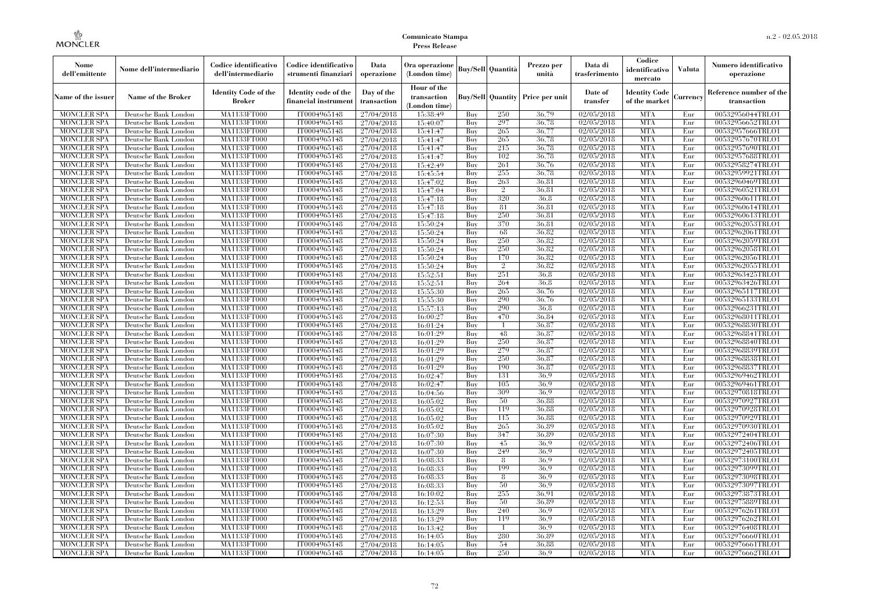| Nome<br>dell'emittente                   | Nome dell'intermediario                      | Codice identificativo<br>dell'intermediario  | Codice identificativo<br>strumenti finanziari | Data<br>operazione        | Ora operazione<br>(London time)             |            | <b>Buy/Sell</b> Quantità | Prezzo per<br>unità                     | Data di<br>trasferimento | Codice<br>identificativo<br>mercato   | <b>Valuta</b> | Numero identificativo<br>operazione    |
|------------------------------------------|----------------------------------------------|----------------------------------------------|-----------------------------------------------|---------------------------|---------------------------------------------|------------|--------------------------|-----------------------------------------|--------------------------|---------------------------------------|---------------|----------------------------------------|
| Name of the issuer                       | Name of the Broker                           | <b>Identity Code of the</b><br><b>Broker</b> | Identity code of the<br>financial instrument  | Day of the<br>transaction | Hour of the<br>transaction<br>(London time) |            |                          | <b>Buy/Sell Quantity Price per unit</b> | Date of<br>transfer      | <b>Identity Code</b><br>of the market | Currency      | Reference number of the<br>transaction |
| <b>MONCLER SPA</b>                       | Deutsche Bank London                         | MA1133FT000                                  | IT0004965148                                  | 27/04/2018                | 15:38:49                                    | Buy        | 250                      | 36,79                                   | 02/05/2018               | <b>MTA</b>                            | Eur           | 00532956044TRLO1                       |
| <b>MONCLER SPA</b>                       | Deutsche Bank London                         | MA1133FT000                                  | IT0004965148                                  | 27/04/2018                | 15:40:07                                    | Buy        | 297                      | 36,78                                   | 02/05/2018               | <b>MTA</b>                            | Eur           | 00532956652TRLO1                       |
| <b>MONCLER SPA</b>                       | Deutsche Bank London                         | MA1133FT000                                  | IT0004965148                                  | 27/04/2018                | 15:41:47                                    | Buy        | 265                      | 36,77                                   | 02/05/2018               | <b>MTA</b><br><b>MTA</b>              | Eur           | 00532957666TRLO1                       |
| <b>MONCLER SPA</b><br><b>MONCLER SPA</b> | Deutsche Bank London<br>Deutsche Bank London | MA1133FT000<br>MA1133FT000                   | IT0004965148<br>IT0004965148                  | 27/04/2018<br>27/04/2018  | 15:41:47<br>15:41:47                        | Buy<br>Buy | 265<br>215               | 36,78<br>36,78                          | 02/05/2018<br>02/05/2018 | <b>MTA</b>                            | Eur<br>Eur    | 00532957670TRLO1<br>00532957690TRLO1   |
| <b>MONCLER SPA</b>                       | Deutsche Bank London                         | MA1133FT000                                  | IT0004965148                                  | 27/04/2018                | 15:41:47                                    | Buy        | 102                      | 36,78                                   | 02/05/2018               | <b>MTA</b>                            | Eur           | 00532957688TRLO1                       |
| <b>MONCLER SPA</b>                       | Deutsche Bank London                         | <b>MA1133FT000</b>                           | IT0004965148                                  | 27/04/2018                | 15:42:49                                    | Buy        | 261                      | 36,76                                   | 02/05/2018               | <b>MTA</b>                            | Eur           | 00532958274TRLO1                       |
| <b>MONCLER SPA</b>                       | Deutsche Bank London                         | MA1133FT000                                  | IT0004965148                                  | 27/04/2018                | 15:45:54                                    | Buy        | 255                      | 36,78                                   | 02/05/2018               | <b>MTA</b>                            | Eur           | 00532959921TRLO1                       |
| <b>MONCLER SPA</b>                       | Deutsche Bank London                         | MA1133FT000                                  | IT0004965148                                  | 27/04/2018                | 15:47:02                                    | Buv        | 263                      | 36.81                                   | 02/05/2018               | <b>MTA</b>                            | Eur           | 00532960469TRLO1                       |
| <b>MONCLER SPA</b>                       | Deutsche Bank London                         | MA1133FT000                                  | IT0004965148                                  | 27/04/2018                | 15:47:04                                    | Buy        | $\overline{2}$           | 36.81                                   | 02/05/2018               | <b>MTA</b>                            | Eur           | 00532960521TRLO1                       |
| <b>MONCLER SPA</b>                       | Deutsche Bank London                         | <b>MA1133FT000</b>                           | IT0004965148                                  | 27/04/2018                | 15:47:18                                    | Buy        | 320                      | 36,8                                    | 02/05/2018               | <b>MTA</b>                            | Eur           | 00532960611TRLO1                       |
| <b>MONCLER SPA</b>                       | Deutsche Bank London                         | MA1133FT000                                  | IT0004965148                                  | 27/04/2018                | 15:47:18                                    | Buy        | 81                       | 36.81                                   | 02/05/2018               | <b>MTA</b>                            | Eur           | 00532960614TRLO1                       |
| <b>MONCLER SPA</b>                       | Deutsche Bank London                         | <b>MA1133FT000</b>                           | IT0004965148                                  | 27/04/2018                | 15:47:18                                    | Buv        | 250                      | 36.81                                   | 02/05/2018               | <b>MTA</b>                            | Eur           | 00532960613TRLO1                       |
| <b>MONCLER SPA</b>                       | Deutsche Bank London                         | MA1133FT000                                  | IT0004965148                                  | 27/04/2018                | 15:50:24                                    | Buy        | 370                      | 36.81                                   | 02/05/2018               | <b>MTA</b>                            | Eur           | 00532962053TRLO1                       |
| <b>MONCLER SPA</b>                       | Deutsche Bank London                         | <b>MA1133FT000</b>                           | IT0004965148                                  | 27/04/2018                | 15:50:24                                    | Buy        | 68                       | 36,82                                   | 02/05/2018               | <b>MTA</b>                            | Eur           | 00532962061TRLO1                       |
| <b>MONCLER SPA</b>                       | Deutsche Bank London                         | MA1133FT000                                  | IT0004965148                                  | 27/04/2018                | 15:50:24                                    | Buy        | 250                      | 36.82                                   | 02/05/2018               | <b>MTA</b>                            | Eur           | 00532962059TRLO1                       |
| <b>MONCLER SPA</b>                       | Deutsche Bank London                         | MA1133FT000                                  | IT0004965148                                  | 27/04/2018                | 15:50:24                                    | Buv        | 250                      | 36.82                                   | 02/05/2018               | <b>MTA</b>                            | Eur           | 00532962058TRLO1                       |
| <b>MONCLER SPA</b>                       | Deutsche Bank London                         | MA1133FT000                                  | IT0004965148                                  | 27/04/2018                | 15:50:24                                    | Buy        | 170                      | 36.82                                   | 02/05/2018               | <b>MTA</b>                            | Eur           | 00532962056TRLO1                       |
| MONCLER SPA                              | Deutsche Bank London                         | <b>MA1133FT000</b>                           | IT0004965148                                  | 27/04/2018                | 15:50:24                                    | Buy        | $\overline{2}$           | 36,82                                   | 02/05/2018               | <b>MTA</b>                            | Eur           | 00532962055TRLO1                       |
| <b>MONCLER SPA</b>                       | Deutsche Bank London                         | MA1133FT000                                  | IT0004965148                                  | 27/04/2018                | 15:52:51                                    | Buy<br>Buy | 251                      | 36.8                                    | 02/05/2018               | <b>MTA</b>                            | Eur           | 00532963425TRLO1                       |
| <b>MONCLER SPA</b>                       | Deutsche Bank London                         | MA1133FT000<br>MA1133FT000                   | IT0004965148<br>IT0004965148                  | 27/04/2018                | 15:52:51                                    | Buy        | 264<br>265               | 36.8<br>36,76                           | 02/05/2018<br>02/05/2018 | <b>MTA</b><br><b>MTA</b>              | Eur           | 00532963426TRLO1<br>00532965117TRLO1   |
| <b>MONCLER SPA</b><br><b>MONCLER SPA</b> | Deutsche Bank London<br>Deutsche Bank London | <b>MA1133FT000</b>                           | IT0004965148                                  | 27/04/2018<br>27/04/2018  | 15:55:30<br>15:55:30                        | Buy        | 290                      | 36,76                                   | 02/05/2018               | <b>MTA</b>                            | Eur<br>Eur    | 00532965133TRLO1                       |
| <b>MONCLER SPA</b>                       | Deutsche Bank London                         | MA1133FT000                                  | IT0004965148                                  | 27/04/2018                | 15:57:13                                    | Buy        | 290                      | 36.8                                    | 02/05/2018               | <b>MTA</b>                            | Eur           | 00532966231TRLO1                       |
| <b>MONCLER SPA</b>                       | Deutsche Bank London                         | MA1133FT000                                  | IT0004965148                                  | 27/04/2018                | 16:00:27                                    | Buy        | 470                      | 36.84                                   | 02/05/2018               | <b>MTA</b>                            | Eur           | 00532968011TRLO1                       |
| <b>MONCLER SPA</b>                       | Deutsche Bank London                         | MA1133FT000                                  | IT0004965148                                  | 27/04/2018                | 16:01:24                                    | Buy        | $\mathbf{1}$             | 36.87                                   | 02/05/2018               | <b>MTA</b>                            | Eur           | 00532968830TRLO1                       |
| <b>MONCLER SPA</b>                       | Deutsche Bank London                         | <b>MA1133FT000</b>                           | IT0004965148                                  | 27/04/2018                | 16:01:29                                    | Buy        | 48                       | 36,87                                   | 02/05/2018               | <b>MTA</b>                            | Eur           | 00532968841TRLO1                       |
| <b>MONCLER SPA</b>                       | Deutsche Bank London                         | MA1133FT000                                  | IT0004965148                                  | 27/04/2018                | 16:01:29                                    | Buy        | 250                      | 36,87                                   | 02/05/2018               | <b>MTA</b>                            | Eur           | 00532968840TRLO1                       |
| <b>MONCLER SPA</b>                       | Deutsche Bank London                         | MA1133FT000                                  | IT0004965148                                  | 27/04/2018                | 16:01:29                                    | Buy        | 279                      | 36,87                                   | 02/05/2018               | <b>MTA</b>                            | Eur           | 00532968839TRLO1                       |
| <b>MONCLER SPA</b>                       | Deutsche Bank London                         | <b>MA1133FT000</b>                           | IT0004965148                                  | 27/04/2018                | 16:01:29                                    | Buy        | 250                      | 36,87                                   | 02/05/2018               | <b>MTA</b>                            | Eur           | 00532968838TRLO1                       |
| MONCLER SPA                              | Deutsche Bank London                         | <b>MA1133FT000</b>                           | IT0004965148                                  | 27/04/2018                | 16:01:29                                    | Buy        | 190                      | 36,87                                   | 02/05/2018               | <b>MTA</b>                            | Eur           | 00532968837TRLO1                       |
| <b>MONCLER SPA</b>                       | Deutsche Bank London                         | MA1133FT000                                  | IT0004965148                                  | 27/04/2018                | 16:02:47                                    | Buy        | 131                      | 36.9                                    | 02/05/2018               | <b>MTA</b>                            | Eur           | 00532969462TRLO1                       |
| <b>MONCLER SPA</b>                       | Deutsche Bank London                         | MA1133FT000                                  | IT0004965148                                  | 27/04/2018                | 16:02:47                                    | Buy        | 105                      | 36.9                                    | 02/05/2018               | <b>MTA</b>                            | Eur           | 00532969461TRLO1                       |
| <b>MONCLER SPA</b>                       | Deutsche Bank London                         | MA1133FT000                                  | IT0004965148                                  | 27/04/2018                | 16:04:56                                    | Buy        | 309                      | 36.9                                    | 02/05/2018               | <b>MTA</b>                            | Eur           | 00532970818TRLO1                       |
| <b>MONCLER SPA</b>                       | Deutsche Bank London                         | <b>MA1133FT000</b>                           | IT0004965148                                  | 27/04/2018                | 16:05:02                                    | Buy        | 50                       | 36,88                                   | 02/05/2018               | <b>MTA</b>                            | Eur           | 00532970927TRLO1                       |
| <b>MONCLER SPA</b>                       | Deutsche Bank London                         | MA1133FT000                                  | IT0004965148                                  | 27/04/2018                | 16:05:02                                    | Buy        | 119                      | 36.88                                   | 02/05/2018               | <b>MTA</b>                            | Eur           | 00532970928TRLO1                       |
| <b>MONCLER SPA</b>                       | Deutsche Bank London                         | MA1133FT000                                  | IT0004965148                                  | 27/04/2018                | 16:05:02                                    | Buy        | 115                      | 36.88                                   | 02/05/2018               | <b>MTA</b>                            | Eur           | 00532970929TRLO1                       |
| <b>MONCLER SPA</b>                       | Deutsche Bank London                         | <b>MA1133FT000</b>                           | IT0004965148                                  | 27/04/2018                | 16:05:02                                    | Buy        | 265                      | 36.89                                   | 02/05/2018               | <b>MTA</b>                            | Eur           | 00532970930TRLO1                       |
| <b>MONCLER SPA</b>                       | Deutsche Bank London                         | <b>MA1133FT000</b>                           | IT0004965148                                  | 27/04/2018                | 16:07:30                                    | Buy        | 347                      | 36.89                                   | 02/05/2018               | <b>MTA</b>                            | Eur           | 00532972404TRLO1                       |
| <b>MONCLER SPA</b>                       | Deutsche Bank London                         | MA1133FT000                                  | IT0004965148                                  | 27/04/2018                | 16:07:30                                    | Buy        | 45<br>249                | 36.9<br>36.9                            | 02/05/2018               | <b>MTA</b><br><b>MTA</b>              | Eur           | 00532972406TRLO1                       |
| <b>MONCLER SPA</b><br><b>MONCLER SPA</b> | Deutsche Bank London                         | MA1133FT000<br>MA1133FT000                   | IT0004965148<br>IT0004965148                  | 27/04/2018<br>27/04/2018  | 16:07:30<br>16:08:33                        | Buy<br>Buy | 8                        | 36.9                                    | 02/05/2018<br>02/05/2018 | <b>MTA</b>                            | Eur<br>Eur    | 00532972405TRLO1<br>00532973100TRLO1   |
| MONCLER SPA                              | Deutsche Bank London<br>Deutsche Bank London | <b>MA1133FT000</b>                           | IT0004965148                                  | 27/04/2018                | 16:08:33                                    | Buy        | 199                      | 36.9                                    | 02/05/2018               | MTA                                   | Eur           | 00532973099TRLO1                       |
| <b>MONCLER SPA</b>                       | Deutsche Bank London                         | MA1133FT000                                  | IT0004965148                                  | 27/04/2018                | 16:08:33                                    | Buy        | 8                        | 36.9                                    | 02/05/2018               | <b>MTA</b>                            | Eur           | 00532973098TRLO1                       |
| <b>MONCLER SPA</b>                       | Deutsche Bank London                         | MA1133FT000                                  | IT0004965148                                  | 27/04/2018                | 16:08:33                                    | Buy        | 50                       | 36.9                                    | 02/05/2018               | <b>MTA</b>                            | Eur           | 00532973097TRLO1                       |
| <b>MONCLER SPA</b>                       | Deutsche Bank London                         | MA1133FT000                                  | IT0004965148                                  | 27/04/2018                | 16:10:02                                    | Buy        | 255                      | 36.91                                   | 02/05/2018               | <b>MTA</b>                            | Eur           | 00532973873TRLO1                       |
| <b>MONCLER SPA</b>                       | Deutsche Bank London                         | <b>MA1133FT000</b>                           | IT0004965148                                  | 27/04/2018                | 16:12:53                                    | Buy        | 50                       | 36.89                                   | 02/05/2018               | <b>MTA</b>                            | Eur           | 00532975889TRLO1                       |
| <b>MONCLER SPA</b>                       | Deutsche Bank London                         | MA1133FT000                                  | IT0004965148                                  | 27/04/2018                | 16:13:29                                    | Buy        | 240                      | 36.9                                    | 02/05/2018               | <b>MTA</b>                            | Eur           | 00532976261TRLO1                       |
| <b>MONCLER SPA</b>                       | Deutsche Bank London                         | MA1133FT000                                  | IT0004965148                                  | 27/04/2018                | 16:13:29                                    | Buy        | 119                      | 36.9                                    | 02/05/2018               | <b>MTA</b>                            | Eur           | 00532976262TRLO1                       |
| <b>MONCLER SPA</b>                       | Deutsche Bank London                         | MA1133FT000                                  | IT0004965148                                  | 27/04/2018                | 16:13:42                                    | Buy        | $\mathbf{1}$             | 36.9                                    | 02/05/2018               | <b>MTA</b>                            | Eur           | 00532976408TRLO1                       |
| MONCLER SPA                              | Deutsche Bank London                         | <b>MA1133FT000</b>                           | IT0004965148                                  | 27/04/2018                | 16:14:05                                    | Buy        | 280                      | 36.89                                   | 02/05/2018               | <b>MTA</b>                            | Eur           | 00532976660TRLO1                       |
| <b>MONCLER SPA</b>                       | Deutsche Bank London                         | <b>MA1133FT000</b>                           | IT0004965148                                  | 27/04/2018                | 16:14:05                                    | Buy        | 54                       | 36.88                                   | 02/05/2018               | <b>MTA</b>                            | Eur           | 00532976661TRLO1                       |
| <b>MONCLER SPA</b>                       | Deutsche Bank London                         | MA1133FT000                                  | IT0004965148                                  | 27/04/2018                | 16:14:05                                    | Buy        | 250                      | 36.9                                    | 02/05/2018               | <b>MTA</b>                            | Eur           | 00532976662TRLO1                       |